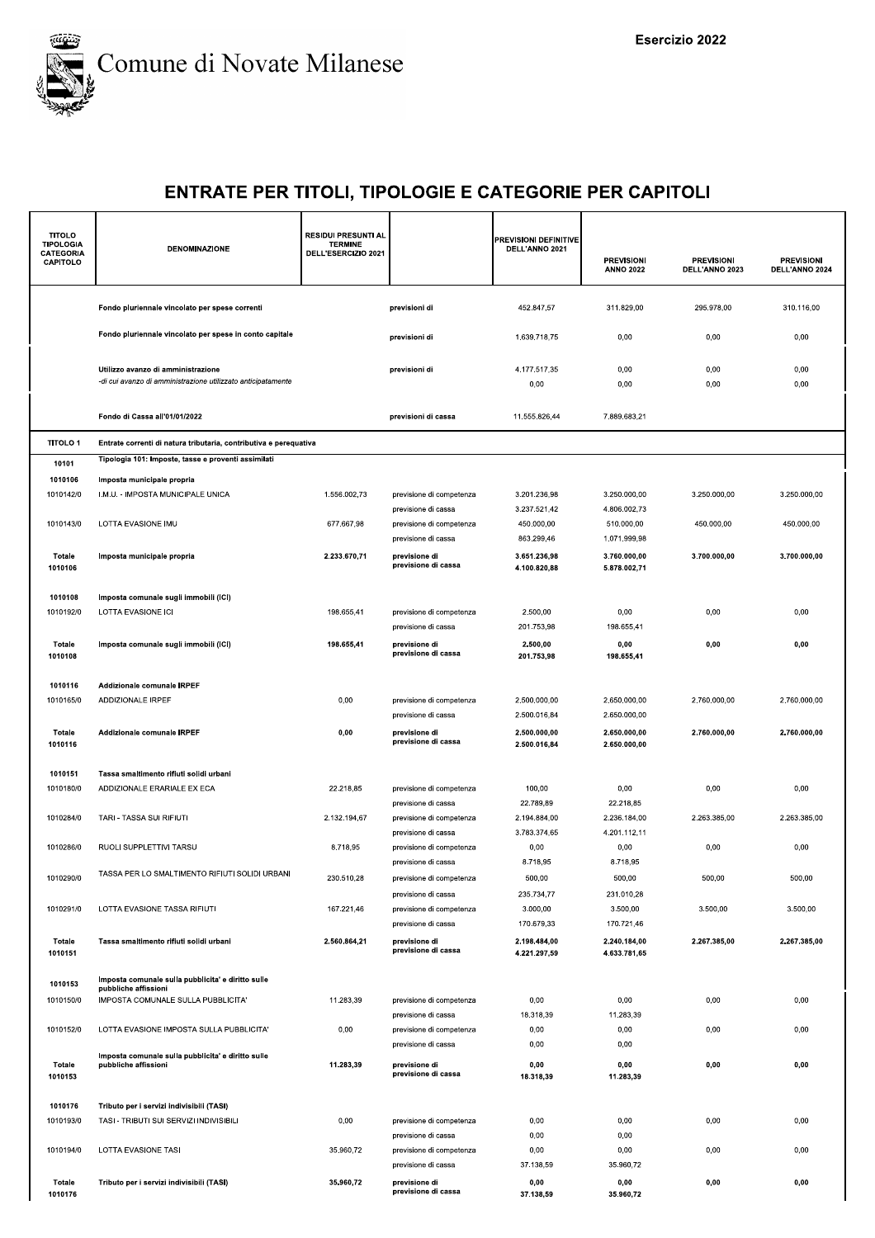

| <b>TITOLO</b><br><b>TIPOLOGIA</b><br>CATEGORIA<br>CAPITOLO | DENOMINAZIONE                                                                                      | <b>RESIDUI PRESUNTI AL</b><br><b>TERMINE</b><br>DELL'ESERCIZIO 2021 |                                                 | <b>PREVISIONI DEFINITIVE</b><br>DELL'ANNO 2021 | <b>PREVISIONI</b><br><b>ANNO 2022</b> | <b>PREVISIONI</b><br>DELL'ANNO 2023 | <b>PREVISIONI</b><br>DELL'ANNO 2024 |
|------------------------------------------------------------|----------------------------------------------------------------------------------------------------|---------------------------------------------------------------------|-------------------------------------------------|------------------------------------------------|---------------------------------------|-------------------------------------|-------------------------------------|
|                                                            | Fondo pluriennale vincolato per spese correnti                                                     |                                                                     | previsioni di                                   | 452.847,57                                     | 311.829,00                            | 295.978,00                          | 310.116,00                          |
|                                                            | Fondo pluriennale vincolato per spese in conto capitale                                            |                                                                     | previsioni di                                   | 1.639.718,75                                   | 0,00                                  | 0,00                                | 0,00                                |
|                                                            | Utilizzo avanzo di amministrazione<br>-di cui avanzo di amministrazione utilizzato anticipatamente |                                                                     | previsioni di                                   | 4.177.517,35<br>0,00                           | 0,00<br>0,00                          | 0,00<br>0,00                        | 0,00<br>0,00                        |
|                                                            | Fondo di Cassa all'01/01/2022                                                                      |                                                                     | previsioni di cassa                             | 11.555.826,44                                  | 7.889.683,21                          |                                     |                                     |
| <b>TITOLO1</b>                                             | Entrate correnti di natura tributaria, contributiva e perequativa                                  |                                                                     |                                                 |                                                |                                       |                                     |                                     |
| 10101                                                      | Tipologia 101: Imposte, tasse e proventi assimilati                                                |                                                                     |                                                 |                                                |                                       |                                     |                                     |
| 1010106                                                    | Imposta municipale propria                                                                         |                                                                     |                                                 |                                                |                                       |                                     |                                     |
| 1010142/0                                                  | I.M.U. - IMPOSTA MUNICIPALE UNICA                                                                  | 1.556.002,73                                                        | previsione di competenza<br>previsione di cassa | 3.201.236,98<br>3.237.521,42                   | 3.250.000,00<br>4.806.002,73          | 3.250.000,00                        | 3.250.000,00                        |
| 1010143/0                                                  | LOTTA EVASIONE IMU                                                                                 | 677.667,98                                                          | previsione di competenza                        | 450.000,00                                     | 510.000,00                            | 450.000,00                          | 450.000,00                          |
|                                                            |                                                                                                    |                                                                     | previsione di cassa                             | 863.299,46                                     | 1.071.999,98                          |                                     |                                     |
| <b>Totale</b><br>1010106                                   | Imposta municipale propria                                                                         | 2.233.670,71                                                        | previsione di<br>previsione di cassa            | 3.651.236.98<br>4.100.820,88                   | 3.760.000,00<br>5.878.002,71          | 3.700.000,00                        | 3.700.000,00                        |
| 1010108                                                    | Imposta comunale sugli immobili (ICI)                                                              |                                                                     |                                                 |                                                |                                       |                                     |                                     |
| 1010192/0                                                  | LOTTA EVASIONE ICI                                                                                 | 198.655,41                                                          | previsione di competenza                        | 2.500,00                                       | 0,00                                  | 0,00                                | 0,00                                |
|                                                            |                                                                                                    |                                                                     | previsione di cassa                             | 201.753,98                                     | 198.655,41                            |                                     |                                     |
| Totale<br>1010108                                          | Imposta comunale sugli immobili (ICI)                                                              | 198.655,41                                                          | previsione di<br>previsione di cassa            | 2.500,00<br>201.753,98                         | 0,00<br>198.655,41                    | 0,00                                | 0,00                                |
| 1010116                                                    | Addizionale comunale IRPEF                                                                         |                                                                     |                                                 |                                                |                                       |                                     |                                     |
| 1010165/0                                                  | ADDIZIONALE IRPEF                                                                                  | 0,00                                                                | previsione di competenza                        | 2.500.000,00                                   | 2.650.000,00                          | 2.760.000,00                        | 2.760.000,00                        |
|                                                            |                                                                                                    |                                                                     | previsione di cassa                             | 2.500.016,84                                   | 2.650.000,00                          |                                     |                                     |
| Totale<br>1010116                                          | Addizionale comunale IRPEF                                                                         | 0,00                                                                | previsione di<br>previsione di cassa            | 2.500.000,00<br>2.500.016,84                   | 2.650.000,00<br>2.650.000,00          | 2.760.000,00                        | 2.760.000,00                        |
| 1010151                                                    | Tassa smaltimento rifiuti solidi urbani                                                            |                                                                     |                                                 |                                                |                                       |                                     |                                     |
| 1010180/0                                                  | ADDIZIONALE ERARIALE EX ECA                                                                        | 22.218,85                                                           | previsione di competenza                        | 100,00                                         | 0,00                                  | 0,00                                | 0,00                                |
|                                                            |                                                                                                    |                                                                     | previsione di cassa                             | 22.789,89                                      | 22.218.85                             |                                     |                                     |
| 1010284/0                                                  | TARI - TASSA SUI RIFIUTI                                                                           | 2.132.194,67                                                        | previsione di competenza                        | 2.194.884,00                                   | 2.236.184,00                          | 2.263.385,00                        | 2.263.385,00                        |
|                                                            |                                                                                                    |                                                                     | previsione di cassa                             | 3.783.374,65                                   | 4.201.112,11                          |                                     |                                     |
| 1010286/0                                                  | RUOLI SUPPLETTIVI TARSU                                                                            | 8.718,95                                                            | previsione di competenza                        | 0,00                                           | 0,00                                  | 0,00                                | 0,00                                |
| 1010290/0                                                  | TASSA PER LO SMALTIMENTO RIFIUTI SOLIDI URBANI                                                     | 230.510,28                                                          | previsione di cassa                             | 8.718,95                                       | 8.718,95                              |                                     |                                     |
|                                                            |                                                                                                    |                                                                     | previsione di competenza<br>previsione di cassa | 500,00<br>235.734,77                           | 500,00<br>231.010,28                  | 500,00                              | 500,00                              |
| 1010291/0                                                  | LOTTA EVASIONE TASSA RIFIUTI                                                                       | 167.221,46                                                          | previsione di competenza                        | 3.000,00                                       | 3.500,00                              | 3.500,00                            | 3.500,00                            |
|                                                            |                                                                                                    |                                                                     | previsione di cassa                             | 170.679,33                                     | 170.721,46                            |                                     |                                     |
| Totale<br>1010151                                          | Tassa smaltimento rifiuti solidi urbani                                                            | 2.560.864,21                                                        | previsione di<br>previsione di cassa            | 2.198.484,00<br>4.221.297,59                   | 2.240.184,00<br>4.633.781.65          | 2.267.385,00                        | 2.267.385,00                        |
|                                                            | Imposta comunale sulla pubblicita' e diritto sulle                                                 |                                                                     |                                                 |                                                |                                       |                                     |                                     |
| 1010153                                                    | pubbliche affissioni<br>IMPOSTA COMUNALE SULLA PUBBLICITA'                                         | 11.283,39                                                           | previsione di competenza                        | 0,00                                           | 0,00                                  | 0,00                                | 0,00                                |
| 1010150/0                                                  |                                                                                                    |                                                                     | previsione di cassa                             | 18.318,39                                      | 11.283,39                             |                                     |                                     |
| 1010152/0                                                  | LOTTA EVASIONE IMPOSTA SULLA PUBBLICITA'                                                           | 0,00                                                                | previsione di competenza                        | 0,00                                           | 0,00                                  | 0,00                                | 0,00                                |
|                                                            |                                                                                                    |                                                                     | previsione di cassa                             | 0,00                                           | 0,00                                  |                                     |                                     |
| Totale<br>1010153                                          | Imposta comunale sulla pubblicita' e diritto sulle<br>pubbliche affissioni                         | 11.283,39                                                           | previsione di<br>previsione di cassa            | 0,00<br>18.318,39                              | 0,00<br>11.283,39                     | 0,00                                | 0,00                                |
| 1010176                                                    | Tributo per i servizi indivisibili (TASI)                                                          |                                                                     |                                                 |                                                |                                       |                                     |                                     |
| 1010193/0                                                  | TASI - TRIBUTI SUI SERVIZI INDIVISIBILI                                                            | 0,00                                                                | previsione di competenza                        | 0,00                                           | 0,00                                  | 0,00                                | 0,00                                |
|                                                            |                                                                                                    |                                                                     | previsione di cassa                             | 0,00                                           | 0,00                                  |                                     |                                     |
| 1010194/0                                                  | LOTTA EVASIONE TASI                                                                                | 35.960,72                                                           | previsione di competenza                        | 0,00                                           | 0,00                                  | 0,00                                | 0,00                                |
|                                                            |                                                                                                    |                                                                     | previsione di cassa                             | 37.138,59                                      | 35.960,72                             |                                     |                                     |
| Totale<br>1010176                                          | Tributo per i servizi indivisibili (TASI)                                                          | 35.960,72                                                           | previsione di<br>previsione di cassa            | 0,00<br>37.138,59                              | 0,00<br>35.960,72                     | 0,00                                | 0,00                                |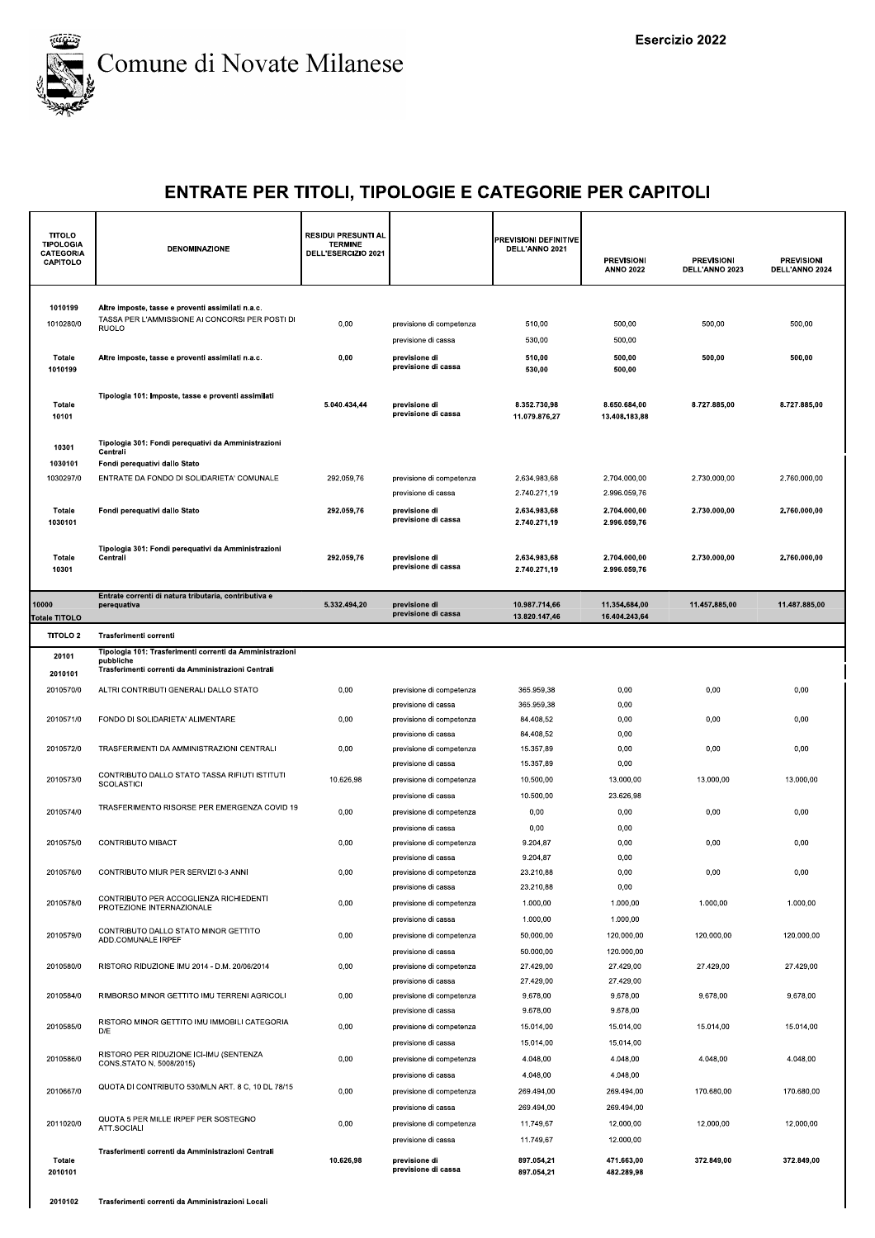

| <b>TITOLO</b><br><b>TIPOLOGIA</b><br><b>CATEGORIA</b><br>CAPITOLO | DENOMINAZIONE                                                                                                        | <b>RESIDUI PRESUNTI AL</b><br><b>TERMINE</b><br>DELL'ESERCIZIO 2021                                                                                                                                                                                                                                                                                                                                                                                                                                                                                                                                                                                                                                                                                                                                                                                                                                                                                                                                                                                                                                                                                                                                                                                                                                                                                                                                                                                                                                                                                                                                                                                                                             |                                                 | PREVISIONI DEFINITIVE<br>DELL'ANNO 2021 | <b>PREVISIONI</b><br><b>ANNO 2022</b> | <b>PREVISIONI</b><br>DELL'ANNO 2023 | <b>PREVISIONI</b><br>DELL'ANNO 2024 |
|-------------------------------------------------------------------|----------------------------------------------------------------------------------------------------------------------|-------------------------------------------------------------------------------------------------------------------------------------------------------------------------------------------------------------------------------------------------------------------------------------------------------------------------------------------------------------------------------------------------------------------------------------------------------------------------------------------------------------------------------------------------------------------------------------------------------------------------------------------------------------------------------------------------------------------------------------------------------------------------------------------------------------------------------------------------------------------------------------------------------------------------------------------------------------------------------------------------------------------------------------------------------------------------------------------------------------------------------------------------------------------------------------------------------------------------------------------------------------------------------------------------------------------------------------------------------------------------------------------------------------------------------------------------------------------------------------------------------------------------------------------------------------------------------------------------------------------------------------------------------------------------------------------------|-------------------------------------------------|-----------------------------------------|---------------------------------------|-------------------------------------|-------------------------------------|
| 1010199<br>1010280/0                                              | Altre imposte, tasse e proventi assimilati n.a.c.<br>TASSA PER L'AMMISSIONE AI CONCORSI PER POSTI DI<br><b>RUOLO</b> | 0,00                                                                                                                                                                                                                                                                                                                                                                                                                                                                                                                                                                                                                                                                                                                                                                                                                                                                                                                                                                                                                                                                                                                                                                                                                                                                                                                                                                                                                                                                                                                                                                                                                                                                                            | previsione di competenza<br>previsione di cassa | 510,00<br>530,00                        | 500,00<br>500,00                      | 500,00                              | 500,00                              |
| Totale<br>1010199                                                 | Altre imposte, tasse e proventi assimilati n.a.c.                                                                    | 0,00                                                                                                                                                                                                                                                                                                                                                                                                                                                                                                                                                                                                                                                                                                                                                                                                                                                                                                                                                                                                                                                                                                                                                                                                                                                                                                                                                                                                                                                                                                                                                                                                                                                                                            | previsione di<br>previsione di cassa            | 510,00<br>530,00                        | 500,00<br>500,00                      | 500,00                              | 500,00                              |
| Totale<br>10101                                                   | Tipologia 101: Imposte, tasse e proventi assimilati                                                                  | 5.040.434,44                                                                                                                                                                                                                                                                                                                                                                                                                                                                                                                                                                                                                                                                                                                                                                                                                                                                                                                                                                                                                                                                                                                                                                                                                                                                                                                                                                                                                                                                                                                                                                                                                                                                                    | previsione di<br>previsione di cassa            | 8.352.730,98<br>11.079.876,27           | 8.650.684,00<br>13.408.183,88         | 8.727.885,00                        | 8.727.885,00                        |
| 10301                                                             | Tipologia 301: Fondi perequativi da Amministrazioni<br>Centrali                                                      |                                                                                                                                                                                                                                                                                                                                                                                                                                                                                                                                                                                                                                                                                                                                                                                                                                                                                                                                                                                                                                                                                                                                                                                                                                                                                                                                                                                                                                                                                                                                                                                                                                                                                                 |                                                 |                                         |                                       |                                     |                                     |
| 1030101                                                           | Fondi perequativi dallo Stato                                                                                        |                                                                                                                                                                                                                                                                                                                                                                                                                                                                                                                                                                                                                                                                                                                                                                                                                                                                                                                                                                                                                                                                                                                                                                                                                                                                                                                                                                                                                                                                                                                                                                                                                                                                                                 |                                                 |                                         |                                       |                                     |                                     |
| 1030297/0                                                         | ENTRATE DA FONDO DI SOLIDARIETA' COMUNALE                                                                            |                                                                                                                                                                                                                                                                                                                                                                                                                                                                                                                                                                                                                                                                                                                                                                                                                                                                                                                                                                                                                                                                                                                                                                                                                                                                                                                                                                                                                                                                                                                                                                                                                                                                                                 | previsione di competenza                        |                                         |                                       |                                     |                                     |
| Totale<br>1030101                                                 | Fondi perequativi dallo Stato                                                                                        | 292.059.76                                                                                                                                                                                                                                                                                                                                                                                                                                                                                                                                                                                                                                                                                                                                                                                                                                                                                                                                                                                                                                                                                                                                                                                                                                                                                                                                                                                                                                                                                                                                                                                                                                                                                      | previsione di<br>previsione di cassa            | 2.634.983,68<br>2.740.271,19            | 2.704.000,00<br>2.996.059,76          | 2.730.000.00                        | 2.760.000,00                        |
| Totale<br>10301                                                   | Tipologia 301: Fondi perequativi da Amministrazioni<br>Centrali                                                      | 292.059,76<br>2.730.000,00<br>2.760.000,00<br>2.634.983,68<br>2.704.000,00<br>2.740.271,19<br>2.996.059,76<br>previsione di cassa<br>2.634.983,68<br>2.704.000,00<br>2.730.000,00<br>2.760.000,00<br>292.059,76<br>previsione di<br>previsione di cassa<br>2.740.271,19<br>2.996.059,76<br>5.332.494,20<br>10.987.714,66<br>11.354.684,00<br>11.457.885,00<br>11.487.885,00<br>previsione di<br>previsione di cassa<br>13.820.147,46<br>16.404.243,64<br>0,00<br>0,00<br>0,00<br>365.959,38<br>0,00<br>previsione di competenza<br>365.959,38<br>0,00<br>previsione di cassa<br>0,00<br>84.408,52<br>0,00<br>0,00<br>0,00<br>previsione di competenza<br>84.408,52<br>0,00<br>previsione di cassa<br>0,00<br>15.357,89<br>0,00<br>0,00<br>0,00<br>previsione di competenza<br>15.357,89<br>0,00<br>previsione di cassa<br>10.626,98<br>10.500,00<br>13.000,00<br>13.000,00<br>13.000,00<br>previsione di competenza<br>23.626,98<br>10.500,00<br>previsione di cassa<br>0,00<br>0,00<br>0,00<br>0,00<br>0,00<br>previsione di competenza<br>0,00<br>0,00<br>previsione di cassa<br>0,00<br>9.204,87<br>0,00<br>0,00<br>0,00<br>previsione di competenza<br>9.204,87<br>0,00<br>previsione di cassa<br>0,00<br>23.210,88<br>0,00<br>0,00<br>0.00<br>previsione di competenza<br>23.210.88<br>0,00<br>previsione di cassa<br>0,00<br>1.000,00<br>1.000,00<br>1.000,00<br>1.000,00<br>previsione di competenza<br>1.000,00<br>1.000,00<br>previsione di cassa<br>0,00<br>previsione di competenza<br>50.000,00<br>120.000,00<br>120.000,00<br>120.000,00<br>50.000,00<br>120.000,00<br>previsione di cassa<br>0,00<br>previsione di competenza<br>27.429.00<br>27.429,00<br>27.429.00<br>27.429.00 |                                                 |                                         |                                       |                                     |                                     |
| 10000<br>Totale TITOLO                                            | Entrate correnti di natura tributaria, contributiva e<br>perequativa                                                 |                                                                                                                                                                                                                                                                                                                                                                                                                                                                                                                                                                                                                                                                                                                                                                                                                                                                                                                                                                                                                                                                                                                                                                                                                                                                                                                                                                                                                                                                                                                                                                                                                                                                                                 |                                                 |                                         |                                       |                                     |                                     |
| TITOLO <sub>2</sub>                                               | Trasferimenti correnti                                                                                               |                                                                                                                                                                                                                                                                                                                                                                                                                                                                                                                                                                                                                                                                                                                                                                                                                                                                                                                                                                                                                                                                                                                                                                                                                                                                                                                                                                                                                                                                                                                                                                                                                                                                                                 |                                                 |                                         |                                       |                                     |                                     |
| 20101                                                             | Tipologia 101: Trasferimenti correnti da Amministrazioni<br>pubbliche                                                |                                                                                                                                                                                                                                                                                                                                                                                                                                                                                                                                                                                                                                                                                                                                                                                                                                                                                                                                                                                                                                                                                                                                                                                                                                                                                                                                                                                                                                                                                                                                                                                                                                                                                                 |                                                 |                                         |                                       |                                     |                                     |
| 2010101                                                           | Trasferimenti correnti da Amministrazioni Centrali                                                                   |                                                                                                                                                                                                                                                                                                                                                                                                                                                                                                                                                                                                                                                                                                                                                                                                                                                                                                                                                                                                                                                                                                                                                                                                                                                                                                                                                                                                                                                                                                                                                                                                                                                                                                 |                                                 |                                         |                                       |                                     |                                     |
| 2010570/0                                                         | ALTRI CONTRIBUTI GENERALI DALLO STATO                                                                                |                                                                                                                                                                                                                                                                                                                                                                                                                                                                                                                                                                                                                                                                                                                                                                                                                                                                                                                                                                                                                                                                                                                                                                                                                                                                                                                                                                                                                                                                                                                                                                                                                                                                                                 |                                                 |                                         |                                       |                                     |                                     |
| 2010571/0                                                         | FONDO DI SOLIDARIETA' ALIMENTARE                                                                                     |                                                                                                                                                                                                                                                                                                                                                                                                                                                                                                                                                                                                                                                                                                                                                                                                                                                                                                                                                                                                                                                                                                                                                                                                                                                                                                                                                                                                                                                                                                                                                                                                                                                                                                 |                                                 |                                         |                                       |                                     |                                     |
|                                                                   |                                                                                                                      |                                                                                                                                                                                                                                                                                                                                                                                                                                                                                                                                                                                                                                                                                                                                                                                                                                                                                                                                                                                                                                                                                                                                                                                                                                                                                                                                                                                                                                                                                                                                                                                                                                                                                                 |                                                 |                                         |                                       |                                     |                                     |
| 2010572/0                                                         | TRASFERIMENTI DA AMMINISTRAZIONI CENTRALI                                                                            |                                                                                                                                                                                                                                                                                                                                                                                                                                                                                                                                                                                                                                                                                                                                                                                                                                                                                                                                                                                                                                                                                                                                                                                                                                                                                                                                                                                                                                                                                                                                                                                                                                                                                                 |                                                 |                                         |                                       |                                     |                                     |
|                                                                   | CONTRIBUTO DALLO STATO TASSA RIFIUTI ISTITUTI                                                                        |                                                                                                                                                                                                                                                                                                                                                                                                                                                                                                                                                                                                                                                                                                                                                                                                                                                                                                                                                                                                                                                                                                                                                                                                                                                                                                                                                                                                                                                                                                                                                                                                                                                                                                 |                                                 |                                         |                                       |                                     |                                     |
| 2010573/0                                                         | <b>SCOLASTICI</b>                                                                                                    |                                                                                                                                                                                                                                                                                                                                                                                                                                                                                                                                                                                                                                                                                                                                                                                                                                                                                                                                                                                                                                                                                                                                                                                                                                                                                                                                                                                                                                                                                                                                                                                                                                                                                                 |                                                 |                                         |                                       |                                     |                                     |
| 2010574/0                                                         | TRASFERIMENTO RISORSE PER EMERGENZA COVID 19                                                                         |                                                                                                                                                                                                                                                                                                                                                                                                                                                                                                                                                                                                                                                                                                                                                                                                                                                                                                                                                                                                                                                                                                                                                                                                                                                                                                                                                                                                                                                                                                                                                                                                                                                                                                 |                                                 |                                         |                                       |                                     |                                     |
|                                                                   |                                                                                                                      |                                                                                                                                                                                                                                                                                                                                                                                                                                                                                                                                                                                                                                                                                                                                                                                                                                                                                                                                                                                                                                                                                                                                                                                                                                                                                                                                                                                                                                                                                                                                                                                                                                                                                                 |                                                 |                                         |                                       |                                     |                                     |
| 2010575/0                                                         | CONTRIBUTO MIBACT                                                                                                    |                                                                                                                                                                                                                                                                                                                                                                                                                                                                                                                                                                                                                                                                                                                                                                                                                                                                                                                                                                                                                                                                                                                                                                                                                                                                                                                                                                                                                                                                                                                                                                                                                                                                                                 |                                                 |                                         |                                       |                                     |                                     |
| 2010576/0                                                         | CONTRIBUTO MIUR PER SERVIZI 0-3 ANNI                                                                                 |                                                                                                                                                                                                                                                                                                                                                                                                                                                                                                                                                                                                                                                                                                                                                                                                                                                                                                                                                                                                                                                                                                                                                                                                                                                                                                                                                                                                                                                                                                                                                                                                                                                                                                 |                                                 |                                         |                                       |                                     |                                     |
|                                                                   |                                                                                                                      |                                                                                                                                                                                                                                                                                                                                                                                                                                                                                                                                                                                                                                                                                                                                                                                                                                                                                                                                                                                                                                                                                                                                                                                                                                                                                                                                                                                                                                                                                                                                                                                                                                                                                                 |                                                 |                                         |                                       |                                     |                                     |
| 2010578/0                                                         | CONTRIBUTO PER ACCOGLIENZA RICHIEDENTI<br>PROTEZIONE INTERNAZIONALE                                                  |                                                                                                                                                                                                                                                                                                                                                                                                                                                                                                                                                                                                                                                                                                                                                                                                                                                                                                                                                                                                                                                                                                                                                                                                                                                                                                                                                                                                                                                                                                                                                                                                                                                                                                 |                                                 |                                         |                                       |                                     |                                     |
|                                                                   | CONTRIBUTO DALLO STATO MINOR GETTITO                                                                                 |                                                                                                                                                                                                                                                                                                                                                                                                                                                                                                                                                                                                                                                                                                                                                                                                                                                                                                                                                                                                                                                                                                                                                                                                                                                                                                                                                                                                                                                                                                                                                                                                                                                                                                 |                                                 |                                         |                                       |                                     |                                     |
| 2010579/0                                                         | ADD.COMUNALE IRPEF                                                                                                   |                                                                                                                                                                                                                                                                                                                                                                                                                                                                                                                                                                                                                                                                                                                                                                                                                                                                                                                                                                                                                                                                                                                                                                                                                                                                                                                                                                                                                                                                                                                                                                                                                                                                                                 |                                                 |                                         |                                       |                                     |                                     |
| 2010580/0                                                         | RISTORO RIDUZIONE IMU 2014 - D.M. 20/06/2014                                                                         |                                                                                                                                                                                                                                                                                                                                                                                                                                                                                                                                                                                                                                                                                                                                                                                                                                                                                                                                                                                                                                                                                                                                                                                                                                                                                                                                                                                                                                                                                                                                                                                                                                                                                                 |                                                 |                                         |                                       |                                     |                                     |
|                                                                   |                                                                                                                      |                                                                                                                                                                                                                                                                                                                                                                                                                                                                                                                                                                                                                                                                                                                                                                                                                                                                                                                                                                                                                                                                                                                                                                                                                                                                                                                                                                                                                                                                                                                                                                                                                                                                                                 | previsione di cassa                             | 27.429,00                               | 27.429,00                             |                                     |                                     |
| 2010584/0                                                         | RIMBORSO MINOR GETTITO IMU TERRENI AGRICOLI                                                                          | 0,00                                                                                                                                                                                                                                                                                                                                                                                                                                                                                                                                                                                                                                                                                                                                                                                                                                                                                                                                                                                                                                                                                                                                                                                                                                                                                                                                                                                                                                                                                                                                                                                                                                                                                            | previsione di competenza<br>previsione di cassa | 9.678,00<br>9.678.00                    | 9.678,00<br>9.678,00                  | 9.678,00                            | 9.678,00                            |
| 2010585/0                                                         | RISTORO MINOR GETTITO IMU IMMOBILI CATEGORIA                                                                         | 0,00                                                                                                                                                                                                                                                                                                                                                                                                                                                                                                                                                                                                                                                                                                                                                                                                                                                                                                                                                                                                                                                                                                                                                                                                                                                                                                                                                                                                                                                                                                                                                                                                                                                                                            | previsione di competenza                        | 15.014,00                               | 15.014,00                             | 15.014,00                           | 15.014,00                           |
|                                                                   | D/E                                                                                                                  |                                                                                                                                                                                                                                                                                                                                                                                                                                                                                                                                                                                                                                                                                                                                                                                                                                                                                                                                                                                                                                                                                                                                                                                                                                                                                                                                                                                                                                                                                                                                                                                                                                                                                                 | previsione di cassa                             | 15.014,00                               | 15.014,00                             |                                     |                                     |
| 2010586/0                                                         | RISTORO PER RIDUZIONE ICI-IMU (SENTENZA<br>CONS.STATO N. 5008/2015)                                                  | 0,00                                                                                                                                                                                                                                                                                                                                                                                                                                                                                                                                                                                                                                                                                                                                                                                                                                                                                                                                                                                                                                                                                                                                                                                                                                                                                                                                                                                                                                                                                                                                                                                                                                                                                            | previsione di competenza                        | 4.048.00                                | 4.048,00                              | 4.048,00                            | 4.048,00                            |
|                                                                   | QUOTA DI CONTRIBUTO 530/MLN ART. 8 C, 10 DL 78/15                                                                    |                                                                                                                                                                                                                                                                                                                                                                                                                                                                                                                                                                                                                                                                                                                                                                                                                                                                                                                                                                                                                                                                                                                                                                                                                                                                                                                                                                                                                                                                                                                                                                                                                                                                                                 | previsione di cassa                             | 4.048,00                                | 4.048,00                              |                                     |                                     |
| 2010667/0                                                         |                                                                                                                      | 0,00                                                                                                                                                                                                                                                                                                                                                                                                                                                                                                                                                                                                                                                                                                                                                                                                                                                                                                                                                                                                                                                                                                                                                                                                                                                                                                                                                                                                                                                                                                                                                                                                                                                                                            | previsione di competenza<br>previsione di cassa | 269.494,00<br>269.494,00                | 269.494,00<br>269.494,00              | 170.680,00                          | 170.680,00                          |
| 2011020/0                                                         | QUOTA 5 PER MILLE IRPEF PER SOSTEGNO                                                                                 | 0,00                                                                                                                                                                                                                                                                                                                                                                                                                                                                                                                                                                                                                                                                                                                                                                                                                                                                                                                                                                                                                                                                                                                                                                                                                                                                                                                                                                                                                                                                                                                                                                                                                                                                                            | previsione di competenza                        | 11.749,67                               | 12.000,00                             | 12.000,00                           | 12.000,00                           |
|                                                                   | ATT.SOCIALI                                                                                                          |                                                                                                                                                                                                                                                                                                                                                                                                                                                                                                                                                                                                                                                                                                                                                                                                                                                                                                                                                                                                                                                                                                                                                                                                                                                                                                                                                                                                                                                                                                                                                                                                                                                                                                 | previsione di cassa                             | 11.749,67                               | 12.000,00                             |                                     |                                     |
| Totale<br>2010101                                                 | Trasferimenti correnti da Amministrazioni Centrali                                                                   | 10.626,98                                                                                                                                                                                                                                                                                                                                                                                                                                                                                                                                                                                                                                                                                                                                                                                                                                                                                                                                                                                                                                                                                                                                                                                                                                                                                                                                                                                                                                                                                                                                                                                                                                                                                       | previsione di<br>previsione di cassa            | 897.054,21<br>897.054,21                | 471.663,00<br>482.289,98              | 372.849,00                          | 372.849,00                          |
| 2010102                                                           | Trasferimenti correnti da Amministrazioni Locali                                                                     |                                                                                                                                                                                                                                                                                                                                                                                                                                                                                                                                                                                                                                                                                                                                                                                                                                                                                                                                                                                                                                                                                                                                                                                                                                                                                                                                                                                                                                                                                                                                                                                                                                                                                                 |                                                 |                                         |                                       |                                     |                                     |
|                                                                   |                                                                                                                      |                                                                                                                                                                                                                                                                                                                                                                                                                                                                                                                                                                                                                                                                                                                                                                                                                                                                                                                                                                                                                                                                                                                                                                                                                                                                                                                                                                                                                                                                                                                                                                                                                                                                                                 |                                                 |                                         |                                       |                                     |                                     |
|                                                                   |                                                                                                                      |                                                                                                                                                                                                                                                                                                                                                                                                                                                                                                                                                                                                                                                                                                                                                                                                                                                                                                                                                                                                                                                                                                                                                                                                                                                                                                                                                                                                                                                                                                                                                                                                                                                                                                 |                                                 |                                         |                                       |                                     |                                     |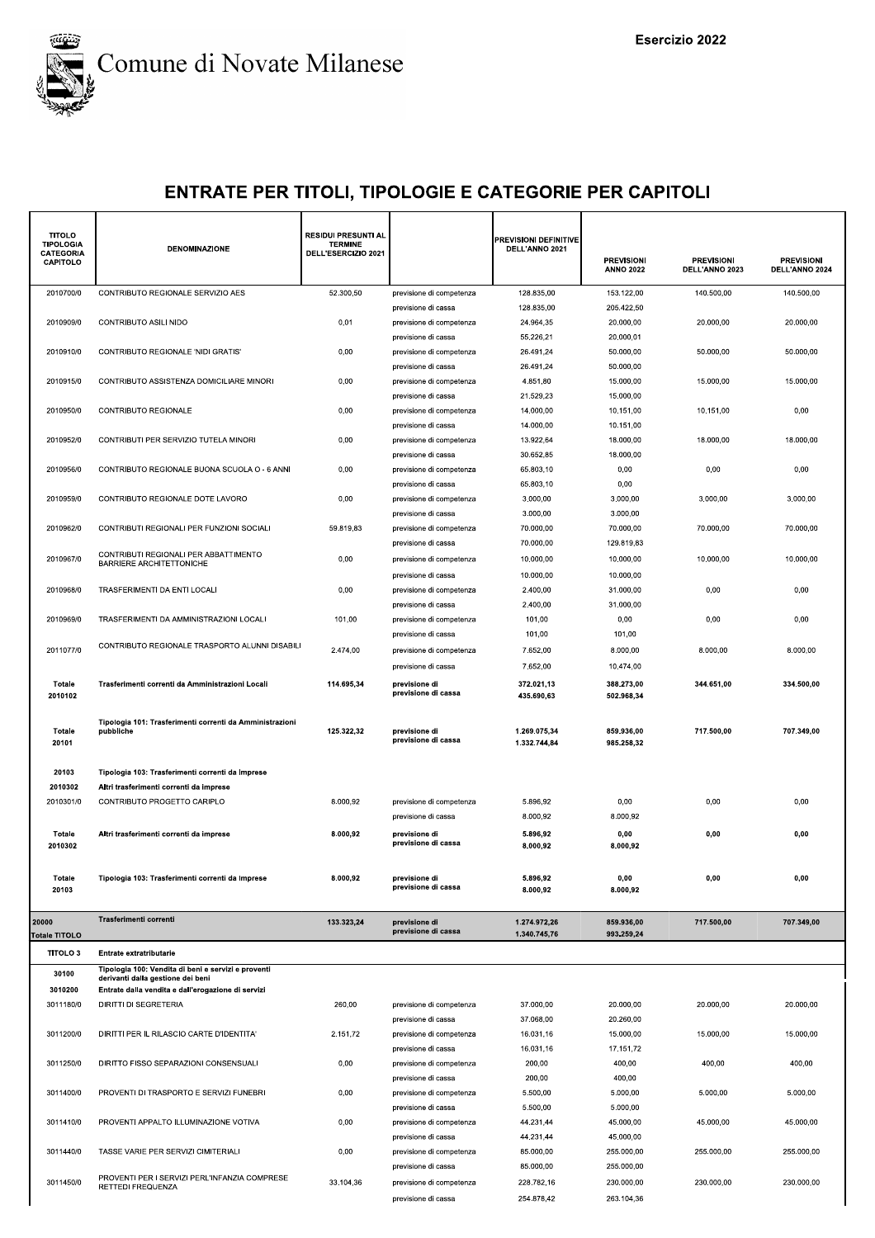

| <b>TITOLO</b><br><b>TIPOLOGIA</b><br><b>CATEGORIA</b> | DENOMINAZIONE                                                                               | <b>RESIDUI PRESUNTI AL</b><br><b>TERMINE</b><br>DELL'ESERCIZIO 2021 |                                                 | <b>PREVISIONI DEFINITIVE</b><br>DELL'ANNO 2021 | <b>PREVISIONI</b>        | <b>PREVISIONI</b> | <b>PREVISIONI</b> |
|-------------------------------------------------------|---------------------------------------------------------------------------------------------|---------------------------------------------------------------------|-------------------------------------------------|------------------------------------------------|--------------------------|-------------------|-------------------|
| CAPITOLO                                              |                                                                                             |                                                                     |                                                 |                                                | <b>ANNO 2022</b>         | DELL'ANNO 2023    | DELL'ANNO 2024    |
| 2010700/0                                             | CONTRIBUTO REGIONALE SERVIZIO AES                                                           | 52.300,50                                                           | previsione di competenza                        | 128.835,00                                     | 153.122,00               | 140.500,00        | 140.500,00        |
|                                                       |                                                                                             |                                                                     | previsione di cassa                             | 128.835,00                                     | 205.422,50               |                   |                   |
| 2010909/0                                             | CONTRIBUTO ASILI NIDO                                                                       | 0,01                                                                | previsione di competenza<br>previsione di cassa | 24.964,35<br>55.226,21                         | 20.000.00<br>20.000,01   | 20.000,00         | 20.000,00         |
| 2010910/0                                             | CONTRIBUTO REGIONALE 'NIDI GRATIS'                                                          | 0,00                                                                | previsione di competenza                        | 26.491,24                                      | 50.000,00                | 50.000,00         | 50.000,00         |
|                                                       |                                                                                             |                                                                     | previsione di cassa                             | 26.491.24                                      | 50.000.00                |                   |                   |
| 2010915/0                                             | CONTRIBUTO ASSISTENZA DOMICILIARE MINORI                                                    | 0,00                                                                | previsione di competenza<br>previsione di cassa | 4.851,80<br>21.529,23                          | 15.000,00<br>15.000,00   | 15.000,00         | 15.000,00         |
| 2010950/0                                             | CONTRIBUTO REGIONALE                                                                        | 0,00                                                                | previsione di competenza                        | 14.000,00                                      | 10.151,00                | 10.151,00         | 0,00              |
|                                                       |                                                                                             |                                                                     | previsione di cassa                             | 14.000,00                                      | 10.151,00                |                   |                   |
| 2010952/0                                             | CONTRIBUTI PER SERVIZIO TUTELA MINORI                                                       | 0,00                                                                | previsione di competenza<br>previsione di cassa | 13.922,64<br>30.652,85                         | 18.000,00<br>18.000,00   | 18.000,00         | 18.000,00         |
| 2010956/0                                             | CONTRIBUTO REGIONALE BUONA SCUOLA O - 6 ANNI                                                | 0,00                                                                | previsione di competenza                        | 65.803,10                                      | 0,00                     | 0,00              | 0,00              |
|                                                       |                                                                                             |                                                                     | previsione di cassa                             | 65.803,10                                      | 0,00                     |                   |                   |
| 2010959/0                                             | CONTRIBUTO REGIONALE DOTE LAVORO                                                            | 0,00                                                                | previsione di competenza<br>previsione di cassa | 3.000,00<br>3.000,00                           | 3.000,00<br>3.000,00     | 3.000,00          | 3.000,00          |
| 2010962/0                                             | CONTRIBUTI REGIONALI PER FUNZIONI SOCIALI                                                   | 59.819,83                                                           | previsione di competenza                        | 70.000,00                                      | 70.000,00                | 70.000,00         | 70.000.00         |
|                                                       | CONTRIBUTI REGIONALI PER ABBATTIMENTO                                                       |                                                                     | previsione di cassa                             | 70.000.00                                      | 129.819,83               |                   |                   |
| 2010967/0                                             | <b>BARRIERE ARCHITETTONICHE</b>                                                             | 0,00                                                                | previsione di competenza                        | 10.000.00<br>10.000,00                         | 10.000,00<br>10.000,00   | 10.000,00         | 10.000.00         |
| 2010968/0                                             | TRASFERIMENTI DA ENTI LOCALI                                                                | 0,00                                                                | previsione di cassa<br>previsione di competenza | 2.400,00                                       | 31.000,00                | 0,00              | 0,00              |
|                                                       |                                                                                             |                                                                     | previsione di cassa                             | 2.400,00                                       | 31.000,00                |                   |                   |
| 2010969/0                                             | TRASFERIMENTI DA AMMINISTRAZIONI LOCALI                                                     | 101,00                                                              | previsione di competenza                        | 101,00                                         | 0,00                     | 0,00              | 0,00              |
| 2011077/0                                             | CONTRIBUTO REGIONALE TRASPORTO ALUNNI DISABILI                                              | 2.474,00                                                            | previsione di cassa<br>previsione di competenza | 101,00<br>7.652,00                             | 101,00<br>8.000,00       | 8.000,00          | 8.000,00          |
|                                                       |                                                                                             |                                                                     | previsione di cassa                             | 7.652,00                                       | 10.474,00                |                   |                   |
| Totale                                                | Trasferimenti correnti da Amministrazioni Locali                                            | 114.695,34                                                          | previsione di                                   | 372.021,13                                     | 388.273,00               | 344.651,00        | 334.500,00        |
| 2010102                                               |                                                                                             |                                                                     | previsione di cassa                             | 435.690,63                                     | 502.968,34               |                   |                   |
| Totale<br>20101                                       | Tipologia 101: Trasferimenti correnti da Amministrazioni<br>pubbliche                       | 125.322,32                                                          | previsione di<br>previsione di cassa            | 1.269.075,34<br>1.332.744,84                   | 859.936,00<br>985.258,32 | 717.500,00        | 707.349,00        |
|                                                       |                                                                                             |                                                                     |                                                 |                                                |                          |                   |                   |
| 20103<br>2010302                                      | Tipologia 103: Trasferimenti correnti da Imprese<br>Altri trasferimenti correnti da imprese |                                                                     |                                                 |                                                |                          |                   |                   |
| 2010301/0                                             | CONTRIBUTO PROGETTO CARIPLO                                                                 | 8.000,92                                                            | previsione di competenza                        | 5.896,92                                       | 0,00                     | 0,00              | 0,00              |
|                                                       |                                                                                             |                                                                     | previsione di cassa                             | 8.000,92                                       | 8.000,92                 |                   |                   |
| Totale<br>2010302                                     | Altri trasferimenti correnti da imprese                                                     | 8.000,92                                                            | previsione di<br>previsione di cassa            | 5.896,92<br>8.000,92                           | 0,00<br>8.000,92         | 0,00              | 0,00              |
| Totale                                                | Tipologia 103: Trasferimenti correnti da Imprese                                            | 8.000,92                                                            | previsione di                                   | 5.896,92                                       | 0,00                     | 0,00              | 0,00              |
| 20103                                                 |                                                                                             |                                                                     | previsione di cassa                             | 8.000,92                                       | 8.000,92                 |                   |                   |
| 20000<br>Totale TITOLO                                | Trasferimenti correnti                                                                      | 133.323,24                                                          | previsione di<br>previsione di cassa            | 1.274.972.26<br>1.340.745,76                   | 859.936,00<br>993.259,24 | 717.500,00        | 707.349,00        |
| TITOLO <sub>3</sub>                                   | Entrate extratributarie                                                                     |                                                                     |                                                 |                                                |                          |                   |                   |
| 30100                                                 | Tipologia 100: Vendita di beni e servizi e proventi<br>derivanti dalla gestione dei beni    |                                                                     |                                                 |                                                |                          |                   |                   |
| 3010200                                               | Entrate dalla vendita e dall'erogazione di servizi                                          |                                                                     |                                                 |                                                |                          |                   |                   |
| 3011180/0                                             | <b>DIRITTI DI SEGRETERIA</b>                                                                | 260,00                                                              | previsione di competenza<br>previsione di cassa | 37.000,00<br>37.068,00                         | 20.000,00<br>20.260,00   | 20.000,00         | 20.000,00         |
| 3011200/0                                             | DIRITTI PER IL RILASCIO CARTE D'IDENTITA'                                                   | 2.151,72                                                            | previsione di competenza                        | 16.031,16                                      | 15.000,00                | 15.000,00         | 15.000,00         |
|                                                       |                                                                                             |                                                                     | previsione di cassa                             | 16.031,16                                      | 17.151,72                |                   |                   |
| 3011250/0                                             | DIRITTO FISSO SEPARAZIONI CONSENSUALI                                                       | 0,00                                                                | previsione di competenza<br>previsione di cassa | 200,00<br>200,00                               | 400,00<br>400,00         | 400,00            | 400,00            |
| 3011400/0                                             | PROVENTI DI TRASPORTO E SERVIZI FUNEBRI                                                     | 0,00                                                                | previsione di competenza                        | 5.500,00                                       | 5.000,00                 | 5.000,00          | 5.000,00          |
|                                                       |                                                                                             |                                                                     | previsione di cassa                             | 5.500,00                                       | 5.000,00                 |                   |                   |
| 3011410/0                                             | PROVENTI APPALTO ILLUMINAZIONE VOTIVA                                                       | 0,00                                                                | previsione di competenza<br>previsione di cassa | 44.231,44<br>44.231,44                         | 45.000,00<br>45.000,00   | 45.000,00         | 45.000,00         |
| 3011440/0                                             | TASSE VARIE PER SERVIZI CIMITERIALI                                                         | 0,00                                                                | previsione di competenza                        | 85.000,00                                      | 255.000,00               | 255.000,00        | 255.000,00        |
|                                                       | PROVENTI PER I SERVIZI PERL'INFANZIA COMPRESE                                               |                                                                     | previsione di cassa                             | 85.000,00                                      | 255.000,00               |                   |                   |
| 3011450/0                                             | RETTEDI FREQUENZA                                                                           | 33.104,36                                                           | previsione di competenza                        | 228.782,16                                     | 230.000,00               | 230.000,00        | 230.000,00        |
|                                                       |                                                                                             |                                                                     | previsione di cassa                             | 254.878,42                                     | 263.104,36               |                   |                   |
|                                                       |                                                                                             |                                                                     |                                                 |                                                |                          |                   |                   |
|                                                       |                                                                                             |                                                                     |                                                 |                                                |                          |                   |                   |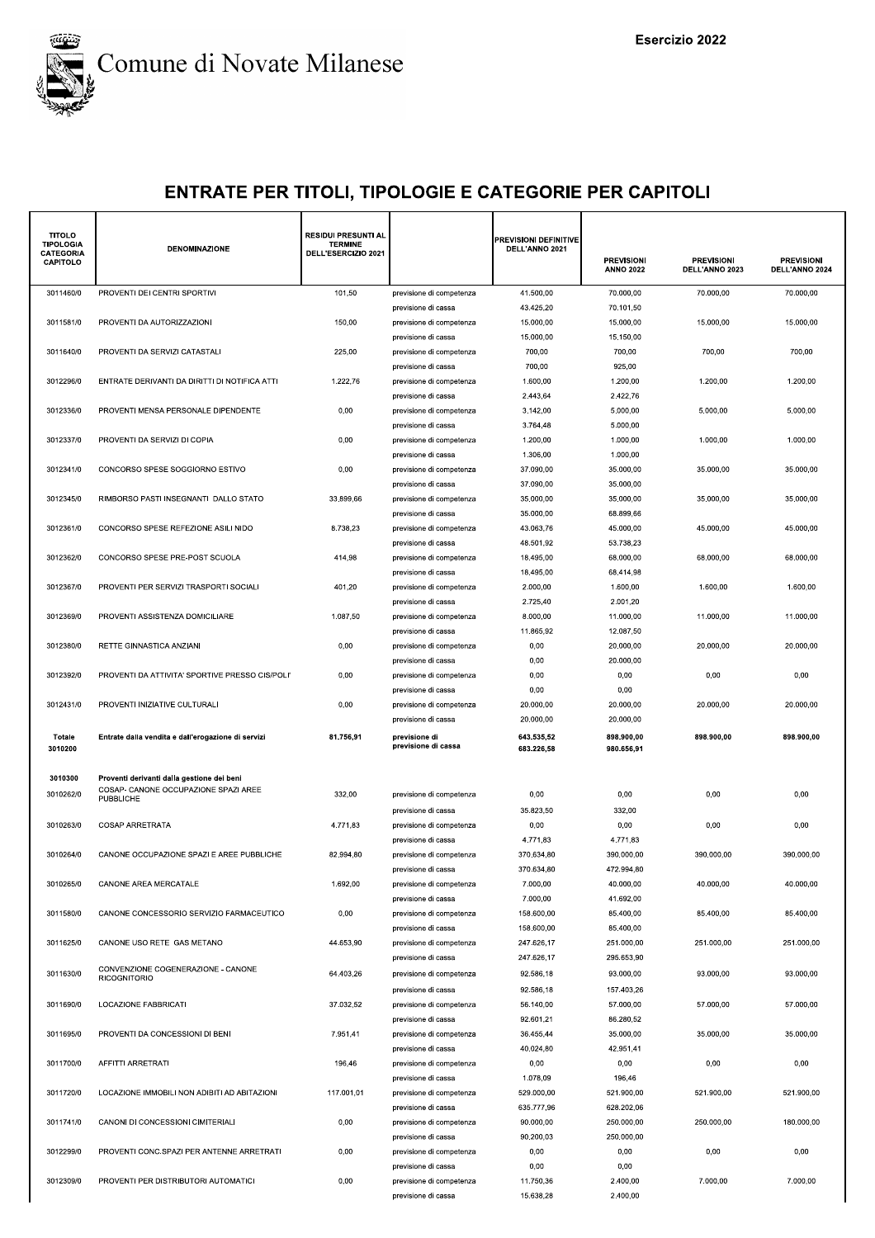

| <b>TITOLO</b><br><b>TIPOLOGIA</b><br>CATEGORIA<br><b>CAPITOLO</b> | DENOMINAZIONE                                            | <b>RESIDUI PRESUNTI AL</b><br><b>TERMINE</b><br>DELL'ESERCIZIO 2021 |                                                 | <b>PREVISIONI DEFINITIVE</b><br>DELL'ANNO 2021 | <b>PREVISIONI</b><br><b>ANNO 2022</b> | <b>PREVISIONI</b><br>DELL'ANNO 2023 | <b>PREVISIONI</b><br>DELL'ANNO 2024 |
|-------------------------------------------------------------------|----------------------------------------------------------|---------------------------------------------------------------------|-------------------------------------------------|------------------------------------------------|---------------------------------------|-------------------------------------|-------------------------------------|
| 3011460/0                                                         | PROVENTI DEI CENTRI SPORTIVI                             | 101,50                                                              | previsione di competenza                        | 41.500,00                                      | 70.000,00                             | 70.000,00                           | 70.000,00                           |
|                                                                   |                                                          |                                                                     | previsione di cassa                             | 43.425,20                                      | 70.101,50                             |                                     |                                     |
| 3011581/0                                                         | PROVENTI DA AUTORIZZAZIONI                               | 150,00                                                              | previsione di competenza                        | 15.000,00                                      | 15.000,00                             | 15.000,00                           | 15.000,00                           |
|                                                                   |                                                          |                                                                     | previsione di cassa                             | 15.000,00                                      | 15.150,00                             |                                     |                                     |
| 3011640/0                                                         | PROVENTI DA SERVIZI CATASTALI                            | 225,00                                                              | previsione di competenza                        | 700,00                                         | 700,00                                | 700,00                              | 700,00                              |
| 3012296/0                                                         | ENTRATE DERIVANTI DA DIRITTI DI NOTIFICA ATTI            | 1.222,76                                                            | previsione di cassa<br>previsione di competenza | 700,00<br>1.600,00                             | 925,00<br>1.200,00                    | 1.200,00                            | 1.200,00                            |
|                                                                   |                                                          |                                                                     | previsione di cassa                             | 2.443,64                                       | 2.422,76                              |                                     |                                     |
| 3012336/0                                                         | PROVENTI MENSA PERSONALE DIPENDENTE                      | 0,00                                                                | previsione di competenza                        | 3.142,00                                       | 5.000,00                              | 5.000,00                            | 5.000,00                            |
|                                                                   |                                                          |                                                                     | previsione di cassa                             | 3.764,48                                       | 5.000,00                              |                                     |                                     |
| 3012337/0                                                         | PROVENTI DA SERVIZI DI COPIA                             | 0,00                                                                | previsione di competenza                        | 1.200,00                                       | 1.000,00                              | 1.000,00                            | 1.000,00                            |
| 3012341/0                                                         | CONCORSO SPESE SOGGIORNO ESTIVO                          | 0,00                                                                | previsione di cassa                             | 1.306,00<br>37.090,00                          | 1.000,00<br>35.000,00                 | 35.000,00                           | 35.000,00                           |
|                                                                   |                                                          |                                                                     | previsione di competenza<br>previsione di cassa | 37.090,00                                      | 35.000,00                             |                                     |                                     |
| 3012345/0                                                         | RIMBORSO PASTI INSEGNANTI DALLO STATO                    | 33.899,66                                                           | previsione di competenza                        | 35.000,00                                      | 35.000,00                             | 35.000,00                           | 35.000,00                           |
|                                                                   |                                                          |                                                                     | previsione di cassa                             | 35.000,00                                      | 68.899,66                             |                                     |                                     |
| 3012361/0                                                         | CONCORSO SPESE REFEZIONE ASILI NIDO                      | 8.738,23                                                            | previsione di competenza                        | 43.063,76                                      | 45.000,00                             | 45.000,00                           | 45.000,00                           |
|                                                                   |                                                          |                                                                     | previsione di cassa                             | 48.501,92                                      | 53.738,23                             |                                     |                                     |
| 3012362/0                                                         | CONCORSO SPESE PRE-POST SCUOLA                           | 414,98                                                              | previsione di competenza                        | 18.495,00                                      | 68.000,00                             | 68.000,00                           | 68.000,00                           |
|                                                                   |                                                          |                                                                     | previsione di cassa                             | 18.495,00                                      | 68.414,98                             |                                     |                                     |
| 3012367/0                                                         | PROVENTI PER SERVIZI TRASPORTI SOCIALI                   | 401,20                                                              | previsione di competenza<br>previsione di cassa | 2.000,00<br>2.725,40                           | 1.600,00<br>2.001,20                  | 1.600,00                            | 1.600,00                            |
| 3012369/0                                                         | PROVENTI ASSISTENZA DOMICILIARE                          | 1.087,50                                                            | previsione di competenza                        | 8.000,00                                       | 11.000,00                             | 11.000,00                           | 11.000,00                           |
|                                                                   |                                                          |                                                                     | previsione di cassa                             | 11.865,92                                      | 12.087,50                             |                                     |                                     |
| 3012380/0                                                         | RETTE GINNASTICA ANZIANI                                 | 0,00                                                                | previsione di competenza                        | 0,00                                           | 20.000,00                             | 20.000,00                           | 20.000,00                           |
|                                                                   |                                                          |                                                                     | previsione di cassa                             | 0,00                                           | 20.000,00                             |                                     |                                     |
| 3012392/0                                                         | PROVENTI DA ATTIVITA' SPORTIVE PRESSO CIS/POLI'          | 0,00                                                                | previsione di competenza                        | 0,00                                           | 0,00                                  | 0,00                                | 0,00                                |
|                                                                   |                                                          |                                                                     | previsione di cassa                             | 0,00                                           | 0,00                                  |                                     |                                     |
| 3012431/0                                                         | PROVENTI INIZIATIVE CULTURALI                            | 0,00                                                                | previsione di competenza                        | 20.000,00                                      | 20.000,00                             | 20.000,00                           | 20.000,00                           |
|                                                                   |                                                          |                                                                     | previsione di cassa                             | 20.000,00                                      | 20.000,00                             |                                     |                                     |
| Totale<br>3010200                                                 | Entrate dalla vendita e dall'erogazione di servizi       | 81.756,91                                                           | previsione di<br>previsione di cassa            | 643.535,52<br>683.226,58                       | 898.900,00<br>980.656,91              | 898.900,00                          | 898.900,00                          |
|                                                                   |                                                          |                                                                     |                                                 |                                                |                                       |                                     |                                     |
| 3010300                                                           | Proventi derivanti dalla gestione dei beni               |                                                                     |                                                 |                                                |                                       |                                     |                                     |
| 3010262/0                                                         | COSAP- CANONE OCCUPAZIONE SPAZI AREE<br><b>PUBBLICHE</b> | 332,00                                                              | previsione di competenza                        | 0,00                                           | 0,00                                  | 0,00                                | 0,00                                |
|                                                                   |                                                          |                                                                     | previsione di cassa                             | 35.823,50                                      | 332,00                                |                                     |                                     |
| 3010263/0                                                         | <b>COSAP ARRETRATA</b>                                   | 4.771,83                                                            | previsione di competenza                        | 0,00                                           | 0,00                                  | 0,00                                | 0,00                                |
|                                                                   |                                                          |                                                                     | previsione di cassa                             | 4.771,83                                       | 4.771,83                              |                                     |                                     |
| 3010264/0                                                         | CANONE OCCUPAZIONE SPAZI E AREE PUBBLICHE                | 82.994,80                                                           | previsione di competenza<br>previsione di cassa | 370.634,80<br>370.634,80                       | 390.000,00<br>472.994,80              | 390.000,00                          | 390.000,00                          |
| 3010265/0                                                         | CANONE AREA MERCATALE                                    | 1.692,00                                                            | previsione di competenza                        | 7.000,00                                       | 40.000,00                             | 40.000,00                           | 40.000,00                           |
|                                                                   |                                                          |                                                                     | previsione di cassa                             | 7.000,00                                       | 41.692,00                             |                                     |                                     |
| 3011580/0                                                         | CANONE CONCESSORIO SERVIZIO FARMACEUTICO                 | 0,00                                                                | previsione di competenza                        | 158.600,00                                     | 85.400,00                             | 85.400,00                           | 85.400,00                           |
|                                                                   |                                                          |                                                                     | previsione di cassa                             | 158.600,00                                     | 85.400,00                             |                                     |                                     |
| 3011625/0                                                         | CANONE USO RETE GAS METANO                               | 44.653,90                                                           | previsione di competenza                        | 247.626,17                                     | 251.000,00                            | 251.000,00                          | 251.000,00                          |
|                                                                   | CONVENZIONE COGENERAZIONE - CANONE                       |                                                                     | previsione di cassa                             | 247.626,17                                     | 295.653,90                            |                                     |                                     |
| 3011630/0                                                         | <b>RICOGNITORIO</b>                                      | 64.403,26                                                           | previsione di competenza                        | 92.586,18                                      | 93.000,00                             | 93.000,00                           | 93.000,00                           |
| 3011690/0                                                         | LOCAZIONE FABBRICATI                                     | 37.032,52                                                           | previsione di cassa<br>previsione di competenza | 92.586,18<br>56.140,00                         | 157.403,26<br>57.000,00               | 57.000,00                           | 57.000,00                           |
|                                                                   |                                                          |                                                                     | previsione di cassa                             | 92.601,21                                      | 86.280,52                             |                                     |                                     |
| 3011695/0                                                         | PROVENTI DA CONCESSIONI DI BENI                          | 7.951,41                                                            | previsione di competenza                        | 36.455,44                                      | 35.000,00                             | 35.000,00                           | 35.000.00                           |
|                                                                   |                                                          |                                                                     | previsione di cassa                             | 40.024,80                                      | 42.951,41                             |                                     |                                     |
| 3011700/0                                                         | AFFITTI ARRETRATI                                        | 196,46                                                              | previsione di competenza                        | 0,00                                           | 0,00                                  | 0,00                                | 0,00                                |
|                                                                   |                                                          |                                                                     | previsione di cassa                             | 1.078,09                                       | 196,46                                |                                     |                                     |
| 3011720/0                                                         | LOCAZIONE IMMOBILI NON ADIBITI AD ABITAZIONI             | 117.001,01                                                          | previsione di competenza                        | 529.000,00                                     | 521.900,00                            | 521.900,00                          | 521.900,00                          |
| 3011741/0                                                         | CANONI DI CONCESSIONI CIMITERIALI                        |                                                                     | previsione di cassa                             | 635.777,96<br>90.000,00                        | 628.202,06<br>250.000,00              | 250.000,00                          | 180.000,00                          |
|                                                                   |                                                          | 0,00                                                                | previsione di competenza<br>previsione di cassa | 90.200,03                                      | 250.000,00                            |                                     |                                     |
| 3012299/0                                                         | PROVENTI CONC.SPAZI PER ANTENNE ARRETRATI                | 0,00                                                                | previsione di competenza                        | 0,00                                           | 0,00                                  | 0,00                                | 0,00                                |
|                                                                   |                                                          |                                                                     | previsione di cassa                             | 0,00                                           | 0,00                                  |                                     |                                     |
| 3012309/0                                                         | PROVENTI PER DISTRIBUTORI AUTOMATICI                     | 0,00                                                                | previsione di competenza                        | 11.750,36                                      | 2.400,00                              | 7.000,00                            | 7.000,00                            |
|                                                                   |                                                          |                                                                     | previsione di cassa                             | 15.638,28                                      | 2.400,00                              |                                     |                                     |
|                                                                   |                                                          |                                                                     |                                                 |                                                |                                       |                                     |                                     |
|                                                                   |                                                          |                                                                     |                                                 |                                                |                                       |                                     |                                     |
|                                                                   |                                                          |                                                                     |                                                 |                                                |                                       |                                     |                                     |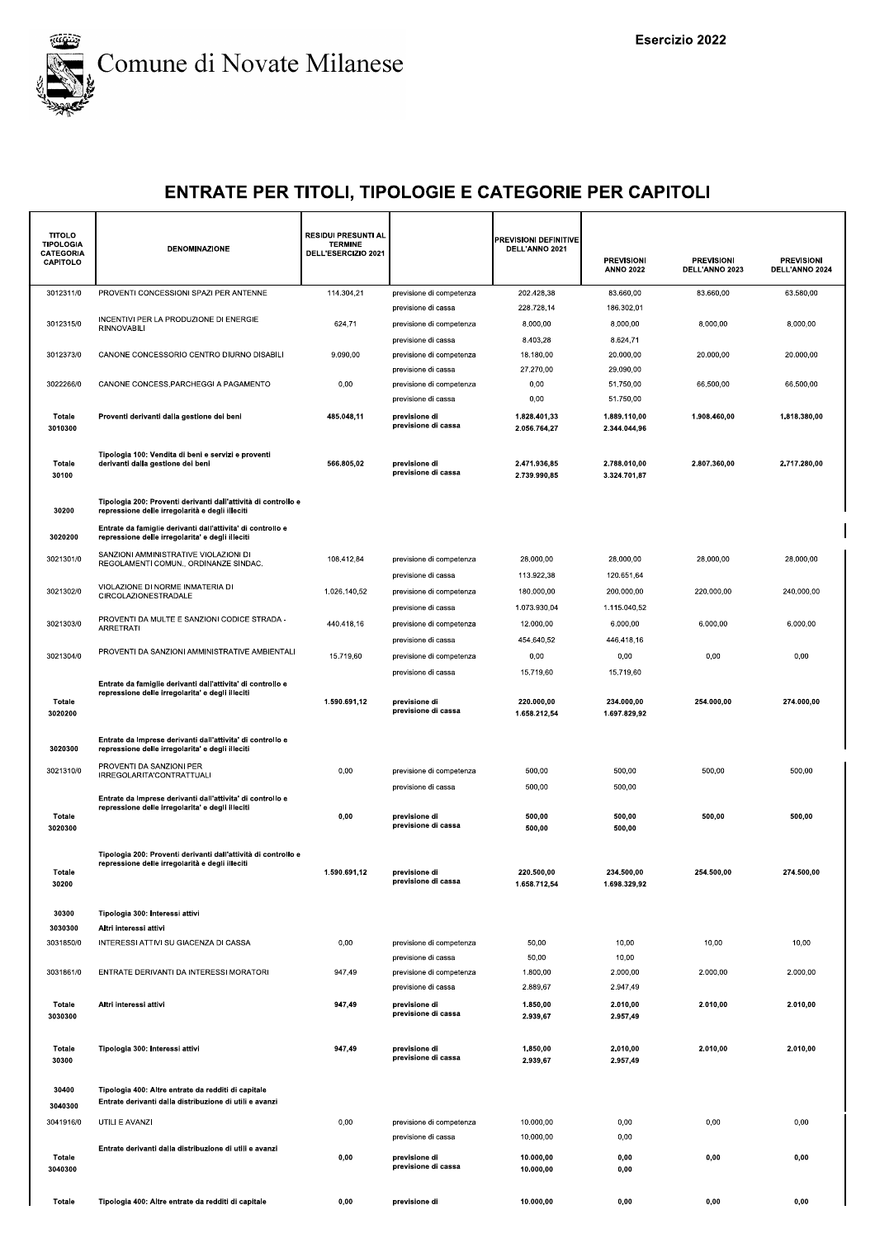

| <b>TITOLO</b><br><b>TIPOLOGIA</b><br>CATEGORIA | <b>DENOMINAZIONE</b>                                                                                              | <b>RESIDUI PRESUNTI AL</b><br><b>TERMINE</b><br>DELL'ESERCIZIO 2021 |                                                                        | PREVISIONI DEFINITIVE<br>DELL'ANNO 2021 |                                       |                                     |                                     |
|------------------------------------------------|-------------------------------------------------------------------------------------------------------------------|---------------------------------------------------------------------|------------------------------------------------------------------------|-----------------------------------------|---------------------------------------|-------------------------------------|-------------------------------------|
| <b>CAPITOLO</b>                                |                                                                                                                   |                                                                     |                                                                        |                                         | <b>PREVISIONI</b><br><b>ANNO 2022</b> | <b>PREVISIONI</b><br>DELL'ANNO 2023 | <b>PREVISIONI</b><br>DELL'ANNO 2024 |
| 3012311/0                                      | PROVENTI CONCESSIONI SPAZI PER ANTENNE                                                                            | 114.304,21                                                          | previsione di competenza<br>previsione di cassa                        | 202.428,38<br>228.728,14                | 83.660,00<br>186.302,01               | 83.660,00                           | 63.580,00                           |
| 3012315/0                                      | INCENTIVI PER LA PRODUZIONE DI ENERGIE<br>RINNOVABILI                                                             | 624,71                                                              | previsione di competenza                                               | 8.000,00<br>8.403,28                    | 8.000,00<br>8.624,71                  | 8.000,00                            | 8.000,00                            |
| 3012373/0                                      | CANONE CONCESSORIO CENTRO DIURNO DISABILI                                                                         | 9.090,00                                                            | previsione di cassa<br>previsione di competenza<br>previsione di cassa | 18.180,00<br>27.270,00                  | 20.000,00<br>29.090,00                | 20.000,00                           | 20.000,00                           |
| 3022266/0                                      | CANONE CONCESS.PARCHEGGI A PAGAMENTO                                                                              | 0,00                                                                | previsione di competenza<br>previsione di cassa                        | 0,00<br>0,00                            | 51.750,00<br>51.750,00                | 66.500,00                           | 66.500,00                           |
| Totale<br>3010300                              | Proventi derivanti dalla gestione dei beni                                                                        | 485.048,11                                                          | previsione di<br>previsione di cassa                                   | 1.828.401,33<br>2.056.764,27            | 1.889.110,00<br>2.344.044,96          | 1.908.460,00                        | 1.818.380,00                        |
| Totale<br>30100                                | Tipologia 100: Vendita di beni e servizi e proventi<br>derivanti dalla gestione dei beni                          | 566.805,02                                                          | previsione di<br>previsione di cassa                                   | 2.471.936,85<br>2.739.990,85            | 2.788.010,00<br>3.324.701,87          | 2.807.360,00                        | 2.717.280,00                        |
| 30200                                          | Tipologia 200: Proventi derivanti dall'attività di controllo e<br>repressione delle irregolarità e degli illeciti |                                                                     |                                                                        |                                         |                                       |                                     |                                     |
| 3020200                                        | Entrate da famiglie derivanti dall'attivita' di controllo e<br>repressione delle irregolarita' e degli illeciti   |                                                                     |                                                                        |                                         |                                       |                                     |                                     |
| 3021301/0                                      | SANZIONI AMMINISTRATIVE VIOLAZIONI DI<br>REGOLAMENTI COMUN., ORDINANZE SINDAC.                                    | 108.412,84                                                          | previsione di competenza<br>previsione di cassa                        | 28.000,00<br>113.922,38                 | 28.000,00<br>120.651,64               | 28.000,00                           | 28.000,00                           |
| 3021302/0                                      | VIOLAZIONE DI NORME INMATERIA DI<br>CIRCOLAZIONESTRADALE                                                          | 1.026.140,52                                                        | previsione di competenza                                               | 180.000,00                              | 200.000,00                            | 220.000,00                          | 240.000,00                          |
| 3021303/0                                      | PROVENTI DA MULTE E SANZIONI CODICE STRADA -                                                                      | 440.418,16                                                          | previsione di cassa<br>previsione di competenza                        | 1.073.930,04<br>12.000,00               | 1.115.040,52<br>6.000,00              | 6.000,00                            | 6.000,00                            |
|                                                | ARRETRATI                                                                                                         |                                                                     | previsione di cassa                                                    | 454.640,52                              | 446.418,16                            |                                     |                                     |
| 3021304/0                                      | PROVENTI DA SANZIONI AMMINISTRATIVE AMBIENTALI                                                                    | 15.719,60                                                           | previsione di competenza                                               | 0,00                                    | 0,00                                  | 0,00                                | 0,00                                |
|                                                | Entrate da famiglie derivanti dall'attivita' di controllo e<br>repressione delle irregolarita' e degli illeciti   |                                                                     | previsione di cassa                                                    | 15.719,60                               | 15.719,60                             |                                     |                                     |
| Totale<br>3020200                              |                                                                                                                   | 1.590.691,12                                                        | previsione di<br>previsione di cassa                                   | 220.000,00<br>1.658.212,54              | 234.000,00<br>1.697.829,92            | 254.000,00                          | 274.000,00                          |
| 3020300                                        | Entrate da Imprese derivanti dall'attivita' di controllo e<br>repressione delle irregolarita' e degli illeciti    |                                                                     |                                                                        |                                         |                                       |                                     |                                     |
| 3021310/0                                      | PROVENTI DA SANZIONI PER<br>IRREGOLARITA'CONTRATTUALI                                                             | 0,00                                                                | previsione di competenza<br>previsione di cassa                        | 500,00<br>500,00                        | 500,00<br>500,00                      | 500,00                              | 500,00                              |
|                                                | Entrate da Imprese derivanti dall'attivita' di controllo e<br>repressione delle irregolarita' e degli illeciti    |                                                                     |                                                                        |                                         |                                       |                                     |                                     |
| Totale<br>3020300                              |                                                                                                                   | 0,00                                                                | previsione di<br>previsione di cassa                                   | 500,00<br>500,00                        | 500,00<br>500,00                      | 500,00                              | 500,00                              |
|                                                | Tipologia 200: Proventi derivanti dall'attività di controllo e<br>repressione delle irregolarità e degli illeciti |                                                                     |                                                                        |                                         |                                       |                                     |                                     |
| Totale<br>30200                                |                                                                                                                   | 1.590.691,12                                                        | previsione di<br>previsione di cassa                                   | 220.500,00<br>1.658.712.54              | 234.500,00<br>1.698.329,92            | 254.500,00                          | 274.500,00                          |
| 30300                                          | Tipologia 300: Interessi attivi                                                                                   |                                                                     |                                                                        |                                         |                                       |                                     |                                     |
| 3030300<br>3031850/0                           | Altri interessi attivi<br>INTERESSI ATTIVI SU GIACENZA DI CASSA                                                   | 0,00                                                                | previsione di competenza                                               | 50,00                                   | 10,00                                 | 10,00                               | 10,00                               |
| 3031861/0                                      | ENTRATE DERIVANTI DA INTERESSI MORATORI                                                                           | 947,49                                                              | previsione di cassa<br>previsione di competenza                        | 50,00<br>1.800,00                       | 10,00<br>2.000,00                     | 2.000,00                            | 2.000,00                            |
| Totale                                         | Altri interessi attivi                                                                                            | 947,49                                                              | previsione di cassa<br>previsione di                                   | 2.889,67<br>1.850,00                    | 2.947,49<br>2.010,00                  | 2.010,00                            | 2.010,00                            |
| 3030300                                        |                                                                                                                   |                                                                     | previsione di cassa                                                    | 2.939,67                                | 2.957,49                              |                                     |                                     |
| Totale<br>30300                                | Tipologia 300: Interessi attivi                                                                                   | 947,49                                                              | previsione di<br>previsione di cassa                                   | 1.850,00<br>2.939,67                    | 2.010,00<br>2.957,49                  | 2.010,00                            | 2.010,00                            |
| 30400<br>3040300                               | Tipologia 400: Altre entrate da redditi di capitale<br>Entrate derivanti dalla distribuzione di utili e avanzi    |                                                                     |                                                                        |                                         |                                       |                                     |                                     |
| 3041916/0                                      | UTILI E AVANZI                                                                                                    | 0,00                                                                | previsione di competenza<br>previsione di cassa                        | 10.000,00<br>10.000,00                  | 0,00<br>0,00                          | 0,00                                | 0,00                                |
| Totale<br>3040300                              | Entrate derivanti dalla distribuzione di utili e avanzi                                                           | 0,00                                                                | previsione di<br>previsione di cassa                                   | 10.000,00<br>10.000,00                  | 0,00<br>0,00                          | 0,00                                | 0,00                                |
| Totale                                         | Tipologia 400: Altre entrate da redditi di capitale                                                               | 0,00                                                                | previsione di                                                          | 10.000,00                               | 0,00                                  | 0,00                                | 0,00                                |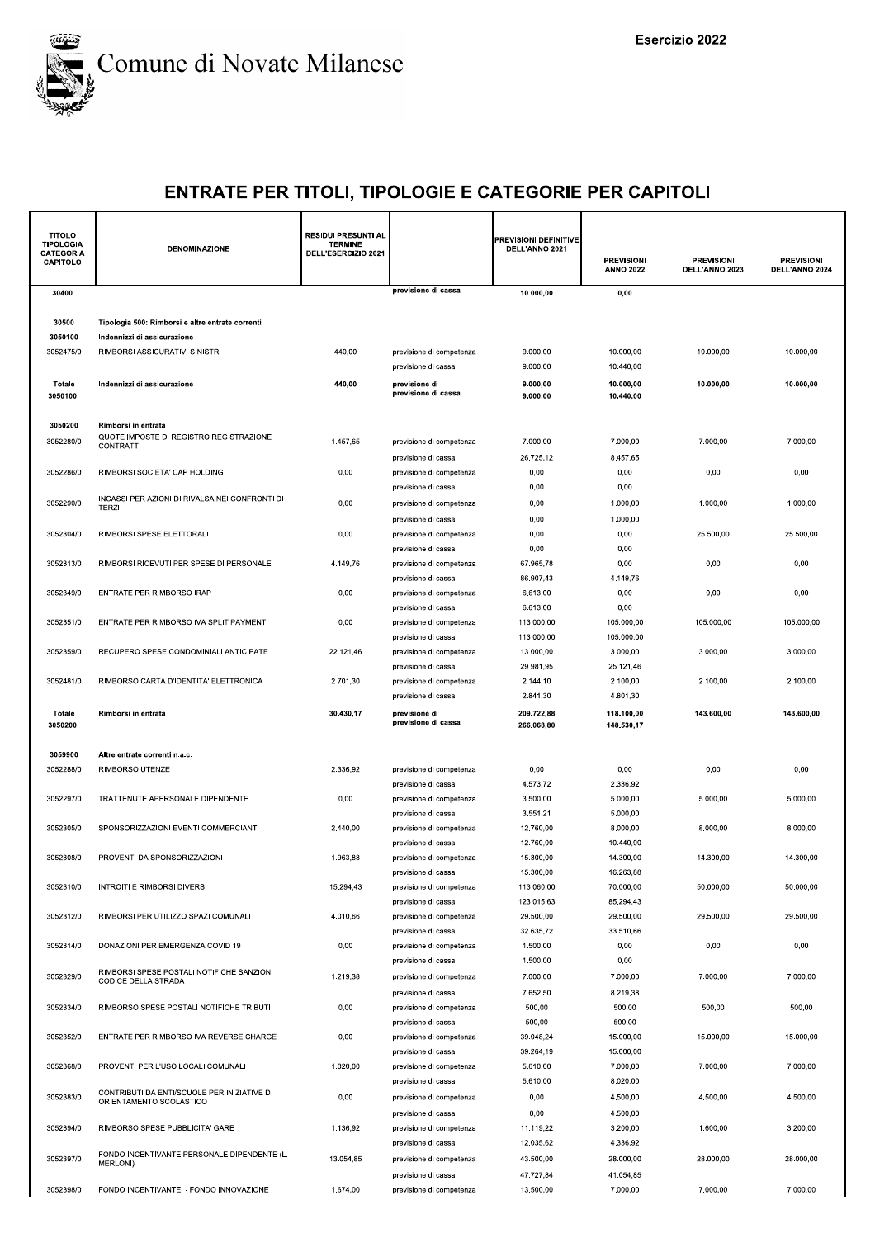

| <b>TITOLO</b><br><b>TIPOLOGIA</b><br><b>CATEGORIA</b><br>CAPITOLO | DENOMINAZIONE                                                          | <b>RESIDUI PRESUNTI AL</b><br><b>TERMINE</b><br>DELL'ESERCIZIO 2021 |                                                 | PREVISIONI DEFINITIVE<br>DELL'ANNO 2021 | <b>PREVISIONI</b><br><b>ANNO 2022</b> | <b>PREVISIONI</b><br>DELL'ANNO 2023 | <b>PREVISIONI</b><br>DELL'ANNO 2024 |
|-------------------------------------------------------------------|------------------------------------------------------------------------|---------------------------------------------------------------------|-------------------------------------------------|-----------------------------------------|---------------------------------------|-------------------------------------|-------------------------------------|
| 30400                                                             |                                                                        |                                                                     | previsione di cassa                             | 10.000,00                               | 0,00                                  |                                     |                                     |
|                                                                   |                                                                        |                                                                     |                                                 |                                         |                                       |                                     |                                     |
| 30500                                                             | Tipologia 500: Rimborsi e altre entrate correnti                       |                                                                     |                                                 |                                         |                                       |                                     |                                     |
| 3050100                                                           | Indennizzi di assicurazione                                            |                                                                     |                                                 |                                         |                                       |                                     |                                     |
| 3052475/0                                                         | RIMBORSI ASSICURATIVI SINISTRI                                         | 440,00                                                              | previsione di competenza<br>previsione di cassa | 9.000,00<br>9.000.00                    | 10.000,00<br>10.440,00                | 10.000,00                           | 10.000,00                           |
| <b>Totale</b>                                                     | Indennizzi di assicurazione                                            | 440,00                                                              | previsione di                                   | 9.000,00                                | 10.000,00                             | 10.000,00                           | 10.000,00                           |
| 3050100                                                           |                                                                        |                                                                     | previsione di cassa                             | 9.000,00                                | 10.440,00                             |                                     |                                     |
|                                                                   |                                                                        |                                                                     |                                                 |                                         |                                       |                                     |                                     |
| 3050200                                                           | Rimborsi in entrata<br>QUOTE IMPOSTE DI REGISTRO REGISTRAZIONE         |                                                                     |                                                 |                                         |                                       |                                     |                                     |
| 3052280/0                                                         | <b>CONTRATTI</b>                                                       | 1.457,65                                                            | previsione di competenza                        | 7.000,00                                | 7.000,00                              | 7.000,00                            | 7.000,00                            |
|                                                                   |                                                                        |                                                                     | previsione di cassa                             | 26.725,12                               | 8.457,65                              |                                     |                                     |
| 3052286/0                                                         | RIMBORSI SOCIETA' CAP HOLDING                                          | 0,00                                                                | previsione di competenza<br>previsione di cassa | 0,00<br>0,00                            | 0,00<br>0,00                          | 0,00                                | 0,00                                |
| 3052290/0                                                         | INCASSI PER AZIONI DI RIVALSA NEI CONFRONTI DI                         | 0,00                                                                | previsione di competenza                        | 0,00                                    | 1.000,00                              | 1.000,00                            | 1.000,00                            |
|                                                                   | TERZI                                                                  |                                                                     | previsione di cassa                             | 0,00                                    | 1.000,00                              |                                     |                                     |
| 3052304/0                                                         | RIMBORSI SPESE ELETTORALI                                              | 0,00                                                                | previsione di competenza                        | 0,00                                    | 0,00                                  | 25.500.00                           | 25.500.00                           |
|                                                                   |                                                                        |                                                                     | previsione di cassa                             | 0,00                                    | 0,00                                  |                                     |                                     |
| 3052313/0                                                         | RIMBORSI RICEVUTI PER SPESE DI PERSONALE                               | 4.149,76                                                            | previsione di competenza                        | 67.965,78                               | 0,00                                  | 0,00                                | 0,00                                |
|                                                                   |                                                                        |                                                                     | previsione di cassa                             | 86.907.43                               | 4.149,76                              |                                     |                                     |
| 3052349/0                                                         | ENTRATE PER RIMBORSO IRAP                                              | 0,00                                                                | previsione di competenza                        | 6.613,00                                | 0,00                                  | 0,00                                | 0,00                                |
| 3052351/0                                                         | ENTRATE PER RIMBORSO IVA SPLIT PAYMENT                                 | 0,00                                                                | previsione di cassa<br>previsione di competenza | 6.613,00<br>113.000,00                  | 0,00<br>105.000,00                    | 105.000,00                          | 105.000,00                          |
|                                                                   |                                                                        |                                                                     | previsione di cassa                             | 113.000,00                              | 105.000,00                            |                                     |                                     |
| 3052359/0                                                         | RECUPERO SPESE CONDOMINIALI ANTICIPATE                                 | 22.121,46                                                           | previsione di competenza                        | 13.000,00                               | 3.000,00                              | 3.000,00                            | 3.000,00                            |
|                                                                   |                                                                        |                                                                     | previsione di cassa                             | 29.981,95                               | 25.121,46                             |                                     |                                     |
| 3052481/0                                                         | RIMBORSO CARTA D'IDENTITA' ELETTRONICA                                 | 2.701,30                                                            | previsione di competenza                        | 2.144,10                                | 2.100,00                              | 2.100,00                            | 2.100,00                            |
|                                                                   |                                                                        |                                                                     | previsione di cassa                             | 2.841,30                                | 4.801,30                              |                                     |                                     |
| Totale<br>3050200                                                 | Rimborsi in entrata                                                    | 30.430,17                                                           | previsione di<br>previsione di cassa            | 209.722,88<br>266.068,80                | 118.100,00<br>148.530,17              | 143.600,00                          | 143.600,00                          |
|                                                                   |                                                                        |                                                                     |                                                 |                                         |                                       |                                     |                                     |
| 3059900                                                           | Altre entrate correnti n.a.c.                                          |                                                                     |                                                 |                                         |                                       |                                     |                                     |
| 3052288/0                                                         | RIMBORSO UTENZE                                                        | 2.336,92                                                            | previsione di competenza                        | 0,00                                    | 0,00                                  | 0,00                                | 0,00                                |
|                                                                   |                                                                        |                                                                     | previsione di cassa                             | 4.573,72                                | 2.336,92                              |                                     |                                     |
| 3052297/0                                                         | TRATTENUTE APERSONALE DIPENDENTE                                       | 0,00                                                                | previsione di competenza<br>previsione di cassa | 3.500,00<br>3.551,21                    | 5.000,00<br>5.000,00                  | 5.000,00                            | 5.000,00                            |
| 3052305/0                                                         | SPONSORIZZAZIONI EVENTI COMMERCIANTI                                   | 2.440,00                                                            | previsione di competenza                        | 12.760,00                               | 8.000,00                              | 8.000,00                            | 8.000,00                            |
|                                                                   |                                                                        |                                                                     | previsione di cassa                             | 12.760,00                               | 10.440,00                             |                                     |                                     |
| 3052308/0                                                         | PROVENTI DA SPONSORIZZAZIONI                                           | 1.963,88                                                            | previsione di competenza                        | 15.300,00                               | 14.300,00                             | 14.300,00                           | 14.300,00                           |
|                                                                   |                                                                        |                                                                     | previsione di cassa                             | 15.300,00                               | 16.263,88                             |                                     |                                     |
| 3052310/0                                                         | <b>INTROITI E RIMBORSI DIVERSI</b>                                     | 15.294,43                                                           | previsione di competenza                        | 113.060,00                              | 70.000,00                             | 50.000,00                           | 50.000,00                           |
| 3052312/0                                                         | RIMBORSI PER UTILIZZO SPAZI COMUNALI                                   | 4.010,66                                                            | previsione di cassa<br>previsione di competenza | 123.015,63<br>29.500,00                 | 85.294,43<br>29.500,00                | 29.500,00                           | 29.500,00                           |
|                                                                   |                                                                        |                                                                     | previsione di cassa                             | 32.635.72                               | 33.510,66                             |                                     |                                     |
| 3052314/0                                                         | DONAZIONI PER EMERGENZA COVID 19                                       | 0,00                                                                | previsione di competenza                        | 1.500,00                                | 0,00                                  | 0,00                                | 0,00                                |
|                                                                   |                                                                        |                                                                     | previsione di cassa                             | 1.500,00                                | 0,00                                  |                                     |                                     |
| 3052329/0                                                         | RIMBORSI SPESE POSTALI NOTIFICHE SANZIONI<br>CODICE DELLA STRADA       | 1.219,38                                                            | previsione di competenza                        | 7.000,00                                | 7.000,00                              | 7.000,00                            | 7.000,00                            |
|                                                                   |                                                                        |                                                                     | previsione di cassa                             | 7.652,50                                | 8.219,38                              |                                     |                                     |
| 3052334/0                                                         | RIMBORSO SPESE POSTALI NOTIFICHE TRIBUTI                               | 0,00                                                                | previsione di competenza                        | 500,00                                  | 500,00                                | 500,00                              | 500,00                              |
|                                                                   |                                                                        |                                                                     | previsione di cassa                             | 500,00                                  | 500,00                                |                                     | 15.000.00                           |
| 3052352/0                                                         | ENTRATE PER RIMBORSO IVA REVERSE CHARGE                                | 0,00                                                                | previsione di competenza<br>previsione di cassa | 39.048,24<br>39.264,19                  | 15.000,00<br>15.000,00                | 15.000,00                           |                                     |
| 3052368/0                                                         | PROVENTI PER L'USO LOCALI COMUNALI                                     | 1.020,00                                                            | previsione di competenza                        | 5.610,00                                | 7.000,00                              | 7.000,00                            | 7.000,00                            |
|                                                                   |                                                                        |                                                                     | previsione di cassa                             | 5.610,00                                | 8.020,00                              |                                     |                                     |
| 3052383/0                                                         | CONTRIBUTI DA ENTI/SCUOLE PER INIZIATIVE DI<br>ORIENTAMENTO SCOLASTICO | 0,00                                                                | previsione di competenza                        | 0,00                                    | 4.500,00                              | 4.500,00                            | 4.500,00                            |
|                                                                   |                                                                        |                                                                     | previsione di cassa                             | 0,00                                    | 4.500,00                              |                                     |                                     |
| 3052394/0                                                         | RIMBORSO SPESE PUBBLICITA' GARE                                        | 1.136,92                                                            | previsione di competenza                        | 11.119,22                               | 3.200,00                              | 1.600,00                            | 3.200,00                            |
|                                                                   | FONDO INCENTIVANTE PERSONALE DIPENDENTE (L.                            |                                                                     | previsione di cassa                             | 12.035,62                               | 4.336,92                              |                                     |                                     |
| 3052397/0                                                         | MERLONI)                                                               | 13.054,85                                                           | previsione di competenza                        | 43.500,00                               | 28.000,00                             | 28.000,00                           | 28.000,00                           |
| 3052398/0                                                         | FONDO INCENTIVANTE - FONDO INNOVAZIONE                                 | 1.674,00                                                            | previsione di cassa                             | 47.727,84<br>13.500,00                  | 41.054,85<br>7.000,00                 | 7.000,00                            | 7.000,00                            |
|                                                                   |                                                                        |                                                                     | previsione di competenza                        |                                         |                                       |                                     |                                     |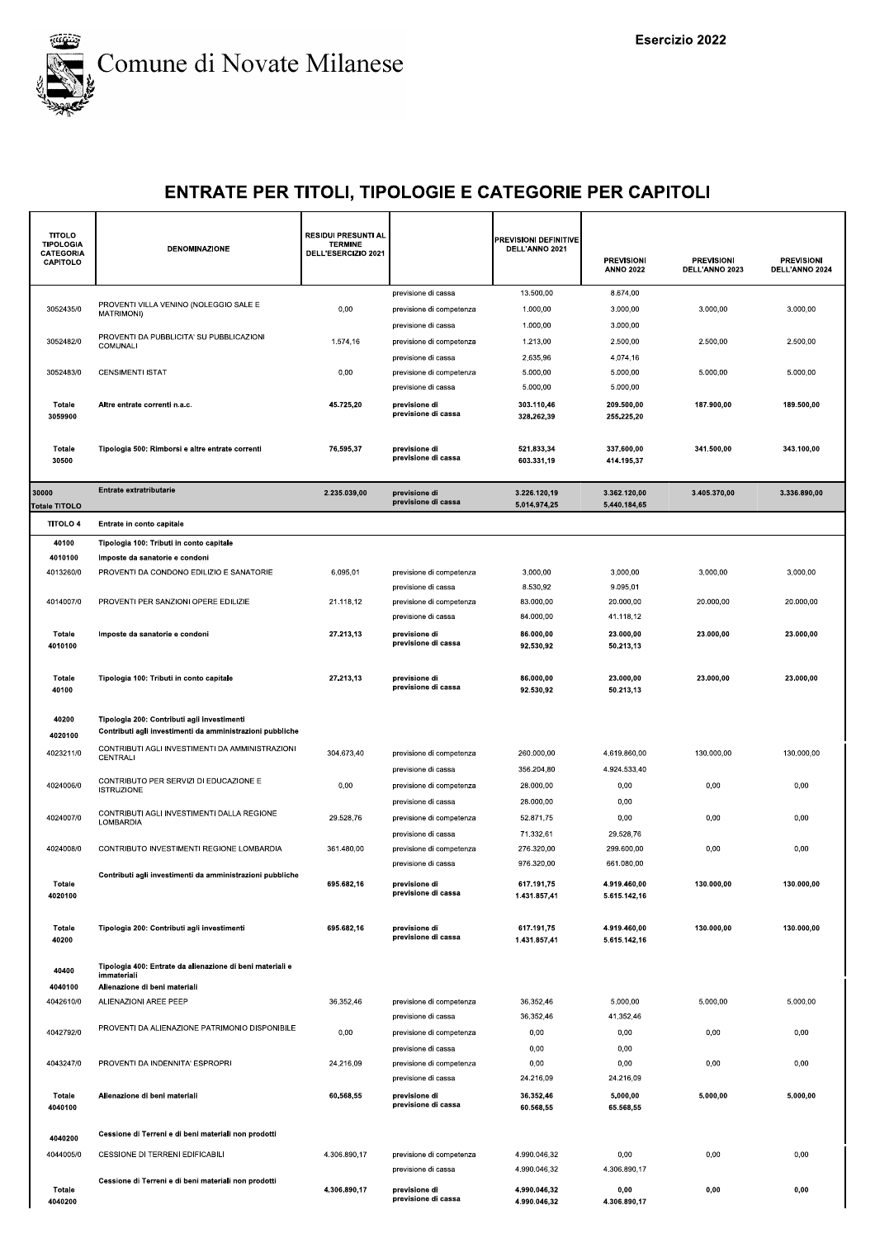

| <b>TITOLO</b><br><b>TIPOLOGIA</b><br><b>CATEGORIA</b><br>CAPITOLO | DENOMINAZIONE                                                            | <b>RESIDUI PRESUNTI AL</b><br><b>TERMINE</b><br>DELL'ESERCIZIO 2021 |                                                 | PREVISIONI DEFINITIVE<br>DELL'ANNO 2021 | <b>PREVISIONI</b><br><b>ANNO 2022</b> | <b>PREVISIONI</b><br>DELL'ANNO 2023 | <b>PREVISIONI</b><br>DELL'ANNO 2024 |
|-------------------------------------------------------------------|--------------------------------------------------------------------------|---------------------------------------------------------------------|-------------------------------------------------|-----------------------------------------|---------------------------------------|-------------------------------------|-------------------------------------|
|                                                                   | PROVENTI VILLA VENINO (NOLEGGIO SALE E                                   |                                                                     | previsione di cassa                             | 13.500,00                               | 8.674,00                              |                                     |                                     |
| 3052435/0                                                         | MATRIMONI)                                                               | 0,00                                                                | previsione di competenza                        | 1.000,00                                | 3.000,00                              | 3.000,00                            | 3.000,00                            |
|                                                                   | PROVENTI DA PUBBLICITA' SU PUBBLICAZIONI                                 |                                                                     | previsione di cassa                             | 1.000,00                                | 3.000,00                              |                                     |                                     |
| 3052482/0                                                         | COMUNALI                                                                 | 1.574,16                                                            | previsione di competenza<br>previsione di cassa | 1.213,00<br>2.635,96                    | 2.500,00<br>4.074,16                  | 2.500,00                            | 2.500,00                            |
| 3052483/0                                                         | <b>CENSIMENTI ISTAT</b>                                                  | 0,00                                                                | previsione di competenza                        | 5.000,00                                | 5.000,00                              | 5.000,00                            | 5.000,00                            |
|                                                                   |                                                                          |                                                                     | previsione di cassa                             | 5.000,00                                | 5.000,00                              |                                     |                                     |
| Totale<br>3059900                                                 | Altre entrate correnti n.a.c.                                            | 45.725,20                                                           | previsione di<br>previsione di cassa            | 303.110,46<br>328.262,39                | 209.500,00<br>255.225,20              | 187.900,00                          | 189.500,00                          |
| Totale<br>30500                                                   | Tipologia 500: Rimborsi e altre entrate correnti                         | 76.595,37                                                           | previsione di<br>previsione di cassa            | 521.833,34<br>603.331,19                | 337.600,00<br>414.195,37              | 341.500,00                          | 343.100,00                          |
| 30000<br>Totale TITOLO                                            | Entrate extratributarie                                                  | 2.235.039,00                                                        | previsione di<br>previsione di cassa            | 3.226.120,19<br>5.014.974,25            | 3.362.120,00<br>5.440.184,65          | 3.405.370,00                        | 3.336.890,00                        |
| <b>TITOLO 4</b>                                                   | Entrate in conto capitale                                                |                                                                     |                                                 |                                         |                                       |                                     |                                     |
| 40100                                                             | Tipologia 100: Tributi in conto capitale                                 |                                                                     |                                                 |                                         |                                       |                                     |                                     |
| 4010100                                                           | Imposte da sanatorie e condoni                                           |                                                                     |                                                 |                                         |                                       |                                     |                                     |
| 4013260/0                                                         | PROVENTI DA CONDONO EDILIZIO E SANATORIE                                 | 6.095,01                                                            | previsione di competenza                        | 3.000,00                                | 3.000,00                              | 3.000,00                            | 3.000,00                            |
| 4014007/0                                                         | PROVENTI PER SANZIONI OPERE EDILIZIE                                     | 21.118,12                                                           | previsione di cassa<br>previsione di competenza | 8.530,92<br>83.000,00                   | 9.095,01<br>20.000,00                 | 20.000,00                           | 20.000,00                           |
|                                                                   |                                                                          |                                                                     | previsione di cassa                             | 84.000,00                               | 41.118,12                             |                                     |                                     |
| Totale                                                            | Imposte da sanatorie e condoni                                           | 27.213,13                                                           | previsione di                                   | 86.000,00                               | 23.000,00                             | 23.000,00                           | 23.000,00                           |
| 4010100                                                           |                                                                          |                                                                     | previsione di cassa                             | 92.530,92                               | 50.213,13                             |                                     |                                     |
|                                                                   |                                                                          |                                                                     |                                                 |                                         |                                       |                                     |                                     |
| Totale<br>40100                                                   | Tipologia 100: Tributi in conto capitale                                 | 27.213,13                                                           | previsione di<br>previsione di cassa            | 86.000,00<br>92.530,92                  | 23.000,00<br>50.213,13                | 23.000,00                           | 23.000,00                           |
| 40200                                                             | Tipologia 200: Contributi agli investimenti                              |                                                                     |                                                 |                                         |                                       |                                     |                                     |
| 4020100                                                           | Contributi agli investimenti da amministrazioni pubbliche                |                                                                     |                                                 |                                         |                                       |                                     |                                     |
| 4023211/0                                                         | CONTRIBUTI AGLI INVESTIMENTI DA AMMINISTRAZIONI<br>CENTRALI              | 304.673,40                                                          | previsione di competenza                        | 260.000,00                              | 4.619.860,00                          | 130.000,00                          | 130.000,00                          |
|                                                                   |                                                                          |                                                                     | previsione di cassa                             | 356.204,80                              | 4.924.533,40                          |                                     |                                     |
| 4024006/0                                                         | CONTRIBUTO PER SERVIZI DI EDUCAZIONE E<br><b>ISTRUZIONE</b>              | 0,00                                                                | previsione di competenza                        | 28.000,00                               | 0,00                                  | 0,00                                | 0,00                                |
|                                                                   |                                                                          |                                                                     | previsione di cassa                             | 28.000,00                               | 0,00                                  |                                     |                                     |
| 4024007/0                                                         | CONTRIBUTI AGLI INVESTIMENTI DALLA REGIONE<br>LOMBARDIA                  | 29.528,76                                                           | previsione di competenza                        | 52.871,75                               | 0,00                                  | 0,00                                | 0,00                                |
|                                                                   |                                                                          |                                                                     | previsione di cassa                             | 71.332,61                               | 29.528,76                             |                                     |                                     |
| 4024008/0                                                         | CONTRIBUTO INVESTIMENTI REGIONE LOMBARDIA                                | 361.480,00                                                          | previsione di competenza                        | 276.320,00                              | 299.600,00                            | 0,00                                | 0,00                                |
|                                                                   | Contributi agli investimenti da amministrazioni pubbliche                |                                                                     | previsione di cassa                             | 976.320,00                              | 661.080,00                            |                                     |                                     |
| Totale<br>4020100                                                 |                                                                          | 695.682,16                                                          | previsione di<br>previsione di cassa            | 617.191,75<br>1.431.857,41              | 4.919.460,00<br>5.615.142,16          | 130.000,00                          | 130.000,00                          |
| Totale<br>40200                                                   | Tipologia 200: Contributi agli investimenti                              | 695.682,16                                                          | previsione di<br>previsione di cassa            | 617.191,75<br>1.431.857,41              | 4.919.460,00<br>5.615.142,16          | 130.000,00                          | 130.000,00                          |
| 40400                                                             | Tipologia 400: Entrate da alienazione di beni materiali e<br>immateriali |                                                                     |                                                 |                                         |                                       |                                     |                                     |
| 4040100<br>4042610/0                                              | Alienazione di beni materiali<br>ALIENAZIONI AREE PEEP                   | 36.352,46                                                           | previsione di competenza                        | 36.352,46                               | 5.000,00                              | 5.000,00                            | 5.000,00                            |
|                                                                   |                                                                          |                                                                     | previsione di cassa                             | 36.352,46                               | 41.352,46                             |                                     |                                     |
| 4042792/0                                                         | PROVENTI DA ALIENAZIONE PATRIMONIO DISPONIBILE                           | 0,00                                                                | previsione di competenza                        | 0,00                                    | 0,00                                  | 0,00                                | 0,00                                |
|                                                                   |                                                                          |                                                                     | previsione di cassa                             | 0,00                                    | 0,00                                  |                                     |                                     |
| 4043247/0                                                         | PROVENTI DA INDENNITA' ESPROPRI                                          | 24.216,09                                                           | previsione di competenza<br>previsione di cassa | 0,00<br>24.216,09                       | 0,00<br>24.216,09                     | 0,00                                | 0,00                                |
| Totale<br>4040100                                                 | Alienazione di beni materiali                                            | 60.568,55                                                           | previsione di<br>previsione di cassa            | 36.352,46<br>60.568,55                  | 5.000,00<br>65.568,55                 | 5.000,00                            | 5.000,00                            |
| 4040200                                                           | Cessione di Terreni e di beni materiali non prodotti                     |                                                                     |                                                 |                                         |                                       |                                     |                                     |
| 4044005/0                                                         | CESSIONE DI TERRENI EDIFICABILI                                          | 4.306.890,17                                                        | previsione di competenza                        | 4.990.046,32                            | 0,00                                  | 0,00                                | 0,00                                |
|                                                                   |                                                                          |                                                                     | previsione di cassa                             | 4.990.046,32                            | 4.306.890,17                          |                                     |                                     |
| Totale<br>4040200                                                 | Cessione di Terreni e di beni materiali non prodotti                     | 4.306.890,17                                                        | previsione di<br>previsione di cassa            | 4.990.046,32<br>4.990.046,32            | 0,00<br>4.306.890,17                  | 0,00                                | 0,00                                |
|                                                                   |                                                                          |                                                                     |                                                 |                                         |                                       |                                     |                                     |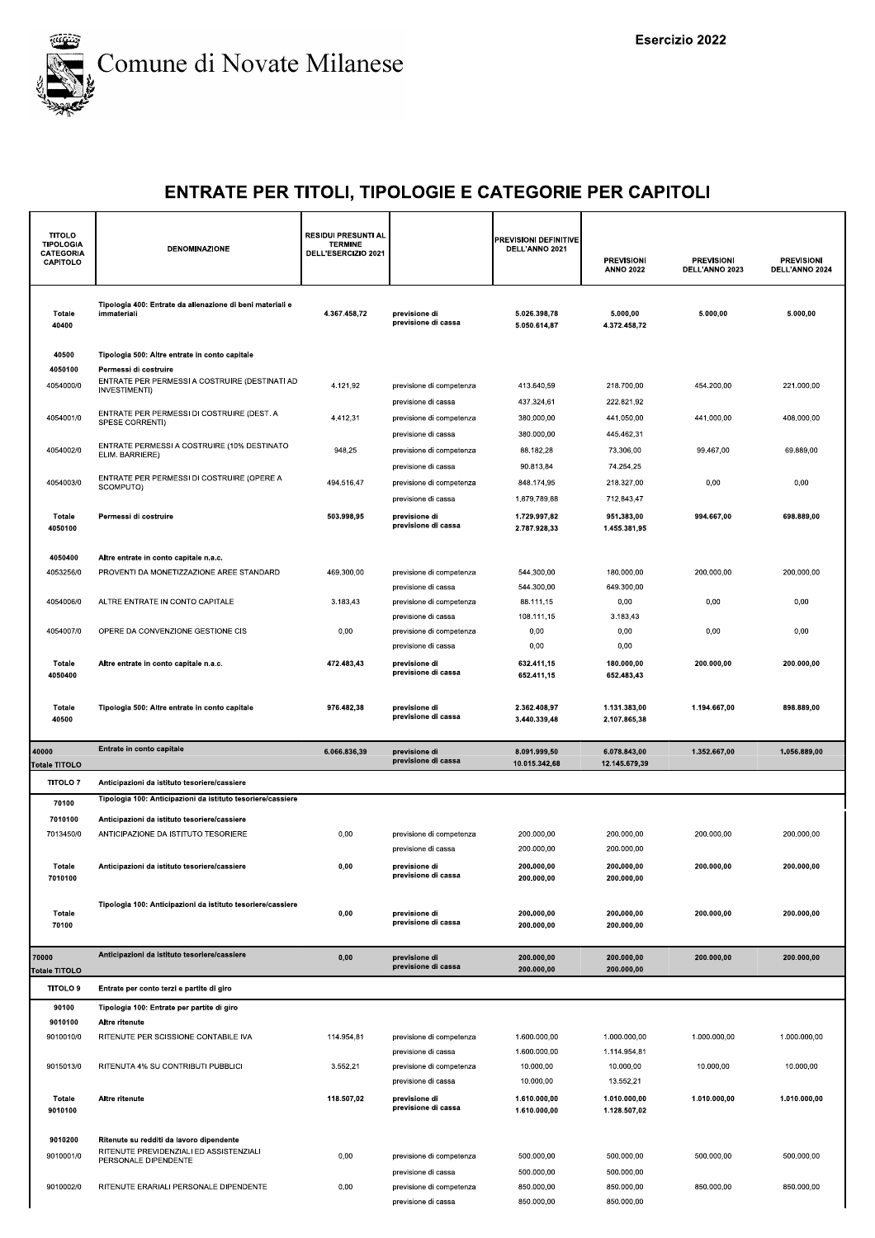

| <b>TITOLO</b><br><b>TIPOLOGIA</b><br><b>CATEGORIA</b><br>CAPITOLO | <b>DENOMINAZIONE</b>                                                                | <b>RESIDUI PRESUNTI AL</b><br><b>TERMINE</b><br>DELL'ESERCIZIO 2021 |                                                 | PREVISIONI DEFINITIVE<br>DELL'ANNO 2021 | <b>PREVISIONI</b><br><b>ANNO 2022</b> | <b>PREVISIONI</b><br>DELL'ANNO 2023 | <b>PREVISIONI</b><br>DELL'ANNO 2024 |
|-------------------------------------------------------------------|-------------------------------------------------------------------------------------|---------------------------------------------------------------------|-------------------------------------------------|-----------------------------------------|---------------------------------------|-------------------------------------|-------------------------------------|
| Totale<br>40400                                                   | Tipologia 400: Entrate da alienazione di beni materiali e<br>immateriali            | 4.367.458,72                                                        | previsione di<br>previsione di cassa            | 5.026.398,78<br>5.050.614,87            | 5.000,00<br>4.372.458,72              | 5.000,00                            | 5.000,00                            |
| 40500                                                             | Tipologia 500: Altre entrate in conto capitale                                      |                                                                     |                                                 |                                         |                                       |                                     |                                     |
| 4050100                                                           | Permessi di costruire<br>ENTRATE PER PERMESSI A COSTRUIRE (DESTINATI AD             |                                                                     |                                                 |                                         |                                       |                                     |                                     |
| 4054000/0                                                         | INVESTIMENTI)                                                                       | 4.121,92                                                            | previsione di competenza                        | 413.640,59                              | 218.700,00                            | 454.200,00                          | 221.000,00                          |
| 4054001/0                                                         | ENTRATE PER PERMESSI DI COSTRUIRE (DEST. A                                          | 4.412,31                                                            | previsione di cassa<br>previsione di competenza | 437.324,61<br>380.000,00                | 222.821,92<br>441.050,00              | 441.000,00                          | 408.000,00                          |
|                                                                   | SPESE CORRENTI)                                                                     |                                                                     | previsione di cassa                             | 380.000,00                              | 445.462,31                            |                                     |                                     |
| 4054002/0                                                         | ENTRATE PERMESSI A COSTRUIRE (10% DESTINATO<br>ELIM. BARRIERE)                      | 948,25                                                              | previsione di competenza                        | 88.182,28                               | 73.306,00                             | 99.467,00                           | 69.889,00                           |
|                                                                   |                                                                                     |                                                                     | previsione di cassa                             | 90.813,84                               | 74.254,25                             |                                     |                                     |
| 4054003/0                                                         | ENTRATE PER PERMESSI DI COSTRUIRE (OPERE A<br>SCOMPUTO)                             | 494.516,47                                                          | previsione di competenza                        | 848.174,95                              | 218.327,00                            | 0,00                                | 0,00                                |
|                                                                   |                                                                                     |                                                                     | previsione di cassa                             | 1.879.789,88                            | 712.843,47                            |                                     |                                     |
| Totale<br>4050100                                                 | Permessi di costruire                                                               | 503.998,95                                                          | previsione di<br>previsione di cassa            | 1.729.997,82<br>2.787.928,33            | 951.383,00<br>1.455.381,95            | 994.667,00                          | 698.889,00                          |
| 4050400                                                           | Altre entrate in conto capitale n.a.c.                                              |                                                                     |                                                 |                                         |                                       |                                     |                                     |
| 4053256/0                                                         | PROVENTI DA MONETIZZAZIONE AREE STANDARD                                            | 469.300,00                                                          | previsione di competenza                        | 544.300,00                              | 180.000,00                            | 200.000,00                          | 200.000,00                          |
|                                                                   |                                                                                     |                                                                     | previsione di cassa                             | 544.300,00                              | 649.300,00                            |                                     |                                     |
| 4054006/0                                                         | ALTRE ENTRATE IN CONTO CAPITALE                                                     | 3.183,43                                                            | previsione di competenza<br>previsione di cassa | 88.111.15<br>108.111,15                 | 0,00<br>3.183,43                      | 0,00                                | 0,00                                |
| 4054007/0                                                         | OPERE DA CONVENZIONE GESTIONE CIS                                                   | 0,00                                                                | previsione di competenza                        | 0,00                                    | 0,00                                  | 0,00                                | 0,00                                |
|                                                                   |                                                                                     |                                                                     | previsione di cassa                             | 0,00                                    | 0,00                                  |                                     |                                     |
| Totale<br>4050400                                                 | Altre entrate in conto capitale n.a.c.                                              | 472.483,43                                                          | previsione di<br>previsione di cassa            | 632.411,15<br>652.411,15                | 180.000,00<br>652.483,43              | 200.000,00                          | 200.000,00                          |
| Totale<br>40500                                                   | Tipologia 500: Altre entrate in conto capitale                                      | 976.482,38                                                          | previsione di<br>previsione di cassa            | 2.362.408,97<br>3.440.339,48            | 1.131.383,00<br>2.107.865,38          | 1.194.667,00                        | 898.889,00                          |
| 40000                                                             | Entrate in conto capitale                                                           | 6.066.836,39                                                        | previsione di                                   | 8.091.999,50                            | 6.078.843,00                          | 1.352.667,00                        | 1.056.889,00                        |
| Totale TITOLO                                                     |                                                                                     |                                                                     | previsione di cassa                             | 10.015.342,68                           | 12.145.679,39                         |                                     |                                     |
| <b>TITOLO7</b>                                                    | Anticipazioni da istituto tesoriere/cassiere                                        |                                                                     |                                                 |                                         |                                       |                                     |                                     |
| 70100                                                             | Tipologia 100: Anticipazioni da istituto tesoriere/cassiere                         |                                                                     |                                                 |                                         |                                       |                                     |                                     |
| 7010100                                                           | Anticipazioni da istituto tesoriere/cassiere                                        |                                                                     |                                                 |                                         |                                       |                                     |                                     |
| 7013450/0                                                         | ANTICIPAZIONE DA ISTITUTO TESORIERE                                                 | 0,00                                                                | previsione di competenza<br>previsione di cassa | 200.000,00<br>200.000,00                | 200.000,00<br>200.000,00              | 200.000,00                          | 200.000,00                          |
| Totale                                                            | Anticipazioni da istituto tesoriere/cassiere                                        | 0,00                                                                | previsione di                                   | 200.000,00                              | 200.000,00                            | 200.000,00                          | 200.000.00                          |
| 7010100                                                           |                                                                                     |                                                                     | previsione di cassa                             | 200.000,00                              | 200.000,00                            |                                     |                                     |
| Totale<br>70100                                                   | Tipologia 100: Anticipazioni da istituto tesoriere/cassiere                         | 0,00                                                                | previsione di<br>previsione di cassa            | 200.000,00<br>200.000,00                | 200.000,00<br>200.000,00              | 200.000,00                          | 200.000,00                          |
|                                                                   |                                                                                     |                                                                     |                                                 |                                         |                                       |                                     |                                     |
| 70000<br>Totale TITOLO                                            | Anticipazioni da istituto tesoriere/cassiere                                        | 0,00                                                                | previsione di<br>previsione di cassa            | 200.000,00<br>200.000,00                | 200.000,00<br>200.000,00              | 200.000,00                          | 200.000,00                          |
| <b>TITOLO 9</b>                                                   | Entrate per conto terzi e partite di giro                                           |                                                                     |                                                 |                                         |                                       |                                     |                                     |
| 90100                                                             | Tipologia 100: Entrate per partite di giro                                          |                                                                     |                                                 |                                         |                                       |                                     |                                     |
| 9010100                                                           | Altre ritenute                                                                      |                                                                     |                                                 |                                         |                                       |                                     |                                     |
| 9010010/0                                                         | RITENUTE PER SCISSIONE CONTABILE IVA                                                | 114.954,81                                                          | previsione di competenza                        | 1.600.000,00                            | 1.000.000,00                          | 1.000.000,00                        | 1.000.000,00                        |
|                                                                   |                                                                                     |                                                                     | previsione di cassa                             | 1.600.000,00                            | 1.114.954,81                          |                                     |                                     |
| 9015013/0                                                         | RITENUTA 4% SU CONTRIBUTI PUBBLICI                                                  | 3.552,21                                                            | previsione di competenza<br>previsione di cassa | 10.000,00<br>10.000,00                  | 10.000,00<br>13.552,21                | 10.000,00                           | 10.000,00                           |
|                                                                   |                                                                                     |                                                                     |                                                 |                                         |                                       |                                     |                                     |
| Totale<br>9010100                                                 | Altre ritenute                                                                      | 118.507,02                                                          | previsione di<br>previsione di cassa            | 1.610.000,00<br>1.610.000,00            | 1.010.000,00<br>1.128.507,02          | 1.010.000,00                        | 1.010.000,00                        |
|                                                                   |                                                                                     |                                                                     |                                                 |                                         |                                       |                                     |                                     |
| 9010200                                                           | Ritenute su redditi da lavoro dipendente<br>RITENUTE PREVIDENZIALI ED ASSISTENZIALI |                                                                     |                                                 |                                         |                                       |                                     |                                     |
| 9010001/0                                                         | PERSONALE DIPENDENTE                                                                | 0,00                                                                | previsione di competenza<br>previsione di cassa | 500.000,00<br>500.000,00                | 500.000,00<br>500.000,00              | 500.000,00                          | 500.000,00                          |
| 9010002/0                                                         | RITENUTE ERARIALI PERSONALE DIPENDENTE                                              | 0,00                                                                | previsione di competenza                        | 850.000,00                              | 850.000,00                            | 850.000,00                          | 850.000,00                          |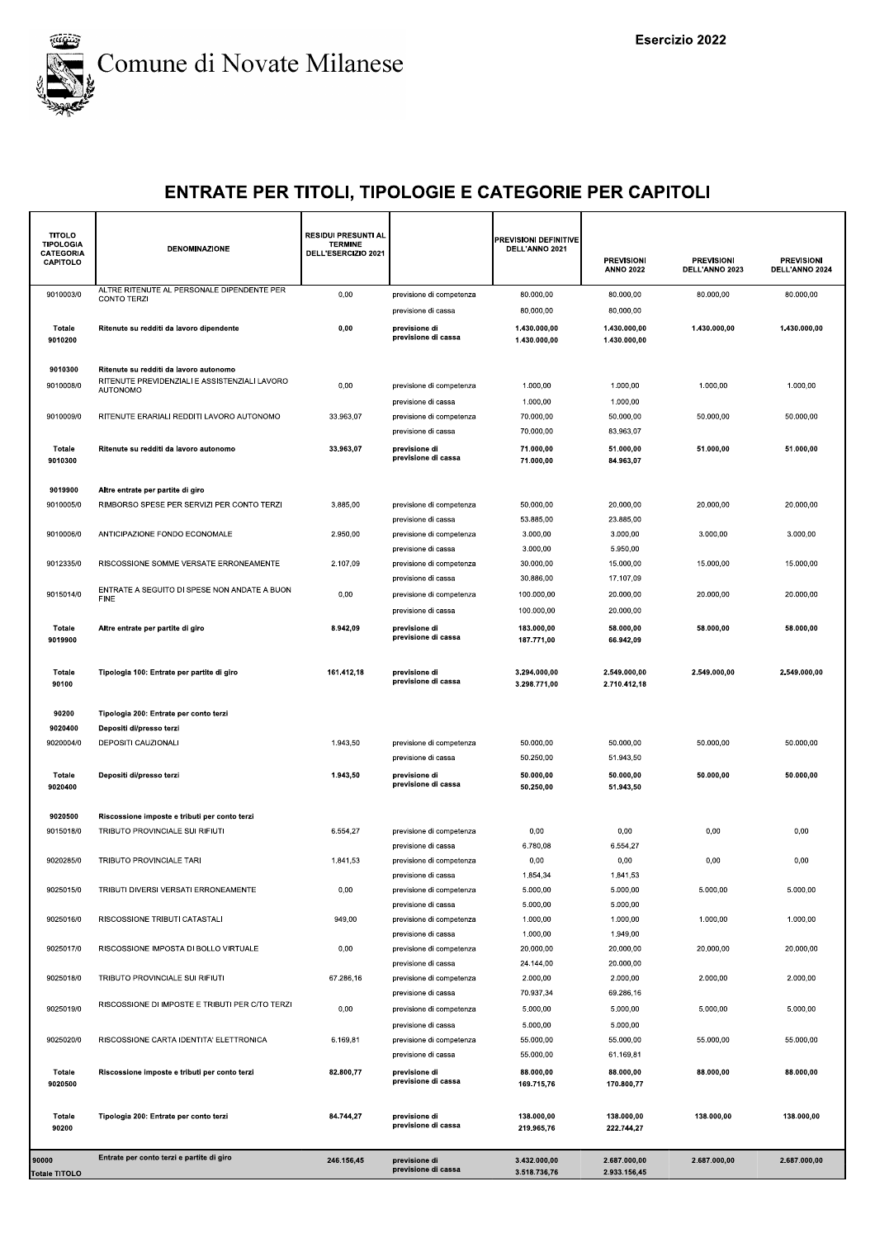

| <b>TITOLO</b><br><b>TIPOLOGIA</b><br>CATEGORIA<br>CAPITOLO | <b>DENOMINAZIONE</b>                                             | <b>RESIDUI PRESUNTI AL</b><br><b>TERMINE</b><br>DELL'ESERCIZIO 2021 |                                                                        | <b>PREVISIONI DEFINITIVE</b><br>DELL'ANNO 2021 | <b>PREVISIONI</b><br><b>ANNO 2022</b>     | <b>PREVISIONI</b><br>DELL'ANNO 2023 | <b>PREVISIONI</b><br>DELL'ANNO 2024 |
|------------------------------------------------------------|------------------------------------------------------------------|---------------------------------------------------------------------|------------------------------------------------------------------------|------------------------------------------------|-------------------------------------------|-------------------------------------|-------------------------------------|
| 9010003/0                                                  | ALTRE RITENUTE AL PERSONALE DIPENDENTE PER<br><b>CONTO TERZI</b> | 0,00                                                                | previsione di competenza                                               | 80.000,00                                      | 80.000,00                                 | 80.000,00                           | 80.000,00                           |
| Totale<br>9010200                                          | Ritenute su redditi da lavoro dipendente                         | 0,00                                                                | previsione di cassa<br>previsione di<br>previsione di cassa            | 80.000,00<br>1.430.000,00<br>1.430.000,00      | 80.000,00<br>1.430.000,00<br>1.430.000,00 | 1.430.000,00                        | 1.430.000,00                        |
| 9010300                                                    | Ritenute su redditi da lavoro autonomo                           |                                                                     |                                                                        |                                                |                                           |                                     |                                     |
| 9010008/0                                                  | RITENUTE PREVIDENZIALI E ASSISTENZIALI LAVORO<br><b>AUTONOMO</b> | 0,00                                                                | previsione di competenza<br>previsione di cassa                        | 1.000,00<br>1.000,00                           | 1.000,00<br>1.000,00                      | 1.000,00                            | 1.000,00                            |
| 9010009/0                                                  | RITENUTE ERARIALI REDDITI LAVORO AUTONOMO                        | 33.963,07                                                           | previsione di competenza<br>previsione di cassa                        | 70.000,00<br>70.000,00                         | 50.000,00<br>83.963,07                    | 50.000,00                           | 50.000,00                           |
| Totale<br>9010300                                          | Ritenute su redditi da lavoro autonomo                           | 33.963,07                                                           | previsione di<br>previsione di cassa                                   | 71.000,00<br>71.000,00                         | 51.000,00<br>84.963,07                    | 51.000,00                           | 51.000,00                           |
| 9019900                                                    | Altre entrate per partite di giro                                |                                                                     |                                                                        |                                                |                                           |                                     |                                     |
| 9010005/0                                                  | RIMBORSO SPESE PER SERVIZI PER CONTO TERZI                       | 3.885,00                                                            | previsione di competenza                                               | 50.000,00                                      | 20.000,00                                 | 20.000,00                           | 20.000,00                           |
| 9010006/0                                                  | ANTICIPAZIONE FONDO ECONOMALE                                    | 2.950,00                                                            | previsione di cassa<br>previsione di competenza                        | 53.885,00<br>3.000,00                          | 23.885,00<br>3.000.00                     | 3.000,00                            | 3.000,00                            |
| 9012335/0                                                  | RISCOSSIONE SOMME VERSATE ERRONEAMENTE                           | 2.107,09                                                            | previsione di cassa<br>previsione di competenza                        | 3.000,00<br>30.000,00                          | 5.950,00<br>15.000,00                     | 15.000,00                           | 15.000,00                           |
|                                                            |                                                                  |                                                                     | previsione di cassa                                                    | 30.886,00                                      | 17.107,09                                 |                                     |                                     |
| 9015014/0                                                  | ENTRATE A SEGUITO DI SPESE NON ANDATE A BUON<br><b>FINE</b>      | 0,00                                                                | previsione di competenza                                               | 100.000,00                                     | 20.000,00                                 | 20.000,00                           | 20.000,00                           |
| Totale<br>9019900                                          | Altre entrate per partite di giro                                | 8.942,09                                                            | previsione di cassa<br>previsione di<br>previsione di cassa            | 100.000,00<br>183.000,00<br>187.771,00         | 20.000,00<br>58.000,00<br>66.942,09       | 58.000,00                           | 58.000,00                           |
| Totale<br>90100                                            | Tipologia 100: Entrate per partite di giro                       | 161.412,18                                                          | previsione di<br>previsione di cassa                                   | 3.294.000,00<br>3.298.771,00                   | 2.549.000,00<br>2.710.412,18              | 2.549.000,00                        | 2.549.000,00                        |
| 90200                                                      | Tipologia 200: Entrate per conto terzi                           |                                                                     |                                                                        |                                                |                                           |                                     |                                     |
| 9020400                                                    | Depositi di/presso terzi                                         |                                                                     |                                                                        |                                                |                                           |                                     |                                     |
| 9020004/0                                                  | DEPOSITI CAUZIONALI                                              | 1.943,50                                                            | previsione di competenza<br>previsione di cassa                        | 50.000,00<br>50.250,00                         | 50.000,00<br>51.943,50                    | 50.000,00                           | 50.000,00                           |
| Totale<br>9020400                                          | Depositi di/presso terzi                                         | 1.943,50                                                            | previsione di<br>previsione di cassa                                   | 50.000,00<br>50.250,00                         | 50.000,00<br>51.943,50                    | 50.000,00                           | 50.000,00                           |
| 9020500                                                    | Riscossione imposte e tributi per conto terzi                    |                                                                     |                                                                        |                                                |                                           |                                     |                                     |
| 9015018/0                                                  | TRIBUTO PROVINCIALE SUI RIFIUTI                                  | 6.554,27                                                            | previsione di competenza                                               | 0,00                                           | 0,00                                      | 0,00                                | 0,00                                |
| 9020285/0                                                  | TRIBUTO PROVINCIALE TARI                                         | 1.841,53                                                            | previsione di cassa<br>previsione di competenza<br>previsione di cassa | 6.780,08<br>0,00<br>1.854,34                   | 6.554,27<br>0,00<br>1.841,53              | 0,00                                | 0,00                                |
| 9025015/0                                                  | TRIBUTI DIVERSI VERSATI ERRONEAMENTE                             | 0,00                                                                | previsione di competenza<br>previsione di cassa                        | 5.000,00<br>5.000,00                           | 5.000,00<br>5.000,00                      | 5.000,00                            | 5.000,00                            |
| 9025016/0                                                  | RISCOSSIONE TRIBUTI CATASTALI                                    | 949,00                                                              | previsione di competenza<br>previsione di cassa                        | 1.000,00<br>1.000,00                           | 1.000,00<br>1.949,00                      | 1.000,00                            | 1.000,00                            |
| 9025017/0                                                  | RISCOSSIONE IMPOSTA DI BOLLO VIRTUALE                            | 0,00                                                                | previsione di competenza<br>previsione di cassa                        | 20.000,00<br>24.144,00                         | 20.000.00<br>20.000,00                    | 20.000,00                           | 20.000,00                           |
| 9025018/0                                                  | TRIBUTO PROVINCIALE SUI RIFIUTI                                  | 67.286,16                                                           | previsione di competenza<br>previsione di cassa                        | 2.000,00<br>70.937,34                          | 2.000,00<br>69.286.16                     | 2.000,00                            | 2.000,00                            |
| 9025019/0                                                  | RISCOSSIONE DI IMPOSTE E TRIBUTI PER C/TO TERZI                  | 0,00                                                                | previsione di competenza                                               | 5.000,00                                       | 5.000,00<br>5.000.00                      | 5.000,00                            | 5.000,00                            |
| 9025020/0                                                  | RISCOSSIONE CARTA IDENTITA' ELETTRONICA                          | 6.169,81                                                            | previsione di cassa<br>previsione di competenza<br>previsione di cassa | 5.000,00<br>55.000,00<br>55.000,00             | 55.000,00<br>61.169,81                    | 55.000,00                           | 55.000,00                           |
| Totale<br>9020500                                          | Riscossione imposte e tributi per conto terzi                    | 82.800,77                                                           | previsione di<br>previsione di cassa                                   | 88.000,00<br>169.715,76                        | 88.000,00<br>170.800,77                   | 88.000,00                           | 88.000,00                           |
| Totale<br>90200                                            | Tipologia 200: Entrate per conto terzi                           | 84.744,27                                                           | previsione di<br>previsione di cassa                                   | 138.000,00<br>219.965,76                       | 138.000,00<br>222.744,27                  | 138.000,00                          | 138.000,00                          |
| 90000<br>Totale TITOLO                                     | Entrate per conto terzi e partite di giro                        | 246.156,45                                                          | previsione di<br>previsione di cassa                                   | 3.432.000,00<br>3.518.736,76                   | 2.687.000,00<br>2.933.156,45              | 2.687.000,00                        | 2.687.000,00                        |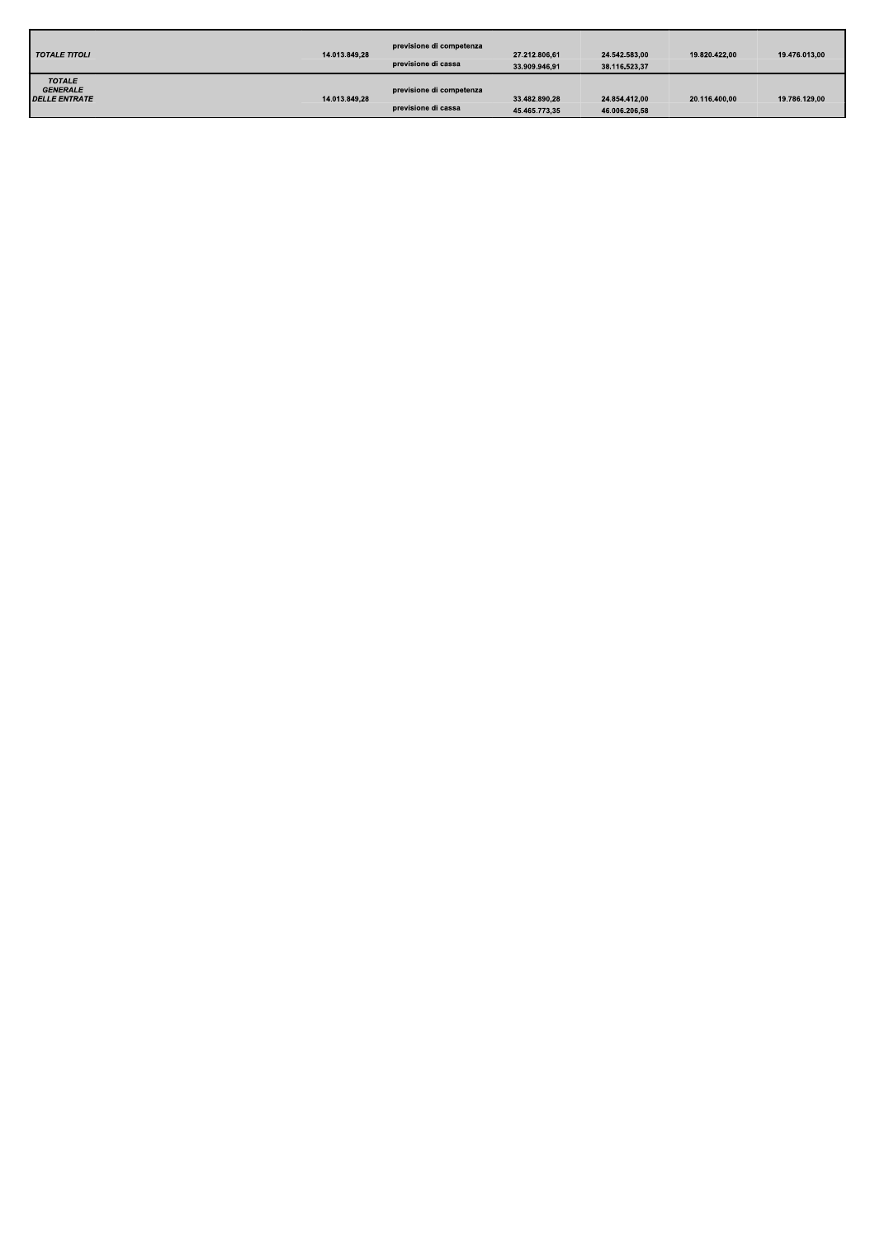| <b>TOTALE TITOLI</b>                                            | 14.013.849,28 | previsione di competenza<br>previsione di cassa | 27.212.806.61<br>33.909.946,91 | 24.542.583.00<br>38.116.523,37 | 19.820.422.00 | 19.476.013.00 |
|-----------------------------------------------------------------|---------------|-------------------------------------------------|--------------------------------|--------------------------------|---------------|---------------|
| <b>TOTALE</b><br><b>GENERALE</b><br><i><b>DELLE ENTRATE</b></i> | 14.013.849.28 | previsione di competenza<br>previsione di cassa | 33.482.890.28<br>45.465.773,35 | 24.854.412.00<br>46.006.206,58 | 20.116.400.00 | 19.786.129.00 |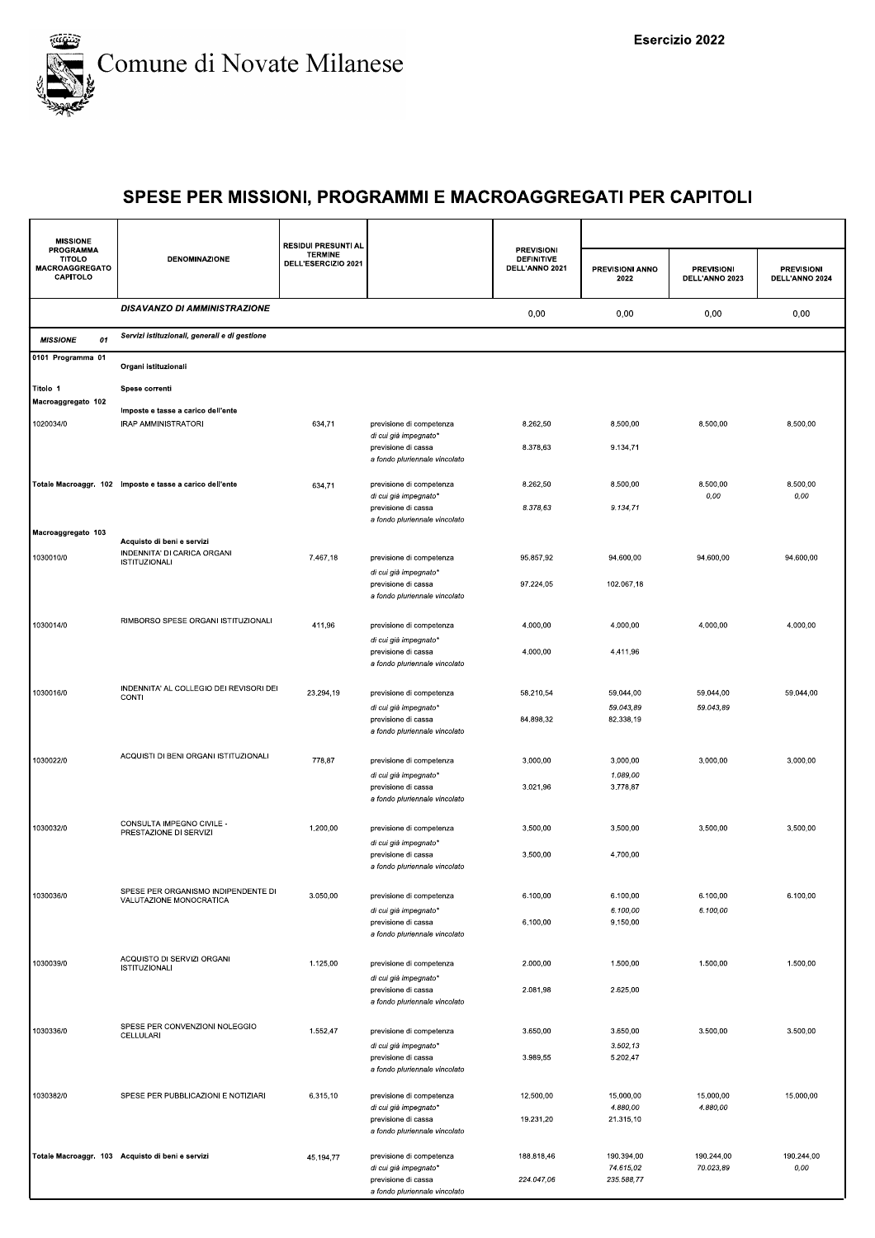

| <b>MISSIONE</b>                                          |                                                                | <b>RESIDUI PRESUNTI AL</b>            |                                                                               | <b>PREVISIONI</b>                   |                         |                                     |                                     |
|----------------------------------------------------------|----------------------------------------------------------------|---------------------------------------|-------------------------------------------------------------------------------|-------------------------------------|-------------------------|-------------------------------------|-------------------------------------|
| PROGRAMMA<br><b>TITOLO</b><br>MACROAGGREGATO<br>CAPITOLO | DENOMINAZIONE                                                  | <b>TERMINE</b><br>DELL'ESERCIZIO 2021 |                                                                               | <b>DEFINITIVE</b><br>DELL'ANNO 2021 | PREVISIONI ANNO<br>2022 | <b>PREVISIONI</b><br>DELL'ANNO 2023 | <b>PREVISIONI</b><br>DELL'ANNO 2024 |
|                                                          | <b>DISAVANZO DI AMMINISTRAZIONE</b>                            |                                       |                                                                               | 0,00                                | 0,00                    | 0,00                                | 0,00                                |
| <b>MISSIONE</b><br>01                                    | Servizi istituzionali, generali e di gestione                  |                                       |                                                                               |                                     |                         |                                     |                                     |
| 0101 Programma 01                                        | Organi istituzionali                                           |                                       |                                                                               |                                     |                         |                                     |                                     |
| Titolo 1                                                 | Spese correnti                                                 |                                       |                                                                               |                                     |                         |                                     |                                     |
| Macroaggregato 102                                       | Imposte e tasse a carico dell'ente                             |                                       |                                                                               |                                     |                         |                                     |                                     |
| 1020034/0                                                | IRAP AMMINISTRATORI                                            | 634,71                                | previsione di competenza<br>di cui già impegnato*                             | 8.262,50<br>8.378,63                | 8.500,00<br>9.134,71    | 8.500,00                            | 8.500,00                            |
|                                                          |                                                                |                                       | previsione di cassa<br>a fondo pluriennale vincolato                          |                                     |                         |                                     |                                     |
|                                                          | Totale Macroaggr. 102 Imposte e tasse a carico dell'ente       | 634,71                                | previsione di competenza                                                      | 8.262,50                            | 8.500,00                | 8.500,00                            | 8.500,00                            |
|                                                          |                                                                |                                       | di cui già impegnato*<br>previsione di cassa                                  | 8.378,63                            | 9.134,71                | 0,00                                | 0,00                                |
| Macroaggregato 103                                       | Acquisto di beni e servizi                                     |                                       | a fondo pluriennale vincolato                                                 |                                     |                         |                                     |                                     |
| 1030010/0                                                | INDENNITA' DI CARICA ORGANI<br><b>ISTITUZIONALI</b>            | 7.467,18                              | previsione di competenza                                                      | 95.857,92                           | 94.600,00               | 94.600,00                           | 94.600.00                           |
|                                                          |                                                                |                                       | di cui già impegnato*<br>previsione di cassa<br>a fondo pluriennale vincolato | 97.224,05                           | 102.067,18              |                                     |                                     |
| 1030014/0                                                | RIMBORSO SPESE ORGANI ISTITUZIONALI                            | 411,96                                | previsione di competenza                                                      | 4.000,00                            | 4.000,00                | 4.000,00                            | 4.000,00                            |
|                                                          |                                                                |                                       | di cui già impegnato*<br>previsione di cassa<br>a fondo pluriennale vincolato | 4.000,00                            | 4.411,96                |                                     |                                     |
| 1030016/0                                                | INDENNITA' AL COLLEGIO DEI REVISORI DEI<br>CONTI               | 23.294,19                             | previsione di competenza                                                      | 58.210,54                           | 59.044,00               | 59.044,00                           | 59.044,00                           |
|                                                          |                                                                |                                       | di cui già impegnato*<br>previsione di cassa<br>a fondo pluriennale vincolato | 84.898,32                           | 59.043,89<br>82.338,19  | 59.043,89                           |                                     |
| 1030022/0                                                | ACQUISTI DI BENI ORGANI ISTITUZIONALI                          | 778,87                                | previsione di competenza                                                      | 3.000,00                            | 3.000,00                | 3.000,00                            | 3.000,00                            |
|                                                          |                                                                |                                       | di cui già impegnato*<br>previsione di cassa                                  | 3.021,96                            | 1.089,00<br>3.778,87    |                                     |                                     |
|                                                          |                                                                |                                       | a fondo pluriennale vincolato                                                 |                                     |                         |                                     |                                     |
| 1030032/0                                                | CONSULTA IMPEGNO CIVILE -<br>PRESTAZIONE DI SERVIZI            | 1.200,00                              | previsione di competenza                                                      | 3.500,00                            | 3.500,00                | 3.500,00                            | 3.500,00                            |
|                                                          |                                                                |                                       | di cui già impegnato*<br>previsione di cassa<br>a fondo pluriennale vincolato | 3.500,00                            | 4.700,00                |                                     |                                     |
| 1030036/0                                                | SPESE PER ORGANISMO INDIPENDENTE DI<br>VALUTAZIONE MONOCRATICA | 3.050,00                              | previsione di competenza                                                      | 6.100,00                            | 6.100,00                | 6.100,00                            | 6.100,00                            |
|                                                          |                                                                |                                       | di cui già impegnato*<br>previsione di cassa                                  | 6.100,00                            | 6.100,00<br>9.150,00    | 6.100,00                            |                                     |
|                                                          |                                                                |                                       | a fondo pluriennale vincolato                                                 |                                     |                         |                                     |                                     |
| 1030039/0                                                | ACQUISTO DI SERVIZI ORGANI<br><b>ISTITUZIONALI</b>             | 1.125,00                              | previsione di competenza                                                      | 2.000,00                            | 1.500,00                | 1.500,00                            | 1.500,00                            |
|                                                          |                                                                |                                       | di cui già impegnato*<br>previsione di cassa<br>a fondo pluriennale vincolato | 2.081,98                            | 2.625,00                |                                     |                                     |
| 1030336/0                                                | SPESE PER CONVENZIONI NOLEGGIO                                 | 1.552,47                              | previsione di competenza                                                      | 3.650,00                            | 3.650,00                | 3.500,00                            | 3.500,00                            |
|                                                          | CELLULARI                                                      |                                       | di cui già impegnato*<br>previsione di cassa                                  | 3.989,55                            | 3.502, 13<br>5.202,47   |                                     |                                     |
|                                                          |                                                                |                                       | a fondo pluriennale vincolato                                                 |                                     |                         |                                     |                                     |
| 1030382/0                                                | SPESE PER PUBBLICAZIONI E NOTIZIARI                            | 6.315,10                              | previsione di competenza                                                      | 12.500,00                           | 15.000,00               | 15.000,00                           | 15.000,00                           |
|                                                          |                                                                |                                       | di cui già impegnato*<br>previsione di cassa                                  | 19.231,20                           | 4.880,00<br>21.315,10   | 4.880,00                            |                                     |
|                                                          |                                                                |                                       | a fondo pluriennale vincolato                                                 |                                     |                         |                                     |                                     |
|                                                          | Totale Macroaggr. 103 Acquisto di beni e servizi               | 45.194,77                             | previsione di competenza<br>di cui già impegnato*                             | 188.818,46                          | 190.394,00<br>74.615,02 | 190.244,00<br>70.023,89             | 190.244,00<br>0,00                  |
|                                                          |                                                                |                                       | previsione di cassa<br>a fondo pluriennale vincolato                          | 224.047,06                          | 235.588,77              |                                     |                                     |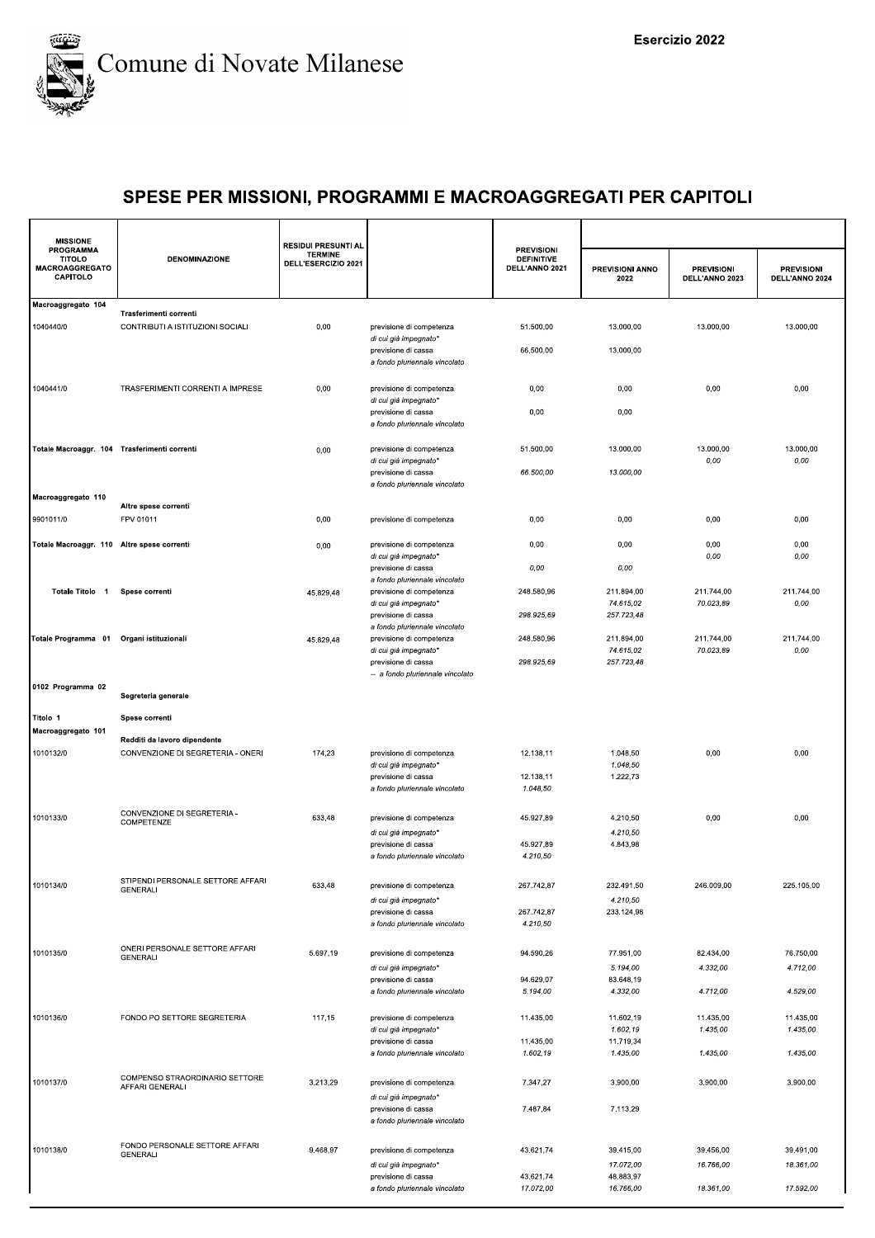

| PROGRAMMA<br><b>TITOLO</b><br>MACROAGGREGATO<br>CAPITOLO | <b>DENOMINAZIONE</b>                                       | <b>TERMINE</b><br>DELL'ESERCIZIO 2021 |                                                                               | <b>DEFINITIVE</b><br>DELL'ANNO 2021 | PREVISIONI ANNO<br>2022 | <b>PREVISIONI</b><br>DELL'ANNO 2023 | <b>PREVISIONI</b><br>DELL'ANNO 2024 |
|----------------------------------------------------------|------------------------------------------------------------|---------------------------------------|-------------------------------------------------------------------------------|-------------------------------------|-------------------------|-------------------------------------|-------------------------------------|
| Macroaggregato 104                                       |                                                            |                                       |                                                                               |                                     |                         |                                     |                                     |
| 1040440/0                                                | Trasferimenti correnti<br>CONTRIBUTI A ISTITUZIONI SOCIALI | 0,00                                  | previsione di competenza                                                      | 51.500,00                           | 13.000,00               | 13.000.00                           | 13.000.00                           |
|                                                          |                                                            |                                       | di cui già impegnato*                                                         |                                     |                         |                                     |                                     |
|                                                          |                                                            |                                       | previsione di cassa<br>a fondo pluriennale vincolato                          | 66.500,00                           | 13.000,00               |                                     |                                     |
| 1040441/0                                                | TRASFERIMENTI CORRENTI A IMPRESE                           | 0,00                                  | previsione di competenza                                                      | 0,00                                | 0,00                    | 0,00                                | 0,00                                |
|                                                          |                                                            |                                       | di cui già impegnato*<br>previsione di cassa<br>a fondo pluriennale vincolato | 0,00                                | 0,00                    |                                     |                                     |
| Totale Macroaggr. 104 Trasferimenti correnti             |                                                            | 0,00                                  | previsione di competenza                                                      | 51.500,00                           | 13.000,00               | 13.000,00                           | 13.000,00                           |
|                                                          |                                                            |                                       | di cui già impegnato*<br>previsione di cassa                                  | 66.500,00                           | 13.000,00               | $0,00$                              | 0,00                                |
|                                                          |                                                            |                                       | a fondo pluriennale vincolato                                                 |                                     |                         |                                     |                                     |
| Macroaggregato 110                                       | Altre spese correnti                                       |                                       |                                                                               |                                     |                         |                                     |                                     |
| 9901011/0                                                | FPV 01011                                                  | 0,00                                  | previsione di competenza                                                      | 0,00                                | 0,00                    | 0,00                                | 0,00                                |
| Totale Macroaggr. 110 Altre spese correnti               |                                                            | 0,00                                  | previsione di competenza                                                      | 0,00                                | 0,00                    | 0,00                                | 0,00                                |
|                                                          |                                                            |                                       | di cui già impegnato*<br>previsione di cassa                                  | 0,00                                | 0,00                    | 0,00                                | 0,00                                |
|                                                          |                                                            |                                       | a fondo pluriennale vincolato                                                 |                                     |                         |                                     |                                     |
| Totale Titolo 1                                          | Spese correnti                                             | 45.829,48                             | previsione di competenza<br>di cui già impegnato*                             | 248.580.96                          | 211.894.00<br>74.615,02 | 211.744,00<br>70.023,89             | 211.744.00<br>0,00                  |
|                                                          |                                                            |                                       | previsione di cassa                                                           | 298.925,69                          | 257.723,48              |                                     |                                     |
| Totale Programma 01 Organi istituzionali                 |                                                            | 45.829,48                             | a fondo pluriennale vincolato<br>previsione di competenza                     | 248.580,96                          | 211.894,00              | 211.744,00                          | 211.744,00                          |
|                                                          |                                                            |                                       | di cui già impegnato*                                                         |                                     | 74.615,02               | 70.023,89                           | 0,00                                |
|                                                          |                                                            |                                       | previsione di cassa<br>-- a fondo pluriennale vincolato                       | 298.925,69                          | 257.723,48              |                                     |                                     |
| 0102 Programma 02                                        | Segreteria generale                                        |                                       |                                                                               |                                     |                         |                                     |                                     |
| Titolo 1                                                 | Spese correnti                                             |                                       |                                                                               |                                     |                         |                                     |                                     |
| Macroaggregato 101                                       | Redditi da lavoro dipendente                               |                                       |                                                                               |                                     |                         |                                     |                                     |
| 1010132/0                                                | CONVENZIONE DI SEGRETERIA - ONERI                          | 174,23                                | previsione di competenza                                                      | 12.138,11                           | 1.048,50                | 0,00                                | 0,00                                |
|                                                          |                                                            |                                       | di cui già impegnato*                                                         |                                     | 1.048,50                |                                     |                                     |
|                                                          |                                                            |                                       | previsione di cassa<br>a fondo pluriennale vincolato                          | 12.138,11<br>1.048,50               | 1.222,73                |                                     |                                     |
| 1010133/0                                                | CONVENZIONE DI SEGRETERIA -<br>COMPETENZE                  | 633,48                                | previsione di competenza                                                      | 45.927,89                           | 4.210,50                | 0,00                                | 0,00                                |
|                                                          |                                                            |                                       | di cui già impegnato*                                                         |                                     | 4.210,50                |                                     |                                     |
|                                                          |                                                            |                                       | previsione di cassa<br>a fondo pluriennale vincolato                          | 45.927,89<br>4.210,50               | 4.843,98                |                                     |                                     |
|                                                          |                                                            |                                       |                                                                               |                                     |                         |                                     |                                     |
| 1010134/0                                                | STIPENDI PERSONALE SETTORE AFFARI<br>GENERALI              | 633,48                                | previsione di competenza                                                      | 267.742,87                          | 232.491,50              | 246.009,00                          | 225.105,00                          |
|                                                          |                                                            |                                       | di cui già impegnato*                                                         | 267.742,87                          | 4.210,50<br>233.124,98  |                                     |                                     |
|                                                          |                                                            |                                       | previsione di cassa<br>a fondo pluriennale vincolato                          | 4.210,50                            |                         |                                     |                                     |
| 1010135/0                                                | ONERI PERSONALE SETTORE AFFARI                             | 5.697,19                              | previsione di competenza                                                      | 94.590,26                           | 77.951,00               | 82.434,00                           | 76.750,00                           |
|                                                          | <b>GENERALI</b>                                            |                                       | di cui già impegnato*                                                         |                                     | 5.194,00                | 4.332,00                            | 4.712,00                            |
|                                                          |                                                            |                                       | previsione di cassa<br>a fondo pluriennale vincolato                          | 94.629,07                           | 83.648,19               |                                     | 4.529,00                            |
|                                                          |                                                            |                                       |                                                                               | 5.194,00                            | 4.332,00                | 4.712,00                            |                                     |
| 1010136/0                                                | FONDO PO SETTORE SEGRETERIA                                | 117,15                                | previsione di competenza                                                      | 11.435,00                           | 11.602,19               | 11.435,00                           | 11.435,00                           |
|                                                          |                                                            |                                       | di cui già impegnato*<br>previsione di cassa                                  | 11.435,00                           | 1.602,19<br>11.719,34   | 1.435,00                            | 1.435,00                            |
|                                                          |                                                            |                                       | a fondo pluriennale vincolato                                                 | 1.602,19                            | 1.435,00                | 1.435,00                            | 1.435,00                            |
| 1010137/0                                                | COMPENSO STRAORDINARIO SETTORE<br>AFFARI GENERALI          | 3.213,29                              | previsione di competenza                                                      | 7.347,27                            | 3.900,00                | 3.900,00                            | 3.900,00                            |
|                                                          |                                                            |                                       | di cui già impegnato*                                                         |                                     |                         |                                     |                                     |
|                                                          |                                                            |                                       | previsione di cassa<br>a fondo pluriennale vincolato                          | 7.487,84                            | 7.113,29                |                                     |                                     |
| 1010138/0                                                | FONDO PERSONALE SETTORE AFFARI                             | 9.468,97                              |                                                                               | 43.621,74                           | 39.415,00               | 39.456,00                           | 39.491,00                           |
|                                                          | <b>GENERALI</b>                                            |                                       | previsione di competenza<br>di cui già impegnato*                             |                                     | 17.072,00               | 16.766,00                           | 18.361,00                           |
|                                                          |                                                            |                                       | previsione di cassa                                                           | 43.621,74                           | 48.883,97               |                                     |                                     |
|                                                          |                                                            |                                       | a fondo pluriennale vincolato                                                 | 17.072,00                           | 16.766,00               | 18.361,00                           | 17.592,00                           |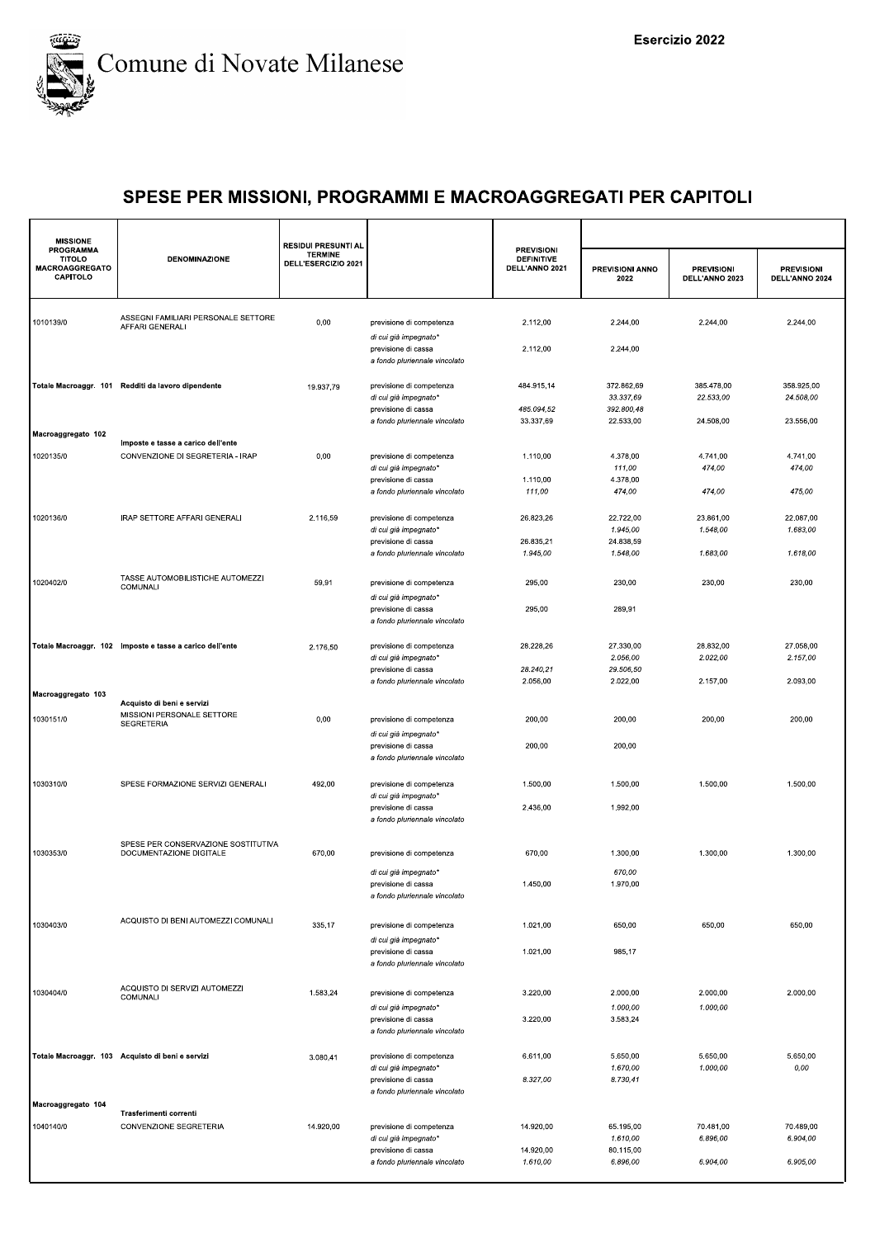

| <b>MISSIONE</b><br><b>PROGRAMMA</b>         |                                                                        | <b>RESIDUI PRESUNTI AL</b>            |                                                                               | <b>PREVISIONI</b>                   |                                       |                                     |                                     |
|---------------------------------------------|------------------------------------------------------------------------|---------------------------------------|-------------------------------------------------------------------------------|-------------------------------------|---------------------------------------|-------------------------------------|-------------------------------------|
| <b>TITOLO</b><br>MACROAGGREGATO<br>CAPITOLO | <b>DENOMINAZIONE</b>                                                   | <b>TERMINE</b><br>DELL'ESERCIZIO 2021 |                                                                               | <b>DEFINITIVE</b><br>DELL'ANNO 2021 | PREVISIONI ANNO<br>2022               | <b>PREVISIONI</b><br>DELL'ANNO 2023 | <b>PREVISIONI</b><br>DELL'ANNO 2024 |
| 1010139/0                                   | ASSEGNI FAMILIARI PERSONALE SETTORE<br><b>AFFARI GENERALI</b>          | 0,00                                  | previsione di competenza                                                      | 2.112,00                            | 2.244,00                              | 2.244,00                            | 2.244,00                            |
|                                             |                                                                        |                                       | di cui già impegnato*<br>previsione di cassa<br>a fondo pluriennale vincolato | 2.112,00                            | 2.244,00                              |                                     |                                     |
|                                             | Totale Macroaggr. 101 Redditi da lavoro dipendente                     | 19.937,79                             | previsione di competenza<br>di cui già impegnato*<br>previsione di cassa      | 484.915,14<br>485.094,52            | 372.862,69<br>33.337,69<br>392.800,48 | 385.478,00<br>22.533,00             | 358.925,00<br>24.508,00             |
| Macroaggregato 102                          |                                                                        |                                       | a fondo pluriennale vincolato                                                 | 33.337,69                           | 22.533,00                             | 24.508,00                           | 23.556,00                           |
| 1020135/0                                   | Imposte e tasse a carico dell'ente<br>CONVENZIONE DI SEGRETERIA - IRAP | 0,00                                  | previsione di competenza<br>di cui già impegnato*                             | 1.110,00                            | 4.378,00<br>111,00                    | 4.741,00<br>474,00                  | 4.741,00<br>474,00                  |
|                                             |                                                                        |                                       | previsione di cassa<br>a fondo pluriennale vincolato                          | 1.110,00<br>111,00                  | 4.378,00<br>474,00                    | 474,00                              | 475,00                              |
| 1020136/0                                   | IRAP SETTORE AFFARI GENERALI                                           | 2.116,59                              | previsione di competenza<br>di cui già impegnato*                             | 26.823,26                           | 22.722,00<br>1.945,00                 | 23.861,00<br>1.548,00               | 22.087,00<br>1.683,00               |
|                                             |                                                                        |                                       | previsione di cassa<br>a fondo pluriennale vincolato                          | 26.835,21<br>1.945,00               | 24.838,59<br>1.548,00                 | 1.683,00                            | 1.618,00                            |
| 1020402/0                                   | TASSE AUTOMOBILISTICHE AUTOMEZZI<br>COMUNALI                           | 59,91                                 | previsione di competenza                                                      | 295,00                              | 230,00                                | 230,00                              | 230,00                              |
|                                             |                                                                        |                                       | di cui già impegnato*<br>previsione di cassa<br>a fondo pluriennale vincolato | 295,00                              | 289,91                                |                                     |                                     |
|                                             | Totale Macroaggr. 102 Imposte e tasse a carico dell'ente               | 2.176,50                              | previsione di competenza<br>di cui già impegnato*                             | 28.228,26                           | 27.330,00<br>2.056,00                 | 28.832,00<br>2.022,00               | 27.058,00<br>2.157,00               |
|                                             |                                                                        |                                       | previsione di cassa<br>a fondo pluriennale vincolato                          | 28.240,21<br>2.056,00               | 29.506,50<br>2.022,00                 | 2.157,00                            | 2.093,00                            |
| Macroaggregato 103                          | Acquisto di beni e servizi                                             |                                       |                                                                               |                                     |                                       |                                     |                                     |
| 1030151/0                                   | MISSIONI PERSONALE SETTORE<br><b>SEGRETERIA</b>                        | 0,00                                  | previsione di competenza<br>di cui già impegnato*                             | 200,00                              | 200,00                                | 200,00                              | 200,00                              |
|                                             |                                                                        |                                       | previsione di cassa<br>a fondo pluriennale vincolato                          | 200,00                              | 200,00                                |                                     |                                     |
| 1030310/0                                   | SPESE FORMAZIONE SERVIZI GENERALI                                      | 492,00                                | previsione di competenza<br>di cui già impegnato*                             | 1.500,00                            | 1.500,00                              | 1.500,00                            | 1.500,00                            |
|                                             |                                                                        |                                       | previsione di cassa<br>a fondo pluriennale vincolato                          | 2.436,00                            | 1.992,00                              |                                     |                                     |
| 1030353/0                                   | SPESE PER CONSERVAZIONE SOSTITUTIVA<br>DOCUMENTAZIONE DIGITALE         | 670,00                                | previsione di competenza                                                      | 670,00                              | 1.300,00                              | 1.300,00                            | 1.300,00                            |
|                                             |                                                                        |                                       | di cui già impegnato*<br>previsione di cassa<br>a fondo pluriennale vincolato | 1.450,00                            | 670,00<br>1.970,00                    |                                     |                                     |
| 1030403/0                                   | ACQUISTO DI BENI AUTOMEZZI COMUNALI                                    | 335,17                                | previsione di competenza<br>di cui già impegnato*                             | 1.021,00                            | 650,00                                | 650,00                              | 650,00                              |
|                                             |                                                                        |                                       | previsione di cassa<br>a fondo pluriennale vincolato                          | 1.021,00                            | 985,17                                |                                     |                                     |
| 1030404/0                                   | ACQUISTO DI SERVIZI AUTOMEZZI<br>COMUNALI                              | 1.583,24                              | previsione di competenza<br>di cui già impegnato*                             | 3.220,00                            | 2.000,00<br>1.000,00                  | 2.000,00<br>1.000,00                | 2.000,00                            |
|                                             |                                                                        |                                       | previsione di cassa<br>a fondo pluriennale vincolato                          | 3.220,00                            | 3.583,24                              |                                     |                                     |
|                                             | Totale Macroaggr. 103 Acquisto di beni e servizi                       | 3.080,41                              | previsione di competenza<br>di cui già impegnato*<br>previsione di cassa      | 6.611,00<br>8.327,00                | 5.650,00<br>1.670,00<br>8.730,41      | 5.650,00<br>1.000,00                | 5.650,00<br>0,00                    |
| Macroaggregato 104                          |                                                                        |                                       | a fondo pluriennale vincolato                                                 |                                     |                                       |                                     |                                     |
| 1040140/0                                   | Trasferimenti correnti<br>CONVENZIONE SEGRETERIA                       | 14.920,00                             | previsione di competenza<br>di cui già impegnato*                             | 14.920,00                           | 65.195,00<br>1.610,00                 | 70.481,00<br>6.896,00               | 70.489,00<br>6.904,00               |
|                                             |                                                                        |                                       | previsione di cassa<br>a fondo pluriennale vincolato                          | 14.920,00<br>1.610,00               | 80.115,00<br>6.896,00                 | 6.904,00                            | 6.905,00                            |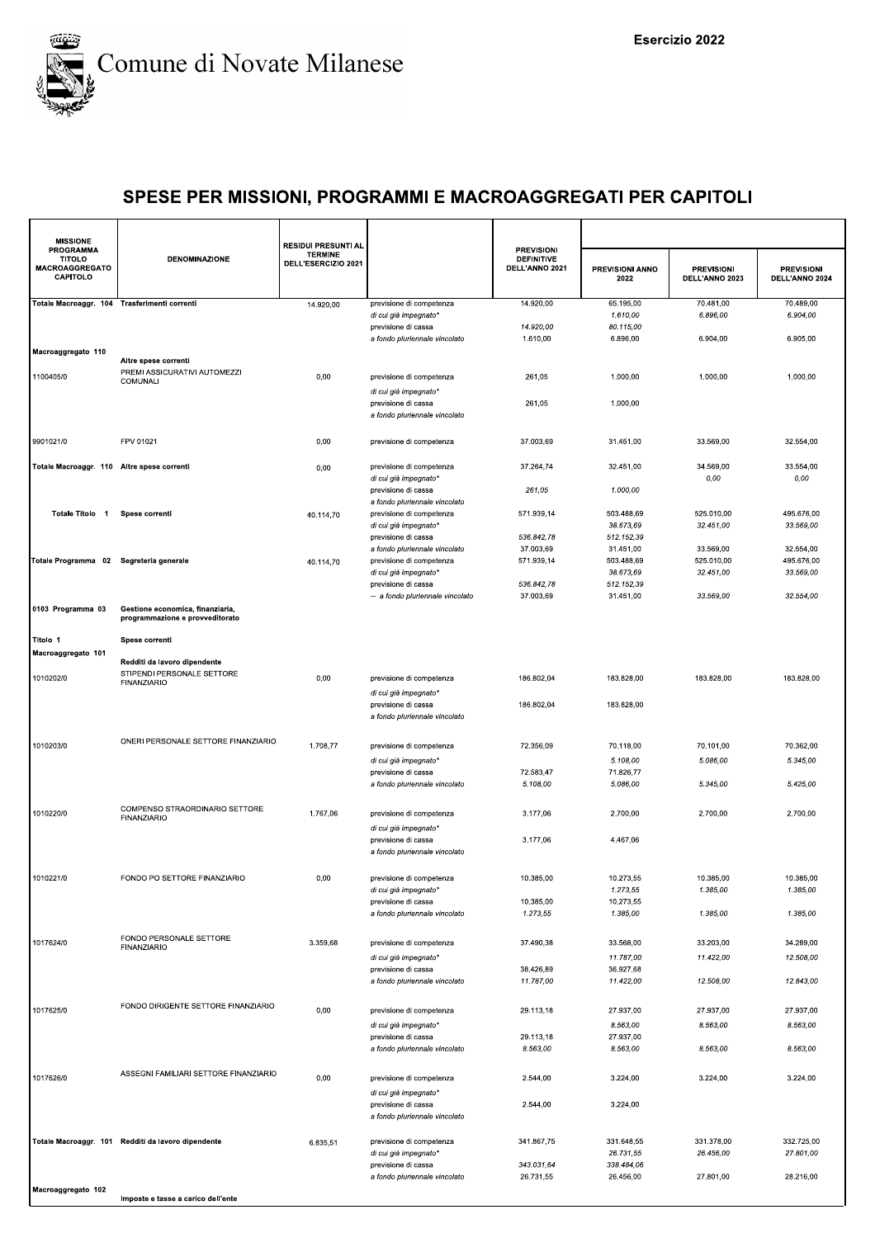

| <b>MISSIONE</b>                                                        |                                                                     | <b>RESIDUI PRESUNTI AL</b>            |                                                      |                                                          |                         |                                     |                                     |
|------------------------------------------------------------------------|---------------------------------------------------------------------|---------------------------------------|------------------------------------------------------|----------------------------------------------------------|-------------------------|-------------------------------------|-------------------------------------|
| <b>PROGRAMMA</b><br><b>TITOLO</b><br><b>MACROAGGREGATO</b><br>CAPITOLO | <b>DENOMINAZIONE</b>                                                | <b>TERMINE</b><br>DELL'ESERCIZIO 2021 |                                                      | <b>PREVISIONI</b><br><b>DEFINITIVE</b><br>DELL'ANNO 2021 | PREVISIONI ANNO<br>2022 | <b>PREVISIONI</b><br>DELL'ANNO 2023 | <b>PREVISIONI</b><br>DELL'ANNO 2024 |
| Totale Macroaggr. 104 Trasferimenti correnti                           |                                                                     | 14.920,00                             | previsione di competenza                             | 14.920.00                                                | 65.195,00               | 70.481,00                           | 70.489,00                           |
|                                                                        |                                                                     |                                       | di cui già impegnato*                                |                                                          | 1.610,00                | 6.896,00                            | 6.904,00                            |
|                                                                        |                                                                     |                                       | previsione di cassa                                  | 14.920,00                                                | 80.115,00               |                                     |                                     |
|                                                                        |                                                                     |                                       | a fondo pluriennale vincolato                        | 1.610,00                                                 | 6.896,00                | 6.904,00                            | 6.905,00                            |
| Macroaggregato 110                                                     | Altre spese correnti                                                |                                       |                                                      |                                                          |                         |                                     |                                     |
| 1100405/0                                                              | PREMI ASSICURATIVI AUTOMEZZI                                        | 0,00                                  |                                                      | 261,05                                                   | 1.000,00                | 1.000,00                            | 1.000,00                            |
|                                                                        | COMUNALI                                                            |                                       | previsione di competenza                             |                                                          |                         |                                     |                                     |
|                                                                        |                                                                     |                                       | di cui già impegnato*<br>previsione di cassa         | 261,05                                                   | 1.000,00                |                                     |                                     |
|                                                                        |                                                                     |                                       | a fondo pluriennale vincolato                        |                                                          |                         |                                     |                                     |
|                                                                        |                                                                     |                                       |                                                      |                                                          |                         |                                     |                                     |
| 9901021/0                                                              | FPV 01021                                                           | 0,00                                  | previsione di competenza                             | 37.003,69                                                | 31.451,00               | 33.569,00                           | 32.554,00                           |
|                                                                        |                                                                     |                                       |                                                      |                                                          |                         |                                     |                                     |
| Totale Macroaggr. 110 Altre spese correnti                             |                                                                     | 0,00                                  | previsione di competenza                             | 37.264,74                                                | 32.451,00               | 34.569,00                           | 33.554,00                           |
|                                                                        |                                                                     |                                       | di cui già impegnato*                                |                                                          |                         | 0,00                                | $0,00$                              |
|                                                                        |                                                                     |                                       | previsione di cassa                                  | 261,05                                                   | 1.000,00                |                                     |                                     |
|                                                                        |                                                                     |                                       | a fondo pluriennale vincolato                        |                                                          |                         |                                     |                                     |
| Totale Titolo 1                                                        | Spese correnti                                                      | 40.114,70                             | previsione di competenza                             | 571.939,14                                               | 503.488,69<br>38.673,69 | 525.010,00                          | 495.676,00                          |
|                                                                        |                                                                     |                                       | di cui già impegnato*<br>previsione di cassa         | 536.842,78                                               | 512.152,39              | 32.451,00                           | 33.569,00                           |
|                                                                        |                                                                     |                                       | a fondo pluriennale vincolato                        | 37.003,69                                                | 31.451,00               | 33.569,00                           | 32.554,00                           |
| Totale Programma 02 Segreteria generale                                |                                                                     | 40.114,70                             | previsione di competenza                             | 571.939,14                                               | 503.488,69              | 525.010,00                          | 495.676,00                          |
|                                                                        |                                                                     |                                       | di cui già impegnato*                                |                                                          | 38.673,69               | 32.451,00                           | 33.569,00                           |
|                                                                        |                                                                     |                                       | previsione di cassa                                  | 536.842,78                                               | 512.152,39              |                                     |                                     |
|                                                                        |                                                                     |                                       | -- a fondo pluriennale vincolato                     | 37.003,69                                                | 31.451,00               | 33.569,00                           | 32.554,00                           |
| 0103 Programma 03                                                      | Gestione economica, finanziaria,<br>programmazione e provveditorato |                                       |                                                      |                                                          |                         |                                     |                                     |
|                                                                        |                                                                     |                                       |                                                      |                                                          |                         |                                     |                                     |
| Titolo 1                                                               | Spese correnti                                                      |                                       |                                                      |                                                          |                         |                                     |                                     |
| Macroaggregato 101                                                     |                                                                     |                                       |                                                      |                                                          |                         |                                     |                                     |
|                                                                        | Redditi da lavoro dipendente                                        |                                       |                                                      |                                                          |                         |                                     |                                     |
| 1010202/0                                                              | STIPENDI PERSONALE SETTORE<br><b>FINANZIARIO</b>                    | 0,00                                  | previsione di competenza                             | 186.802,04                                               | 183.828,00              | 183.828,00                          | 183.828,00                          |
|                                                                        |                                                                     |                                       | di cui già impegnato*                                |                                                          |                         |                                     |                                     |
|                                                                        |                                                                     |                                       | previsione di cassa                                  | 186.802,04                                               | 183.828,00              |                                     |                                     |
|                                                                        |                                                                     |                                       | a fondo pluriennale vincolato                        |                                                          |                         |                                     |                                     |
|                                                                        | ONERI PERSONALE SETTORE FINANZIARIO                                 |                                       |                                                      |                                                          |                         |                                     |                                     |
| 1010203/0                                                              |                                                                     | 1.708,77                              | previsione di competenza                             | 72.356,09                                                | 70.118,00               | 70.101,00                           | 70.362,00                           |
|                                                                        |                                                                     |                                       | di cui già impegnato*                                |                                                          | 5.108,00                | 5.086,00                            | 5.345,00                            |
|                                                                        |                                                                     |                                       | previsione di cassa                                  | 72.583,47                                                | 71.826,77               |                                     |                                     |
|                                                                        |                                                                     |                                       | a fondo pluriennale vincolato                        | 5.108,00                                                 | 5.086,00                | 5.345,00                            | 5.425,00                            |
|                                                                        | COMPENSO STRAORDINARIO SETTORE                                      |                                       |                                                      |                                                          |                         |                                     |                                     |
| 1010220/0                                                              | <b>FINANZIARIO</b>                                                  | 1.767,06                              | previsione di competenza                             | 3.177,06                                                 | 2.700,00                | 2.700,00                            | 2.700,00                            |
|                                                                        |                                                                     |                                       | di cui già impegnato*                                |                                                          |                         |                                     |                                     |
|                                                                        |                                                                     |                                       | previsione di cassa                                  | 3.177,06                                                 | 4.467,06                |                                     |                                     |
|                                                                        |                                                                     |                                       | a fondo pluriennale vincolato                        |                                                          |                         |                                     |                                     |
|                                                                        |                                                                     |                                       |                                                      |                                                          |                         |                                     |                                     |
| 1010221/0                                                              | FONDO PO SETTORE FINANZIARIO                                        | 0,00                                  | previsione di competenza<br>di cui già impegnato*    | 10.385.00                                                | 10.273,55<br>1.273,55   | 10.385,00<br>1.385,00               | 10.385,00<br>1.385,00               |
|                                                                        |                                                                     |                                       | previsione di cassa                                  | 10.385,00                                                | 10.273,55               |                                     |                                     |
|                                                                        |                                                                     |                                       | a fondo pluriennale vincolato                        | 1.273,55                                                 | 1.385,00                | 1.385,00                            | 1.385,00                            |
|                                                                        |                                                                     |                                       |                                                      |                                                          |                         |                                     |                                     |
| 1017624/0                                                              | FONDO PERSONALE SETTORE                                             | 3.359.68                              | previsione di competenza                             | 37.490,38                                                | 33.568,00               | 33.203,00                           | 34.289,00                           |
|                                                                        | <b>FINANZIARIO</b>                                                  |                                       | di cui già impegnato*                                |                                                          | 11.787,00               | 11.422,00                           | 12.508,00                           |
|                                                                        |                                                                     |                                       | previsione di cassa                                  | 38.426,89                                                | 36.927,68               |                                     |                                     |
|                                                                        |                                                                     |                                       | a fondo pluriennale vincolato                        | 11.787,00                                                | 11.422,00               | 12.508,00                           | 12.843,00                           |
|                                                                        |                                                                     |                                       |                                                      |                                                          |                         |                                     |                                     |
| 1017625/0                                                              | FONDO DIRIGENTE SETTORE FINANZIARIO                                 | 0,00                                  | previsione di competenza                             | 29.113,18                                                | 27.937,00               | 27.937,00                           | 27.937,00                           |
|                                                                        |                                                                     |                                       | di cui già impegnato*                                |                                                          | 8.563,00                | 8.563,00                            | 8.563,00                            |
|                                                                        |                                                                     |                                       | previsione di cassa                                  | 29.113,18                                                | 27.937,00               |                                     |                                     |
|                                                                        |                                                                     |                                       | a fondo pluriennale vincolato                        | 8.563,00                                                 | 8.563,00                | 8.563,00                            | 8.563.00                            |
|                                                                        |                                                                     |                                       |                                                      |                                                          |                         |                                     |                                     |
| 1017626/0                                                              | ASSEGNI FAMILIARI SETTORE FINANZIARIO                               | 0,00                                  | previsione di competenza                             | 2.544,00                                                 | 3.224,00                | 3.224,00                            | 3.224,00                            |
|                                                                        |                                                                     |                                       | di cui già impegnato*                                |                                                          |                         |                                     |                                     |
|                                                                        |                                                                     |                                       | previsione di cassa                                  | 2.544,00                                                 | 3.224,00                |                                     |                                     |
|                                                                        |                                                                     |                                       | a fondo pluriennale vincolato                        |                                                          |                         |                                     |                                     |
|                                                                        |                                                                     |                                       |                                                      |                                                          |                         |                                     |                                     |
|                                                                        | Totale Macroaggr. 101 Redditi da lavoro dipendente                  | 6.835,51                              | previsione di competenza                             | 341.867,75                                               | 331.648,55              | 331.378,00                          | 332.725,00                          |
|                                                                        |                                                                     |                                       | di cui già impegnato*                                |                                                          | 26.731,55               | 26.456,00                           | 27.801,00                           |
|                                                                        |                                                                     |                                       | previsione di cassa<br>a fondo pluriennale vincolato | 343.031,64<br>26.731,55                                  | 338.484,06<br>26.456,00 | 27.801,00                           | 28.216,00                           |
| Macroaggregato 102                                                     |                                                                     |                                       |                                                      |                                                          |                         |                                     |                                     |
|                                                                        | Imposte e tasse a carico dell'ente                                  |                                       |                                                      |                                                          |                         |                                     |                                     |
|                                                                        |                                                                     |                                       |                                                      |                                                          |                         |                                     |                                     |
|                                                                        |                                                                     |                                       |                                                      |                                                          |                         |                                     |                                     |
|                                                                        |                                                                     |                                       |                                                      |                                                          |                         |                                     |                                     |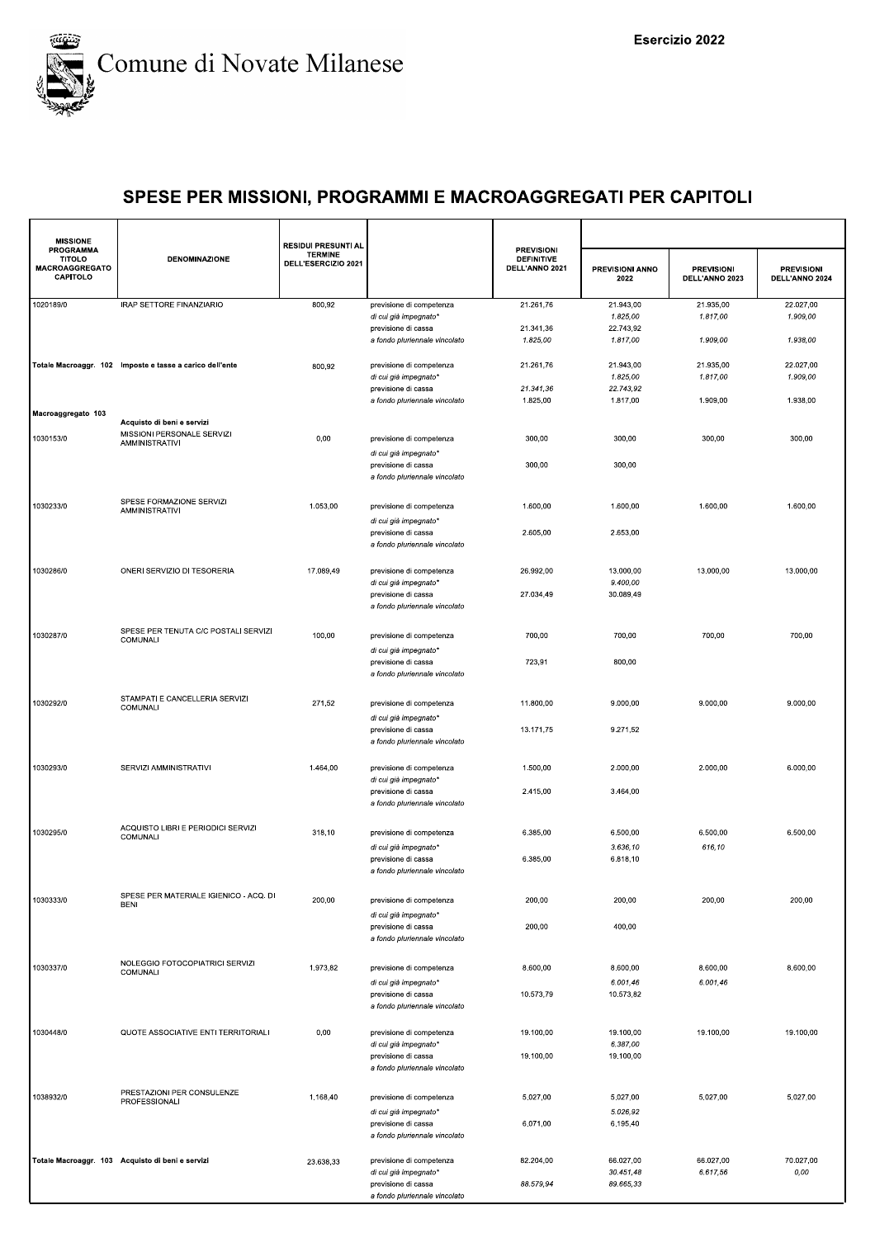

| <b>MISSIONE</b>                                                 |                                                          | <b>RESIDUI PRESUNTI AL</b>            |                                                      |                                                          |                                |                                     |                                     |
|-----------------------------------------------------------------|----------------------------------------------------------|---------------------------------------|------------------------------------------------------|----------------------------------------------------------|--------------------------------|-------------------------------------|-------------------------------------|
| PROGRAMMA<br><b>TITOLO</b><br><b>MACROAGGREGATO</b><br>CAPITOLO | <b>DENOMINAZIONE</b>                                     | <b>TERMINE</b><br>DELL'ESERCIZIO 2021 |                                                      | <b>PREVISIONI</b><br><b>DEFINITIVE</b><br>DELL'ANNO 2021 | <b>PREVISIONI ANNO</b><br>2022 | <b>PREVISIONI</b><br>DELL'ANNO 2023 | <b>PREVISIONI</b><br>DELL'ANNO 2024 |
| 1020189/0                                                       | IRAP SETTORE FINANZIARIO                                 | 800,92                                | previsione di competenza                             | 21.261,76                                                | 21.943,00                      | 21.935,00                           | 22.027,00                           |
|                                                                 |                                                          |                                       | di cui già impegnato*                                |                                                          | 1.825,00                       | 1.817,00                            | 1.909,00                            |
|                                                                 |                                                          |                                       | previsione di cassa<br>a fondo pluriennale vincolato | 21.341,36<br>1.825,00                                    | 22.743,92<br>1.817,00          | 1.909,00                            | 1.938,00                            |
|                                                                 |                                                          |                                       |                                                      |                                                          |                                |                                     |                                     |
|                                                                 | Totale Macroaggr. 102 Imposte e tasse a carico dell'ente | 800,92                                | previsione di competenza                             | 21.261,76                                                | 21.943,00                      | 21.935,00                           | 22.027,00                           |
|                                                                 |                                                          |                                       | di cui già impegnato*                                |                                                          | 1.825,00                       | 1.817,00                            | 1.909,00                            |
|                                                                 |                                                          |                                       | previsione di cassa                                  | 21.341,36                                                | 22.743,92                      |                                     |                                     |
|                                                                 |                                                          |                                       | a fondo pluriennale vincolato                        | 1.825,00                                                 | 1.817,00                       | 1.909,00                            | 1.938,00                            |
| Macroaggregato 103                                              | Acquisto di beni e servizi                               |                                       |                                                      |                                                          |                                |                                     |                                     |
| 1030153/0                                                       | MISSIONI PERSONALE SERVIZI                               | 0,00                                  | previsione di competenza                             | 300,00                                                   | 300,00                         | 300,00                              | 300,00                              |
|                                                                 | <b>AMMINISTRATIVI</b>                                    |                                       |                                                      |                                                          |                                |                                     |                                     |
|                                                                 |                                                          |                                       | di cui già impegnato*<br>previsione di cassa         | 300,00                                                   | 300,00                         |                                     |                                     |
|                                                                 |                                                          |                                       | a fondo pluriennale vincolato                        |                                                          |                                |                                     |                                     |
|                                                                 |                                                          |                                       |                                                      |                                                          |                                |                                     |                                     |
| 1030233/0                                                       | SPESE FORMAZIONE SERVIZI                                 | 1.053,00                              | previsione di competenza                             | 1.600,00                                                 | 1.600,00                       | 1.600,00                            | 1.600,00                            |
|                                                                 | <b>AMMINISTRATIVI</b>                                    |                                       | di cui già impegnato*                                |                                                          |                                |                                     |                                     |
|                                                                 |                                                          |                                       | previsione di cassa                                  | 2.605,00                                                 | 2.653,00                       |                                     |                                     |
|                                                                 |                                                          |                                       | a fondo pluriennale vincolato                        |                                                          |                                |                                     |                                     |
|                                                                 |                                                          |                                       |                                                      |                                                          |                                |                                     |                                     |
| 1030286/0                                                       | ONERI SERVIZIO DI TESORERIA                              | 17.089,49                             | previsione di competenza                             | 26.992,00                                                | 13.000,00                      | 13.000,00                           | 13.000,00                           |
|                                                                 |                                                          |                                       | di cui già impegnato'<br>previsione di cassa         | 27.034,49                                                | 9.400,00<br>30.089,49          |                                     |                                     |
|                                                                 |                                                          |                                       | a fondo pluriennale vincolato                        |                                                          |                                |                                     |                                     |
|                                                                 |                                                          |                                       |                                                      |                                                          |                                |                                     |                                     |
| 1030287/0                                                       | SPESE PER TENUTA C/C POSTALI SERVIZI                     | 100,00                                | previsione di competenza                             | 700,00                                                   | 700,00                         | 700,00                              | 700,00                              |
|                                                                 | COMUNALI                                                 |                                       | di cui già impegnato*                                |                                                          |                                |                                     |                                     |
|                                                                 |                                                          |                                       | previsione di cassa                                  | 723,91                                                   | 800,00                         |                                     |                                     |
|                                                                 |                                                          |                                       | a fondo pluriennale vincolato                        |                                                          |                                |                                     |                                     |
|                                                                 |                                                          |                                       |                                                      |                                                          |                                |                                     |                                     |
| 1030292/0                                                       | STAMPATI E CANCELLERIA SERVIZI<br>COMUNALI               | 271,52                                | previsione di competenza                             | 11.800,00                                                | 9.000,00                       | 9.000,00                            | 9.000,00                            |
|                                                                 |                                                          |                                       | di cui già impegnato*                                |                                                          |                                |                                     |                                     |
|                                                                 |                                                          |                                       | previsione di cassa                                  | 13.171,75                                                | 9.271,52                       |                                     |                                     |
|                                                                 |                                                          |                                       | a fondo pluriennale vincolato                        |                                                          |                                |                                     |                                     |
|                                                                 |                                                          |                                       |                                                      |                                                          |                                |                                     |                                     |
| 1030293/0                                                       | SERVIZI AMMINISTRATIVI                                   | 1.464,00                              | previsione di competenza<br>di cui già impegnato*    | 1.500,00                                                 | 2.000,00                       | 2.000,00                            | 6.000,00                            |
|                                                                 |                                                          |                                       | previsione di cassa                                  | 2.415,00                                                 | 3.464,00                       |                                     |                                     |
|                                                                 |                                                          |                                       | a fondo pluriennale vincolato                        |                                                          |                                |                                     |                                     |
|                                                                 |                                                          |                                       |                                                      |                                                          |                                |                                     |                                     |
| 1030295/0                                                       | ACQUISTO LIBRI E PERIODICI SERVIZI<br>COMUNALI           | 318,10                                | previsione di competenza                             | 6.385,00                                                 | 6.500,00                       | 6.500,00                            | 6.500,00                            |
|                                                                 |                                                          |                                       | di cui già impegnato*                                |                                                          | 3.636,10                       | 616,10                              |                                     |
|                                                                 |                                                          |                                       | previsione di cassa                                  | 6.385,00                                                 | 6.818,10                       |                                     |                                     |
|                                                                 |                                                          |                                       | a fondo pluriennale vincolato                        |                                                          |                                |                                     |                                     |
|                                                                 | SPESE PER MATERIALE IGIENICO - ACQ. DI                   |                                       |                                                      |                                                          |                                |                                     |                                     |
| 1030333/0                                                       | <b>BENI</b>                                              | 200,00                                | previsione di competenza                             | 200,00                                                   | 200,00                         | 200,00                              | 200,00                              |
|                                                                 |                                                          |                                       | di cui già impegnato*<br>previsione di cassa         | 200,00                                                   | 400,00                         |                                     |                                     |
|                                                                 |                                                          |                                       | a fondo pluriennale vincolato                        |                                                          |                                |                                     |                                     |
|                                                                 |                                                          |                                       |                                                      |                                                          |                                |                                     |                                     |
| 1030337/0                                                       | NOLEGGIO FOTOCOPIATRICI SERVIZI<br>COMUNALI              | 1.973,82                              | previsione di competenza                             | 8.600,00                                                 | 8.600,00                       | 8.600,00                            | 8.600,00                            |
|                                                                 |                                                          |                                       | di cui già impegnato*                                |                                                          | 6.001,46                       | 6.001,46                            |                                     |
|                                                                 |                                                          |                                       | previsione di cassa                                  | 10.573,79                                                | 10.573,82                      |                                     |                                     |
|                                                                 |                                                          |                                       | a fondo pluriennale vincolato                        |                                                          |                                |                                     |                                     |
|                                                                 |                                                          |                                       |                                                      |                                                          |                                |                                     |                                     |
| 1030448/0                                                       | QUOTE ASSOCIATIVE ENTI TERRITORIALI                      | 0,00                                  | previsione di competenza<br>di cui già impegnato*    | 19.100,00                                                | 19.100,00<br>6.387,00          | 19.100,00                           | 19.100,00                           |
|                                                                 |                                                          |                                       | previsione di cassa                                  | 19.100,00                                                | 19.100,00                      |                                     |                                     |
|                                                                 |                                                          |                                       | a fondo pluriennale vincolato                        |                                                          |                                |                                     |                                     |
|                                                                 |                                                          |                                       |                                                      |                                                          |                                |                                     |                                     |
| 1038932/0                                                       | PRESTAZIONI PER CONSULENZE<br>PROFESSIONALI              | 1.168,40                              | previsione di competenza                             | 5.027,00                                                 | 5.027,00                       | 5.027,00                            | 5.027,00                            |
|                                                                 |                                                          |                                       | di cui già impegnato*                                |                                                          | 5.026,92                       |                                     |                                     |
|                                                                 |                                                          |                                       | previsione di cassa                                  | 6.071,00                                                 | 6.195,40                       |                                     |                                     |
|                                                                 |                                                          |                                       | a fondo pluriennale vincolato                        |                                                          |                                |                                     |                                     |
|                                                                 | Totale Macroaggr. 103 Acquisto di beni e servizi         |                                       | previsione di competenza                             | 82.204,00                                                | 66.027,00                      | 66.027,00                           | 70.027,00                           |
|                                                                 |                                                          | 23.638,33                             | di cui già impegnato*                                |                                                          | 30.451,48                      | 6.617,56                            | 0,00                                |
|                                                                 |                                                          |                                       | previsione di cassa                                  | 88.579,94                                                | 89.665,33                      |                                     |                                     |
|                                                                 |                                                          |                                       | a fondo pluriennale vincolato                        |                                                          |                                |                                     |                                     |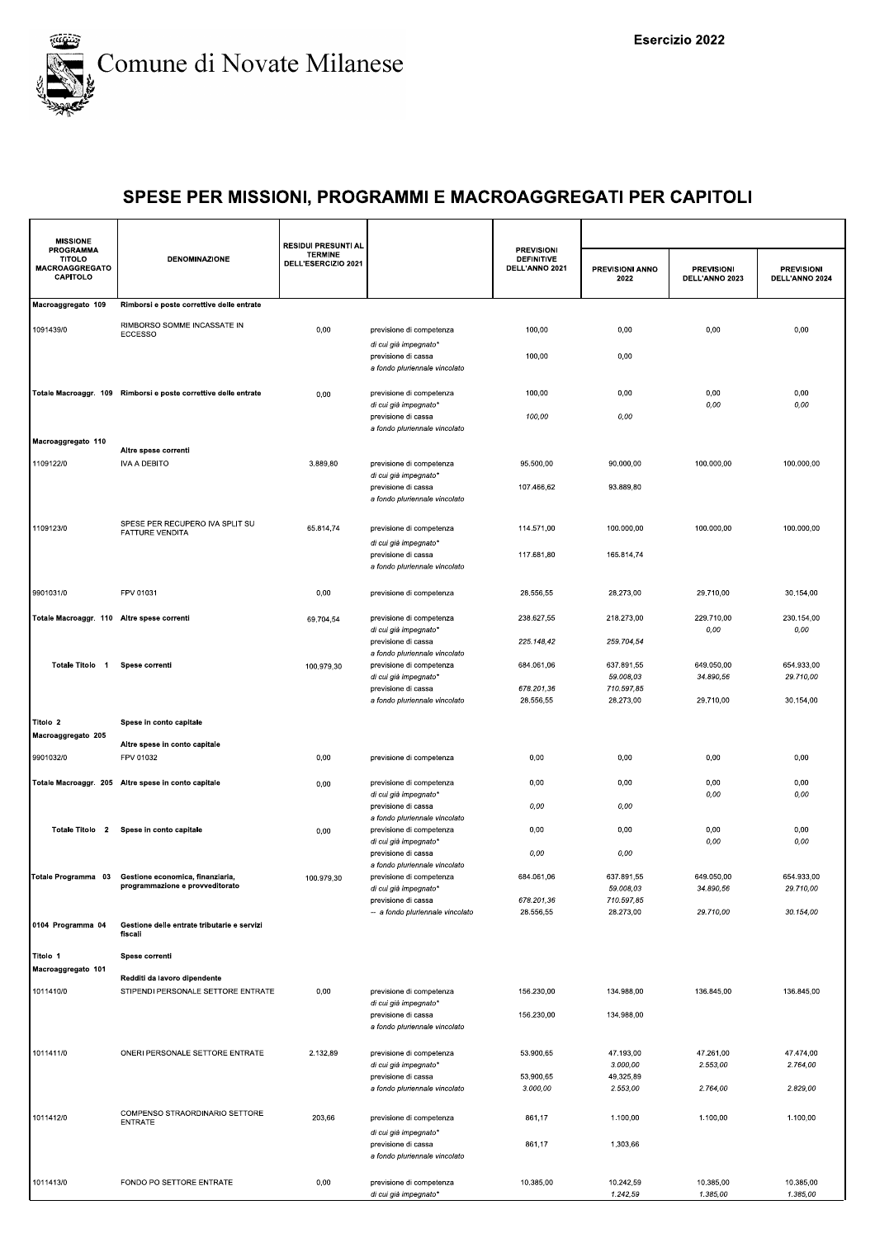

| <b>MISSIONE</b>                                                 |                                                                                         | <b>RESIDUI PRESUNTI AL</b>            |                                                                          |                                                          |                                       |                                     |                                     |
|-----------------------------------------------------------------|-----------------------------------------------------------------------------------------|---------------------------------------|--------------------------------------------------------------------------|----------------------------------------------------------|---------------------------------------|-------------------------------------|-------------------------------------|
| <b>PROGRAMMA</b><br><b>TITOLO</b><br>MACROAGGREGATO<br>CAPITOLO | DENOMINAZIONE                                                                           | <b>TERMINE</b><br>DELL'ESERCIZIO 2021 |                                                                          | <b>PREVISIONI</b><br><b>DEFINITIVE</b><br>DELL'ANNO 2021 | PREVISIONI ANNO<br>2022               | <b>PREVISIONI</b><br>DELL'ANNO 2023 | <b>PREVISIONI</b><br>DELL'ANNO 2024 |
| Macroaggregato 109                                              | Rimborsi e poste correttive delle entrate                                               |                                       |                                                                          |                                                          |                                       |                                     |                                     |
| 1091439/0                                                       | RIMBORSO SOMME INCASSATE IN<br><b>ECCESSO</b>                                           | 0,00                                  | previsione di competenza<br>di cui già impegnato*                        | 100,00                                                   | 0,00                                  | 0,00                                | 0,00                                |
|                                                                 |                                                                                         |                                       | previsione di cassa<br>a fondo pluriennale vincolato                     | 100,00                                                   | 0,00                                  |                                     |                                     |
|                                                                 | Totale Macroaggr. 109 Rimborsi e poste correttive delle entrate                         | 0,00                                  | previsione di competenza<br>di cui già impegnato*                        | 100,00<br>100,00                                         | 0,00<br>0,00                          | 0,00<br>0,00                        | 0,00<br>0,00                        |
|                                                                 |                                                                                         |                                       | previsione di cassa<br>a fondo pluriennale vincolato                     |                                                          |                                       |                                     |                                     |
| Macroaggregato 110                                              | Altre spese correnti                                                                    |                                       |                                                                          |                                                          |                                       |                                     |                                     |
| 1109122/0                                                       | <b>IVA A DEBITO</b>                                                                     | 3.889,80                              | previsione di competenza<br>di cui già impegnato'                        | 95.500,00                                                | 90.000,00                             | 100.000,00                          | 100.000,00                          |
|                                                                 |                                                                                         |                                       | previsione di cassa<br>a fondo pluriennale vincolato                     | 107.466,62                                               | 93.889,80                             |                                     |                                     |
| 1109123/0                                                       | SPESE PER RECUPERO IVA SPLIT SU<br>FATTURE VENDITA                                      | 65.814,74                             | previsione di competenza<br>di cui già impegnato*                        | 114.571,00                                               | 100.000,00                            | 100.000,00                          | 100.000,00                          |
|                                                                 |                                                                                         |                                       | previsione di cassa<br>a fondo pluriennale vincolato                     | 117.681,80                                               | 165.814,74                            |                                     |                                     |
| 9901031/0                                                       | FPV 01031                                                                               | 0,00                                  | previsione di competenza                                                 | 28.556,55                                                | 28.273,00                             | 29.710,00                           | 30.154,00                           |
| Totale Macroaggr. 110 Altre spese correnti                      |                                                                                         | 69.704,54                             | previsione di competenza<br>di cui già impegnato*                        | 238.627,55                                               | 218.273,00                            | 229.710,00<br>0,00                  | 230.154,00<br>0,00                  |
|                                                                 |                                                                                         |                                       | previsione di cassa<br>a fondo pluriennale vincolato                     | 225.148,42                                               | 259.704,54                            |                                     |                                     |
| Totale Titolo 1                                                 | Spese correnti                                                                          | 100.979,30                            | previsione di competenza<br>di cui già impegnato*<br>previsione di cassa | 684.061,06<br>678.201,36                                 | 637.891,55<br>59.008,03<br>710.597,85 | 649.050,00<br>34.890,56             | 654.933,00<br>29.710,00             |
|                                                                 |                                                                                         |                                       | a fondo pluriennale vincolato                                            | 28.556,55                                                | 28.273,00                             | 29.710,00                           | 30.154,00                           |
| Titolo 2                                                        | Spese in conto capitale                                                                 |                                       |                                                                          |                                                          |                                       |                                     |                                     |
| Macroaggregato 205                                              | Altre spese in conto capitale                                                           |                                       |                                                                          |                                                          |                                       |                                     |                                     |
| 9901032/0                                                       | FPV 01032                                                                               | 0,00                                  | previsione di competenza                                                 | 0,00                                                     | 0,00                                  | 0,00                                | 0,00                                |
|                                                                 | Totale Macroaggr. 205 Altre spese in conto capitale                                     | 0,00                                  | previsione di competenza<br>di cui già impegnato'                        | 0,00                                                     | 0,00                                  | 0,00<br>0,00                        | 0,00<br>0,00                        |
|                                                                 |                                                                                         |                                       | previsione di cassa<br>a fondo pluriennale vincolato                     | 0,00                                                     | 0,00                                  |                                     |                                     |
|                                                                 | Totale Titolo 2 Spese in conto capitale                                                 | 0,00                                  | previsione di competenza<br>di cui già impegnato*                        | 0,00                                                     | 0,00                                  | 0,00<br>0,00                        | 0,00<br>0,00                        |
|                                                                 |                                                                                         |                                       | previsione di cassa<br>a fondo pluriennale vincolato                     | 0,00                                                     | 0,00                                  |                                     |                                     |
|                                                                 | Totale Programma 03 Gestione economica, finanziaria,<br>programmazione e provveditorato | 100.979,30                            | previsione di competenza<br>di cui già impegnato*                        | 684.061,06                                               | 637.891,55<br>59.008,03               | 649.050,00<br>34.890,56             | 654.933,00<br>29.710,00             |
|                                                                 |                                                                                         |                                       | previsione di cassa                                                      | 678.201,36                                               | 710.597,85                            |                                     |                                     |
| 0104 Programma 04                                               | Gestione delle entrate tributarie e servizi<br>fiscali                                  |                                       | -- a fondo pluriennale vincolato                                         | 28.556,55                                                | 28.273,00                             | 29.710,00                           | 30.154,00                           |
| Titolo 1                                                        | Spese correnti                                                                          |                                       |                                                                          |                                                          |                                       |                                     |                                     |
| Macroaggregato 101                                              | Redditi da lavoro dipendente                                                            |                                       |                                                                          |                                                          |                                       |                                     |                                     |
| 1011410/0                                                       | STIPENDI PERSONALE SETTORE ENTRATE                                                      | 0,00                                  | previsione di competenza<br>di cui già impegnato*                        | 156.230,00                                               | 134.988,00                            | 136.845,00                          | 136.845,00                          |
|                                                                 |                                                                                         |                                       | previsione di cassa<br>a fondo pluriennale vincolato                     | 156.230,00                                               | 134.988,00                            |                                     |                                     |
| 1011411/0                                                       | ONERI PERSONALE SETTORE ENTRATE                                                         | 2.132,89                              | previsione di competenza<br>di cui già impegnato*                        | 53.900,65                                                | 47.193,00<br>3.000,00                 | 47.261,00<br>2.553,00               | 47.474,00<br>2.764,00               |
|                                                                 |                                                                                         |                                       | previsione di cassa<br>a fondo pluriennale vincolato                     | 53.900,65<br>3.000,00                                    | 49.325,89<br>2.553,00                 | 2.764,00                            | 2.829,00                            |
|                                                                 | COMPENSO STRAORDINARIO SETTORE                                                          |                                       |                                                                          |                                                          |                                       |                                     |                                     |
| 1011412/0                                                       | <b>ENTRATE</b>                                                                          | 203,66                                | previsione di competenza<br>di cui già impegnato*                        | 861,17                                                   | 1.100,00                              | 1.100,00                            | 1.100,00                            |
|                                                                 |                                                                                         |                                       | previsione di cassa<br>a fondo pluriennale vincolato                     | 861,17                                                   | 1.303,66                              |                                     |                                     |
| 1011413/0                                                       | FONDO PO SETTORE ENTRATE                                                                | 0,00                                  | previsione di competenza<br>di cui già impegnato*                        | 10.385,00                                                | 10.242,59<br>1.242,59                 | 10.385,00<br>1.385,00               | 10.385,00<br>1.385,00               |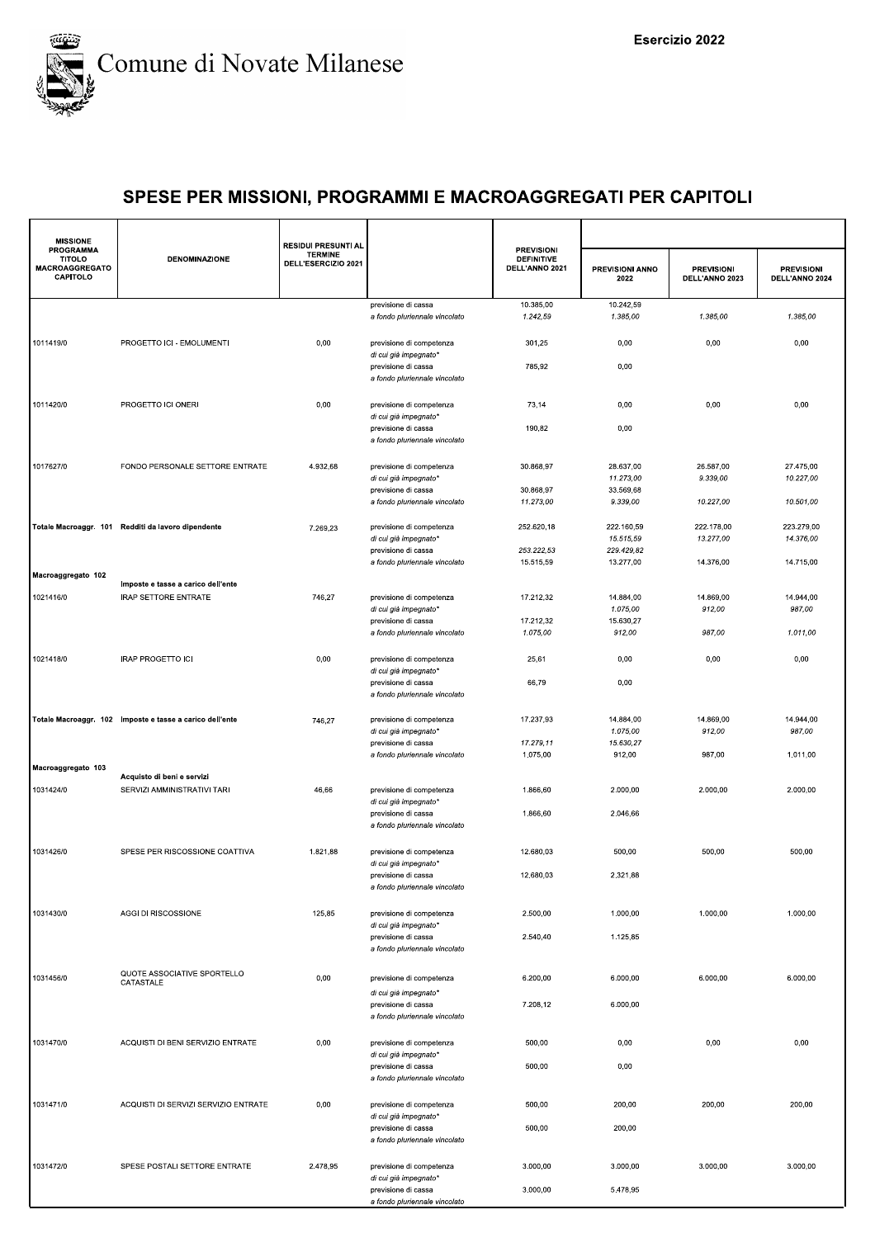

| <b>MISSIONE</b>                                                                                                                                                                                                                                                                                                                                                                                                                                               |                                      | <b>RESIDUI PRESUNTI AL</b>            |                                                                               |                                                          |                         |                                     |                                     |
|---------------------------------------------------------------------------------------------------------------------------------------------------------------------------------------------------------------------------------------------------------------------------------------------------------------------------------------------------------------------------------------------------------------------------------------------------------------|--------------------------------------|---------------------------------------|-------------------------------------------------------------------------------|----------------------------------------------------------|-------------------------|-------------------------------------|-------------------------------------|
| TITOLO<br>MACROAGGREGATO<br>CAPITOLO                                                                                                                                                                                                                                                                                                                                                                                                                          | <b>DENOMINAZIONE</b>                 | <b>TERMINE</b><br>DELL'ESERCIZIO 2021 |                                                                               | <b>PREVISIONI</b><br><b>DEFINITIVE</b><br>DELL'ANNO 2021 | PREVISIONI ANNO<br>2022 | <b>PREVISIONI</b><br>DELL'ANNO 2023 | <b>PREVISIONI</b><br>DELL'ANNO 2024 |
|                                                                                                                                                                                                                                                                                                                                                                                                                                                               |                                      |                                       | previsione di cassa<br>a fondo pluriennale vincolato                          | 10.385,00<br>1.242,59                                    | 10.242,59<br>1.385,00   | 1.385,00                            | 1.385,00                            |
| 1011419/0                                                                                                                                                                                                                                                                                                                                                                                                                                                     | PROGETTO ICI - EMOLUMENTI            | 0,00                                  | previsione di competenza<br>di cui già impegnato*                             | 301,25                                                   | 0,00                    | 0,00                                | 0,00                                |
|                                                                                                                                                                                                                                                                                                                                                                                                                                                               |                                      |                                       | previsione di cassa<br>a fondo pluriennale vincolato                          | 785,92                                                   | 0,00                    |                                     |                                     |
| 1011420/0                                                                                                                                                                                                                                                                                                                                                                                                                                                     | PROGETTO ICI ONERI                   | 0,00                                  | previsione di competenza<br>di cui già impegnato*                             | 73,14                                                    | 0,00                    | 0,00                                | 0,00                                |
|                                                                                                                                                                                                                                                                                                                                                                                                                                                               |                                      |                                       | previsione di cassa<br>a fondo pluriennale vincolato                          | 190,82                                                   | 0,00                    |                                     |                                     |
| 1017627/0                                                                                                                                                                                                                                                                                                                                                                                                                                                     | FONDO PERSONALE SETTORE ENTRATE      | 4.932,68                              | previsione di competenza                                                      | 30.868,97                                                | 28.637,00               | 26.587,00                           | 27.475,00                           |
|                                                                                                                                                                                                                                                                                                                                                                                                                                                               |                                      |                                       | di cui già impegnato*                                                         |                                                          | 11.273,00               | 9.339,00                            | 10.227,00                           |
|                                                                                                                                                                                                                                                                                                                                                                                                                                                               |                                      |                                       | previsione di cassa                                                           | 30.868,97                                                | 33.569,68               |                                     |                                     |
|                                                                                                                                                                                                                                                                                                                                                                                                                                                               |                                      |                                       | a fondo pluriennale vincolato                                                 | 11.273,00                                                | 9.339,00                | 10.227,00                           | 10.501,00                           |
|                                                                                                                                                                                                                                                                                                                                                                                                                                                               |                                      | 7.269,23                              | previsione di competenza                                                      | 252.620,18                                               | 222.160,59              | 222.178,00                          | 223.279,00                          |
| PROGRAMMA<br>Totale Macroaggr. 101 Redditi da lavoro dipendente<br>Imposte e tasse a carico dell'ente<br>1021416/0<br><b>IRAP SETTORE ENTRATE</b><br><b>IRAP PROGETTO ICI</b><br>Totale Macroaggr. 102 Imposte e tasse a carico dell'ente<br>Acquisto di beni e servizi<br>SERVIZI AMMINISTRATIVI TARI<br>1031424/0<br>SPESE PER RISCOSSIONE COATTIVA<br>AGGI DI RISCOSSIONE<br>QUOTE ASSOCIATIVE SPORTELLO<br>CATASTALE<br>ACQUISTI DI BENI SERVIZIO ENTRATE |                                      | di cui già impegnato*                 |                                                                               | 15.515,59                                                | 13.277,00               | 14.376,00                           |                                     |
|                                                                                                                                                                                                                                                                                                                                                                                                                                                               |                                      |                                       | previsione di cassa<br>a fondo pluriennale vincolato                          | 253.222,53<br>15.515,59                                  | 229.429,82<br>13.277,00 | 14.376,00                           | 14.715,00                           |
| Macroaggregato 102                                                                                                                                                                                                                                                                                                                                                                                                                                            |                                      |                                       |                                                                               |                                                          |                         |                                     |                                     |
|                                                                                                                                                                                                                                                                                                                                                                                                                                                               |                                      |                                       |                                                                               |                                                          |                         |                                     |                                     |
|                                                                                                                                                                                                                                                                                                                                                                                                                                                               |                                      | 746,27                                | previsione di competenza<br>di cui già impegnato*                             | 17.212,32                                                | 14.884,00<br>1.075,00   | 14.869,00<br>912,00                 | 14.944,00<br>987,00                 |
|                                                                                                                                                                                                                                                                                                                                                                                                                                                               |                                      |                                       | previsione di cassa                                                           | 17.212,32                                                | 15.630,27               |                                     |                                     |
|                                                                                                                                                                                                                                                                                                                                                                                                                                                               |                                      |                                       | a fondo pluriennale vincolato                                                 | 1.075,00                                                 | 912,00                  | 987,00                              | 1.011,00                            |
| 1021418/0                                                                                                                                                                                                                                                                                                                                                                                                                                                     |                                      | 0,00                                  | previsione di competenza                                                      | 25,61                                                    | 0,00                    | 0,00                                | 0,00                                |
|                                                                                                                                                                                                                                                                                                                                                                                                                                                               |                                      |                                       | di cui già impegnato*                                                         |                                                          |                         |                                     |                                     |
|                                                                                                                                                                                                                                                                                                                                                                                                                                                               |                                      |                                       | previsione di cassa<br>a fondo pluriennale vincolato                          | 66,79                                                    | 0,00                    |                                     |                                     |
|                                                                                                                                                                                                                                                                                                                                                                                                                                                               |                                      | 746,27                                | previsione di competenza                                                      | 17.237,93                                                | 14.884,00               | 14.869,00                           | 14.944,00                           |
|                                                                                                                                                                                                                                                                                                                                                                                                                                                               |                                      |                                       | di cui già impegnato*<br>previsione di cassa                                  | 17.279,11                                                | 1.075,00<br>15.630,27   | 912,00                              | 987,00                              |
|                                                                                                                                                                                                                                                                                                                                                                                                                                                               |                                      |                                       | a fondo pluriennale vincolato                                                 | 1.075,00                                                 | 912,00                  | 987,00                              | 1.011,00                            |
| Macroaggregato 103                                                                                                                                                                                                                                                                                                                                                                                                                                            |                                      |                                       |                                                                               |                                                          |                         |                                     |                                     |
|                                                                                                                                                                                                                                                                                                                                                                                                                                                               |                                      | 46,66                                 | previsione di competenza                                                      | 1.866,60                                                 | 2.000,00                | 2.000.00                            | 2.000,00                            |
|                                                                                                                                                                                                                                                                                                                                                                                                                                                               |                                      |                                       | di cui già impegnato'                                                         |                                                          |                         |                                     |                                     |
|                                                                                                                                                                                                                                                                                                                                                                                                                                                               |                                      |                                       | previsione di cassa<br>a fondo pluriennale vincolato                          | 1.866,60                                                 | 2.046,66                |                                     |                                     |
| 1031426/0                                                                                                                                                                                                                                                                                                                                                                                                                                                     |                                      | 1.821,88                              | previsione di competenza<br>di cui già impegnato*                             | 12.680,03                                                | 500,00                  | 500,00                              | 500,00                              |
|                                                                                                                                                                                                                                                                                                                                                                                                                                                               |                                      |                                       | previsione di cassa<br>a fondo pluriennale vincolato                          | 12.680,03                                                | 2.321,88                |                                     |                                     |
| 1031430/0                                                                                                                                                                                                                                                                                                                                                                                                                                                     |                                      | 125,85                                | previsione di competenza<br>di cui già impegnato*                             | 2.500,00                                                 | 1.000,00                | 1.000,00                            | 1.000,00                            |
|                                                                                                                                                                                                                                                                                                                                                                                                                                                               |                                      |                                       | previsione di cassa<br>a fondo pluriennale vincolato                          | 2.540,40                                                 | 1.125,85                |                                     |                                     |
| 1031456/0                                                                                                                                                                                                                                                                                                                                                                                                                                                     |                                      | 0,00                                  | previsione di competenza                                                      | 6.200,00                                                 | 6.000,00                | 6.000,00                            | 6.000,00                            |
|                                                                                                                                                                                                                                                                                                                                                                                                                                                               |                                      |                                       | di cui già impegnato*<br>previsione di cassa<br>a fondo pluriennale vincolato | 7.208,12                                                 | 6.000,00                |                                     |                                     |
| 1031470/0                                                                                                                                                                                                                                                                                                                                                                                                                                                     |                                      | 0,00                                  | previsione di competenza<br>di cui già impegnato*                             | 500,00                                                   | 0,00                    | 0,00                                | 0,00                                |
|                                                                                                                                                                                                                                                                                                                                                                                                                                                               |                                      |                                       | previsione di cassa<br>a fondo pluriennale vincolato                          | 500,00                                                   | 0,00                    |                                     |                                     |
| 1031471/0                                                                                                                                                                                                                                                                                                                                                                                                                                                     | ACQUISTI DI SERVIZI SERVIZIO ENTRATE | 0,00                                  | previsione di competenza<br>di cui già impegnato*                             | 500,00                                                   | 200,00                  | 200,00                              | 200,00                              |
|                                                                                                                                                                                                                                                                                                                                                                                                                                                               |                                      |                                       | previsione di cassa<br>a fondo pluriennale vincolato                          | 500,00                                                   | 200,00                  |                                     |                                     |
| 1031472/0                                                                                                                                                                                                                                                                                                                                                                                                                                                     | SPESE POSTALI SETTORE ENTRATE        | 2.478,95                              | previsione di competenza<br>di cui già impegnato*                             | 3.000,00                                                 | 3.000,00                | 3.000,00                            | 3.000,00                            |
|                                                                                                                                                                                                                                                                                                                                                                                                                                                               |                                      |                                       | previsione di cassa<br>a fondo pluriennale vincolato                          | 3.000,00                                                 | 5.478,95                |                                     |                                     |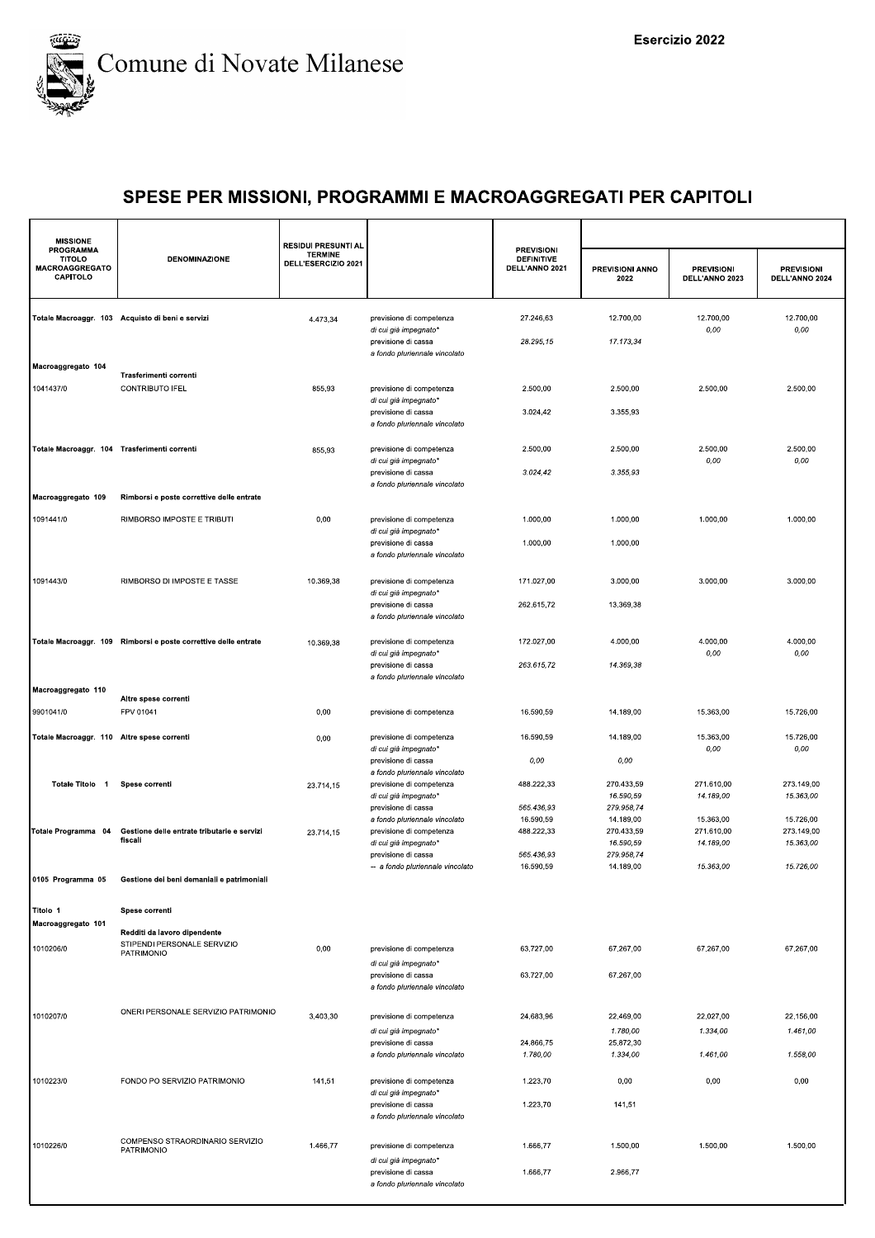

| <b>PROGRAMMA</b><br><b>PREVISIONI</b><br><b>TERMINE</b><br><b>TITOLO</b><br><b>DENOMINAZIONE</b><br><b>DEFINITIVE</b><br>DELL'ESERCIZIO 2021<br>MACROAGGREGATO<br>DELL'ANNO 2021<br>PREVISIONI ANNO<br><b>PREVISIONI</b><br><b>PREVISIONI</b><br>CAPITOLO<br>DELL'ANNO 2024<br>2022<br>DELL'ANNO 2023<br>12.700,00<br>12.700,00<br>Totale Macroaggr. 103 Acquisto di beni e servizi<br>previsione di competenza<br>27.246,63<br>12.700,00<br>4.473,34<br>0,00<br>0,00<br>di cui già impegnato*<br>28.295,15<br>17.173,34<br>previsione di cassa<br>a fondo pluriennale vincolato<br>Macroaggregato 104<br>Trasferimenti correnti<br>1041437/0<br>CONTRIBUTO IFEL<br>855,93<br>2.500,00<br>previsione di competenza<br>2.500.00<br>2.500,00<br>2.500,00<br>di cui già impegnato*<br>3.024,42<br>3.355,93<br>previsione di cassa<br>a fondo pluriennale vincolato<br>2.500,00<br>2.500,00<br>Totale Macroaggr. 104 Trasferimenti correnti<br>2.500,00<br>2.500,00<br>previsione di competenza<br>855,93<br>0,00<br>$0,00$<br>di cui già impegnato*<br>previsione di cassa<br>3.024, 42<br>3.355,93<br>a fondo pluriennale vincolato<br>Macroaggregato 109<br>Rimborsi e poste correttive delle entrate<br>1091441/0<br>RIMBORSO IMPOSTE E TRIBUTI<br>0,00<br>1.000,00<br>1.000,00<br>1.000,00<br>1.000,00<br>previsione di competenza<br>di cui già impegnato*<br>previsione di cassa<br>1.000,00<br>1.000,00<br>a fondo pluriennale vincolato<br>1091443/0<br>RIMBORSO DI IMPOSTE E TASSE<br>10.369,38<br>3.000,00<br>3.000.00<br>previsione di competenza<br>171.027,00<br>3.000,00<br>di cui già impegnato*<br>previsione di cassa<br>262.615,72<br>13.369.38<br>a fondo pluriennale vincolato<br>172.027,00<br>4.000,00<br>4.000,00<br>4.000,00<br>Totale Macroaggr. 109 Rimborsi e poste correttive delle entrate<br>previsione di competenza<br>10.369,38<br>di cui già impegnato*<br>0,00<br>0,00<br>263.615,72<br>14.369,38<br>previsione di cassa<br>a fondo pluriennale vincolato<br>Macroaggregato 110<br>Altre spese correnti<br>9901041/0<br>FPV 01041<br>0,00<br>16.590,59<br>15.363,00<br>15.726,00<br>previsione di competenza<br>14.189,00<br>Totale Macroaggr. 110 Altre spese correnti<br>previsione di competenza<br>16.590,59<br>14.189,00<br>15.363,00<br>15.726,00<br>0,00<br>0,00<br>0,00<br>di cui già impegnato*<br>0,00<br>0,00<br>previsione di cassa<br>a fondo pluriennale vincolato<br>Totale Titolo 1<br>488.222,33<br>270.433,59<br>271.610,00<br>273.149,00<br>Spese correnti<br>previsione di competenza<br>23.714,15<br>16.590,59<br>14.189,00<br>15.363,00<br>di cui già impegnato*<br>565.436,93<br>279.958,74<br>previsione di cassa<br>16.590,59<br>14.189,00<br>15.363,00<br>15.726,00<br>a fondo pluriennale vincolato<br>488.222,33<br>270.433,59<br>Gestione delle entrate tributarie e servizi<br>previsione di competenza<br>271.610,00<br>273.149,00<br>Totale Programma 04<br>23.714,15<br>fiscali<br>di cui già impegnato*<br>16.590,59<br>14.189,00<br>15.363,00<br>565.436,93<br>279.958.74<br>previsione di cassa<br>16.590,59<br>14.189,00<br>15.726,00<br>-- a fondo pluriennale vincolato<br>15.363,00<br>0105 Programma 05<br>Gestione dei beni demaniali e patrimoniali<br>Titolo 1<br>Spese correnti<br>Macroaggregato 101<br>Redditi da lavoro dipendente<br>STIPENDI PERSONALE SERVIZIO<br>1010206/0<br>0,00<br>previsione di competenza<br>63.727,00<br>67.267,00<br>67.267,00<br>67.267.00<br><b>PATRIMONIO</b><br>di cui già impegnato*<br>63.727,00<br>67.267,00<br>previsione di cassa<br>a fondo pluriennale vincolato<br>ONERI PERSONALE SERVIZIO PATRIMONIO<br>1010207/0<br>3.403,30<br>previsione di competenza<br>24.683,96<br>22.469,00<br>22.027,00<br>22.156,00<br>1.780,00<br>1.334,00<br>1.461,00<br>di cui già impegnato*<br>24.866,75<br>25.872,30<br>previsione di cassa<br>a fondo pluriennale vincolato<br>1.780,00<br>1.334,00<br>1.461,00<br>1.558,00<br>1010223/0<br>FONDO PO SERVIZIO PATRIMONIO<br>141,51<br>1.223,70<br>0,00<br>0,00<br>0,00<br>previsione di competenza<br>di cui già impegnato*<br>1.223,70<br>141,51<br>previsione di cassa<br>a fondo pluriennale vincolato<br>COMPENSO STRAORDINARIO SERVIZIO<br>1010226/0<br>1.466,77<br>1.666,77<br>1.500,00<br>1.500,00<br>1.500,00<br>previsione di competenza<br>PATRIMONIO<br>di cui già impegnato*<br>1.666,77<br>2.966,77<br>previsione di cassa<br>a fondo pluriennale vincolato | <b>MISSIONE</b> | <b>RESIDUI PRESUNTI AL</b> |  |  |  |
|------------------------------------------------------------------------------------------------------------------------------------------------------------------------------------------------------------------------------------------------------------------------------------------------------------------------------------------------------------------------------------------------------------------------------------------------------------------------------------------------------------------------------------------------------------------------------------------------------------------------------------------------------------------------------------------------------------------------------------------------------------------------------------------------------------------------------------------------------------------------------------------------------------------------------------------------------------------------------------------------------------------------------------------------------------------------------------------------------------------------------------------------------------------------------------------------------------------------------------------------------------------------------------------------------------------------------------------------------------------------------------------------------------------------------------------------------------------------------------------------------------------------------------------------------------------------------------------------------------------------------------------------------------------------------------------------------------------------------------------------------------------------------------------------------------------------------------------------------------------------------------------------------------------------------------------------------------------------------------------------------------------------------------------------------------------------------------------------------------------------------------------------------------------------------------------------------------------------------------------------------------------------------------------------------------------------------------------------------------------------------------------------------------------------------------------------------------------------------------------------------------------------------------------------------------------------------------------------------------------------------------------------------------------------------------------------------------------------------------------------------------------------------------------------------------------------------------------------------------------------------------------------------------------------------------------------------------------------------------------------------------------------------------------------------------------------------------------------------------------------------------------------------------------------------------------------------------------------------------------------------------------------------------------------------------------------------------------------------------------------------------------------------------------------------------------------------------------------------------------------------------------------------------------------------------------------------------------------------------------------------------------------------------------------------------------------------------------------------------------------------------------------------------------------------------------------------------------------------------------------------------------------------------------------------------------------------------------------------------------------------------------------------------------------------------------------------------------------------------------------------------------------------------------------------------------------------------------------------------------------------------------------------------------------------------------------------------------------------------------------------------------------------------------------------------|-----------------|----------------------------|--|--|--|
|                                                                                                                                                                                                                                                                                                                                                                                                                                                                                                                                                                                                                                                                                                                                                                                                                                                                                                                                                                                                                                                                                                                                                                                                                                                                                                                                                                                                                                                                                                                                                                                                                                                                                                                                                                                                                                                                                                                                                                                                                                                                                                                                                                                                                                                                                                                                                                                                                                                                                                                                                                                                                                                                                                                                                                                                                                                                                                                                                                                                                                                                                                                                                                                                                                                                                                                                                                                                                                                                                                                                                                                                                                                                                                                                                                                                                                                                                                                                                                                                                                                                                                                                                                                                                                                                                                                                                                                                                                    |                 |                            |  |  |  |
|                                                                                                                                                                                                                                                                                                                                                                                                                                                                                                                                                                                                                                                                                                                                                                                                                                                                                                                                                                                                                                                                                                                                                                                                                                                                                                                                                                                                                                                                                                                                                                                                                                                                                                                                                                                                                                                                                                                                                                                                                                                                                                                                                                                                                                                                                                                                                                                                                                                                                                                                                                                                                                                                                                                                                                                                                                                                                                                                                                                                                                                                                                                                                                                                                                                                                                                                                                                                                                                                                                                                                                                                                                                                                                                                                                                                                                                                                                                                                                                                                                                                                                                                                                                                                                                                                                                                                                                                                                    |                 |                            |  |  |  |
|                                                                                                                                                                                                                                                                                                                                                                                                                                                                                                                                                                                                                                                                                                                                                                                                                                                                                                                                                                                                                                                                                                                                                                                                                                                                                                                                                                                                                                                                                                                                                                                                                                                                                                                                                                                                                                                                                                                                                                                                                                                                                                                                                                                                                                                                                                                                                                                                                                                                                                                                                                                                                                                                                                                                                                                                                                                                                                                                                                                                                                                                                                                                                                                                                                                                                                                                                                                                                                                                                                                                                                                                                                                                                                                                                                                                                                                                                                                                                                                                                                                                                                                                                                                                                                                                                                                                                                                                                                    |                 |                            |  |  |  |
|                                                                                                                                                                                                                                                                                                                                                                                                                                                                                                                                                                                                                                                                                                                                                                                                                                                                                                                                                                                                                                                                                                                                                                                                                                                                                                                                                                                                                                                                                                                                                                                                                                                                                                                                                                                                                                                                                                                                                                                                                                                                                                                                                                                                                                                                                                                                                                                                                                                                                                                                                                                                                                                                                                                                                                                                                                                                                                                                                                                                                                                                                                                                                                                                                                                                                                                                                                                                                                                                                                                                                                                                                                                                                                                                                                                                                                                                                                                                                                                                                                                                                                                                                                                                                                                                                                                                                                                                                                    |                 |                            |  |  |  |
|                                                                                                                                                                                                                                                                                                                                                                                                                                                                                                                                                                                                                                                                                                                                                                                                                                                                                                                                                                                                                                                                                                                                                                                                                                                                                                                                                                                                                                                                                                                                                                                                                                                                                                                                                                                                                                                                                                                                                                                                                                                                                                                                                                                                                                                                                                                                                                                                                                                                                                                                                                                                                                                                                                                                                                                                                                                                                                                                                                                                                                                                                                                                                                                                                                                                                                                                                                                                                                                                                                                                                                                                                                                                                                                                                                                                                                                                                                                                                                                                                                                                                                                                                                                                                                                                                                                                                                                                                                    |                 |                            |  |  |  |
|                                                                                                                                                                                                                                                                                                                                                                                                                                                                                                                                                                                                                                                                                                                                                                                                                                                                                                                                                                                                                                                                                                                                                                                                                                                                                                                                                                                                                                                                                                                                                                                                                                                                                                                                                                                                                                                                                                                                                                                                                                                                                                                                                                                                                                                                                                                                                                                                                                                                                                                                                                                                                                                                                                                                                                                                                                                                                                                                                                                                                                                                                                                                                                                                                                                                                                                                                                                                                                                                                                                                                                                                                                                                                                                                                                                                                                                                                                                                                                                                                                                                                                                                                                                                                                                                                                                                                                                                                                    |                 |                            |  |  |  |
|                                                                                                                                                                                                                                                                                                                                                                                                                                                                                                                                                                                                                                                                                                                                                                                                                                                                                                                                                                                                                                                                                                                                                                                                                                                                                                                                                                                                                                                                                                                                                                                                                                                                                                                                                                                                                                                                                                                                                                                                                                                                                                                                                                                                                                                                                                                                                                                                                                                                                                                                                                                                                                                                                                                                                                                                                                                                                                                                                                                                                                                                                                                                                                                                                                                                                                                                                                                                                                                                                                                                                                                                                                                                                                                                                                                                                                                                                                                                                                                                                                                                                                                                                                                                                                                                                                                                                                                                                                    |                 |                            |  |  |  |
|                                                                                                                                                                                                                                                                                                                                                                                                                                                                                                                                                                                                                                                                                                                                                                                                                                                                                                                                                                                                                                                                                                                                                                                                                                                                                                                                                                                                                                                                                                                                                                                                                                                                                                                                                                                                                                                                                                                                                                                                                                                                                                                                                                                                                                                                                                                                                                                                                                                                                                                                                                                                                                                                                                                                                                                                                                                                                                                                                                                                                                                                                                                                                                                                                                                                                                                                                                                                                                                                                                                                                                                                                                                                                                                                                                                                                                                                                                                                                                                                                                                                                                                                                                                                                                                                                                                                                                                                                                    |                 |                            |  |  |  |
|                                                                                                                                                                                                                                                                                                                                                                                                                                                                                                                                                                                                                                                                                                                                                                                                                                                                                                                                                                                                                                                                                                                                                                                                                                                                                                                                                                                                                                                                                                                                                                                                                                                                                                                                                                                                                                                                                                                                                                                                                                                                                                                                                                                                                                                                                                                                                                                                                                                                                                                                                                                                                                                                                                                                                                                                                                                                                                                                                                                                                                                                                                                                                                                                                                                                                                                                                                                                                                                                                                                                                                                                                                                                                                                                                                                                                                                                                                                                                                                                                                                                                                                                                                                                                                                                                                                                                                                                                                    |                 |                            |  |  |  |
|                                                                                                                                                                                                                                                                                                                                                                                                                                                                                                                                                                                                                                                                                                                                                                                                                                                                                                                                                                                                                                                                                                                                                                                                                                                                                                                                                                                                                                                                                                                                                                                                                                                                                                                                                                                                                                                                                                                                                                                                                                                                                                                                                                                                                                                                                                                                                                                                                                                                                                                                                                                                                                                                                                                                                                                                                                                                                                                                                                                                                                                                                                                                                                                                                                                                                                                                                                                                                                                                                                                                                                                                                                                                                                                                                                                                                                                                                                                                                                                                                                                                                                                                                                                                                                                                                                                                                                                                                                    |                 |                            |  |  |  |
|                                                                                                                                                                                                                                                                                                                                                                                                                                                                                                                                                                                                                                                                                                                                                                                                                                                                                                                                                                                                                                                                                                                                                                                                                                                                                                                                                                                                                                                                                                                                                                                                                                                                                                                                                                                                                                                                                                                                                                                                                                                                                                                                                                                                                                                                                                                                                                                                                                                                                                                                                                                                                                                                                                                                                                                                                                                                                                                                                                                                                                                                                                                                                                                                                                                                                                                                                                                                                                                                                                                                                                                                                                                                                                                                                                                                                                                                                                                                                                                                                                                                                                                                                                                                                                                                                                                                                                                                                                    |                 |                            |  |  |  |
|                                                                                                                                                                                                                                                                                                                                                                                                                                                                                                                                                                                                                                                                                                                                                                                                                                                                                                                                                                                                                                                                                                                                                                                                                                                                                                                                                                                                                                                                                                                                                                                                                                                                                                                                                                                                                                                                                                                                                                                                                                                                                                                                                                                                                                                                                                                                                                                                                                                                                                                                                                                                                                                                                                                                                                                                                                                                                                                                                                                                                                                                                                                                                                                                                                                                                                                                                                                                                                                                                                                                                                                                                                                                                                                                                                                                                                                                                                                                                                                                                                                                                                                                                                                                                                                                                                                                                                                                                                    |                 |                            |  |  |  |
|                                                                                                                                                                                                                                                                                                                                                                                                                                                                                                                                                                                                                                                                                                                                                                                                                                                                                                                                                                                                                                                                                                                                                                                                                                                                                                                                                                                                                                                                                                                                                                                                                                                                                                                                                                                                                                                                                                                                                                                                                                                                                                                                                                                                                                                                                                                                                                                                                                                                                                                                                                                                                                                                                                                                                                                                                                                                                                                                                                                                                                                                                                                                                                                                                                                                                                                                                                                                                                                                                                                                                                                                                                                                                                                                                                                                                                                                                                                                                                                                                                                                                                                                                                                                                                                                                                                                                                                                                                    |                 |                            |  |  |  |
|                                                                                                                                                                                                                                                                                                                                                                                                                                                                                                                                                                                                                                                                                                                                                                                                                                                                                                                                                                                                                                                                                                                                                                                                                                                                                                                                                                                                                                                                                                                                                                                                                                                                                                                                                                                                                                                                                                                                                                                                                                                                                                                                                                                                                                                                                                                                                                                                                                                                                                                                                                                                                                                                                                                                                                                                                                                                                                                                                                                                                                                                                                                                                                                                                                                                                                                                                                                                                                                                                                                                                                                                                                                                                                                                                                                                                                                                                                                                                                                                                                                                                                                                                                                                                                                                                                                                                                                                                                    |                 |                            |  |  |  |
|                                                                                                                                                                                                                                                                                                                                                                                                                                                                                                                                                                                                                                                                                                                                                                                                                                                                                                                                                                                                                                                                                                                                                                                                                                                                                                                                                                                                                                                                                                                                                                                                                                                                                                                                                                                                                                                                                                                                                                                                                                                                                                                                                                                                                                                                                                                                                                                                                                                                                                                                                                                                                                                                                                                                                                                                                                                                                                                                                                                                                                                                                                                                                                                                                                                                                                                                                                                                                                                                                                                                                                                                                                                                                                                                                                                                                                                                                                                                                                                                                                                                                                                                                                                                                                                                                                                                                                                                                                    |                 |                            |  |  |  |
|                                                                                                                                                                                                                                                                                                                                                                                                                                                                                                                                                                                                                                                                                                                                                                                                                                                                                                                                                                                                                                                                                                                                                                                                                                                                                                                                                                                                                                                                                                                                                                                                                                                                                                                                                                                                                                                                                                                                                                                                                                                                                                                                                                                                                                                                                                                                                                                                                                                                                                                                                                                                                                                                                                                                                                                                                                                                                                                                                                                                                                                                                                                                                                                                                                                                                                                                                                                                                                                                                                                                                                                                                                                                                                                                                                                                                                                                                                                                                                                                                                                                                                                                                                                                                                                                                                                                                                                                                                    |                 |                            |  |  |  |
|                                                                                                                                                                                                                                                                                                                                                                                                                                                                                                                                                                                                                                                                                                                                                                                                                                                                                                                                                                                                                                                                                                                                                                                                                                                                                                                                                                                                                                                                                                                                                                                                                                                                                                                                                                                                                                                                                                                                                                                                                                                                                                                                                                                                                                                                                                                                                                                                                                                                                                                                                                                                                                                                                                                                                                                                                                                                                                                                                                                                                                                                                                                                                                                                                                                                                                                                                                                                                                                                                                                                                                                                                                                                                                                                                                                                                                                                                                                                                                                                                                                                                                                                                                                                                                                                                                                                                                                                                                    |                 |                            |  |  |  |
|                                                                                                                                                                                                                                                                                                                                                                                                                                                                                                                                                                                                                                                                                                                                                                                                                                                                                                                                                                                                                                                                                                                                                                                                                                                                                                                                                                                                                                                                                                                                                                                                                                                                                                                                                                                                                                                                                                                                                                                                                                                                                                                                                                                                                                                                                                                                                                                                                                                                                                                                                                                                                                                                                                                                                                                                                                                                                                                                                                                                                                                                                                                                                                                                                                                                                                                                                                                                                                                                                                                                                                                                                                                                                                                                                                                                                                                                                                                                                                                                                                                                                                                                                                                                                                                                                                                                                                                                                                    |                 |                            |  |  |  |
|                                                                                                                                                                                                                                                                                                                                                                                                                                                                                                                                                                                                                                                                                                                                                                                                                                                                                                                                                                                                                                                                                                                                                                                                                                                                                                                                                                                                                                                                                                                                                                                                                                                                                                                                                                                                                                                                                                                                                                                                                                                                                                                                                                                                                                                                                                                                                                                                                                                                                                                                                                                                                                                                                                                                                                                                                                                                                                                                                                                                                                                                                                                                                                                                                                                                                                                                                                                                                                                                                                                                                                                                                                                                                                                                                                                                                                                                                                                                                                                                                                                                                                                                                                                                                                                                                                                                                                                                                                    |                 |                            |  |  |  |
|                                                                                                                                                                                                                                                                                                                                                                                                                                                                                                                                                                                                                                                                                                                                                                                                                                                                                                                                                                                                                                                                                                                                                                                                                                                                                                                                                                                                                                                                                                                                                                                                                                                                                                                                                                                                                                                                                                                                                                                                                                                                                                                                                                                                                                                                                                                                                                                                                                                                                                                                                                                                                                                                                                                                                                                                                                                                                                                                                                                                                                                                                                                                                                                                                                                                                                                                                                                                                                                                                                                                                                                                                                                                                                                                                                                                                                                                                                                                                                                                                                                                                                                                                                                                                                                                                                                                                                                                                                    |                 |                            |  |  |  |
|                                                                                                                                                                                                                                                                                                                                                                                                                                                                                                                                                                                                                                                                                                                                                                                                                                                                                                                                                                                                                                                                                                                                                                                                                                                                                                                                                                                                                                                                                                                                                                                                                                                                                                                                                                                                                                                                                                                                                                                                                                                                                                                                                                                                                                                                                                                                                                                                                                                                                                                                                                                                                                                                                                                                                                                                                                                                                                                                                                                                                                                                                                                                                                                                                                                                                                                                                                                                                                                                                                                                                                                                                                                                                                                                                                                                                                                                                                                                                                                                                                                                                                                                                                                                                                                                                                                                                                                                                                    |                 |                            |  |  |  |
|                                                                                                                                                                                                                                                                                                                                                                                                                                                                                                                                                                                                                                                                                                                                                                                                                                                                                                                                                                                                                                                                                                                                                                                                                                                                                                                                                                                                                                                                                                                                                                                                                                                                                                                                                                                                                                                                                                                                                                                                                                                                                                                                                                                                                                                                                                                                                                                                                                                                                                                                                                                                                                                                                                                                                                                                                                                                                                                                                                                                                                                                                                                                                                                                                                                                                                                                                                                                                                                                                                                                                                                                                                                                                                                                                                                                                                                                                                                                                                                                                                                                                                                                                                                                                                                                                                                                                                                                                                    |                 |                            |  |  |  |
|                                                                                                                                                                                                                                                                                                                                                                                                                                                                                                                                                                                                                                                                                                                                                                                                                                                                                                                                                                                                                                                                                                                                                                                                                                                                                                                                                                                                                                                                                                                                                                                                                                                                                                                                                                                                                                                                                                                                                                                                                                                                                                                                                                                                                                                                                                                                                                                                                                                                                                                                                                                                                                                                                                                                                                                                                                                                                                                                                                                                                                                                                                                                                                                                                                                                                                                                                                                                                                                                                                                                                                                                                                                                                                                                                                                                                                                                                                                                                                                                                                                                                                                                                                                                                                                                                                                                                                                                                                    |                 |                            |  |  |  |
|                                                                                                                                                                                                                                                                                                                                                                                                                                                                                                                                                                                                                                                                                                                                                                                                                                                                                                                                                                                                                                                                                                                                                                                                                                                                                                                                                                                                                                                                                                                                                                                                                                                                                                                                                                                                                                                                                                                                                                                                                                                                                                                                                                                                                                                                                                                                                                                                                                                                                                                                                                                                                                                                                                                                                                                                                                                                                                                                                                                                                                                                                                                                                                                                                                                                                                                                                                                                                                                                                                                                                                                                                                                                                                                                                                                                                                                                                                                                                                                                                                                                                                                                                                                                                                                                                                                                                                                                                                    |                 |                            |  |  |  |
|                                                                                                                                                                                                                                                                                                                                                                                                                                                                                                                                                                                                                                                                                                                                                                                                                                                                                                                                                                                                                                                                                                                                                                                                                                                                                                                                                                                                                                                                                                                                                                                                                                                                                                                                                                                                                                                                                                                                                                                                                                                                                                                                                                                                                                                                                                                                                                                                                                                                                                                                                                                                                                                                                                                                                                                                                                                                                                                                                                                                                                                                                                                                                                                                                                                                                                                                                                                                                                                                                                                                                                                                                                                                                                                                                                                                                                                                                                                                                                                                                                                                                                                                                                                                                                                                                                                                                                                                                                    |                 |                            |  |  |  |
|                                                                                                                                                                                                                                                                                                                                                                                                                                                                                                                                                                                                                                                                                                                                                                                                                                                                                                                                                                                                                                                                                                                                                                                                                                                                                                                                                                                                                                                                                                                                                                                                                                                                                                                                                                                                                                                                                                                                                                                                                                                                                                                                                                                                                                                                                                                                                                                                                                                                                                                                                                                                                                                                                                                                                                                                                                                                                                                                                                                                                                                                                                                                                                                                                                                                                                                                                                                                                                                                                                                                                                                                                                                                                                                                                                                                                                                                                                                                                                                                                                                                                                                                                                                                                                                                                                                                                                                                                                    |                 |                            |  |  |  |
|                                                                                                                                                                                                                                                                                                                                                                                                                                                                                                                                                                                                                                                                                                                                                                                                                                                                                                                                                                                                                                                                                                                                                                                                                                                                                                                                                                                                                                                                                                                                                                                                                                                                                                                                                                                                                                                                                                                                                                                                                                                                                                                                                                                                                                                                                                                                                                                                                                                                                                                                                                                                                                                                                                                                                                                                                                                                                                                                                                                                                                                                                                                                                                                                                                                                                                                                                                                                                                                                                                                                                                                                                                                                                                                                                                                                                                                                                                                                                                                                                                                                                                                                                                                                                                                                                                                                                                                                                                    |                 |                            |  |  |  |
|                                                                                                                                                                                                                                                                                                                                                                                                                                                                                                                                                                                                                                                                                                                                                                                                                                                                                                                                                                                                                                                                                                                                                                                                                                                                                                                                                                                                                                                                                                                                                                                                                                                                                                                                                                                                                                                                                                                                                                                                                                                                                                                                                                                                                                                                                                                                                                                                                                                                                                                                                                                                                                                                                                                                                                                                                                                                                                                                                                                                                                                                                                                                                                                                                                                                                                                                                                                                                                                                                                                                                                                                                                                                                                                                                                                                                                                                                                                                                                                                                                                                                                                                                                                                                                                                                                                                                                                                                                    |                 |                            |  |  |  |
|                                                                                                                                                                                                                                                                                                                                                                                                                                                                                                                                                                                                                                                                                                                                                                                                                                                                                                                                                                                                                                                                                                                                                                                                                                                                                                                                                                                                                                                                                                                                                                                                                                                                                                                                                                                                                                                                                                                                                                                                                                                                                                                                                                                                                                                                                                                                                                                                                                                                                                                                                                                                                                                                                                                                                                                                                                                                                                                                                                                                                                                                                                                                                                                                                                                                                                                                                                                                                                                                                                                                                                                                                                                                                                                                                                                                                                                                                                                                                                                                                                                                                                                                                                                                                                                                                                                                                                                                                                    |                 |                            |  |  |  |
|                                                                                                                                                                                                                                                                                                                                                                                                                                                                                                                                                                                                                                                                                                                                                                                                                                                                                                                                                                                                                                                                                                                                                                                                                                                                                                                                                                                                                                                                                                                                                                                                                                                                                                                                                                                                                                                                                                                                                                                                                                                                                                                                                                                                                                                                                                                                                                                                                                                                                                                                                                                                                                                                                                                                                                                                                                                                                                                                                                                                                                                                                                                                                                                                                                                                                                                                                                                                                                                                                                                                                                                                                                                                                                                                                                                                                                                                                                                                                                                                                                                                                                                                                                                                                                                                                                                                                                                                                                    |                 |                            |  |  |  |
|                                                                                                                                                                                                                                                                                                                                                                                                                                                                                                                                                                                                                                                                                                                                                                                                                                                                                                                                                                                                                                                                                                                                                                                                                                                                                                                                                                                                                                                                                                                                                                                                                                                                                                                                                                                                                                                                                                                                                                                                                                                                                                                                                                                                                                                                                                                                                                                                                                                                                                                                                                                                                                                                                                                                                                                                                                                                                                                                                                                                                                                                                                                                                                                                                                                                                                                                                                                                                                                                                                                                                                                                                                                                                                                                                                                                                                                                                                                                                                                                                                                                                                                                                                                                                                                                                                                                                                                                                                    |                 |                            |  |  |  |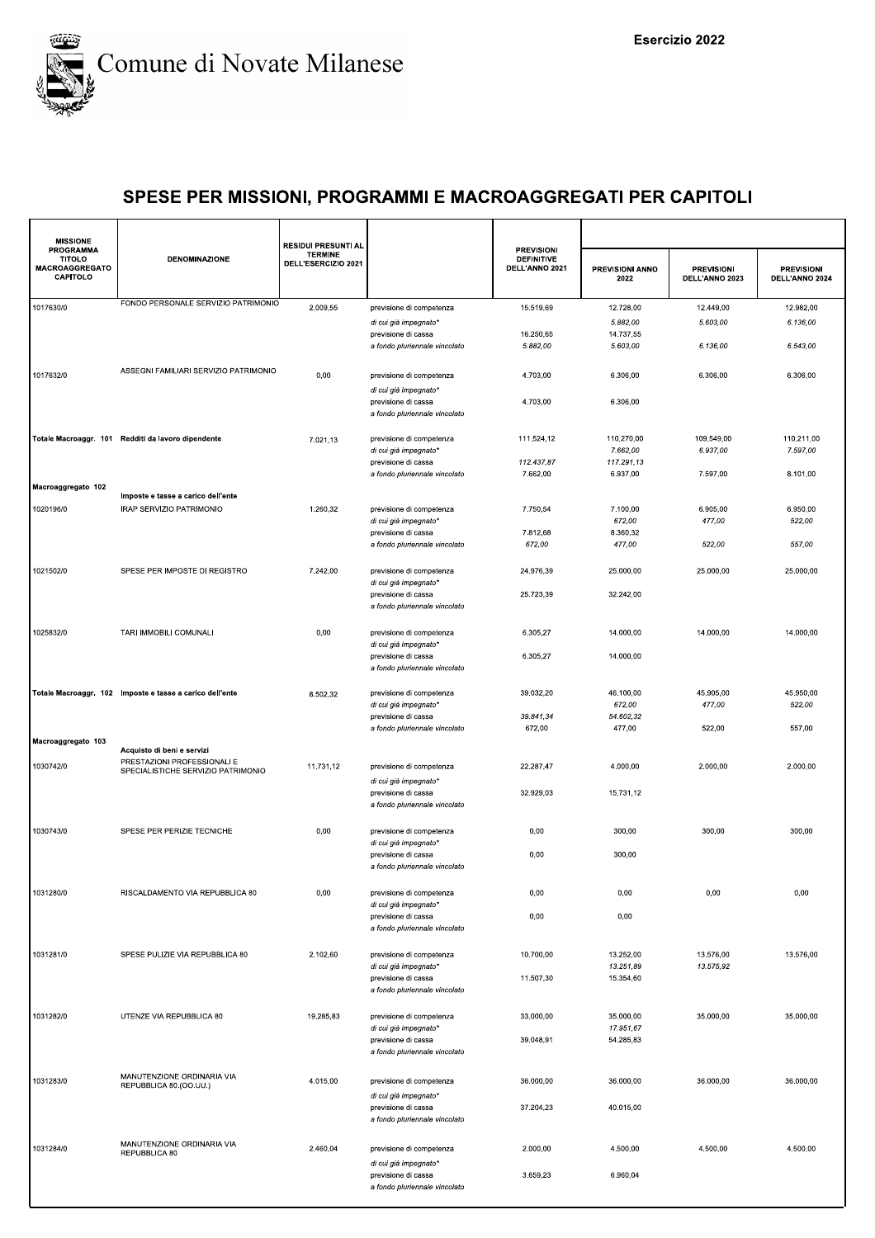

| <b>MISSIONE</b>                                          |                                                           | RESIDUI PRESUNTI AL                   |                                                      |                                                          |                                |                                     |                                     |
|----------------------------------------------------------|-----------------------------------------------------------|---------------------------------------|------------------------------------------------------|----------------------------------------------------------|--------------------------------|-------------------------------------|-------------------------------------|
| PROGRAMMA<br><b>TITOLO</b><br>MACROAGGREGATO<br>CAPITOLO | <b>DENOMINAZIONE</b>                                      | <b>TERMINE</b><br>DELL'ESERCIZIO 2021 |                                                      | <b>PREVISIONI</b><br><b>DEFINITIVE</b><br>DELL'ANNO 2021 | <b>PREVISIONI ANNO</b><br>2022 | <b>PREVISIONI</b><br>DELL'ANNO 2023 | <b>PREVISIONI</b><br>DELL'ANNO 2024 |
| 1017630/0                                                | FONDO PERSONALE SERVIZIO PATRIMONIO                       | 2.009,55                              | previsione di competenza                             | 15.519,69                                                | 12.728,00                      | 12.449,00                           | 12.982,00                           |
|                                                          |                                                           |                                       | di cui già impegnato*                                |                                                          | 5.882,00                       | 5.603,00                            | 6.136,00                            |
|                                                          |                                                           |                                       | previsione di cassa                                  | 16.250,65                                                | 14.737,55                      |                                     |                                     |
|                                                          |                                                           |                                       | a fondo pluriennale vincolato                        | 5.882,00                                                 | 5.603,00                       | 6.136,00                            | 6.543,00                            |
|                                                          |                                                           |                                       |                                                      |                                                          |                                |                                     |                                     |
| 1017632/0                                                | ASSEGNI FAMILIARI SERVIZIO PATRIMONIO                     | 0,00                                  | previsione di competenza                             | 4.703.00                                                 | 6.306,00                       | 6.306,00                            | 6.306,00                            |
|                                                          |                                                           |                                       | di cui già impegnato*                                |                                                          |                                |                                     |                                     |
|                                                          |                                                           |                                       | previsione di cassa<br>a fondo pluriennale vincolato | 4.703,00                                                 | 6.306,00                       |                                     |                                     |
|                                                          | Totale Macroaggr. 101 Redditi da lavoro dipendente        | 7.021,13                              | previsione di competenza                             | 111.524,12                                               | 110.270,00                     | 109.549,00                          | 110.211,00                          |
|                                                          |                                                           |                                       | di cui già impegnato*                                |                                                          | 7.662,00                       | 6.937,00                            | 7.597,00                            |
|                                                          |                                                           |                                       | previsione di cassa                                  | 112.437,87                                               | 117.291,13                     |                                     |                                     |
|                                                          |                                                           |                                       | a fondo pluriennale vincolato                        | 7.662,00                                                 | 6.937,00                       | 7.597,00                            | 8.101,00                            |
| Macroaggregato 102                                       |                                                           |                                       |                                                      |                                                          |                                |                                     |                                     |
|                                                          | Imposte e tasse a carico dell'ente                        |                                       |                                                      |                                                          |                                |                                     |                                     |
| 1020196/0                                                | IRAP SERVIZIO PATRIMONIO                                  | 1.260,32                              | previsione di competenza                             | 7.750,54                                                 | 7.100,00                       | 6.905,00                            | 6.950,00                            |
|                                                          |                                                           |                                       | di cui già impegnato*                                |                                                          | 672,00                         | 477,00                              | 522,00                              |
|                                                          |                                                           |                                       | previsione di cassa                                  | 7.812,68                                                 | 8.360,32                       |                                     |                                     |
|                                                          |                                                           |                                       | a fondo pluriennale vincolato                        | 672,00                                                   | 477,00                         | 522,00                              | 557,00                              |
|                                                          |                                                           |                                       |                                                      |                                                          |                                |                                     |                                     |
| 1021502/0                                                | SPESE PER IMPOSTE DI REGISTRO                             | 7.242,00                              | previsione di competenza                             | 24.976,39                                                | 25.000,00                      | 25.000,00                           | 25.000,00                           |
|                                                          |                                                           |                                       | di cui già impegnato*                                |                                                          |                                |                                     |                                     |
|                                                          |                                                           |                                       | previsione di cassa                                  | 25.723,39                                                | 32.242,00                      |                                     |                                     |
|                                                          |                                                           |                                       | a fondo pluriennale vincolato                        |                                                          |                                |                                     |                                     |
| 1025832/0                                                | TARI IMMOBILI COMUNALI                                    | 0,00                                  | previsione di competenza<br>di cui già impegnato*    | 6.305,27                                                 | 14.000,00                      | 14.000,00                           | 14.000,00                           |
|                                                          |                                                           |                                       | previsione di cassa                                  | 6.305,27                                                 | 14.000,00                      |                                     |                                     |
|                                                          |                                                           |                                       | a fondo pluriennale vincolato                        |                                                          |                                |                                     |                                     |
|                                                          |                                                           |                                       |                                                      |                                                          |                                |                                     |                                     |
|                                                          | Totale Macroaggr. 102 Imposte e tasse a carico dell'ente  | 8.502,32                              | previsione di competenza                             | 39.032,20                                                | 46.100,00                      | 45.905,00                           | 45.950,00                           |
|                                                          |                                                           |                                       | di cui già impegnato*                                |                                                          | 672,00                         | 477,00                              | 522,00                              |
|                                                          |                                                           |                                       | previsione di cassa                                  | 39.841,34                                                | 54.602,32                      |                                     |                                     |
|                                                          |                                                           |                                       | a fondo pluriennale vincolato                        | 672,00                                                   | 477,00                         | 522,00                              | 557,00                              |
| Macroaggregato 103                                       |                                                           |                                       |                                                      |                                                          |                                |                                     |                                     |
|                                                          | Acquisto di beni e servizi<br>PRESTAZIONI PROFESSIONALI E |                                       |                                                      |                                                          |                                |                                     |                                     |
| 1030742/0                                                | SPECIALISTICHE SERVIZIO PATRIMONIO                        | 11.731,12                             | previsione di competenza                             | 22.287,47                                                | 4.000,00                       | 2.000,00                            | 2.000,00                            |
|                                                          |                                                           |                                       | di cui già impegnato*                                |                                                          |                                |                                     |                                     |
|                                                          |                                                           |                                       | previsione di cassa                                  | 32.929,03                                                | 15.731,12                      |                                     |                                     |
|                                                          |                                                           |                                       | a fondo pluriennale vincolato                        |                                                          |                                |                                     |                                     |
|                                                          |                                                           |                                       |                                                      |                                                          |                                |                                     |                                     |
| 1030743/0                                                | SPESE PER PERIZIE TECNICHE                                | 0,00                                  | previsione di competenza                             | 0,00                                                     | 300,00                         | 300,00                              | 300,00                              |
|                                                          |                                                           |                                       | di cui già impegnato*                                |                                                          |                                |                                     |                                     |
|                                                          |                                                           |                                       | previsione di cassa                                  | 0,00                                                     | 300,00                         |                                     |                                     |
|                                                          |                                                           |                                       | a fondo pluriennale vincolato                        |                                                          |                                |                                     |                                     |
| 1031280/0                                                | RISCALDAMENTO VIA REPUBBLICA 80                           | 0,00                                  | previsione di competenza                             | 0,00                                                     | 0,00                           | 0,00                                | 0,00                                |
|                                                          |                                                           |                                       | di cui già impegnato*                                |                                                          |                                |                                     |                                     |
|                                                          |                                                           |                                       | previsione di cassa<br>a fondo pluriennale vincolato | 0,00                                                     | 0,00                           |                                     |                                     |
|                                                          |                                                           |                                       |                                                      |                                                          |                                |                                     |                                     |
| 1031281/0                                                | SPESE PULIZIE VIA REPUBBLICA 80                           | 2.102,60                              | previsione di competenza                             | 10.700,00                                                | 13.252,00                      | 13.576,00                           | 13.576,00                           |
|                                                          |                                                           |                                       | di cui già impegnato*                                |                                                          | 13.251,89                      | 13.575,92                           |                                     |
|                                                          |                                                           |                                       | previsione di cassa                                  | 11.507,30                                                | 15.354,60                      |                                     |                                     |
|                                                          |                                                           |                                       | a fondo pluriennale vincolato                        |                                                          |                                |                                     |                                     |
|                                                          |                                                           |                                       |                                                      |                                                          |                                |                                     |                                     |
| 1031282/0                                                | UTENZE VIA REPUBBLICA 80                                  | 19.285,83                             | previsione di competenza                             | 33.000,00                                                | 35.000,00                      | 35.000.00                           | 35.000,00                           |
|                                                          |                                                           |                                       | di cui già impegnato*                                |                                                          | 17.951,67                      |                                     |                                     |
|                                                          |                                                           |                                       | previsione di cassa                                  | 39.048,91                                                | 54.285,83                      |                                     |                                     |
|                                                          |                                                           |                                       | a fondo pluriennale vincolato                        |                                                          |                                |                                     |                                     |
|                                                          |                                                           |                                       |                                                      |                                                          |                                |                                     |                                     |
| 1031283/0                                                | MANUTENZIONE ORDINARIA VIA                                | 4.015,00                              | previsione di competenza                             | 36.000,00                                                | 36.000,00                      | 36.000,00                           | 36.000,00                           |
|                                                          | REPUBBLICA 80.(OO.UU.)                                    |                                       | di cui già impegnato*                                |                                                          |                                |                                     |                                     |
|                                                          |                                                           |                                       | previsione di cassa                                  | 37.204,23                                                | 40.015,00                      |                                     |                                     |
|                                                          |                                                           |                                       | a fondo pluriennale vincolato                        |                                                          |                                |                                     |                                     |
|                                                          |                                                           |                                       |                                                      |                                                          |                                |                                     |                                     |
|                                                          | MANUTENZIONE ORDINARIA VIA                                |                                       |                                                      |                                                          |                                |                                     |                                     |
| 1031284/0                                                | REPUBBLICA 80                                             | 2.460,04                              | previsione di competenza                             | 2.000,00                                                 | 4.500,00                       | 4.500,00                            | 4.500,00                            |
|                                                          |                                                           |                                       | di cui già impegnato*                                |                                                          |                                |                                     |                                     |
|                                                          |                                                           |                                       | previsione di cassa                                  | 3.659,23                                                 | 6.960,04                       |                                     |                                     |
|                                                          |                                                           |                                       | a fondo pluriennale vincolato                        |                                                          |                                |                                     |                                     |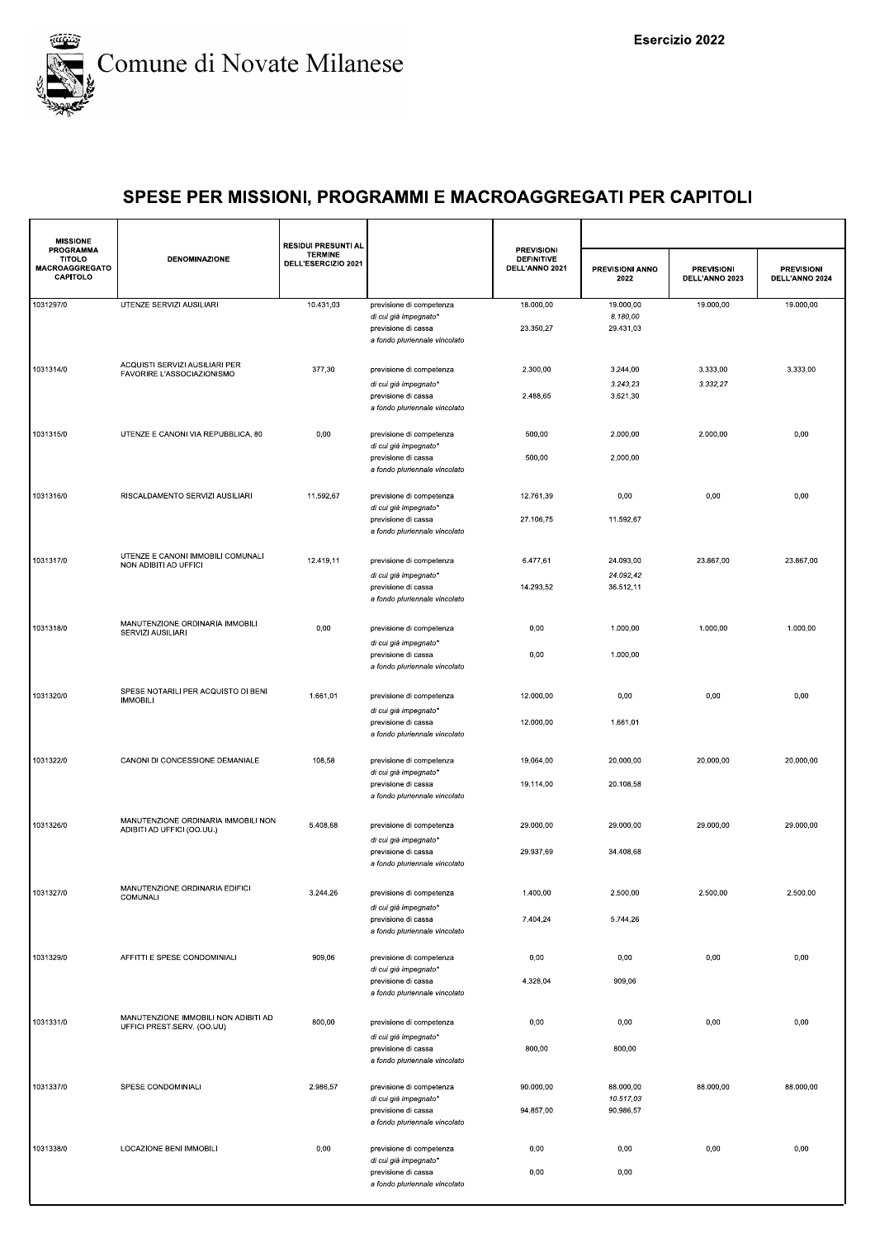

| <b>MISSIONE</b>                                                 |                                                                    | <b>RESIDUI PRESUNTI AL</b>            |                                                                               |                                                          |                                |                                     |                                     |
|-----------------------------------------------------------------|--------------------------------------------------------------------|---------------------------------------|-------------------------------------------------------------------------------|----------------------------------------------------------|--------------------------------|-------------------------------------|-------------------------------------|
| <b>PROGRAMMA</b><br><b>TITOLO</b><br>MACROAGGREGATO<br>CAPITOLO | <b>DENOMINAZIONE</b>                                               | <b>TERMINE</b><br>DELL'ESERCIZIO 2021 |                                                                               | <b>PREVISIONI</b><br><b>DEFINITIVE</b><br>DELL'ANNO 2021 | <b>PREVISIONI ANNO</b><br>2022 | <b>PREVISIONI</b><br>DELL'ANNO 2023 | <b>PREVISIONI</b><br>DELL'ANNO 2024 |
| 1031297/0                                                       | UTENZE SERVIZI AUSILIARI                                           | 10.431,03                             | previsione di competenza                                                      | 18.000,00                                                | 19.000,00<br>8.180,00          | 19.000,00                           | 19.000,00                           |
|                                                                 |                                                                    |                                       | di cui già impegnato*<br>previsione di cassa<br>a fondo pluriennale vincolato | 23.350,27                                                | 29.431,03                      |                                     |                                     |
| 1031314/0                                                       | ACQUISTI SERVIZI AUSILIARI PER<br>FAVORIRE L'ASSOCIAZIONISMO       | 377,30                                | previsione di competenza                                                      | 2.300,00                                                 | 3.244,00                       | 3.333,00                            | 3.333.00                            |
|                                                                 |                                                                    |                                       | di cui già impegnato*<br>previsione di cassa                                  | 2.488,65                                                 | 3.243,23<br>3.621,30           | 3.332,27                            |                                     |
|                                                                 |                                                                    |                                       | a fondo pluriennale vincolato                                                 |                                                          |                                |                                     |                                     |
| 1031315/0                                                       | UTENZE E CANONI VIA REPUBBLICA, 80                                 | 0,00                                  | previsione di competenza<br>di cui già impegnato*                             | 500,00                                                   | 2.000,00                       | 2.000,00                            | 0,00                                |
|                                                                 |                                                                    |                                       | previsione di cassa<br>a fondo pluriennale vincolato                          | 500,00                                                   | 2.000,00                       |                                     |                                     |
| 1031316/0                                                       | RISCALDAMENTO SERVIZI AUSILIARI                                    | 11.592,67                             | previsione di competenza<br>di cui già impegnato*                             | 12.761,39                                                | 0,00                           | 0,00                                | 0,00                                |
|                                                                 |                                                                    |                                       | previsione di cassa<br>a fondo pluriennale vincolato                          | 27.106,75                                                | 11.592,67                      |                                     |                                     |
| 1031317/0                                                       | UTENZE E CANONI IMMOBILI COMUNALI<br>NON ADIBITI AD UFFICI         | 12.419,11                             | previsione di competenza                                                      | 6.477,61                                                 | 24.093,00                      | 23.867,00                           | 23.867,00                           |
|                                                                 |                                                                    |                                       | di cui già impegnato*                                                         |                                                          | 24.092,42                      |                                     |                                     |
|                                                                 |                                                                    |                                       | previsione di cassa<br>a fondo pluriennale vincolato                          | 14.293,52                                                | 36.512,11                      |                                     |                                     |
| 1031318/0                                                       | MANUTENZIONE ORDINARIA IMMOBILI<br>SERVIZI AUSILIARI               | 0,00                                  | previsione di competenza                                                      | 0,00                                                     | 1.000,00                       | 1.000,00                            | 1.000,00                            |
|                                                                 |                                                                    |                                       | di cui già impegnato*<br>previsione di cassa                                  | 0,00                                                     | 1.000,00                       |                                     |                                     |
|                                                                 |                                                                    |                                       | a fondo pluriennale vincolato                                                 |                                                          |                                |                                     |                                     |
| 1031320/0                                                       | SPESE NOTARILI PER ACQUISTO DI BENI<br><b>IMMOBILI</b>             | 1.661,01                              | previsione di competenza                                                      | 12.000,00                                                | 0,00                           | 0,00                                | 0,00                                |
|                                                                 |                                                                    |                                       | di cui già impegnato*<br>previsione di cassa                                  | 12.000,00                                                | 1.661,01                       |                                     |                                     |
|                                                                 |                                                                    |                                       | a fondo pluriennale vincolato                                                 |                                                          |                                |                                     |                                     |
| 1031322/0                                                       | CANONI DI CONCESSIONE DEMANIALE                                    | 108,58                                | previsione di competenza<br>di cui già impegnato*                             | 19.064,00                                                | 20.000,00                      | 20.000,00                           | 20.000,00                           |
|                                                                 |                                                                    |                                       | previsione di cassa<br>a fondo pluriennale vincolato                          | 19.114,00                                                | 20.108,58                      |                                     |                                     |
| 1031326/0                                                       | MANUTENZIONE ORDINARIA IMMOBILI NON<br>ADIBITI AD UFFICI (OO.UU.)  | 5.408,68                              | previsione di competenza<br>di cui già impegnato*                             | 29.000,00                                                | 29.000,00                      | 29.000,00                           | 29.000,00                           |
|                                                                 |                                                                    |                                       | previsione di cassa<br>a fondo pluriennale vincolato                          | 29.937,69                                                | 34.408,68                      |                                     |                                     |
| 1031327/0                                                       | MANUTENZIONE ORDINARIA EDIFICI<br>COMUNALI                         | 3.244,26                              | previsione di competenza                                                      | 1.400,00                                                 | 2.500,00                       | 2.500,00                            | 2.500,00                            |
|                                                                 |                                                                    |                                       | di cui già impegnato*<br>previsione di cassa                                  | 7.404,24                                                 | 5.744,26                       |                                     |                                     |
|                                                                 |                                                                    |                                       | a fondo pluriennale vincolato                                                 |                                                          |                                |                                     |                                     |
| 1031329/0                                                       | AFFITTI E SPESE CONDOMINIALI                                       | 909,06                                | previsione di competenza<br>di cui già impegnato*                             | 0,00                                                     | 0,00                           | 0,00                                | 0,00                                |
|                                                                 |                                                                    |                                       | previsione di cassa<br>a fondo pluriennale vincolato                          | 4.328,04                                                 | 909,06                         |                                     |                                     |
| 1031331/0                                                       | MANUTENZIONE IMMOBILI NON ADIBITI AD<br>UFFICI PREST.SERV. (OO.UU) | 800,00                                | previsione di competenza                                                      | 0,00                                                     | 0,00                           | 0,00                                | 0,00                                |
|                                                                 |                                                                    |                                       | di cui già impegnato*<br>previsione di cassa                                  | 800,00                                                   | 800,00                         |                                     |                                     |
|                                                                 |                                                                    |                                       | a fondo pluriennale vincolato                                                 |                                                          |                                |                                     |                                     |
| 1031337/0                                                       | SPESE CONDOMINIALI                                                 | 2.986,57                              | previsione di competenza<br>di cui già impegnato*                             | 90.000,00                                                | 88.000,00<br>10.517,03         | 88.000,00                           | 88.000,00                           |
|                                                                 |                                                                    |                                       | previsione di cassa<br>a fondo pluriennale vincolato                          | 94.857,00                                                | 90.986,57                      |                                     |                                     |
| 1031338/0                                                       | LOCAZIONE BENI IMMOBILI                                            | 0,00                                  | previsione di competenza                                                      | 0,00                                                     | 0,00                           | 0,00                                | 0,00                                |
|                                                                 |                                                                    |                                       | di cui già impegnato*<br>previsione di cassa                                  | 0,00                                                     | 0,00                           |                                     |                                     |
|                                                                 |                                                                    |                                       | a fondo pluriennale vincolato                                                 |                                                          |                                |                                     |                                     |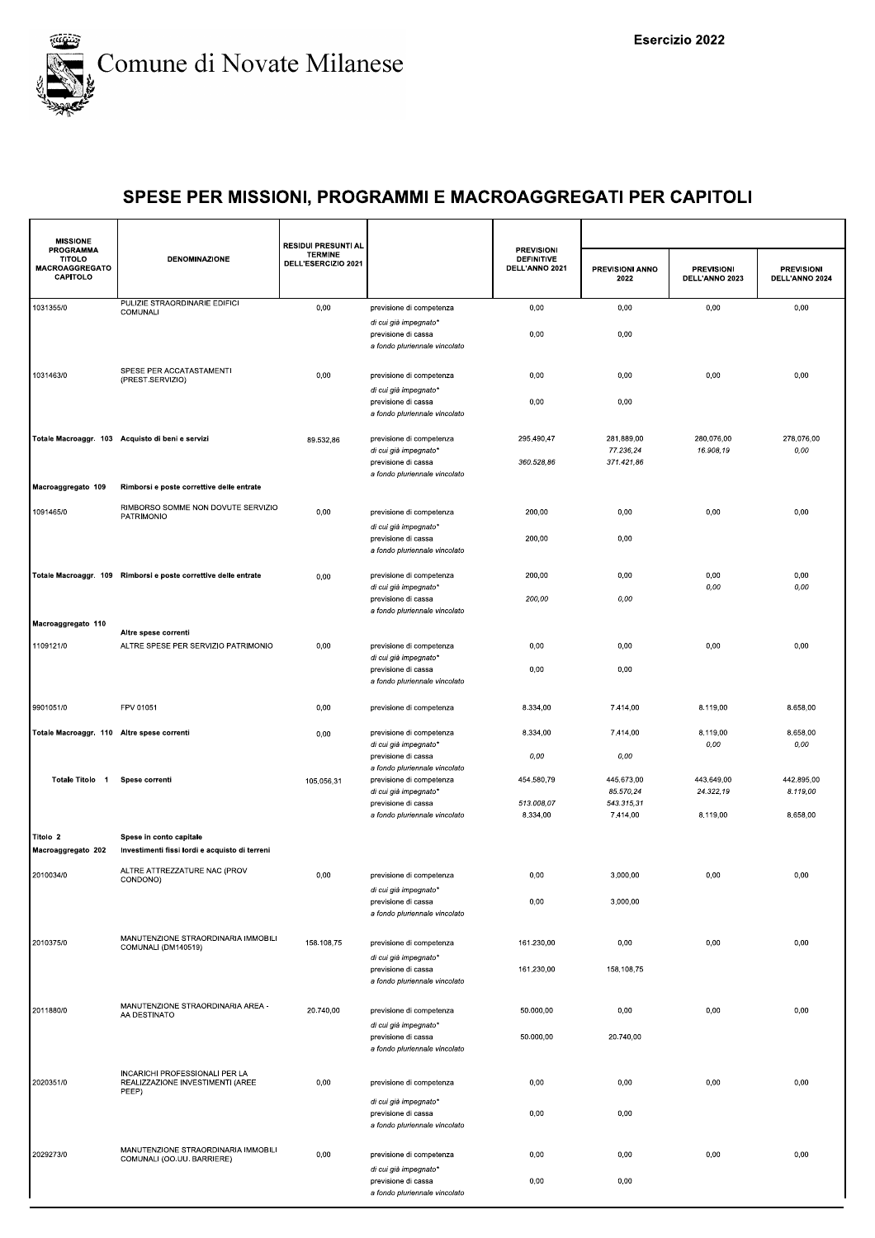

| <b>MISSIONE</b>                                                        |                                                                             | <b>RESIDUI PRESUNTI AL</b>            |                                                                                                           | <b>PREVISIONI</b>                   |                                       |                                     |                                     |
|------------------------------------------------------------------------|-----------------------------------------------------------------------------|---------------------------------------|-----------------------------------------------------------------------------------------------------------|-------------------------------------|---------------------------------------|-------------------------------------|-------------------------------------|
| <b>PROGRAMMA</b><br><b>TITOLO</b><br><b>MACROAGGREGATO</b><br>CAPITOLO | <b>DENOMINAZIONE</b>                                                        | <b>TERMINE</b><br>DELL'ESERCIZIO 2021 |                                                                                                           | <b>DEFINITIVE</b><br>DELL'ANNO 2021 | PREVISIONI ANNO<br>2022               | <b>PREVISIONI</b><br>DELL'ANNO 2023 | <b>PREVISIONI</b><br>DELL'ANNO 2024 |
| 1031355/0                                                              | PULIZIE STRAORDINARIE EDIFICI<br>COMUNALI                                   | 0,00                                  | previsione di competenza                                                                                  | 0,00                                | 0,00                                  | 0,00                                | 0,00                                |
|                                                                        |                                                                             |                                       | di cui già impegnato*<br>previsione di cassa<br>a fondo pluriennale vincolato                             | 0,00                                | 0,00                                  |                                     |                                     |
| 1031463/0                                                              | SPESE PER ACCATASTAMENTI<br>(PREST.SERVIZIO)                                | 0,00                                  | previsione di competenza                                                                                  | 0,00                                | 0,00                                  | 0,00                                | 0,00                                |
|                                                                        |                                                                             |                                       | di cui già impegnato*<br>previsione di cassa<br>a fondo pluriennale vincolato                             | 0,00                                | 0,00                                  |                                     |                                     |
|                                                                        | Totale Macroaggr. 103 Acquisto di beni e servizi                            | 89.532,86                             | previsione di competenza<br>di cui già impegnato*<br>previsione di cassa<br>a fondo pluriennale vincolato | 295.490,47<br>360.528,86            | 281.889,00<br>77.236,24<br>371.421,86 | 280.076,00<br>16.908,19             | 278.076,00<br>0,00                  |
| Macroaggregato 109                                                     | Rimborsi e poste correttive delle entrate                                   |                                       |                                                                                                           |                                     |                                       |                                     |                                     |
| 1091465/0                                                              | RIMBORSO SOMME NON DOVUTE SERVIZIO<br>PATRIMONIO                            | 0,00                                  | previsione di competenza<br>di cui già impegnato*                                                         | 200,00                              | 0,00                                  | 0,00                                | 0,00                                |
|                                                                        |                                                                             |                                       | previsione di cassa<br>a fondo pluriennale vincolato                                                      | 200,00                              | 0,00                                  |                                     |                                     |
|                                                                        | Totale Macroaggr. 109 Rimborsi e poste correttive delle entrate             | 0,00                                  | previsione di competenza<br>di cui già impegnato*                                                         | 200,00                              | 0,00                                  | 0,00<br>0,00                        | 0,00<br>0,00                        |
|                                                                        |                                                                             |                                       | previsione di cassa<br>a fondo pluriennale vincolato                                                      | 200,00                              | 0,00                                  |                                     |                                     |
| Macroaggregato 110                                                     | Altre spese correnti                                                        |                                       |                                                                                                           |                                     |                                       |                                     |                                     |
| 1109121/0                                                              | ALTRE SPESE PER SERVIZIO PATRIMONIO                                         | 0,00                                  | previsione di competenza<br>di cui già impegnato*<br>previsione di cassa<br>a fondo pluriennale vincolato | 0,00<br>0,00                        | 0,00<br>0,00                          | 0,00                                | 0,00                                |
|                                                                        |                                                                             |                                       |                                                                                                           |                                     |                                       |                                     |                                     |
| 9901051/0                                                              | FPV 01051                                                                   | 0,00                                  | previsione di competenza                                                                                  | 8.334,00                            | 7.414,00                              | 8.119,00                            | 8.658,00                            |
| Totale Macroaggr. 110 Altre spese correnti                             |                                                                             | 0,00                                  | previsione di competenza<br>di cui già impegnato*<br>previsione di cassa                                  | 8.334,00<br>0,00                    | 7.414,00<br>0,00                      | 8.119,00<br>0,00                    | 8.658,00<br>0,00                    |
| Totale Titolo 1                                                        | Spese correnti                                                              | 105.056,31                            | a fondo pluriennale vincolato<br>previsione di competenza                                                 | 454.580,79                          | 445.673,00                            | 443.649,00                          | 442.895,00                          |
|                                                                        |                                                                             |                                       | di cui già impegnato*<br>previsione di cassa<br>a fondo pluriennale vincolato                             | 513.008,07<br>8.334,00              | 85.570.24<br>543.315,31<br>7.414,00   | 24.322,19<br>8.119,00               | 8.119,00<br>8.658,00                |
| Titolo 2<br>Macroaggregato 202                                         | Spese in conto capitale<br>Investimenti fissi lordi e acquisto di terreni   |                                       |                                                                                                           |                                     |                                       |                                     |                                     |
| 2010034/0                                                              | ALTRE ATTREZZATURE NAC (PROV<br>CONDONO)                                    | 0,00                                  | previsione di competenza                                                                                  | 0,00                                | 3.000,00                              | 0,00                                | 0,00                                |
|                                                                        |                                                                             |                                       | di cui già impegnato*<br>previsione di cassa<br>a fondo pluriennale vincolato                             | 0,00                                | 3.000,00                              |                                     |                                     |
| 2010375/0                                                              | MANUTENZIONE STRAORDINARIA IMMOBILI<br>COMUNALI (DM140519)                  | 158.108,75                            | previsione di competenza                                                                                  | 161.230,00                          | 0,00                                  | 0,00                                | 0,00                                |
|                                                                        |                                                                             |                                       | di cui già impegnato*<br>previsione di cassa<br>a fondo pluriennale vincolato                             | 161.230,00                          | 158.108,75                            |                                     |                                     |
| 2011880/0                                                              | MANUTENZIONE STRAORDINARIA AREA -<br>AA DESTINATO                           | 20.740,00                             | previsione di competenza<br>di cui già impegnato*                                                         | 50.000,00                           | 0,00                                  | 0,00                                | 0,00                                |
|                                                                        |                                                                             |                                       | previsione di cassa<br>a fondo pluriennale vincolato                                                      | 50.000,00                           | 20.740,00                             |                                     |                                     |
| 2020351/0                                                              | INCARICHI PROFESSIONALI PER LA<br>REALIZZAZIONE INVESTIMENTI (AREE<br>PEEP) | 0,00                                  | previsione di competenza                                                                                  | 0,00                                | 0,00                                  | 0,00                                | 0,00                                |
|                                                                        |                                                                             |                                       | di cui già impegnato*<br>previsione di cassa<br>a fondo pluriennale vincolato                             | 0,00                                | 0,00                                  |                                     |                                     |
| 2029273/0                                                              | MANUTENZIONE STRAORDINARIA IMMOBILI<br>COMUNALI (OO.UU. BARRIERE)           | 0,00                                  | previsione di competenza                                                                                  | 0,00                                | 0,00                                  | 0,00                                | 0,00                                |
|                                                                        |                                                                             |                                       | di cui già impegnato*<br>previsione di cassa<br>a fondo pluriennale vincolato                             | 0,00                                | 0,00                                  |                                     |                                     |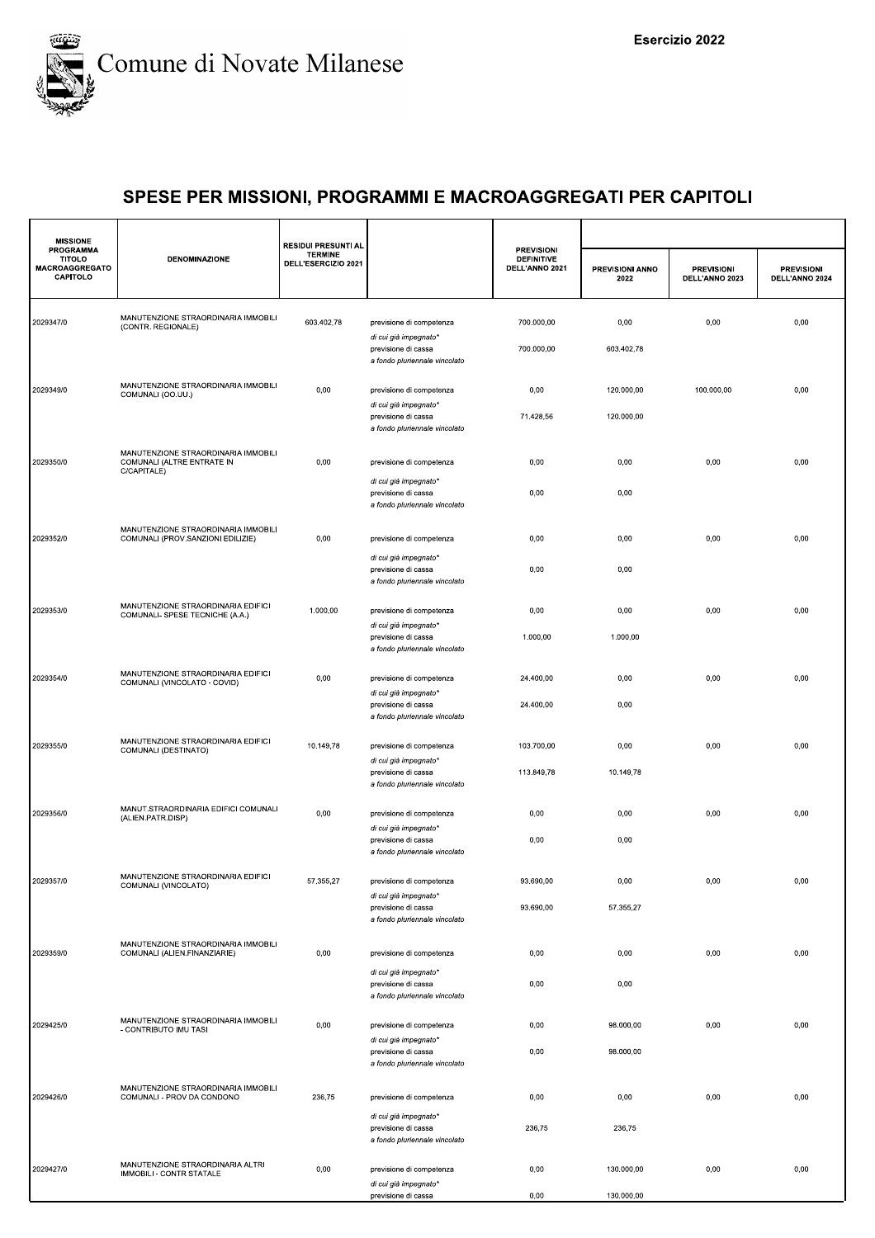

| <b>PROGRAMMA</b><br><b>TITOLO</b><br><b>MACROAGGREGATO</b><br>CAPITOLO | <b>DENOMINAZIONE</b>                                                             | <b>TERMINE</b><br>DELL'ESERCIZIO 2021 |                                                                               | <b>PREVISIONI</b><br><b>DEFINITIVE</b><br>DELL'ANNO 2021 | PREVISIONI ANNO<br>2022 | <b>PREVISIONI</b><br>DELL'ANNO 2023 | <b>PREVISIONI</b><br>DELL'ANNO 2024 |
|------------------------------------------------------------------------|----------------------------------------------------------------------------------|---------------------------------------|-------------------------------------------------------------------------------|----------------------------------------------------------|-------------------------|-------------------------------------|-------------------------------------|
|                                                                        |                                                                                  |                                       |                                                                               |                                                          |                         |                                     |                                     |
| 2029347/0                                                              | MANUTENZIONE STRAORDINARIA IMMOBILI<br>(CONTR. REGIONALE)                        | 603.402,78                            | previsione di competenza                                                      | 700.000,00                                               | 0,00                    | 0,00                                | 0,00                                |
|                                                                        |                                                                                  |                                       | di cui già impegnato*<br>previsione di cassa<br>a fondo pluriennale vincolato | 700.000,00                                               | 603.402,78              |                                     |                                     |
| 2029349/0                                                              | MANUTENZIONE STRAORDINARIA IMMOBILI<br>COMUNALI (OO.UU.)                         | 0,00                                  | previsione di competenza                                                      | 0,00                                                     | 120.000,00              | 100.000,00                          | 0,00                                |
|                                                                        |                                                                                  |                                       | di cui già impegnato*<br>previsione di cassa<br>a fondo pluriennale vincolato | 71.428,56                                                | 120.000,00              |                                     |                                     |
| 2029350/0                                                              | MANUTENZIONE STRAORDINARIA IMMOBILI<br>COMUNALI (ALTRE ENTRATE IN<br>C/CAPITALE) | 0,00                                  | previsione di competenza                                                      | 0,00                                                     | 0,00                    | 0,00                                | 0,00                                |
|                                                                        |                                                                                  |                                       | di cui già impegnato*<br>previsione di cassa<br>a fondo pluriennale vincolato | 0,00                                                     | 0,00                    |                                     |                                     |
| 2029352/0                                                              | MANUTENZIONE STRAORDINARIA IMMOBILI<br>COMUNALI (PROV.SANZIONI EDILIZIE)         | 0,00                                  | previsione di competenza                                                      | 0,00                                                     | 0,00                    | 0,00                                | 0,00                                |
|                                                                        |                                                                                  |                                       | di cui già impegnato*<br>previsione di cassa<br>a fondo pluriennale vincolato | 0,00                                                     | 0,00                    |                                     |                                     |
| 2029353/0                                                              | MANUTENZIONE STRAORDINARIA EDIFICI<br>COMUNALI- SPESE TECNICHE (A.A.)            | 1.000,00                              | previsione di competenza                                                      | 0,00                                                     | 0,00                    | 0,00                                | 0,00                                |
|                                                                        |                                                                                  |                                       | di cui già impegnato*<br>previsione di cassa<br>a fondo pluriennale vincolato | 1.000,00                                                 | 1.000,00                |                                     |                                     |
| 2029354/0                                                              | MANUTENZIONE STRAORDINARIA EDIFICI<br>COMUNALI (VINCOLATO - COVID)               | 0,00                                  | previsione di competenza                                                      | 24.400,00                                                | 0,00                    | 0,00                                | 0,00                                |
|                                                                        |                                                                                  |                                       | di cui già impegnato*<br>previsione di cassa<br>a fondo pluriennale vincolato | 24.400,00                                                | 0,00                    |                                     |                                     |
| 2029355/0                                                              | MANUTENZIONE STRAORDINARIA EDIFICI<br>COMUNALI (DESTINATO)                       | 10.149,78                             | previsione di competenza<br>di cui già impegnato*                             | 103.700,00                                               | 0,00                    | 0,00                                | 0,00                                |
|                                                                        |                                                                                  |                                       | previsione di cassa<br>a fondo pluriennale vincolato                          | 113.849,78                                               | 10.149,78               |                                     |                                     |
| 2029356/0                                                              | MANUT.STRAORDINARIA EDIFICI COMUNALI<br>(ALIEN.PATR.DISP)                        | 0,00                                  | previsione di competenza<br>di cui già impegnato*                             | 0,00                                                     | 0,00                    | 0,00                                | 0,00                                |
|                                                                        |                                                                                  |                                       | previsione di cassa<br>a fondo pluriennale vincolato                          | 0,00                                                     | 0,00                    |                                     |                                     |
| 2029357/0                                                              | MANUTENZIONE STRAORDINARIA EDIFICI<br>COMUNALI (VINCOLATO)                       | 57.355,27                             | previsione di competenza<br>di cui già impegnato*                             | 93.690,00                                                | 0,00                    | 0,00                                | 0,00                                |
|                                                                        |                                                                                  |                                       | previsione di cassa<br>a fondo pluriennale vincolato                          | 93.690,00                                                | 57.355,27               |                                     |                                     |
| 2029359/0                                                              | MANUTENZIONE STRAORDINARIA IMMOBILI<br>COMUNALI (ALIEN.FINANZIARIE)              | 0,00                                  | previsione di competenza                                                      | 0,00                                                     | 0,00                    | 0,00                                | 0,00                                |
|                                                                        |                                                                                  |                                       | di cui già impegnato*<br>previsione di cassa<br>a fondo pluriennale vincolato | 0,00                                                     | 0,00                    |                                     |                                     |
| 2029425/0                                                              | MANUTENZIONE STRAORDINARIA IMMOBILI<br>- CONTRIBUTO IMU TASI                     | 0,00                                  | previsione di competenza                                                      | 0,00                                                     | 98.000,00               | 0,00                                | 0,00                                |
|                                                                        |                                                                                  |                                       | di cui già impegnato*<br>previsione di cassa<br>a fondo pluriennale vincolato | 0,00                                                     | 98.000,00               |                                     |                                     |
| 2029426/0                                                              | MANUTENZIONE STRAORDINARIA IMMOBILI<br>COMUNALI - PROV DA CONDONO                | 236,75                                | previsione di competenza                                                      | 0,00                                                     | 0,00                    | 0,00                                | 0,00                                |
|                                                                        |                                                                                  |                                       | di cui già impegnato*<br>previsione di cassa<br>a fondo pluriennale vincolato | 236,75                                                   | 236,75                  |                                     |                                     |
| 2029427/0                                                              | MANUTENZIONE STRAORDINARIA ALTRI<br>IMMOBILI - CONTR STATALE                     | 0,00                                  | previsione di competenza<br>di cui già impegnato*                             | 0,00                                                     | 130.000,00              | 0,00                                | 0,00                                |
|                                                                        |                                                                                  |                                       | previsione di cassa                                                           | 0,00                                                     | 130.000,00              |                                     |                                     |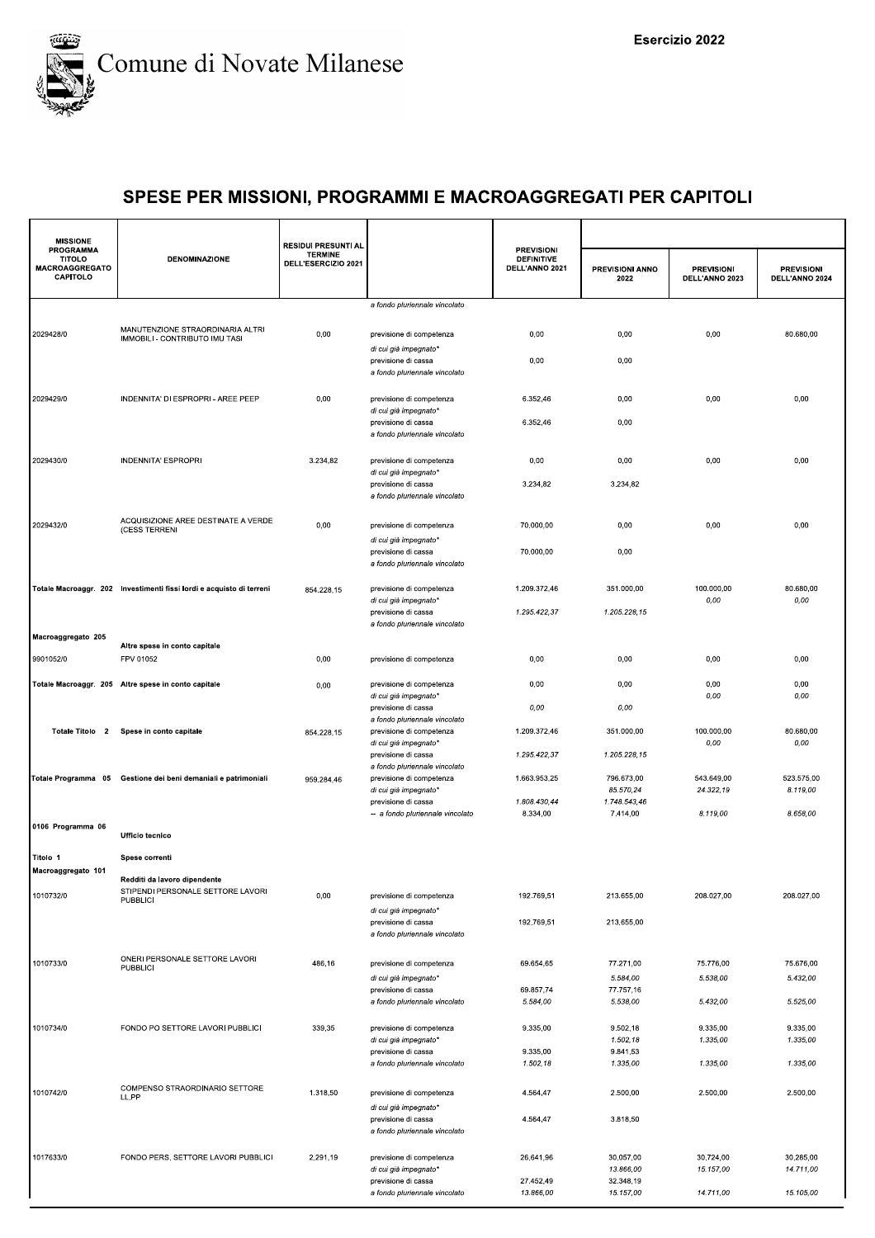

| <b>TERMINE</b><br><b>DENOMINAZIONE</b><br><b>DEFINITIVE</b><br><b>TITOLO</b><br>DELL'ESERCIZIO 2021<br><b>MACROAGGREGATO</b><br>DELL'ANNO 2021<br>PREVISIONI ANNO<br><b>PREVISIONI</b><br><b>PREVISIONI</b><br>CAPITOLO<br>2022<br>DELL'ANNO 2023<br>DELL'ANNO 2024<br>a fondo pluriennale vincolato<br>MANUTENZIONE STRAORDINARIA ALTRI<br>2029428/0<br>0,00<br>previsione di competenza<br>0,00<br>0,00<br>0,00<br>80.680,00<br>IMMOBILI - CONTRIBUTO IMU TASI<br>di cui già impegnato*<br>previsione di cassa<br>0,00<br>0,00<br>a fondo pluriennale vincolato<br>2029429/0<br>INDENNITA' DI ESPROPRI - AREE PEEP<br>0,00<br>6.352,46<br>0,00<br>0,00<br>0,00<br>previsione di competenza<br>di cui già impegnato*<br>previsione di cassa<br>6.352,46<br>0,00<br>a fondo pluriennale vincolato<br>2029430/0<br>3.234,82<br><b>INDENNITA' ESPROPRI</b><br>previsione di competenza<br>0,00<br>0,00<br>0,00<br>0,00<br>di cui già impegnato*<br>previsione di cassa<br>3.234,82<br>3.234,82<br>a fondo pluriennale vincolato<br>ACQUISIZIONE AREE DESTINATE A VERDE<br>2029432/0<br>0,00<br>0,00<br>previsione di competenza<br>70.000,00<br>0,00<br>0,00<br>(CESS TERRENI<br>di cui già impegnato*<br>70.000,00<br>0,00<br>previsione di cassa<br>a fondo pluriennale vincolato<br>80.680,00<br>Totale Macroaggr. 202 Investimenti fissi lordi e acquisto di terreni<br>1.209.372,46<br>351.000,00<br>100.000,00<br>previsione di competenza<br>854.228,15<br>0,00<br>0,00<br>di cui già impegnato*<br>1.295.422.37<br>1.205.228.15<br>previsione di cassa<br>a fondo pluriennale vincolato<br>Macroaggregato 205<br>Altre spese in conto capitale<br>9901052/0<br>FPV 01052<br>0,00<br>0,00<br>0,00<br>0,00<br>0,00<br>previsione di competenza<br>0,00<br>0,00<br>Totale Macroaggr. 205 Altre spese in conto capitale<br>0,00<br>0,00<br>previsione di competenza<br>0,00<br>di cui già impegnato*<br>0,00<br>0,00<br>0,00<br>0,00<br>previsione di cassa<br>a fondo pluriennale vincolato<br>Totale Titolo 2<br>Spese in conto capitale<br>previsione di competenza<br>1.209.372,46<br>351.000,00<br>100.000,00<br>80.680,00<br>854.228,15<br>0,00<br>$0,00$<br>di cui già impegnato*<br>1.295.422,37<br>1.205.228,15<br>previsione di cassa<br>a fondo pluriennale vincolato<br>1.663.953,25<br>796.673,00<br>543.649,00<br>523.575,00<br>Totale Programma 05 Gestione dei beni demaniali e patrimoniali<br>previsione di competenza<br>959.284,46<br>di cui già impegnato*<br>85.570,24<br>24.322,19<br>8.119,00<br>previsione di cassa<br>1.808.430,44<br>1.748.543,46<br>8.334,00<br>7.414,00<br>8.119,00<br>8.658,00<br>-- a fondo pluriennale vincolato<br>0106 Programma 06<br><b>Ufficio tecnico</b><br>Titolo 1<br>Spese correnti<br>Macroaggregato 101<br>Redditi da lavoro dipendente<br>STIPENDI PERSONALE SETTORE LAVORI<br>1010732/0<br>0,00<br>192.769,51<br>213.655,00<br>208.027,00<br>208.027,00<br>previsione di competenza<br><b>PUBBLICI</b><br>di cui già impegnato*<br>192.769,51<br>213.655,00<br>previsione di cassa<br>a fondo pluriennale vincolato<br>ONERI PERSONALE SETTORE LAVORI<br>1010733/0<br>486,16<br>69.654,65<br>77.271,00<br>75.776,00<br>75.676,00<br>previsione di competenza<br><b>PUBBLICI</b><br>5.584,00<br>5.538,00<br>5.432,00<br>di cui già impegnato*<br>69.857,74<br>77.757,16<br>previsione di cassa<br>5.538,00<br>5.525,00<br>a fondo pluriennale vincolato<br>5.584,00<br>5.432,00<br>1010734/0<br>FONDO PO SETTORE LAVORI PUBBLICI<br>339,35<br>9.502,18<br>9.335,00<br>9.335,00<br>9.335,00<br>previsione di competenza<br>1.502,18<br>1.335,00<br>1.335,00<br>di cui già impegnato*<br>9.335,00<br>9.841,53<br>previsione di cassa<br>1.502,18<br>1.335,00<br>1.335,00<br>1.335,00<br>a fondo pluriennale vincolato<br>COMPENSO STRAORDINARIO SETTORE<br>1010742/0<br>1.318,50<br>4.564,47<br>2.500,00<br>2.500,00<br>2.500,00<br>previsione di competenza<br>LL.PP<br>di cui già impegnato*<br>4.564,47<br>3.818,50<br>previsione di cassa<br>a fondo pluriennale vincolato<br>1017633/0<br>FONDO PERS. SETTORE LAVORI PUBBLICI<br>2.291,19<br>26.641,96<br>30.057,00<br>30.724,00<br>30.285,00<br>previsione di competenza<br>13.866,00<br>15.157,00<br>14.711,00<br>di cui già impegnato*<br>27.452,49<br>32.348,19<br>previsione di cassa<br>13.866,00<br>14.711,00<br>15.105,00<br>15.157,00<br>a fondo pluriennale vincolato | <b>MISSIONE</b>  | <b>RESIDUI PRESUNTI AL</b> |                   |  |  |
|---------------------------------------------------------------------------------------------------------------------------------------------------------------------------------------------------------------------------------------------------------------------------------------------------------------------------------------------------------------------------------------------------------------------------------------------------------------------------------------------------------------------------------------------------------------------------------------------------------------------------------------------------------------------------------------------------------------------------------------------------------------------------------------------------------------------------------------------------------------------------------------------------------------------------------------------------------------------------------------------------------------------------------------------------------------------------------------------------------------------------------------------------------------------------------------------------------------------------------------------------------------------------------------------------------------------------------------------------------------------------------------------------------------------------------------------------------------------------------------------------------------------------------------------------------------------------------------------------------------------------------------------------------------------------------------------------------------------------------------------------------------------------------------------------------------------------------------------------------------------------------------------------------------------------------------------------------------------------------------------------------------------------------------------------------------------------------------------------------------------------------------------------------------------------------------------------------------------------------------------------------------------------------------------------------------------------------------------------------------------------------------------------------------------------------------------------------------------------------------------------------------------------------------------------------------------------------------------------------------------------------------------------------------------------------------------------------------------------------------------------------------------------------------------------------------------------------------------------------------------------------------------------------------------------------------------------------------------------------------------------------------------------------------------------------------------------------------------------------------------------------------------------------------------------------------------------------------------------------------------------------------------------------------------------------------------------------------------------------------------------------------------------------------------------------------------------------------------------------------------------------------------------------------------------------------------------------------------------------------------------------------------------------------------------------------------------------------------------------------------------------------------------------------------------------------------------------------------------------------------------------------------------------------------------------------------------------------------------------------------------------------------------------------------------------------------------------------------------------------------------------------------------------------------------------------------------------------------------------------------------------------------------------------------------------------------------------------------------------------------------------------------------|------------------|----------------------------|-------------------|--|--|
|                                                                                                                                                                                                                                                                                                                                                                                                                                                                                                                                                                                                                                                                                                                                                                                                                                                                                                                                                                                                                                                                                                                                                                                                                                                                                                                                                                                                                                                                                                                                                                                                                                                                                                                                                                                                                                                                                                                                                                                                                                                                                                                                                                                                                                                                                                                                                                                                                                                                                                                                                                                                                                                                                                                                                                                                                                                                                                                                                                                                                                                                                                                                                                                                                                                                                                                                                                                                                                                                                                                                                                                                                                                                                                                                                                                                                                                                                                                                                                                                                                                                                                                                                                                                                                                                                                                                                                                                   | <b>PROGRAMMA</b> |                            | <b>PREVISIONI</b> |  |  |
|                                                                                                                                                                                                                                                                                                                                                                                                                                                                                                                                                                                                                                                                                                                                                                                                                                                                                                                                                                                                                                                                                                                                                                                                                                                                                                                                                                                                                                                                                                                                                                                                                                                                                                                                                                                                                                                                                                                                                                                                                                                                                                                                                                                                                                                                                                                                                                                                                                                                                                                                                                                                                                                                                                                                                                                                                                                                                                                                                                                                                                                                                                                                                                                                                                                                                                                                                                                                                                                                                                                                                                                                                                                                                                                                                                                                                                                                                                                                                                                                                                                                                                                                                                                                                                                                                                                                                                                                   |                  |                            |                   |  |  |
|                                                                                                                                                                                                                                                                                                                                                                                                                                                                                                                                                                                                                                                                                                                                                                                                                                                                                                                                                                                                                                                                                                                                                                                                                                                                                                                                                                                                                                                                                                                                                                                                                                                                                                                                                                                                                                                                                                                                                                                                                                                                                                                                                                                                                                                                                                                                                                                                                                                                                                                                                                                                                                                                                                                                                                                                                                                                                                                                                                                                                                                                                                                                                                                                                                                                                                                                                                                                                                                                                                                                                                                                                                                                                                                                                                                                                                                                                                                                                                                                                                                                                                                                                                                                                                                                                                                                                                                                   |                  |                            |                   |  |  |
|                                                                                                                                                                                                                                                                                                                                                                                                                                                                                                                                                                                                                                                                                                                                                                                                                                                                                                                                                                                                                                                                                                                                                                                                                                                                                                                                                                                                                                                                                                                                                                                                                                                                                                                                                                                                                                                                                                                                                                                                                                                                                                                                                                                                                                                                                                                                                                                                                                                                                                                                                                                                                                                                                                                                                                                                                                                                                                                                                                                                                                                                                                                                                                                                                                                                                                                                                                                                                                                                                                                                                                                                                                                                                                                                                                                                                                                                                                                                                                                                                                                                                                                                                                                                                                                                                                                                                                                                   |                  |                            |                   |  |  |
|                                                                                                                                                                                                                                                                                                                                                                                                                                                                                                                                                                                                                                                                                                                                                                                                                                                                                                                                                                                                                                                                                                                                                                                                                                                                                                                                                                                                                                                                                                                                                                                                                                                                                                                                                                                                                                                                                                                                                                                                                                                                                                                                                                                                                                                                                                                                                                                                                                                                                                                                                                                                                                                                                                                                                                                                                                                                                                                                                                                                                                                                                                                                                                                                                                                                                                                                                                                                                                                                                                                                                                                                                                                                                                                                                                                                                                                                                                                                                                                                                                                                                                                                                                                                                                                                                                                                                                                                   |                  |                            |                   |  |  |
|                                                                                                                                                                                                                                                                                                                                                                                                                                                                                                                                                                                                                                                                                                                                                                                                                                                                                                                                                                                                                                                                                                                                                                                                                                                                                                                                                                                                                                                                                                                                                                                                                                                                                                                                                                                                                                                                                                                                                                                                                                                                                                                                                                                                                                                                                                                                                                                                                                                                                                                                                                                                                                                                                                                                                                                                                                                                                                                                                                                                                                                                                                                                                                                                                                                                                                                                                                                                                                                                                                                                                                                                                                                                                                                                                                                                                                                                                                                                                                                                                                                                                                                                                                                                                                                                                                                                                                                                   |                  |                            |                   |  |  |
|                                                                                                                                                                                                                                                                                                                                                                                                                                                                                                                                                                                                                                                                                                                                                                                                                                                                                                                                                                                                                                                                                                                                                                                                                                                                                                                                                                                                                                                                                                                                                                                                                                                                                                                                                                                                                                                                                                                                                                                                                                                                                                                                                                                                                                                                                                                                                                                                                                                                                                                                                                                                                                                                                                                                                                                                                                                                                                                                                                                                                                                                                                                                                                                                                                                                                                                                                                                                                                                                                                                                                                                                                                                                                                                                                                                                                                                                                                                                                                                                                                                                                                                                                                                                                                                                                                                                                                                                   |                  |                            |                   |  |  |
|                                                                                                                                                                                                                                                                                                                                                                                                                                                                                                                                                                                                                                                                                                                                                                                                                                                                                                                                                                                                                                                                                                                                                                                                                                                                                                                                                                                                                                                                                                                                                                                                                                                                                                                                                                                                                                                                                                                                                                                                                                                                                                                                                                                                                                                                                                                                                                                                                                                                                                                                                                                                                                                                                                                                                                                                                                                                                                                                                                                                                                                                                                                                                                                                                                                                                                                                                                                                                                                                                                                                                                                                                                                                                                                                                                                                                                                                                                                                                                                                                                                                                                                                                                                                                                                                                                                                                                                                   |                  |                            |                   |  |  |
|                                                                                                                                                                                                                                                                                                                                                                                                                                                                                                                                                                                                                                                                                                                                                                                                                                                                                                                                                                                                                                                                                                                                                                                                                                                                                                                                                                                                                                                                                                                                                                                                                                                                                                                                                                                                                                                                                                                                                                                                                                                                                                                                                                                                                                                                                                                                                                                                                                                                                                                                                                                                                                                                                                                                                                                                                                                                                                                                                                                                                                                                                                                                                                                                                                                                                                                                                                                                                                                                                                                                                                                                                                                                                                                                                                                                                                                                                                                                                                                                                                                                                                                                                                                                                                                                                                                                                                                                   |                  |                            |                   |  |  |
|                                                                                                                                                                                                                                                                                                                                                                                                                                                                                                                                                                                                                                                                                                                                                                                                                                                                                                                                                                                                                                                                                                                                                                                                                                                                                                                                                                                                                                                                                                                                                                                                                                                                                                                                                                                                                                                                                                                                                                                                                                                                                                                                                                                                                                                                                                                                                                                                                                                                                                                                                                                                                                                                                                                                                                                                                                                                                                                                                                                                                                                                                                                                                                                                                                                                                                                                                                                                                                                                                                                                                                                                                                                                                                                                                                                                                                                                                                                                                                                                                                                                                                                                                                                                                                                                                                                                                                                                   |                  |                            |                   |  |  |
|                                                                                                                                                                                                                                                                                                                                                                                                                                                                                                                                                                                                                                                                                                                                                                                                                                                                                                                                                                                                                                                                                                                                                                                                                                                                                                                                                                                                                                                                                                                                                                                                                                                                                                                                                                                                                                                                                                                                                                                                                                                                                                                                                                                                                                                                                                                                                                                                                                                                                                                                                                                                                                                                                                                                                                                                                                                                                                                                                                                                                                                                                                                                                                                                                                                                                                                                                                                                                                                                                                                                                                                                                                                                                                                                                                                                                                                                                                                                                                                                                                                                                                                                                                                                                                                                                                                                                                                                   |                  |                            |                   |  |  |
|                                                                                                                                                                                                                                                                                                                                                                                                                                                                                                                                                                                                                                                                                                                                                                                                                                                                                                                                                                                                                                                                                                                                                                                                                                                                                                                                                                                                                                                                                                                                                                                                                                                                                                                                                                                                                                                                                                                                                                                                                                                                                                                                                                                                                                                                                                                                                                                                                                                                                                                                                                                                                                                                                                                                                                                                                                                                                                                                                                                                                                                                                                                                                                                                                                                                                                                                                                                                                                                                                                                                                                                                                                                                                                                                                                                                                                                                                                                                                                                                                                                                                                                                                                                                                                                                                                                                                                                                   |                  |                            |                   |  |  |
|                                                                                                                                                                                                                                                                                                                                                                                                                                                                                                                                                                                                                                                                                                                                                                                                                                                                                                                                                                                                                                                                                                                                                                                                                                                                                                                                                                                                                                                                                                                                                                                                                                                                                                                                                                                                                                                                                                                                                                                                                                                                                                                                                                                                                                                                                                                                                                                                                                                                                                                                                                                                                                                                                                                                                                                                                                                                                                                                                                                                                                                                                                                                                                                                                                                                                                                                                                                                                                                                                                                                                                                                                                                                                                                                                                                                                                                                                                                                                                                                                                                                                                                                                                                                                                                                                                                                                                                                   |                  |                            |                   |  |  |
|                                                                                                                                                                                                                                                                                                                                                                                                                                                                                                                                                                                                                                                                                                                                                                                                                                                                                                                                                                                                                                                                                                                                                                                                                                                                                                                                                                                                                                                                                                                                                                                                                                                                                                                                                                                                                                                                                                                                                                                                                                                                                                                                                                                                                                                                                                                                                                                                                                                                                                                                                                                                                                                                                                                                                                                                                                                                                                                                                                                                                                                                                                                                                                                                                                                                                                                                                                                                                                                                                                                                                                                                                                                                                                                                                                                                                                                                                                                                                                                                                                                                                                                                                                                                                                                                                                                                                                                                   |                  |                            |                   |  |  |
|                                                                                                                                                                                                                                                                                                                                                                                                                                                                                                                                                                                                                                                                                                                                                                                                                                                                                                                                                                                                                                                                                                                                                                                                                                                                                                                                                                                                                                                                                                                                                                                                                                                                                                                                                                                                                                                                                                                                                                                                                                                                                                                                                                                                                                                                                                                                                                                                                                                                                                                                                                                                                                                                                                                                                                                                                                                                                                                                                                                                                                                                                                                                                                                                                                                                                                                                                                                                                                                                                                                                                                                                                                                                                                                                                                                                                                                                                                                                                                                                                                                                                                                                                                                                                                                                                                                                                                                                   |                  |                            |                   |  |  |
|                                                                                                                                                                                                                                                                                                                                                                                                                                                                                                                                                                                                                                                                                                                                                                                                                                                                                                                                                                                                                                                                                                                                                                                                                                                                                                                                                                                                                                                                                                                                                                                                                                                                                                                                                                                                                                                                                                                                                                                                                                                                                                                                                                                                                                                                                                                                                                                                                                                                                                                                                                                                                                                                                                                                                                                                                                                                                                                                                                                                                                                                                                                                                                                                                                                                                                                                                                                                                                                                                                                                                                                                                                                                                                                                                                                                                                                                                                                                                                                                                                                                                                                                                                                                                                                                                                                                                                                                   |                  |                            |                   |  |  |
|                                                                                                                                                                                                                                                                                                                                                                                                                                                                                                                                                                                                                                                                                                                                                                                                                                                                                                                                                                                                                                                                                                                                                                                                                                                                                                                                                                                                                                                                                                                                                                                                                                                                                                                                                                                                                                                                                                                                                                                                                                                                                                                                                                                                                                                                                                                                                                                                                                                                                                                                                                                                                                                                                                                                                                                                                                                                                                                                                                                                                                                                                                                                                                                                                                                                                                                                                                                                                                                                                                                                                                                                                                                                                                                                                                                                                                                                                                                                                                                                                                                                                                                                                                                                                                                                                                                                                                                                   |                  |                            |                   |  |  |
|                                                                                                                                                                                                                                                                                                                                                                                                                                                                                                                                                                                                                                                                                                                                                                                                                                                                                                                                                                                                                                                                                                                                                                                                                                                                                                                                                                                                                                                                                                                                                                                                                                                                                                                                                                                                                                                                                                                                                                                                                                                                                                                                                                                                                                                                                                                                                                                                                                                                                                                                                                                                                                                                                                                                                                                                                                                                                                                                                                                                                                                                                                                                                                                                                                                                                                                                                                                                                                                                                                                                                                                                                                                                                                                                                                                                                                                                                                                                                                                                                                                                                                                                                                                                                                                                                                                                                                                                   |                  |                            |                   |  |  |
|                                                                                                                                                                                                                                                                                                                                                                                                                                                                                                                                                                                                                                                                                                                                                                                                                                                                                                                                                                                                                                                                                                                                                                                                                                                                                                                                                                                                                                                                                                                                                                                                                                                                                                                                                                                                                                                                                                                                                                                                                                                                                                                                                                                                                                                                                                                                                                                                                                                                                                                                                                                                                                                                                                                                                                                                                                                                                                                                                                                                                                                                                                                                                                                                                                                                                                                                                                                                                                                                                                                                                                                                                                                                                                                                                                                                                                                                                                                                                                                                                                                                                                                                                                                                                                                                                                                                                                                                   |                  |                            |                   |  |  |
|                                                                                                                                                                                                                                                                                                                                                                                                                                                                                                                                                                                                                                                                                                                                                                                                                                                                                                                                                                                                                                                                                                                                                                                                                                                                                                                                                                                                                                                                                                                                                                                                                                                                                                                                                                                                                                                                                                                                                                                                                                                                                                                                                                                                                                                                                                                                                                                                                                                                                                                                                                                                                                                                                                                                                                                                                                                                                                                                                                                                                                                                                                                                                                                                                                                                                                                                                                                                                                                                                                                                                                                                                                                                                                                                                                                                                                                                                                                                                                                                                                                                                                                                                                                                                                                                                                                                                                                                   |                  |                            |                   |  |  |
|                                                                                                                                                                                                                                                                                                                                                                                                                                                                                                                                                                                                                                                                                                                                                                                                                                                                                                                                                                                                                                                                                                                                                                                                                                                                                                                                                                                                                                                                                                                                                                                                                                                                                                                                                                                                                                                                                                                                                                                                                                                                                                                                                                                                                                                                                                                                                                                                                                                                                                                                                                                                                                                                                                                                                                                                                                                                                                                                                                                                                                                                                                                                                                                                                                                                                                                                                                                                                                                                                                                                                                                                                                                                                                                                                                                                                                                                                                                                                                                                                                                                                                                                                                                                                                                                                                                                                                                                   |                  |                            |                   |  |  |
|                                                                                                                                                                                                                                                                                                                                                                                                                                                                                                                                                                                                                                                                                                                                                                                                                                                                                                                                                                                                                                                                                                                                                                                                                                                                                                                                                                                                                                                                                                                                                                                                                                                                                                                                                                                                                                                                                                                                                                                                                                                                                                                                                                                                                                                                                                                                                                                                                                                                                                                                                                                                                                                                                                                                                                                                                                                                                                                                                                                                                                                                                                                                                                                                                                                                                                                                                                                                                                                                                                                                                                                                                                                                                                                                                                                                                                                                                                                                                                                                                                                                                                                                                                                                                                                                                                                                                                                                   |                  |                            |                   |  |  |
|                                                                                                                                                                                                                                                                                                                                                                                                                                                                                                                                                                                                                                                                                                                                                                                                                                                                                                                                                                                                                                                                                                                                                                                                                                                                                                                                                                                                                                                                                                                                                                                                                                                                                                                                                                                                                                                                                                                                                                                                                                                                                                                                                                                                                                                                                                                                                                                                                                                                                                                                                                                                                                                                                                                                                                                                                                                                                                                                                                                                                                                                                                                                                                                                                                                                                                                                                                                                                                                                                                                                                                                                                                                                                                                                                                                                                                                                                                                                                                                                                                                                                                                                                                                                                                                                                                                                                                                                   |                  |                            |                   |  |  |
|                                                                                                                                                                                                                                                                                                                                                                                                                                                                                                                                                                                                                                                                                                                                                                                                                                                                                                                                                                                                                                                                                                                                                                                                                                                                                                                                                                                                                                                                                                                                                                                                                                                                                                                                                                                                                                                                                                                                                                                                                                                                                                                                                                                                                                                                                                                                                                                                                                                                                                                                                                                                                                                                                                                                                                                                                                                                                                                                                                                                                                                                                                                                                                                                                                                                                                                                                                                                                                                                                                                                                                                                                                                                                                                                                                                                                                                                                                                                                                                                                                                                                                                                                                                                                                                                                                                                                                                                   |                  |                            |                   |  |  |
|                                                                                                                                                                                                                                                                                                                                                                                                                                                                                                                                                                                                                                                                                                                                                                                                                                                                                                                                                                                                                                                                                                                                                                                                                                                                                                                                                                                                                                                                                                                                                                                                                                                                                                                                                                                                                                                                                                                                                                                                                                                                                                                                                                                                                                                                                                                                                                                                                                                                                                                                                                                                                                                                                                                                                                                                                                                                                                                                                                                                                                                                                                                                                                                                                                                                                                                                                                                                                                                                                                                                                                                                                                                                                                                                                                                                                                                                                                                                                                                                                                                                                                                                                                                                                                                                                                                                                                                                   |                  |                            |                   |  |  |
|                                                                                                                                                                                                                                                                                                                                                                                                                                                                                                                                                                                                                                                                                                                                                                                                                                                                                                                                                                                                                                                                                                                                                                                                                                                                                                                                                                                                                                                                                                                                                                                                                                                                                                                                                                                                                                                                                                                                                                                                                                                                                                                                                                                                                                                                                                                                                                                                                                                                                                                                                                                                                                                                                                                                                                                                                                                                                                                                                                                                                                                                                                                                                                                                                                                                                                                                                                                                                                                                                                                                                                                                                                                                                                                                                                                                                                                                                                                                                                                                                                                                                                                                                                                                                                                                                                                                                                                                   |                  |                            |                   |  |  |
|                                                                                                                                                                                                                                                                                                                                                                                                                                                                                                                                                                                                                                                                                                                                                                                                                                                                                                                                                                                                                                                                                                                                                                                                                                                                                                                                                                                                                                                                                                                                                                                                                                                                                                                                                                                                                                                                                                                                                                                                                                                                                                                                                                                                                                                                                                                                                                                                                                                                                                                                                                                                                                                                                                                                                                                                                                                                                                                                                                                                                                                                                                                                                                                                                                                                                                                                                                                                                                                                                                                                                                                                                                                                                                                                                                                                                                                                                                                                                                                                                                                                                                                                                                                                                                                                                                                                                                                                   |                  |                            |                   |  |  |
|                                                                                                                                                                                                                                                                                                                                                                                                                                                                                                                                                                                                                                                                                                                                                                                                                                                                                                                                                                                                                                                                                                                                                                                                                                                                                                                                                                                                                                                                                                                                                                                                                                                                                                                                                                                                                                                                                                                                                                                                                                                                                                                                                                                                                                                                                                                                                                                                                                                                                                                                                                                                                                                                                                                                                                                                                                                                                                                                                                                                                                                                                                                                                                                                                                                                                                                                                                                                                                                                                                                                                                                                                                                                                                                                                                                                                                                                                                                                                                                                                                                                                                                                                                                                                                                                                                                                                                                                   |                  |                            |                   |  |  |
|                                                                                                                                                                                                                                                                                                                                                                                                                                                                                                                                                                                                                                                                                                                                                                                                                                                                                                                                                                                                                                                                                                                                                                                                                                                                                                                                                                                                                                                                                                                                                                                                                                                                                                                                                                                                                                                                                                                                                                                                                                                                                                                                                                                                                                                                                                                                                                                                                                                                                                                                                                                                                                                                                                                                                                                                                                                                                                                                                                                                                                                                                                                                                                                                                                                                                                                                                                                                                                                                                                                                                                                                                                                                                                                                                                                                                                                                                                                                                                                                                                                                                                                                                                                                                                                                                                                                                                                                   |                  |                            |                   |  |  |
|                                                                                                                                                                                                                                                                                                                                                                                                                                                                                                                                                                                                                                                                                                                                                                                                                                                                                                                                                                                                                                                                                                                                                                                                                                                                                                                                                                                                                                                                                                                                                                                                                                                                                                                                                                                                                                                                                                                                                                                                                                                                                                                                                                                                                                                                                                                                                                                                                                                                                                                                                                                                                                                                                                                                                                                                                                                                                                                                                                                                                                                                                                                                                                                                                                                                                                                                                                                                                                                                                                                                                                                                                                                                                                                                                                                                                                                                                                                                                                                                                                                                                                                                                                                                                                                                                                                                                                                                   |                  |                            |                   |  |  |
|                                                                                                                                                                                                                                                                                                                                                                                                                                                                                                                                                                                                                                                                                                                                                                                                                                                                                                                                                                                                                                                                                                                                                                                                                                                                                                                                                                                                                                                                                                                                                                                                                                                                                                                                                                                                                                                                                                                                                                                                                                                                                                                                                                                                                                                                                                                                                                                                                                                                                                                                                                                                                                                                                                                                                                                                                                                                                                                                                                                                                                                                                                                                                                                                                                                                                                                                                                                                                                                                                                                                                                                                                                                                                                                                                                                                                                                                                                                                                                                                                                                                                                                                                                                                                                                                                                                                                                                                   |                  |                            |                   |  |  |
|                                                                                                                                                                                                                                                                                                                                                                                                                                                                                                                                                                                                                                                                                                                                                                                                                                                                                                                                                                                                                                                                                                                                                                                                                                                                                                                                                                                                                                                                                                                                                                                                                                                                                                                                                                                                                                                                                                                                                                                                                                                                                                                                                                                                                                                                                                                                                                                                                                                                                                                                                                                                                                                                                                                                                                                                                                                                                                                                                                                                                                                                                                                                                                                                                                                                                                                                                                                                                                                                                                                                                                                                                                                                                                                                                                                                                                                                                                                                                                                                                                                                                                                                                                                                                                                                                                                                                                                                   |                  |                            |                   |  |  |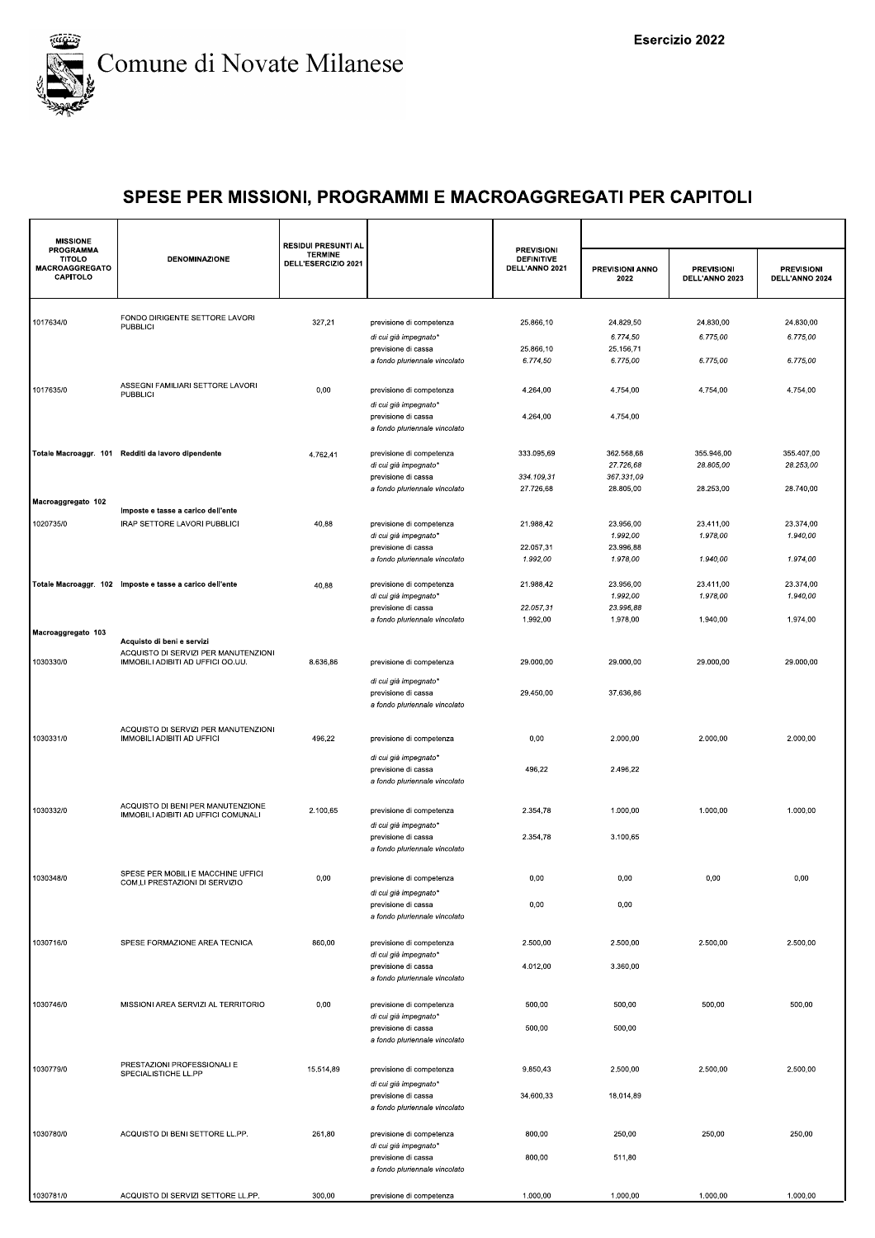

| <b>MISSIONE</b><br><b>PROGRAMMA</b><br><b>TITOLO</b><br><b>MACROAGGREGATO</b><br>CAPITOLO | <b>DENOMINAZIONE</b>                                                     | <b>RESIDUI PRESUNTI AL</b><br><b>TERMINE</b><br>DELL'ESERCIZIO 2021 |                                                                               | <b>PREVISIONI</b><br><b>DEFINITIVE</b><br>DELL'ANNO 2021 | PREVISIONI ANNO<br>2022 | <b>PREVISIONI</b><br>DELL'ANNO 2023 | <b>PREVISIONI</b><br>DELL'ANNO 2024 |
|-------------------------------------------------------------------------------------------|--------------------------------------------------------------------------|---------------------------------------------------------------------|-------------------------------------------------------------------------------|----------------------------------------------------------|-------------------------|-------------------------------------|-------------------------------------|
|                                                                                           |                                                                          |                                                                     |                                                                               |                                                          |                         |                                     |                                     |
| 1017634/0                                                                                 | FONDO DIRIGENTE SETTORE LAVORI<br><b>PUBBLICI</b>                        | 327,21                                                              | previsione di competenza                                                      | 25.866,10                                                | 24.829,50               | 24.830,00                           | 24.830,00                           |
|                                                                                           |                                                                          |                                                                     | di cui già impegnato*                                                         |                                                          | 6.774,50                | 6.775,00                            | 6.775,00                            |
|                                                                                           |                                                                          |                                                                     | previsione di cassa                                                           | 25.866,10                                                | 25.156,71               |                                     |                                     |
|                                                                                           |                                                                          |                                                                     | a fondo pluriennale vincolato                                                 | 6.774,50                                                 | 6.775,00                | 6.775,00                            | 6.775,00                            |
| 1017635/0                                                                                 | ASSEGNI FAMILIARI SETTORE LAVORI<br><b>PUBBLICI</b>                      | 0,00                                                                | previsione di competenza                                                      | 4.264,00                                                 | 4.754,00                | 4.754,00                            | 4.754,00                            |
|                                                                                           |                                                                          |                                                                     | di cui già impegnato*<br>previsione di cassa<br>a fondo pluriennale vincolato | 4.264,00                                                 | 4.754,00                |                                     |                                     |
|                                                                                           | Totale Macroaggr. 101 Redditi da lavoro dipendente                       | 4.762,41                                                            | previsione di competenza                                                      | 333.095,69                                               | 362.568,68              | 355.946,00                          | 355.407,00                          |
|                                                                                           |                                                                          |                                                                     | di cui già impegnato*                                                         |                                                          | 27.726,68               | 28.805,00                           | 28.253,00                           |
|                                                                                           |                                                                          |                                                                     | previsione di cassa<br>a fondo pluriennale vincolato                          | 334.109,31<br>27.726,68                                  | 367.331,09<br>28.805,00 | 28.253,00                           | 28.740,00                           |
| Macroaggregato 102                                                                        |                                                                          |                                                                     |                                                                               |                                                          |                         |                                     |                                     |
|                                                                                           | Imposte e tasse a carico dell'ente                                       |                                                                     |                                                                               |                                                          |                         |                                     |                                     |
| 1020735/0                                                                                 | IRAP SETTORE LAVORI PUBBLICI                                             | 40,88                                                               | previsione di competenza                                                      | 21.988,42                                                | 23.956,00<br>1.992,00   | 23.411,00<br>1.978,00               | 23.374,00<br>1.940,00               |
|                                                                                           |                                                                          |                                                                     | di cui già impegnato*<br>previsione di cassa                                  | 22.057,31                                                | 23.996,88               |                                     |                                     |
|                                                                                           |                                                                          |                                                                     | a fondo pluriennale vincolato                                                 | 1.992,00                                                 | 1.978,00                | 1.940,00                            | 1.974,00                            |
|                                                                                           |                                                                          |                                                                     |                                                                               |                                                          |                         |                                     |                                     |
|                                                                                           | Totale Macroaggr. 102 Imposte e tasse a carico dell'ente                 | 40,88                                                               | previsione di competenza<br>di cui già impegnato*                             | 21.988,42                                                | 23.956,00<br>1.992,00   | 23.411,00<br>1.978,00               | 23.374,00<br>1.940,00               |
|                                                                                           |                                                                          |                                                                     | previsione di cassa                                                           | 22.057,31                                                | 23.996,88               |                                     |                                     |
|                                                                                           |                                                                          |                                                                     | a fondo pluriennale vincolato                                                 | 1.992,00                                                 | 1.978,00                | 1.940,00                            | 1.974,00                            |
| Macroaggregato 103                                                                        | Acquisto di beni e servizi                                               |                                                                     |                                                                               |                                                          |                         |                                     |                                     |
|                                                                                           | ACQUISTO DI SERVIZI PER MANUTENZIONI                                     |                                                                     |                                                                               |                                                          |                         |                                     |                                     |
| 1030330/0                                                                                 | IMMOBILI ADIBITI AD UFFICI OO.UU.                                        | 8.636,86                                                            | previsione di competenza                                                      | 29.000,00                                                | 29.000,00               | 29.000,00                           | 29.000,00                           |
|                                                                                           |                                                                          |                                                                     | di cui già impegnato*                                                         |                                                          |                         |                                     |                                     |
|                                                                                           |                                                                          |                                                                     | previsione di cassa<br>a fondo pluriennale vincolato                          | 29.450,00                                                | 37.636,86               |                                     |                                     |
|                                                                                           |                                                                          |                                                                     |                                                                               |                                                          |                         |                                     |                                     |
| 1030331/0                                                                                 | ACQUISTO DI SERVIZI PER MANUTENZIONI<br>IMMOBILI ADIBITI AD UFFICI       | 496,22                                                              | previsione di competenza                                                      | 0,00                                                     | 2.000,00                | 2.000,00                            | 2.000,00                            |
|                                                                                           |                                                                          |                                                                     | di cui già impegnato*                                                         |                                                          |                         |                                     |                                     |
|                                                                                           |                                                                          |                                                                     | previsione di cassa<br>a fondo pluriennale vincolato                          | 496,22                                                   | 2.496,22                |                                     |                                     |
| 1030332/0                                                                                 | ACQUISTO DI BENI PER MANUTENZIONE<br>IMMOBILI ADIBITI AD UFFICI COMUNALI | 2.100,65                                                            | previsione di competenza                                                      | 2.354,78                                                 | 1.000,00                | 1.000,00                            | 1.000,00                            |
|                                                                                           |                                                                          |                                                                     | di cui già impegnato*                                                         |                                                          |                         |                                     |                                     |
|                                                                                           |                                                                          |                                                                     | previsione di cassa<br>a fondo pluriennale vincolato                          | 2.354,78                                                 | 3.100,65                |                                     |                                     |
| 1030348/0                                                                                 | SPESE PER MOBILI E MACCHINE UFFICI<br>COM.LI PRESTAZIONI DI SERVIZIO     | 0,00                                                                | previsione di competenza                                                      | 0,00                                                     | 0,00                    | 0,00                                | 0,00                                |
|                                                                                           |                                                                          |                                                                     | di cui già impegnato*                                                         |                                                          |                         |                                     |                                     |
|                                                                                           |                                                                          |                                                                     | previsione di cassa<br>a fondo pluriennale vincolato                          | 0,00                                                     | 0,00                    |                                     |                                     |
| 1030716/0                                                                                 | SPESE FORMAZIONE AREA TECNICA                                            | 860,00                                                              | previsione di competenza                                                      | 2.500,00                                                 | 2.500,00                | 2.500,00                            | 2.500,00                            |
|                                                                                           |                                                                          |                                                                     | di cui già impegnato*                                                         |                                                          |                         |                                     |                                     |
|                                                                                           |                                                                          |                                                                     | previsione di cassa<br>a fondo pluriennale vincolato                          | 4.012,00                                                 | 3.360,00                |                                     |                                     |
| 1030746/0                                                                                 | MISSIONI AREA SERVIZI AL TERRITORIO                                      | 0,00                                                                | previsione di competenza                                                      | 500,00                                                   | 500,00                  | 500,00                              | 500,00                              |
|                                                                                           |                                                                          |                                                                     | di cui già impegnato*                                                         |                                                          |                         |                                     |                                     |
|                                                                                           |                                                                          |                                                                     | previsione di cassa<br>a fondo pluriennale vincolato                          | 500,00                                                   | 500,00                  |                                     |                                     |
|                                                                                           |                                                                          |                                                                     |                                                                               |                                                          |                         |                                     |                                     |
| 1030779/0                                                                                 | PRESTAZIONI PROFESSIONALI E<br>SPECIALISTICHE LL.PP                      | 15.514,89                                                           | previsione di competenza                                                      | 9.850,43                                                 | 2.500,00                | 2.500,00                            | 2.500,00                            |
|                                                                                           |                                                                          |                                                                     | di cui già impegnato*                                                         |                                                          |                         |                                     |                                     |
|                                                                                           |                                                                          |                                                                     | previsione di cassa<br>a fondo pluriennale vincolato                          | 34.600,33                                                | 18.014,89               |                                     |                                     |
|                                                                                           |                                                                          |                                                                     |                                                                               |                                                          |                         |                                     |                                     |
| 1030780/0                                                                                 | ACQUISTO DI BENI SETTORE LL.PP.                                          | 261,80                                                              | previsione di competenza                                                      | 800,00                                                   | 250,00                  | 250,00                              | 250,00                              |
|                                                                                           |                                                                          |                                                                     | di cui già impegnato*<br>previsione di cassa                                  | 800,00                                                   | 511,80                  |                                     |                                     |
|                                                                                           |                                                                          |                                                                     | a fondo pluriennale vincolato                                                 |                                                          |                         |                                     |                                     |
|                                                                                           |                                                                          |                                                                     |                                                                               |                                                          |                         |                                     |                                     |
| 1030781/0                                                                                 | ACQUISTO DI SERVIZI SETTORE LL.PP.                                       | 300,00                                                              | previsione di competenza                                                      | 1.000,00                                                 | 1.000,00                | 1.000,00                            | 1.000,00                            |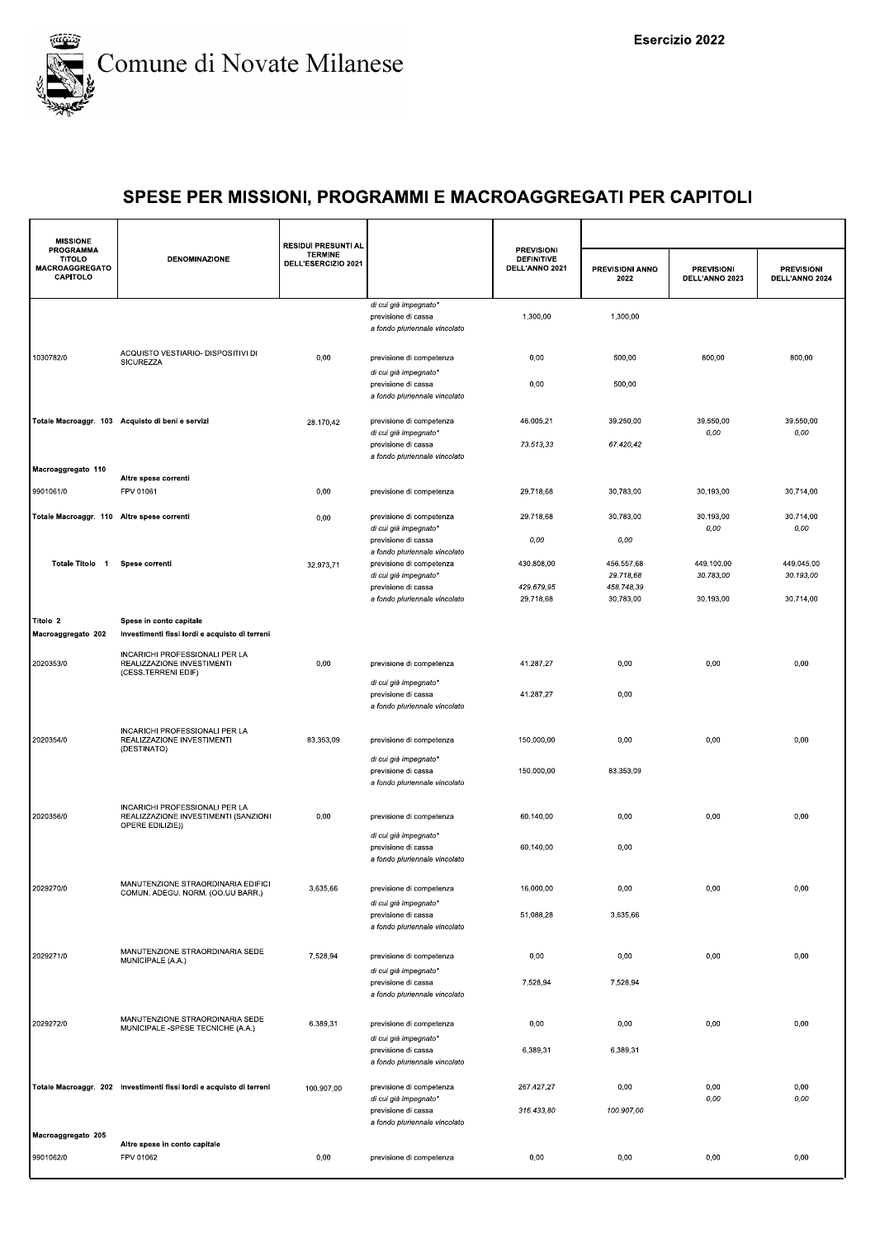

| <b>MISSIONE</b>                                          |                                                                                            | <b>RESIDUI PRESUNTI AL</b>            |                                                                               | <b>PREVISIONI</b>                   |                         |                                     |                                     |
|----------------------------------------------------------|--------------------------------------------------------------------------------------------|---------------------------------------|-------------------------------------------------------------------------------|-------------------------------------|-------------------------|-------------------------------------|-------------------------------------|
| PROGRAMMA<br><b>TITOLO</b><br>MACROAGGREGATO<br>CAPITOLO | <b>DENOMINAZIONE</b>                                                                       | <b>TERMINE</b><br>DELL'ESERCIZIO 2021 |                                                                               | <b>DEFINITIVE</b><br>DELL'ANNO 2021 | PREVISIONI ANNO<br>2022 | <b>PREVISIONI</b><br>DELL'ANNO 2023 | <b>PREVISIONI</b><br>DELL'ANNO 2024 |
|                                                          |                                                                                            |                                       | di cui già impegnato*<br>previsione di cassa<br>a fondo pluriennale vincolato | 1.300,00                            | 1.300,00                |                                     |                                     |
| 1030782/0                                                | ACQUISTO VESTIARIO- DISPOSITIVI DI<br>SICUREZZA                                            | 0,00                                  | previsione di competenza<br>di cui già impegnato*                             | 0,00                                | 500,00                  | 800,00                              | 800,00                              |
|                                                          |                                                                                            |                                       | previsione di cassa<br>a fondo pluriennale vincolato                          | 0,00                                | 500,00                  |                                     |                                     |
|                                                          | Totale Macroaggr. 103 Acquisto di beni e servizi                                           | 28.170,42                             | previsione di competenza<br>di cui già impegnato*<br>previsione di cassa      | 46.005,21<br>73.513,33              | 39.250,00<br>67.420,42  | 39.550,00<br>0,00                   | 39.550,00<br>0,00                   |
|                                                          |                                                                                            |                                       | a fondo pluriennale vincolato                                                 |                                     |                         |                                     |                                     |
| Macroaggregato 110                                       | Altre spese correnti                                                                       |                                       |                                                                               |                                     |                         |                                     |                                     |
| 9901061/0                                                | FPV 01061                                                                                  | 0,00                                  | previsione di competenza                                                      | 29.718,68                           | 30.783,00               | 30.193,00                           | 30.714,00                           |
| Totale Macroaggr. 110 Altre spese correnti               |                                                                                            | 0,00                                  | previsione di competenza<br>di cui già impegnato*                             | 29.718,68                           | 30.783,00               | 30.193,00<br>0,00                   | 30.714.00<br>0,00                   |
|                                                          |                                                                                            |                                       | previsione di cassa<br>a fondo pluriennale vincolato                          | 0,00                                | 0,00                    |                                     |                                     |
| Totale Titolo 1                                          | Spese correnti                                                                             | 32.973,71                             | previsione di competenza<br>di cui già impegnato*                             | 430.808,00                          | 456.557,68<br>29.718.68 | 449.100,00<br>30.783,00             | 449.045,00<br>30.193,00             |
|                                                          |                                                                                            |                                       | previsione di cassa<br>a fondo pluriennale vincolato                          | 429.679,95<br>29.718,68             | 458.748,39<br>30.783,00 | 30.193,00                           | 30.714,00                           |
| Titolo 2<br>Macroaggregato 202                           | Spese in conto capitale<br>Investimenti fissi lordi e acquisto di terreni                  |                                       |                                                                               |                                     |                         |                                     |                                     |
| 2020353/0                                                | INCARICHI PROFESSIONALI PER LA<br>REALIZZAZIONE INVESTIMENTI                               | 0,00                                  | previsione di competenza                                                      | 41.287,27                           | 0,00                    | 0,00                                | 0,00                                |
|                                                          | (CESS.TERRENI EDIF)                                                                        |                                       | di cui già impegnato*<br>previsione di cassa<br>a fondo pluriennale vincolato | 41.287,27                           | 0,00                    |                                     |                                     |
| 2020354/0                                                | INCARICHI PROFESSIONALI PER LA<br>REALIZZAZIONE INVESTIMENTI                               | 83.353,09                             | previsione di competenza                                                      | 150.000,00                          | 0,00                    | 0,00                                | 0,00                                |
|                                                          | (DESTINATO)                                                                                |                                       | di cui già impegnato*<br>previsione di cassa<br>a fondo pluriennale vincolato | 150.000,00                          | 83.353,09               |                                     |                                     |
| 2020356/0                                                | INCARICHI PROFESSIONALI PER LA<br>REALIZZAZIONE INVESTIMENTI (SANZIONI<br>OPERE EDILIZIE)) | 0,00                                  | previsione di competenza                                                      | 60.140,00                           | 0,00                    | 0,00                                | 0,00                                |
|                                                          |                                                                                            |                                       | di cui già impegnato*<br>previsione di cassa<br>a fondo pluriennale vincolato | 60.140,00                           | 0,00                    |                                     |                                     |
| 2029270/0                                                | MANUTENZIONE STRAORDINARIA EDIFICI<br>COMUN. ADEGU. NORM. (OO.UU BARR.)                    | 3.635,66                              | previsione di competenza                                                      | 16.000,00                           | 0,00                    | 0,00                                | 0,00                                |
|                                                          |                                                                                            |                                       | di cui già impegnato*<br>previsione di cassa<br>a fondo pluriennale vincolato | 51.088,28                           | 3.635,66                |                                     |                                     |
| 2029271/0                                                | MANUTENZIONE STRAORDINARIA SEDE<br>MUNICIPALE (A.A.)                                       | 7.528,94                              | previsione di competenza                                                      | 0,00                                | 0,00                    | 0,00                                | 0,00                                |
|                                                          |                                                                                            |                                       | di cui già impegnato*<br>previsione di cassa<br>a fondo pluriennale vincolato | 7.528,94                            | 7.528,94                |                                     |                                     |
| 2029272/0                                                | MANUTENZIONE STRAORDINARIA SEDE<br>MUNICIPALE -SPESE TECNICHE (A.A.)                       | 6.389,31                              | previsione di competenza                                                      | 0,00                                | 0,00                    | 0,00                                | 0,00                                |
|                                                          |                                                                                            |                                       | di cui già impegnato*<br>previsione di cassa<br>a fondo pluriennale vincolato | 6.389,31                            | 6.389,31                |                                     |                                     |
|                                                          | Totale Macroaggr. 202 Investimenti fissi lordi e acquisto di terreni                       | 100.907,00                            | previsione di competenza<br>di cui già impegnato*                             | 267.427,27                          | 0,00                    | 0,00<br>0,00                        | 0,00<br>0,00                        |
|                                                          |                                                                                            |                                       | previsione di cassa<br>a fondo pluriennale vincolato                          | 316.433,80                          | 100.907,00              |                                     |                                     |
| Macroaggregato 205                                       | Altre spese in conto capitale                                                              |                                       |                                                                               |                                     |                         |                                     |                                     |
| 9901062/0                                                | FPV 01062                                                                                  | 0,00                                  | previsione di competenza                                                      | 0,00                                | 0,00                    | 0,00                                | 0,00                                |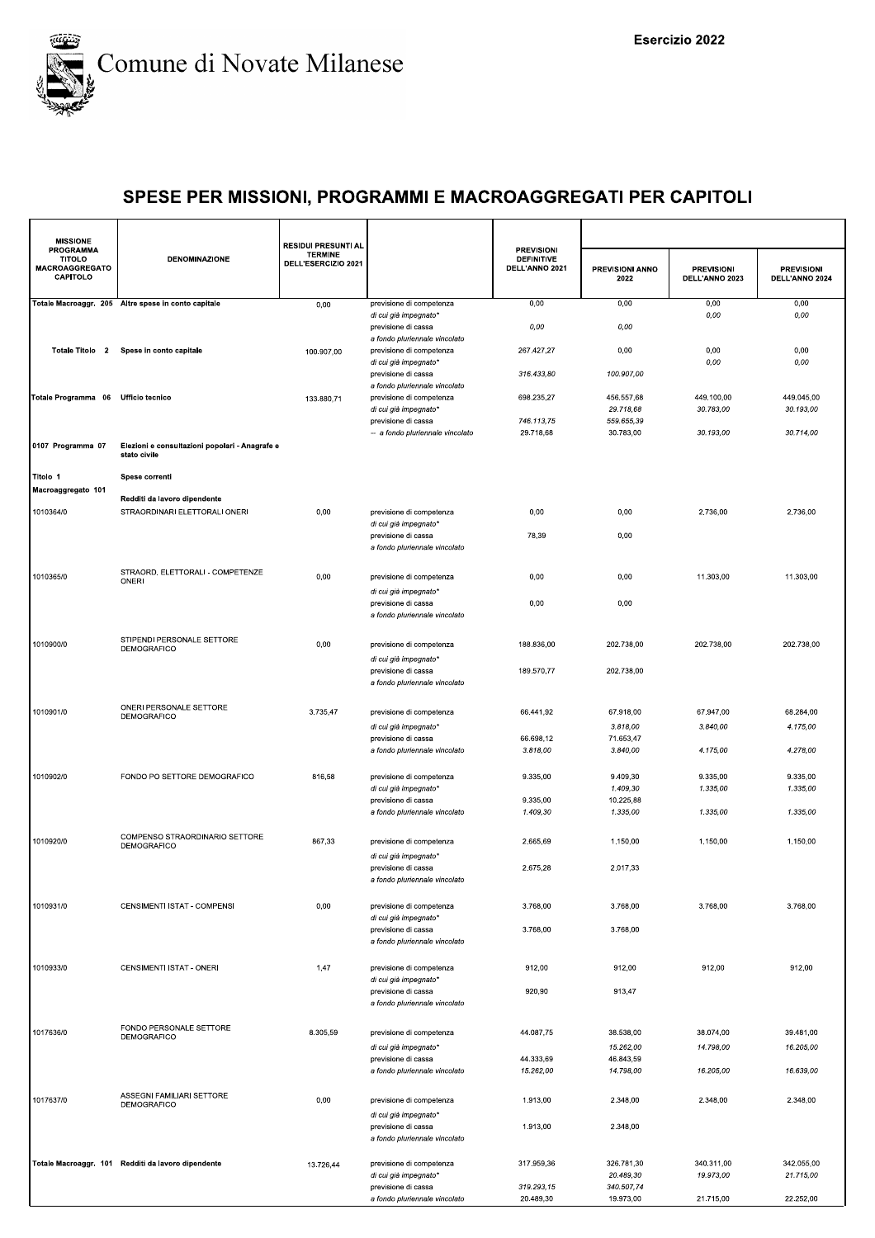

| <b>MISSIONE</b>                                                 |                                                     | <b>RESIDUI PRESUNTI AL</b>            |                                                         |                                                          |                         |                                     |                                     |
|-----------------------------------------------------------------|-----------------------------------------------------|---------------------------------------|---------------------------------------------------------|----------------------------------------------------------|-------------------------|-------------------------------------|-------------------------------------|
| <b>PROGRAMMA</b><br><b>TITOLO</b><br>MACROAGGREGATO<br>CAPITOLO | <b>DENOMINAZIONE</b>                                | <b>TERMINE</b><br>DELL'ESERCIZIO 2021 |                                                         | <b>PREVISIONI</b><br><b>DEFINITIVE</b><br>DELL'ANNO 2021 | PREVISIONI ANNO<br>2022 | <b>PREVISIONI</b><br>DELL'ANNO 2023 | <b>PREVISIONI</b><br>DELL'ANNO 2024 |
|                                                                 | Totale Macroaggr. 205 Altre spese in conto capitale | 0,00                                  | previsione di competenza                                | 0,00                                                     | 0,00                    | 0,00                                | 0,00                                |
|                                                                 |                                                     |                                       | di cui già impegnato*<br>previsione di cassa            | 0,00                                                     | 0,00                    | 0,00                                | 0,00                                |
|                                                                 |                                                     |                                       | a fondo pluriennale vincolato                           |                                                          |                         |                                     |                                     |
| Totale Titolo 2                                                 | Spese in conto capitale                             | 100.907,00                            | previsione di competenza                                | 267.427,27                                               | 0,00                    | 0,00                                | 0,00                                |
|                                                                 |                                                     |                                       | di cui già impegnato*<br>previsione di cassa            | 316.433,80                                               | 100.907,00              | 0,00                                | 0,00                                |
|                                                                 |                                                     |                                       | a fondo pluriennale vincolato                           |                                                          |                         |                                     |                                     |
| Totale Programma 06                                             | <b>Ufficio tecnico</b>                              | 133.880,71                            | previsione di competenza                                | 698.235,27                                               | 456.557,68              | 449.100,00                          | 449.045,00                          |
|                                                                 |                                                     |                                       | di cui già impegnato*                                   | 746.113,75                                               | 29.718,68               | 30.783,00                           | 30.193,00                           |
|                                                                 |                                                     |                                       | previsione di cassa<br>-- a fondo pluriennale vincolato | 29.718,68                                                | 559.655,39<br>30.783,00 | 30.193,00                           | 30.714,00                           |
| 0107 Programma 07                                               | Elezioni e consultazioni popolari - Anagrafe e      |                                       |                                                         |                                                          |                         |                                     |                                     |
|                                                                 | stato civile                                        |                                       |                                                         |                                                          |                         |                                     |                                     |
| Titolo 1                                                        | Spese correnti                                      |                                       |                                                         |                                                          |                         |                                     |                                     |
| Macroaggregato 101                                              | Redditi da lavoro dipendente                        |                                       |                                                         |                                                          |                         |                                     |                                     |
| 1010364/0                                                       | STRAORDINARI ELETTORALI ONERI                       | 0,00                                  | previsione di competenza                                | 0,00                                                     | 0,00                    | 2.736,00                            | 2.736,00                            |
|                                                                 |                                                     |                                       | di cui già impegnato*                                   |                                                          |                         |                                     |                                     |
|                                                                 |                                                     |                                       | previsione di cassa                                     | 78,39                                                    | 0,00                    |                                     |                                     |
|                                                                 |                                                     |                                       | a fondo pluriennale vincolato                           |                                                          |                         |                                     |                                     |
| 1010365/0                                                       | STRAORD. ELETTORALI - COMPETENZE                    | 0,00                                  | previsione di competenza                                | 0,00                                                     | 0,00                    | 11.303,00                           | 11.303,00                           |
|                                                                 | ONERI                                               |                                       | di cui già impegnato*                                   |                                                          |                         |                                     |                                     |
|                                                                 |                                                     |                                       | previsione di cassa                                     | 0,00                                                     | 0,00                    |                                     |                                     |
|                                                                 |                                                     |                                       | a fondo pluriennale vincolato                           |                                                          |                         |                                     |                                     |
|                                                                 |                                                     |                                       |                                                         |                                                          |                         |                                     |                                     |
| 1010900/0                                                       | STIPENDI PERSONALE SETTORE<br><b>DEMOGRAFICO</b>    | 0,00                                  | previsione di competenza                                | 188.836,00                                               | 202.738,00              | 202.738,00                          | 202.738,00                          |
|                                                                 |                                                     |                                       | di cui già impegnato*                                   |                                                          |                         |                                     |                                     |
|                                                                 |                                                     |                                       | previsione di cassa<br>a fondo pluriennale vincolato    | 189.570,77                                               | 202.738,00              |                                     |                                     |
|                                                                 |                                                     |                                       |                                                         |                                                          |                         |                                     |                                     |
| 1010901/0                                                       | ONERI PERSONALE SETTORE<br>DEMOGRAFICO              | 3.735,47                              | previsione di competenza                                | 66.441,92                                                | 67.918,00               | 67.947,00                           | 68.284,00                           |
|                                                                 |                                                     |                                       | di cui già impegnato*                                   |                                                          | 3.818,00                | 3.840,00                            | 4.175,00                            |
|                                                                 |                                                     |                                       | previsione di cassa                                     | 66.698,12                                                | 71.653,47               |                                     |                                     |
|                                                                 |                                                     |                                       | a fondo pluriennale vincolato                           | 3.818,00                                                 | 3.840,00                | 4.175,00                            | 4.278,00                            |
| 1010902/0                                                       | FONDO PO SETTORE DEMOGRAFICO                        | 816,58                                | previsione di competenza                                | 9.335,00                                                 | 9.409,30                | 9.335,00                            | 9.335,00                            |
|                                                                 |                                                     |                                       | di cui già impegnato*                                   |                                                          | 1.409,30                | 1.335,00                            | 1.335,00                            |
|                                                                 |                                                     |                                       | previsione di cassa                                     | 9.335,00                                                 | 10.225,88               |                                     |                                     |
|                                                                 |                                                     |                                       | a fondo pluriennale vincolato                           | 1.409,30                                                 | 1.335,00                | 1.335,00                            | 1.335,00                            |
| 1010920/0                                                       | COMPENSO STRAORDINARIO SETTORE                      | 867,33                                | previsione di competenza                                | 2.665,69                                                 | 1.150,00                | 1.150,00                            | 1.150,00                            |
|                                                                 | DEMOGRAFICO                                         |                                       | di cui già impegnato*                                   |                                                          |                         |                                     |                                     |
|                                                                 |                                                     |                                       | previsione di cassa                                     | 2.675,28                                                 | 2.017,33                |                                     |                                     |
|                                                                 |                                                     |                                       | a fondo pluriennale vincolato                           |                                                          |                         |                                     |                                     |
|                                                                 |                                                     |                                       |                                                         |                                                          |                         |                                     |                                     |
| 1010931/0                                                       | CENSIMENTI ISTAT - COMPENSI                         | 0,00                                  | previsione di competenza<br>di cui già impegnato*       | 3.768,00                                                 | 3.768,00                | 3.768,00                            | 3.768,00                            |
|                                                                 |                                                     |                                       | previsione di cassa                                     | 3.768,00                                                 | 3.768,00                |                                     |                                     |
|                                                                 |                                                     |                                       | a fondo pluriennale vincolato                           |                                                          |                         |                                     |                                     |
| 1010933/0                                                       | CENSIMENTI ISTAT - ONERI                            | 1,47                                  | previsione di competenza                                | 912,00                                                   | 912,00                  | 912,00                              | 912,00                              |
|                                                                 |                                                     |                                       | di cui già impegnato*                                   |                                                          |                         |                                     |                                     |
|                                                                 |                                                     |                                       | previsione di cassa                                     | 920,90                                                   | 913,47                  |                                     |                                     |
|                                                                 |                                                     |                                       | a fondo pluriennale vincolato                           |                                                          |                         |                                     |                                     |
|                                                                 | FONDO PERSONALE SETTORE                             |                                       |                                                         |                                                          |                         |                                     |                                     |
| 1017636/0                                                       | DEMOGRAFICO                                         | 8.305,59                              | previsione di competenza                                | 44.087,75                                                | 38.538,00<br>15.262.00  | 38.074,00<br>14.798,00              | 39.481,00                           |
|                                                                 |                                                     |                                       | di cui già impegnato*<br>previsione di cassa            | 44.333,69                                                | 46.843,59               |                                     | 16.205,00                           |
|                                                                 |                                                     |                                       | a fondo pluriennale vincolato                           | 15.262,00                                                | 14.798,00               | 16.205,00                           | 16.639,00                           |
|                                                                 |                                                     |                                       |                                                         |                                                          |                         |                                     |                                     |
| 1017637/0                                                       | ASSEGNI FAMILIARI SETTORE<br>DEMOGRAFICO            | 0,00                                  | previsione di competenza                                | 1.913,00                                                 | 2.348,00                | 2.348,00                            | 2.348,00                            |
|                                                                 |                                                     |                                       | di cui già impegnato*                                   |                                                          |                         |                                     |                                     |
|                                                                 |                                                     |                                       | previsione di cassa<br>a fondo pluriennale vincolato    | 1.913,00                                                 | 2.348,00                |                                     |                                     |
|                                                                 |                                                     |                                       |                                                         |                                                          |                         |                                     |                                     |
|                                                                 | Totale Macroaggr. 101 Redditi da lavoro dipendente  | 13.726,44                             | previsione di competenza                                | 317.959,36                                               | 326.781,30              | 340.311,00                          | 342.055,00                          |
|                                                                 |                                                     |                                       | di cui già impegnato*                                   |                                                          | 20.489,30               | 19.973,00                           | 21.715,00                           |
|                                                                 |                                                     |                                       | previsione di cassa<br>a fondo pluriennale vincolato    | 319.293,15<br>20.489,30                                  | 340.507,74<br>19.973,00 | 21.715,00                           | 22.252,00                           |
|                                                                 |                                                     |                                       |                                                         |                                                          |                         |                                     |                                     |
|                                                                 |                                                     |                                       |                                                         |                                                          |                         |                                     |                                     |
|                                                                 |                                                     |                                       |                                                         |                                                          |                         |                                     |                                     |
|                                                                 |                                                     |                                       |                                                         |                                                          |                         |                                     |                                     |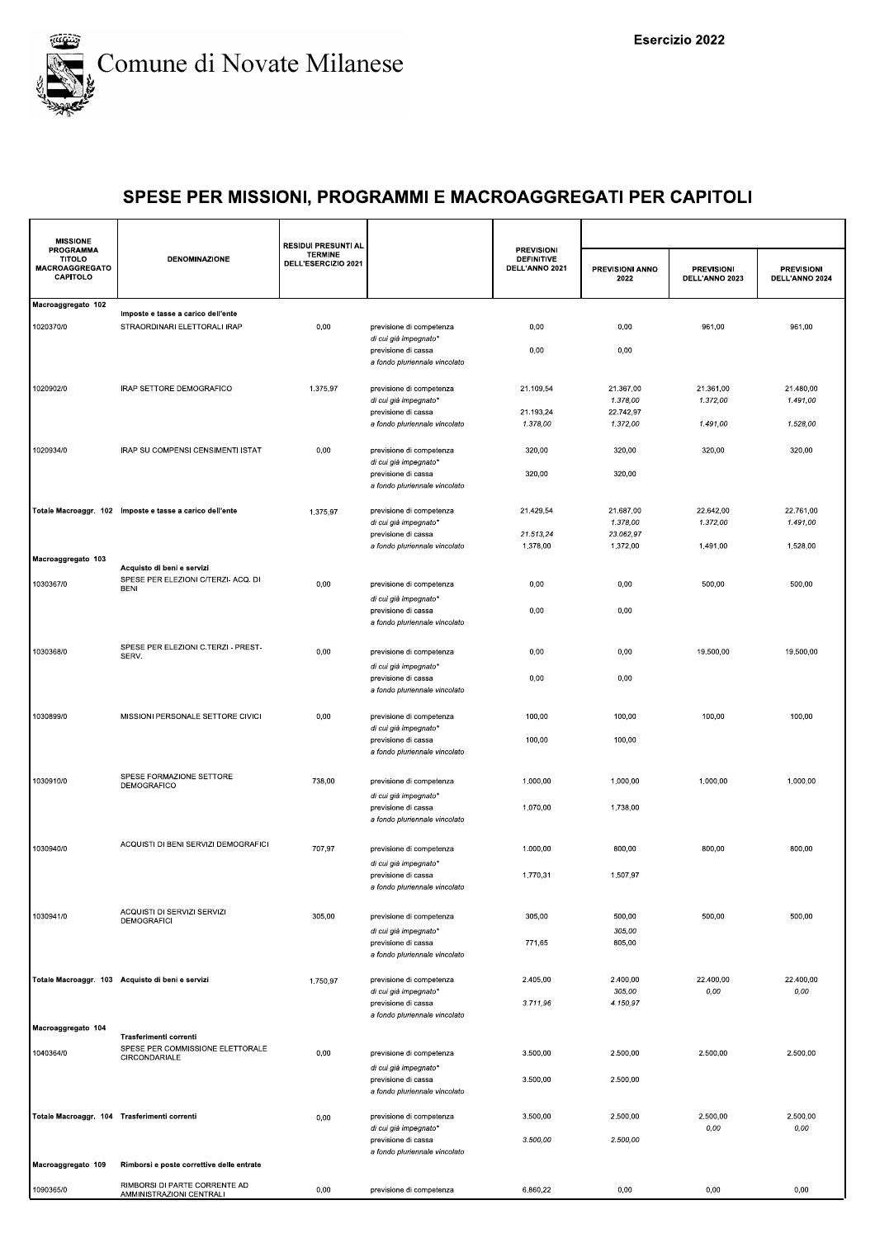

| <b>MISSIONE</b>                                                        |                                                                   | <b>RESIDUI PRESUNTI AL</b>            |                                                                               |                                                          |                         |                                     |                                     |
|------------------------------------------------------------------------|-------------------------------------------------------------------|---------------------------------------|-------------------------------------------------------------------------------|----------------------------------------------------------|-------------------------|-------------------------------------|-------------------------------------|
| <b>PROGRAMMA</b><br><b>TITOLO</b><br><b>MACROAGGREGATO</b><br>CAPITOLO | <b>DENOMINAZIONE</b>                                              | <b>TERMINE</b><br>DELL'ESERCIZIO 2021 |                                                                               | <b>PREVISIONI</b><br><b>DEFINITIVE</b><br>DELL'ANNO 2021 | PREVISIONI ANNO<br>2022 | <b>PREVISIONI</b><br>DELL'ANNO 2023 | <b>PREVISIONI</b><br>DELL'ANNO 2024 |
| Macroaggregato 102                                                     | Imposte e tasse a carico dell'ente                                |                                       |                                                                               |                                                          |                         |                                     |                                     |
| 1020370/0                                                              | STRAORDINARI ELETTORALI IRAP                                      | 0,00                                  | previsione di competenza<br>di cui già impegnato*                             | 0,00                                                     | 0,00                    | 961,00                              | 961,00                              |
|                                                                        |                                                                   |                                       | previsione di cassa<br>a fondo pluriennale vincolato                          | 0,00                                                     | 0,00                    |                                     |                                     |
| 1020902/0                                                              | IRAP SETTORE DEMOGRAFICO                                          | 1.375,97                              | previsione di competenza                                                      | 21.109,54                                                | 21.367,00               | 21.361,00                           | 21.480,00                           |
|                                                                        |                                                                   |                                       | di cui già impegnato*                                                         |                                                          | 1.378,00                | 1.372,00                            | 1.491,00                            |
|                                                                        |                                                                   |                                       | previsione di cassa<br>a fondo pluriennale vincolato                          | 21.193,24<br>1.378,00                                    | 22.742,97<br>1.372,00   | 1.491,00                            | 1.528,00                            |
|                                                                        |                                                                   |                                       |                                                                               |                                                          |                         |                                     |                                     |
| 1020934/0                                                              | IRAP SU COMPENSI CENSIMENTI ISTAT                                 | 0,00                                  | previsione di competenza                                                      | 320,00                                                   | 320,00                  | 320,00                              | 320,00                              |
|                                                                        |                                                                   |                                       | di cui già impegnato*<br>previsione di cassa<br>a fondo pluriennale vincolato | 320,00                                                   | 320,00                  |                                     |                                     |
|                                                                        | Totale Macroaggr. 102 Imposte e tasse a carico dell'ente          | 1.375,97                              | previsione di competenza                                                      | 21.429,54                                                | 21.687,00               | 22.642,00                           | 22.761,00                           |
|                                                                        |                                                                   |                                       | di cui già impegnato*                                                         |                                                          | 1.378,00                | 1.372,00                            | 1.491,00                            |
|                                                                        |                                                                   |                                       | previsione di cassa<br>a fondo pluriennale vincolato                          | 21.513,24<br>1.378,00                                    | 23.062,97<br>1.372,00   | 1.491,00                            | 1.528,00                            |
| Macroaggregato 103                                                     |                                                                   |                                       |                                                                               |                                                          |                         |                                     |                                     |
|                                                                        | Acquisto di beni e servizi<br>SPESE PER ELEZIONI C/TERZI- ACQ. DI |                                       |                                                                               |                                                          |                         |                                     |                                     |
| 1030367/0                                                              | <b>BENI</b>                                                       | 0,00                                  | previsione di competenza                                                      | 0,00                                                     | 0,00                    | 500,00                              | 500,00                              |
|                                                                        |                                                                   |                                       | di cui già impegnato*<br>previsione di cassa                                  | 0,00                                                     | 0,00                    |                                     |                                     |
|                                                                        |                                                                   |                                       | a fondo pluriennale vincolato                                                 |                                                          |                         |                                     |                                     |
| 1030368/0                                                              | SPESE PER ELEZIONI C.TERZI - PREST-<br>SERV.                      | 0,00                                  | previsione di competenza                                                      | 0,00                                                     | 0,00                    | 19.500,00                           | 19.500,00                           |
|                                                                        |                                                                   |                                       | di cui già impegnato*                                                         |                                                          |                         |                                     |                                     |
|                                                                        |                                                                   |                                       | previsione di cassa<br>a fondo pluriennale vincolato                          | 0,00                                                     | 0,00                    |                                     |                                     |
| 1030899/0                                                              | MISSIONI PERSONALE SETTORE CIVICI                                 | 0,00                                  | previsione di competenza                                                      | 100,00                                                   | 100,00                  | 100,00                              | 100,00                              |
|                                                                        |                                                                   |                                       | di cui già impegnato*                                                         |                                                          |                         |                                     |                                     |
|                                                                        |                                                                   |                                       | previsione di cassa<br>a fondo pluriennale vincolato                          | 100,00                                                   | 100,00                  |                                     |                                     |
| 1030910/0                                                              | SPESE FORMAZIONE SETTORE                                          | 738,00                                | previsione di competenza                                                      | 1.000,00                                                 | 1.000,00                | 1.000,00                            | 1.000,00                            |
|                                                                        | DEMOGRAFICO                                                       |                                       | di cui già impegnato*                                                         |                                                          |                         |                                     |                                     |
|                                                                        |                                                                   |                                       | previsione di cassa                                                           | 1.070,00                                                 | 1.738,00                |                                     |                                     |
|                                                                        |                                                                   |                                       | a fondo pluriennale vincolato                                                 |                                                          |                         |                                     |                                     |
| 1030940/0                                                              | ACQUISTI DI BENI SERVIZI DEMOGRAFICI                              | 707,97                                | previsione di competenza                                                      | 1.000,00                                                 | 800,00                  | 800,00                              | 800,00                              |
|                                                                        |                                                                   |                                       | di cui già impegnato*                                                         |                                                          |                         |                                     |                                     |
|                                                                        |                                                                   |                                       | previsione di cassa                                                           | 1.770.31                                                 | 1.507.97                |                                     |                                     |
|                                                                        |                                                                   |                                       | a fondo pluriennale vincolato                                                 |                                                          |                         |                                     |                                     |
| 1030941/0                                                              | ACQUISTI DI SERVIZI SERVIZI<br><b>DEMOGRAFICI</b>                 | 305,00                                | previsione di competenza                                                      | 305,00                                                   | 500,00                  | 500,00                              | 500,00                              |
|                                                                        |                                                                   |                                       | di cui già impegnato*                                                         |                                                          | 305,00                  |                                     |                                     |
|                                                                        |                                                                   |                                       | previsione di cassa<br>a fondo pluriennale vincolato                          | 771,65                                                   | 805,00                  |                                     |                                     |
|                                                                        |                                                                   |                                       |                                                                               |                                                          |                         |                                     |                                     |
|                                                                        | Totale Macroaggr. 103 Acquisto di beni e servizi                  | 1.750,97                              | previsione di competenza                                                      | 2.405,00                                                 | 2.400,00                | 22.400,00                           | 22.400,00                           |
|                                                                        |                                                                   |                                       | di cui già impegnato*<br>previsione di cassa                                  | 3.711,96                                                 | 305,00<br>4.150,97      | 0,00                                | 0,00                                |
|                                                                        |                                                                   |                                       | a fondo pluriennale vincolato                                                 |                                                          |                         |                                     |                                     |
| Macroaggregato 104                                                     | Trasferimenti correnti                                            |                                       |                                                                               |                                                          |                         |                                     |                                     |
| 1040364/0                                                              | SPESE PER COMMISSIONE ELETTORALE<br>CIRCONDARIALE                 | 0,00                                  | previsione di competenza                                                      | 3.500,00                                                 | 2.500,00                | 2.500,00                            | 2.500,00                            |
|                                                                        |                                                                   |                                       | di cui già impegnato*                                                         |                                                          |                         |                                     |                                     |
|                                                                        |                                                                   |                                       | previsione di cassa<br>a fondo pluriennale vincolato                          | 3.500,00                                                 | 2.500,00                |                                     |                                     |
| Totale Macroaggr. 104 Trasferimenti correnti                           |                                                                   | 0,00                                  | previsione di competenza                                                      | 3.500,00                                                 | 2.500,00                | 2.500,00                            | 2.500,00                            |
|                                                                        |                                                                   |                                       | di cui già impegnato*                                                         |                                                          |                         | 0,00                                | 0,00                                |
|                                                                        |                                                                   |                                       | previsione di cassa<br>a fondo pluriennale vincolato                          | 3.500,00                                                 | 2.500,00                |                                     |                                     |
| Macroaggregato 109                                                     | Rimborsi e poste correttive delle entrate                         |                                       |                                                                               |                                                          |                         |                                     |                                     |
| 1090365/0                                                              | RIMBORSI DI PARTE CORRENTE AD<br>AMMINISTRAZIONI CENTRALI         | 0,00                                  | previsione di competenza                                                      | 6.860,22                                                 | 0,00                    | 0,00                                | 0,00                                |
|                                                                        |                                                                   |                                       |                                                                               |                                                          |                         |                                     |                                     |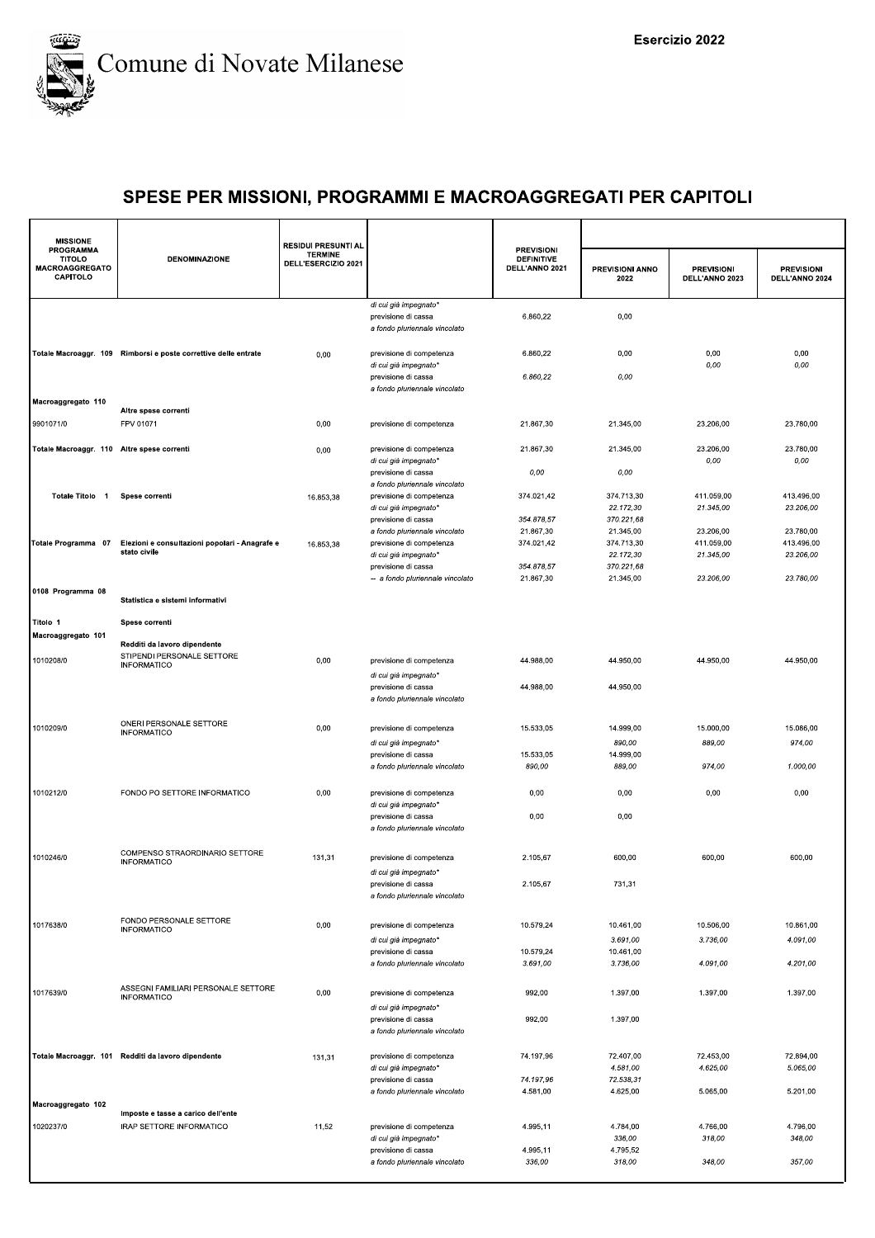

| <b>MISSIONE</b>                                          |                                                                                  | <b>RESIDUI PRESUNTI AL</b>            |                                                                                    | <b>PREVISIONI</b>                   |                                       |                                     |                                     |
|----------------------------------------------------------|----------------------------------------------------------------------------------|---------------------------------------|------------------------------------------------------------------------------------|-------------------------------------|---------------------------------------|-------------------------------------|-------------------------------------|
| PROGRAMMA<br><b>TITOLO</b><br>MACROAGGREGATO<br>CAPITOLO | <b>DENOMINAZIONE</b>                                                             | <b>TERMINE</b><br>DELL'ESERCIZIO 2021 |                                                                                    | <b>DEFINITIVE</b><br>DELL'ANNO 2021 | PREVISIONI ANNO<br>2022               | <b>PREVISIONI</b><br>DELL'ANNO 2023 | <b>PREVISIONI</b><br>DELL'ANNO 2024 |
|                                                          |                                                                                  |                                       | di cui già impegnato*<br>previsione di cassa<br>a fondo pluriennale vincolato      | 6.860,22                            | 0,00                                  |                                     |                                     |
|                                                          | Totale Macroaggr. 109 Rimborsi e poste correttive delle entrate                  | 0,00                                  | previsione di competenza<br>di cui già impegnato*                                  | 6.860,22                            | 0,00                                  | 0,00<br>0,00                        | 0,00<br>0,00                        |
|                                                          |                                                                                  |                                       | previsione di cassa<br>a fondo pluriennale vincolato                               | 6.860,22                            | 0,00                                  |                                     |                                     |
| Macroaggregato 110<br>9901071/0                          | Altre spese correnti<br>FPV 01071                                                | 0,00                                  | previsione di competenza                                                           | 21.867,30                           | 21.345.00                             | 23.206,00                           | 23.780,00                           |
| Totale Macroaggr. 110 Altre spese correnti               |                                                                                  | 0,00                                  | previsione di competenza                                                           | 21.867,30                           | 21.345,00                             | 23.206,00                           | 23.780,00                           |
|                                                          |                                                                                  |                                       | di cui già impegnato*<br>previsione di cassa                                       | 0,00                                | 0,00                                  | 0,00                                | $0,00$                              |
| Totale Titolo 1                                          | Spese correnti                                                                   | 16.853,38                             | a fondo pluriennale vincolato<br>previsione di competenza<br>di cui già impegnato* | 374.021,42                          | 374.713,30<br>22.172,30               | 411.059,00<br>21.345,00             | 413.496,00<br>23.206,00             |
|                                                          |                                                                                  |                                       | previsione di cassa<br>a fondo pluriennale vincolato                               | 354.878,57<br>21.867,30             | 370.221,68<br>21.345,00               | 23.206,00                           | 23.780,00                           |
| Totale Programma 07                                      | Elezioni e consultazioni popolari - Anagrafe e<br>stato civile                   | 16.853,38                             | previsione di competenza<br>di cui già impegnato*<br>previsione di cassa           | 374.021,42<br>354.878,57            | 374.713,30<br>22.172,30<br>370.221,68 | 411.059.00<br>21.345,00             | 413.496,00<br>23.206,00             |
| 0108 Programma 08                                        |                                                                                  |                                       | -- a fondo pluriennale vincolato                                                   | 21.867,30                           | 21.345.00                             | 23.206,00                           | 23.780.00                           |
| Titolo 1                                                 | Statistica e sistemi informativi<br>Spese correnti                               |                                       |                                                                                    |                                     |                                       |                                     |                                     |
| Macroaggregato 101                                       |                                                                                  |                                       |                                                                                    |                                     |                                       |                                     |                                     |
| 1010208/0                                                | Redditi da lavoro dipendente<br>STIPENDI PERSONALE SETTORE<br><b>INFORMATICO</b> | 0,00                                  | previsione di competenza                                                           | 44.988,00                           | 44.950,00                             | 44.950,00                           | 44.950,00                           |
|                                                          |                                                                                  |                                       | di cui già impegnato*<br>previsione di cassa<br>a fondo pluriennale vincolato      | 44.988,00                           | 44.950,00                             |                                     |                                     |
|                                                          | ONERI PERSONALE SETTORE                                                          |                                       |                                                                                    |                                     |                                       |                                     |                                     |
| 1010209/0                                                | <b>INFORMATICO</b>                                                               | 0,00                                  | previsione di competenza<br>di cui già impegnato*                                  | 15.533,05                           | 14.999,00<br>890,00                   | 15.000,00<br>889,00                 | 15.086,00<br>974,00                 |
|                                                          |                                                                                  |                                       | previsione di cassa<br>a fondo pluriennale vincolato                               | 15.533,05<br>890,00                 | 14.999,00<br>889,00                   | 974,00                              | 1.000,00                            |
| 1010212/0                                                | FONDO PO SETTORE INFORMATICO                                                     | 0,00                                  |                                                                                    | 0,00                                | 0,00                                  | 0,00                                | 0,00                                |
|                                                          |                                                                                  |                                       | previsione di competenza<br>di cui già impegnato*                                  |                                     |                                       |                                     |                                     |
|                                                          |                                                                                  |                                       | previsione di cassa<br>a fondo pluriennale vincolato                               | 0,00                                | 0,00                                  |                                     |                                     |
| 1010246/0                                                | COMPENSO STRAORDINARIO SETTORE<br><b>INFORMATICO</b>                             | 131,31                                | previsione di competenza<br>di cui già impegnato*                                  | 2.105,67                            | 600,00                                | 600,00                              | 600,00                              |
|                                                          |                                                                                  |                                       | previsione di cassa<br>a fondo pluriennale vincolato                               | 2.105,67                            | 731,31                                |                                     |                                     |
| 1017638/0                                                | FONDO PERSONALE SETTORE<br><b>INFORMATICO</b>                                    | 0,00                                  | previsione di competenza                                                           | 10.579,24                           | 10.461,00                             | 10.506,00                           | 10.861,00                           |
|                                                          |                                                                                  |                                       | di cui già impegnato*                                                              |                                     | 3.691,00                              | 3.736,00                            | 4.091,00                            |
|                                                          |                                                                                  |                                       | previsione di cassa<br>a fondo pluriennale vincolato                               | 10.579,24<br>3.691,00               | 10.461,00<br>3.736,00                 | 4.091,00                            | 4.201,00                            |
| 1017639/0                                                | ASSEGNI FAMILIARI PERSONALE SETTORE<br><b>INFORMATICO</b>                        | 0,00                                  | previsione di competenza                                                           | 992,00                              | 1.397,00                              | 1.397,00                            | 1.397,00                            |
|                                                          |                                                                                  |                                       | di cui già impegnato*<br>previsione di cassa<br>a fondo pluriennale vincolato      | 992,00                              | 1.397,00                              |                                     |                                     |
|                                                          | Totale Macroaggr. 101 Redditi da lavoro dipendente                               | 131,31                                | previsione di competenza                                                           | 74.197,96                           | 72.407,00                             | 72.453,00                           | 72.894,00                           |
|                                                          |                                                                                  |                                       | di cui già impegnato*<br>previsione di cassa                                       | 74.197,96                           | 4.581,00<br>72.538,31                 | 4.625,00                            | 5.065,00                            |
|                                                          |                                                                                  |                                       | a fondo pluriennale vincolato                                                      | 4.581,00                            | 4.625,00                              | 5.065,00                            | 5.201,00                            |
| Macroaggregato 102                                       | Imposte e tasse a carico dell'ente                                               |                                       |                                                                                    |                                     |                                       |                                     |                                     |
| 1020237/0                                                | IRAP SETTORE INFORMATICO                                                         | 11,52                                 | previsione di competenza                                                           | 4.995,11                            | 4.784,00                              | 4.766,00                            | 4.796,00                            |
|                                                          |                                                                                  |                                       | di cui già impegnato*<br>previsione di cassa                                       | 4.995,11                            | 336,00<br>4.795,52                    | 318,00                              | 348,00                              |
|                                                          |                                                                                  |                                       | a fondo pluriennale vincolato                                                      | 336,00                              | 318,00                                | 348,00                              | 357,00                              |
|                                                          |                                                                                  |                                       |                                                                                    |                                     |                                       |                                     |                                     |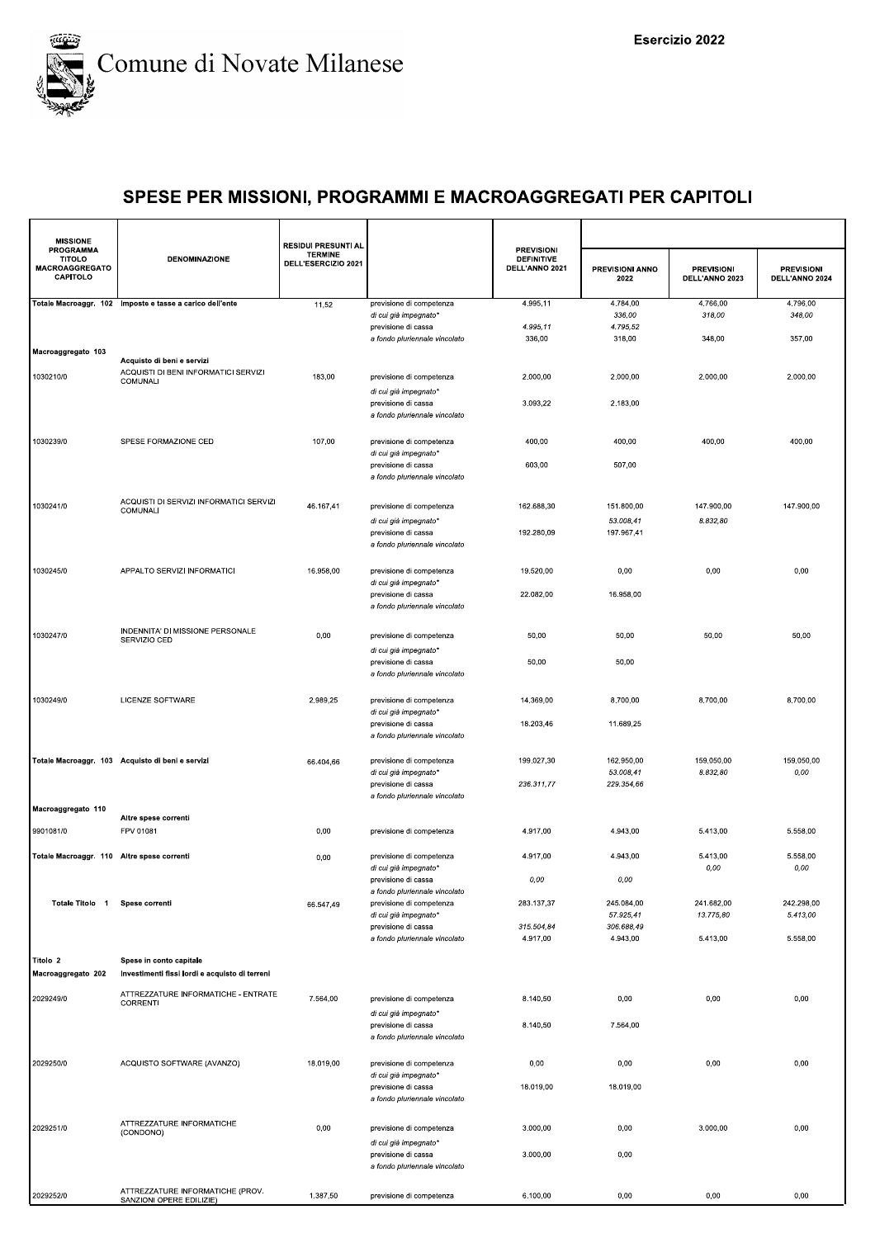

| <b>MISSIONE</b>                                                 |                                                                           | <b>RESIDUI PRESUNTI AL</b>            |                                                      |                                                          |                                |                                     |                                     |
|-----------------------------------------------------------------|---------------------------------------------------------------------------|---------------------------------------|------------------------------------------------------|----------------------------------------------------------|--------------------------------|-------------------------------------|-------------------------------------|
| <b>PROGRAMMA</b><br><b>TITOLO</b><br>MACROAGGREGATO<br>CAPITOLO | <b>DENOMINAZIONE</b>                                                      | <b>TERMINE</b><br>DELL'ESERCIZIO 2021 |                                                      | <b>PREVISIONI</b><br><b>DEFINITIVE</b><br>DELL'ANNO 2021 | <b>PREVISIONI ANNO</b><br>2022 | <b>PREVISIONI</b><br>DELL'ANNO 2023 | <b>PREVISIONI</b><br>DELL'ANNO 2024 |
|                                                                 | Totale Macroaggr. 102 Imposte e tasse a carico dell'ente                  | 11,52                                 | previsione di competenza<br>di cui già impegnato*    | 4.995.11                                                 | 4.784,00<br>336,00             | 4.766,00<br>318,00                  | 4.796,00<br>348,00                  |
|                                                                 |                                                                           |                                       | previsione di cassa                                  | 4.995,11                                                 | 4.795,52                       |                                     |                                     |
|                                                                 |                                                                           |                                       | a fondo pluriennale vincolato                        | 336,00                                                   | 318,00                         | 348,00                              | 357,00                              |
| Macroaggregato 103                                              | Acquisto di beni e servizi                                                |                                       |                                                      |                                                          |                                |                                     |                                     |
| 1030210/0                                                       | ACQUISTI DI BENI INFORMATICI SERVIZI<br>COMUNALI                          | 183,00                                | previsione di competenza                             | 2.000,00                                                 | 2.000,00                       | 2.000,00                            | 2.000,00                            |
|                                                                 |                                                                           |                                       | di cui già impegnato*                                | 3.093,22                                                 | 2.183,00                       |                                     |                                     |
|                                                                 |                                                                           |                                       | previsione di cassa<br>a fondo pluriennale vincolato |                                                          |                                |                                     |                                     |
|                                                                 |                                                                           |                                       |                                                      |                                                          |                                |                                     |                                     |
| 1030239/0                                                       | SPESE FORMAZIONE CED                                                      | 107,00                                | previsione di competenza<br>di cui già impegnato*    | 400,00                                                   | 400,00                         | 400,00                              | 400,00                              |
|                                                                 |                                                                           |                                       | previsione di cassa                                  | 603,00                                                   | 507,00                         |                                     |                                     |
|                                                                 |                                                                           |                                       | a fondo pluriennale vincolato                        |                                                          |                                |                                     |                                     |
| 1030241/0                                                       | ACQUISTI DI SERVIZI INFORMATICI SERVIZI<br>COMUNALI                       | 46.167,41                             | previsione di competenza                             | 162.688,30                                               | 151.800,00                     | 147.900,00                          | 147.900,00                          |
|                                                                 |                                                                           |                                       | di cui già impegnato*                                |                                                          | 53.008,41                      | 8.832,80                            |                                     |
|                                                                 |                                                                           |                                       | previsione di cassa<br>a fondo pluriennale vincolato | 192.280,09                                               | 197.967,41                     |                                     |                                     |
|                                                                 |                                                                           |                                       |                                                      |                                                          |                                |                                     |                                     |
| 1030245/0                                                       | APPALTO SERVIZI INFORMATICI                                               | 16.958,00                             | previsione di competenza                             | 19.520,00                                                | 0,00                           | 0,00                                | 0,00                                |
|                                                                 |                                                                           |                                       | di cui già impegnato*<br>previsione di cassa         | 22.082.00                                                | 16.958.00                      |                                     |                                     |
|                                                                 |                                                                           |                                       | a fondo pluriennale vincolato                        |                                                          |                                |                                     |                                     |
|                                                                 | INDENNITA' DI MISSIONE PERSONALE                                          |                                       |                                                      |                                                          |                                |                                     |                                     |
| 1030247/0                                                       | SERVIZIO CED                                                              | 0,00                                  | previsione di competenza                             | 50,00                                                    | 50,00                          | 50,00                               | 50,00                               |
|                                                                 |                                                                           |                                       | di cui già impegnato*<br>previsione di cassa         | 50,00                                                    | 50,00                          |                                     |                                     |
|                                                                 |                                                                           |                                       | a fondo pluriennale vincolato                        |                                                          |                                |                                     |                                     |
| 1030249/0                                                       | LICENZE SOFTWARE                                                          | 2.989,25                              | previsione di competenza                             | 14.369,00                                                | 8.700,00                       | 8.700,00                            | 8.700,00                            |
|                                                                 |                                                                           |                                       | di cui già impegnato*                                |                                                          |                                |                                     |                                     |
|                                                                 |                                                                           |                                       | previsione di cassa<br>a fondo pluriennale vincolato | 18.203,46                                                | 11.689,25                      |                                     |                                     |
|                                                                 |                                                                           |                                       |                                                      |                                                          |                                |                                     |                                     |
|                                                                 | Totale Macroaggr. 103 Acquisto di beni e servizi                          | 66.404,66                             | previsione di competenza<br>di cui già impegnato*    | 199.027,30                                               | 162.950,00<br>53.008,41        | 159.050,00<br>8.832,80              | 159.050,00<br>0,00                  |
|                                                                 |                                                                           |                                       | previsione di cassa                                  | 236.311,77                                               | 229.354,66                     |                                     |                                     |
| Macroaggregato 110                                              |                                                                           |                                       | a fondo pluriennale vincolato                        |                                                          |                                |                                     |                                     |
|                                                                 | Altre spese correnti                                                      |                                       |                                                      |                                                          |                                |                                     |                                     |
| 9901081/0                                                       | FPV 01081                                                                 | 0,00                                  | previsione di competenza                             | 4.917,00                                                 | 4.943,00                       | 5.413,00                            | 5.558,00                            |
| Totale Macroaggr. 110                                           | Altre spese correnti                                                      | 0,00                                  | previsione di competenza                             | 4.917,00                                                 | 4.943,00                       | 5.413,00                            | 5.558,00                            |
|                                                                 |                                                                           |                                       | di cui già impegnato*<br>previsione di cassa         | $0,00$                                                   | 0,00                           | 0,00                                | 0,00                                |
|                                                                 |                                                                           |                                       | a fondo pluriennale vincolato                        |                                                          |                                |                                     |                                     |
| Totale Titolo 1                                                 | Spese correnti                                                            | 66.547,49                             | previsione di competenza<br>di cui già impegnato*    | 283.137,37                                               | 245.084,00<br>57.925,41        | 241.682,00<br>13.775,80             | 242.298,00<br>5.413,00              |
|                                                                 |                                                                           |                                       | previsione di cassa                                  | 315.504,84                                               | 306.688,49                     |                                     |                                     |
|                                                                 |                                                                           |                                       | a fondo pluriennale vincolato                        | 4.917,00                                                 | 4.943,00                       | 5.413,00                            | 5.558,00                            |
| Titolo 2<br>Macroaggregato 202                                  | Spese in conto capitale<br>Investimenti fissi lordi e acquisto di terreni |                                       |                                                      |                                                          |                                |                                     |                                     |
| 2029249/0                                                       | ATTREZZATURE INFORMATICHE - ENTRATE                                       | 7.564,00                              | previsione di competenza                             | 8.140,50                                                 | 0,00                           | 0,00                                | 0,00                                |
|                                                                 | CORRENTI                                                                  |                                       | di cui già impegnato*                                |                                                          |                                |                                     |                                     |
|                                                                 |                                                                           |                                       | previsione di cassa                                  | 8.140,50                                                 | 7.564,00                       |                                     |                                     |
|                                                                 |                                                                           |                                       | a fondo pluriennale vincolato                        |                                                          |                                |                                     |                                     |
| 2029250/0                                                       | ACQUISTO SOFTWARE (AVANZO)                                                | 18.019,00                             | previsione di competenza                             | 0,00                                                     | 0,00                           | 0,00                                | 0,00                                |
|                                                                 |                                                                           |                                       | di cui già impegnato*<br>previsione di cassa         | 18.019,00                                                | 18.019,00                      |                                     |                                     |
|                                                                 |                                                                           |                                       | a fondo pluriennale vincolato                        |                                                          |                                |                                     |                                     |
|                                                                 |                                                                           |                                       |                                                      |                                                          |                                |                                     |                                     |
| 2029251/0                                                       | ATTREZZATURE INFORMATICHE<br>(CONDONO)                                    | 0,00                                  | previsione di competenza                             | 3.000,00                                                 | 0,00                           | 3.000,00                            | 0,00                                |
|                                                                 |                                                                           |                                       | di cui già impegnato*<br>previsione di cassa         | 3.000,00                                                 | 0,00                           |                                     |                                     |
|                                                                 |                                                                           |                                       | a fondo pluriennale vincolato                        |                                                          |                                |                                     |                                     |
|                                                                 | ATTREZZATURE INFORMATICHE (PROV.                                          |                                       |                                                      |                                                          |                                |                                     |                                     |
| 2029252/0                                                       | SANZIONI OPERE EDILIZIE)                                                  | 1.387,50                              | previsione di competenza                             | 6.100,00                                                 | 0,00                           | 0,00                                | 0,00                                |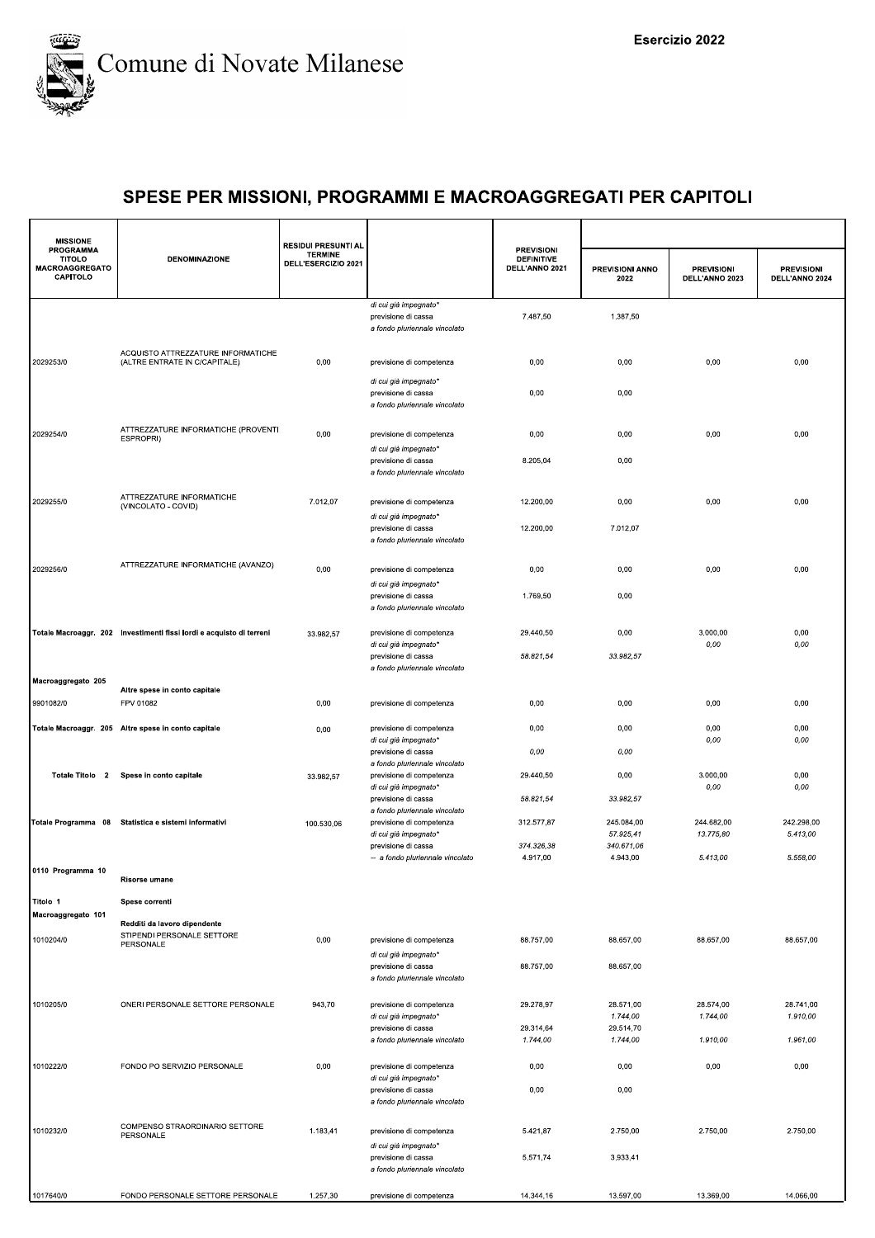

| <b>MISSIONE</b>                                                 |                                                                      | <b>RESIDUI PRESUNTI AL</b>            |                                                                                    |                                                          |                         |                                     |                                     |
|-----------------------------------------------------------------|----------------------------------------------------------------------|---------------------------------------|------------------------------------------------------------------------------------|----------------------------------------------------------|-------------------------|-------------------------------------|-------------------------------------|
| <b>PROGRAMMA</b><br><b>TITOLO</b><br>MACROAGGREGATO<br>CAPITOLO | <b>DENOMINAZIONE</b>                                                 | <b>TERMINE</b><br>DELL'ESERCIZIO 2021 |                                                                                    | <b>PREVISIONI</b><br><b>DEFINITIVE</b><br>DELL'ANNO 2021 | PREVISIONI ANNO<br>2022 | <b>PREVISIONI</b><br>DELL'ANNO 2023 | <b>PREVISIONI</b><br>DELL'ANNO 2024 |
|                                                                 |                                                                      |                                       | di cui già impegnato*<br>previsione di cassa<br>a fondo pluriennale vincolato      | 7.487,50                                                 | 1.387,50                |                                     |                                     |
| 2029253/0                                                       | ACQUISTO ATTREZZATURE INFORMATICHE<br>(ALTRE ENTRATE IN C/CAPITALE)  | 0,00                                  | previsione di competenza                                                           | 0,00                                                     | 0,00                    | 0,00                                | 0,00                                |
|                                                                 |                                                                      |                                       | di cui già impegnato*<br>previsione di cassa<br>a fondo pluriennale vincolato      | 0,00                                                     | 0,00                    |                                     |                                     |
| 2029254/0                                                       | ATTREZZATURE INFORMATICHE (PROVENTI<br>ESPROPRI)                     | 0,00                                  | previsione di competenza<br>di cui già impegnato'                                  | 0,00                                                     | 0,00                    | 0,00                                | 0,00                                |
|                                                                 |                                                                      |                                       | previsione di cassa<br>a fondo pluriennale vincolato                               | 8.205,04                                                 | 0,00                    |                                     |                                     |
| 2029255/0                                                       | ATTREZZATURE INFORMATICHE<br>(VINCOLATO - COVID)                     | 7.012,07                              | previsione di competenza<br>di cui già impegnato*                                  | 12.200,00                                                | 0,00                    | 0,00                                | 0,00                                |
|                                                                 |                                                                      |                                       | previsione di cassa<br>a fondo pluriennale vincolato                               | 12.200,00                                                | 7.012,07                |                                     |                                     |
| 2029256/0                                                       | ATTREZZATURE INFORMATICHE (AVANZO)                                   | 0,00                                  | previsione di competenza<br>di cui già impegnato*                                  | 0,00                                                     | 0,00                    | 0,00                                | 0,00                                |
|                                                                 |                                                                      |                                       | previsione di cassa<br>a fondo pluriennale vincolato                               | 1.769,50                                                 | 0,00                    |                                     |                                     |
|                                                                 | Totale Macroaggr. 202 Investimenti fissi lordi e acquisto di terreni | 33.982,57                             | previsione di competenza<br>di cui già impegnato*                                  | 29.440,50                                                | 0,00                    | 3.000,00<br>0,00                    | 0,00<br>0,00                        |
| Macroaggregato 205                                              |                                                                      |                                       | previsione di cassa<br>a fondo pluriennale vincolato                               | 58.821,54                                                | 33.982,57               |                                     |                                     |
|                                                                 | Altre spese in conto capitale                                        |                                       |                                                                                    |                                                          |                         |                                     |                                     |
| 9901082/0                                                       | FPV 01082                                                            | 0,00                                  | previsione di competenza                                                           | 0,00                                                     | 0,00                    | 0,00                                | 0,00                                |
|                                                                 | Totale Macroaggr. 205 Altre spese in conto capitale                  | 0,00                                  | previsione di competenza<br>di cui già impegnato*                                  | 0,00                                                     | 0,00                    | 0,00<br>0,00                        | 0,00<br>0,00                        |
| Totale Titolo 2                                                 | Spese in conto capitale                                              | 33.982,57                             | previsione di cassa<br>a fondo pluriennale vincolato<br>previsione di competenza   | 0,00<br>29.440,50                                        | 0,00<br>0,00            | 3.000,00                            | 0,00                                |
|                                                                 |                                                                      |                                       | di cui già impegnato*<br>previsione di cassa                                       | 58.821,54                                                | 33.982,57               | 0,00                                | 0,00                                |
|                                                                 | Totale Programma 08 Statistica e sistemi informativi                 | 100.530,06                            | a fondo pluriennale vincolato<br>previsione di competenza<br>di cui già impegnato* | 312.577,87                                               | 245.084,00<br>57.925,41 | 244.682,00<br>13.775,80             | 242.298,00<br>5.413,00              |
|                                                                 |                                                                      |                                       | previsione di cassa<br>-- a fondo pluriennale vincolato                            | 374.326,38<br>4.917,00                                   | 340.671,06<br>4.943,00  | 5.413,00                            | 5.558,00                            |
| 0110 Programma 10                                               | <b>Risorse umane</b>                                                 |                                       |                                                                                    |                                                          |                         |                                     |                                     |
| Titolo 1                                                        | Spese correnti                                                       |                                       |                                                                                    |                                                          |                         |                                     |                                     |
| Macroaggregato 101                                              | Redditi da lavoro dipendente                                         |                                       |                                                                                    |                                                          |                         |                                     |                                     |
| 1010204/0                                                       | STIPENDI PERSONALE SETTORE<br>PERSONALE                              | 0,00                                  | previsione di competenza<br>di cui già impegnato*                                  | 88.757,00                                                | 88.657,00               | 88.657,00                           | 88.657,00                           |
|                                                                 |                                                                      |                                       | previsione di cassa<br>a fondo pluriennale vincolato                               | 88.757,00                                                | 88.657,00               |                                     |                                     |
| 1010205/0                                                       | ONERI PERSONALE SETTORE PERSONALE                                    | 943,70                                | previsione di competenza<br>di cui già impegnato*                                  | 29.278,97                                                | 28.571,00<br>1.744,00   | 28.574,00<br>1.744,00               | 28.741,00<br>1.910,00               |
|                                                                 |                                                                      |                                       | previsione di cassa<br>a fondo pluriennale vincolato                               | 29.314,64<br>1.744,00                                    | 29.514,70<br>1.744,00   | 1.910,00                            | 1.961,00                            |
| 1010222/0                                                       | FONDO PO SERVIZIO PERSONALE                                          | 0,00                                  | previsione di competenza                                                           | 0,00                                                     | 0,00                    | 0,00                                | 0,00                                |
|                                                                 |                                                                      |                                       | di cui già impegnato*<br>previsione di cassa<br>a fondo pluriennale vincolato      | 0,00                                                     | 0,00                    |                                     |                                     |
| 1010232/0                                                       | COMPENSO STRAORDINARIO SETTORE<br>PERSONALE                          | 1.183,41                              | previsione di competenza<br>di cui già impegnato*                                  | 5.421,87                                                 | 2.750,00                | 2.750,00                            | 2.750,00                            |
|                                                                 |                                                                      |                                       | previsione di cassa<br>a fondo pluriennale vincolato                               | 5.571,74                                                 | 3.933,41                |                                     |                                     |
| 1017640/0                                                       | FONDO PERSONALE SETTORE PERSONALE                                    | 1.257,30                              | previsione di competenza                                                           | 14.344,16                                                | 13.597,00               | 13.369,00                           | 14.066,00                           |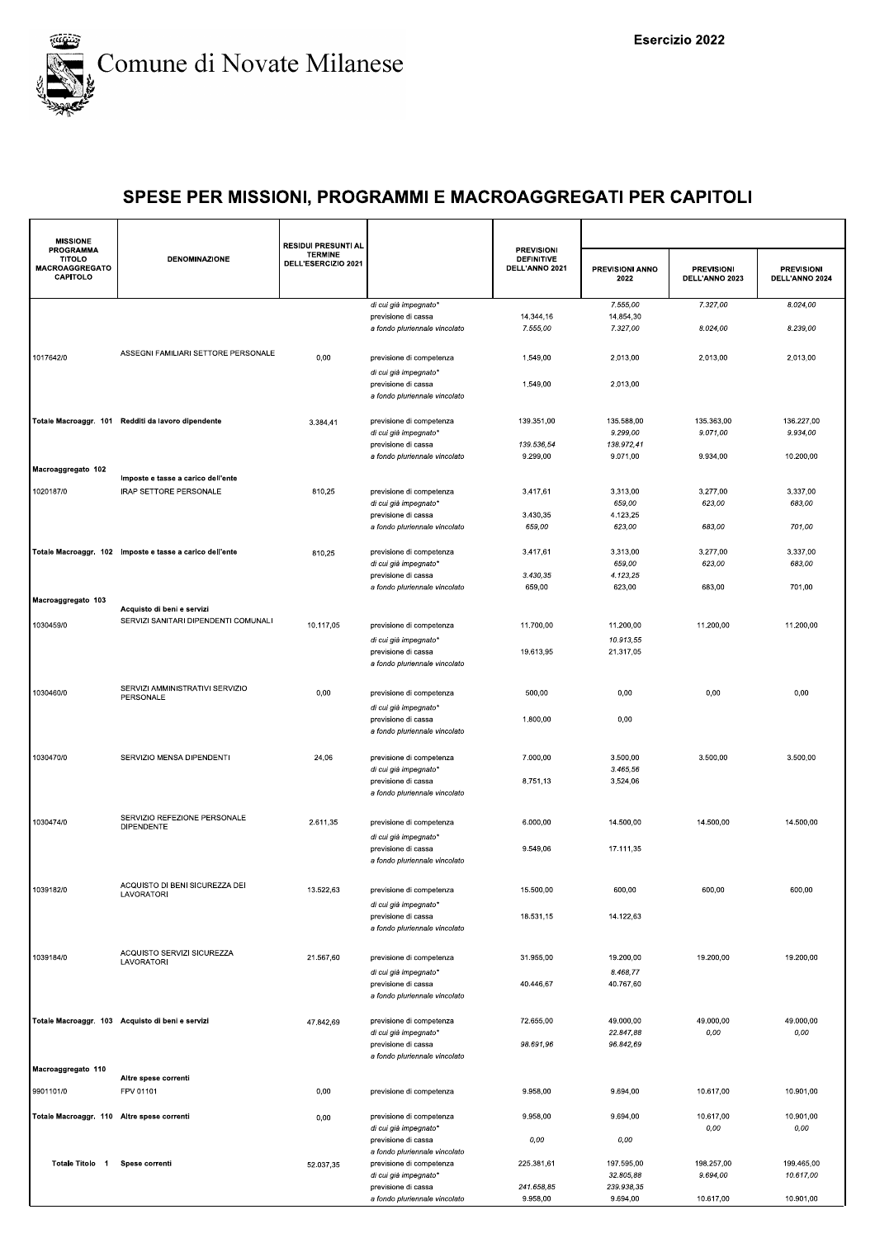

| <b>MISSIONE</b>                                                        |                                                          | <b>RESIDUI PRESUNTI AL</b>            |                                                      |                                                          |                         |                                     |                                     |
|------------------------------------------------------------------------|----------------------------------------------------------|---------------------------------------|------------------------------------------------------|----------------------------------------------------------|-------------------------|-------------------------------------|-------------------------------------|
| <b>PROGRAMMA</b><br><b>TITOLO</b><br><b>MACROAGGREGATO</b><br>CAPITOLO | <b>DENOMINAZIONE</b>                                     | <b>TERMINE</b><br>DELL'ESERCIZIO 2021 |                                                      | <b>PREVISIONI</b><br><b>DEFINITIVE</b><br>DELL'ANNO 2021 | PREVISIONI ANNO<br>2022 | <b>PREVISIONI</b><br>DELL'ANNO 2023 | <b>PREVISIONI</b><br>DELL'ANNO 2024 |
|                                                                        |                                                          |                                       | di cui già impegnato*                                |                                                          | 7.555,00                | 7.327,00                            | 8.024,00                            |
|                                                                        |                                                          |                                       | previsione di cassa                                  | 14.344.16                                                | 14.854,30               |                                     |                                     |
|                                                                        |                                                          |                                       | a fondo pluriennale vincolato                        | 7.555,00                                                 | 7.327,00                | 8.024,00                            | 8.239,00                            |
| 1017642/0                                                              | ASSEGNI FAMILIARI SETTORE PERSONALE                      | 0,00                                  | previsione di competenza<br>di cui già impegnato*    | 1.549,00                                                 | 2.013,00                | 2.013,00                            | 2.013,00                            |
|                                                                        |                                                          |                                       | previsione di cassa<br>a fondo pluriennale vincolato | 1.549,00                                                 | 2.013,00                |                                     |                                     |
|                                                                        | Totale Macroaggr. 101 Redditi da lavoro dipendente       | 3.384,41                              | previsione di competenza<br>di cui già impegnato*    | 139.351,00                                               | 135.588,00<br>9.299,00  | 135.363,00<br>9.071,00              | 136.227,00<br>9.934,00              |
|                                                                        |                                                          |                                       | previsione di cassa<br>a fondo pluriennale vincolato | 139.536,54<br>9.299,00                                   | 138.972,41<br>9.071,00  | 9.934,00                            | 10.200,00                           |
| Macroaggregato 102                                                     |                                                          |                                       |                                                      |                                                          |                         |                                     |                                     |
|                                                                        | Imposte e tasse a carico dell'ente                       |                                       |                                                      |                                                          |                         |                                     |                                     |
| 1020187/0                                                              | IRAP SETTORE PERSONALE                                   | 810,25                                | previsione di competenza                             | 3.417,61                                                 | 3.313,00                | 3.277,00                            | 3.337,00                            |
|                                                                        |                                                          |                                       | di cui già impegnato*                                |                                                          | 659,00                  | 623,00                              | 683,00                              |
|                                                                        |                                                          |                                       | previsione di cassa<br>a fondo pluriennale vincolato | 3.430,35                                                 | 4.123,25                |                                     | 701,00                              |
|                                                                        |                                                          |                                       |                                                      | 659,00                                                   | 623,00                  | 683,00                              |                                     |
|                                                                        | Totale Macroaggr. 102 Imposte e tasse a carico dell'ente | 810,25                                | previsione di competenza                             | 3.417,61                                                 | 3.313,00                | 3.277,00                            | 3.337,00                            |
|                                                                        |                                                          |                                       | di cui già impegnato*                                |                                                          | 659,00                  | 623,00                              | 683,00                              |
|                                                                        |                                                          |                                       | previsione di cassa                                  | 3.430,35                                                 | 4.123,25                |                                     |                                     |
|                                                                        |                                                          |                                       | a fondo pluriennale vincolato                        | 659,00                                                   | 623,00                  | 683,00                              | 701,00                              |
| Macroaggregato 103                                                     | Acquisto di beni e servizi                               |                                       |                                                      |                                                          |                         |                                     |                                     |
|                                                                        | SERVIZI SANITARI DIPENDENTI COMUNALI                     |                                       |                                                      |                                                          |                         |                                     |                                     |
| 1030459/0                                                              |                                                          | 10.117,05                             | previsione di competenza                             | 11.700,00                                                | 11.200,00               | 11.200,00                           | 11.200,00                           |
|                                                                        |                                                          |                                       | di cui già impegnato*                                |                                                          | 10.913,55               |                                     |                                     |
|                                                                        |                                                          |                                       | previsione di cassa<br>a fondo pluriennale vincolato | 19.613,95                                                | 21.317,05               |                                     |                                     |
|                                                                        | SERVIZI AMMINISTRATIVI SERVIZIO                          |                                       |                                                      |                                                          |                         |                                     |                                     |
| 1030460/0                                                              | PERSONALE                                                | 0,00                                  | previsione di competenza                             | 500,00                                                   | 0,00                    | 0,00                                | 0,00                                |
|                                                                        |                                                          |                                       | di cui già impegnato*                                |                                                          |                         |                                     |                                     |
|                                                                        |                                                          |                                       | previsione di cassa<br>a fondo pluriennale vincolato | 1.800,00                                                 | 0,00                    |                                     |                                     |
|                                                                        |                                                          |                                       |                                                      |                                                          |                         |                                     |                                     |
| 1030470/0                                                              | SERVIZIO MENSA DIPENDENTI                                | 24,06                                 | previsione di competenza<br>di cui già impegnato*    | 7.000,00                                                 | 3.500,00<br>3.465,56    | 3.500,00                            | 3.500,00                            |
|                                                                        |                                                          |                                       | previsione di cassa                                  | 8.751,13                                                 | 3.524,06                |                                     |                                     |
|                                                                        |                                                          |                                       | a fondo pluriennale vincolato                        |                                                          |                         |                                     |                                     |
|                                                                        |                                                          |                                       |                                                      |                                                          |                         |                                     |                                     |
| 1030474/0                                                              | SERVIZIO REFEZIONE PERSONALE<br><b>DIPENDENTE</b>        | 2.611,35                              | previsione di competenza                             | 6.000,00                                                 | 14.500,00               | 14.500,00                           | 14.500,00                           |
|                                                                        |                                                          |                                       | di cui già impegnato*                                |                                                          |                         |                                     |                                     |
|                                                                        |                                                          |                                       | previsione di cassa                                  | 9.549,06                                                 | 17.111,35               |                                     |                                     |
|                                                                        |                                                          |                                       | a fondo pluriennale vincolato                        |                                                          |                         |                                     |                                     |
| 1039182/0                                                              | ACQUISTO DI BENI SICUREZZA DEI<br>LAVORATORI             | 13.522,63                             | previsione di competenza                             | 15.500,00                                                | 600,00                  | 600,00                              | 600,00                              |
|                                                                        |                                                          |                                       | di cui già impegnato*                                |                                                          |                         |                                     |                                     |
|                                                                        |                                                          |                                       | previsione di cassa<br>a fondo pluriennale vincolato | 18.531,15                                                | 14.122,63               |                                     |                                     |
|                                                                        |                                                          |                                       |                                                      |                                                          |                         |                                     |                                     |
| 1039184/0                                                              | ACQUISTO SERVIZI SICUREZZA                               | 21.567,60                             | previsione di competenza                             | 31.955,00                                                | 19.200,00               | 19.200,00                           | 19.200,00                           |
|                                                                        | LAVORATORI                                               |                                       |                                                      |                                                          |                         |                                     |                                     |
|                                                                        |                                                          |                                       | di cui già impegnato*<br>previsione di cassa         | 40.446,67                                                | 8.468,77<br>40.767,60   |                                     |                                     |
|                                                                        |                                                          |                                       | a fondo pluriennale vincolato                        |                                                          |                         |                                     |                                     |
|                                                                        |                                                          |                                       |                                                      |                                                          |                         |                                     |                                     |
|                                                                        | Totale Macroaggr. 103 Acquisto di beni e servizi         | 47.842,69                             | previsione di competenza                             | 72.655,00                                                | 49.000,00               | 49.000,00                           | 49.000.00                           |
|                                                                        |                                                          |                                       | di cui già impegnato*                                |                                                          | 22.847,88               | 0,00                                | 0,00                                |
|                                                                        |                                                          |                                       | previsione di cassa<br>a fondo pluriennale vincolato | 98.691,96                                                | 96.842,69               |                                     |                                     |
| Macroaggregato 110                                                     |                                                          |                                       |                                                      |                                                          |                         |                                     |                                     |
|                                                                        | Altre spese correnti                                     |                                       |                                                      |                                                          |                         |                                     |                                     |
| 9901101/0                                                              | FPV 01101                                                | 0,00                                  | previsione di competenza                             | 9.958,00                                                 | 9.694,00                | 10.617,00                           | 10.901,00                           |
| Totale Macroaggr. 110 Altre spese correnti                             |                                                          |                                       | previsione di competenza                             | 9.958,00                                                 | 9.694,00                | 10.617,00                           | 10.901,00                           |
|                                                                        |                                                          | 0,00                                  | di cui già impegnato*                                |                                                          |                         | 0,00                                | 0,00                                |
|                                                                        |                                                          |                                       | previsione di cassa                                  | 0,00                                                     | 0,00                    |                                     |                                     |
|                                                                        |                                                          |                                       | a fondo pluriennale vincolato                        |                                                          |                         |                                     |                                     |
| Totale Titolo 1                                                        | Spese correnti                                           | 52.037,35                             | previsione di competenza                             | 225.381,61                                               | 197.595,00              | 198.257,00                          | 199.465,00                          |
|                                                                        |                                                          |                                       | di cui già impegnato*<br>previsione di cassa         | 241.658,85                                               | 32.805,88<br>239.938,35 | 9.694,00                            | 10.617,00                           |
|                                                                        |                                                          |                                       | a fondo pluriennale vincolato                        | 9.958,00                                                 | 9.694,00                | 10.617,00                           | 10.901,00                           |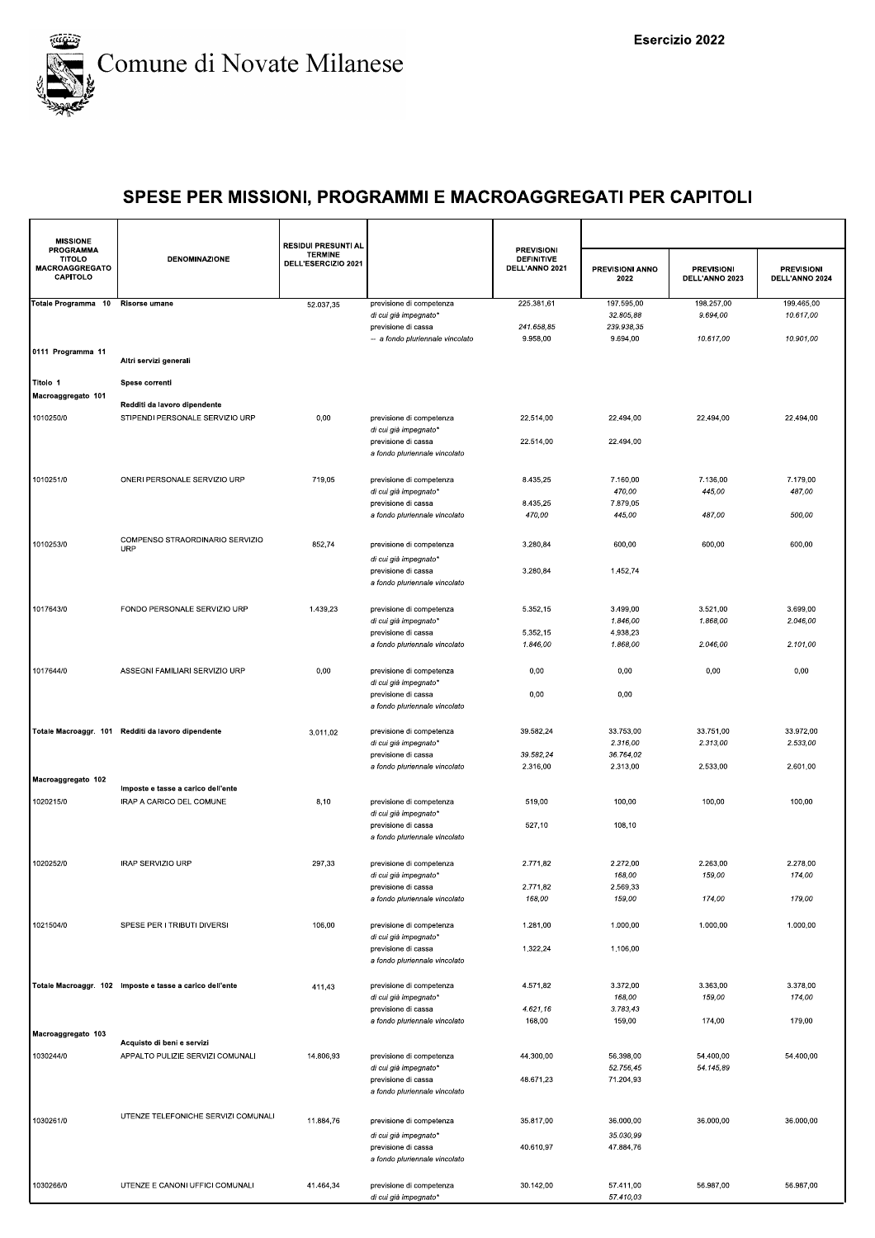

| <b>MISSIONE</b><br><b>PROGRAMMA</b>         |                                                          | <b>RESIDUI PRESUNTI AL</b>            |                                                      | <b>PREVISIONI</b>                   |                                |                                     |                                     |
|---------------------------------------------|----------------------------------------------------------|---------------------------------------|------------------------------------------------------|-------------------------------------|--------------------------------|-------------------------------------|-------------------------------------|
| <b>TITOLO</b><br>MACROAGGREGATO<br>CAPITOLO | <b>DENOMINAZIONE</b>                                     | <b>TERMINE</b><br>DELL'ESERCIZIO 2021 |                                                      | <b>DEFINITIVE</b><br>DELL'ANNO 2021 | <b>PREVISIONI ANNO</b><br>2022 | <b>PREVISIONI</b><br>DELL'ANNO 2023 | <b>PREVISIONI</b><br>DELL'ANNO 2024 |
| Totale Programma 10 Risorse umane           |                                                          | 52.037,35                             | previsione di competenza                             | 225.381,61                          | 197.595,00                     | 198.257,00                          | 199.465,00                          |
|                                             |                                                          |                                       | di cui già impegnato*                                |                                     | 32.805,88                      | 9.694,00                            | 10.617,00                           |
|                                             |                                                          |                                       | previsione di cassa                                  | 241.658,85                          | 239.938,35                     |                                     |                                     |
|                                             |                                                          |                                       | -- a fondo pluriennale vincolato                     | 9.958,00                            | 9.694,00                       | 10.617,00                           | 10.901,00                           |
| 0111 Programma 11                           | Altri servizi generali                                   |                                       |                                                      |                                     |                                |                                     |                                     |
|                                             |                                                          |                                       |                                                      |                                     |                                |                                     |                                     |
| Titolo 1                                    | Spese correnti                                           |                                       |                                                      |                                     |                                |                                     |                                     |
| Macroaggregato 101                          |                                                          |                                       |                                                      |                                     |                                |                                     |                                     |
|                                             | Redditi da lavoro dipendente                             |                                       |                                                      |                                     |                                |                                     |                                     |
| 1010250/0                                   | STIPENDI PERSONALE SERVIZIO URP                          | 0,00                                  | previsione di competenza                             | 22.514,00                           | 22.494,00                      | 22.494,00                           | 22.494,00                           |
|                                             |                                                          |                                       | di cui già impegnato*                                | 22.514,00                           | 22.494,00                      |                                     |                                     |
|                                             |                                                          |                                       | previsione di cassa<br>a fondo pluriennale vincolato |                                     |                                |                                     |                                     |
|                                             |                                                          |                                       |                                                      |                                     |                                |                                     |                                     |
| 1010251/0                                   | ONERI PERSONALE SERVIZIO URP                             | 719,05                                |                                                      | 8.435,25                            | 7.160,00                       | 7.136,00                            | 7.179,00                            |
|                                             |                                                          |                                       | previsione di competenza<br>di cui già impegnato*    |                                     | 470,00                         | 445,00                              | 487,00                              |
|                                             |                                                          |                                       | previsione di cassa                                  | 8.435,25                            | 7.879,05                       |                                     |                                     |
|                                             |                                                          |                                       | a fondo pluriennale vincolato                        | 470,00                              | 445,00                         | 487,00                              | 500,00                              |
|                                             |                                                          |                                       |                                                      |                                     |                                |                                     |                                     |
|                                             | COMPENSO STRAORDINARIO SERVIZIO                          |                                       |                                                      | 3.280,84                            |                                |                                     |                                     |
| 1010253/0                                   | <b>URP</b>                                               | 852,74                                | previsione di competenza                             |                                     | 600,00                         | 600,00                              | 600,00                              |
|                                             |                                                          |                                       | di cui già impegnato*                                |                                     |                                |                                     |                                     |
|                                             |                                                          |                                       | previsione di cassa                                  | 3.280,84                            | 1.452,74                       |                                     |                                     |
|                                             |                                                          |                                       | a fondo pluriennale vincolato                        |                                     |                                |                                     |                                     |
|                                             |                                                          |                                       |                                                      |                                     |                                |                                     |                                     |
| 1017643/0                                   | FONDO PERSONALE SERVIZIO URP                             | 1.439,23                              | previsione di competenza<br>di cui già impegnato*    | 5.352,15                            | 3.499,00<br>1.846,00           | 3.521,00<br>1.868,00                | 3.699,00<br>2.046,00                |
|                                             |                                                          |                                       | previsione di cassa                                  | 5.352,15                            | 4.938,23                       |                                     |                                     |
|                                             |                                                          |                                       | a fondo pluriennale vincolato                        | 1.846,00                            | 1.868,00                       | 2.046,00                            | 2.101,00                            |
|                                             |                                                          |                                       |                                                      |                                     |                                |                                     |                                     |
| 1017644/0                                   | ASSEGNI FAMILIARI SERVIZIO URP                           | 0,00                                  | previsione di competenza                             | 0,00                                | 0,00                           | 0,00                                | 0,00                                |
|                                             |                                                          |                                       | di cui già impegnato*                                |                                     |                                |                                     |                                     |
|                                             |                                                          |                                       | previsione di cassa                                  | 0,00                                | 0,00                           |                                     |                                     |
|                                             |                                                          |                                       | a fondo pluriennale vincolato                        |                                     |                                |                                     |                                     |
|                                             |                                                          |                                       |                                                      |                                     |                                |                                     |                                     |
|                                             | Totale Macroaggr. 101 Redditi da lavoro dipendente       | 3.011,02                              | previsione di competenza                             | 39.582,24                           | 33.753,00                      | 33.751,00                           | 33.972,00                           |
|                                             |                                                          |                                       | di cui già impegnato*                                |                                     | 2.316,00                       | 2.313,00                            | 2.533,00                            |
|                                             |                                                          |                                       | previsione di cassa                                  | 39.582,24                           | 36.764,02                      |                                     |                                     |
|                                             |                                                          |                                       | a fondo pluriennale vincolato                        | 2.316,00                            | 2.313,00                       | 2.533,00                            | 2.601,00                            |
| Macroaggregato 102                          | Imposte e tasse a carico dell'ente                       |                                       |                                                      |                                     |                                |                                     |                                     |
| 1020215/0                                   | IRAP A CARICO DEL COMUNE                                 | 8,10                                  | previsione di competenza                             | 519,00                              | 100,00                         | 100,00                              | 100,00                              |
|                                             |                                                          |                                       | di cui già impegnato*                                |                                     |                                |                                     |                                     |
|                                             |                                                          |                                       | previsione di cassa                                  | 527,10                              | 108,10                         |                                     |                                     |
|                                             |                                                          |                                       | a fondo pluriennale vincolato                        |                                     |                                |                                     |                                     |
|                                             |                                                          |                                       |                                                      |                                     |                                |                                     |                                     |
| 1020252/0                                   | IRAP SERVIZIO URP                                        | 297,33                                | previsione di competenza                             | 2.771,82                            | 2.272,00                       | 2.263,00                            | 2.278,00                            |
|                                             |                                                          |                                       | di cui già impegnato*                                |                                     | 168,00                         | 159,00                              | 174,00                              |
|                                             |                                                          |                                       | previsione di cassa                                  | 2.771,82                            | 2.569,33                       |                                     |                                     |
|                                             |                                                          |                                       | a fondo pluriennale vincolato                        | 168,00                              | 159,00                         | 174,00                              | 179,00                              |
|                                             |                                                          |                                       |                                                      |                                     |                                |                                     |                                     |
| 1021504/0                                   | SPESE PER I TRIBUTI DIVERSI                              | 106,00                                | previsione di competenza                             | 1.281,00                            | 1.000,00                       | 1.000,00                            | 1.000,00                            |
|                                             |                                                          |                                       | di cui già impegnato*                                |                                     |                                |                                     |                                     |
|                                             |                                                          |                                       | previsione di cassa                                  | 1.322,24                            | 1.106,00                       |                                     |                                     |
|                                             |                                                          |                                       | a fondo pluriennale vincolato                        |                                     |                                |                                     |                                     |
|                                             | Totale Macroaggr. 102 Imposte e tasse a carico dell'ente |                                       |                                                      | 4.571,82                            | 3.372,00                       | 3.363,00                            | 3.378,00                            |
|                                             |                                                          | 411,43                                | previsione di competenza<br>di cui già impegnato*    |                                     | 168,00                         | 159,00                              | 174,00                              |
|                                             |                                                          |                                       | previsione di cassa                                  | 4.621,16                            | 3.783,43                       |                                     |                                     |
|                                             |                                                          |                                       | a fondo pluriennale vincolato                        | 168,00                              | 159,00                         | 174,00                              | 179,00                              |
| Macroaggregato 103                          |                                                          |                                       |                                                      |                                     |                                |                                     |                                     |
|                                             | Acquisto di beni e servizi                               |                                       |                                                      |                                     |                                |                                     |                                     |
| 1030244/0                                   | APPALTO PULIZIE SERVIZI COMUNALI                         | 14.806,93                             | previsione di competenza                             | 44.300,00                           | 56.398.00                      | 54.400.00                           | 54.400,00                           |
|                                             |                                                          |                                       | di cui già impegnato*                                |                                     | 52.756,45                      | 54.145,89                           |                                     |
|                                             |                                                          |                                       | previsione di cassa                                  | 48.671,23                           | 71.204,93                      |                                     |                                     |
|                                             |                                                          |                                       | a fondo pluriennale vincolato                        |                                     |                                |                                     |                                     |
|                                             | UTENZE TELEFONICHE SERVIZI COMUNALI                      |                                       |                                                      |                                     |                                |                                     |                                     |
| 1030261/0                                   |                                                          | 11.884,76                             | previsione di competenza                             | 35.817,00                           | 36.000,00                      | 36.000,00                           | 36.000,00                           |
|                                             |                                                          |                                       | di cui già impegnato*                                |                                     | 35.030,99                      |                                     |                                     |
|                                             |                                                          |                                       | previsione di cassa                                  | 40.610,97                           | 47.884,76                      |                                     |                                     |
|                                             |                                                          |                                       | a fondo pluriennale vincolato                        |                                     |                                |                                     |                                     |
|                                             |                                                          |                                       |                                                      |                                     |                                |                                     |                                     |
| 1030266/0                                   | UTENZE E CANONI UFFICI COMUNALI                          | 41.464,34                             | previsione di competenza                             | 30.142,00                           | 57.411,00                      | 56.987,00                           | 56.987,00                           |
|                                             |                                                          |                                       | di cui già impegnato*                                |                                     | 57.410,03                      |                                     |                                     |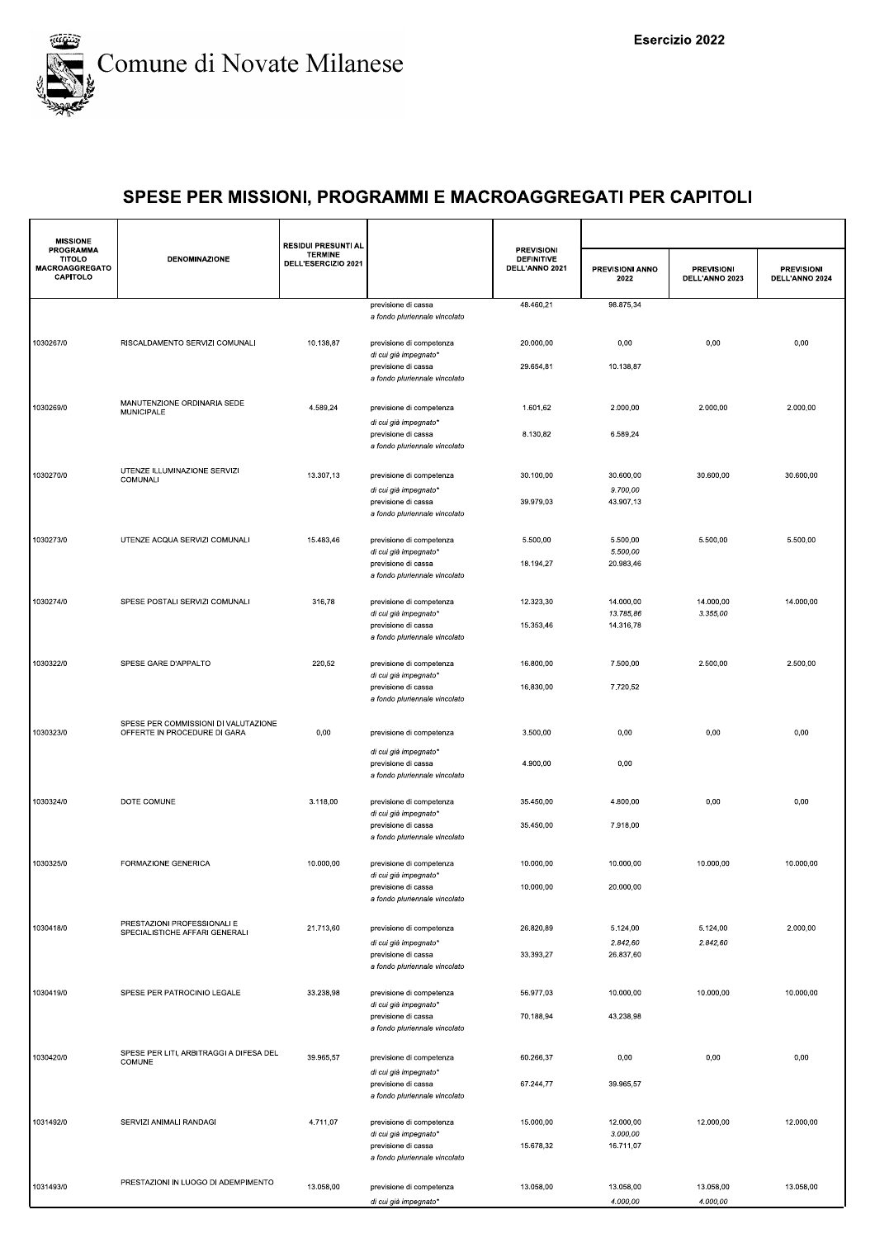

| <b>MISSIONE</b>                                          |                                                               | <b>RESIDUI PRESUNTI AL</b>            |                                                      |                                                          |                         |                                     |                                     |
|----------------------------------------------------------|---------------------------------------------------------------|---------------------------------------|------------------------------------------------------|----------------------------------------------------------|-------------------------|-------------------------------------|-------------------------------------|
| PROGRAMMA<br><b>TITOLO</b><br>MACROAGGREGATO<br>CAPITOLO | <b>DENOMINAZIONE</b>                                          | <b>TERMINE</b><br>DELL'ESERCIZIO 2021 |                                                      | <b>PREVISIONI</b><br><b>DEFINITIVE</b><br>DELL'ANNO 2021 | PREVISIONI ANNO<br>2022 | <b>PREVISIONI</b><br>DELL'ANNO 2023 | <b>PREVISIONI</b><br>DELL'ANNO 2024 |
|                                                          |                                                               |                                       | previsione di cassa<br>a fondo pluriennale vincolato | 48.460,21                                                | 98.875,34               |                                     |                                     |
|                                                          |                                                               |                                       |                                                      |                                                          |                         |                                     |                                     |
| 1030267/0                                                | RISCALDAMENTO SERVIZI COMUNALI                                | 10.138,87                             | previsione di competenza<br>di cui già impegnato*    | 20.000,00                                                | 0,00                    | 0,00                                | 0,00                                |
|                                                          |                                                               |                                       | previsione di cassa<br>a fondo pluriennale vincolato | 29.654,81                                                | 10.138,87               |                                     |                                     |
| 1030269/0                                                | MANUTENZIONE ORDINARIA SEDE                                   | 4.589,24                              | previsione di competenza                             | 1.601,62                                                 | 2.000,00                | 2.000,00                            | 2.000,00                            |
|                                                          | MUNICIPALE                                                    |                                       | di cui già impegnato*                                |                                                          |                         |                                     |                                     |
|                                                          |                                                               |                                       | previsione di cassa<br>a fondo pluriennale vincolato | 8.130,82                                                 | 6.589,24                |                                     |                                     |
| 1030270/0                                                | UTENZE ILLUMINAZIONE SERVIZI                                  | 13.307,13                             | previsione di competenza                             | 30.100,00                                                | 30.600,00               | 30.600,00                           | 30.600,00                           |
|                                                          | COMUNALI                                                      |                                       | di cui già impegnato*                                |                                                          | 9.700,00                |                                     |                                     |
|                                                          |                                                               |                                       | previsione di cassa<br>a fondo pluriennale vincolato | 39.979,03                                                | 43.907,13               |                                     |                                     |
| 1030273/0                                                | UTENZE ACQUA SERVIZI COMUNALI                                 | 15.483,46                             | previsione di competenza                             | 5.500,00                                                 | 5.500,00                | 5.500,00                            | 5.500,00                            |
|                                                          |                                                               |                                       | di cui già impegnato*<br>previsione di cassa         | 18.194,27                                                | 5.500,00<br>20.983,46   |                                     |                                     |
|                                                          |                                                               |                                       | a fondo pluriennale vincolato                        |                                                          |                         |                                     |                                     |
| 1030274/0                                                | SPESE POSTALI SERVIZI COMUNALI                                | 316,78                                | previsione di competenza                             | 12.323,30                                                | 14.000,00               | 14.000,00                           | 14.000,00                           |
|                                                          |                                                               |                                       | di cui già impegnato*<br>previsione di cassa         | 15.353,46                                                | 13.785,86<br>14.316,78  | 3.355,00                            |                                     |
|                                                          |                                                               |                                       | a fondo pluriennale vincolato                        |                                                          |                         |                                     |                                     |
| 1030322/0                                                | SPESE GARE D'APPALTO                                          | 220,52                                | previsione di competenza<br>di cui già impegnato*    | 16.800,00                                                | 7.500,00                | 2.500,00                            | 2.500,00                            |
|                                                          |                                                               |                                       | previsione di cassa<br>a fondo pluriennale vincolato | 16.830,00                                                | 7.720,52                |                                     |                                     |
|                                                          | SPESE PER COMMISSIONI DI VALUTAZIONE                          |                                       |                                                      |                                                          |                         |                                     |                                     |
| 1030323/0                                                | OFFERTE IN PROCEDURE DI GARA                                  | 0,00                                  | previsione di competenza                             | 3.500,00                                                 | 0,00                    | 0,00                                | 0,00                                |
|                                                          |                                                               |                                       | di cui già impegnato*<br>previsione di cassa         | 4.900,00                                                 | 0,00                    |                                     |                                     |
|                                                          |                                                               |                                       | a fondo pluriennale vincolato                        |                                                          |                         |                                     |                                     |
| 1030324/0                                                | DOTE COMUNE                                                   | 3.118,00                              | previsione di competenza<br>di cui già impegnato*    | 35.450,00                                                | 4.800,00                | 0,00                                | 0,00                                |
|                                                          |                                                               |                                       | previsione di cassa<br>a fondo pluriennale vincolato | 35.450,00                                                | 7.918,00                |                                     |                                     |
| 1030325/0                                                | FORMAZIONE GENERICA                                           | 10.000,00                             | previsione di competenza                             | 10.000,00                                                | 10.000,00               | 10.000,00                           | 10.000,00                           |
|                                                          |                                                               |                                       | di cui già impegnato*<br>previsione di cassa         | 10.000,00                                                | 20.000,00               |                                     |                                     |
|                                                          |                                                               |                                       | a fondo pluriennale vincolato                        |                                                          |                         |                                     |                                     |
| 1030418/0                                                | PRESTAZIONI PROFESSIONALI E<br>SPECIALISTICHE AFFARI GENERALI | 21.713,60                             | previsione di competenza                             | 26.820,89                                                | 5.124,00                | 5.124,00                            | 2.000.00                            |
|                                                          |                                                               |                                       | di cui già impegnato'<br>previsione di cassa         | 33.393,27                                                | 2.842,60<br>26.837,60   | 2.842,60                            |                                     |
|                                                          |                                                               |                                       | a fondo pluriennale vincolato                        |                                                          |                         |                                     |                                     |
| 1030419/0                                                | SPESE PER PATROCINIO LEGALE                                   | 33.238,98                             | previsione di competenza                             | 56.977,03                                                | 10.000,00               | 10.000,00                           | 10.000,00                           |
|                                                          |                                                               |                                       | di cui già impegnato'<br>previsione di cassa         | 70.188,94                                                | 43.238,98               |                                     |                                     |
|                                                          |                                                               |                                       | a fondo pluriennale vincolato                        |                                                          |                         |                                     |                                     |
| 1030420/0                                                | SPESE PER LITI, ARBITRAGGI A DIFESA DEL<br>COMUNE             | 39.965,57                             | previsione di competenza                             | 60.266,37                                                | 0,00                    | 0,00                                | 0,00                                |
|                                                          |                                                               |                                       | di cui già impegnato*<br>previsione di cassa         | 67.244,77                                                | 39.965,57               |                                     |                                     |
|                                                          |                                                               |                                       | a fondo pluriennale vincolato                        |                                                          |                         |                                     |                                     |
| 1031492/0                                                | SERVIZI ANIMALI RANDAGI                                       | 4.711,07                              | previsione di competenza<br>di cui già impegnato*    | 15.000,00                                                | 12.000,00<br>3.000,00   | 12.000,00                           | 12.000,00                           |
|                                                          |                                                               |                                       | previsione di cassa<br>a fondo pluriennale vincolato | 15.678,32                                                | 16.711,07               |                                     |                                     |
|                                                          | PRESTAZIONI IN LUOGO DI ADEMPIMENTO                           |                                       |                                                      |                                                          |                         |                                     |                                     |
| 1031493/0                                                |                                                               | 13.058,00                             | previsione di competenza<br>di cui già impegnato*    | 13.058,00                                                | 13.058,00<br>4.000,00   | 13.058,00<br>4.000,00               | 13.058,00                           |
|                                                          |                                                               |                                       |                                                      |                                                          |                         |                                     |                                     |
|                                                          |                                                               |                                       |                                                      |                                                          |                         |                                     |                                     |
|                                                          |                                                               |                                       |                                                      |                                                          |                         |                                     |                                     |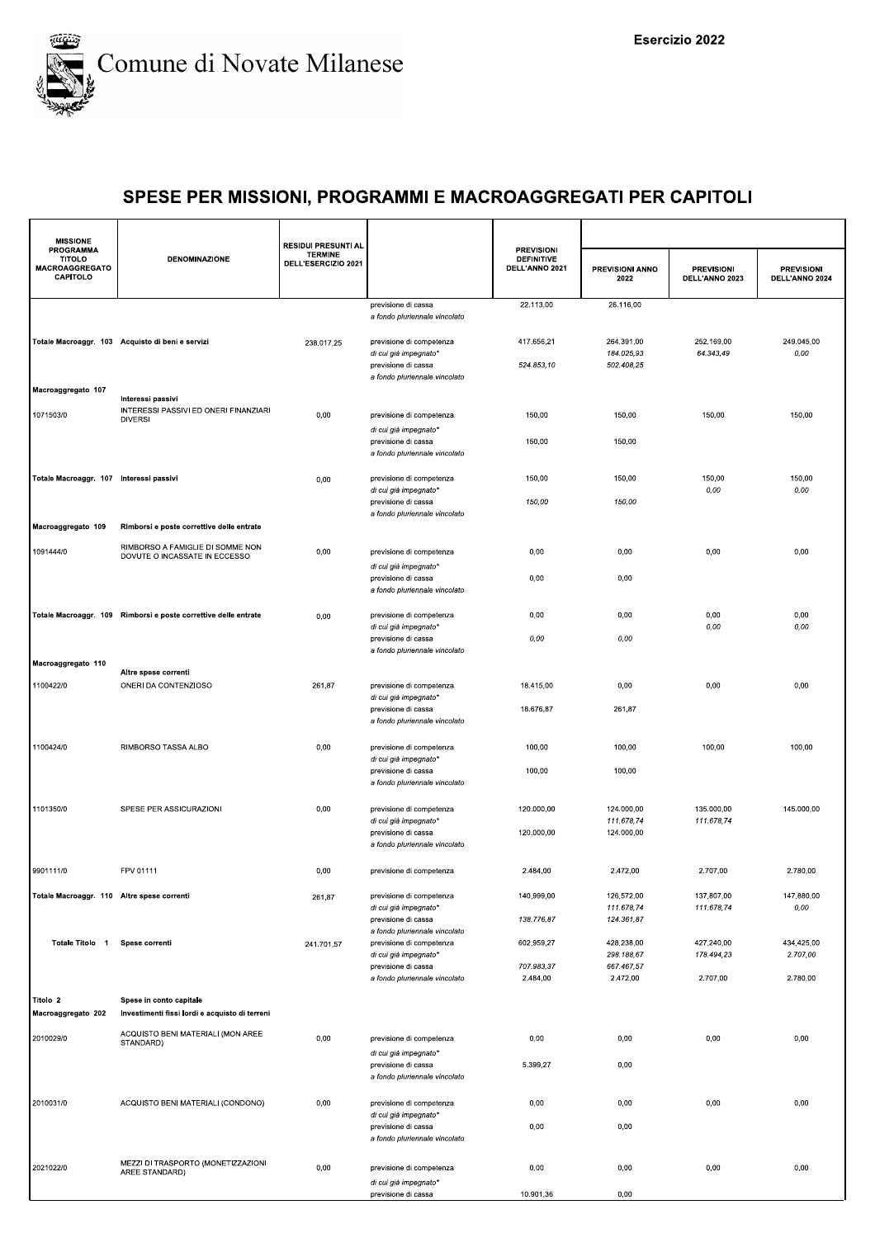

| <b>MISSIONE</b>                                          |                                                                              | <b>RESIDUI PRESUNTI AL</b>            |                                                                                    |                                                          |                                        |                                     |                                     |
|----------------------------------------------------------|------------------------------------------------------------------------------|---------------------------------------|------------------------------------------------------------------------------------|----------------------------------------------------------|----------------------------------------|-------------------------------------|-------------------------------------|
| PROGRAMMA<br><b>TITOLO</b><br>MACROAGGREGATO<br>CAPITOLO | <b>DENOMINAZIONE</b>                                                         | <b>TERMINE</b><br>DELL'ESERCIZIO 2021 |                                                                                    | <b>PREVISIONI</b><br><b>DEFINITIVE</b><br>DELL'ANNO 2021 | PREVISIONI ANNO<br>2022                | <b>PREVISIONI</b><br>DELL'ANNO 2023 | <b>PREVISIONI</b><br>DELL'ANNO 2024 |
|                                                          |                                                                              |                                       | previsione di cassa<br>a fondo pluriennale vincolato                               | 22.113,00                                                | 26.116,00                              |                                     |                                     |
|                                                          | Totale Macroaggr. 103 Acquisto di beni e servizi                             | 238.017,25                            | previsione di competenza<br>di cui già impegnato*<br>previsione di cassa           | 417.656,21<br>524.853,10                                 | 264.391,00<br>184.025,93<br>502.408,25 | 252.169,00<br>64.343,49             | 249.045,00<br>0,00                  |
| Macroaggregato 107                                       |                                                                              |                                       | a fondo pluriennale vincolato                                                      |                                                          |                                        |                                     |                                     |
| 1071503/0                                                | Interessi passivi<br>INTERESSI PASSIVI ED ONERI FINANZIARI<br><b>DIVERSI</b> | 0,00                                  | previsione di competenza<br>di cui già impegnato*                                  | 150,00                                                   | 150,00                                 | 150,00                              | 150,00                              |
|                                                          |                                                                              |                                       | previsione di cassa<br>a fondo pluriennale vincolato                               | 150,00                                                   | 150,00                                 |                                     |                                     |
| Totale Macroaggr. 107 Interessi passivi                  |                                                                              | 0,00                                  | previsione di competenza<br>di cui già impegnato*<br>previsione di cassa           | 150,00<br>150,00                                         | 150,00<br>150,00                       | 150,00<br>0,00                      | 150,00<br>0,00                      |
| Macroaggregato 109                                       | Rimborsi e poste correttive delle entrate                                    |                                       | a fondo pluriennale vincolato                                                      |                                                          |                                        |                                     |                                     |
| 1091444/0                                                | RIMBORSO A FAMIGLIE DI SOMME NON<br>DOVUTE O INCASSATE IN ECCESSO            | 0,00                                  | previsione di competenza                                                           | 0,00                                                     | 0,00                                   | 0,00                                | 0,00                                |
|                                                          |                                                                              |                                       | di cui già impegnato*<br>previsione di cassa<br>a fondo pluriennale vincolato      | 0,00                                                     | 0,00                                   |                                     |                                     |
|                                                          | Totale Macroaggr. 109 Rimborsi e poste correttive delle entrate              | 0,00                                  | previsione di competenza<br>di cui già impegnato*                                  | 0,00                                                     | 0,00                                   | 0,00<br>0,00                        | 0,00<br>0,00                        |
|                                                          |                                                                              |                                       | previsione di cassa<br>a fondo pluriennale vincolato                               | 0,00                                                     | 0,00                                   |                                     |                                     |
| Macroaggregato 110<br>1100422/0                          | Altre spese correnti<br>ONERI DA CONTENZIOSO                                 | 261,87                                | previsione di competenza                                                           | 18.415,00                                                | 0,00                                   | 0,00                                | 0,00                                |
|                                                          |                                                                              |                                       | di cui già impegnato*<br>previsione di cassa<br>a fondo pluriennale vincolato      | 18.676,87                                                | 261,87                                 |                                     |                                     |
| 1100424/0                                                | RIMBORSO TASSA ALBO                                                          | 0,00                                  | previsione di competenza                                                           | 100,00                                                   | 100,00                                 | 100,00                              | 100,00                              |
|                                                          |                                                                              |                                       | di cui già impegnato*<br>previsione di cassa<br>a fondo pluriennale vincolato      | 100,00                                                   | 100,00                                 |                                     |                                     |
| 1101350/0                                                | SPESE PER ASSICURAZIONI                                                      | 0,00                                  | previsione di competenza<br>di cui già impegnato*                                  | 120.000,00                                               | 124.000,00<br>111.678,74               | 135.000,00<br>111.678,74            | 145.000,00                          |
|                                                          |                                                                              |                                       | previsione di cassa<br>a fondo pluriennale vincolato                               | 120.000,00                                               | 124.000,00                             |                                     |                                     |
| 9901111/0                                                | FPV 01111                                                                    | 0,00                                  | previsione di competenza                                                           | 2.484,00                                                 | 2.472,00                               | 2.707,00                            | 2.780,00                            |
| Totale Macroaggr. 110 Altre spese correnti               |                                                                              | 261,87                                | previsione di competenza<br>di cui già impegnato*<br>previsione di cassa           | 140.999,00<br>138.776,87                                 | 126.572,00<br>111.678,74<br>124.361,87 | 137.807,00<br>111.678,74            | 147.880,00<br>0,00                  |
| Totale Titolo 1                                          | Spese correnti                                                               | 241.701,57                            | a fondo pluriennale vincolato<br>previsione di competenza<br>di cui già impegnato* | 602.959,27                                               | 428.238,00<br>298.188,67               | 427.240,00<br>178.494,23            | 434.425,00<br>2.707.00              |
|                                                          |                                                                              |                                       | previsione di cassa<br>a fondo pluriennale vincolato                               | 707.983,37<br>2.484,00                                   | 667.467,57<br>2.472,00                 | 2.707,00                            | 2.780,00                            |
| Titolo 2<br>Macroaggregato 202                           | Spese in conto capitale<br>Investimenti fissi lordi e acquisto di terreni    |                                       |                                                                                    |                                                          |                                        |                                     |                                     |
| 2010029/0                                                | ACQUISTO BENI MATERIALI (MON AREE<br>STANDARD)                               | 0,00                                  | previsione di competenza                                                           | 0,00                                                     | 0,00                                   | 0,00                                | 0,00                                |
|                                                          |                                                                              |                                       | di cui già impegnato*<br>previsione di cassa                                       | 5.399,27                                                 | 0,00                                   |                                     |                                     |
|                                                          |                                                                              |                                       | a fondo pluriennale vincolato                                                      |                                                          |                                        |                                     |                                     |
| 2010031/0                                                | ACQUISTO BENI MATERIALI (CONDONO)                                            | 0,00                                  | previsione di competenza<br>di cui già impegnato*<br>previsione di cassa           | 0,00<br>0,00                                             | 0,00<br>0,00                           | 0,00                                | 0,00                                |
|                                                          |                                                                              |                                       | a fondo pluriennale vincolato                                                      |                                                          |                                        |                                     |                                     |
| 2021022/0                                                | MEZZI DI TRASPORTO (MONETIZZAZIONI<br>AREE STANDARD)                         | 0,00                                  | previsione di competenza                                                           | 0,00                                                     | 0,00                                   | 0,00                                | 0,00                                |
|                                                          |                                                                              |                                       | di cui già impegnato*<br>previsione di cassa                                       | 10.901,36                                                | 0,00                                   |                                     |                                     |
|                                                          |                                                                              |                                       |                                                                                    |                                                          |                                        |                                     |                                     |
|                                                          |                                                                              |                                       |                                                                                    |                                                          |                                        |                                     |                                     |
|                                                          |                                                                              |                                       |                                                                                    |                                                          |                                        |                                     |                                     |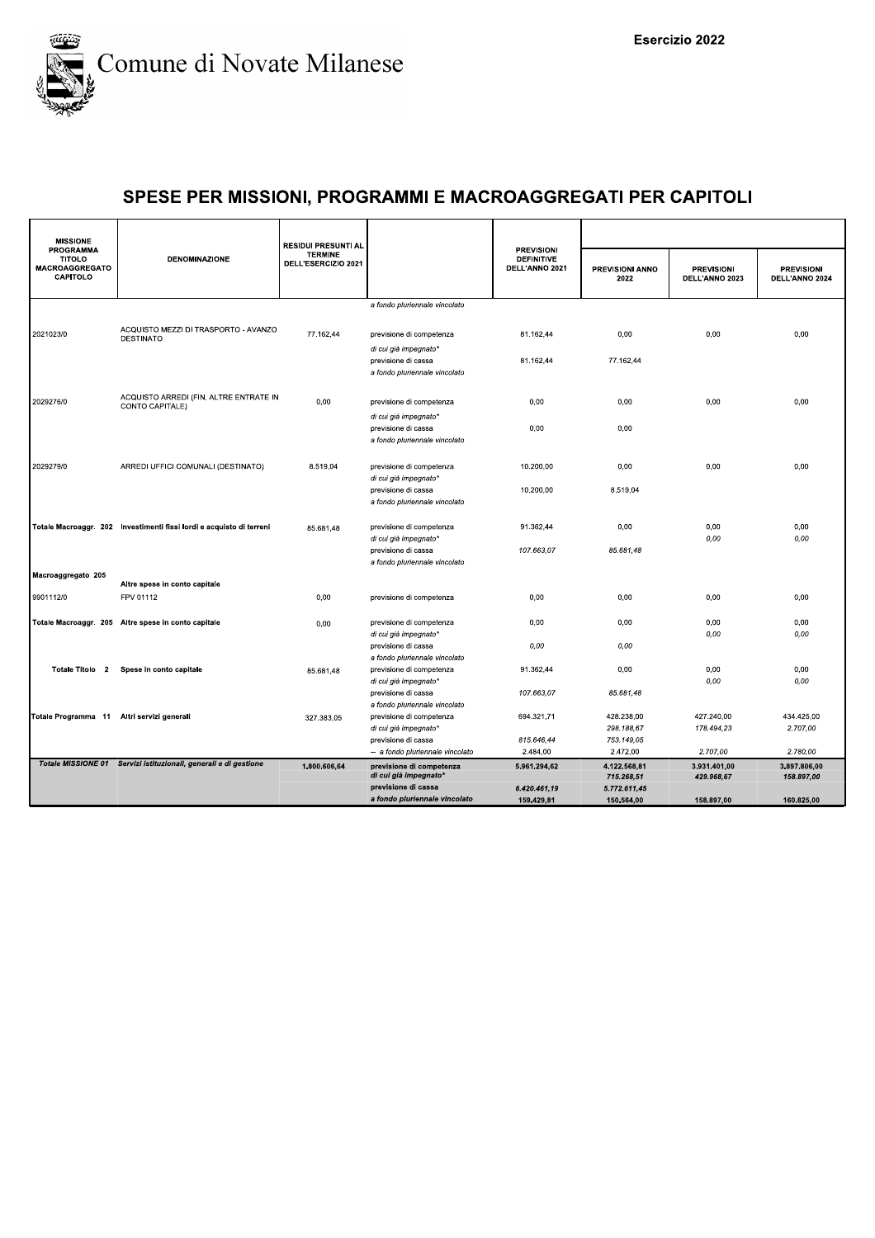

| <b>MISSIONE</b><br><b>PROGRAMMA</b>                       |                                                                      | <b>RESIDUI PRESUNTI AL</b>            |                                                                                                           | <b>PREVISIONI</b>                   |                                        |                                     |                                     |
|-----------------------------------------------------------|----------------------------------------------------------------------|---------------------------------------|-----------------------------------------------------------------------------------------------------------|-------------------------------------|----------------------------------------|-------------------------------------|-------------------------------------|
| <b>TITOLO</b><br><b>MACROAGGREGATO</b><br><b>CAPITOLO</b> | <b>DENOMINAZIONE</b>                                                 | <b>TERMINE</b><br>DELL'ESERCIZIO 2021 |                                                                                                           | <b>DEFINITIVE</b><br>DELL'ANNO 2021 | PREVISIONI ANNO<br>2022                | <b>PREVISIONI</b><br>DELL'ANNO 2023 | <b>PREVISIONI</b><br>DELL'ANNO 2024 |
|                                                           |                                                                      |                                       | a fondo pluriennale vincolato                                                                             |                                     |                                        |                                     |                                     |
| 2021023/0                                                 | ACQUISTO MEZZI DI TRASPORTO - AVANZO<br><b>DESTINATO</b>             | 77.162,44                             | previsione di competenza<br>di cui già impegnato*<br>previsione di cassa                                  | 81.162,44<br>81.162,44              | 0,00<br>77.162,44                      | 0,00                                | 0,00                                |
| 2029276/0                                                 | ACQUISTO ARREDI (FIN. ALTRE ENTRATE IN<br>CONTO CAPITALE)            | 0,00                                  | a fondo pluriennale vincolato<br>previsione di competenza<br>di cui già impegnato*<br>previsione di cassa | 0,00<br>0,00                        | 0,00<br>0,00                           | 0,00                                | 0,00                                |
| 2029279/0                                                 | ARREDI UFFICI COMUNALI (DESTINATO)                                   | 8.519,04                              | a fondo pluriennale vincolato<br>previsione di competenza<br>di cui già impegnato*                        | 10.200,00                           | 0,00                                   | 0,00                                | 0,00                                |
|                                                           | Totale Macroaggr. 202 Investimenti fissi lordi e acquisto di terreni | 85.681,48                             | previsione di cassa<br>a fondo pluriennale vincolato<br>previsione di competenza                          | 10.200.00<br>91.362,44              | 8.519.04<br>0.00                       | 0.00                                | 0.00                                |
| Macroaggregato 205                                        |                                                                      |                                       | di cui già impegnato'<br>previsione di cassa<br>a fondo pluriennale vincolato                             | 107.663,07                          | 85.681,48                              | 0,00                                | 0,00                                |
|                                                           | Altre spese in conto capitale                                        |                                       |                                                                                                           |                                     |                                        |                                     |                                     |
| 9901112/0                                                 | FPV 01112                                                            | 0,00                                  | previsione di competenza                                                                                  | 0,00                                | 0,00                                   | 0,00                                | 0,00                                |
|                                                           | Totale Macroaggr. 205 Altre spese in conto capitale                  | 0,00                                  | previsione di competenza<br>di cui già impegnato*                                                         | 0,00                                | 0,00                                   | 0,00<br>0,00                        | 0,00<br>0,00                        |
| Totale Titolo 2                                           | Spese in conto capitale                                              | 85.681,48                             | previsione di cassa<br>a fondo pluriennale vincolato<br>previsione di competenza                          | 0,00<br>91.362,44                   | 0,00<br>0,00                           | 0,00                                | 0,00                                |
|                                                           |                                                                      |                                       | di cui già impegnato*<br>previsione di cassa<br>a fondo pluriennale vincolato                             | 107.663,07                          | 85.681,48                              | 0,00                                | 0.00                                |
| Totale Programma 11 Altri servizi generali                |                                                                      | 327.383,05                            | previsione di competenza<br>di cui già impegnato*<br>previsione di cassa                                  | 694.321,71<br>815.646.44            | 428.238,00<br>298.188,67<br>753.149.05 | 427.240,00<br>178.494,23            | 434.425,00<br>2.707,00              |
|                                                           |                                                                      |                                       | -- a fondo pluriennale vincolato                                                                          | 2.484.00                            | 2.472,00                               | 2.707.00                            | 2.780.00                            |
|                                                           | Totale MISSIONE 01 Servizi istituzionali, generali e di gestione     | 1.800.606,64                          | previsione di competenza<br>di cui già impegnato*                                                         | 5.961.294,62                        | 4.122.568,81<br>715.268,51             | 3.931.401,00<br>429.968,67          | 3.897.806,00<br>158.897,00          |
|                                                           |                                                                      |                                       | previsione di cassa                                                                                       | 6.420.461,19                        | 5.772.611,45                           |                                     |                                     |
|                                                           |                                                                      |                                       | a fondo pluriennale vincolato                                                                             | 159.429,81                          | 150.564,00                             | 158.897,00                          | 160.825,00                          |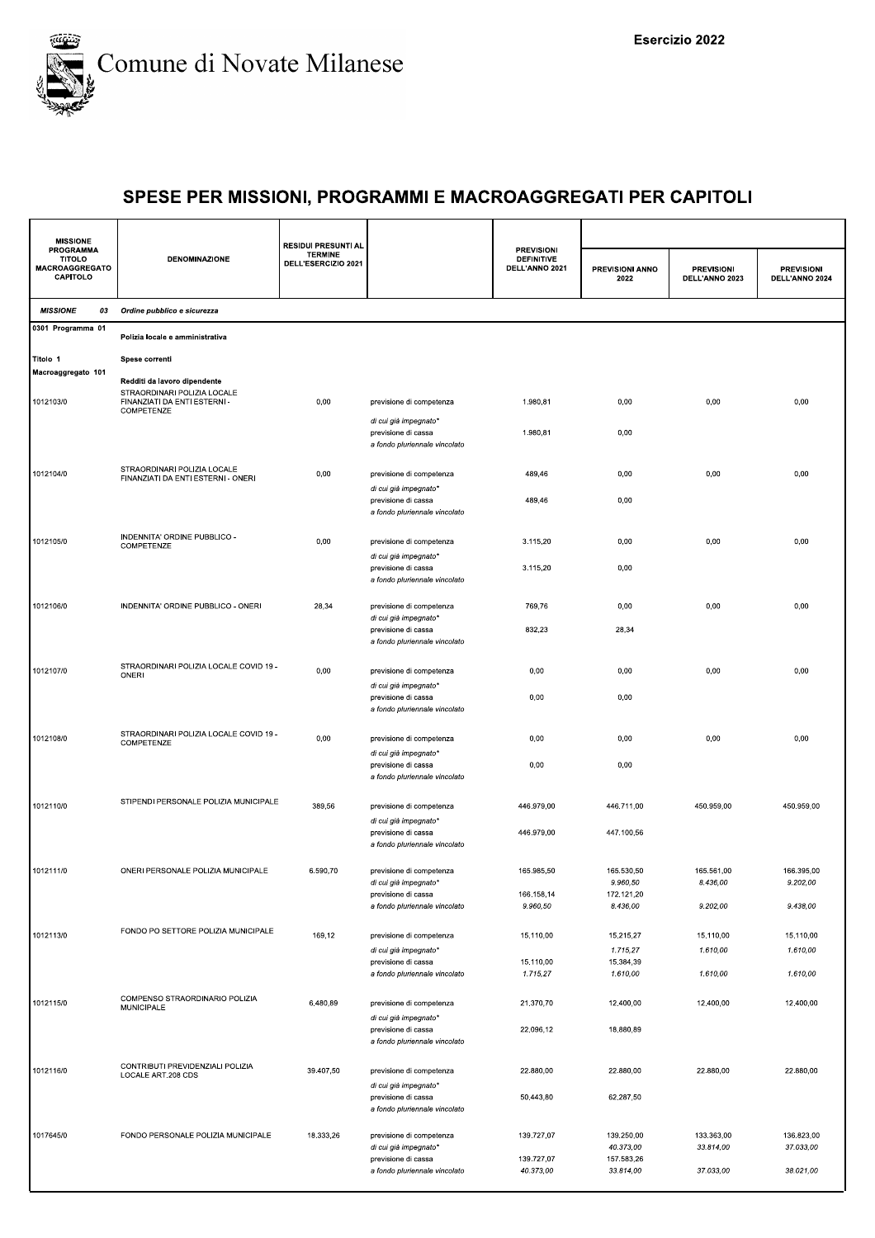

| <b>MISSIONE</b>                                                 |                                                                           | <b>RESIDUI PRESUNTI AL</b>            |                                                                               |                                                          |                         |                                     |                                     |  |
|-----------------------------------------------------------------|---------------------------------------------------------------------------|---------------------------------------|-------------------------------------------------------------------------------|----------------------------------------------------------|-------------------------|-------------------------------------|-------------------------------------|--|
| PROGRAMMA<br><b>TITOLO</b><br><b>MACROAGGREGATO</b><br>CAPITOLO | <b>DENOMINAZIONE</b>                                                      | <b>TERMINE</b><br>DELL'ESERCIZIO 2021 |                                                                               | <b>PREVISIONI</b><br><b>DEFINITIVE</b><br>DELL'ANNO 2021 | PREVISIONI ANNO<br>2022 | <b>PREVISIONI</b><br>DELL'ANNO 2023 | <b>PREVISIONI</b><br>DELL'ANNO 2024 |  |
| <b>MISSIONE</b><br>03                                           | Ordine pubblico e sicurezza                                               |                                       |                                                                               |                                                          |                         |                                     |                                     |  |
| 0301 Programma 01                                               | Polizia locale e amministrativa                                           |                                       |                                                                               |                                                          |                         |                                     |                                     |  |
| Titolo 1                                                        | Spese correnti                                                            |                                       |                                                                               |                                                          |                         |                                     |                                     |  |
| Macroaggregato 101                                              | Redditi da lavoro dipendente                                              |                                       |                                                                               |                                                          |                         |                                     |                                     |  |
| 1012103/0                                                       | STRAORDINARI POLIZIA LOCALE<br>FINANZIATI DA ENTI ESTERNI -<br>COMPETENZE | 0,00                                  | previsione di competenza                                                      | 1.980,81                                                 | 0,00                    | 0,00                                | 0,00                                |  |
|                                                                 |                                                                           |                                       | di cui già impegnato*<br>previsione di cassa<br>a fondo pluriennale vincolato | 1.980,81                                                 | 0,00                    |                                     |                                     |  |
| 1012104/0                                                       | STRAORDINARI POLIZIA LOCALE<br>FINANZIATI DA ENTI ESTERNI - ONERI         | 0,00                                  | previsione di competenza<br>di cui già impegnato*                             | 489,46                                                   | 0,00                    | 0,00                                | 0,00                                |  |
|                                                                 |                                                                           |                                       | previsione di cassa<br>a fondo pluriennale vincolato                          | 489,46                                                   | 0,00                    |                                     |                                     |  |
| 1012105/0                                                       | INDENNITA' ORDINE PUBBLICO -<br>COMPETENZE                                | 0,00                                  | previsione di competenza                                                      | 3.115,20                                                 | 0,00                    | 0,00                                | 0,00                                |  |
|                                                                 |                                                                           |                                       | di cui già impegnato*<br>previsione di cassa<br>a fondo pluriennale vincolato | 3.115,20                                                 | 0,00                    |                                     |                                     |  |
| 1012106/0                                                       | INDENNITA' ORDINE PUBBLICO - ONERI                                        | 28,34                                 | previsione di competenza<br>di cui già impegnato*                             | 769,76                                                   | 0,00                    | 0,00                                | 0,00                                |  |
|                                                                 |                                                                           |                                       | previsione di cassa<br>a fondo pluriennale vincolato                          | 832,23                                                   | 28,34                   |                                     |                                     |  |
| 1012107/0                                                       | STRAORDINARI POLIZIA LOCALE COVID 19 -<br>ONERI                           | 0,00                                  | previsione di competenza<br>di cui già impegnato*                             | 0,00                                                     | 0,00                    | 0,00                                | 0,00                                |  |
|                                                                 |                                                                           |                                       | previsione di cassa<br>a fondo pluriennale vincolato                          | 0,00                                                     | 0,00                    |                                     |                                     |  |
| 1012108/0                                                       | STRAORDINARI POLIZIA LOCALE COVID 19 -<br>COMPETENZE                      | 0,00                                  | previsione di competenza                                                      | 0,00                                                     | 0,00                    | 0,00                                | 0,00                                |  |
|                                                                 |                                                                           |                                       | di cui già impegnato*<br>previsione di cassa<br>a fondo pluriennale vincolato | 0,00                                                     | 0,00                    |                                     |                                     |  |
| 1012110/0                                                       | STIPENDI PERSONALE POLIZIA MUNICIPALE                                     | 389,56                                | previsione di competenza                                                      | 446.979,00                                               | 446.711,00              | 450.959,00                          | 450.959,00                          |  |
|                                                                 |                                                                           |                                       | di cui già impegnato*<br>previsione di cassa<br>a fondo pluriennale vincolato | 446.979,00                                               | 447.100,56              |                                     |                                     |  |
| 1012111/0                                                       | ONERI PERSONALE POLIZIA MUNICIPALE                                        | 6.590,70                              | previsione di competenza<br>di cui giá impegnato                              | 165.985,50                                               | 165.530,50<br>9.960,50  | 165.561,00<br>8.436,00              | 166.395,00<br>9.202,00              |  |
|                                                                 |                                                                           |                                       | previsione di cassa<br>a fondo pluriennale vincolato                          | 166.158,14<br>9.960,50                                   | 172.121,20<br>8.436,00  | 9.202,00                            | 9.438,00                            |  |
|                                                                 |                                                                           |                                       |                                                                               |                                                          |                         |                                     |                                     |  |
| 1012113/0                                                       | FONDO PO SETTORE POLIZIA MUNICIPALE                                       | 169,12                                | previsione di competenza                                                      | 15.110,00                                                | 15.215,27               | 15.110,00                           | 15.110,00                           |  |
|                                                                 |                                                                           |                                       | di cui già impegnato*<br>previsione di cassa                                  | 15.110,00                                                | 1.715,27<br>15.384,39   | 1.610,00                            | 1.610,00                            |  |
|                                                                 |                                                                           |                                       | a fondo pluriennale vincolato                                                 | 1.715,27                                                 | 1.610,00                | 1.610,00                            | 1.610,00                            |  |
| 1012115/0                                                       | COMPENSO STRAORDINARIO POLIZIA<br><b>MUNICIPALE</b>                       | 6.480,89                              | previsione di competenza<br>di cui già impegnato*                             | 21.370,70                                                | 12.400,00               | 12.400,00                           | 12.400,00                           |  |
|                                                                 |                                                                           |                                       | previsione di cassa<br>a fondo pluriennale vincolato                          | 22.096,12                                                | 18.880,89               |                                     |                                     |  |
| 1012116/0                                                       | CONTRIBUTI PREVIDENZIALI POLIZIA<br>LOCALE ART.208 CDS                    | 39.407,50                             | previsione di competenza                                                      | 22.880,00                                                | 22.880,00               | 22.880,00                           | 22.880,00                           |  |
|                                                                 |                                                                           |                                       | di cui già impegnato*<br>previsione di cassa<br>a fondo pluriennale vincolato | 50.443,80                                                | 62.287,50               |                                     |                                     |  |
| 1017645/0                                                       | FONDO PERSONALE POLIZIA MUNICIPALE                                        | 18.333,26                             | previsione di competenza<br>di cui già impegnato*                             | 139.727,07                                               | 139.250,00<br>40.373,00 | 133.363,00<br>33.814,00             | 136.823,00<br>37.033,00             |  |
|                                                                 |                                                                           |                                       | previsione di cassa<br>a fondo pluriennale vincolato                          | 139.727,07<br>40.373,00                                  | 157.583,26<br>33.814,00 | 37.033,00                           | 38.021,00                           |  |
|                                                                 |                                                                           |                                       |                                                                               |                                                          |                         |                                     |                                     |  |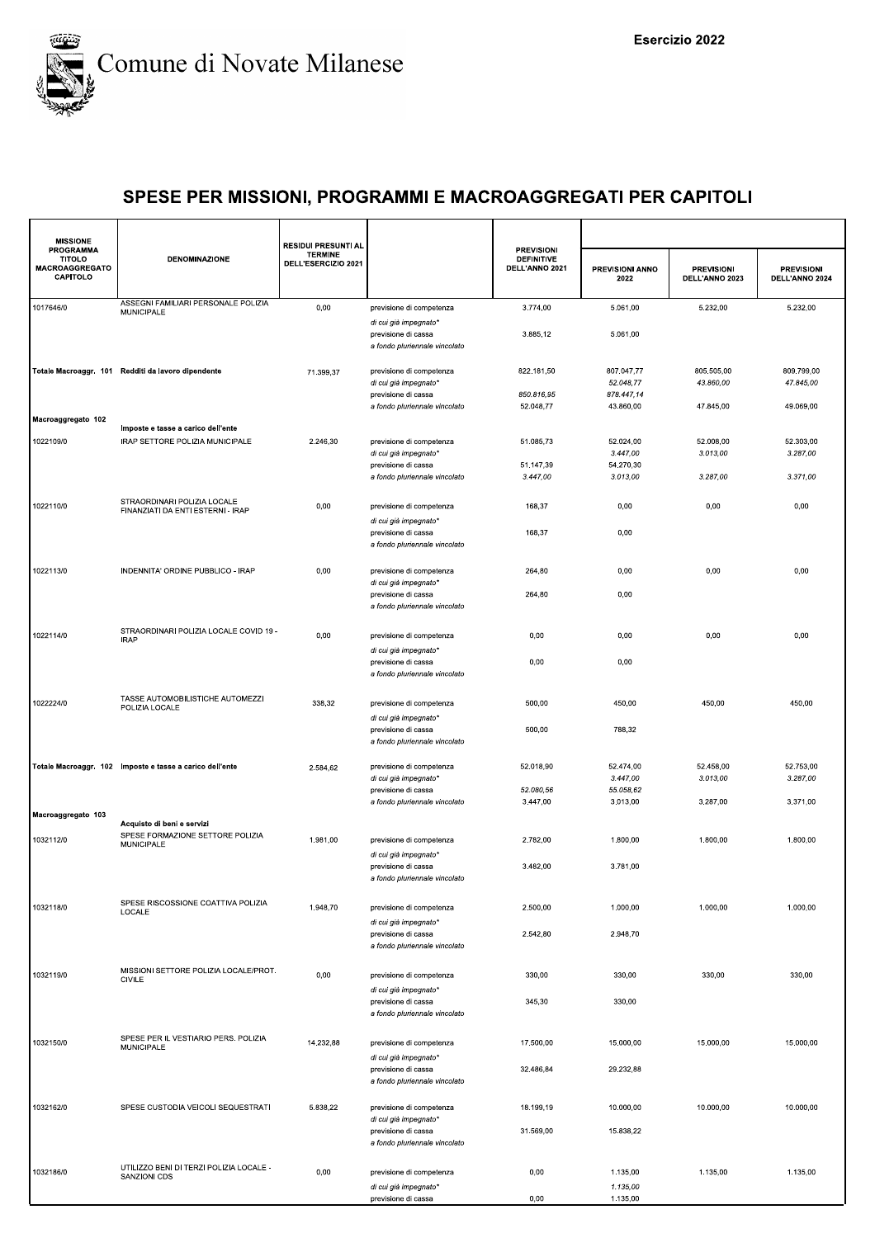

| <b>MISSIONE</b>                                                        |                                                                  | <b>RESIDUI PRESUNTI AL</b>            |                                                                               |                                                          |                                       |                                     |                                     |
|------------------------------------------------------------------------|------------------------------------------------------------------|---------------------------------------|-------------------------------------------------------------------------------|----------------------------------------------------------|---------------------------------------|-------------------------------------|-------------------------------------|
| <b>PROGRAMMA</b><br><b>TITOLO</b><br><b>MACROAGGREGATO</b><br>CAPITOLO | <b>DENOMINAZIONE</b>                                             | <b>TERMINE</b><br>DELL'ESERCIZIO 2021 |                                                                               | <b>PREVISIONI</b><br><b>DEFINITIVE</b><br>DELL'ANNO 2021 | PREVISIONI ANNO<br>2022               | <b>PREVISIONI</b><br>DELL'ANNO 2023 | <b>PREVISIONI</b><br>DELL'ANNO 2024 |
| 1017646/0                                                              | ASSEGNI FAMILIARI PERSONALE POLIZIA<br>MUNICIPALE                | 0,00                                  | previsione di competenza                                                      | 3.774,00                                                 | 5.061.00                              | 5.232,00                            | 5.232,00                            |
|                                                                        |                                                                  |                                       | di cui già impegnato*<br>previsione di cassa<br>a fondo pluriennale vincolato | 3.885,12                                                 | 5.061,00                              |                                     |                                     |
|                                                                        | Totale Macroaggr. 101 Redditi da lavoro dipendente               | 71.399,37                             | previsione di competenza<br>di cui già impegnato*                             | 822.181,50<br>850.816,95                                 | 807.047,77<br>52.048,77<br>878.447,14 | 805.505,00<br>43.860,00             | 809.799,00<br>47.845,00             |
|                                                                        |                                                                  |                                       | previsione di cassa<br>a fondo pluriennale vincolato                          | 52.048,77                                                | 43.860,00                             | 47.845,00                           | 49.069,00                           |
| Macroaggregato 102                                                     | Imposte e tasse a carico dell'ente                               |                                       |                                                                               |                                                          |                                       |                                     |                                     |
| 1022109/0                                                              | IRAP SETTORE POLIZIA MUNICIPALE                                  | 2.246,30                              | previsione di competenza<br>di cui già impegnato*<br>previsione di cassa      | 51.085,73<br>51.147,39                                   | 52.024,00<br>3.447,00<br>54.270,30    | 52.008,00<br>3.013,00               | 52.303,00<br>3.287,00               |
|                                                                        |                                                                  |                                       | a fondo pluriennale vincolato                                                 | 3.447,00                                                 | 3.013,00                              | 3.287,00                            | 3.371,00                            |
| 1022110/0                                                              | STRAORDINARI POLIZIA LOCALE<br>FINANZIATI DA ENTI ESTERNI - IRAP | 0,00                                  | previsione di competenza                                                      | 168,37                                                   | 0,00                                  | 0,00                                | 0,00                                |
|                                                                        |                                                                  |                                       | di cui già impegnato*<br>previsione di cassa<br>a fondo pluriennale vincolato | 168,37                                                   | 0,00                                  |                                     |                                     |
| 1022113/0                                                              | INDENNITA' ORDINE PUBBLICO - IRAP                                | 0,00                                  | previsione di competenza<br>di cui già impegnato*                             | 264,80                                                   | 0,00                                  | 0,00                                | 0,00                                |
|                                                                        |                                                                  |                                       | previsione di cassa<br>a fondo pluriennale vincolato                          | 264,80                                                   | 0,00                                  |                                     |                                     |
| 1022114/0                                                              | STRAORDINARI POLIZIA LOCALE COVID 19 -<br><b>IRAP</b>            | 0,00                                  | previsione di competenza<br>di cui già impegnato*                             | 0,00                                                     | 0,00                                  | 0,00                                | 0,00                                |
|                                                                        |                                                                  |                                       | previsione di cassa<br>a fondo pluriennale vincolato                          | 0,00                                                     | 0,00                                  |                                     |                                     |
| 1022224/0                                                              | TASSE AUTOMOBILISTICHE AUTOMEZZI<br>POLIZIA LOCALE               | 338,32                                | previsione di competenza<br>di cui già impegnato*                             | 500,00                                                   | 450,00                                | 450,00                              | 450,00                              |
|                                                                        |                                                                  |                                       | previsione di cassa<br>a fondo pluriennale vincolato                          | 500,00                                                   | 788,32                                |                                     |                                     |
|                                                                        | Totale Macroaggr. 102 Imposte e tasse a carico dell'ente         | 2.584,62                              | previsione di competenza<br>di cui già impegnato*                             | 52.018,90                                                | 52.474,00<br>3.447,00                 | 52.458,00<br>3.013,00               | 52.753,00<br>3.287,00               |
|                                                                        |                                                                  |                                       | previsione di cassa<br>a fondo pluriennale vincolato                          | 52.080,56<br>3.447,00                                    | 55.058,62<br>3.013,00                 | 3.287,00                            | 3.371,00                            |
| Macroaggregato 103                                                     | Acquisto di beni e servizi                                       |                                       |                                                                               |                                                          |                                       |                                     |                                     |
| 1032112/0                                                              | SPESE FORMAZIONE SETTORE POLIZIA<br>MUNICIPALE                   | 1.981,00                              | previsione di competenza<br>di cui già impegnato*                             | 2.782,00                                                 | 1.800,00                              | 1.800,00                            | 1.800,00                            |
|                                                                        |                                                                  |                                       | previsione di cassa<br>a fondo pluriennale vincolato                          | 3.482,00                                                 | 3.781,00                              |                                     |                                     |
| 1032118/0                                                              | SPESE RISCOSSIONE COATTIVA POLIZIA<br>LOCALE                     | 1.948,70                              | previsione di competenza<br>di cui già impegnato*                             | 2.500,00                                                 | 1.000,00                              | 1.000,00                            | 1.000,00                            |
|                                                                        |                                                                  |                                       | previsione di cassa<br>a fondo pluriennale vincolato                          | 2.542,80                                                 | 2.948,70                              |                                     |                                     |
| 1032119/0                                                              | MISSIONI SETTORE POLIZIA LOCALE/PROT.<br><b>CIVILE</b>           | 0,00                                  | previsione di competenza<br>di cui già impegnato*                             | 330,00                                                   | 330,00                                | 330,00                              | 330,00                              |
|                                                                        |                                                                  |                                       | previsione di cassa<br>a fondo pluriennale vincolato                          | 345,30                                                   | 330,00                                |                                     |                                     |
| 1032150/0                                                              | SPESE PER IL VESTIARIO PERS. POLIZIA<br>MUNICIPALE               | 14.232,88                             | previsione di competenza<br>di cui già impegnato*                             | 17.500,00                                                | 15.000,00                             | 15.000,00                           | 15.000,00                           |
|                                                                        |                                                                  |                                       | previsione di cassa<br>a fondo pluriennale vincolato                          | 32.486,84                                                | 29.232,88                             |                                     |                                     |
| 1032162/0                                                              | SPESE CUSTODIA VEICOLI SEQUESTRATI                               | 5.838,22                              | previsione di competenza<br>di cui già impegnato*                             | 18.199,19                                                | 10.000,00                             | 10.000,00                           | 10.000,00                           |
|                                                                        |                                                                  |                                       | previsione di cassa<br>a fondo pluriennale vincolato                          | 31.569,00                                                | 15.838,22                             |                                     |                                     |
| 1032186/0                                                              | UTILIZZO BENI DI TERZI POLIZIA LOCALE -<br>SANZIONI CDS          | 0,00                                  | previsione di competenza                                                      | 0,00                                                     | 1.135,00                              | 1.135,00                            | 1.135,00                            |
|                                                                        |                                                                  |                                       | di cui già impegnato*<br>previsione di cassa                                  | 0,00                                                     | 1.135,00<br>1.135,00                  |                                     |                                     |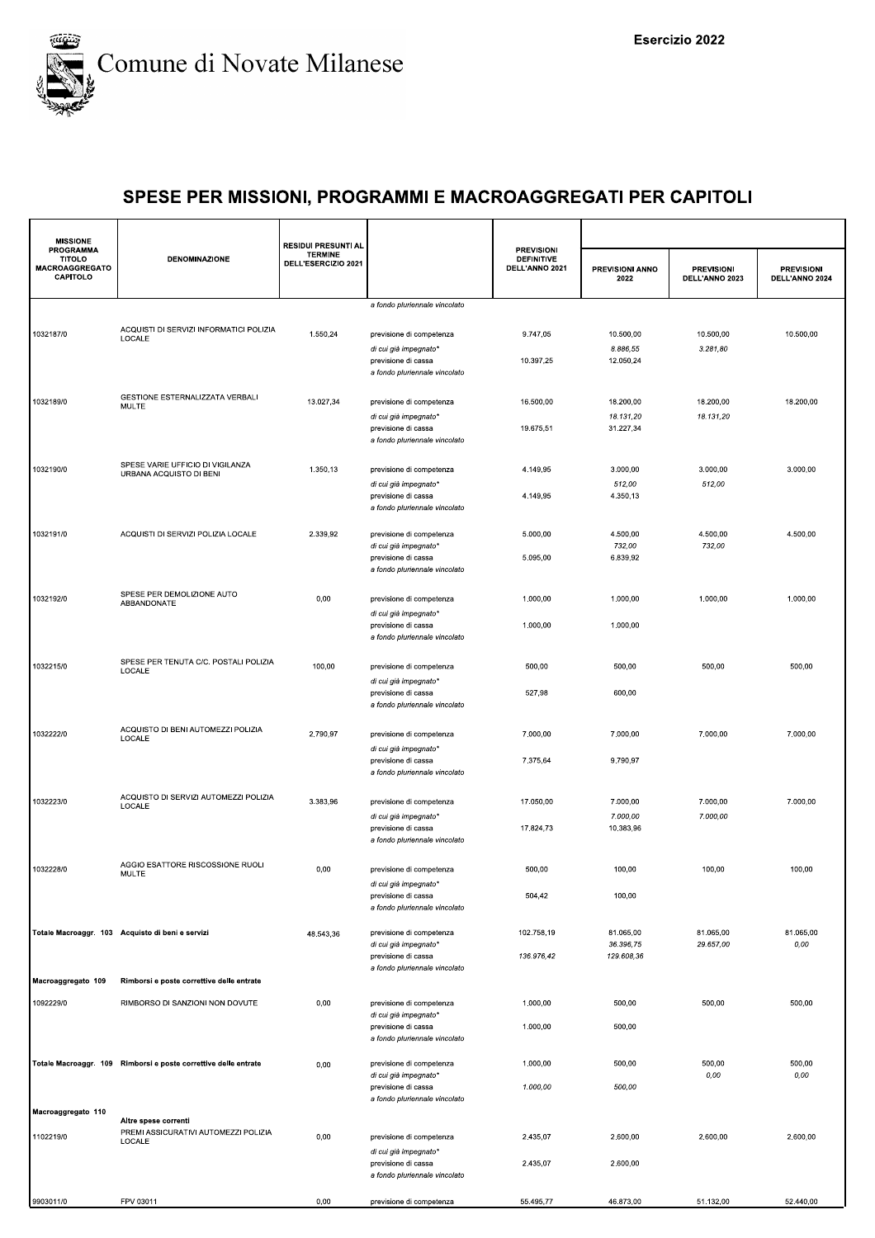

| <b>MISSIONE</b>                                                 |                                                                 | <b>RESIDUI PRESUNTI AL</b>            |                                                                               |                                                          |                                      |                                     |                                     |
|-----------------------------------------------------------------|-----------------------------------------------------------------|---------------------------------------|-------------------------------------------------------------------------------|----------------------------------------------------------|--------------------------------------|-------------------------------------|-------------------------------------|
| PROGRAMMA<br><b>TITOLO</b><br><b>MACROAGGREGATO</b><br>CAPITOLO | DENOMINAZIONE                                                   | <b>TERMINE</b><br>DELL'ESERCIZIO 2021 |                                                                               | <b>PREVISIONI</b><br><b>DEFINITIVE</b><br>DELL'ANNO 2021 | PREVISIONI ANNO<br>2022              | <b>PREVISIONI</b><br>DELL'ANNO 2023 | <b>PREVISIONI</b><br>DELL'ANNO 2024 |
|                                                                 |                                                                 |                                       | a fondo pluriennale vincolato                                                 |                                                          |                                      |                                     |                                     |
| 1032187/0                                                       | ACQUISTI DI SERVIZI INFORMATICI POLIZIA<br>LOCALE               | 1.550,24                              | previsione di competenza<br>di cui già impegnato*                             | 9.747,05                                                 | 10.500,00<br>8.886,55                | 10.500,00<br>3.281,80               | 10.500,00                           |
|                                                                 |                                                                 |                                       | previsione di cassa<br>a fondo pluriennale vincolato                          | 10.397,25                                                | 12.050,24                            |                                     |                                     |
| 1032189/0                                                       | GESTIONE ESTERNALIZZATA VERBALI<br>MULTE                        | 13.027,34                             | previsione di competenza<br>di cui già impegnato*                             | 16.500,00                                                | 18.200,00<br>18.131,20               | 18.200,00<br>18.131,20              | 18.200,00                           |
|                                                                 |                                                                 |                                       | previsione di cassa<br>a fondo pluriennale vincolato                          | 19.675,51                                                | 31.227,34                            |                                     |                                     |
| 1032190/0                                                       | SPESE VARIE UFFICIO DI VIGILANZA<br>URBANA ACQUISTO DI BENI     | 1.350,13                              | previsione di competenza<br>di cui già impegnato*<br>previsione di cassa      | 4.149,95<br>4.149,95                                     | 3.000,00<br>512,00<br>4.350,13       | 3.000,00<br>512,00                  | 3.000,00                            |
|                                                                 |                                                                 |                                       | a fondo pluriennale vincolato                                                 |                                                          |                                      |                                     |                                     |
| 1032191/0                                                       | ACQUISTI DI SERVIZI POLIZIA LOCALE                              | 2.339,92                              | previsione di competenza<br>di cui già impegnato*                             | 5.000,00                                                 | 4.500,00<br>732,00                   | 4.500,00<br>732,00                  | 4.500,00                            |
|                                                                 |                                                                 |                                       | previsione di cassa<br>a fondo pluriennale vincolato                          | 5.095,00                                                 | 6.839,92                             |                                     |                                     |
| 1032192/0                                                       | SPESE PER DEMOLIZIONE AUTO<br>ABBANDONATE                       | 0,00                                  | previsione di competenza<br>di cui già impegnato*                             | 1.000,00                                                 | 1.000,00                             | 1.000,00                            | 1.000,00                            |
|                                                                 |                                                                 |                                       | previsione di cassa<br>a fondo pluriennale vincolato                          | 1.000,00                                                 | 1.000,00                             |                                     |                                     |
| 1032215/0                                                       | SPESE PER TENUTA C/C. POSTALI POLIZIA<br>LOCALE                 | 100,00                                | previsione di competenza<br>di cui già impegnato*                             | 500,00                                                   | 500,00                               | 500,00                              | 500,00                              |
|                                                                 |                                                                 |                                       | previsione di cassa<br>a fondo pluriennale vincolato                          | 527,98                                                   | 600,00                               |                                     |                                     |
| 1032222/0                                                       | ACQUISTO DI BENI AUTOMEZZI POLIZIA<br>LOCALE                    | 2.790,97                              | previsione di competenza<br>di cui già impegnato*                             | 7.000,00                                                 | 7.000,00                             | 7.000,00                            | 7.000,00                            |
|                                                                 |                                                                 |                                       | previsione di cassa<br>a fondo pluriennale vincolato                          | 7.375,64                                                 | 9.790,97                             |                                     |                                     |
| 1032223/0                                                       | ACQUISTO DI SERVIZI AUTOMEZZI POLIZIA<br>LOCALE                 | 3.383,96                              | previsione di competenza<br>di cui già impegnato*                             | 17.050,00                                                | 7.000,00<br>7.000,00                 | 7.000,00<br>7.000,00                | 7.000,00                            |
|                                                                 |                                                                 |                                       | previsione di cassa<br>a fondo pluriennale vincolato                          | 17.824,73                                                | 10.383,96                            |                                     |                                     |
| 1032228/0                                                       | AGGIO ESATTORE RISCOSSIONE RUOLI<br>MULTE                       | 0,00                                  | previsione di competenza<br>di cui già impegnato*                             | 500,00                                                   | 100,00                               | 100,00                              | 100,00                              |
|                                                                 |                                                                 |                                       | previsione di cassa<br>a fondo pluriennale vincolato                          | 504,42                                                   | 100,00                               |                                     |                                     |
|                                                                 | Totale Macroaggr. 103 Acquisto di beni e servizi                | 48.543,36                             | previsione di competenza<br>di cui già impegnato*<br>previsione di cassa      | 102.758,19<br>136.976,42                                 | 81.065.00<br>36.396,75<br>129.608,36 | 81.065,00<br>29.657,00              | 81.065,00<br>0,00                   |
| Macroaggregato 109                                              | Rimborsi e poste correttive delle entrate                       |                                       | a fondo pluriennale vincolato                                                 |                                                          |                                      |                                     |                                     |
| 1092229/0                                                       | RIMBORSO DI SANZIONI NON DOVUTE                                 | 0,00                                  | previsione di competenza                                                      | 1.000,00                                                 | 500,00                               | 500,00                              | 500,00                              |
|                                                                 |                                                                 |                                       | di cui già impegnato*<br>previsione di cassa<br>a fondo pluriennale vincolato | 1.000,00                                                 | 500,00                               |                                     |                                     |
|                                                                 | Totale Macroaggr. 109 Rimborsi e poste correttive delle entrate | 0,00                                  | previsione di competenza                                                      | 1.000,00                                                 | 500,00                               | 500,00                              | 500,00                              |
|                                                                 |                                                                 |                                       | di cui già impegnato*<br>previsione di cassa<br>a fondo pluriennale vincolato | 1.000,00                                                 | 500,00                               | 0,00                                | 0,00                                |
| Macroaggregato 110                                              | Altre spese correnti                                            |                                       |                                                                               |                                                          |                                      |                                     |                                     |
| 1102219/0                                                       | PREMI ASSICURATIVI AUTOMEZZI POLIZIA<br>LOCALE                  | 0,00                                  | previsione di competenza<br>di cui già impegnato*                             | 2.435,07                                                 | 2.600,00                             | 2.600,00                            | 2.600,00                            |
|                                                                 |                                                                 |                                       | previsione di cassa<br>a fondo pluriennale vincolato                          | 2.435,07                                                 | 2.600,00                             |                                     |                                     |
| 9903011/0                                                       | FPV 03011                                                       | 0,00                                  | previsione di competenza                                                      | 55.495,77                                                | 46.873,00                            | 51.132,00                           | 52.440,00                           |
|                                                                 |                                                                 |                                       |                                                                               |                                                          |                                      |                                     |                                     |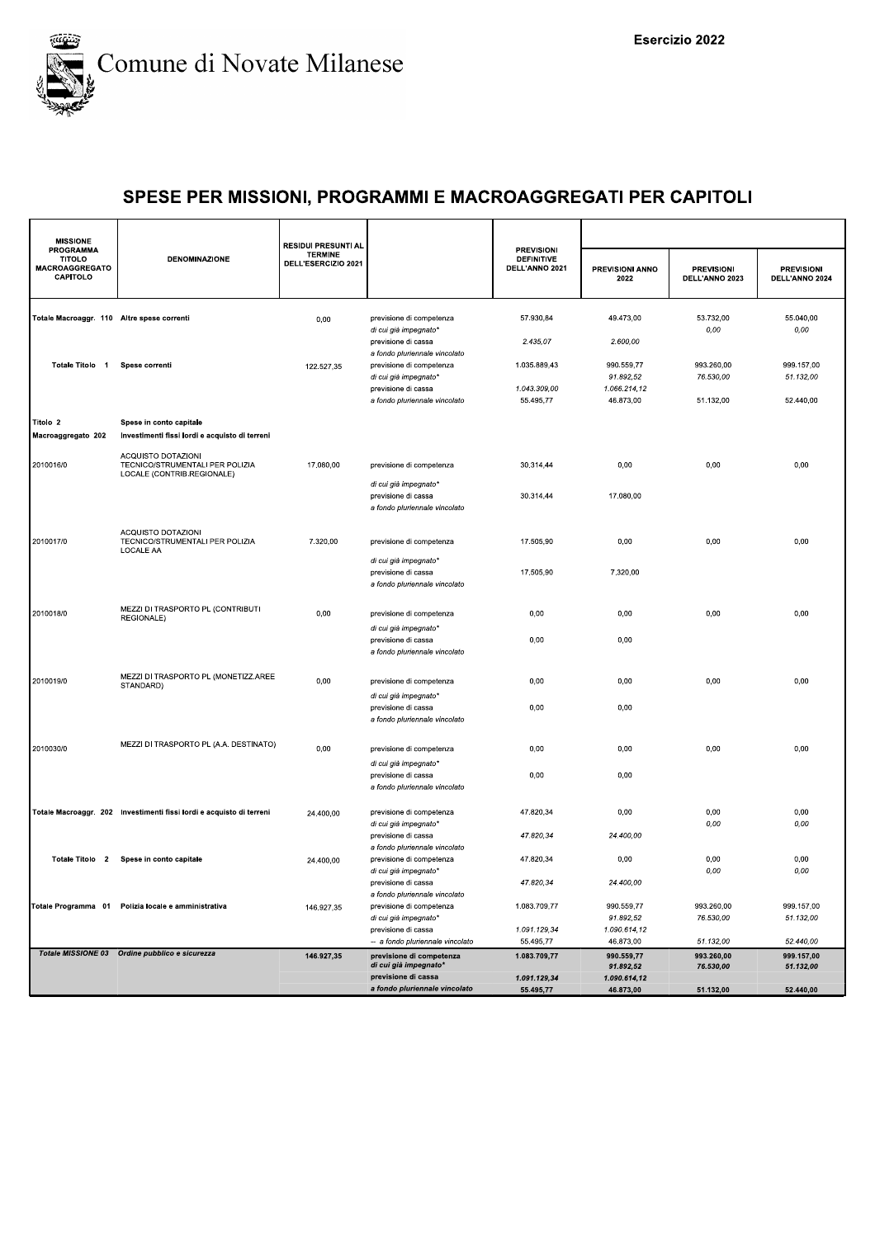

| <b>MISSIONE</b><br><b>PROGRAMMA</b>                |                                                                                     | <b>RESIDUI PRESUNTI AL</b>            |                                                                                       | <b>PREVISIONI</b>                   |                                      |                                      |                                      |
|----------------------------------------------------|-------------------------------------------------------------------------------------|---------------------------------------|---------------------------------------------------------------------------------------|-------------------------------------|--------------------------------------|--------------------------------------|--------------------------------------|
| <b>TITOLO</b><br><b>MACROAGGREGATO</b><br>CAPITOLO | <b>DENOMINAZIONE</b>                                                                | <b>TERMINE</b><br>DELL'ESERCIZIO 2021 |                                                                                       | <b>DEFINITIVE</b><br>DELL'ANNO 2021 | PREVISIONI ANNO<br>2022              | <b>PREVISIONI</b><br>DELL'ANNO 2023  | <b>PREVISIONI</b><br>DELL'ANNO 2024  |
| Totale Macroaggr. 110 Altre spese correnti         |                                                                                     | 0,00                                  | previsione di competenza                                                              | 57.930,84                           | 49.473,00                            | 53.732,00                            | 55.040,00                            |
|                                                    |                                                                                     |                                       | di cui già impegnato'<br>previsione di cassa<br>a fondo pluriennale vincolato         | 2.435,07                            | 2.600,00                             | 0,00                                 | 0,00                                 |
| Totale Titolo 1                                    | Spese correnti                                                                      | 122.527,35                            | previsione di competenza<br>di cui già impegnato*                                     | 1.035.889,43                        | 990.559,77<br>91.892,52              | 993.260,00<br>76.530,00              | 999.157,00<br>51.132,00              |
|                                                    |                                                                                     |                                       | previsione di cassa<br>a fondo pluriennale vincolato                                  | 1.043.309,00<br>55.495,77           | 1.066.214,12<br>46.873,00            | 51.132.00                            | 52.440,00                            |
| Titolo <sub>2</sub><br>Macroaggregato 202          | Spese in conto capitale<br>Investimenti fissi lordi e acquisto di terreni           |                                       |                                                                                       |                                     |                                      |                                      |                                      |
| 2010016/0                                          | ACQUISTO DOTAZIONI<br>TECNICO/STRUMENTALI PER POLIZIA<br>LOCALE (CONTRIB.REGIONALE) | 17.080,00                             | previsione di competenza                                                              | 30.314,44                           | 0,00                                 | 0,00                                 | 0,00                                 |
|                                                    |                                                                                     |                                       | di cui già impegnato*<br>previsione di cassa<br>a fondo pluriennale vincolato         | 30.314,44                           | 17.080,00                            |                                      |                                      |
| 2010017/0                                          | ACQUISTO DOTAZIONI<br>TECNICO/STRUMENTALI PER POLIZIA                               | 7.320,00                              | previsione di competenza                                                              | 17.505,90                           | 0,00                                 | 0,00                                 | 0,00                                 |
|                                                    | LOCALE AA                                                                           |                                       | di cui già impegnato*<br>previsione di cassa<br>a fondo pluriennale vincolato         | 17.505,90                           | 7.320,00                             |                                      |                                      |
| 2010018/0                                          | MEZZI DI TRASPORTO PL (CONTRIBUTI<br>REGIONALE)                                     | 0,00                                  | previsione di competenza                                                              | 0,00                                | 0,00                                 | 0,00                                 | 0,00                                 |
|                                                    |                                                                                     |                                       | di cui già impegnato*<br>previsione di cassa<br>a fondo pluriennale vincolato         | 0,00                                | 0,00                                 |                                      |                                      |
| 2010019/0                                          | MEZZI DI TRASPORTO PL (MONETIZZ.AREE<br>STANDARD)                                   | 0,00                                  | previsione di competenza<br>di cui già impegnato'                                     | 0,00                                | 0,00                                 | 0,00                                 | 0,00                                 |
|                                                    |                                                                                     |                                       | previsione di cassa<br>a fondo pluriennale vincolato                                  | 0,00                                | 0,00                                 |                                      |                                      |
| 2010030/0                                          | MEZZI DI TRASPORTO PL (A.A. DESTINATO)                                              | 0,00                                  | previsione di competenza<br>di cui già impegnato*                                     | 0,00                                | 0,00                                 | 0,00                                 | 0,00                                 |
|                                                    |                                                                                     |                                       | previsione di cassa<br>a fondo pluriennale vincolato                                  | 0,00                                | 0,00                                 |                                      |                                      |
|                                                    | Totale Macroaggr. 202 Investimenti fissi lordi e acquisto di terreni                | 24.400,00                             | previsione di competenza<br>di cui già impegnato*                                     | 47.820,34                           | 0,00                                 | 0,00<br>0,00                         | 0,00<br>0,00                         |
|                                                    |                                                                                     |                                       | previsione di cassa<br>a fondo pluriennale vincolato                                  | 47.820,34                           | 24.400,00                            |                                      |                                      |
| Totale Titolo 2                                    | Spese in conto capitale                                                             | 24.400,00                             | previsione di competenza<br>di cui già impegnato'<br>previsione di cassa              | 47.820,34<br>47.820,34              | 0,00<br>24.400,00                    | 0,00<br>$0,00$                       | 0,00<br>0,00                         |
|                                                    | Totale Programma 01 Polizia locale e amministrativa                                 | 146.927,35                            | a fondo pluriennale vincolato<br>previsione di competenza                             | 1.083.709,77                        | 990.559,77                           | 993.260,00                           | 999.157,00                           |
|                                                    |                                                                                     |                                       | di cui già impegnato"<br>previsione di cassa                                          | 1.091.129,34                        | 91.892,52<br>1.090.614,12            | 76.530,00                            | 51.132,00                            |
|                                                    | Totale MISSIONE 03 Ordine pubblico e sicurezza                                      | 146.927,35                            | -- a fondo pluriennale vincolato<br>previsione di competenza<br>di cui già impegnato* | 55.495.77<br>1.083.709,77           | 46.873,00<br>990.559,77<br>91.892,52 | 51.132,00<br>993.260,00<br>76.530,00 | 52.440,00<br>999.157,00<br>51.132,00 |
|                                                    |                                                                                     |                                       | previsione di cassa<br>a fondo pluriennale vincolato                                  | 1.091.129,34<br>55.495,77           | 1.090.614,12<br>46.873,00            | 51.132,00                            | 52.440,00                            |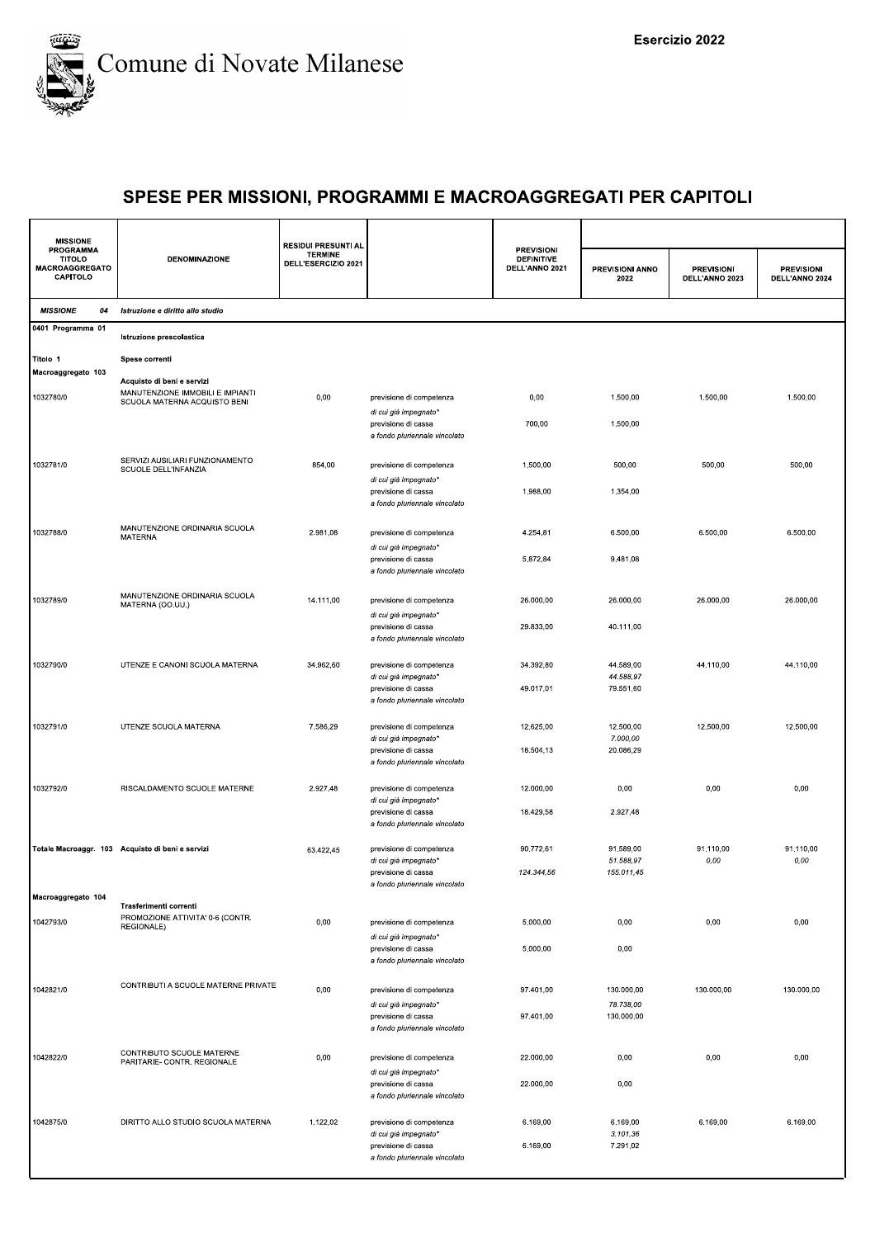

| <b>MISSIONE</b>                                                 |                                                                                                | <b>RESIDUI PRESUNTI AL</b>            |                                                                                                           |                                                          |                                      |                                     |                                     |
|-----------------------------------------------------------------|------------------------------------------------------------------------------------------------|---------------------------------------|-----------------------------------------------------------------------------------------------------------|----------------------------------------------------------|--------------------------------------|-------------------------------------|-------------------------------------|
| <b>PROGRAMMA</b><br><b>TITOLO</b><br>MACROAGGREGATO<br>CAPITOLO | <b>DENOMINAZIONE</b>                                                                           | <b>TERMINE</b><br>DELL'ESERCIZIO 2021 |                                                                                                           | <b>PREVISIONI</b><br><b>DEFINITIVE</b><br>DELL'ANNO 2021 | PREVISIONI ANNO<br>2022              | <b>PREVISIONI</b><br>DELL'ANNO 2023 | <b>PREVISIONI</b><br>DELL'ANNO 2024 |
| <b>MISSIONE</b><br>04                                           | Istruzione e diritto allo studio                                                               |                                       |                                                                                                           |                                                          |                                      |                                     |                                     |
| 0401 Programma 01                                               | Istruzione prescolastica                                                                       |                                       |                                                                                                           |                                                          |                                      |                                     |                                     |
| Titolo 1                                                        | Spese correnti                                                                                 |                                       |                                                                                                           |                                                          |                                      |                                     |                                     |
| Macroaggregato 103<br>1032780/0                                 | Acquisto di beni e servizi<br>MANUTENZIONE IMMOBILI E IMPIANTI<br>SCUOLA MATERNA ACQUISTO BENI | 0,00                                  | previsione di competenza                                                                                  | 0,00                                                     | 1.500,00                             | 1.500,00                            | 1.500,00                            |
|                                                                 |                                                                                                |                                       | di cui già impegnato*<br>previsione di cassa<br>a fondo pluriennale vincolato                             | 700,00                                                   | 1.500,00                             |                                     |                                     |
| 1032781/0                                                       | SERVIZI AUSILIARI FUNZIONAMENTO<br>SCUOLE DELL'INFANZIA                                        | 854,00                                | previsione di competenza<br>di cui già impegnato*                                                         | 1.500,00                                                 | 500,00                               | 500,00                              | 500,00                              |
|                                                                 |                                                                                                |                                       | previsione di cassa<br>a fondo pluriennale vincolato                                                      | 1.988,00                                                 | 1.354,00                             |                                     |                                     |
| 1032788/0                                                       | MANUTENZIONE ORDINARIA SCUOLA<br>MATERNA                                                       | 2.981,08                              | previsione di competenza<br>di cui già impegnato*                                                         | 4.254,81                                                 | 6.500,00                             | 6.500,00                            | 6.500,00                            |
|                                                                 |                                                                                                |                                       | previsione di cassa<br>a fondo pluriennale vincolato                                                      | 5.872,84                                                 | 9.481,08                             |                                     |                                     |
| 1032789/0                                                       | MANUTENZIONE ORDINARIA SCUOLA<br>MATERNA (OO.UU.)                                              | 14.111,00                             | previsione di competenza<br>di cui già impegnato*                                                         | 26.000,00                                                | 26.000,00                            | 26.000,00                           | 26.000,00                           |
|                                                                 |                                                                                                |                                       | previsione di cassa<br>a fondo pluriennale vincolato                                                      | 29.833,00                                                | 40.111,00                            |                                     |                                     |
| 1032790/0                                                       | UTENZE E CANONI SCUOLA MATERNA                                                                 | 34.962,60                             | previsione di competenza<br>di cui già impegnato*<br>previsione di cassa                                  | 34.392,80<br>49.017,01                                   | 44.589,00<br>44.588,97<br>79.551,60  | 44.110,00                           | 44.110,00                           |
|                                                                 |                                                                                                |                                       | a fondo pluriennale vincolato                                                                             |                                                          |                                      |                                     |                                     |
| 1032791/0                                                       | UTENZE SCUOLA MATERNA                                                                          | 7.586,29                              | previsione di competenza<br>di cui già impegnato*<br>previsione di cassa                                  | 12.625,00<br>18.504,13                                   | 12.500,00<br>7.000,00<br>20.086,29   | 12.500,00                           | 12.500,00                           |
|                                                                 |                                                                                                |                                       | a fondo pluriennale vincolato                                                                             |                                                          |                                      |                                     |                                     |
| 1032792/0                                                       | RISCALDAMENTO SCUOLE MATERNE                                                                   | 2.927,48                              | previsione di competenza<br>di cui già impegnato*<br>previsione di cassa                                  | 12.000,00<br>18.429,58                                   | 0,00<br>2.927,48                     | 0,00                                | 0,00                                |
|                                                                 |                                                                                                |                                       | a fondo pluriennale vincolato                                                                             |                                                          |                                      |                                     |                                     |
|                                                                 | Totale Macroaggr. 103 Acquisto di beni e servizi                                               | 63.422,45                             | previsione di competenza<br>di cui già impegnato*<br>previsione di cassa<br>a fondo pluriennale vincolato | 90.772,61<br>124.344,56                                  | 91.589,00<br>51.588,97<br>155.011,45 | 91.110,00<br>0,00                   | 91.110,00<br>0,00                   |
| Macroaggregato 104                                              | Trasferimenti correnti                                                                         |                                       |                                                                                                           |                                                          |                                      |                                     |                                     |
| 1042793/0                                                       | PROMOZIONE ATTIVITA' 0-6 (CONTR.<br>REGIONALE)                                                 | 0,00                                  | previsione di competenza<br>di cui già impegnato*                                                         | 5.000,00                                                 | 0,00                                 | 0,00                                | 0,00                                |
|                                                                 |                                                                                                |                                       | previsione di cassa<br>a fondo pluriennale vincolato                                                      | 5.000,00                                                 | 0,00                                 |                                     |                                     |
| 1042821/0                                                       | CONTRIBUTI A SCUOLE MATERNE PRIVATE                                                            | 0,00                                  | previsione di competenza<br>di cui già impegnato*                                                         | 97.401,00                                                | 130.000,00<br>78.738,00              | 130.000,00                          | 130.000,00                          |
|                                                                 |                                                                                                |                                       | previsione di cassa<br>a fondo pluriennale vincolato                                                      | 97.401,00                                                | 130.000,00                           |                                     |                                     |
| 1042822/0                                                       | CONTRIBUTO SCUOLE MATERNE<br>PARITARIE- CONTR. REGIONALE                                       | 0,00                                  | previsione di competenza<br>di cui già impegnato*                                                         | 22.000,00                                                | 0,00                                 | 0,00                                | 0,00                                |
|                                                                 |                                                                                                |                                       | previsione di cassa<br>a fondo pluriennale vincolato                                                      | 22.000,00                                                | 0,00                                 |                                     |                                     |
| 1042875/0                                                       | DIRITTO ALLO STUDIO SCUOLA MATERNA                                                             | 1.122,02                              | previsione di competenza<br>di cui già impegnato*                                                         | 6.169,00                                                 | 6.169,00<br>3.101,36                 | 6.169,00                            | 6.169,00                            |
|                                                                 |                                                                                                |                                       | previsione di cassa<br>a fondo pluriennale vincolato                                                      | 6.169,00                                                 | 7.291,02                             |                                     |                                     |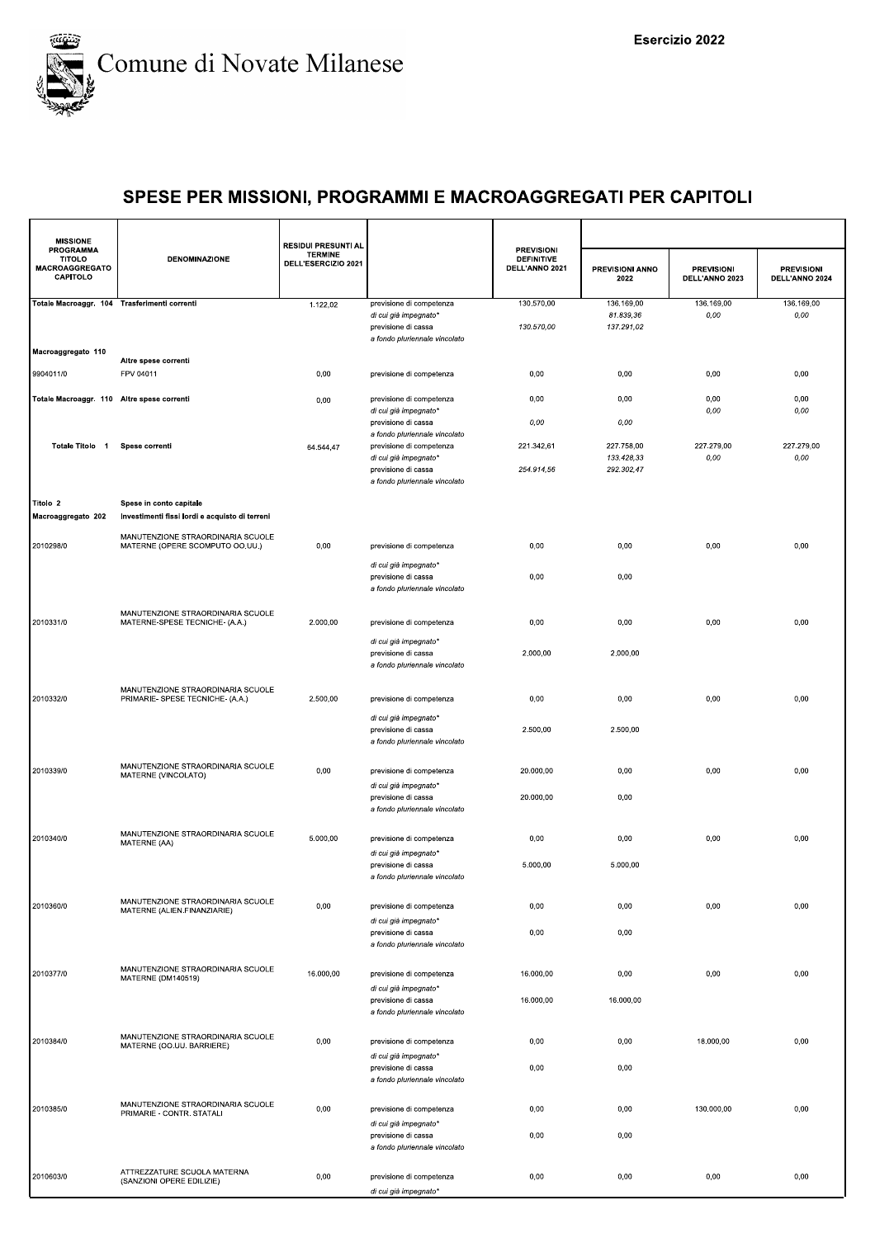

| <b>MISSIONE</b>                                                 |                                                                           | <b>RESIDUI PRESUNTI AL</b>            |                                                                                                           |                                                          |                                        |                                     |                                     |
|-----------------------------------------------------------------|---------------------------------------------------------------------------|---------------------------------------|-----------------------------------------------------------------------------------------------------------|----------------------------------------------------------|----------------------------------------|-------------------------------------|-------------------------------------|
| <b>PROGRAMMA</b><br>TITOLO<br><b>MACROAGGREGATO</b><br>CAPITOLO | <b>DENOMINAZIONE</b>                                                      | <b>TERMINE</b><br>DELL'ESERCIZIO 2021 |                                                                                                           | <b>PREVISIONI</b><br><b>DEFINITIVE</b><br>DELL'ANNO 2021 | PREVISIONI ANNO<br>2022                | <b>PREVISIONI</b><br>DELL'ANNO 2023 | <b>PREVISIONI</b><br>DELL'ANNO 2024 |
| Totale Macroaggr. 104 Trasferimenti correnti                    |                                                                           | 1.122,02                              | previsione di competenza<br>di cui già impegnato*<br>previsione di cassa<br>a fondo pluriennale vincolato | 130.570,00<br>130.570,00                                 | 136.169,00<br>81.839,36<br>137.291,02  | 136.169,00<br>0,00                  | 136.169,00<br>0,00                  |
| Macroaggregato 110                                              | Altre spese correnti                                                      |                                       |                                                                                                           |                                                          |                                        |                                     |                                     |
| 9904011/0                                                       | FPV 04011                                                                 | 0,00                                  | previsione di competenza                                                                                  | 0,00                                                     | 0,00                                   | 0,00                                | 0,00                                |
| Totale Macroaggr. 110 Altre spese correnti                      |                                                                           | 0,00                                  | previsione di competenza<br>di cui già impegnato*<br>previsione di cassa                                  | 0,00<br>0,00                                             | 0,00<br>0,00                           | 0,00<br>0,00                        | 0,00<br>0,00                        |
| Totale Titolo 1                                                 | Spese correnti                                                            | 64.544,47                             | a fondo pluriennale vincolato<br>previsione di competenza<br>di cui già impegnato*<br>previsione di cassa | 221.342,61<br>254.914,56                                 | 227.758,00<br>133.428,33<br>292.302,47 | 227.279,00<br>0,00                  | 227.279,00<br>0,00                  |
| Titolo 2<br>Macroaggregato 202                                  | Spese in conto capitale<br>Investimenti fissi lordi e acquisto di terreni |                                       | a fondo pluriennale vincolato                                                                             |                                                          |                                        |                                     |                                     |
| 2010298/0                                                       | MANUTENZIONE STRAORDINARIA SCUOLE<br>MATERNE (OPERE SCOMPUTO OO.UU.)      | 0,00                                  | previsione di competenza                                                                                  | 0,00                                                     | 0,00                                   | 0,00                                | 0,00                                |
|                                                                 |                                                                           |                                       | di cui già impegnato*<br>previsione di cassa<br>a fondo pluriennale vincolato                             | 0,00                                                     | 0,00                                   |                                     |                                     |
| 2010331/0                                                       | MANUTENZIONE STRAORDINARIA SCUOLE<br>MATERNE-SPESE TECNICHE- (A.A.)       | 2.000,00                              | previsione di competenza                                                                                  | 0,00                                                     | 0,00                                   | 0,00                                | 0,00                                |
|                                                                 |                                                                           |                                       | di cui già impegnato*<br>previsione di cassa<br>a fondo pluriennale vincolato                             | 2.000,00                                                 | 2.000,00                               |                                     |                                     |
| 2010332/0                                                       | MANUTENZIONE STRAORDINARIA SCUOLE<br>PRIMARIE- SPESE TECNICHE- (A.A.)     | 2.500,00                              | previsione di competenza<br>di cui già impegnato*                                                         | 0,00                                                     | 0,00                                   | 0,00                                | 0,00                                |
|                                                                 |                                                                           |                                       | previsione di cassa<br>a fondo pluriennale vincolato                                                      | 2.500,00                                                 | 2.500,00                               |                                     |                                     |
| 2010339/0                                                       | MANUTENZIONE STRAORDINARIA SCUOLE<br>MATERNE (VINCOLATO)                  | 0,00                                  | previsione di competenza<br>di cui già impegnato*                                                         | 20.000,00                                                | 0,00                                   | 0,00                                | 0,00                                |
|                                                                 |                                                                           |                                       | previsione di cassa<br>a fondo pluriennale vincolato                                                      | 20.000,00                                                | 0,00                                   |                                     |                                     |
| 2010340/0                                                       | MANUTENZIONE STRAORDINARIA SCUOLE<br>MATERNE (AA)                         | 5.000,00                              | previsione di competenza<br>di cui già impegnato*                                                         | 0,00                                                     | 0,00                                   | 0,00                                | 0,00                                |
|                                                                 |                                                                           |                                       | previsione di cassa<br>a fondo pluriennale vincolato                                                      | 5.000,00                                                 | 5.000,00                               |                                     |                                     |
| 2010360/0                                                       | MANUTENZIONE STRAORDINARIA SCUOLE<br>MATERNE (ALIEN.FINANZIARIE)          | 0,00                                  | previsione di competenza<br>di cui già impegnato*<br>previsione di cassa                                  | 0,00<br>0,00                                             | 0,00<br>0,00                           | 0,00                                | 0,00                                |
|                                                                 |                                                                           |                                       | a fondo pluriennale vincolato                                                                             |                                                          |                                        |                                     |                                     |
| 2010377/0                                                       | MANUTENZIONE STRAORDINARIA SCUOLE<br>MATERNE (DM140519)                   | 16.000,00                             | previsione di competenza<br>di cui già impegnato*<br>previsione di cassa                                  | 16.000,00<br>16.000,00                                   | 0,00<br>16.000,00                      | 0,00                                | 0,00                                |
| 2010384/0                                                       | MANUTENZIONE STRAORDINARIA SCUOLE<br>MATERNE (OO.UU. BARRIERE)            | 0,00                                  | a fondo pluriennale vincolato<br>previsione di competenza                                                 | 0,00                                                     | 0,00                                   | 18.000,00                           | 0,00                                |
|                                                                 |                                                                           |                                       | di cui già impegnato*<br>previsione di cassa<br>a fondo pluriennale vincolato                             | 0,00                                                     | 0,00                                   |                                     |                                     |
| 2010385/0                                                       | MANUTENZIONE STRAORDINARIA SCUOLE<br>PRIMARIE - CONTR. STATALI            | 0,00                                  | previsione di competenza<br>di cui già impegnato*                                                         | 0,00                                                     | 0,00                                   | 130.000,00                          | 0,00                                |
|                                                                 |                                                                           |                                       | previsione di cassa<br>a fondo pluriennale vincolato                                                      | 0,00                                                     | 0,00                                   |                                     |                                     |
| 2010603/0                                                       | ATTREZZATURE SCUOLA MATERNA<br>(SANZIONI OPERE EDILIZIE)                  | 0,00                                  | previsione di competenza<br>di cui già impegnato*                                                         | 0,00                                                     | 0,00                                   | 0,00                                | 0,00                                |
|                                                                 |                                                                           |                                       |                                                                                                           |                                                          |                                        |                                     |                                     |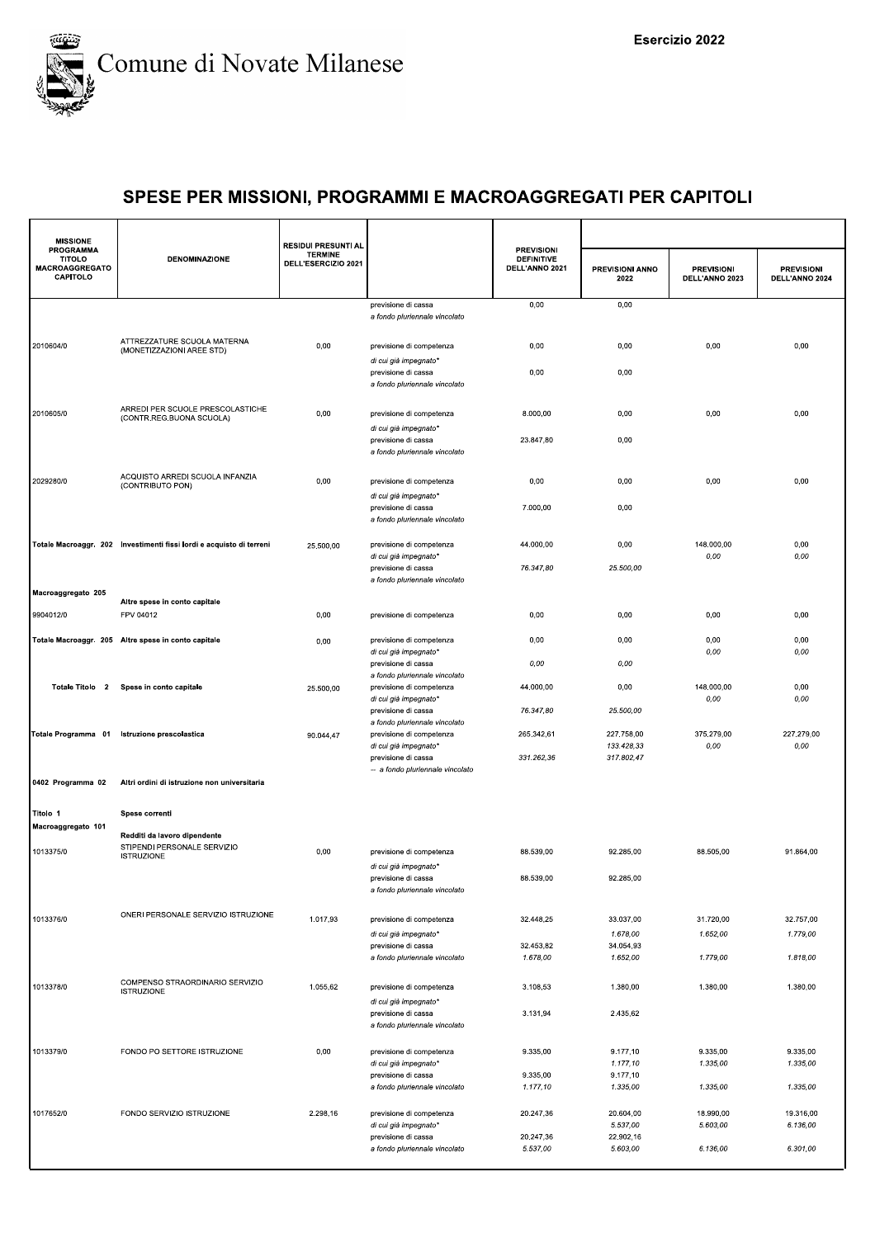

| <b>MISSIONE</b>                                                 |                                                                      | <b>RESIDUI PRESUNTI AL</b>            |                                                                                    |                                                          |                                        |                                     |                                     |
|-----------------------------------------------------------------|----------------------------------------------------------------------|---------------------------------------|------------------------------------------------------------------------------------|----------------------------------------------------------|----------------------------------------|-------------------------------------|-------------------------------------|
| <b>PROGRAMMA</b><br><b>TITOLO</b><br>MACROAGGREGATO<br>CAPITOLO | <b>DENOMINAZIONE</b>                                                 | <b>TERMINE</b><br>DELL'ESERCIZIO 2021 |                                                                                    | <b>PREVISIONI</b><br><b>DEFINITIVE</b><br>DELL'ANNO 2021 | PREVISIONI ANNO<br>2022                | <b>PREVISIONI</b><br>DELL'ANNO 2023 | <b>PREVISIONI</b><br>DELL'ANNO 2024 |
|                                                                 |                                                                      |                                       | previsione di cassa<br>a fondo pluriennale vincolato                               | 0,00                                                     | 0,00                                   |                                     |                                     |
| 2010604/0                                                       | ATTREZZATURE SCUOLA MATERNA<br>(MONETIZZAZIONI AREE STD)             | 0,00                                  | previsione di competenza<br>di cui già impegnato*                                  | 0,00                                                     | 0,00                                   | 0,00                                | 0,00                                |
|                                                                 |                                                                      |                                       | previsione di cassa<br>a fondo pluriennale vincolato                               | 0,00                                                     | 0,00                                   |                                     |                                     |
| 2010605/0                                                       | ARREDI PER SCUOLE PRESCOLASTICHE<br>(CONTR.REG.BUONA SCUOLA)         | 0,00                                  | previsione di competenza<br>di cui già impegnato*                                  | 8.000,00                                                 | 0,00                                   | 0,00                                | 0,00                                |
|                                                                 |                                                                      |                                       | previsione di cassa<br>a fondo pluriennale vincolato                               | 23.847,80                                                | 0,00                                   |                                     |                                     |
| 2029280/0                                                       | ACQUISTO ARREDI SCUOLA INFANZIA<br>(CONTRIBUTO PON)                  | 0,00                                  | previsione di competenza<br>di cui già impegnato*                                  | 0,00                                                     | 0,00                                   | 0,00                                | 0,00                                |
|                                                                 |                                                                      |                                       | previsione di cassa<br>a fondo pluriennale vincolato                               | 7.000,00                                                 | 0,00                                   |                                     |                                     |
|                                                                 | Totale Macroaggr. 202 Investimenti fissi lordi e acquisto di terreni | 25.500,00                             | previsione di competenza<br>di cui già impegnato*                                  | 44.000,00                                                | 0,00                                   | 148.000,00<br>0,00                  | 0,00<br>0,00                        |
| Macroaggregato 205                                              |                                                                      |                                       | previsione di cassa<br>a fondo pluriennale vincolato                               | 76.347,80                                                | 25.500,00                              |                                     |                                     |
| 9904012/0                                                       | Altre spese in conto capitale<br>FPV 04012                           | 0,00                                  | previsione di competenza                                                           | 0,00                                                     | 0,00                                   | 0,00                                | 0,00                                |
|                                                                 | Totale Macroaggr. 205 Altre spese in conto capitale                  | 0,00                                  | previsione di competenza                                                           | 0,00                                                     | 0,00                                   | 0,00                                | 0,00                                |
|                                                                 |                                                                      |                                       | di cui già impegnato*<br>previsione di cassa                                       | 0,00                                                     | 0,00                                   | 0,00                                | 0,00                                |
| Totale Titolo 2                                                 | Spese in conto capitale                                              | 25.500,00                             | a fondo pluriennale vincolato<br>previsione di competenza<br>di cui già impegnato* | 44.000,00                                                | 0,00                                   | 148.000,00<br>0,00                  | 0,00<br>0,00                        |
|                                                                 |                                                                      |                                       | previsione di cassa<br>a fondo pluriennale vincolato                               | 76.347,80                                                | 25.500,00                              |                                     |                                     |
| Totale Programma 01                                             | Istruzione prescolastica                                             | 90.044,47                             | previsione di competenza<br>di cui già impegnato*<br>previsione di cassa           | 265.342,61<br>331.262,36                                 | 227.758,00<br>133.428,33<br>317.802,47 | 375.279,00<br>0,00                  | 227.279,00<br>0,00                  |
| 0402 Programma 02                                               | Altri ordini di istruzione non universitaria                         |                                       | -- a fondo pluriennale vincolato                                                   |                                                          |                                        |                                     |                                     |
| Titolo 1                                                        | Spese correnti                                                       |                                       |                                                                                    |                                                          |                                        |                                     |                                     |
| Macroaggregato 101                                              | Redditi da lavoro dipendente                                         |                                       |                                                                                    |                                                          |                                        |                                     |                                     |
| 1013375/0                                                       | STIPENDI PERSONALE SERVIZIO<br><b>ISTRUZIONE</b>                     | 0,00                                  | previsione di competenza<br>di cui già impegnato*                                  | 88.539,00                                                | 92.285,00                              | 88.505,00                           | 91.864,00                           |
|                                                                 |                                                                      |                                       | previsione di cassa<br>a fondo pluriennale vincolato                               | 88.539.00                                                | 92.285.00                              |                                     |                                     |
| 1013376/0                                                       | ONERI PERSONALE SERVIZIO ISTRUZIONE                                  | 1.017,93                              | previsione di competenza                                                           | 32.448,25                                                | 33.037,00                              | 31.720,00                           | 32.757,00                           |
|                                                                 |                                                                      |                                       | di cui già impegnato*                                                              |                                                          | 1.678,00                               | 1.652,00                            | 1.779,00                            |
|                                                                 |                                                                      |                                       | previsione di cassa<br>a fondo pluriennale vincolato                               | 32.453,82<br>1.678,00                                    | 34.054,93<br>1.652,00                  | 1.779,00                            | 1.818,00                            |
| 1013378/0                                                       | COMPENSO STRAORDINARIO SERVIZIO<br><b>ISTRUZIONE</b>                 | 1.055,62                              | previsione di competenza<br>di cui già impegnato*                                  | 3.108,53                                                 | 1.380,00                               | 1.380,00                            | 1.380,00                            |
|                                                                 |                                                                      |                                       | previsione di cassa<br>a fondo pluriennale vincolato                               | 3.131,94                                                 | 2.435,62                               |                                     |                                     |
| 1013379/0                                                       | FONDO PO SETTORE ISTRUZIONE                                          | 0,00                                  | previsione di competenza<br>di cui già impegnato*                                  | 9.335,00                                                 | 9.177.10<br>1.177,10                   | 9.335,00<br>1.335,00                | 9.335,00<br>1.335,00                |
|                                                                 |                                                                      |                                       | previsione di cassa<br>a fondo pluriennale vincolato                               | 9.335,00<br>1.177,10                                     | 9.177,10<br>1.335,00                   | 1.335,00                            | 1.335,00                            |
| 1017652/0                                                       | FONDO SERVIZIO ISTRUZIONE                                            | 2.298,16                              | previsione di competenza                                                           | 20.247,36                                                | 20.604,00                              | 18.990,00                           | 19.316,00                           |
|                                                                 |                                                                      |                                       | di cui già impegnato*<br>previsione di cassa                                       | 20.247,36                                                | 5.537,00<br>22.902,16                  | 5.603,00                            | 6.136,00                            |
|                                                                 |                                                                      |                                       | a fondo pluriennale vincolato                                                      | 5.537,00                                                 | 5.603,00                               | 6.136,00                            | 6.301,00                            |
|                                                                 |                                                                      |                                       |                                                                                    |                                                          |                                        |                                     |                                     |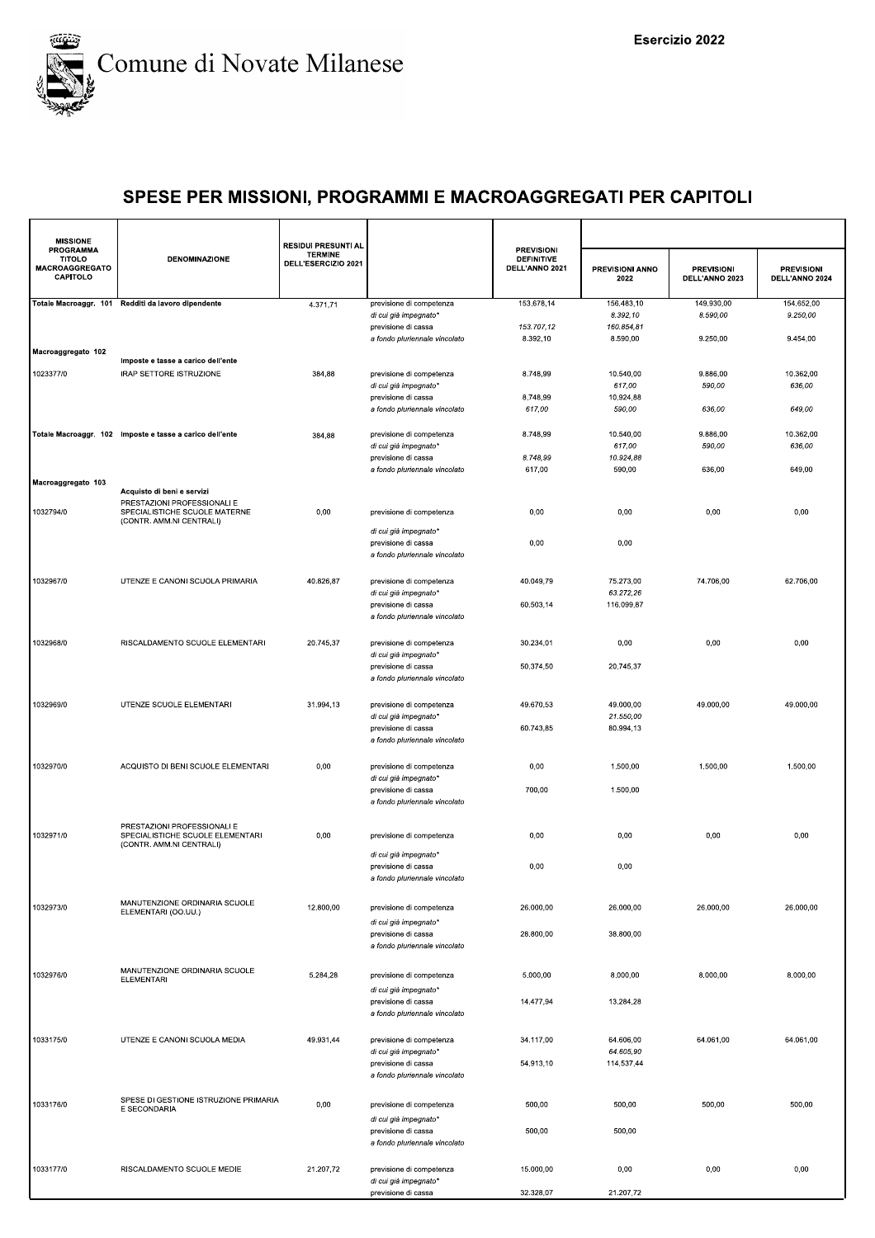

| <b>MISSIONE</b>                                          |                                                                 | <b>RESIDUI PRESUNTI AL</b>            |                                                      |                                                          |                                |                                     |                                     |
|----------------------------------------------------------|-----------------------------------------------------------------|---------------------------------------|------------------------------------------------------|----------------------------------------------------------|--------------------------------|-------------------------------------|-------------------------------------|
| PROGRAMMA<br><b>TITOLO</b><br>MACROAGGREGATO<br>CAPITOLO | <b>DENOMINAZIONE</b>                                            | <b>TERMINE</b><br>DELL'ESERCIZIO 2021 |                                                      | <b>PREVISIONI</b><br><b>DEFINITIVE</b><br>DELL'ANNO 2021 | <b>PREVISIONI ANNO</b><br>2022 | <b>PREVISIONI</b><br>DELL'ANNO 2023 | <b>PREVISIONI</b><br>DELL'ANNO 2024 |
|                                                          | Totale Macroaggr. 101 Redditi da lavoro dipendente              | 4.371,71                              | previsione di competenza<br>di cui già impegnato*    | 153.678,14                                               | 156.483,10<br>8.392,10         | 149.930,00<br>8.590,00              | 154.652,00<br>9.250,00              |
|                                                          |                                                                 |                                       | previsione di cassa                                  | 153.707,12                                               | 160.854,81                     |                                     |                                     |
|                                                          |                                                                 |                                       | a fondo pluriennale vincolato                        | 8.392,10                                                 | 8.590,00                       | 9.250,00                            | 9.454,00                            |
| Macroaggregato 102                                       | Imposte e tasse a carico dell'ente                              |                                       |                                                      |                                                          |                                |                                     |                                     |
| 1023377/0                                                | IRAP SETTORE ISTRUZIONE                                         | 384,88                                | previsione di competenza                             | 8.748,99                                                 | 10.540,00                      | 9.886,00                            | 10.362,00                           |
|                                                          |                                                                 |                                       | di cui già impegnato*<br>previsione di cassa         | 8.748.99                                                 | 617,00<br>10.924,88            | 590,00                              | 636,00                              |
|                                                          |                                                                 |                                       | a fondo pluriennale vincolato                        | 617,00                                                   | 590,00                         | 636,00                              | 649,00                              |
|                                                          | Totale Macroaggr. 102 Imposte e tasse a carico dell'ente        |                                       | previsione di competenza                             | 8.748,99                                                 | 10.540,00                      | 9.886,00                            | 10.362,00                           |
|                                                          |                                                                 | 384,88                                | di cui già impegnato*                                |                                                          | 617,00                         | 590,00                              | 636,00                              |
|                                                          |                                                                 |                                       | previsione di cassa                                  | 8.748,99                                                 | 10.924,88                      |                                     |                                     |
| Macroaggregato 103                                       |                                                                 |                                       | a fondo pluriennale vincolato                        | 617,00                                                   | 590,00                         | 636,00                              | 649,00                              |
|                                                          | Acquisto di beni e servizi                                      |                                       |                                                      |                                                          |                                |                                     |                                     |
| 1032794/0                                                | PRESTAZIONI PROFESSIONALI E<br>SPECIALISTICHE SCUOLE MATERNE    | 0,00                                  | previsione di competenza                             | 0,00                                                     | 0,00                           | 0,00                                | 0,00                                |
|                                                          | (CONTR. AMM.NI CENTRALI)                                        |                                       | di cui già impegnato*                                |                                                          |                                |                                     |                                     |
|                                                          |                                                                 |                                       | previsione di cassa                                  | 0,00                                                     | 0,00                           |                                     |                                     |
|                                                          |                                                                 |                                       | a fondo pluriennale vincolato                        |                                                          |                                |                                     |                                     |
| 1032967/0                                                | UTENZE E CANONI SCUOLA PRIMARIA                                 | 40.826,87                             | previsione di competenza                             | 40.049,79                                                | 75.273,00                      | 74.706,00                           | 62.706,00                           |
|                                                          |                                                                 |                                       | di cui già impegnato*                                |                                                          | 63.272,26                      |                                     |                                     |
|                                                          |                                                                 |                                       | previsione di cassa<br>a fondo pluriennale vincolato | 60.503,14                                                | 116.099,87                     |                                     |                                     |
|                                                          |                                                                 |                                       |                                                      |                                                          |                                |                                     |                                     |
| 1032968/0                                                | RISCALDAMENTO SCUOLE ELEMENTARI                                 | 20.745,37                             | previsione di competenza                             | 30.234,01                                                | 0,00                           | 0,00                                | 0,00                                |
|                                                          |                                                                 |                                       | di cui già impegnato*<br>previsione di cassa         | 50.374,50                                                | 20.745,37                      |                                     |                                     |
|                                                          |                                                                 |                                       | a fondo pluriennale vincolato                        |                                                          |                                |                                     |                                     |
|                                                          |                                                                 |                                       |                                                      |                                                          |                                |                                     |                                     |
| 1032969/0                                                | UTENZE SCUOLE ELEMENTARI                                        | 31.994,13                             | previsione di competenza<br>di cui già impegnato*    | 49.670,53                                                | 49.000,00<br>21.550,00         | 49.000,00                           | 49.000,00                           |
|                                                          |                                                                 |                                       | previsione di cassa                                  | 60.743,85                                                | 80.994,13                      |                                     |                                     |
|                                                          |                                                                 |                                       | a fondo pluriennale vincolato                        |                                                          |                                |                                     |                                     |
| 1032970/0                                                | ACQUISTO DI BENI SCUOLE ELEMENTARI                              | 0,00                                  | previsione di competenza                             | 0,00                                                     | 1.500,00                       | 1.500,00                            | 1.500,00                            |
|                                                          |                                                                 |                                       | di cui già impegnato*                                |                                                          |                                |                                     |                                     |
|                                                          |                                                                 |                                       | previsione di cassa<br>a fondo pluriennale vincolato | 700,00                                                   | 1.500,00                       |                                     |                                     |
|                                                          |                                                                 |                                       |                                                      |                                                          |                                |                                     |                                     |
| 1032971/0                                                | PRESTAZIONI PROFESSIONALI E<br>SPECIALISTICHE SCUOLE ELEMENTARI | 0,00                                  | previsione di competenza                             | 0,00                                                     | 0,00                           | 0,00                                | 0,00                                |
|                                                          | (CONTR. AMM.NI CENTRALI)                                        |                                       | di cui già impegnato*                                |                                                          |                                |                                     |                                     |
|                                                          |                                                                 |                                       | previsione di cassa                                  | 0,00                                                     | 0,00                           |                                     |                                     |
|                                                          |                                                                 |                                       | a fondo pluriennale vincolato                        |                                                          |                                |                                     |                                     |
|                                                          | MANUTENZIONE ORDINARIA SCUOLE                                   |                                       |                                                      |                                                          |                                |                                     |                                     |
| 1032973/0                                                | ELEMENTARI (OO.UU.)                                             | 12.800,00                             | previsione di competenza<br>di cui già impegnato*    | 26.000,00                                                | 26.000,00                      | 26.000,00                           | 26.000,00                           |
|                                                          |                                                                 |                                       | previsione di cassa                                  | 28.800,00                                                | 38.800,00                      |                                     |                                     |
|                                                          |                                                                 |                                       | a fondo pluriennale vincolato                        |                                                          |                                |                                     |                                     |
|                                                          | MANUTENZIONE ORDINARIA SCUOLE                                   |                                       |                                                      |                                                          |                                |                                     |                                     |
| 1032976/0                                                | <b>ELEMENTARI</b>                                               | 5.284,28                              | previsione di competenza<br>di cui già impegnato*    | 5.000,00                                                 | 8.000,00                       | 8.000,00                            | 8.000.00                            |
|                                                          |                                                                 |                                       | previsione di cassa                                  | 14.477,94                                                | 13.284,28                      |                                     |                                     |
|                                                          |                                                                 |                                       | a fondo pluriennale vincolato                        |                                                          |                                |                                     |                                     |
| 1033175/0                                                | UTENZE E CANONI SCUOLA MEDIA                                    | 49.931,44                             | previsione di competenza                             | 34.117,00                                                | 64.606,00                      | 64.061,00                           | 64.061,00                           |
|                                                          |                                                                 |                                       | di cui già impegnato*                                |                                                          | 64.605,90                      |                                     |                                     |
|                                                          |                                                                 |                                       | previsione di cassa<br>a fondo pluriennale vincolato | 54.913,10                                                | 114.537,44                     |                                     |                                     |
|                                                          |                                                                 |                                       |                                                      |                                                          |                                |                                     |                                     |
| 1033176/0                                                | SPESE DI GESTIONE ISTRUZIONE PRIMARIA<br>E SECONDARIA           | 0,00                                  | previsione di competenza                             | 500,00                                                   | 500,00                         | 500,00                              | 500,00                              |
|                                                          |                                                                 |                                       | di cui già impegnato*                                |                                                          |                                |                                     |                                     |
|                                                          |                                                                 |                                       | previsione di cassa<br>a fondo pluriennale vincolato | 500,00                                                   | 500,00                         |                                     |                                     |
|                                                          |                                                                 |                                       |                                                      |                                                          |                                |                                     |                                     |
| 1033177/0                                                | RISCALDAMENTO SCUOLE MEDIE                                      | 21.207,72                             | previsione di competenza                             | 15.000,00                                                | 0,00                           | 0,00                                | 0,00                                |
|                                                          |                                                                 |                                       | di cui già impegnato*<br>previsione di cassa         | 32.328,07                                                | 21.207,72                      |                                     |                                     |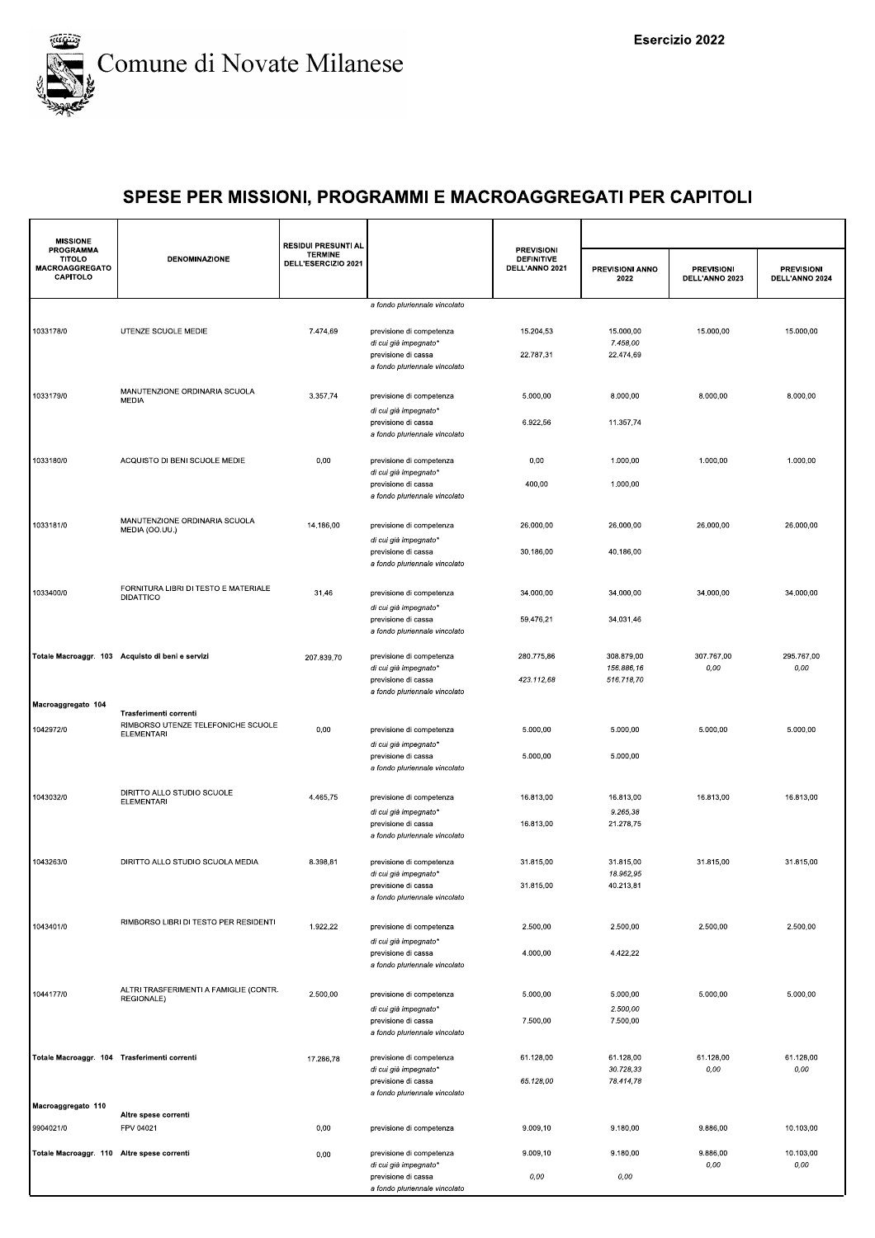

| <b>MISSIONE</b><br>PROGRAMMA                 |                                                          | <b>RESIDUI PRESUNTI AL</b>            |                                                                               |                                                          |                                |                                     |                                     |
|----------------------------------------------|----------------------------------------------------------|---------------------------------------|-------------------------------------------------------------------------------|----------------------------------------------------------|--------------------------------|-------------------------------------|-------------------------------------|
| <b>TITOLO</b><br>MACROAGGREGATO<br>CAPITOLO  | <b>DENOMINAZIONE</b>                                     | <b>TERMINE</b><br>DELL'ESERCIZIO 2021 |                                                                               | <b>PREVISIONI</b><br><b>DEFINITIVE</b><br>DELL'ANNO 2021 | <b>PREVISIONI ANNO</b><br>2022 | <b>PREVISIONI</b><br>DELL'ANNO 2023 | <b>PREVISIONI</b><br>DELL'ANNO 2024 |
|                                              |                                                          |                                       | a fondo pluriennale vincolato                                                 |                                                          |                                |                                     |                                     |
| 1033178/0                                    | UTENZE SCUOLE MEDIE                                      | 7.474,69                              | previsione di competenza<br>di cui già impegnato*                             | 15.204,53                                                | 15.000,00<br>7.458,00          | 15.000,00                           | 15.000,00                           |
|                                              |                                                          |                                       | previsione di cassa<br>a fondo pluriennale vincolato                          | 22.787,31                                                | 22.474,69                      |                                     |                                     |
| 1033179/0                                    | MANUTENZIONE ORDINARIA SCUOLA<br>MEDIA                   | 3.357,74                              | previsione di competenza                                                      | 5.000,00                                                 | 8.000,00                       | 8.000,00                            | 8.000,00                            |
|                                              |                                                          |                                       | di cui già impegnato*<br>previsione di cassa<br>a fondo pluriennale vincolato | 6.922,56                                                 | 11.357,74                      |                                     |                                     |
| 1033180/0                                    | ACQUISTO DI BENI SCUOLE MEDIE                            | 0,00                                  | previsione di competenza                                                      | 0,00                                                     | 1.000,00                       | 1.000,00                            | 1.000,00                            |
|                                              |                                                          |                                       | di cui già impegnato*<br>previsione di cassa<br>a fondo pluriennale vincolato | 400,00                                                   | 1.000,00                       |                                     |                                     |
|                                              | MANUTENZIONE ORDINARIA SCUOLA                            |                                       |                                                                               |                                                          |                                |                                     |                                     |
| 1033181/0                                    | MEDIA (OO.UU.)                                           | 14.186,00                             | previsione di competenza<br>di cui già impegnato*                             | 26.000,00                                                | 26.000,00                      | 26.000,00                           | 26.000,00                           |
|                                              |                                                          |                                       | previsione di cassa<br>a fondo pluriennale vincolato                          | 30.186,00                                                | 40.186,00                      |                                     |                                     |
| 1033400/0                                    | FORNITURA LIBRI DI TESTO E MATERIALE<br><b>DIDATTICO</b> | 31,46                                 | previsione di competenza                                                      | 34.000,00                                                | 34.000,00                      | 34.000,00                           | 34.000,00                           |
|                                              |                                                          |                                       | di cui già impegnato*<br>previsione di cassa<br>a fondo pluriennale vincolato | 59.476,21                                                | 34.031,46                      |                                     |                                     |
|                                              | Totale Macroaggr. 103 Acquisto di beni e servizi         | 207.839,70                            | previsione di competenza                                                      | 280.775,86                                               | 308.879,00                     | 307.767,00                          | 295.767,00                          |
|                                              |                                                          |                                       | di cui già impegnato*<br>previsione di cassa<br>a fondo pluriennale vincolato | 423.112,68                                               | 156.886,16<br>516.718,70       | 0,00                                | 0,00                                |
| Macroaggregato 104                           | Trasferimenti correnti                                   |                                       |                                                                               |                                                          |                                |                                     |                                     |
| 1042972/0                                    | RIMBORSO UTENZE TELEFONICHE SCUOLE<br><b>ELEMENTARI</b>  | 0,00                                  | previsione di competenza<br>di cui già impegnato*                             | 5.000,00                                                 | 5.000,00                       | 5.000,00                            | 5.000,00                            |
|                                              |                                                          |                                       | previsione di cassa<br>a fondo pluriennale vincolato                          | 5.000,00                                                 | 5.000,00                       |                                     |                                     |
| 1043032/0                                    | DIRITTO ALLO STUDIO SCUOLE<br><b>ELEMENTARI</b>          | 4.465,75                              | previsione di competenza                                                      | 16.813,00                                                | 16.813,00                      | 16.813,00                           | 16.813,00                           |
|                                              |                                                          |                                       | di cui già impegnato*<br>previsione di cassa                                  | 16.813,00                                                | 9.265,38<br>21.278,75          |                                     |                                     |
|                                              |                                                          |                                       | a fondo pluriennale vincolato                                                 |                                                          |                                |                                     |                                     |
| 1043263/0                                    | DIRITTO ALLO STUDIO SCUOLA MEDIA                         | 8.398,81                              | previsione di competenza                                                      | 31.815,00                                                | 31.815,00                      | 31.815.00                           | 31.815,00                           |
|                                              |                                                          |                                       | di cui già impegnato*<br>previsione di cassa                                  | 31.815,00                                                | 18.962.95<br>40.213,81         |                                     |                                     |
|                                              |                                                          |                                       | a fondo pluriennale vincolato                                                 |                                                          |                                |                                     |                                     |
| 1043401/0                                    | RIMBORSO LIBRI DI TESTO PER RESIDENTI                    | 1.922,22                              | previsione di competenza<br>di cui già impegnato*                             | 2.500,00                                                 | 2.500,00                       | 2.500,00                            | 2.500,00                            |
|                                              |                                                          |                                       | previsione di cassa<br>a fondo pluriennale vincolato                          | 4.000,00                                                 | 4.422,22                       |                                     |                                     |
| 1044177/0                                    | ALTRI TRASFERIMENTI A FAMIGLIE (CONTR.<br>REGIONALE)     | 2.500,00                              | previsione di competenza                                                      | 5.000,00                                                 | 5.000,00                       | 5.000,00                            | 5.000,00                            |
|                                              |                                                          |                                       | di cui già impegnato*<br>previsione di cassa                                  | 7.500,00                                                 | 2.500,00<br>7.500,00           |                                     |                                     |
|                                              |                                                          |                                       | a fondo pluriennale vincolato                                                 |                                                          |                                |                                     |                                     |
| Totale Macroaggr. 104 Trasferimenti correnti |                                                          | 17.286,78                             | previsione di competenza<br>di cui già impegnato*                             | 61.128,00                                                | 61.128,00<br>30.728,33         | 61.128,00<br>0,00                   | 61.128,00<br>0,00                   |
|                                              |                                                          |                                       | previsione di cassa<br>a fondo pluriennale vincolato                          | 65.128,00                                                | 78.414,78                      |                                     |                                     |
| Macroaggregato 110                           |                                                          |                                       |                                                                               |                                                          |                                |                                     |                                     |
| 9904021/0                                    | Altre spese correnti<br>FPV 04021                        | 0,00                                  | previsione di competenza                                                      | 9.009,10                                                 | 9.180,00                       | 9.886,00                            | 10.103,00                           |
| Totale Macroaggr. 110 Altre spese correnti   |                                                          | 0,00                                  | previsione di competenza                                                      | 9.009,10                                                 | 9.180,00                       | 9.886,00                            | 10.103,00                           |
|                                              |                                                          |                                       | di cui già impegnato*<br>previsione di cassa                                  | 0,00                                                     | 0,00                           | 0,00                                | 0,00                                |
|                                              |                                                          |                                       | a fondo pluriennale vincolato                                                 |                                                          |                                |                                     |                                     |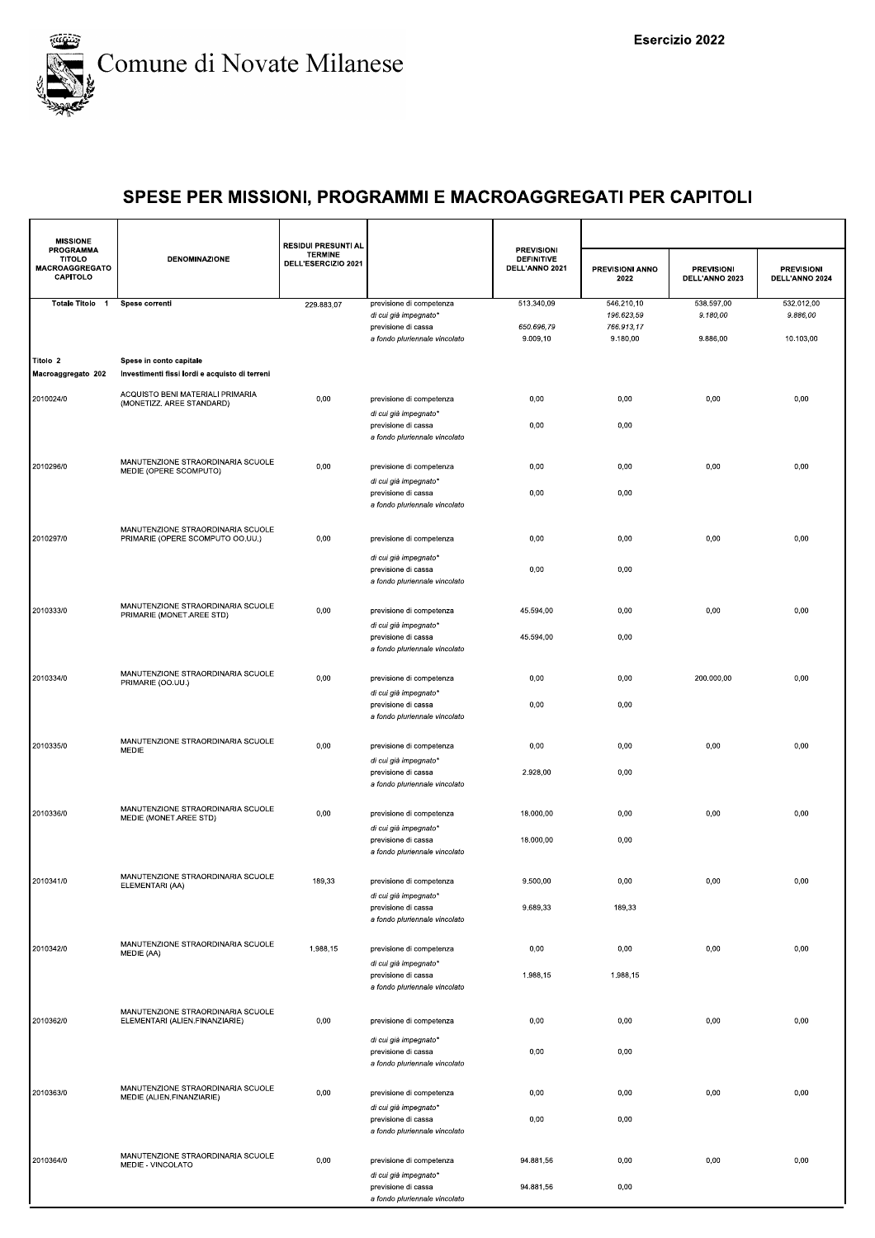

| <b>PROGRAMMA</b><br><b>TITOLO</b> | <b>DENOMINAZIONE</b>                                                      | <b>RESIDUI PRESUNTI AL</b><br><b>TERMINE</b><br>DELL'ESERCIZIO 2021 |                                                                               | <b>PREVISIONI</b><br><b>DEFINITIVE</b> |                          |                                     |                                     |
|-----------------------------------|---------------------------------------------------------------------------|---------------------------------------------------------------------|-------------------------------------------------------------------------------|----------------------------------------|--------------------------|-------------------------------------|-------------------------------------|
| MACROAGGREGATO<br>CAPITOLO        |                                                                           |                                                                     |                                                                               | DELL'ANNO 2021                         | PREVISIONI ANNO<br>2022  | <b>PREVISIONI</b><br>DELL'ANNO 2023 | <b>PREVISIONI</b><br>DELL'ANNO 2024 |
| Totale Titolo 1                   | Spese correnti                                                            | 229.883,07                                                          | previsione di competenza<br>di cui già impegnato*                             | 513.340,09                             | 546.210,10<br>196.623,59 | 538.597,00<br>9.180,00              | 532.012,00<br>9.886,00              |
|                                   |                                                                           |                                                                     | previsione di cassa                                                           | 650.696,79                             | 766.913,17               |                                     |                                     |
|                                   |                                                                           |                                                                     | a fondo pluriennale vincolato                                                 | 9.009,10                               | 9.180,00                 | 9.886,00                            | 10.103,00                           |
| Titolo 2<br>Macroaggregato 202    | Spese in conto capitale<br>Investimenti fissi lordi e acquisto di terreni |                                                                     |                                                                               |                                        |                          |                                     |                                     |
| 2010024/0                         | ACQUISTO BENI MATERIALI PRIMARIA<br>(MONETIZZ. AREE STANDARD)             | 0,00                                                                | previsione di competenza<br>di cui già impegnato*                             | 0,00                                   | 0,00                     | 0,00                                | 0,00                                |
|                                   |                                                                           |                                                                     | previsione di cassa<br>a fondo pluriennale vincolato                          | 0,00                                   | 0,00                     |                                     |                                     |
| 2010296/0                         | MANUTENZIONE STRAORDINARIA SCUOLE<br>MEDIE (OPERE SCOMPUTO)               | 0,00                                                                | previsione di competenza                                                      | 0,00                                   | 0,00                     | 0,00                                | 0,00                                |
|                                   |                                                                           |                                                                     | di cui già impegnato*<br>previsione di cassa<br>a fondo pluriennale vincolato | 0,00                                   | 0,00                     |                                     |                                     |
| 2010297/0                         | MANUTENZIONE STRAORDINARIA SCUOLE<br>PRIMARIE (OPERE SCOMPUTO OO.UU.)     | 0,00                                                                | previsione di competenza                                                      | 0,00                                   | 0,00                     | 0,00                                | 0,00                                |
|                                   |                                                                           |                                                                     | di cui già impegnato*<br>previsione di cassa<br>a fondo pluriennale vincolato | 0,00                                   | 0,00                     |                                     |                                     |
| 2010333/0                         | MANUTENZIONE STRAORDINARIA SCUOLE<br>PRIMARIE (MONET.AREE STD)            | 0,00                                                                | previsione di competenza                                                      | 45.594,00                              | 0,00                     | 0,00                                | 0,00                                |
|                                   |                                                                           |                                                                     | di cui già impegnato*<br>previsione di cassa<br>a fondo pluriennale vincolato | 45.594,00                              | 0,00                     |                                     |                                     |
| 2010334/0                         | MANUTENZIONE STRAORDINARIA SCUOLE<br>PRIMARIE (OO.UU.)                    | 0,00                                                                | previsione di competenza<br>di cui già impegnato*                             | 0,00                                   | 0,00                     | 200.000,00                          | 0,00                                |
|                                   |                                                                           |                                                                     | previsione di cassa<br>a fondo pluriennale vincolato                          | 0,00                                   | 0,00                     |                                     |                                     |
| 2010335/0                         | MANUTENZIONE STRAORDINARIA SCUOLE<br>MEDIE                                | 0,00                                                                | previsione di competenza<br>di cui già impegnato*                             | 0,00                                   | 0,00                     | 0,00                                | 0,00                                |
|                                   |                                                                           |                                                                     | previsione di cassa<br>a fondo pluriennale vincolato                          | 2.928,00                               | 0,00                     |                                     |                                     |
| 2010336/0                         | MANUTENZIONE STRAORDINARIA SCUOLE<br>MEDIE (MONET.AREE STD)               | 0,00                                                                | previsione di competenza<br>di cui già impegnato*                             | 18.000,00                              | 0,00                     | 0,00                                | 0,00                                |
|                                   |                                                                           |                                                                     | previsione di cassa<br>a fondo pluriennale vincolato                          | 18.000,00                              | 0,00                     |                                     |                                     |
| 2010341/0                         | MANUTENZIONE STRAORDINARIA SCUOLE<br>ELEMENTARI (AA)                      | 189,33                                                              | previsione di competenza<br>di cui già impegnato*                             | 9.500,00                               | 0,00                     | 0,00                                | 0,00                                |
|                                   |                                                                           |                                                                     | previsione di cassa<br>a fondo pluriennale vincolato                          | 9.689,33                               | 189,33                   |                                     |                                     |
| 2010342/0                         | MANUTENZIONE STRAORDINARIA SCUOLE<br>MEDIE (AA)                           | 1.988,15                                                            | previsione di competenza                                                      | 0,00                                   | 0,00                     | 0,00                                | 0,00                                |
|                                   |                                                                           |                                                                     | di cui già impegnato*<br>previsione di cassa<br>a fondo pluriennale vincolato | 1.988,15                               | 1.988,15                 |                                     |                                     |
| 2010362/0                         | MANUTENZIONE STRAORDINARIA SCUOLE<br>ELEMENTARI (ALIEN.FINANZIARIE)       | 0,00                                                                | previsione di competenza                                                      | 0,00                                   | 0,00                     | 0,00                                | 0,00                                |
|                                   |                                                                           |                                                                     | di cui già impegnato*<br>previsione di cassa<br>a fondo pluriennale vincolato | 0,00                                   | 0,00                     |                                     |                                     |
| 2010363/0                         | MANUTENZIONE STRAORDINARIA SCUOLE<br>MEDIE (ALIEN.FINANZIARIE)            | 0,00                                                                | previsione di competenza<br>di cui già impegnato*                             | 0,00                                   | 0,00                     | 0,00                                | 0,00                                |
|                                   |                                                                           |                                                                     | previsione di cassa<br>a fondo pluriennale vincolato                          | 0,00                                   | 0,00                     |                                     |                                     |
| 2010364/0                         | MANUTENZIONE STRAORDINARIA SCUOLE<br>MEDIE - VINCOLATO                    | 0,00                                                                | previsione di competenza<br>di cui già impegnato*                             | 94.881,56                              | 0,00                     | 0,00                                | 0,00                                |
|                                   |                                                                           |                                                                     | previsione di cassa<br>a fondo pluriennale vincolato                          | 94.881,56                              | 0,00                     |                                     |                                     |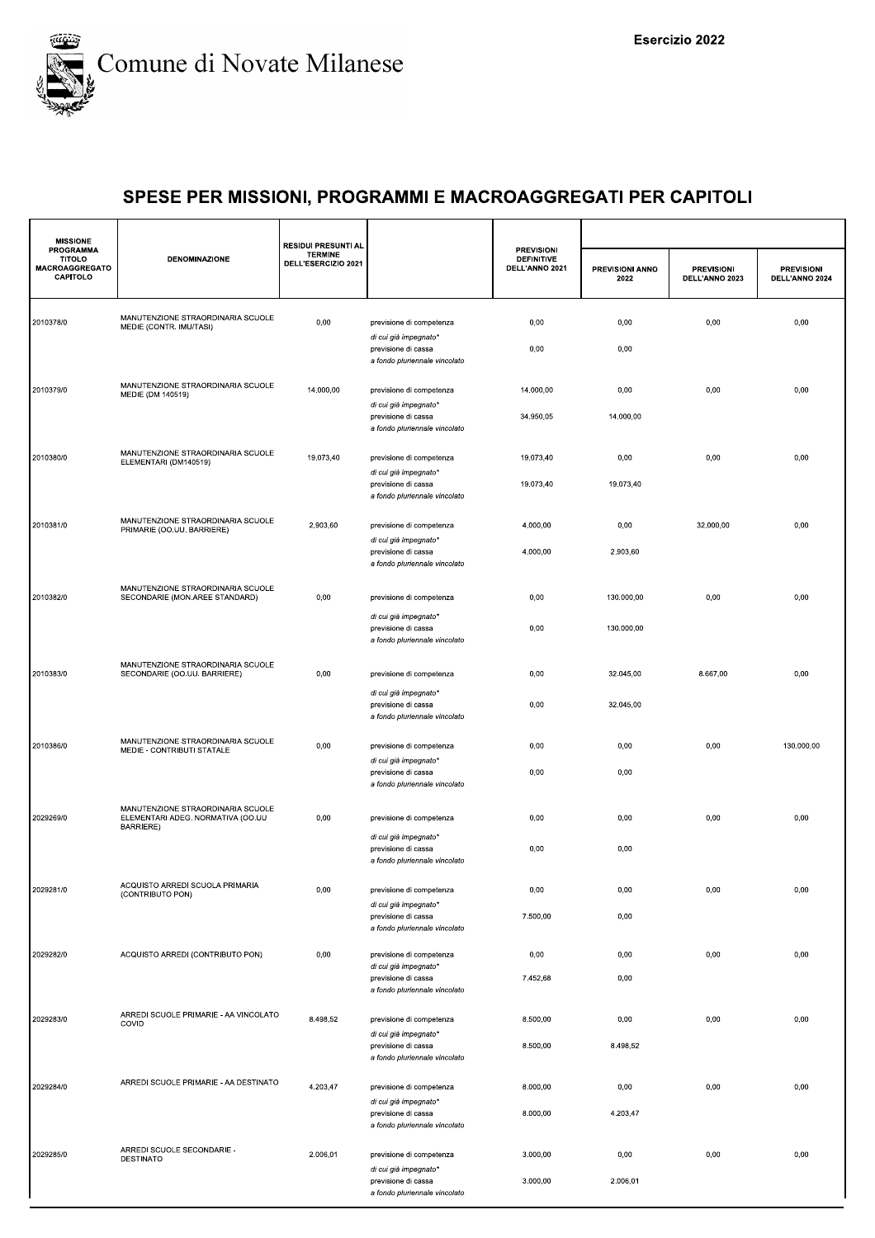

| <b>MISSIONE</b><br><b>PROGRAMMA</b>         |                                                                                            | <b>RESIDUI PRESUNTI AL</b><br><b>TERMINE</b> |                                                                               | <b>PREVISIONI</b>                   |                         |                                     |                                     |
|---------------------------------------------|--------------------------------------------------------------------------------------------|----------------------------------------------|-------------------------------------------------------------------------------|-------------------------------------|-------------------------|-------------------------------------|-------------------------------------|
| <b>TITOLO</b><br>MACROAGGREGATO<br>CAPITOLO | <b>DENOMINAZIONE</b>                                                                       | DELL'ESERCIZIO 2021                          |                                                                               | <b>DEFINITIVE</b><br>DELL'ANNO 2021 | PREVISIONI ANNO<br>2022 | <b>PREVISIONI</b><br>DELL'ANNO 2023 | <b>PREVISIONI</b><br>DELL'ANNO 2024 |
| 2010378/0                                   | MANUTENZIONE STRAORDINARIA SCUOLE<br>MEDIE (CONTR. IMU/TASI)                               | 0,00                                         | previsione di competenza<br>di cui già impegnato*                             | 0,00                                | 0,00                    | 0,00                                | 0,00                                |
|                                             |                                                                                            |                                              | previsione di cassa<br>a fondo pluriennale vincolato                          | 0,00                                | 0,00                    |                                     |                                     |
| 2010379/0                                   | MANUTENZIONE STRAORDINARIA SCUOLE<br>MEDIE (DM 140519)                                     | 14.000,00                                    | previsione di competenza<br>di cui già impegnato*                             | 14.000,00                           | 0,00                    | 0,00                                | 0,00                                |
|                                             |                                                                                            |                                              | previsione di cassa<br>a fondo pluriennale vincolato                          | 34.950,05                           | 14.000,00               |                                     |                                     |
| 2010380/0                                   | MANUTENZIONE STRAORDINARIA SCUOLE<br>ELEMENTARI (DM140519)                                 | 19.073,40                                    | previsione di competenza<br>di cui già impegnato*                             | 19.073,40                           | 0,00                    | 0,00                                | 0,00                                |
|                                             |                                                                                            |                                              | previsione di cassa<br>a fondo pluriennale vincolato                          | 19.073,40                           | 19.073,40               |                                     |                                     |
| 2010381/0                                   | MANUTENZIONE STRAORDINARIA SCUOLE<br>PRIMARIE (OO.UU. BARRIERE)                            | 2.903,60                                     | previsione di competenza<br>di cui già impegnato*                             | 4.000,00                            | 0,00                    | 32.000,00                           | 0,00                                |
|                                             |                                                                                            |                                              | previsione di cassa<br>a fondo pluriennale vincolato                          | 4.000,00                            | 2.903,60                |                                     |                                     |
| 2010382/0                                   | MANUTENZIONE STRAORDINARIA SCUOLE<br>SECONDARIE (MON.AREE STANDARD)                        | 0,00                                         | previsione di competenza                                                      | 0,00                                | 130.000,00              | 0,00                                | 0,00                                |
|                                             |                                                                                            |                                              | di cui già impegnato*<br>previsione di cassa<br>a fondo pluriennale vincolato | 0,00                                | 130.000,00              |                                     |                                     |
| 2010383/0                                   | MANUTENZIONE STRAORDINARIA SCUOLE<br>SECONDARIE (OO.UU. BARRIERE)                          | 0,00                                         | previsione di competenza                                                      | 0,00                                | 32.045,00               | 8.667,00                            | 0,00                                |
|                                             |                                                                                            |                                              | di cui già impegnato*<br>previsione di cassa<br>a fondo pluriennale vincolato | 0,00                                | 32.045,00               |                                     |                                     |
| 2010386/0                                   | MANUTENZIONE STRAORDINARIA SCUOLE<br>MEDIE - CONTRIBUTI STATALE                            | 0,00                                         | previsione di competenza<br>di cui già impegnato*                             | 0,00                                | 0,00                    | 0,00                                | 130.000,00                          |
|                                             |                                                                                            |                                              | previsione di cassa<br>a fondo pluriennale vincolato                          | 0,00                                | 0,00                    |                                     |                                     |
| 2029269/0                                   | MANUTENZIONE STRAORDINARIA SCUOLE<br>ELEMENTARI ADEG. NORMATIVA (OO.UU<br><b>BARRIERE)</b> | 0,00                                         | previsione di competenza                                                      | 0,00                                | 0,00                    | 0,00                                | 0,00                                |
|                                             |                                                                                            |                                              | di cui già impegnato*<br>previsione di cassa<br>a fondo pluriennale vincolato | 0,00                                | 0,00                    |                                     |                                     |
| 2029281/0                                   | ACQUISTO ARREDI SCUOLA PRIMARIA<br>(CONTRIBUTO PON)                                        | 0,00                                         | previsione di competenza<br>di cui già impegnato*                             | 0,00                                | 0,00                    | 0,00                                | 0,00                                |
|                                             |                                                                                            |                                              | previsione di cassa<br>a fondo pluriennale vincolato                          | 7.500,00                            | 0,00                    |                                     |                                     |
| 2029282/0                                   | ACQUISTO ARREDI (CONTRIBUTO PON)                                                           | 0,00                                         | previsione di competenza<br>di cui già impegnato*                             | 0,00                                | 0,00                    | 0,00                                | 0,00                                |
|                                             |                                                                                            |                                              | previsione di cassa<br>a fondo pluriennale vincolato                          | 7.452,68                            | 0,00                    |                                     |                                     |
| 2029283/0                                   | ARREDI SCUOLE PRIMARIE - AA VINCOLATO<br>COVID                                             | 8.498,52                                     | previsione di competenza<br>di cui già impegnato*                             | 8.500,00                            | 0,00                    | 0,00                                | 0,00                                |
|                                             |                                                                                            |                                              | previsione di cassa<br>a fondo pluriennale vincolato                          | 8.500,00                            | 8.498,52                |                                     |                                     |
| 2029284/0                                   | ARREDI SCUOLE PRIMARIE - AA DESTINATO                                                      | 4.203,47                                     | previsione di competenza<br>di cui già impegnato*                             | 8.000,00                            | 0,00                    | 0,00                                | 0,00                                |
|                                             |                                                                                            |                                              | previsione di cassa<br>a fondo pluriennale vincolato                          | 8.000,00                            | 4.203,47                |                                     |                                     |
| 2029285/0                                   | ARREDI SCUOLE SECONDARIE -<br><b>DESTINATO</b>                                             | 2.006,01                                     | previsione di competenza<br>di cui già impegnato*                             | 3.000,00<br>3.000,00                | 0,00<br>2.006,01        | 0,00                                | 0,00                                |
|                                             |                                                                                            |                                              | previsione di cassa<br>a fondo pluriennale vincolato                          |                                     |                         |                                     |                                     |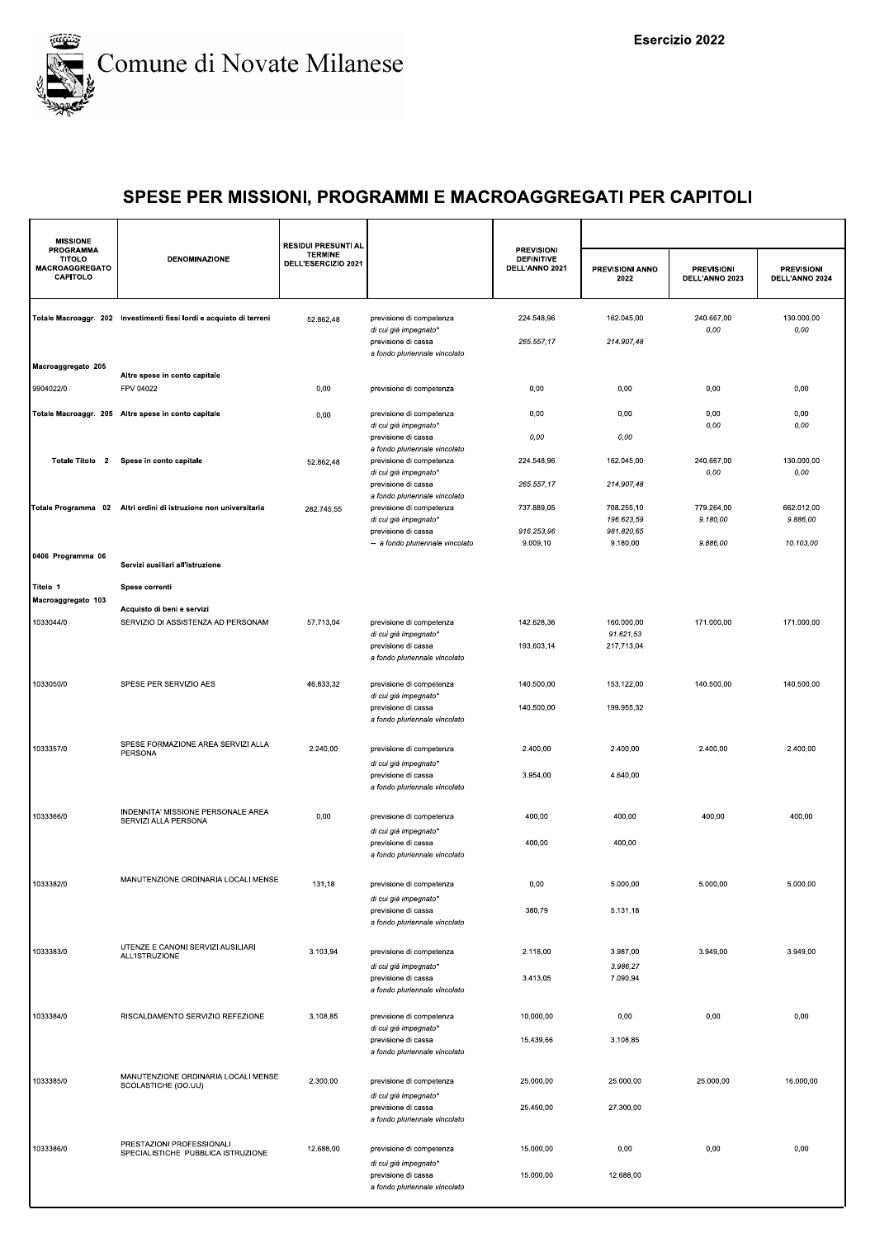

| <b>MISSIONE</b>                                                        |                                                                      | <b>RESIDUI PRESUNTI AL</b>            |                                                                                                                                  |                                                          |                                                      |                                     |                                     |  |
|------------------------------------------------------------------------|----------------------------------------------------------------------|---------------------------------------|----------------------------------------------------------------------------------------------------------------------------------|----------------------------------------------------------|------------------------------------------------------|-------------------------------------|-------------------------------------|--|
| <b>PROGRAMMA</b><br><b>TITOLO</b><br><b>MACROAGGREGATO</b><br>CAPITOLO | <b>DENOMINAZIONE</b>                                                 | <b>TERMINE</b><br>DELL'ESERCIZIO 2021 |                                                                                                                                  | <b>PREVISIONI</b><br><b>DEFINITIVE</b><br>DELL'ANNO 2021 | PREVISIONI ANNO<br>2022                              | <b>PREVISIONI</b><br>DELL'ANNO 2023 | <b>PREVISIONI</b><br>DELL'ANNO 2024 |  |
|                                                                        | Totale Macroaggr. 202 Investimenti fissi lordi e acquisto di terreni | 52.862,48                             | previsione di competenza<br>di cui già impegnato*<br>previsione di cassa<br>a fondo pluriennale vincolato                        | 224.548,96<br>265.557,17                                 | 162.045,00<br>214.907,48                             | 240.667.00<br>0,00                  | 130.000,00<br>0,00                  |  |
| Macroaggregato 205<br>9904022/0                                        | Altre spese in conto capitale<br>FPV 04022                           | 0,00                                  | previsione di competenza                                                                                                         | 0,00                                                     | 0,00                                                 | 0,00                                | 0,00                                |  |
|                                                                        | Totale Macroaggr. 205 Altre spese in conto capitale                  | 0,00                                  | previsione di competenza<br>di cui già impegnato*                                                                                | 0,00                                                     | 0,00                                                 | 0,00<br>0,00                        | 0,00<br>0,00                        |  |
|                                                                        |                                                                      |                                       | previsione di cassa<br>a fondo pluriennale vincolato                                                                             | 0,00                                                     | 0,00                                                 |                                     |                                     |  |
|                                                                        | Totale Titolo 2 Spese in conto capitale                              | 52.862,48                             | previsione di competenza<br>di cui già impegnato*                                                                                | 224.548,96                                               | 162.045,00                                           | 240.667,00<br>0,00                  | 130.000,00<br>0,00                  |  |
| Totale Programma 02                                                    | Altri ordini di istruzione non universitaria                         | 282.745,55                            | previsione di cassa<br>a fondo pluriennale vincolato<br>previsione di competenza<br>di cui già impegnato*<br>previsione di cassa | 265.557,17<br>737.889,05<br>916.253,96                   | 214.907,48<br>708.255,10<br>196.623,59<br>981.820,65 | 779.264,00<br>9.180,00              | 662.012,00<br>9.886,00              |  |
| 0406 Programma 06                                                      | Servizi ausiliari all'istruzione                                     |                                       | -- a fondo pluriennale vincolato                                                                                                 | 9.009.10                                                 | 9.180.00                                             | 9.886,00                            | 10.103,00                           |  |
| Titolo 1                                                               | Spese correnti                                                       |                                       |                                                                                                                                  |                                                          |                                                      |                                     |                                     |  |
| Macroaggregato 103<br>1033044/0                                        | Acquisto di beni e servizi<br>SERVIZIO DI ASSISTENZA AD PERSONAM     | 57.713.04                             | previsione di competenza<br>di cui già impegnato*<br>previsione di cassa<br>a fondo pluriennale vincolato                        | 142.628,36<br>193.603,14                                 | 160.000,00<br>91.621,53<br>217.713,04                | 171.000,00                          | 171.000,00                          |  |
| 1033050/0                                                              | SPESE PER SERVIZIO AES                                               | 46.833,32                             | previsione di competenza                                                                                                         | 140.500,00                                               | 153.122,00                                           | 140.500,00                          | 140.500,00                          |  |
|                                                                        |                                                                      |                                       | di cui già impegnato*<br>previsione di cassa<br>a fondo pluriennale vincolato                                                    | 140.500,00                                               | 199.955,32                                           |                                     |                                     |  |
| 1033357/0                                                              | SPESE FORMAZIONE AREA SERVIZI ALLA<br>PERSONA                        | 2.240,00                              | previsione di competenza<br>di cui già impegnato*<br>previsione di cassa                                                         | 2.400,00<br>3.954,00                                     | 2.400,00<br>4.640,00                                 | 2.400,00                            | 2.400,00                            |  |
|                                                                        |                                                                      |                                       | a fondo pluriennale vincolato                                                                                                    |                                                          |                                                      |                                     |                                     |  |
| 1033366/0                                                              | INDENNITA' MISSIONE PERSONALE AREA<br>SERVIZI ALLA PERSONA           | 0,00                                  | previsione di competenza<br>di cui già impegnato*<br>previsione di cassa                                                         | 400,00<br>400,00                                         | 400,00<br>400,00                                     | 400,00                              | 400,00                              |  |
|                                                                        |                                                                      |                                       | a fondo pluriennale vincolato                                                                                                    |                                                          |                                                      |                                     |                                     |  |
| 1033382/0                                                              | MANUTENZIONE ORDINARIA LOCALI MENSE                                  | 131,18                                | previsione di competenza<br>di cui già impegnato*                                                                                | 0,00                                                     | 5.000,00                                             | 5.000,00                            | 5.000,00                            |  |
|                                                                        |                                                                      |                                       | previsione di cassa<br>a fondo pluriennale vincolato                                                                             | 380,79                                                   | 5.131,18                                             |                                     |                                     |  |
| 1033383/0                                                              | UTENZE E CANONI SERVIZI AUSILIARI<br>ALL'ISTRUZIONE                  | 3.103,94                              | previsione di competenza<br>di cui già impegnato*<br>previsione di cassa                                                         | 2.118,00<br>3.413,05                                     | 3.987,00<br>3.986,27<br>7.090,94                     | 3.949,00                            | 3.949,00                            |  |
|                                                                        |                                                                      |                                       | a fondo pluriennale vincolato                                                                                                    |                                                          |                                                      |                                     |                                     |  |
| 1033384/0                                                              | RISCALDAMENTO SERVIZIO REFEZIONE                                     | 3.108,85                              | previsione di competenza<br>di cui già impegnato*                                                                                | 10.000,00                                                | 0,00                                                 | 0,00                                | 0,00                                |  |
|                                                                        |                                                                      |                                       | previsione di cassa<br>a fondo pluriennale vincolato                                                                             | 15.439,66                                                | 3.108,85                                             |                                     |                                     |  |
| 1033385/0                                                              | MANUTENZIONE ORDINARIA LOCALI MENSE<br>SCOLASTICHE (OO.UU)           | 2.300,00                              | previsione di competenza<br>di cui già impegnato*                                                                                | 25.000,00                                                | 25.000,00                                            | 25.000,00                           | 16.000,00                           |  |
|                                                                        |                                                                      |                                       | previsione di cassa<br>a fondo pluriennale vincolato                                                                             | 25.450,00                                                | 27.300,00                                            |                                     |                                     |  |
| 1033386/0                                                              | PRESTAZIONI PROFESSIONALI<br>SPECIALISTICHE PUBBLICA ISTRUZIONE      | 12.688,00                             | previsione di competenza<br>di cui già impegnato*                                                                                | 15.000,00                                                | 0,00                                                 | 0,00                                | 0,00                                |  |
|                                                                        |                                                                      |                                       | previsione di cassa<br>a fondo pluriennale vincolato                                                                             | 15.000,00                                                | 12.688,00                                            |                                     |                                     |  |
|                                                                        |                                                                      |                                       |                                                                                                                                  |                                                          |                                                      |                                     |                                     |  |
|                                                                        |                                                                      |                                       |                                                                                                                                  |                                                          |                                                      |                                     |                                     |  |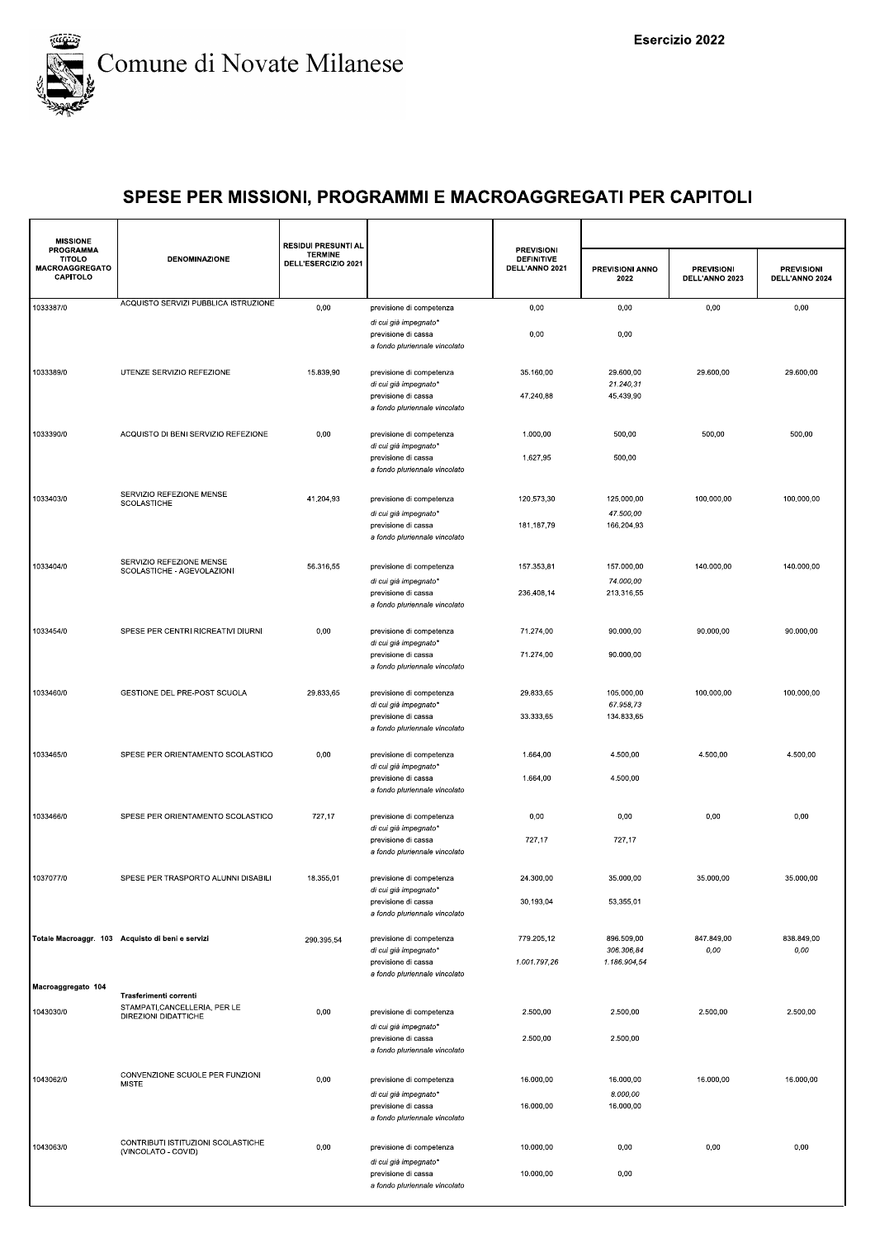

| <b>MISSIONE</b>                                                 |                                                           | <b>RESIDUI PRESUNTI AL</b>            |                                                                               |                                                          |                                          |                                     |                                     |
|-----------------------------------------------------------------|-----------------------------------------------------------|---------------------------------------|-------------------------------------------------------------------------------|----------------------------------------------------------|------------------------------------------|-------------------------------------|-------------------------------------|
| <b>PROGRAMMA</b><br><b>TITOLO</b><br>MACROAGGREGATO<br>CAPITOLO | <b>DENOMINAZIONE</b>                                      | <b>TERMINE</b><br>DELL'ESERCIZIO 2021 |                                                                               | <b>PREVISIONI</b><br><b>DEFINITIVE</b><br>DELL'ANNO 2021 | <b>PREVISIONI ANNO</b><br>2022           | <b>PREVISIONI</b><br>DELL'ANNO 2023 | <b>PREVISIONI</b><br>DELL'ANNO 2024 |
| 1033387/0                                                       | ACQUISTO SERVIZI PUBBLICA ISTRUZIONE                      | 0,00                                  | previsione di competenza                                                      | 0,00                                                     | 0,00                                     | 0,00                                | 0,00                                |
|                                                                 |                                                           |                                       | di cui già impegnato*<br>previsione di cassa<br>a fondo pluriennale vincolato | 0,00                                                     | 0,00                                     |                                     |                                     |
| 1033389/0                                                       | UTENZE SERVIZIO REFEZIONE                                 | 15.839,90                             | previsione di competenza<br>di cui già impegnato*<br>previsione di cassa      | 35.160,00<br>47.240,88                                   | 29.600,00<br>21.240,31<br>45.439,90      | 29.600,00                           | 29.600,00                           |
|                                                                 |                                                           |                                       | a fondo pluriennale vincolato                                                 |                                                          |                                          |                                     |                                     |
| 1033390/0                                                       | ACQUISTO DI BENI SERVIZIO REFEZIONE                       | 0,00                                  | previsione di competenza<br>di cui già impegnato*<br>previsione di cassa      | 1.000,00<br>1.627,95                                     | 500,00<br>500,00                         | 500,00                              | 500,00                              |
|                                                                 |                                                           |                                       | a fondo pluriennale vincolato                                                 |                                                          |                                          |                                     |                                     |
| 1033403/0                                                       | SERVIZIO REFEZIONE MENSE<br>SCOLASTICHE                   | 41.204,93                             | previsione di competenza                                                      | 120.573,30                                               | 125.000,00                               | 100.000,00                          | 100.000,00                          |
|                                                                 |                                                           |                                       | di cui già impegnato*<br>previsione di cassa<br>a fondo pluriennale vincolato | 181.187,79                                               | 47.500,00<br>166.204,93                  |                                     |                                     |
| 1033404/0                                                       | SERVIZIO REFEZIONE MENSE<br>SCOLASTICHE - AGEVOLAZIONI    | 56.316,55                             | previsione di competenza                                                      | 157.353,81                                               | 157.000,00                               | 140.000,00                          | 140.000,00                          |
|                                                                 |                                                           |                                       | di cui già impegnato*<br>previsione di cassa<br>a fondo pluriennale vincolato | 236.408,14                                               | 74.000,00<br>213.316,55                  |                                     |                                     |
| 1033454/0                                                       | SPESE PER CENTRI RICREATIVI DIURNI                        | 0,00                                  | previsione di competenza<br>di cui già impegnato*                             | 71.274,00                                                | 90.000,00                                | 90.000,00                           | 90.000,00                           |
|                                                                 |                                                           |                                       | previsione di cassa<br>a fondo pluriennale vincolato                          | 71.274,00                                                | 90.000,00                                |                                     |                                     |
| 1033460/0                                                       | GESTIONE DEL PRE-POST SCUOLA                              | 29.833,65                             | previsione di competenza<br>di cui già impegnato*                             | 29.833,65<br>33.333,65                                   | 105.000,00<br>67.958,73<br>134.833,65    | 100.000,00                          | 100.000,00                          |
|                                                                 |                                                           |                                       | previsione di cassa<br>a fondo pluriennale vincolato                          |                                                          |                                          |                                     |                                     |
| 1033465/0                                                       | SPESE PER ORIENTAMENTO SCOLASTICO                         | 0,00                                  | previsione di competenza<br>di cui già impegnato*                             | 1.664,00                                                 | 4.500,00                                 | 4.500,00                            | 4.500,00                            |
|                                                                 |                                                           |                                       | previsione di cassa<br>a fondo pluriennale vincolato                          | 1.664,00                                                 | 4.500,00                                 |                                     |                                     |
| 1033466/0                                                       | SPESE PER ORIENTAMENTO SCOLASTICO                         | 727,17                                | previsione di competenza<br>di cui già impegnato*                             | 0,00                                                     | 0,00                                     | 0,00                                | 0,00                                |
|                                                                 |                                                           |                                       | previsione di cassa<br>a fondo pluriennale vincolato                          | 727,17                                                   | 727,17                                   |                                     |                                     |
| 1037077/0                                                       | SPESE PER TRASPORTO ALUNNI DISABILI                       | 18.355,01                             | previsione di competenza<br>di cui già impegnato*                             | 24.300,00                                                | 35.000,00                                | 35.000,00                           | 35.000,00                           |
|                                                                 |                                                           |                                       | previsione di cassa<br>a fondo pluriennale vincolato                          | 30.193,04                                                | 53.355,01                                |                                     |                                     |
|                                                                 | Totale Macroaggr. 103 Acquisto di beni e servizi          | 290.395,54                            | previsione di competenza<br>di cui già impegnato*<br>previsione di cassa      | 779.205,12<br>1.001.797,26                               | 896.509,00<br>306.306,84<br>1.186.904,54 | 847.849,00<br>0,00                  | 838.849,00<br>0,00                  |
|                                                                 |                                                           |                                       | a fondo pluriennale vincolato                                                 |                                                          |                                          |                                     |                                     |
| Macroaggregato 104                                              | Trasferimenti correnti<br>STAMPATI, CANCELLERIA, PER LE   |                                       |                                                                               |                                                          |                                          |                                     |                                     |
| 1043030/0                                                       | DIREZIONI DIDATTICHE                                      | 0,00                                  | previsione di competenza<br>di cui già impegnato*                             | 2.500,00                                                 | 2.500,00                                 | 2.500,00                            | 2.500,00                            |
|                                                                 |                                                           |                                       | previsione di cassa<br>a fondo pluriennale vincolato                          | 2.500,00                                                 | 2.500,00                                 |                                     |                                     |
| 1043062/0                                                       | CONVENZIONE SCUOLE PER FUNZIONI<br><b>MISTE</b>           | 0,00                                  | previsione di competenza                                                      | 16.000,00                                                | 16.000,00<br>8.000,00                    | 16.000,00                           | 16.000,00                           |
|                                                                 |                                                           |                                       | di cui già impegnato*<br>previsione di cassa<br>a fondo pluriennale vincolato | 16.000,00                                                | 16.000,00                                |                                     |                                     |
| 1043063/0                                                       | CONTRIBUTI ISTITUZIONI SCOLASTICHE<br>(VINCOLATO - COVID) | 0,00                                  | previsione di competenza                                                      | 10.000,00                                                | 0,00                                     | 0,00                                | 0,00                                |
|                                                                 |                                                           |                                       | di cui già impegnato*<br>previsione di cassa<br>a fondo pluriennale vincolato | 10.000,00                                                | 0,00                                     |                                     |                                     |
|                                                                 |                                                           |                                       |                                                                               |                                                          |                                          |                                     |                                     |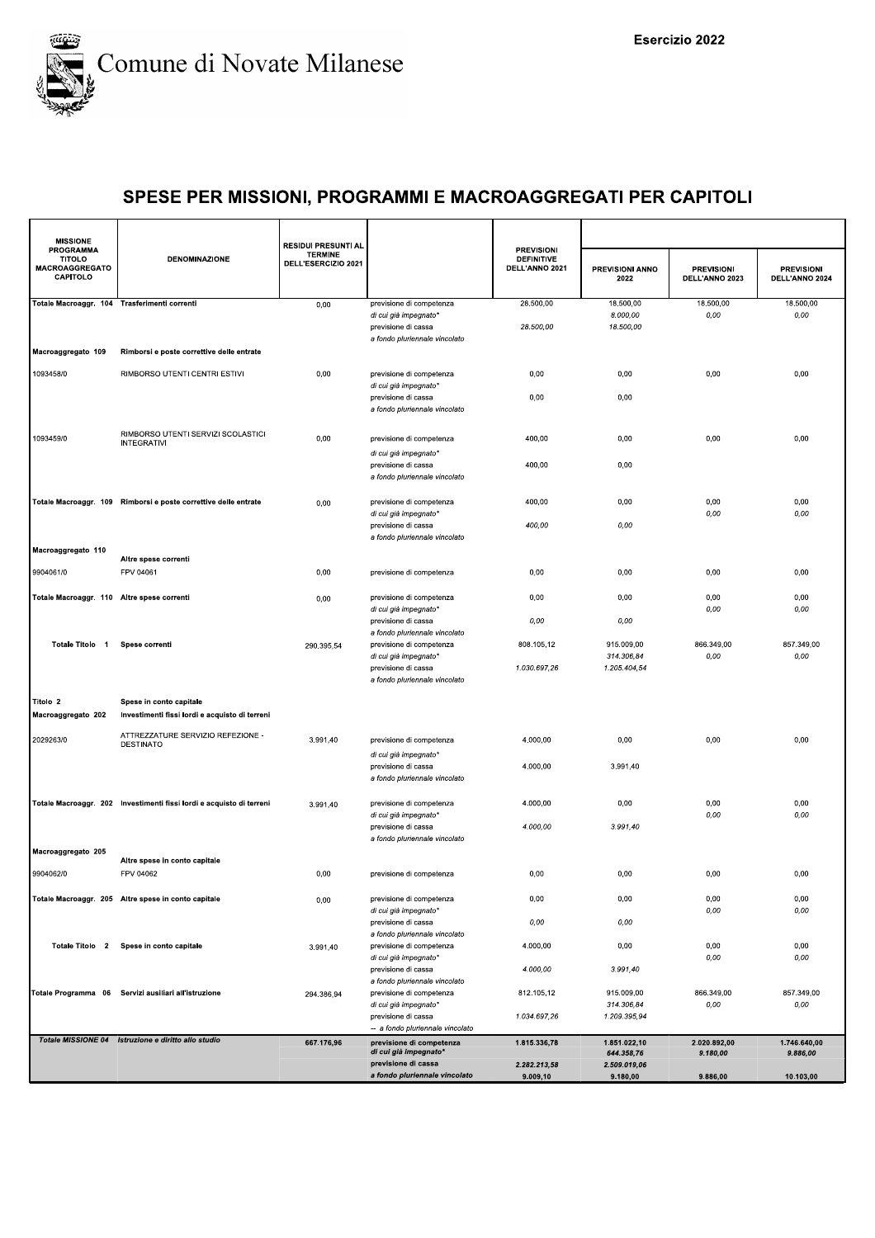

| <b>MISSIONE</b><br><b>PROGRAMMA</b>          |                                                                      | <b>RESIDUI PRESUNTI AL</b>            |                                                                                  | <b>PREVISIONI</b>                   |                                            |                                     |                                     |
|----------------------------------------------|----------------------------------------------------------------------|---------------------------------------|----------------------------------------------------------------------------------|-------------------------------------|--------------------------------------------|-------------------------------------|-------------------------------------|
| <b>TITOLO</b><br>MACROAGGREGATO<br>CAPITOLO  | <b>DENOMINAZIONE</b>                                                 | <b>TERMINE</b><br>DELL'ESERCIZIO 2021 |                                                                                  | <b>DEFINITIVE</b><br>DELL'ANNO 2021 | PREVISIONI ANNO<br>2022                    | <b>PREVISIONI</b><br>DELL'ANNO 2023 | <b>PREVISIONI</b><br>DELL'ANNO 2024 |
| Totale Macroaggr. 104 Trasferimenti correnti |                                                                      | 0,00                                  | previsione di competenza                                                         | 28.500,00                           | 18.500,00                                  | 18.500,00                           | 18.500,00                           |
|                                              |                                                                      |                                       | di cui già impegnato*<br>previsione di cassa<br>a fondo pluriennale vincolato    | 28.500,00                           | 8.000,00<br>18.500,00                      | 0,00                                | 0,00                                |
| Macroaggregato 109                           | Rimborsi e poste correttive delle entrate                            |                                       |                                                                                  |                                     |                                            |                                     |                                     |
| 1093458/0                                    | RIMBORSO UTENTI CENTRI ESTIVI                                        | 0,00                                  | previsione di competenza<br>di cui già impegnato*                                | 0,00                                | 0,00                                       | 0,00                                | 0,00                                |
|                                              |                                                                      |                                       | previsione di cassa<br>a fondo pluriennale vincolato                             | 0,00                                | 0,00                                       |                                     |                                     |
| 1093459/0                                    | RIMBORSO UTENTI SERVIZI SCOLASTICI<br><b>INTEGRATIVI</b>             | 0,00                                  | previsione di competenza<br>di cui già impegnato*                                | 400,00                              | 0,00                                       | 0,00                                | 0,00                                |
|                                              |                                                                      |                                       | previsione di cassa<br>a fondo pluriennale vincolato                             | 400,00                              | 0,00                                       |                                     |                                     |
|                                              | Totale Macroaggr. 109 Rimborsi e poste correttive delle entrate      | 0,00                                  | previsione di competenza<br>di cui già impegnato*                                | 400,00                              | 0,00                                       | 0,00<br>0,00                        | 0,00<br>0,00                        |
|                                              |                                                                      |                                       | previsione di cassa<br>a fondo pluriennale vincolato                             | 400,00                              | 0,00                                       |                                     |                                     |
| Macroaggregato 110                           | Altre spese correnti                                                 |                                       |                                                                                  |                                     |                                            |                                     |                                     |
| 9904061/0                                    | FPV 04061                                                            | 0,00                                  | previsione di competenza                                                         | 0,00                                | 0,00                                       | 0,00                                | 0,00                                |
| Totale Macroaggr. 110 Altre spese correnti   |                                                                      | 0,00                                  | previsione di competenza<br>di cui già impegnato*<br>previsione di cassa         | 0,00<br>0,00                        | 0,00<br>0,00                               | 0,00<br>0,00                        | 0,00<br>0,00                        |
| Totale Titolo 1                              | Spese correnti                                                       | 290.395,54                            | a fondo pluriennale vincolato<br>previsione di competenza                        | 808.105,12                          | 915.009,00                                 | 866.349,00                          | 857.349,00                          |
|                                              |                                                                      |                                       | di cui già impegnato*<br>previsione di cassa<br>a fondo pluriennale vincolato    | 1.030.697,26                        | 314.306,84<br>1.205.404,54                 | 0,00                                | 0,00                                |
| Titolo 2                                     | Spese in conto capitale                                              |                                       |                                                                                  |                                     |                                            |                                     |                                     |
| Macroaggregato 202                           | Investimenti fissi lordi e acquisto di terreni                       |                                       |                                                                                  |                                     |                                            |                                     |                                     |
| 2029263/0                                    | ATTREZZATURE SERVIZIO REFEZIONE -<br>DESTINATO                       | 3.991,40                              | previsione di competenza<br>di cui già impegnato*                                | 4.000,00                            | 0,00                                       | 0,00                                | 0,00                                |
|                                              |                                                                      |                                       | previsione di cassa<br>a fondo pluriennale vincolato                             | 4.000,00                            | 3.991,40                                   |                                     |                                     |
|                                              | Totale Macroaggr. 202 Investimenti fissi lordi e acquisto di terreni | 3.991,40                              | previsione di competenza<br>di cui già impegnato*                                | 4.000,00                            | 0,00                                       | 0,00<br>0,00                        | 0,00<br>0,00                        |
|                                              |                                                                      |                                       | previsione di cassa<br>a fondo pluriennale vincolato                             | 4.000,00                            | 3.991,40                                   |                                     |                                     |
| Macroaggregato 205                           | Altre spese in conto capitale                                        |                                       |                                                                                  |                                     |                                            |                                     |                                     |
| 9904062/0                                    | FPV 04062                                                            | 0,00                                  | previsione di competenza                                                         | 0,00                                | 0,00                                       | 0,00                                | 0,00                                |
|                                              | Totale Macroaggr. 205 Altre spese in conto capitale                  | 0,00                                  | previsione di competenza<br>di cui già impegnato*                                | 0,00                                | 0,00                                       | 0,00<br>0,00                        | 0,00<br>0,00                        |
|                                              | Totale Titolo 2 Spese in conto capitale                              |                                       | previsione di cassa<br>a fondo pluriennale vincolato<br>previsione di competenza | 0,00<br>4.000,00                    | 0,00<br>0,00                               | 0,00                                | 0,00                                |
|                                              |                                                                      | 3.991,40                              | di cui già impegnato*<br>previsione di cassa                                     | 4.000,00                            | 3.991,40                                   | 0,00                                | 0,00                                |
|                                              | Totale Programma 06 Servizi ausiliari all'istruzione                 | 294.386,94                            | a fondo pluriennale vincolato<br>previsione di competenza                        | 812.105,12                          | 915.009,00                                 | 866.349,00                          | 857.349.00                          |
|                                              |                                                                      |                                       | di cui già impegnato*<br>previsione di cassa                                     | 1.034.697,26                        | 314.306,84<br>1.209.395,94                 | 0,00                                | 0,00                                |
|                                              |                                                                      |                                       | -- a fondo pluriennale vincolato                                                 |                                     |                                            |                                     |                                     |
|                                              | Totale MISSIONE 04 Istruzione e diritto allo studio                  | 667.176,96                            | previsione di competenza<br>di cui già impegnato*<br>previsione di cassa         | 1.815.336,78<br>2.282.213,58        | 1.851.022,10<br>644.358,76<br>2.509.019.06 | 2.020.892,00<br>9.180,00            | 1.746.640,00<br>9.886,00            |
|                                              |                                                                      |                                       | a fondo pluriennale vincolato                                                    | 9.009,10                            | 9.180,00                                   | 9.886,00                            | 10.103,00                           |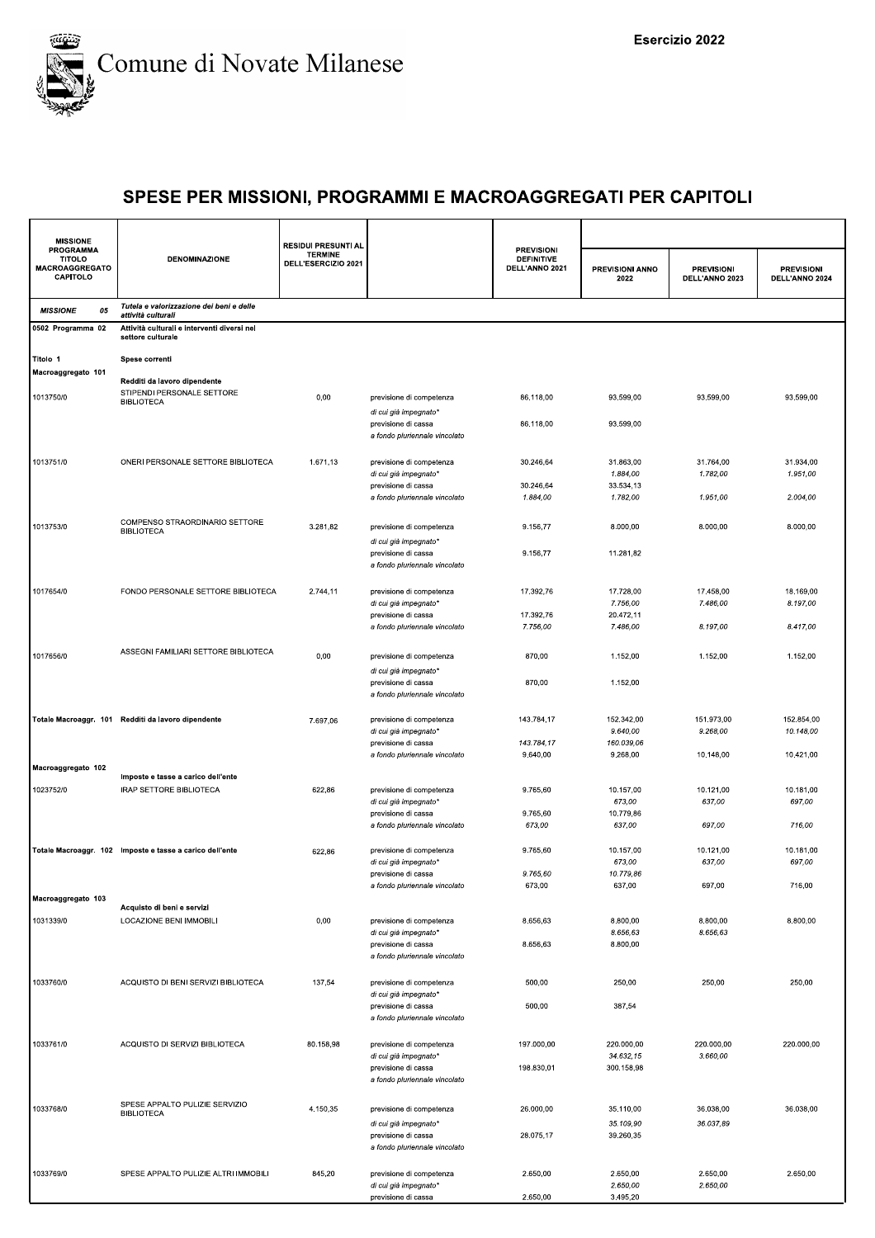

| <b>MISSIONE</b>                                                 |                                                                                 | <b>RESIDUI PRESUNTI AL</b>            |                                                                                                           |                                                          |                                       |                                     |                                     |
|-----------------------------------------------------------------|---------------------------------------------------------------------------------|---------------------------------------|-----------------------------------------------------------------------------------------------------------|----------------------------------------------------------|---------------------------------------|-------------------------------------|-------------------------------------|
| <b>PROGRAMMA</b><br><b>TITOLO</b><br>MACROAGGREGATO<br>CAPITOLO | <b>DENOMINAZIONE</b>                                                            | <b>TERMINE</b><br>DELL'ESERCIZIO 2021 |                                                                                                           | <b>PREVISIONI</b><br><b>DEFINITIVE</b><br>DELL'ANNO 2021 | <b>PREVISIONI ANNO</b><br>2022        | <b>PREVISIONI</b><br>DELL'ANNO 2023 | <b>PREVISIONI</b><br>DELL'ANNO 2024 |
| 05<br><b>MISSIONE</b>                                           | Tutela e valorizzazione dei beni e delle<br>attività culturali                  |                                       |                                                                                                           |                                                          |                                       |                                     |                                     |
| 0502 Programma 02                                               | Attività culturali e interventi diversi nel<br>settore culturale                |                                       |                                                                                                           |                                                          |                                       |                                     |                                     |
| Titolo 1<br>Macroaggregato 101                                  | Spese correnti                                                                  |                                       |                                                                                                           |                                                          |                                       |                                     |                                     |
| 1013750/0                                                       | Redditi da lavoro dipendente<br>STIPENDI PERSONALE SETTORE<br><b>BIBLIOTECA</b> | 0,00                                  | previsione di competenza<br>di cui già impegnato*                                                         | 86.118,00                                                | 93.599,00                             | 93.599,00                           | 93.599,00                           |
|                                                                 |                                                                                 |                                       | previsione di cassa<br>a fondo pluriennale vincolato                                                      | 86.118,00                                                | 93.599,00                             |                                     |                                     |
| 1013751/0                                                       | ONERI PERSONALE SETTORE BIBLIOTECA                                              | 1.671,13                              | previsione di competenza<br>di cui già impegnato*                                                         | 30.246,64                                                | 31.863,00<br>1.884,00                 | 31.764,00<br>1.782,00               | 31.934,00<br>1.951,00               |
|                                                                 |                                                                                 |                                       | previsione di cassa<br>a fondo pluriennale vincolato                                                      | 30.246,64<br>1.884,00                                    | 33.534,13<br>1.782,00                 | 1.951,00                            | 2.004,00                            |
| 1013753/0                                                       | COMPENSO STRAORDINARIO SETTORE<br><b>BIBLIOTECA</b>                             | 3.281,82                              | previsione di competenza<br>di cui già impegnato*                                                         | 9.156,77                                                 | 8.000,00                              | 8.000,00                            | 8.000,00                            |
|                                                                 |                                                                                 |                                       | previsione di cassa<br>a fondo pluriennale vincolato                                                      | 9.156,77                                                 | 11.281,82                             |                                     |                                     |
| 1017654/0                                                       | FONDO PERSONALE SETTORE BIBLIOTECA                                              | 2.744,11                              | previsione di competenza<br>di cui già impegnato*                                                         | 17.392,76                                                | 17.728,00<br>7.756,00                 | 17.458,00<br>7.486,00               | 18.169,00<br>8.197,00               |
|                                                                 |                                                                                 |                                       | previsione di cassa<br>a fondo pluriennale vincolato                                                      | 17.392,76<br>7.756,00                                    | 20.472,11<br>7.486.00                 | 8.197,00                            | 8.417,00                            |
| 1017656/0                                                       | ASSEGNI FAMILIARI SETTORE BIBLIOTECA                                            | 0,00                                  | previsione di competenza<br>di cui già impegnato*                                                         | 870,00                                                   | 1.152,00                              | 1.152,00                            | 1.152,00                            |
|                                                                 |                                                                                 |                                       | previsione di cassa<br>a fondo pluriennale vincolato                                                      | 870,00                                                   | 1.152,00                              |                                     |                                     |
|                                                                 | Totale Macroaggr. 101 Redditi da lavoro dipendente                              | 7.697,06                              | previsione di competenza<br>di cui già impegnato*<br>previsione di cassa                                  | 143.784,17<br>143.784,17                                 | 152.342,00<br>9.640,00<br>160.039,06  | 151.973,00<br>9.268,00              | 152.854,00<br>10.148,00             |
| Macroaggregato 102                                              |                                                                                 |                                       | a fondo pluriennale vincolato                                                                             | 9.640,00                                                 | 9.268,00                              | 10.148,00                           | 10.421,00                           |
| 1023752/0                                                       | Imposte e tasse a carico dell'ente<br>IRAP SETTORE BIBLIOTECA                   | 622,86                                | previsione di competenza<br>di cui già impegnato*                                                         | 9.765,60                                                 | 10.157,00<br>673,00                   | 10.121,00<br>637,00                 | 10.181,00<br>697,00                 |
|                                                                 |                                                                                 |                                       | previsione di cassa<br>a fondo pluriennale vincolato                                                      | 9.765,60<br>673,00                                       | 10.779,86<br>637,00                   | 697,00                              | 716,00                              |
|                                                                 | Totale Macroaggr. 102 Imposte e tasse a carico dell'ente                        | 622,86                                | previsione di competenza<br>di cui già impegnato*                                                         | 9.765,60                                                 | 10.157,00<br>673,00                   | 10.121,00<br>637,00                 | 10.181,00<br>697,00                 |
| Macroaggregato 103                                              |                                                                                 |                                       | previsione di cassa<br>a fondo pluriennale vincolato                                                      | 9.765.60<br>673,00                                       | 10.779,86<br>637,00                   | 697,00                              | 716,00                              |
|                                                                 | Acquisto di beni e servizi                                                      |                                       |                                                                                                           |                                                          |                                       |                                     |                                     |
| 1031339/0                                                       | LOCAZIONE BENI IMMOBILI                                                         | 0,00                                  | previsione di competenza<br>di cui già impegnato*<br>previsione di cassa                                  | 8.656,63<br>8.656,63                                     | 8.800,00<br>8.656,63<br>8.800,00      | 8.800,00<br>8.656.63                | 8.800,00                            |
| 1033760/0                                                       | ACQUISTO DI BENI SERVIZI BIBLIOTECA                                             | 137,54                                | a fondo pluriennale vincolato<br>previsione di competenza                                                 | 500,00                                                   | 250,00                                | 250,00                              | 250,00                              |
|                                                                 |                                                                                 |                                       | di cui già impegnato*<br>previsione di cassa                                                              | 500,00                                                   | 387,54                                |                                     |                                     |
|                                                                 |                                                                                 |                                       | a fondo pluriennale vincolato                                                                             |                                                          |                                       |                                     |                                     |
| 1033761/0                                                       | ACQUISTO DI SERVIZI BIBLIOTECA                                                  | 80.158,98                             | previsione di competenza<br>di cui già impegnato*<br>previsione di cassa<br>a fondo pluriennale vincolato | 197.000,00<br>198.830,01                                 | 220.000,00<br>34.632.15<br>300.158,98 | 220.000,00<br>3.660,00              | 220.000,00                          |
| 1033768/0                                                       | SPESE APPALTO PULIZIE SERVIZIO<br><b>BIBLIOTECA</b>                             | 4.150,35                              | previsione di competenza                                                                                  | 26.000,00                                                | 35.110,00                             | 36.038,00                           | 36.038,00                           |
|                                                                 |                                                                                 |                                       | di cui già impegnato*<br>previsione di cassa<br>a fondo pluriennale vincolato                             | 28.075,17                                                | 35.109,90<br>39.260,35                | 36.037,89                           |                                     |
| 1033769/0                                                       | SPESE APPALTO PULIZIE ALTRI IMMOBILI                                            | 845,20                                | previsione di competenza<br>di cui già impegnato*<br>previsione di cassa                                  | 2.650,00<br>2.650,00                                     | 2.650,00<br>2.650,00<br>3.495,20      | 2.650,00<br>2.650,00                | 2.650,00                            |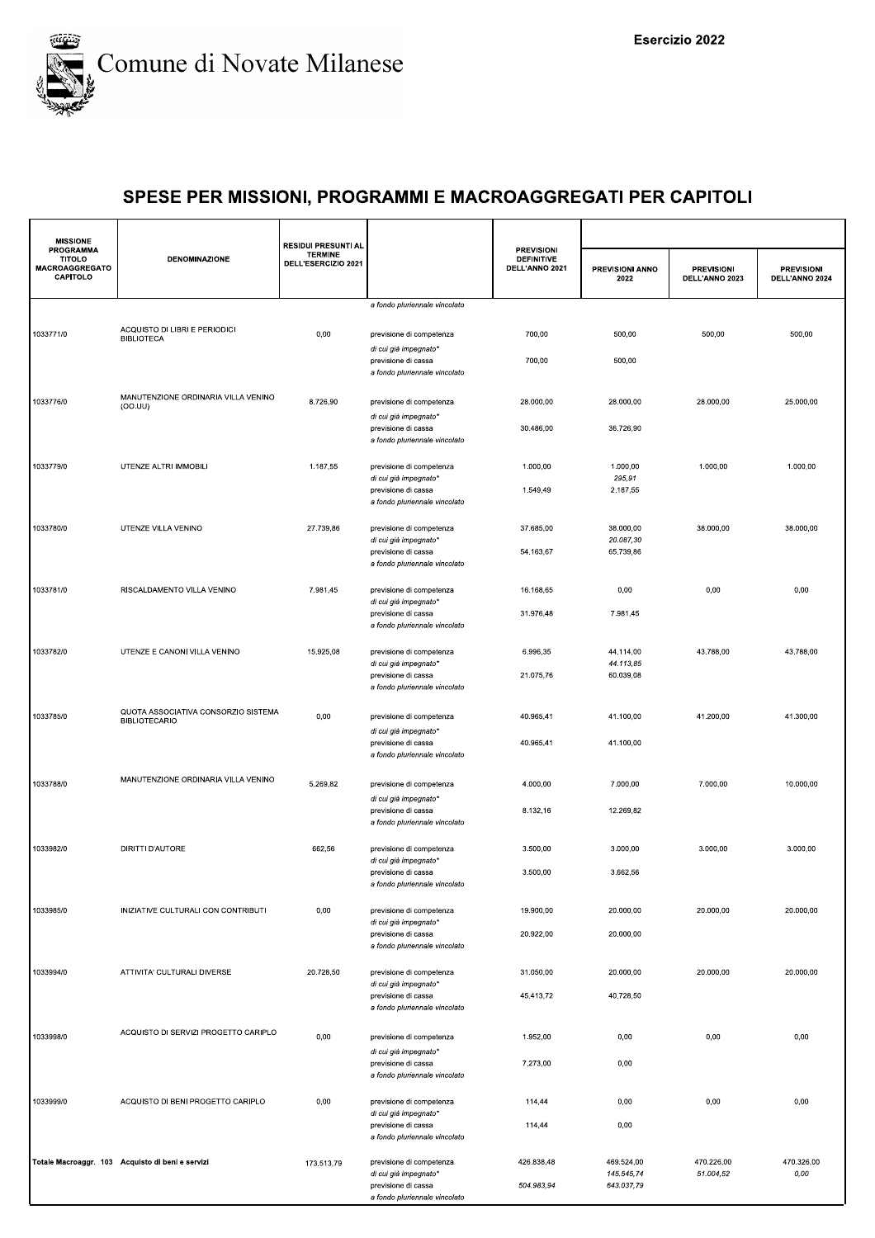

| <b>MISSIONE</b>                                          |                                                             | <b>RESIDUI PRESUNTI AL</b>            |                                                                               |                                                          |                          |                                     |                                     |
|----------------------------------------------------------|-------------------------------------------------------------|---------------------------------------|-------------------------------------------------------------------------------|----------------------------------------------------------|--------------------------|-------------------------------------|-------------------------------------|
| PROGRAMMA<br><b>TITOLO</b><br>MACROAGGREGATO<br>CAPITOLO | <b>DENOMINAZIONE</b>                                        | <b>TERMINE</b><br>DELL'ESERCIZIO 2021 |                                                                               | <b>PREVISIONI</b><br><b>DEFINITIVE</b><br>DELL'ANNO 2021 | PREVISIONI ANNO<br>2022  | <b>PREVISIONI</b><br>DELL'ANNO 2023 | <b>PREVISIONI</b><br>DELL'ANNO 2024 |
|                                                          |                                                             |                                       | a fondo pluriennale vincolato                                                 |                                                          |                          |                                     |                                     |
| 1033771/0                                                | ACQUISTO DI LIBRI E PERIODICI<br><b>BIBLIOTECA</b>          | 0,00                                  | previsione di competenza                                                      | 700,00                                                   | 500,00                   | 500,00                              | 500,00                              |
|                                                          |                                                             |                                       | di cui già impegnato*<br>previsione di cassa<br>a fondo pluriennale vincolato | 700,00                                                   | 500,00                   |                                     |                                     |
| 1033776/0                                                | MANUTENZIONE ORDINARIA VILLA VENINO<br>(OO.UU)              | 8.726,90                              | previsione di competenza<br>di cui già impegnato*                             | 28.000,00                                                | 28.000,00                | 28.000,00                           | 25.000,00                           |
|                                                          |                                                             |                                       | previsione di cassa<br>a fondo pluriennale vincolato                          | 30.486,00                                                | 36.726,90                |                                     |                                     |
| 1033779/0                                                | UTENZE ALTRI IMMOBILI                                       | 1.187,55                              | previsione di competenza<br>di cui già impegnato*                             | 1.000,00                                                 | 1.000,00<br>295,91       | 1.000,00                            | 1.000,00                            |
|                                                          |                                                             |                                       | previsione di cassa<br>a fondo pluriennale vincolato                          | 1.549,49                                                 | 2.187,55                 |                                     |                                     |
| 1033780/0                                                | UTENZE VILLA VENINO                                         | 27.739,86                             | previsione di competenza<br>di cui già impegnato*                             | 37.685,00                                                | 38.000,00<br>20.087,30   | 38.000,00                           | 38.000,00                           |
|                                                          |                                                             |                                       | previsione di cassa<br>a fondo pluriennale vincolato                          | 54.163,67                                                | 65.739,86                |                                     |                                     |
| 1033781/0                                                | RISCALDAMENTO VILLA VENINO                                  | 7.981,45                              | previsione di competenza<br>di cui già impegnato*                             | 16.168,65                                                | 0,00                     | 0,00                                | 0,00                                |
|                                                          |                                                             |                                       | previsione di cassa<br>a fondo pluriennale vincolato                          | 31.976,48                                                | 7.981,45                 |                                     |                                     |
| 1033782/0                                                | UTENZE E CANONI VILLA VENINO                                | 15.925,08                             | previsione di competenza<br>di cui già impegnato*                             | 6.996,35                                                 | 44.114,00<br>44.113,85   | 43.788,00                           | 43.788,00                           |
|                                                          |                                                             |                                       | previsione di cassa<br>a fondo pluriennale vincolato                          | 21.075,76                                                | 60.039,08                |                                     |                                     |
| 1033785/0                                                | QUOTA ASSOCIATIVA CONSORZIO SISTEMA<br><b>BIBLIOTECARIO</b> | 0,00                                  | previsione di competenza<br>di cui già impegnato'                             | 40.965,41                                                | 41.100,00                | 41.200,00                           | 41.300,00                           |
|                                                          |                                                             |                                       | previsione di cassa<br>a fondo pluriennale vincolato                          | 40.965,41                                                | 41.100,00                |                                     |                                     |
| 1033788/0                                                | MANUTENZIONE ORDINARIA VILLA VENINO                         | 5.269,82                              | previsione di competenza<br>di cui già impegnato*                             | 4.000,00                                                 | 7.000,00                 | 7.000,00                            | 10.000,00                           |
|                                                          |                                                             |                                       | previsione di cassa<br>a fondo pluriennale vincolato                          | 8.132,16                                                 | 12.269,82                |                                     |                                     |
| 1033982/0                                                | DIRITTI D'AUTORE                                            | 662,56                                | previsione di competenza<br>di cui già impegnato*                             | 3.500,00                                                 | 3.000,00                 | 3.000,00                            | 3.000,00                            |
|                                                          |                                                             |                                       | previsione di cassa<br>a fondo pluriennale vincolato                          | 3.500,00                                                 | 3.662,56                 |                                     |                                     |
| 1033985/0                                                | INIZIATIVE CULTURALI CON CONTRIBUTI                         | 0,00                                  | previsione di competenza<br>di cui già impegnato*                             | 19.900,00                                                | 20.000,00                | 20.000,00                           | 20.000,00                           |
|                                                          |                                                             |                                       | previsione di cassa<br>a fondo pluriennale vincolato                          | 20.922,00                                                | 20.000,00                |                                     |                                     |
| 1033994/0                                                | ATTIVITA' CULTURALI DIVERSE                                 | 20.728,50                             | previsione di competenza<br>di cui già impegnato*                             | 31.050,00                                                | 20.000,00                | 20.000.00                           | 20.000,00                           |
|                                                          |                                                             |                                       | previsione di cassa<br>a fondo pluriennale vincolato                          | 45.413,72                                                | 40.728,50                |                                     |                                     |
| 1033998/0                                                | ACQUISTO DI SERVIZI PROGETTO CARIPLO                        | 0,00                                  | previsione di competenza<br>di cui già impegnato*                             | 1.952,00                                                 | 0,00                     | 0,00                                | 0,00                                |
|                                                          |                                                             |                                       | previsione di cassa<br>a fondo pluriennale vincolato                          | 7.273,00                                                 | 0,00                     |                                     |                                     |
| 1033999/0                                                | ACQUISTO DI BENI PROGETTO CARIPLO                           | 0,00                                  | previsione di competenza<br>di cui già impegnato*                             | 114,44                                                   | 0,00                     | 0,00                                | 0,00                                |
|                                                          |                                                             |                                       | previsione di cassa<br>a fondo pluriennale vincolato                          | 114,44                                                   | 0,00                     |                                     |                                     |
|                                                          | Totale Macroaggr. 103 Acquisto di beni e servizi            | 173.513,79                            | previsione di competenza<br>di cui già impegnato*                             | 426.838,48                                               | 469.524,00<br>145.545,74 | 470.226,00<br>51.004,52             | 470.326,00<br>0,00                  |
|                                                          |                                                             |                                       | previsione di cassa<br>a fondo pluriennale vincolato                          | 504.983,94                                               | 643.037,79               |                                     |                                     |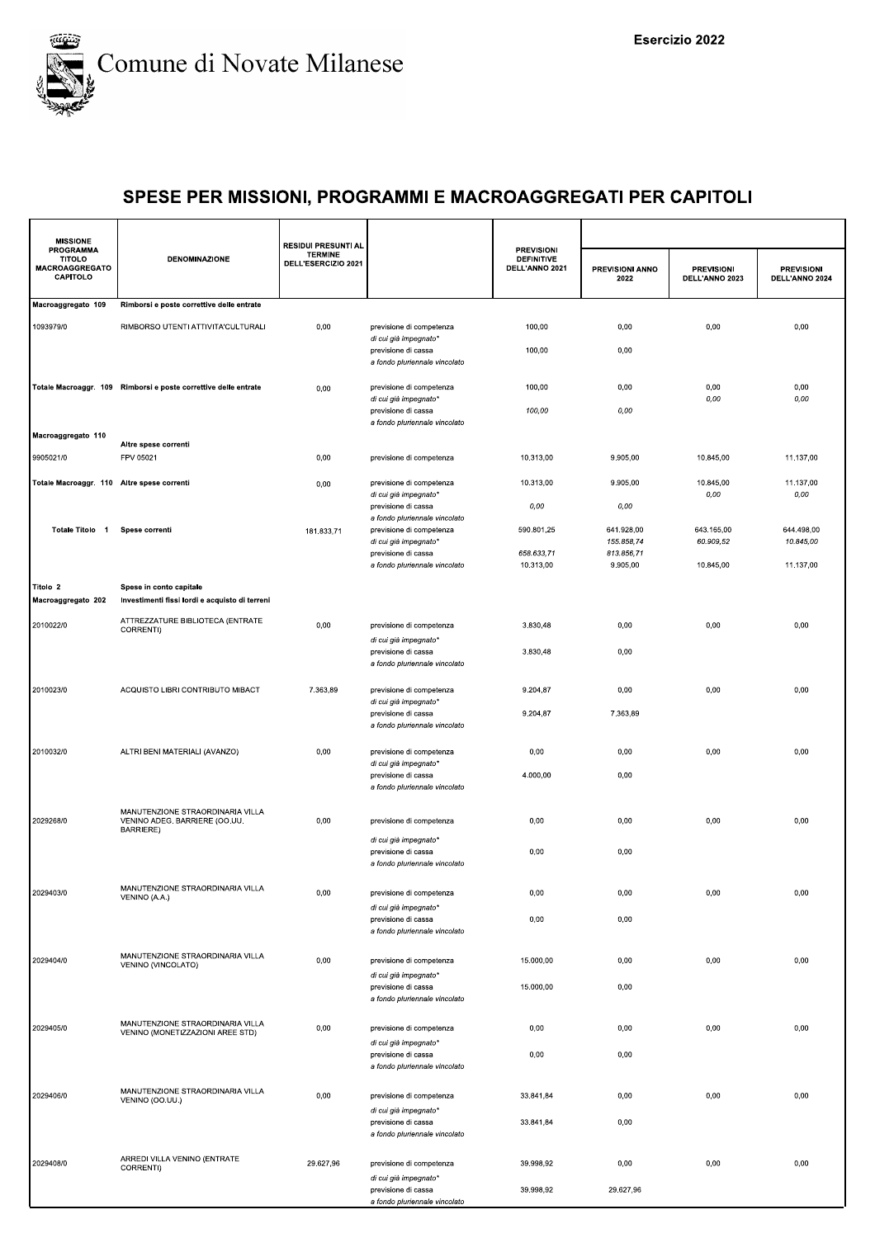

| <b>MISSIONE</b>                                                 |                                                                                | <b>RESIDUI PRESUNTI AL</b>            |                                                                               |                                                          |                         |                                     |                                     |
|-----------------------------------------------------------------|--------------------------------------------------------------------------------|---------------------------------------|-------------------------------------------------------------------------------|----------------------------------------------------------|-------------------------|-------------------------------------|-------------------------------------|
| <b>PROGRAMMA</b><br><b>TITOLO</b><br>MACROAGGREGATO<br>CAPITOLO | <b>DENOMINAZIONE</b>                                                           | <b>TERMINE</b><br>DELL'ESERCIZIO 2021 |                                                                               | <b>PREVISIONI</b><br><b>DEFINITIVE</b><br>DELL'ANNO 2021 | PREVISIONI ANNO<br>2022 | <b>PREVISIONI</b><br>DELL'ANNO 2023 | <b>PREVISIONI</b><br>DELL'ANNO 2024 |
| Macroaggregato 109                                              | Rimborsi e poste correttive delle entrate                                      |                                       |                                                                               |                                                          |                         |                                     |                                     |
| 1093979/0                                                       | RIMBORSO UTENTI ATTIVITA'CULTURALI                                             | 0,00                                  | previsione di competenza<br>di cui già impegnato*                             | 100,00                                                   | 0,00                    | 0,00                                | 0,00                                |
|                                                                 |                                                                                |                                       | previsione di cassa<br>a fondo pluriennale vincolato                          | 100,00                                                   | 0,00                    |                                     |                                     |
|                                                                 | Totale Macroaggr. 109 Rimborsi e poste correttive delle entrate                | 0,00                                  | previsione di competenza<br>di cui già impegnato*                             | 100,00                                                   | 0,00                    | 0,00<br>0,00                        | 0,00<br>0,00                        |
|                                                                 |                                                                                |                                       | previsione di cassa<br>a fondo pluriennale vincolato                          | 100,00                                                   | 0,00                    |                                     |                                     |
| Macroaggregato 110                                              | Altre spese correnti                                                           |                                       |                                                                               |                                                          |                         |                                     |                                     |
| 9905021/0                                                       | FPV 05021                                                                      | 0,00                                  | previsione di competenza                                                      | 10.313,00                                                | 9.905,00                | 10.845,00                           | 11.137,00                           |
| Totale Macroaggr. 110 Altre spese correnti                      |                                                                                | 0,00                                  | previsione di competenza<br>di cui già impegnato*                             | 10.313,00                                                | 9.905,00                | 10.845,00<br>0,00                   | 11.137,00<br>0,00                   |
|                                                                 |                                                                                |                                       | previsione di cassa<br>a fondo pluriennale vincolato                          | 0,00                                                     | 0,00                    |                                     |                                     |
| Totale Titolo 1                                                 | Spese correnti                                                                 | 181.833,71                            | previsione di competenza                                                      | 590.801,25                                               | 641.928,00              | 643.165,00                          | 644.498,00                          |
|                                                                 |                                                                                |                                       | di cui già impegnato*                                                         |                                                          | 155.858,74              | 60.909,52                           | 10.845,00                           |
|                                                                 |                                                                                |                                       | previsione di cassa<br>a fondo pluriennale vincolato                          | 658.633,71<br>10.313,00                                  | 813.856,71<br>9.905,00  | 10.845,00                           | 11.137,00                           |
| Titolo 2<br>Macroaggregato 202                                  | Spese in conto capitale<br>Investimenti fissi lordi e acquisto di terreni      |                                       |                                                                               |                                                          |                         |                                     |                                     |
|                                                                 |                                                                                |                                       |                                                                               |                                                          |                         |                                     |                                     |
| 2010022/0                                                       | ATTREZZATURE BIBLIOTECA (ENTRATE<br>CORRENTI)                                  | 0,00                                  | previsione di competenza                                                      | 3.830,48                                                 | 0,00                    | 0,00                                | 0,00                                |
|                                                                 |                                                                                |                                       | di cui già impegnato*<br>previsione di cassa<br>a fondo pluriennale vincolato | 3.830,48                                                 | 0,00                    |                                     |                                     |
| 2010023/0                                                       | ACQUISTO LIBRI CONTRIBUTO MIBACT                                               | 7.363,89                              | previsione di competenza                                                      | 9.204,87                                                 | 0,00                    | 0,00                                | 0,00                                |
|                                                                 |                                                                                |                                       | di cui già impegnato*<br>previsione di cassa<br>a fondo pluriennale vincolato | 9.204,87                                                 | 7.363,89                |                                     |                                     |
| 2010032/0                                                       | ALTRI BENI MATERIALI (AVANZO)                                                  | 0,00                                  | previsione di competenza                                                      | 0,00                                                     | 0,00                    | 0,00                                | 0,00                                |
|                                                                 |                                                                                |                                       | di cui già impegnato*<br>previsione di cassa<br>a fondo pluriennale vincolato | 4.000,00                                                 | 0,00                    |                                     |                                     |
| 2029268/0                                                       | MANUTENZIONE STRAORDINARIA VILLA<br>VENINO ADEG. BARRIERE (OO.UU.<br>BARRIERE) | 0,00                                  | previsione di competenza                                                      | 0,00                                                     | 0,00                    | 0,00                                | 0,00                                |
|                                                                 |                                                                                |                                       | di cui già impegnato*<br>previsione di cassa<br>a fondo pluriennale vincolato | 0,00                                                     | 0,00                    |                                     |                                     |
| 2029403/0                                                       | MANUTENZIONE STRAORDINARIA VILLA                                               | 0,00                                  | previsione di competenza                                                      | 0,00                                                     | 0,00                    | 0,00                                | 0,00                                |
|                                                                 | VENINO (A.A.)                                                                  |                                       | di cui già impegnato*<br>previsione di cassa<br>a fondo pluriennale vincolato | 0,00                                                     | 0,00                    |                                     |                                     |
| 2029404/0                                                       | MANUTENZIONE STRAORDINARIA VILLA<br>VENINO (VINCOLATO)                         | 0,00                                  | previsione di competenza                                                      | 15.000,00                                                | 0,00                    | 0,00                                | 0,00                                |
|                                                                 |                                                                                |                                       | di cui già impegnato*<br>previsione di cassa<br>a fondo pluriennale vincolato | 15.000,00                                                | 0,00                    |                                     |                                     |
| 2029405/0                                                       | MANUTENZIONE STRAORDINARIA VILLA<br>VENINO (MONETIZZAZIONI AREE STD)           | 0,00                                  | previsione di competenza                                                      | 0,00                                                     | 0,00                    | 0,00                                | 0,00                                |
|                                                                 |                                                                                |                                       | di cui già impegnato*<br>previsione di cassa<br>a fondo pluriennale vincolato | 0,00                                                     | 0,00                    |                                     |                                     |
| 2029406/0                                                       | MANUTENZIONE STRAORDINARIA VILLA<br>VENINO (OO.UU.)                            | 0,00                                  | previsione di competenza<br>di cui già impegnato*                             | 33.841,84                                                | 0,00                    | 0,00                                | 0,00                                |
|                                                                 |                                                                                |                                       | previsione di cassa<br>a fondo pluriennale vincolato                          | 33.841,84                                                | 0,00                    |                                     |                                     |
| 2029408/0                                                       | ARREDI VILLA VENINO (ENTRATE<br>CORRENTI)                                      | 29.627,96                             | previsione di competenza<br>di cui già impegnato*                             | 39.998,92                                                | 0,00                    | 0,00                                | 0,00                                |
|                                                                 |                                                                                |                                       | previsione di cassa<br>a fondo pluriennale vincolato                          | 39.998,92                                                | 29.627,96               |                                     |                                     |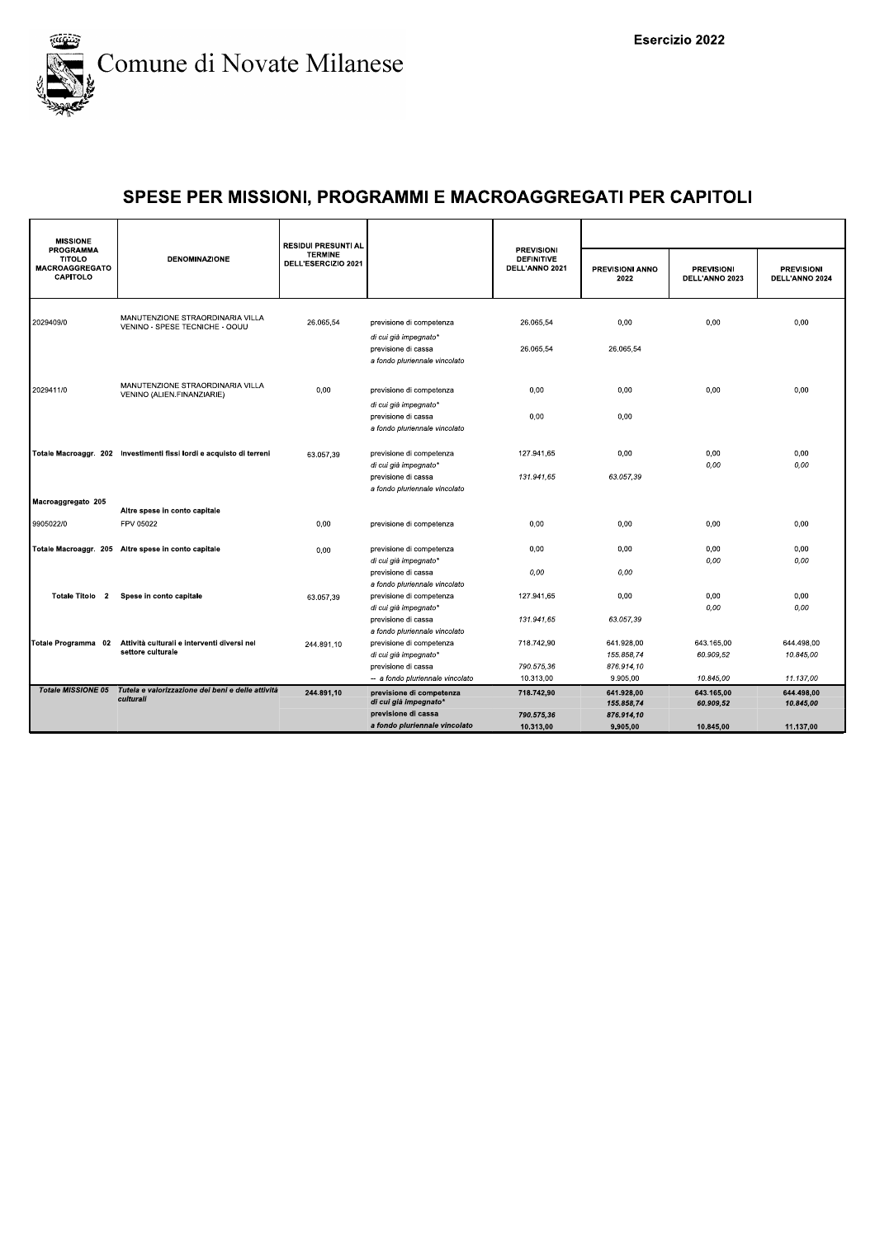

| <b>MISSIONE</b>                                                        |                                                                      | <b>RESIDUI PRESUNTI AL</b>            |                                                                               |                                                          |                                |                                     |                                     |
|------------------------------------------------------------------------|----------------------------------------------------------------------|---------------------------------------|-------------------------------------------------------------------------------|----------------------------------------------------------|--------------------------------|-------------------------------------|-------------------------------------|
| <b>PROGRAMMA</b><br><b>TITOLO</b><br><b>MACROAGGREGATO</b><br>CAPITOLO | <b>DENOMINAZIONE</b>                                                 | <b>TERMINE</b><br>DELL'ESERCIZIO 2021 |                                                                               | <b>PREVISIONI</b><br><b>DEFINITIVE</b><br>DELL'ANNO 2021 | <b>PREVISIONI ANNO</b><br>2022 | <b>PREVISIONI</b><br>DELL'ANNO 2023 | <b>PREVISIONI</b><br>DELL'ANNO 2024 |
| 2029409/0                                                              | MANUTENZIONE STRAORDINARIA VILLA<br>VENINO - SPESE TECNICHE - OOUU   | 26.065,54                             | previsione di competenza<br>di cui già impegnato*                             | 26.065.54                                                | 0,00                           | 0,00                                | 0.00                                |
|                                                                        |                                                                      |                                       | previsione di cassa<br>a fondo pluriennale vincolato                          | 26.065.54                                                | 26.065.54                      |                                     |                                     |
| 2029411/0                                                              | MANUTENZIONE STRAORDINARIA VILLA<br>VENINO (ALIEN.FINANZIARIE)       | 0,00                                  | previsione di competenza                                                      | 0,00                                                     | 0,00                           | 0,00                                | 0,00                                |
|                                                                        |                                                                      |                                       | di cui già impegnato*<br>previsione di cassa<br>a fondo pluriennale vincolato | 0,00                                                     | 0,00                           |                                     |                                     |
|                                                                        | Totale Macroaggr. 202 Investimenti fissi lordi e acquisto di terreni | 63.057,39                             | previsione di competenza<br>di cui già impegnato*                             | 127.941,65                                               | 0,00                           | 0,00<br>0,00                        | 0,00<br>0,00                        |
|                                                                        |                                                                      |                                       | previsione di cassa<br>a fondo pluriennale vincolato                          | 131.941.65                                               | 63.057.39                      |                                     |                                     |
| Macroaggregato 205                                                     | Altre spese in conto capitale                                        |                                       |                                                                               |                                                          |                                |                                     |                                     |
| 9905022/0                                                              | FPV 05022                                                            | 0,00                                  | previsione di competenza                                                      | 0,00                                                     | 0,00                           | 0,00                                | 0,00                                |
|                                                                        | Totale Macroaggr. 205 Altre spese in conto capitale                  | 0,00                                  | previsione di competenza<br>di cui già impegnato'                             | 0,00                                                     | 0.00                           | 0,00<br>0,00                        | 0,00<br>0,00                        |
|                                                                        |                                                                      |                                       | previsione di cassa<br>a fondo pluriennale vincolato                          | 0,00                                                     | 0,00                           |                                     |                                     |
| Totale Titolo 2                                                        | Spese in conto capitale                                              | 63.057.39                             | previsione di competenza<br>di cui già impegnato*                             | 127.941,65                                               | 0,00                           | 0,00<br>0,00                        | 0,00<br>0,00                        |
|                                                                        |                                                                      |                                       | previsione di cassa<br>a fondo pluriennale vincolato                          | 131.941,65                                               | 63.057,39                      |                                     |                                     |
| Totale Programma 02                                                    | Attività culturali e interventi diversi nel<br>settore culturale     | 244.891.10                            | previsione di competenza                                                      | 718.742,90                                               | 641.928,00                     | 643.165,00                          | 644.498,00                          |
|                                                                        |                                                                      |                                       | di cui già impegnato*                                                         |                                                          | 155.858.74                     | 60.909.52                           | 10.845.00                           |
|                                                                        |                                                                      |                                       | previsione di cassa<br>-- a fondo pluriennale vincolato                       | 790.575.36<br>10.313.00                                  | 876.914,10<br>9.905.00         | 10.845,00                           | 11.137,00                           |
| <b>Totale MISSIONE 05</b>                                              | Tutela e valorizzazione dei beni e delle attività<br>culturali       | 244.891,10                            | previsione di competenza<br>di cui già impegnato*                             | 718.742,90                                               | 641.928,00<br>155.858,74       | 643.165,00<br>60.909,52             | 644.498,00<br>10.845,00             |
|                                                                        |                                                                      |                                       | previsione di cassa                                                           | 790.575,36                                               | 876.914,10                     |                                     |                                     |
|                                                                        |                                                                      |                                       | a fondo pluriennale vincolato                                                 | 10.313.00                                                | 9.905.00                       | 10.845.00                           | 11.137.00                           |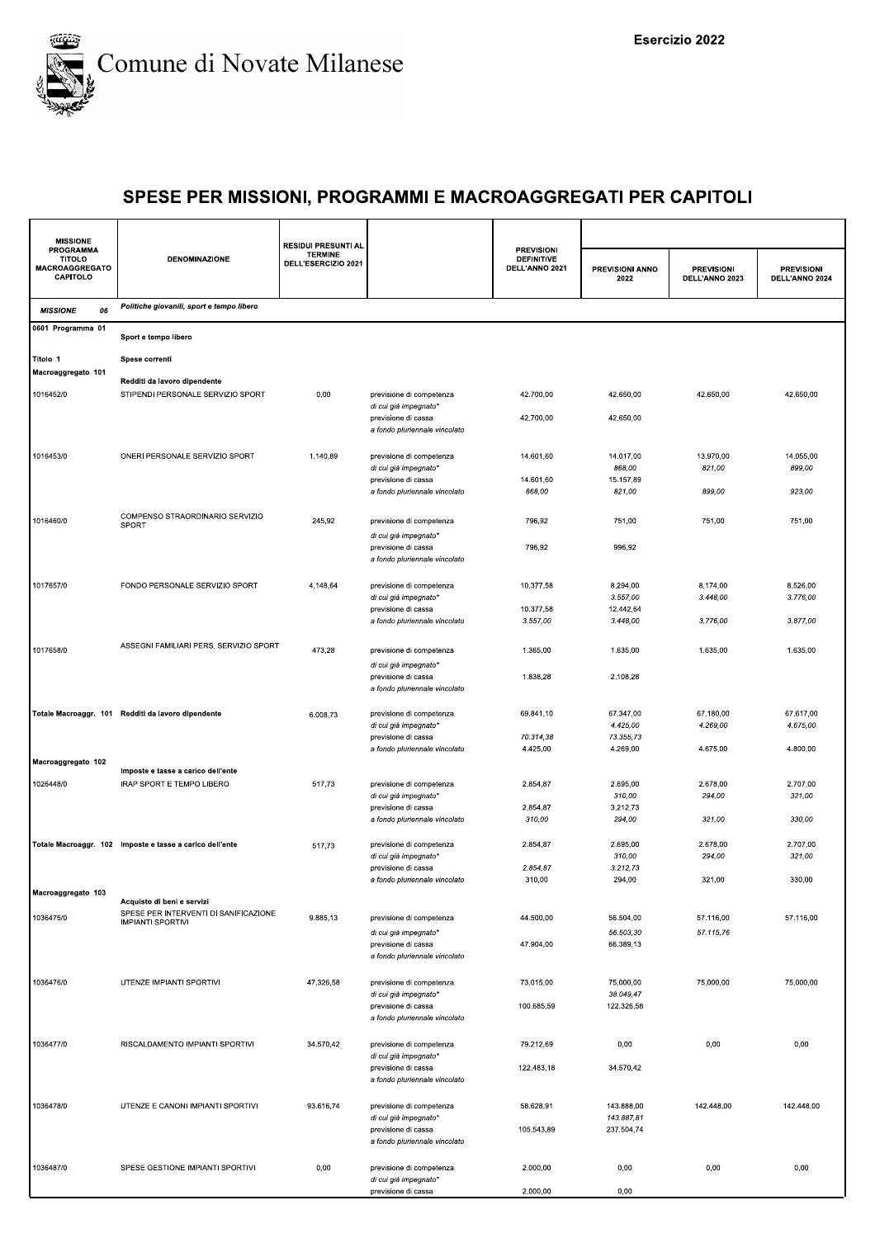

| <b>MISSIONE</b>                                                        |                                                                     | <b>RESIDUI PRESUNTI AL</b>            |                                                                          |                                                          |                                    |                                     |                                     |
|------------------------------------------------------------------------|---------------------------------------------------------------------|---------------------------------------|--------------------------------------------------------------------------|----------------------------------------------------------|------------------------------------|-------------------------------------|-------------------------------------|
| <b>PROGRAMMA</b><br><b>TITOLO</b><br><b>MACROAGGREGATO</b><br>CAPITOLO | <b>DENOMINAZIONE</b>                                                | <b>TERMINE</b><br>DELL'ESERCIZIO 2021 |                                                                          | <b>PREVISIONI</b><br><b>DEFINITIVE</b><br>DELL'ANNO 2021 | PREVISIONI ANNO<br>2022            | <b>PREVISIONI</b><br>DELL'ANNO 2023 | <b>PREVISIONI</b><br>DELL'ANNO 2024 |
| <b>MISSIONE</b><br>06                                                  | Politiche giovanili, sport e tempo libero                           |                                       |                                                                          |                                                          |                                    |                                     |                                     |
| 0601 Programma 01                                                      | Sport e tempo libero                                                |                                       |                                                                          |                                                          |                                    |                                     |                                     |
| Titolo 1<br>Macroaggregato 101                                         | Spese correnti                                                      |                                       |                                                                          |                                                          |                                    |                                     |                                     |
| 1016452/0                                                              | Redditi da lavoro dipendente<br>STIPENDI PERSONALE SERVIZIO SPORT   | 0,00                                  | previsione di competenza<br>di cui già impegnato*                        | 42.700,00                                                | 42.650,00                          | 42.650,00                           | 42.650,00                           |
|                                                                        |                                                                     |                                       | previsione di cassa<br>a fondo pluriennale vincolato                     | 42.700,00                                                | 42.650,00                          |                                     |                                     |
| 1016453/0                                                              | ONERI PERSONALE SERVIZIO SPORT                                      | 1.140,89                              | previsione di competenza<br>di cui già impegnato*                        | 14.601,60                                                | 14.017,00<br>868,00                | 13.970,00<br>821,00                 | 14.055,00<br>899,00                 |
|                                                                        |                                                                     |                                       | previsione di cassa<br>a fondo pluriennale vincolato                     | 14.601,60<br>868,00                                      | 15.157,89<br>821,00                | 899,00                              | 923,00                              |
| 1016460/0                                                              | COMPENSO STRAORDINARIO SERVIZIO<br><b>SPORT</b>                     | 245,92                                | previsione di competenza<br>di cui già impegnato*                        | 796,92                                                   | 751,00                             | 751,00                              | 751,00                              |
|                                                                        |                                                                     |                                       | previsione di cassa<br>a fondo pluriennale vincolato                     | 796,92                                                   | 996,92                             |                                     |                                     |
| 1017657/0                                                              | FONDO PERSONALE SERVIZIO SPORT                                      | 4.148,64                              | previsione di competenza<br>di cui già impegnato*                        | 10.377,58                                                | 8.294,00<br>3.557,00               | 8.174,00<br>3.448,00                | 8.526,00<br>3.776,00                |
|                                                                        |                                                                     |                                       | previsione di cassa<br>a fondo pluriennale vincolato                     | 10.377,58<br>3.557,00                                    | 12.442,64<br>3.448,00              | 3.776,00                            | 3.877,00                            |
| 1017658/0                                                              | ASSEGNI FAMILIARI PERS. SERVIZIO SPORT                              | 473,28                                | previsione di competenza<br>di cui già impegnato*                        | 1.365,00                                                 | 1.635,00                           | 1.635,00                            | 1.635,00                            |
|                                                                        |                                                                     |                                       | previsione di cassa<br>a fondo pluriennale vincolato                     | 1.838,28                                                 | 2.108,28                           |                                     |                                     |
|                                                                        | Totale Macroaggr. 101 Redditi da lavoro dipendente                  | 6.008,73                              | previsione di competenza<br>di cui già impegnato*<br>previsione di cassa | 69.841,10<br>70.314,38                                   | 67.347,00<br>4.425,00<br>73.355,73 | 67.180,00<br>4.269,00               | 67.617,00<br>4.675,00               |
| Macroaggregato 102                                                     |                                                                     |                                       | a fondo pluriennale vincolato                                            | 4.425,00                                                 | 4.269,00                           | 4.675,00                            | 4.800,00                            |
|                                                                        | Imposte e tasse a carico dell'ente                                  |                                       |                                                                          |                                                          |                                    |                                     |                                     |
| 1026448/0                                                              | IRAP SPORT E TEMPO LIBERO                                           | 517,73                                | previsione di competenza<br>di cui già impegnato*<br>previsione di cassa | 2.854,87<br>2.854,87                                     | 2.695,00<br>310,00<br>3.212,73     | 2.678,00<br>294,00                  | 2.707,00<br>321,00                  |
|                                                                        |                                                                     |                                       | a fondo pluriennale vincolato                                            | 310,00                                                   | 294,00                             | 321,00                              | 330,00                              |
|                                                                        | Totale Macroaggr. 102 Imposte e tasse a carico dell'ente            | 517,73                                | previsione di competenza<br>di cui già impegnato'<br>previsione di cassa | 2.854,87<br>2.854,87                                     | 2.695,00<br>310,00<br>3.212,73     | 2.678,00<br>294,00                  | 2.707,00<br>321,00                  |
|                                                                        |                                                                     |                                       | a fondo pluriennale vincolato                                            | 310,00                                                   | 294,00                             | 321,00                              | 330,00                              |
| Macroaggregato 103                                                     | Acquisto di beni e servizi<br>SPESE PER INTERVENTI DI SANIFICAZIONE |                                       |                                                                          |                                                          |                                    |                                     |                                     |
| 1036475/0                                                              | <b>IMPIANTI SPORTIVI</b>                                            | 9.885,13                              | previsione di competenza<br>di cui già impegnato*                        | 44.500,00                                                | 56.504,00<br>56.503,30             | 57.116,00<br>57.115,76              | 57.116,00                           |
|                                                                        |                                                                     |                                       | previsione di cassa<br>a fondo pluriennale vincolato                     | 47.904,00                                                | 66.389,13                          |                                     |                                     |
| 1036476/0                                                              | UTENZE IMPIANTI SPORTIVI                                            | 47.326,58                             | previsione di competenza<br>di cui già impegnato*                        | 73.015,00                                                | 75.000,00<br>38.049,47             | 75.000,00                           | 75.000,00                           |
|                                                                        |                                                                     |                                       | previsione di cassa<br>a fondo pluriennale vincolato                     | 100.685,59                                               | 122.326,58                         |                                     |                                     |
| 1036477/0                                                              | RISCALDAMENTO IMPIANTI SPORTIVI                                     | 34.570,42                             | previsione di competenza<br>di cui già impegnato*                        | 79.212,69                                                | 0,00                               | 0,00                                | 0,00                                |
|                                                                        |                                                                     |                                       | previsione di cassa<br>a fondo pluriennale vincolato                     | 122.483,18                                               | 34.570,42                          |                                     |                                     |
| 1036478/0                                                              | UTENZE E CANONI IMPIANTI SPORTIVI                                   | 93.616,74                             | previsione di competenza<br>di cui già impegnato*                        | 58.628,91                                                | 143.888,00<br>143.887,81           | 142.448,00                          | 142.448,00                          |
|                                                                        |                                                                     |                                       | previsione di cassa<br>a fondo pluriennale vincolato                     | 105.543,89                                               | 237.504,74                         |                                     |                                     |
| 1036487/0                                                              | SPESE GESTIONE IMPIANTI SPORTIVI                                    | 0,00                                  | previsione di competenza<br>di cui già impegnato*                        | 2.000,00                                                 | 0,00                               | 0,00                                | 0,00                                |
|                                                                        |                                                                     |                                       | previsione di cassa                                                      | 2.000,00                                                 | 0,00                               |                                     |                                     |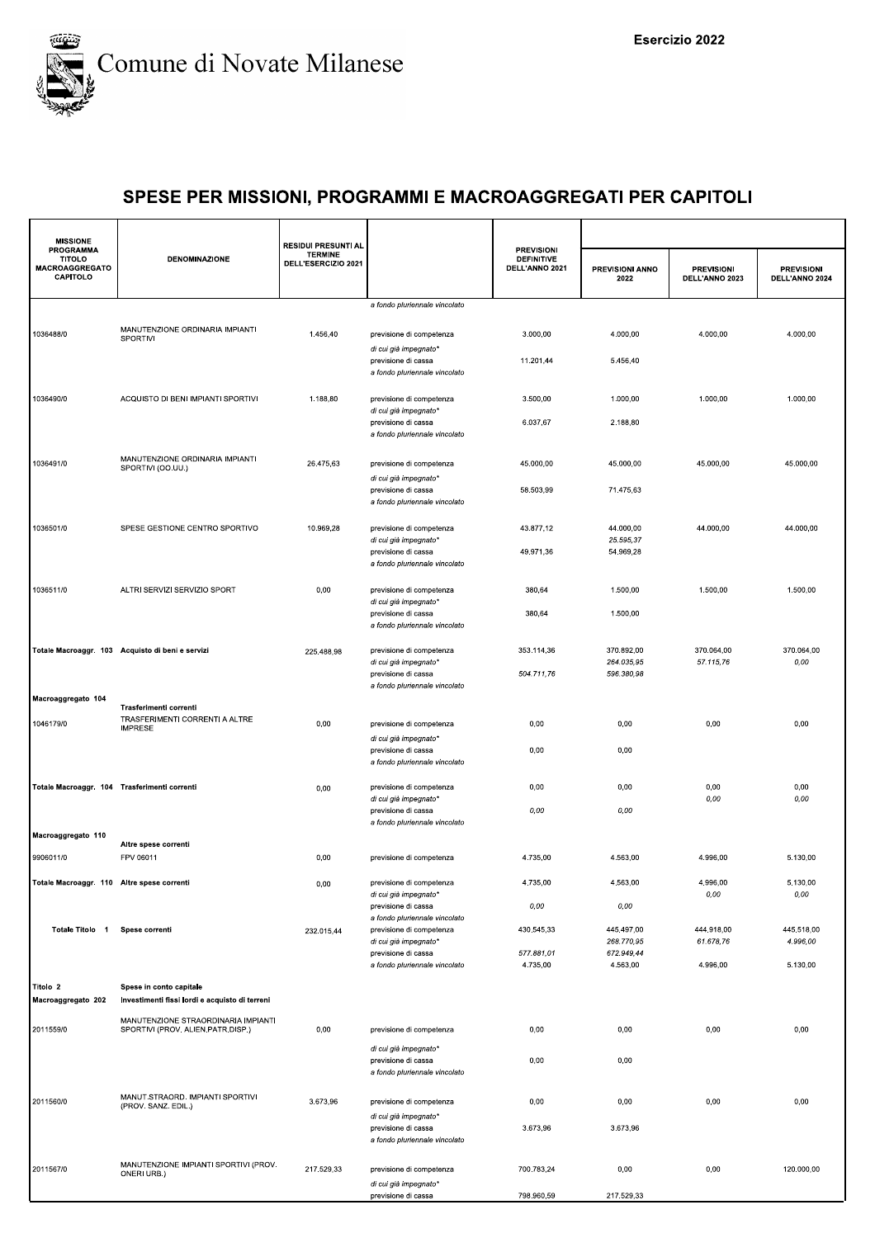

| <b>MISSIONE</b>                                                 |                                                                          | <b>RESIDUI PRESUNTI AL</b>            |                                                                               |                                                          |                          |                                     |                                     |
|-----------------------------------------------------------------|--------------------------------------------------------------------------|---------------------------------------|-------------------------------------------------------------------------------|----------------------------------------------------------|--------------------------|-------------------------------------|-------------------------------------|
| <b>PROGRAMMA</b><br><b>TITOLO</b><br>MACROAGGREGATO<br>CAPITOLO | <b>DENOMINAZIONE</b>                                                     | <b>TERMINE</b><br>DELL'ESERCIZIO 2021 |                                                                               | <b>PREVISIONI</b><br><b>DEFINITIVE</b><br>DELL'ANNO 2021 | PREVISIONI ANNO<br>2022  | <b>PREVISIONI</b><br>DELL'ANNO 2023 | <b>PREVISIONI</b><br>DELL'ANNO 2024 |
|                                                                 |                                                                          |                                       | a fondo pluriennale vincolato                                                 |                                                          |                          |                                     |                                     |
| 1036488/0                                                       | MANUTENZIONE ORDINARIA IMPIANTI<br>SPORTIVI                              | 1.456,40                              | previsione di competenza<br>di cui già impegnato*                             | 3.000,00                                                 | 4.000,00                 | 4.000,00                            | 4.000,00                            |
|                                                                 |                                                                          |                                       | previsione di cassa<br>a fondo pluriennale vincolato                          | 11.201,44                                                | 5.456,40                 |                                     |                                     |
| 1036490/0                                                       | ACQUISTO DI BENI IMPIANTI SPORTIVI                                       | 1.188,80                              | previsione di competenza<br>di cui già impegnato*<br>previsione di cassa      | 3.500,00<br>6.037,67                                     | 1.000,00<br>2.188,80     | 1.000,00                            | 1.000,00                            |
|                                                                 |                                                                          |                                       | a fondo pluriennale vincolato                                                 |                                                          |                          |                                     |                                     |
| 1036491/0                                                       | MANUTENZIONE ORDINARIA IMPIANTI<br>SPORTIVI (OO.UU.)                     | 26.475,63                             | previsione di competenza<br>di cui già impegnato*                             | 45.000,00                                                | 45.000,00                | 45.000,00                           | 45.000,00                           |
|                                                                 |                                                                          |                                       | previsione di cassa<br>a fondo pluriennale vincolato                          | 58.503,99                                                | 71.475,63                |                                     |                                     |
| 1036501/0                                                       | SPESE GESTIONE CENTRO SPORTIVO                                           | 10.969,28                             | previsione di competenza<br>di cui già impegnato*                             | 43.877,12                                                | 44.000,00<br>25.595,37   | 44.000,00                           | 44.000,00                           |
|                                                                 |                                                                          |                                       | previsione di cassa<br>a fondo pluriennale vincolato                          | 49.971,36                                                | 54.969,28                |                                     |                                     |
| 1036511/0                                                       | ALTRI SERVIZI SERVIZIO SPORT                                             | 0,00                                  | previsione di competenza<br>di cui già impegnato*                             | 380,64                                                   | 1.500,00                 | 1.500,00                            | 1.500,00                            |
|                                                                 |                                                                          |                                       | previsione di cassa<br>a fondo pluriennale vincolato                          | 380,64                                                   | 1.500,00                 |                                     |                                     |
|                                                                 | Totale Macroaggr. 103 Acquisto di beni e servizi                         | 225.488,98                            | previsione di competenza<br>di cui già impegnato*                             | 353.114,36                                               | 370.892,00<br>264.035,95 | 370.064,00<br>57.115,76             | 370.064,00<br>0,00                  |
| Macroaggregato 104                                              |                                                                          |                                       | previsione di cassa<br>a fondo pluriennale vincolato                          | 504.711,76                                               | 596.380,98               |                                     |                                     |
|                                                                 | Trasferimenti correnti                                                   |                                       |                                                                               |                                                          |                          |                                     |                                     |
| 1046179/0                                                       | TRASFERIMENTI CORRENTI A ALTRE<br><b>IMPRESE</b>                         | 0,00                                  | previsione di competenza<br>di cui già impegnato*                             | 0,00                                                     | 0,00                     | 0,00                                | 0,00                                |
|                                                                 |                                                                          |                                       | previsione di cassa<br>a fondo pluriennale vincolato                          | 0,00                                                     | 0,00                     |                                     |                                     |
| Totale Macroaggr. 104 Trasferimenti correnti                    |                                                                          | 0,00                                  | previsione di competenza<br>di cui già impegnato*<br>previsione di cassa      | 0,00<br>0,00                                             | 0,00<br>0,00             | 0,00<br>0,00                        | 0,00<br>0,00                        |
|                                                                 |                                                                          |                                       | a fondo pluriennale vincolato                                                 |                                                          |                          |                                     |                                     |
| Macroaggregato 110                                              | Altre spese correnti                                                     |                                       |                                                                               |                                                          |                          |                                     |                                     |
| 9906011/0                                                       | FPV 06011                                                                | 0,00                                  | previsione di competenza                                                      | 4.735,00                                                 | 4.563,00                 | 4.996,00                            | 5.130,00                            |
| Totale Macroaggr. 110 Altre spese correnti                      |                                                                          | 0,00                                  | previsione di competenza<br>di cui già impegnato*                             | 4.735,00                                                 | 4.563,00                 | 4.996,00<br>0,00                    | 5.130,00<br>0,00                    |
|                                                                 |                                                                          |                                       | previsione di cassa<br>a fondo pluriennale vincolato                          | 0,00                                                     | 0,00                     |                                     |                                     |
| Totale Titolo 1 Spese correnti                                  |                                                                          | 232.015,44                            | previsione di competenza<br>di cui già impegnato*                             | 430.545,33                                               | 445.497,00<br>268.770,95 | 444.918,00<br>61.678,76             | 445.518,00<br>4.996,00              |
|                                                                 |                                                                          |                                       | previsione di cassa<br>a fondo pluriennale vincolato                          | 577.881,01<br>4.735,00                                   | 672.949,44<br>4.563,00   | 4.996,00                            | 5.130,00                            |
| Titolo 2                                                        | Spese in conto capitale                                                  |                                       |                                                                               |                                                          |                          |                                     |                                     |
| Macroaggregato 202                                              | Investimenti fissi lordi e acquisto di terreni                           |                                       |                                                                               |                                                          |                          |                                     |                                     |
| 2011559/0                                                       | MANUTENZIONE STRAORDINARIA IMPIANTI<br>SPORTIVI (PROV. ALIEN.PATR.DISP.) | 0,00                                  | previsione di competenza                                                      | 0,00                                                     | 0,00                     | 0,00                                | 0,00                                |
|                                                                 |                                                                          |                                       | di cui già impegnato*<br>previsione di cassa<br>a fondo pluriennale vincolato | 0,00                                                     | 0,00                     |                                     |                                     |
| 2011560/0                                                       | MANUT.STRAORD. IMPIANTI SPORTIVI<br>(PROV. SANZ. EDIL.)                  | 3.673,96                              | previsione di competenza                                                      | 0,00                                                     | 0,00                     | 0,00                                | 0,00                                |
|                                                                 |                                                                          |                                       | di cui già impegnato*<br>previsione di cassa<br>a fondo pluriennale vincolato | 3.673,96                                                 | 3.673,96                 |                                     |                                     |
| 2011567/0                                                       | MANUTENZIONE IMPIANTI SPORTIVI (PROV.<br>ONERI URB.)                     | 217.529,33                            | previsione di competenza                                                      | 700.783,24                                               | 0,00                     | 0,00                                | 120.000,00                          |
|                                                                 |                                                                          |                                       | di cui già impegnato*<br>previsione di cassa                                  | 798.960,59                                               | 217.529,33               |                                     |                                     |
|                                                                 |                                                                          |                                       |                                                                               |                                                          |                          |                                     |                                     |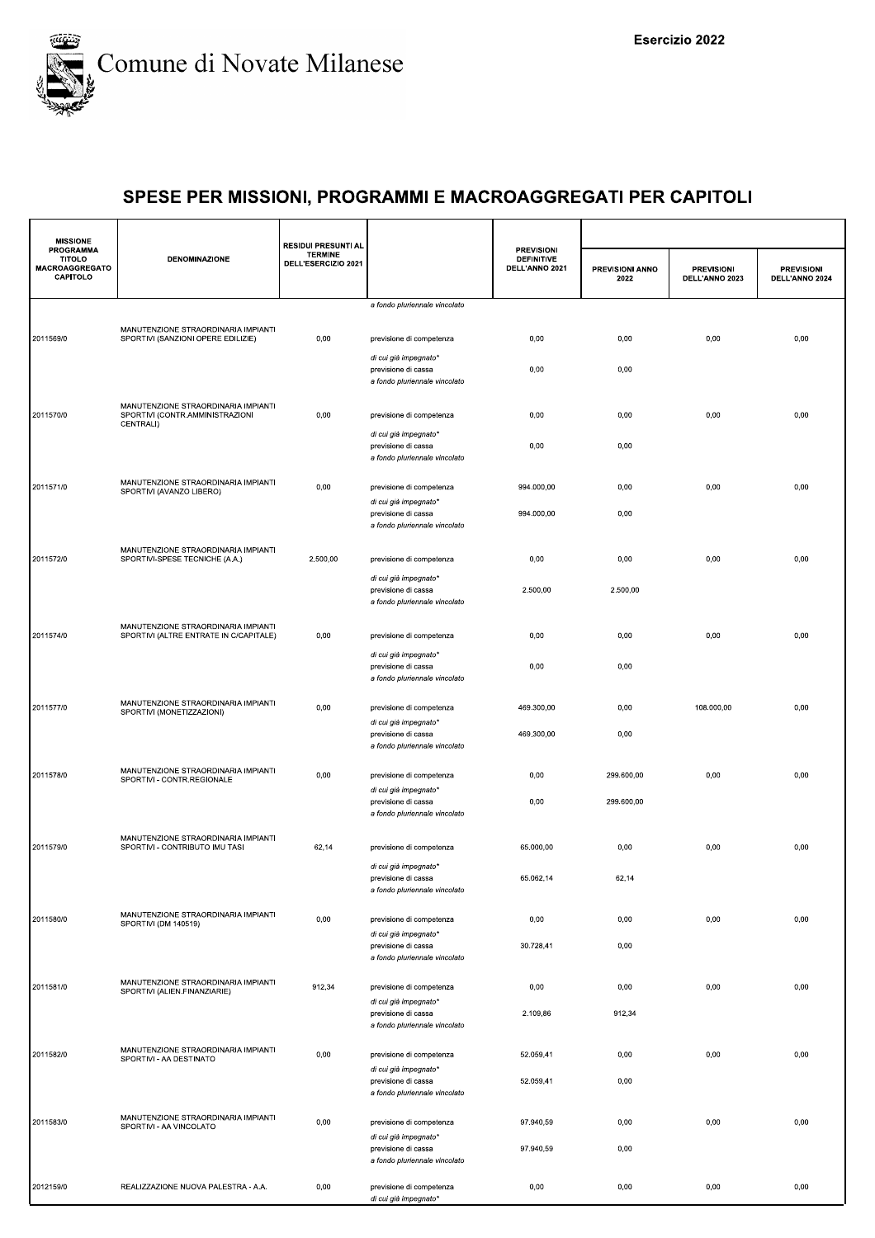

| <b>MISSIONE</b>                                          |                                                                                     | <b>RESIDUI PRESUNTI AL</b>            |                                                                               |                                                          |                         |                                     |                                     |
|----------------------------------------------------------|-------------------------------------------------------------------------------------|---------------------------------------|-------------------------------------------------------------------------------|----------------------------------------------------------|-------------------------|-------------------------------------|-------------------------------------|
| PROGRAMMA<br><b>TITOLO</b><br>MACROAGGREGATO<br>CAPITOLO | <b>DENOMINAZIONE</b>                                                                | <b>TERMINE</b><br>DELL'ESERCIZIO 2021 |                                                                               | <b>PREVISIONI</b><br><b>DEFINITIVE</b><br>DELL'ANNO 2021 | PREVISIONI ANNO<br>2022 | <b>PREVISIONI</b><br>DELL'ANNO 2023 | <b>PREVISIONI</b><br>DELL'ANNO 2024 |
|                                                          |                                                                                     |                                       | a fondo pluriennale vincolato                                                 |                                                          |                         |                                     |                                     |
| 2011569/0                                                | MANUTENZIONE STRAORDINARIA IMPIANTI<br>SPORTIVI (SANZIONI OPERE EDILIZIE)           | 0,00                                  | previsione di competenza                                                      | 0,00                                                     | 0,00                    | 0,00                                | 0,00                                |
|                                                          |                                                                                     |                                       | di cui già impegnato*<br>previsione di cassa<br>a fondo pluriennale vincolato | 0,00                                                     | 0,00                    |                                     |                                     |
| 2011570/0                                                | MANUTENZIONE STRAORDINARIA IMPIANTI<br>SPORTIVI (CONTR.AMMINISTRAZIONI<br>CENTRALI) | 0,00                                  | previsione di competenza                                                      | 0,00                                                     | 0,00                    | 0,00                                | 0,00                                |
|                                                          |                                                                                     |                                       | di cui già impegnato*<br>previsione di cassa<br>a fondo pluriennale vincolato | 0,00                                                     | 0,00                    |                                     |                                     |
| 2011571/0                                                | MANUTENZIONE STRAORDINARIA IMPIANTI<br>SPORTIVI (AVANZO LIBERO)                     | 0,00                                  | previsione di competenza<br>di cui già impegnato*                             | 994.000,00                                               | 0,00                    | 0,00                                | 0,00                                |
|                                                          |                                                                                     |                                       | previsione di cassa<br>a fondo pluriennale vincolato                          | 994.000,00                                               | 0,00                    |                                     |                                     |
| 2011572/0                                                | MANUTENZIONE STRAORDINARIA IMPIANTI<br>SPORTIVI-SPESE TECNICHE (A.A.)               | 2.500,00                              | previsione di competenza<br>di cui già impegnato*                             | 0,00                                                     | 0,00                    | 0,00                                | 0,00                                |
|                                                          |                                                                                     |                                       | previsione di cassa<br>a fondo pluriennale vincolato                          | 2.500,00                                                 | 2.500,00                |                                     |                                     |
| 2011574/0                                                | MANUTENZIONE STRAORDINARIA IMPIANTI<br>SPORTIVI (ALTRE ENTRATE IN C/CAPITALE)       | 0,00                                  | previsione di competenza                                                      | 0,00                                                     | 0,00                    | 0,00                                | 0,00                                |
|                                                          |                                                                                     |                                       | di cui già impegnato*<br>previsione di cassa<br>a fondo pluriennale vincolato | 0,00                                                     | 0,00                    |                                     |                                     |
| 2011577/0                                                | MANUTENZIONE STRAORDINARIA IMPIANTI<br>SPORTIVI (MONETIZZAZIONI)                    | 0,00                                  | previsione di competenza<br>di cui già impegnato*                             | 469.300,00                                               | 0,00                    | 108.000,00                          | 0,00                                |
|                                                          |                                                                                     |                                       | previsione di cassa<br>a fondo pluriennale vincolato                          | 469.300,00                                               | 0,00                    |                                     |                                     |
| 2011578/0                                                | MANUTENZIONE STRAORDINARIA IMPIANTI<br>SPORTIVI - CONTR.REGIONALE                   | 0,00                                  | previsione di competenza<br>di cui già impegnato*                             | 0,00                                                     | 299.600,00              | 0,00                                | 0,00                                |
|                                                          |                                                                                     |                                       | previsione di cassa<br>a fondo pluriennale vincolato                          | 0,00                                                     | 299.600,00              |                                     |                                     |
| 2011579/0                                                | MANUTENZIONE STRAORDINARIA IMPIANTI<br>SPORTIVI - CONTRIBUTO IMU TASI               | 62,14                                 | previsione di competenza<br>di cui già impegnato*                             | 65.000,00                                                | 0,00                    | 0,00                                | 0,00                                |
|                                                          |                                                                                     |                                       | previsione di cassa<br>a fondo pluriennale vincolato                          | 65.062,14                                                | 62,14                   |                                     |                                     |
| 2011580/0                                                | MANUTENZIONE STRAORDINARIA IMPIANTI<br>SPORTIVI (DM 140519)                         | 0,00                                  | previsione di competenza<br>di cui già impegnato*                             | 0,00                                                     | 0,00                    | 0,00                                | 0,00                                |
|                                                          |                                                                                     |                                       | previsione di cassa<br>a fondo pluriennale vincolato                          | 30.728,41                                                | 0,00                    |                                     |                                     |
| 2011581/0                                                | MANUTENZIONE STRAORDINARIA IMPIANTI<br>SPORTIVI (ALIEN.FINANZIARIE)                 | 912,34                                | previsione di competenza<br>di cui già impegnato*<br>previsione di cassa      | 0,00<br>2.109,86                                         | 0,00<br>912,34          | 0,00                                | 0,00                                |
|                                                          | MANUTENZIONE STRAORDINARIA IMPIANTI                                                 |                                       | a fondo pluriennale vincolato                                                 |                                                          |                         |                                     |                                     |
| 2011582/0                                                | SPORTIVI - AA DESTINATO                                                             | 0,00                                  | previsione di competenza<br>di cui già impegnato*<br>previsione di cassa      | 52.059,41<br>52.059,41                                   | 0,00<br>0,00            | 0,00                                | 0,00                                |
|                                                          | MANUTENZIONE STRAORDINARIA IMPIANTI                                                 |                                       | a fondo pluriennale vincolato                                                 |                                                          |                         |                                     |                                     |
| 2011583/0                                                | SPORTIVI - AA VINCOLATO                                                             | 0,00                                  | previsione di competenza<br>di cui già impegnato*<br>previsione di cassa      | 97.940,59<br>97.940,59                                   | 0,00<br>0,00            | 0,00                                | 0,00                                |
| 2012159/0                                                | REALIZZAZIONE NUOVA PALESTRA - A.A.                                                 | 0,00                                  | a fondo pluriennale vincolato<br>previsione di competenza                     | 0,00                                                     | 0,00                    | 0,00                                | 0,00                                |
|                                                          |                                                                                     |                                       | di cui già impegnato*                                                         |                                                          |                         |                                     |                                     |
|                                                          |                                                                                     |                                       |                                                                               |                                                          |                         |                                     |                                     |
|                                                          |                                                                                     |                                       |                                                                               |                                                          |                         |                                     |                                     |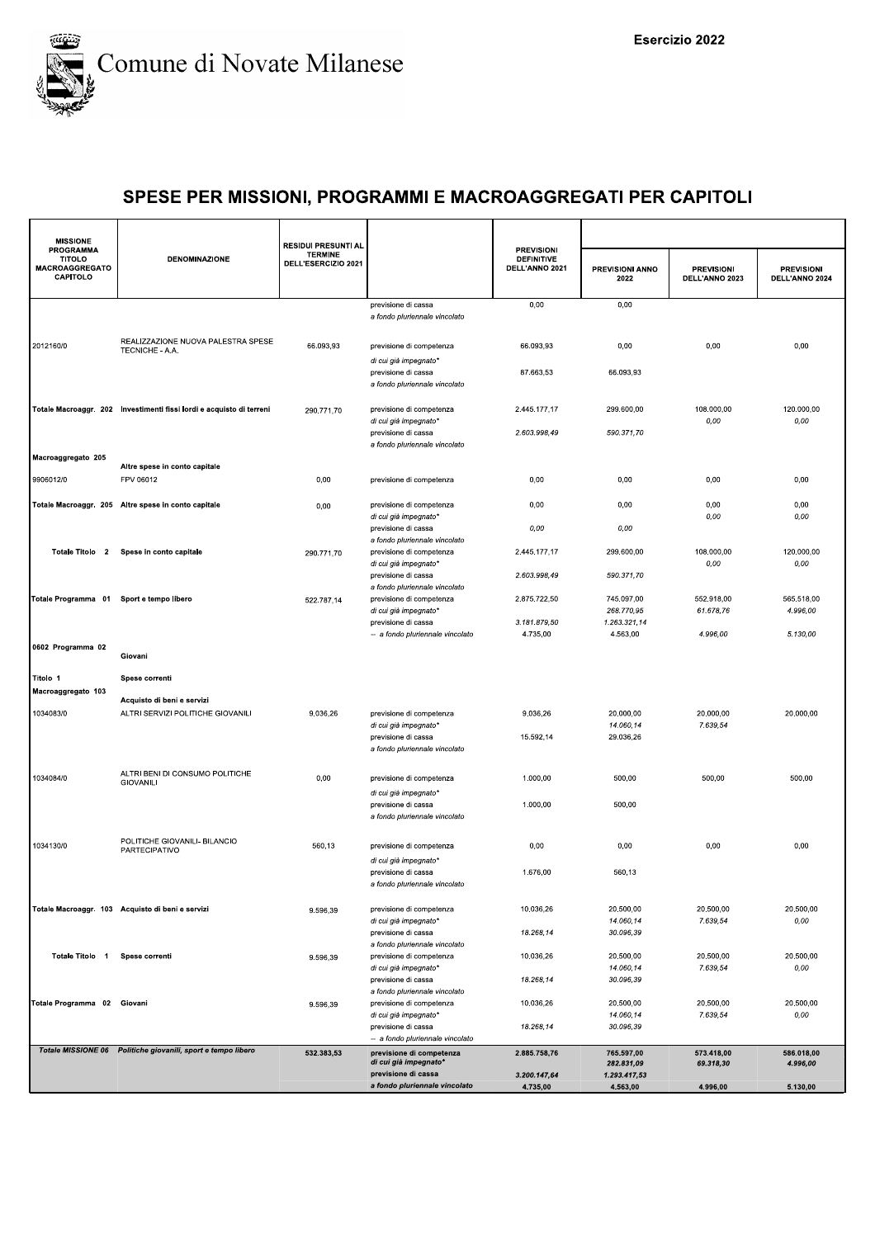

| <b>MISSIONE</b><br><b>PROGRAMMA</b>         |                                                                      | <b>RESIDUI PRESUNTI AL</b>            |                                                                               | <b>PREVISIONI</b>                   |                                |                                     |                                     |
|---------------------------------------------|----------------------------------------------------------------------|---------------------------------------|-------------------------------------------------------------------------------|-------------------------------------|--------------------------------|-------------------------------------|-------------------------------------|
| <b>TITOLO</b><br>MACROAGGREGATO<br>CAPITOLO | <b>DENOMINAZIONE</b>                                                 | <b>TERMINE</b><br>DELL'ESERCIZIO 2021 |                                                                               | <b>DEFINITIVE</b><br>DELL'ANNO 2021 | <b>PREVISIONI ANNO</b><br>2022 | <b>PREVISIONI</b><br>DELL'ANNO 2023 | <b>PREVISIONI</b><br>DELL'ANNO 2024 |
|                                             |                                                                      |                                       | previsione di cassa<br>a fondo pluriennale vincolato                          | 0,00                                | 0,00                           |                                     |                                     |
|                                             |                                                                      |                                       |                                                                               |                                     |                                |                                     |                                     |
| 2012160/0                                   | REALIZZAZIONE NUOVA PALESTRA SPESE<br>TECNICHE - A.A.                | 66.093,93                             | previsione di competenza                                                      | 66.093,93                           | 0,00                           | 0,00                                | 0,00                                |
|                                             |                                                                      |                                       | di cui già impegnato*<br>previsione di cassa<br>a fondo pluriennale vincolato | 87.663,53                           | 66.093,93                      |                                     |                                     |
|                                             | Totale Macroaggr. 202 Investimenti fissi lordi e acquisto di terreni | 290.771,70                            | previsione di competenza<br>di cui già impegnato*                             | 2.445.177,17                        | 299.600,00                     | 108.000,00<br>0,00                  | 120.000,00<br>0,00                  |
|                                             |                                                                      |                                       | previsione di cassa<br>a fondo pluriennale vincolato                          | 2.603.998,49                        | 590.371,70                     |                                     |                                     |
| Macroaggregato 205                          | Altre spese in conto capitale                                        |                                       |                                                                               |                                     |                                |                                     |                                     |
| 9906012/0                                   | FPV 06012                                                            | 0,00                                  | previsione di competenza                                                      | 0,00                                | 0,00                           | 0,00                                | 0,00                                |
|                                             | Totale Macroaggr. 205 Altre spese in conto capitale                  | 0,00                                  | previsione di competenza                                                      | 0,00                                | 0,00                           | 0,00                                | 0,00                                |
|                                             |                                                                      |                                       | di cui già impegnato*<br>previsione di cassa                                  | 0,00                                | 0,00                           | 0,00                                | 0,00                                |
|                                             | Totale Titolo 2 Spese in conto capitale                              | 290.771,70                            | a fondo pluriennale vincolato<br>previsione di competenza                     | 2.445.177,17                        | 299.600,00                     | 108.000,00                          | 120.000,00                          |
|                                             |                                                                      |                                       | di cui già impegnato*<br>previsione di cassa                                  | 2.603.998,49                        | 590.371.70                     | 0,00                                | 0,00                                |
| Totale Programma 01 Sport e tempo libero    |                                                                      | 522.787,14                            | a fondo pluriennale vincolato<br>previsione di competenza                     | 2.875.722,50                        | 745.097,00                     | 552.918,00                          | 565.518,00                          |
|                                             |                                                                      |                                       | di cui già impegnato*                                                         |                                     | 268.770,95                     | 61.678.76                           | 4.996,00                            |
|                                             |                                                                      |                                       | previsione di cassa<br>-- a fondo pluriennale vincolato                       | 3.181.879,50<br>4.735,00            | 1.263.321,14<br>4.563,00       | 4.996,00                            | 5.130,00                            |
| 0602 Programma 02                           |                                                                      |                                       |                                                                               |                                     |                                |                                     |                                     |
|                                             | Giovani                                                              |                                       |                                                                               |                                     |                                |                                     |                                     |
| Titolo 1<br>Macroaggregato 103              | Spese correnti                                                       |                                       |                                                                               |                                     |                                |                                     |                                     |
|                                             | Acquisto di beni e servizi                                           |                                       |                                                                               |                                     |                                |                                     |                                     |
| 1034083/0                                   | ALTRI SERVIZI POLITICHE GIOVANILI                                    | 9.036,26                              | previsione di competenza<br>di cui già impegnato*                             | 9.036,26                            | 20.000,00<br>14.060,14         | 20.000,00<br>7.639,54               | 20.000,00                           |
|                                             |                                                                      |                                       | previsione di cassa<br>a fondo pluriennale vincolato                          | 15.592,14                           | 29.036,26                      |                                     |                                     |
|                                             | ALTRI BENI DI CONSUMO POLITICHE                                      |                                       |                                                                               |                                     |                                |                                     |                                     |
| 1034084/0                                   | <b>GIOVANILI</b>                                                     | 0,00                                  | previsione di competenza<br>di cui già impegnato*                             | 1.000,00                            | 500,00                         | 500,00                              | 500,00                              |
|                                             |                                                                      |                                       | previsione di cassa                                                           | 1.000,00                            | 500,00                         |                                     |                                     |
|                                             |                                                                      |                                       | a fondo pluriennale vincolato                                                 |                                     |                                |                                     |                                     |
| 1034130/0                                   | POLITICHE GIOVANILI- BILANCIO<br>PARTECIPATIVO                       | 560,13                                | previsione di competenza                                                      | 0,00                                | 0,00                           | 0,00                                | 0,00                                |
|                                             |                                                                      |                                       | di cui già impegnato*<br>previsione di cassa                                  | 1.676,00                            | 560,13                         |                                     |                                     |
|                                             |                                                                      |                                       | a fondo pluriennale vincolato                                                 |                                     |                                |                                     |                                     |
|                                             | Totale Macroaggr. 103 Acquisto di beni e servizi                     | 9.596,39                              | previsione di competenza                                                      | 10.036,26                           | 20.500,00                      | 20.500,00                           | 20.500,00                           |
|                                             |                                                                      |                                       | di cui già impegnato*<br>previsione di cassa                                  | 18.268,14                           | 14.060,14<br>30.096,39         | 7.639,54                            | 0,00                                |
| Totale Titolo 1                             | Spese correnti                                                       |                                       | a fondo pluriennale vincolato<br>previsione di competenza                     | 10.036,26                           | 20.500,00                      | 20.500,00                           | 20.500,00                           |
|                                             |                                                                      | 9.596,39                              | di cui già impegnato*                                                         |                                     | 14.060,14                      | 7.639,54                            | 0,00                                |
|                                             |                                                                      |                                       | previsione di cassa<br>a fondo pluriennale vincolato                          | 18.268,14                           | 30.096,39                      |                                     |                                     |
| Totale Programma 02 Giovani                 |                                                                      | 9.596,39                              | previsione di competenza                                                      | 10.036,26                           | 20.500.00                      | 20.500.00                           | 20.500,00                           |
|                                             |                                                                      |                                       | di cui già impegnato*<br>previsione di cassa                                  | 18.268,14                           | 14.060,14<br>30.096,39         | 7.639,54                            | 0,00                                |
|                                             |                                                                      |                                       | -- a fondo pluriennale vincolato                                              |                                     |                                |                                     |                                     |
|                                             | Totale MISSIONE 06 Politiche giovanili, sport e tempo libero         | 532.383,53                            | previsione di competenza<br>di cui già impegnato*                             | 2.885.758,76                        | 765.597,00<br>282.831,09       | 573.418,00<br>69.318,30             | 586.018,00<br>4.996,00              |
|                                             |                                                                      |                                       | previsione di cassa                                                           | 3.200.147,64                        | 1.293.417,53                   |                                     |                                     |
|                                             |                                                                      |                                       | a fondo pluriennale vincolato                                                 | 4.735,00                            | 4.563,00                       | 4.996,00                            | 5.130,00                            |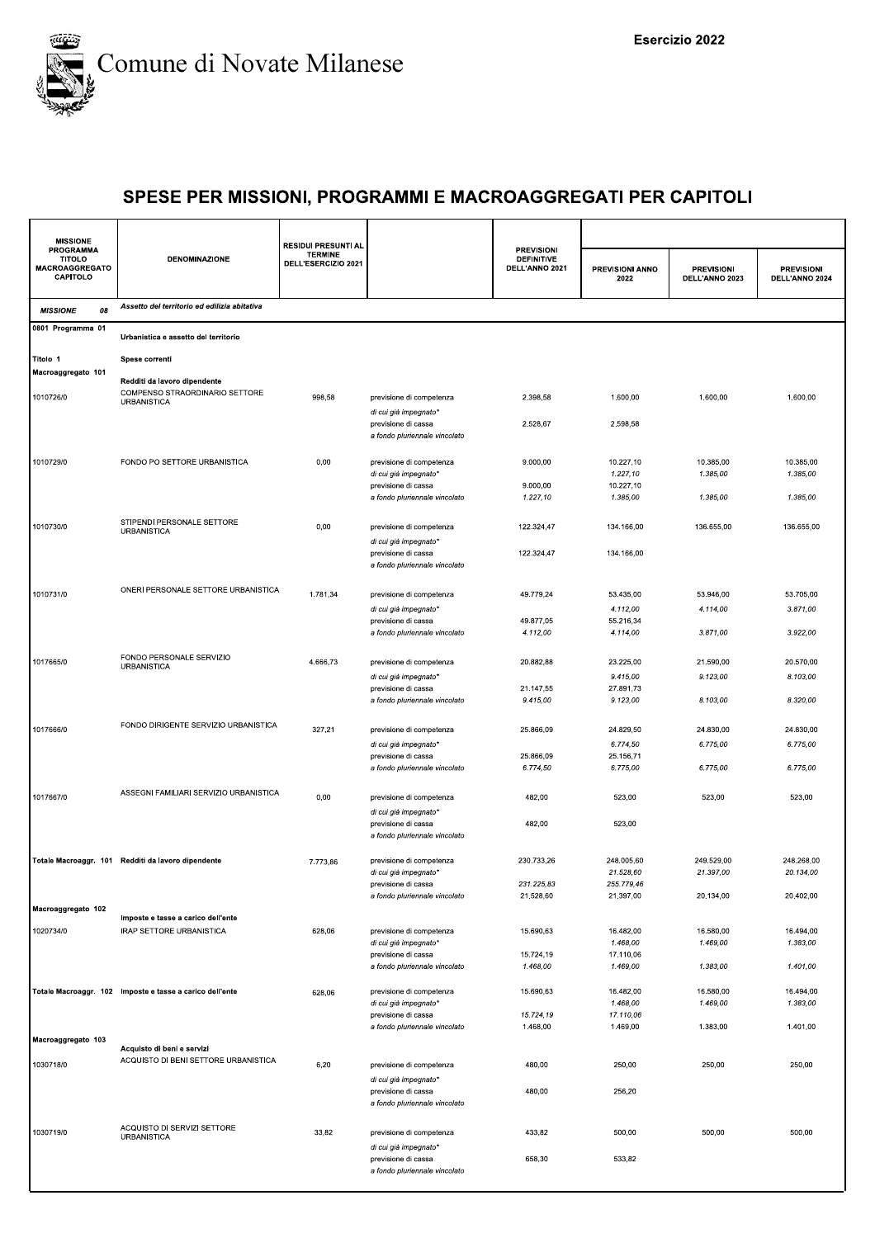

| <b>MISSIONE</b>                                                 |                                                          | <b>RESIDUI PRESUNTI AL</b>            |                                                      |                                                          |                         |                                     |                                     |
|-----------------------------------------------------------------|----------------------------------------------------------|---------------------------------------|------------------------------------------------------|----------------------------------------------------------|-------------------------|-------------------------------------|-------------------------------------|
| <b>PROGRAMMA</b><br><b>TITOLO</b><br>MACROAGGREGATO<br>CAPITOLO | <b>DENOMINAZIONE</b>                                     | <b>TERMINE</b><br>DELL'ESERCIZIO 2021 |                                                      | <b>PREVISIONI</b><br><b>DEFINITIVE</b><br>DELL'ANNO 2021 | PREVISIONI ANNO<br>2022 | <b>PREVISIONI</b><br>DELL'ANNO 2023 | <b>PREVISIONI</b><br>DELL'ANNO 2024 |
| 08<br><b>MISSIONE</b>                                           | Assetto del territorio ed edilizia abitativa             |                                       |                                                      |                                                          |                         |                                     |                                     |
| 0801 Programma 01                                               | Urbanistica e assetto del territorio                     |                                       |                                                      |                                                          |                         |                                     |                                     |
| Titolo 1                                                        | Spese correnti                                           |                                       |                                                      |                                                          |                         |                                     |                                     |
| Macroaggregato 101                                              | Redditi da lavoro dipendente                             |                                       |                                                      |                                                          |                         |                                     |                                     |
| 1010726/0                                                       | COMPENSO STRAORDINARIO SETTORE<br><b>URBANISTICA</b>     | 998,58                                | previsione di competenza<br>di cui già impegnato*    | 2.398,58                                                 | 1.600,00                | 1.600,00                            | 1.600,00                            |
|                                                                 |                                                          |                                       | previsione di cassa<br>a fondo pluriennale vincolato | 2.528,67                                                 | 2.598,58                |                                     |                                     |
| 1010729/0                                                       | FONDO PO SETTORE URBANISTICA                             | 0,00                                  | previsione di competenza                             | 9.000,00                                                 | 10.227,10               | 10.385,00                           | 10.385,00                           |
|                                                                 |                                                          |                                       | di cui già impegnato*                                |                                                          | 1.227,10                | 1.385,00                            | 1.385,00                            |
|                                                                 |                                                          |                                       | previsione di cassa                                  | 9.000,00                                                 | 10.227,10               |                                     |                                     |
|                                                                 |                                                          |                                       | a fondo pluriennale vincolato                        | 1.227,10                                                 | 1.385,00                | 1.385,00                            | 1.385,00                            |
| 1010730/0                                                       | STIPENDI PERSONALE SETTORE<br><b>URBANISTICA</b>         | 0,00                                  | previsione di competenza<br>di cui già impegnato*    | 122.324,47                                               | 134.166,00              | 136.655,00                          | 136.655,00                          |
|                                                                 |                                                          |                                       | previsione di cassa                                  | 122.324,47                                               | 134.166,00              |                                     |                                     |
|                                                                 |                                                          |                                       | a fondo pluriennale vincolato                        |                                                          |                         |                                     |                                     |
| 1010731/0                                                       | ONERI PERSONALE SETTORE URBANISTICA                      | 1.781,34                              | previsione di competenza                             | 49.779,24                                                | 53.435,00               | 53.946,00                           | 53.705,00                           |
|                                                                 |                                                          |                                       | di cui già impegnato*                                |                                                          | 4.112,00                | 4.114,00                            | 3.871,00                            |
|                                                                 |                                                          |                                       | previsione di cassa<br>a fondo pluriennale vincolato | 49.877,05<br>4.112,00                                    | 55.216,34<br>4.114,00   | 3.871,00                            | 3.922,00                            |
| 1017665/0                                                       | FONDO PERSONALE SERVIZIO                                 | 4.666,73                              | previsione di competenza                             | 20.882,88                                                | 23.225,00               | 21.590,00                           | 20.570,00                           |
|                                                                 | <b>URBANISTICA</b>                                       |                                       | di cui già impegnato*                                |                                                          | 9.415,00                | 9.123,00                            | 8.103,00                            |
|                                                                 |                                                          |                                       | previsione di cassa                                  | 21.147,55                                                | 27.891,73               |                                     |                                     |
|                                                                 |                                                          |                                       | a fondo pluriennale vincolato                        | 9.415,00                                                 | 9.123,00                | 8.103,00                            | 8.320,00                            |
|                                                                 | FONDO DIRIGENTE SERVIZIO URBANISTICA                     |                                       |                                                      |                                                          |                         |                                     |                                     |
| 1017666/0                                                       |                                                          | 327,21                                | previsione di competenza                             | 25.866,09                                                | 24.829,50               | 24.830,00                           | 24.830,00                           |
|                                                                 |                                                          |                                       | di cui già impegnato*<br>previsione di cassa         | 25.866,09                                                | 6.774,50<br>25.156,71   | 6.775,00                            | 6.775,00                            |
|                                                                 |                                                          |                                       | a fondo pluriennale vincolato                        | 6.774,50                                                 | 6.775,00                | 6.775,00                            | 6.775,00                            |
|                                                                 |                                                          |                                       |                                                      |                                                          |                         |                                     |                                     |
| 1017667/0                                                       | ASSEGNI FAMILIARI SERVIZIO URBANISTICA                   | 0,00                                  | previsione di competenza                             | 482,00                                                   | 523,00                  | 523,00                              | 523,00                              |
|                                                                 |                                                          |                                       | di cui già impegnato*                                |                                                          |                         |                                     |                                     |
|                                                                 |                                                          |                                       | previsione di cassa<br>a fondo pluriennale vincolato | 482,00                                                   | 523,00                  |                                     |                                     |
|                                                                 | Totale Macroaggr. 101 Redditi da lavoro dipendente       | 7.773,86                              | previsione di competenza                             | 230.733,26                                               | 248.005,60              | 249.529,00                          | 248.268,00                          |
|                                                                 |                                                          |                                       | di cui già impegnato*                                |                                                          | 21.528,60               | 21.397,00                           | 20.134,00                           |
|                                                                 |                                                          |                                       | previsione di cassa<br>a fondo pluriennale vincolato | 231.225,83<br>21.528,60                                  | 255.779,46<br>21.397,00 | 20.134,00                           | 20.402,00                           |
| Macroaggregato 102                                              |                                                          |                                       |                                                      |                                                          |                         |                                     |                                     |
|                                                                 | Imposte e tasse a carico dell'ente                       |                                       |                                                      |                                                          |                         |                                     |                                     |
| 1020734/0                                                       | <b>IRAP SETTORE URBANISTICA</b>                          | 628,06                                | previsione di competenza<br>di cui già impegnato'    | 15.690,63                                                | 16.482,00<br>1.468,00   | 16.580,00<br>1.469,00               | 16.494,00<br>1.383,00               |
|                                                                 |                                                          |                                       | previsione di cassa                                  | 15.724,19                                                | 17.110,06               |                                     |                                     |
|                                                                 |                                                          |                                       | a fondo pluriennale vincolato                        | 1.468,00                                                 | 1.469,00                | 1.383,00                            | 1.401,00                            |
|                                                                 | Totale Macroaggr. 102 Imposte e tasse a carico dell'ente | 628,06                                | previsione di competenza                             | 15.690,63                                                | 16.482,00               | 16.580,00                           | 16.494,00                           |
|                                                                 |                                                          |                                       | di cui già impegnato*                                |                                                          | 1.468,00                | 1.469,00                            | 1.383,00                            |
|                                                                 |                                                          |                                       | previsione di cassa                                  | 15.724,19                                                | 17.110,06               |                                     |                                     |
|                                                                 |                                                          |                                       | a fondo pluriennale vincolato                        | 1.468,00                                                 | 1.469,00                | 1.383,00                            | 1.401,00                            |
| Macroaggregato 103                                              | Acquisto di beni e servizi                               |                                       |                                                      |                                                          |                         |                                     |                                     |
| 1030718/0                                                       | ACQUISTO DI BENI SETTORE URBANISTICA                     | 6,20                                  | previsione di competenza                             | 480,00                                                   | 250,00                  | 250,00                              | 250,00                              |
|                                                                 |                                                          |                                       | di cui già impegnato*                                |                                                          |                         |                                     |                                     |
|                                                                 |                                                          |                                       | previsione di cassa<br>a fondo pluriennale vincolato | 480,00                                                   | 256,20                  |                                     |                                     |
|                                                                 | ACQUISTO DI SERVIZI SETTORE                              |                                       |                                                      |                                                          |                         |                                     |                                     |
| 1030719/0                                                       | <b>URBANISTICA</b>                                       | 33,82                                 | previsione di competenza<br>di cui già impegnato*    | 433,82                                                   | 500,00                  | 500,00                              | 500,00                              |
|                                                                 |                                                          |                                       | previsione di cassa                                  | 658,30                                                   | 533,82                  |                                     |                                     |
|                                                                 |                                                          |                                       | a fondo pluriennale vincolato                        |                                                          |                         |                                     |                                     |
|                                                                 |                                                          |                                       |                                                      |                                                          |                         |                                     |                                     |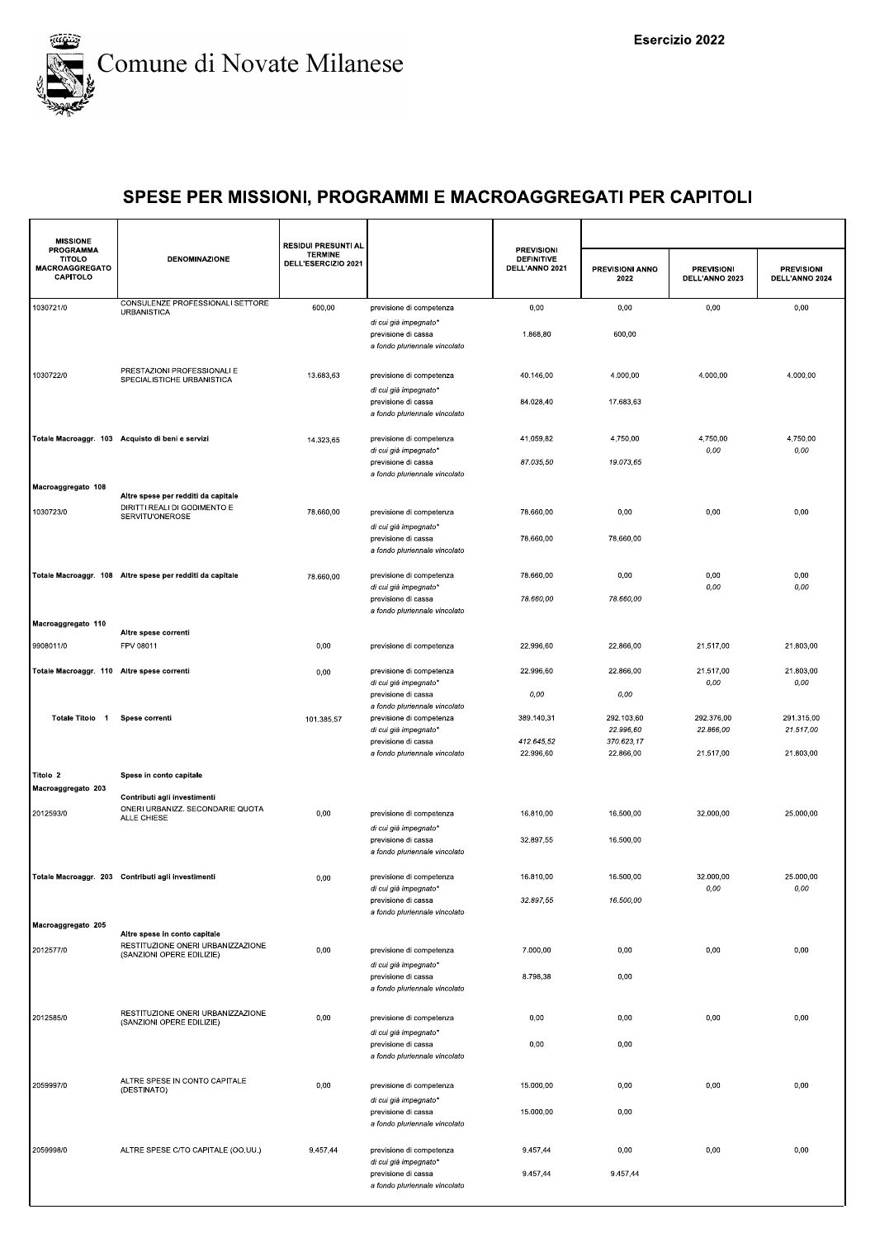

| <b>MISSIONE</b>                                          |                                                                                 | <b>RESIDUI PRESUNTI AL</b>            |                                                                               |                                                          |                                       |                                     |                                     |
|----------------------------------------------------------|---------------------------------------------------------------------------------|---------------------------------------|-------------------------------------------------------------------------------|----------------------------------------------------------|---------------------------------------|-------------------------------------|-------------------------------------|
| <b>PROGRAMMA</b><br>TITOLO<br>MACROAGGREGATO<br>CAPITOLO | <b>DENOMINAZIONE</b>                                                            | <b>TERMINE</b><br>DELL'ESERCIZIO 2021 |                                                                               | <b>PREVISIONI</b><br><b>DEFINITIVE</b><br>DELL'ANNO 2021 | PREVISIONI ANNO<br>2022               | <b>PREVISIONI</b><br>DELL'ANNO 2023 | <b>PREVISIONI</b><br>DELL'ANNO 2024 |
| 1030721/0                                                | CONSULENZE PROFESSIONALI SETTORE<br><b>URBANISTICA</b>                          | 600,00                                | previsione di competenza                                                      | 0,00                                                     | 0,00                                  | 0,00                                | 0,00                                |
|                                                          |                                                                                 |                                       | di cui già impegnato*<br>previsione di cassa<br>a fondo pluriennale vincolato | 1.868,80                                                 | 600,00                                |                                     |                                     |
| 1030722/0                                                | PRESTAZIONI PROFESSIONALI E<br>SPECIALISTICHE URBANISTICA                       | 13.683,63                             | previsione di competenza<br>di cui già impegnato*                             | 40.146,00                                                | 4.000,00                              | 4.000,00                            | 4.000,00                            |
|                                                          |                                                                                 |                                       | previsione di cassa<br>a fondo pluriennale vincolato                          | 84.028,40                                                | 17.683,63                             |                                     |                                     |
|                                                          | Totale Macroaggr. 103 Acquisto di beni e servizi                                | 14.323,65                             | previsione di competenza<br>di cui già impegnato*<br>previsione di cassa      | 41.059,82<br>87.035,50                                   | 4.750,00<br>19.073,65                 | 4.750,00<br>0,00                    | 4.750,00<br>0,00                    |
| Macroaggregato 108                                       |                                                                                 |                                       | a fondo pluriennale vincolato                                                 |                                                          |                                       |                                     |                                     |
| 1030723/0                                                | Altre spese per redditi da capitale<br>DIRITTI REALI DI GODIMENTO E             | 78.660,00                             | previsione di competenza                                                      | 78.660,00                                                | 0,00                                  | 0,00                                | 0,00                                |
|                                                          | SERVITU'ONEROSE                                                                 |                                       | di cui già impegnato*                                                         |                                                          |                                       |                                     |                                     |
|                                                          |                                                                                 |                                       | previsione di cassa<br>a fondo pluriennale vincolato                          | 78.660,00                                                | 78.660,00                             |                                     |                                     |
|                                                          | Totale Macroaggr. 108 Altre spese per redditi da capitale                       | 78.660,00                             | previsione di competenza<br>di cui già impegnato*                             | 78.660,00                                                | 0,00                                  | 0,00<br>0,00                        | 0,00<br>0,00                        |
|                                                          |                                                                                 |                                       | previsione di cassa<br>a fondo pluriennale vincolato                          | 78.660,00                                                | 78.660,00                             |                                     |                                     |
| Macroaggregato 110                                       | Altre spese correnti                                                            |                                       |                                                                               |                                                          |                                       |                                     |                                     |
| 9908011/0                                                | FPV 08011                                                                       | 0,00                                  | previsione di competenza                                                      | 22.996,60                                                | 22.866,00                             | 21.517,00                           | 21.803,00                           |
| Totale Macroaggr. 110 Altre spese correnti               |                                                                                 | 0,00                                  | previsione di competenza<br>di cui già impegnato*                             | 22.996,60                                                | 22.866,00                             | 21.517,00<br>0,00                   | 21.803,00<br>0,00                   |
|                                                          |                                                                                 |                                       | previsione di cassa<br>a fondo pluriennale vincolato                          | 0,00                                                     | 0,00                                  |                                     |                                     |
| Totale Titolo 1                                          | Spese correnti                                                                  | 101.385,57                            | previsione di competenza<br>di cui già impegnato*<br>previsione di cassa      | 389.140,31<br>412.645,52                                 | 292.103,60<br>22.996,60<br>370.623,17 | 292.376,00<br>22.866,00             | 291.315,00<br>21.517,00             |
|                                                          |                                                                                 |                                       | a fondo pluriennale vincolato                                                 | 22.996,60                                                | 22.866,00                             | 21.517,00                           | 21.803,00                           |
| Titolo 2<br>Macroaggregato 203                           | Spese in conto capitale                                                         |                                       |                                                                               |                                                          |                                       |                                     |                                     |
| 2012593/0                                                | Contributi agli investimenti<br>ONERI URBANIZZ. SECONDARIE QUOTA<br>ALLE CHIESE | 0,00                                  | previsione di competenza                                                      | 16.810,00                                                | 16.500,00                             | 32.000,00                           | 25.000,00                           |
|                                                          |                                                                                 |                                       | di cui già impegnato*<br>previsione di cassa<br>a fondo pluriennale vincolato | 32.897,55                                                | 16.500,00                             |                                     |                                     |
|                                                          | Totale Macroaggr. 203 Contributi agli investimenti                              | 0,00                                  | previsione di competenza<br>di cui già impegnato*                             | 16.810,00                                                | 16.500,00                             | 32.000.00<br>0,00                   | 25.000,00<br>0,00                   |
|                                                          |                                                                                 |                                       | previsione di cassa<br>a fondo pluriennale vincolato                          | 32.897,55                                                | 16.500,00                             |                                     |                                     |
| Macroaggregato 205                                       | Altre spese in conto capitale                                                   |                                       |                                                                               |                                                          |                                       |                                     |                                     |
| 2012577/0                                                | RESTITUZIONE ONERI URBANIZZAZIONE<br>(SANZIONI OPERE EDILIZIE)                  | 0,00                                  | previsione di competenza<br>di cui già impegnato*                             | 7.000,00                                                 | 0,00                                  | 0,00                                | 0,00                                |
|                                                          |                                                                                 |                                       | previsione di cassa<br>a fondo pluriennale vincolato                          | 8.798,38                                                 | 0,00                                  |                                     |                                     |
| 2012585/0                                                | RESTITUZIONE ONERI URBANIZZAZIONE<br>(SANZIONI OPERE EDILIZIE)                  | 0,00                                  | previsione di competenza<br>di cui già impegnato*                             | 0,00                                                     | 0,00                                  | 0,00                                | 0,00                                |
|                                                          |                                                                                 |                                       | previsione di cassa<br>a fondo pluriennale vincolato                          | 0,00                                                     | 0,00                                  |                                     |                                     |
| 2059997/0                                                | ALTRE SPESE IN CONTO CAPITALE<br>(DESTINATO)                                    | 0,00                                  | previsione di competenza<br>di cui già impegnato*                             | 15.000,00                                                | 0,00                                  | 0,00                                | 0,00                                |
|                                                          |                                                                                 |                                       | previsione di cassa<br>a fondo pluriennale vincolato                          | 15.000,00                                                | 0,00                                  |                                     |                                     |
| 2059998/0                                                | ALTRE SPESE C/TO CAPITALE (OO.UU.)                                              | 9.457,44                              | previsione di competenza<br>di cui già impegnato*                             | 9.457,44                                                 | 0,00                                  | 0,00                                | 0,00                                |
|                                                          |                                                                                 |                                       | previsione di cassa<br>a fondo pluriennale vincolato                          | 9.457,44                                                 | 9.457,44                              |                                     |                                     |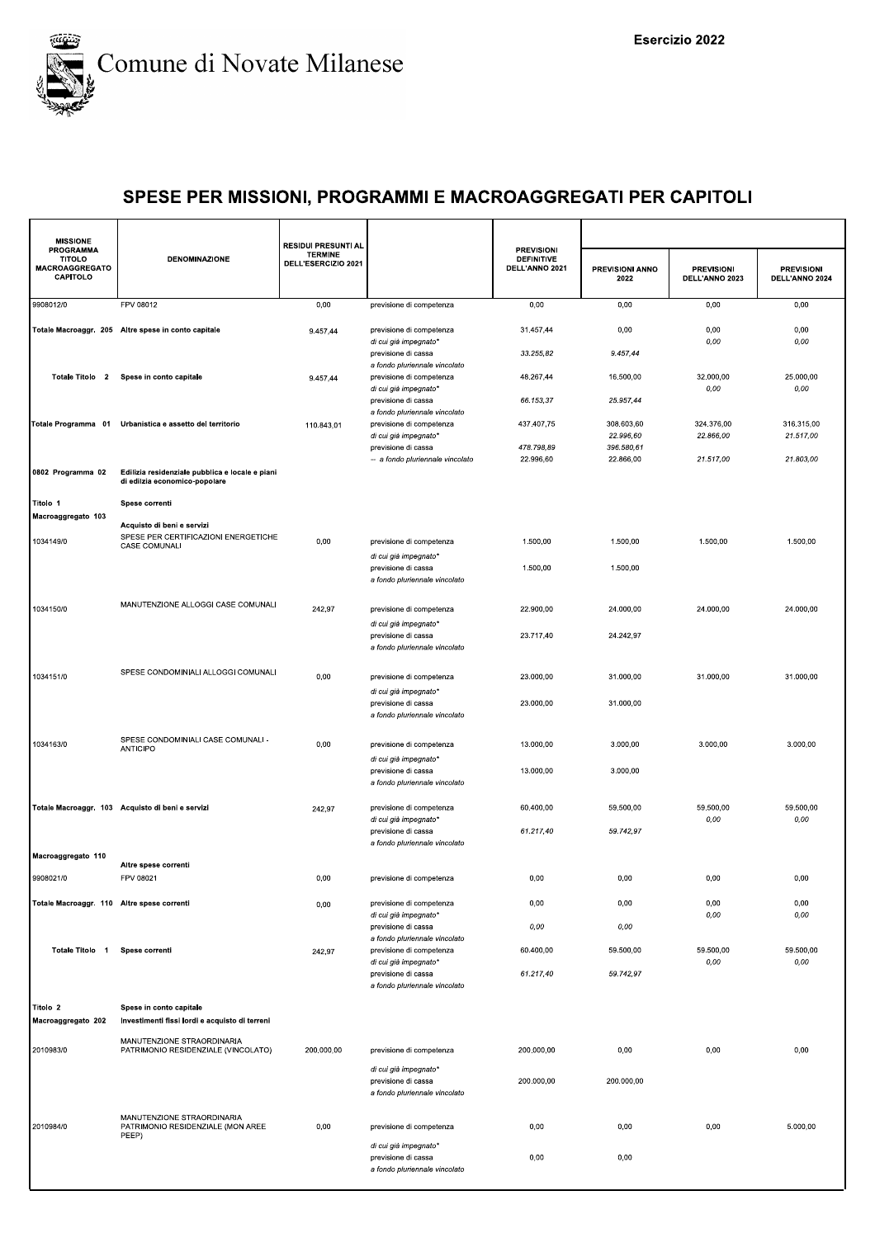

| <b>MISSIONE</b>                                                 |                                                                                     | <b>RESIDUI PRESUNTI AL</b>            |                                                                                                           | <b>PREVISIONI</b>                   |                                      |                                     |                                     |
|-----------------------------------------------------------------|-------------------------------------------------------------------------------------|---------------------------------------|-----------------------------------------------------------------------------------------------------------|-------------------------------------|--------------------------------------|-------------------------------------|-------------------------------------|
| <b>PROGRAMMA</b><br><b>TITOLO</b><br>MACROAGGREGATO<br>CAPITOLO | <b>DENOMINAZIONE</b>                                                                | <b>TERMINE</b><br>DELL'ESERCIZIO 2021 |                                                                                                           | <b>DEFINITIVE</b><br>DELL'ANNO 2021 | PREVISIONI ANNO<br>2022              | <b>PREVISIONI</b><br>DELL'ANNO 2023 | <b>PREVISIONI</b><br>DELL'ANNO 2024 |
| 9908012/0                                                       | FPV 08012                                                                           | 0,00                                  | previsione di competenza                                                                                  | 0,00                                | 0,00                                 | 0,00                                | 0,00                                |
|                                                                 | Totale Macroaggr. 205 Altre spese in conto capitale                                 | 9.457,44                              | previsione di competenza<br>di cui già impegnato*                                                         | 31.457,44                           | 0,00                                 | 0,00<br>0,00                        | 0,00<br>0,00                        |
|                                                                 |                                                                                     |                                       | previsione di cassa<br>a fondo pluriennale vincolato                                                      | 33.255,82                           | 9.457,44                             |                                     |                                     |
| Totale Titolo 2                                                 | Spese in conto capitale                                                             | 9.457,44                              | previsione di competenza<br>di cui già impegnato*                                                         | 48.267,44                           | 16.500,00                            | 32.000,00<br>0,00                   | 25.000,00<br>0,00                   |
| Totale Programma 01                                             | Urbanistica e assetto del territorio                                                | 110.843,01                            | previsione di cassa<br>a fondo pluriennale vincolato<br>previsione di competenza<br>di cui già impegnato* | 66.153,37<br>437.407,75             | 25.957,44<br>308.603,60<br>22.996,60 | 324.376,00<br>22.866,00             | 316.315,00<br>21.517,00             |
|                                                                 |                                                                                     |                                       | previsione di cassa<br>-- a fondo pluriennale vincolato                                                   | 478.798,89<br>22.996,60             | 396.580,61<br>22.866,00              | 21.517,00                           | 21.803,00                           |
| 0802 Programma 02                                               | Edilizia residenziale pubblica e locale e piani<br>di edilzia economico-popolare    |                                       |                                                                                                           |                                     |                                      |                                     |                                     |
| Titolo 1                                                        | Spese correnti                                                                      |                                       |                                                                                                           |                                     |                                      |                                     |                                     |
| Macroaggregato 103<br>1034149/0                                 | Acquisto di beni e servizi<br>SPESE PER CERTIFICAZIONI ENERGETICHE<br>CASE COMUNALI | 0,00                                  | previsione di competenza                                                                                  | 1.500,00                            | 1.500,00                             | 1.500,00                            | 1.500,00                            |
|                                                                 |                                                                                     |                                       | di cui già impegnato*<br>previsione di cassa<br>a fondo pluriennale vincolato                             | 1.500,00                            | 1.500,00                             |                                     |                                     |
| 1034150/0                                                       | MANUTENZIONE ALLOGGI CASE COMUNALI                                                  | 242,97                                | previsione di competenza                                                                                  | 22.900,00                           | 24.000,00                            | 24.000,00                           | 24.000,00                           |
|                                                                 |                                                                                     |                                       | di cui già impegnato*<br>previsione di cassa<br>a fondo pluriennale vincolato                             | 23.717,40                           | 24.242,97                            |                                     |                                     |
| 1034151/0                                                       | SPESE CONDOMINIALI ALLOGGI COMUNALI                                                 | 0,00                                  | previsione di competenza<br>di cui già impegnato*                                                         | 23.000,00                           | 31.000,00                            | 31.000,00                           | 31.000,00                           |
|                                                                 |                                                                                     |                                       | previsione di cassa<br>a fondo pluriennale vincolato                                                      | 23.000,00                           | 31.000,00                            |                                     |                                     |
| 1034163/0                                                       | SPESE CONDOMINIALI CASE COMUNALI -<br><b>ANTICIPO</b>                               | 0,00                                  | previsione di competenza<br>di cui già impegnato*                                                         | 13.000,00                           | 3.000,00                             | 3.000,00                            | 3.000,00                            |
|                                                                 |                                                                                     |                                       | previsione di cassa<br>a fondo pluriennale vincolato                                                      | 13.000,00                           | 3.000,00                             |                                     |                                     |
|                                                                 | Totale Macroaggr. 103 Acquisto di beni e servizi                                    | 242,97                                | previsione di competenza<br>di cui già impegnato*                                                         | 60.400,00                           | 59.500,00                            | 59.500,00<br>0,00                   | 59.500,00<br>0,00                   |
|                                                                 |                                                                                     |                                       | previsione di cassa<br>a fondo pluriennale vincolato                                                      | 61.217,40                           | 59.742,97                            |                                     |                                     |
| Macroaggregato 110<br>9908021/0                                 | Altre spese correnti                                                                |                                       |                                                                                                           |                                     |                                      |                                     |                                     |
| Totale Macroaggr. 110 Altre spese correnti                      | FPV 08021                                                                           | 0,00<br>0,00                          | previsione di competenza<br>previsione di competenza                                                      | 0,00<br>0,00                        | 0,00<br>0,00                         | 0,00<br>0,00                        | 0,00<br>0,00                        |
|                                                                 |                                                                                     |                                       | di cui già impegnato*<br>previsione di cassa                                                              | 0,00                                | 0,00                                 | 0,00                                | $0,00$                              |
| Totale Titolo 1                                                 | Spese correnti                                                                      | 242,97                                | a fondo pluriennale vincolato<br>previsione di competenza                                                 | 60.400,00                           | 59.500.00                            | 59.500,00                           | 59.500,00                           |
|                                                                 |                                                                                     |                                       | di cui già impegnato*<br>previsione di cassa<br>a fondo pluriennale vincolato                             | 61.217,40                           | 59.742,97                            | 0,00                                | 0,00                                |
| Titolo 2<br>Macroaggregato 202                                  | Spese in conto capitale<br>Investimenti fissi lordi e acquisto di terreni           |                                       |                                                                                                           |                                     |                                      |                                     |                                     |
| 2010983/0                                                       | MANUTENZIONE STRAORDINARIA<br>PATRIMONIO RESIDENZIALE (VINCOLATO)                   | 200.000,00                            | previsione di competenza                                                                                  | 200.000,00                          | 0,00                                 | 0,00                                | 0,00                                |
|                                                                 |                                                                                     |                                       | di cui già impegnato*<br>previsione di cassa<br>a fondo pluriennale vincolato                             | 200.000,00                          | 200.000,00                           |                                     |                                     |
| 2010984/0                                                       | MANUTENZIONE STRAORDINARIA<br>PATRIMONIO RESIDENZIALE (MON AREE<br>PEEP)            | 0,00                                  | previsione di competenza                                                                                  | 0,00                                | 0,00                                 | 0,00                                | 5.000,00                            |
|                                                                 |                                                                                     |                                       | di cui già impegnato*<br>previsione di cassa<br>a fondo pluriennale vincolato                             | 0,00                                | 0,00                                 |                                     |                                     |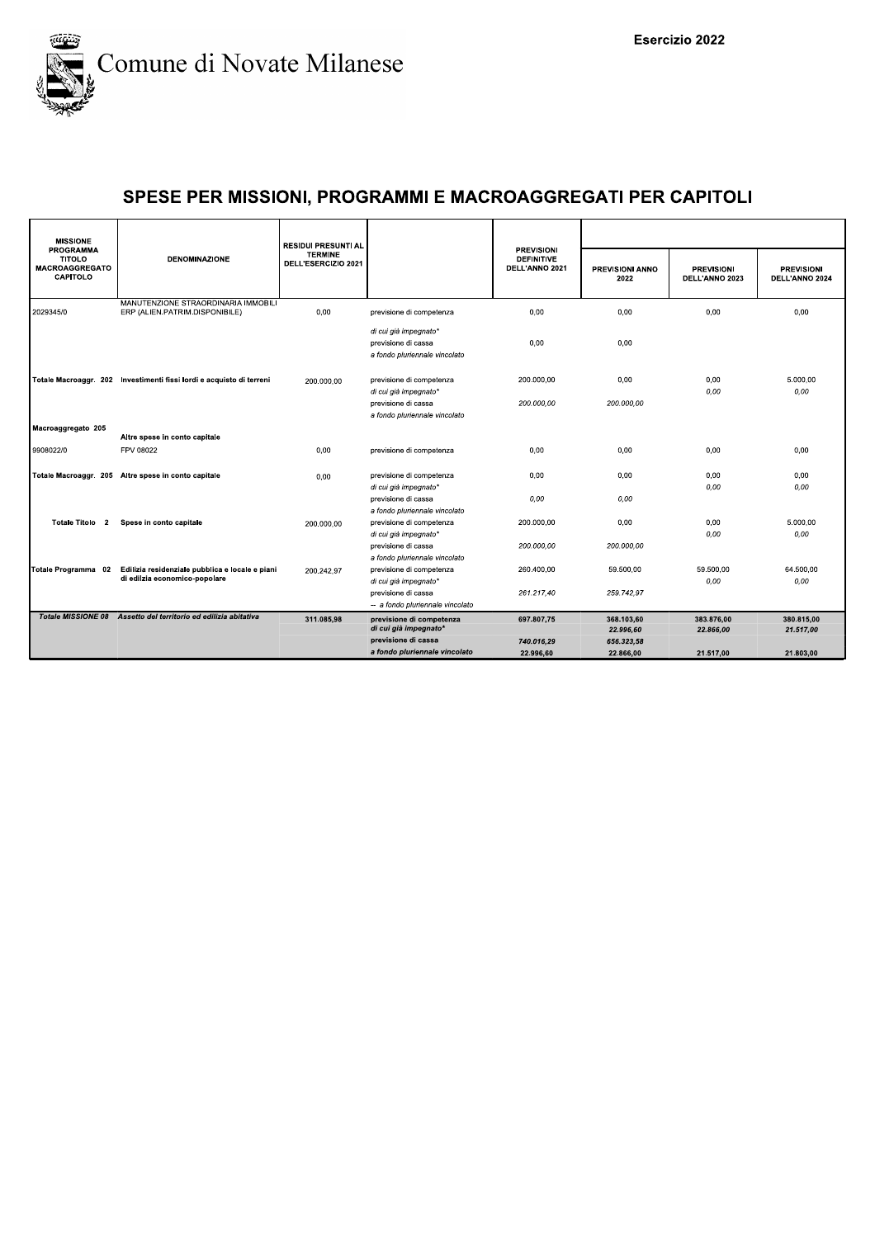

| <b>MISSIONE</b>                                                 |                                                                                  | <b>RESIDUI PRESUNTI AL</b>            |                                                                               |                                                          |                         |                                     |                                     |
|-----------------------------------------------------------------|----------------------------------------------------------------------------------|---------------------------------------|-------------------------------------------------------------------------------|----------------------------------------------------------|-------------------------|-------------------------------------|-------------------------------------|
| PROGRAMMA<br><b>TITOLO</b><br><b>MACROAGGREGATO</b><br>CAPITOLO | <b>DENOMINAZIONE</b>                                                             | <b>TERMINE</b><br>DELL'ESERCIZIO 2021 |                                                                               | <b>PREVISIONI</b><br><b>DEFINITIVE</b><br>DELL'ANNO 2021 | PREVISIONI ANNO<br>2022 | <b>PREVISIONI</b><br>DELL'ANNO 2023 | <b>PREVISIONI</b><br>DELL'ANNO 2024 |
| 2029345/0                                                       | MANUTENZIONE STRAORDINARIA IMMOBILI<br>ERP (ALIEN.PATRIM.DISPONIBILE)            | 0,00                                  | previsione di competenza                                                      | 0,00                                                     | 0,00                    | 0,00                                | 0,00                                |
|                                                                 |                                                                                  |                                       | di cui già impegnato*<br>previsione di cassa<br>a fondo pluriennale vincolato | 0,00                                                     | 0,00                    |                                     |                                     |
|                                                                 | Totale Macroaggr. 202 Investimenti fissi lordi e acquisto di terreni             | 200.000,00                            | previsione di competenza<br>di cui già impegnato*                             | 200.000.00                                               | 0.00                    | 0.00<br>0,00                        | 5.000.00<br>0,00                    |
|                                                                 |                                                                                  |                                       | previsione di cassa<br>a fondo pluriennale vincolato                          | 200.000.00                                               | 200.000.00              |                                     |                                     |
| Macroaggregato 205                                              | Altre spese in conto capitale                                                    |                                       |                                                                               |                                                          |                         |                                     |                                     |
| 9908022/0                                                       | FPV 08022                                                                        | 0.00                                  | previsione di competenza                                                      | 0.00                                                     | 0.00                    | 0.00                                | 0.00                                |
|                                                                 | Totale Macroaggr. 205 Altre spese in conto capitale                              | 0.00                                  | previsione di competenza<br>di cui già impegnato*                             | 0,00                                                     | 0,00                    | 0,00<br>0.00                        | 0,00<br>0.00                        |
|                                                                 |                                                                                  |                                       | previsione di cassa<br>a fondo pluriennale vincolato                          | 0.00                                                     | 0.00                    |                                     |                                     |
| Totale Titolo 2                                                 | Spese in conto capitale                                                          | 200.000,00                            | previsione di competenza<br>di cui già impegnato*                             | 200.000,00                                               | 0.00                    | 0,00<br>0.00                        | 5.000,00<br>0.00                    |
|                                                                 |                                                                                  |                                       | previsione di cassa<br>a fondo pluriennale vincolato                          | 200.000,00                                               | 200.000,00              |                                     |                                     |
| Totale Programma 02                                             | Edilizia residenziale pubblica e locale e piani<br>di edilzia economico-popolare | 200.242,97                            | previsione di competenza<br>di cui già impegnato*                             | 260.400.00                                               | 59.500,00               | 59.500,00<br>0,00                   | 64.500.00<br>0,00                   |
|                                                                 |                                                                                  |                                       | previsione di cassa<br>-- a fondo pluriennale vincolato                       | 261.217,40                                               | 259.742.97              |                                     |                                     |
|                                                                 | Totale MISSIONE 08 Assetto del territorio ed edilizia abitativa                  | 311.085,98                            | previsione di competenza<br>di cui già impegnato*                             | 697.807,75                                               | 368.103,60<br>22.996,60 | 383.876,00<br>22.866,00             | 380.815,00<br>21.517,00             |
|                                                                 |                                                                                  |                                       | previsione di cassa                                                           | 740.016,29                                               | 656.323,58              |                                     |                                     |
|                                                                 |                                                                                  |                                       | a fondo pluriennale vincolato                                                 | 22.996.60                                                | 22.866.00               | 21.517.00                           | 21.803.00                           |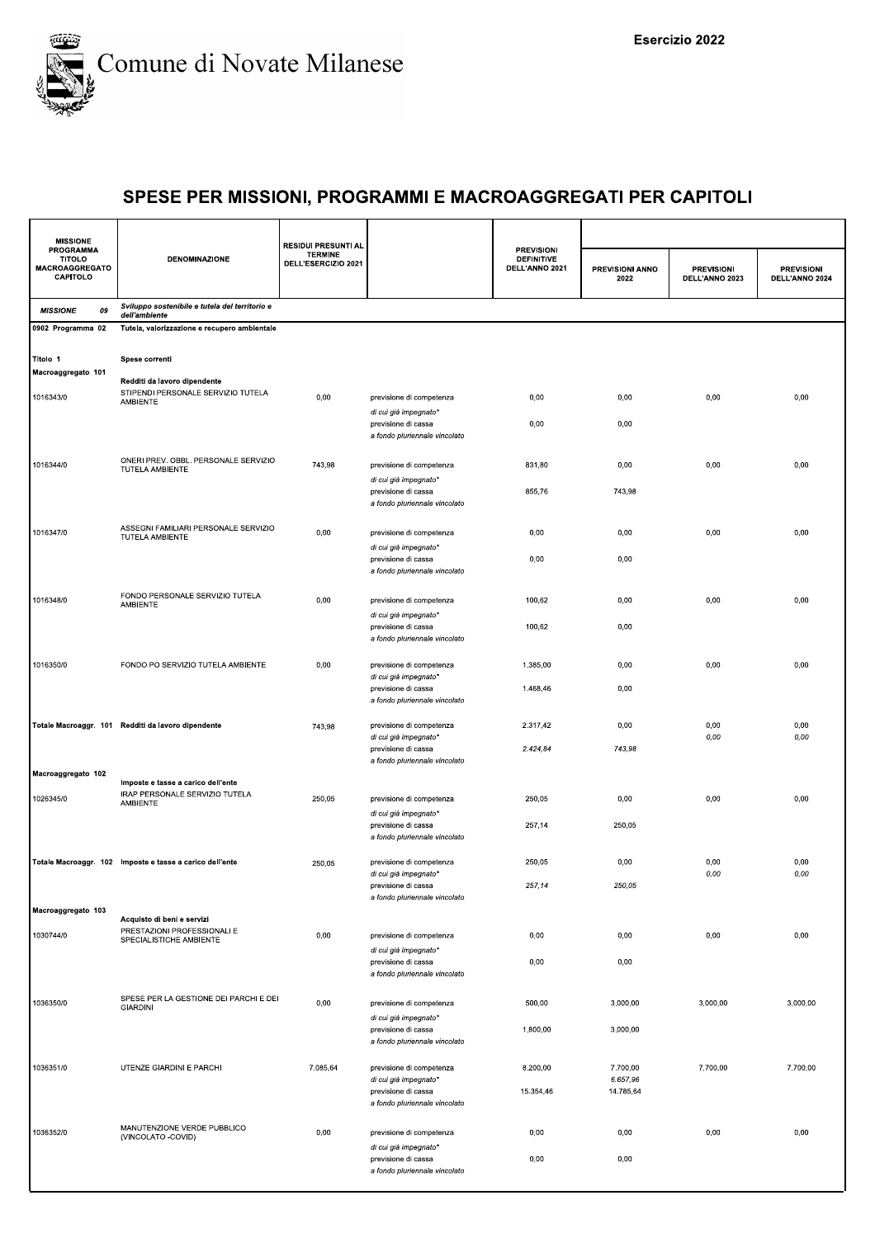

| <b>MISSIONE</b>                                                 |                                                                                | <b>RESIDUI PRESUNTI AL</b>            |                                                                          |                                                          |                         |                                     |                                     |
|-----------------------------------------------------------------|--------------------------------------------------------------------------------|---------------------------------------|--------------------------------------------------------------------------|----------------------------------------------------------|-------------------------|-------------------------------------|-------------------------------------|
| PROGRAMMA<br><b>TITOLO</b><br><b>MACROAGGREGATO</b><br>CAPITOLO | <b>DENOMINAZIONE</b>                                                           | <b>TERMINE</b><br>DELL'ESERCIZIO 2021 |                                                                          | <b>PREVISIONI</b><br><b>DEFINITIVE</b><br>DELL'ANNO 2021 | PREVISIONI ANNO<br>2022 | <b>PREVISIONI</b><br>DELL'ANNO 2023 | <b>PREVISIONI</b><br>DELL'ANNO 2024 |
| <b>MISSIONE</b><br>09                                           | Sviluppo sostenibile e tutela del territorio e<br>dell'ambiente                |                                       |                                                                          |                                                          |                         |                                     |                                     |
| 0902 Programma 02                                               | Tutela, valorizzazione e recupero ambientale                                   |                                       |                                                                          |                                                          |                         |                                     |                                     |
| Titolo 1<br>Macroaggregato 101                                  | Spese correnti                                                                 |                                       |                                                                          |                                                          |                         |                                     |                                     |
| 1016343/0                                                       | Redditi da lavoro dipendente<br>STIPENDI PERSONALE SERVIZIO TUTELA<br>AMBIENTE | 0,00                                  | previsione di competenza<br>di cui già impegnato*                        | 0,00                                                     | 0,00                    | 0,00                                | 0,00                                |
|                                                                 |                                                                                |                                       | previsione di cassa<br>a fondo pluriennale vincolato                     | 0,00                                                     | 0,00                    |                                     |                                     |
| 1016344/0                                                       | ONERI PREV. OBBL. PERSONALE SERVIZIO<br>TUTELA AMBIENTE                        | 743,98                                | previsione di competenza<br>di cui già impegnato*                        | 831,80                                                   | 0,00                    | 0,00                                | 0,00                                |
|                                                                 |                                                                                |                                       | previsione di cassa<br>a fondo pluriennale vincolato                     | 855,76                                                   | 743,98                  |                                     |                                     |
| 1016347/0                                                       | ASSEGNI FAMILIARI PERSONALE SERVIZIO<br>TUTELA AMBIENTE                        | 0,00                                  | previsione di competenza<br>di cui già impegnato*                        | 0,00                                                     | 0,00                    | 0,00                                | 0,00                                |
|                                                                 |                                                                                |                                       | previsione di cassa<br>a fondo pluriennale vincolato                     | 0,00                                                     | 0,00                    |                                     |                                     |
| 1016348/0                                                       | FONDO PERSONALE SERVIZIO TUTELA<br>AMBIENTE                                    | 0,00                                  | previsione di competenza<br>di cui già impegnato*                        | 100,62                                                   | 0,00                    | 0,00                                | 0,00                                |
|                                                                 |                                                                                |                                       | previsione di cassa<br>a fondo pluriennale vincolato                     | 100,62                                                   | 0,00                    |                                     |                                     |
| 1016350/0                                                       | FONDO PO SERVIZIO TUTELA AMBIENTE                                              | 0,00                                  | previsione di competenza<br>di cui già impegnato*                        | 1.385,00                                                 | 0,00                    | 0,00                                | 0,00                                |
|                                                                 |                                                                                |                                       | previsione di cassa<br>a fondo pluriennale vincolato                     | 1.468,46                                                 | 0,00                    |                                     |                                     |
|                                                                 | Totale Macroaggr. 101 Redditi da lavoro dipendente                             | 743,98                                | previsione di competenza<br>di cui già impegnato*<br>previsione di cassa | 2.317,42<br>2.424,84                                     | 0,00<br>743,98          | 0,00<br>0,00                        | 0,00<br>0,00                        |
|                                                                 |                                                                                |                                       | a fondo pluriennale vincolato                                            |                                                          |                         |                                     |                                     |
| Macroaggregato 102                                              | Imposte e tasse a carico dell'ente                                             |                                       |                                                                          |                                                          |                         |                                     |                                     |
| 1026345/0                                                       | IRAP PERSONALE SERVIZIO TUTELA<br>AMBIENTE                                     | 250,05                                | previsione di competenza<br>di cui già impegnato*                        | 250,05                                                   | 0,00                    | 0,00                                | 0,00                                |
|                                                                 |                                                                                |                                       | previsione di cassa<br>a fondo pluriennale vincolato                     | 257,14                                                   | 250,05                  |                                     |                                     |
|                                                                 | Totale Macroaggr. 102 Imposte e tasse a carico dell'ente                       | 250,05                                | previsione di competenza<br>di cui già impegnato*<br>previsione di cassa | 250,05<br>257,14                                         | 0,00<br>250,05          | 0,00<br>0,00                        | 0,00<br>0,00                        |
| Macroaggregato 103                                              |                                                                                |                                       | a fondo pluriennale vincolato                                            |                                                          |                         |                                     |                                     |
|                                                                 | Acquisto di beni e servizi<br>PRESTAZIONI PROFESSIONALI E                      |                                       |                                                                          |                                                          |                         |                                     |                                     |
| 1030744/0                                                       | SPECIALISTICHE AMBIENTE                                                        | 0,00                                  | previsione di competenza<br>di cui già impegnato*<br>previsione di cassa | 0,00<br>0,00                                             | 0,00<br>0,00            | 0,00                                | 0,00                                |
|                                                                 |                                                                                |                                       | a fondo pluriennale vincolato                                            |                                                          |                         |                                     |                                     |
| 1036350/0                                                       | SPESE PER LA GESTIONE DEI PARCHI E DEI<br><b>GIARDINI</b>                      | 0,00                                  | previsione di competenza<br>di cui già impegnato*                        | 500,00                                                   | 3.000.00                | 3.000,00                            | 3.000,00                            |
|                                                                 |                                                                                |                                       | previsione di cassa<br>a fondo pluriennale vincolato                     | 1.800,00                                                 | 3.000,00                |                                     |                                     |
| 1036351/0                                                       | UTENZE GIARDINI E PARCHI                                                       | 7.085,64                              | previsione di competenza<br>di cui già impegnato*                        | 8.200,00                                                 | 7.700,00<br>6.657,96    | 7.700,00                            | 7.700,00                            |
|                                                                 |                                                                                |                                       | previsione di cassa<br>a fondo pluriennale vincolato                     | 15.354,46                                                | 14.785,64               |                                     |                                     |
| 1036352/0                                                       | MANUTENZIONE VERDE PUBBLICO<br>(VINCOLATO -COVID)                              | 0,00                                  | previsione di competenza<br>di cui già impegnato*                        | 0,00                                                     | 0,00                    | 0,00                                | 0,00                                |
|                                                                 |                                                                                |                                       | previsione di cassa<br>a fondo pluriennale vincolato                     | 0,00                                                     | 0,00                    |                                     |                                     |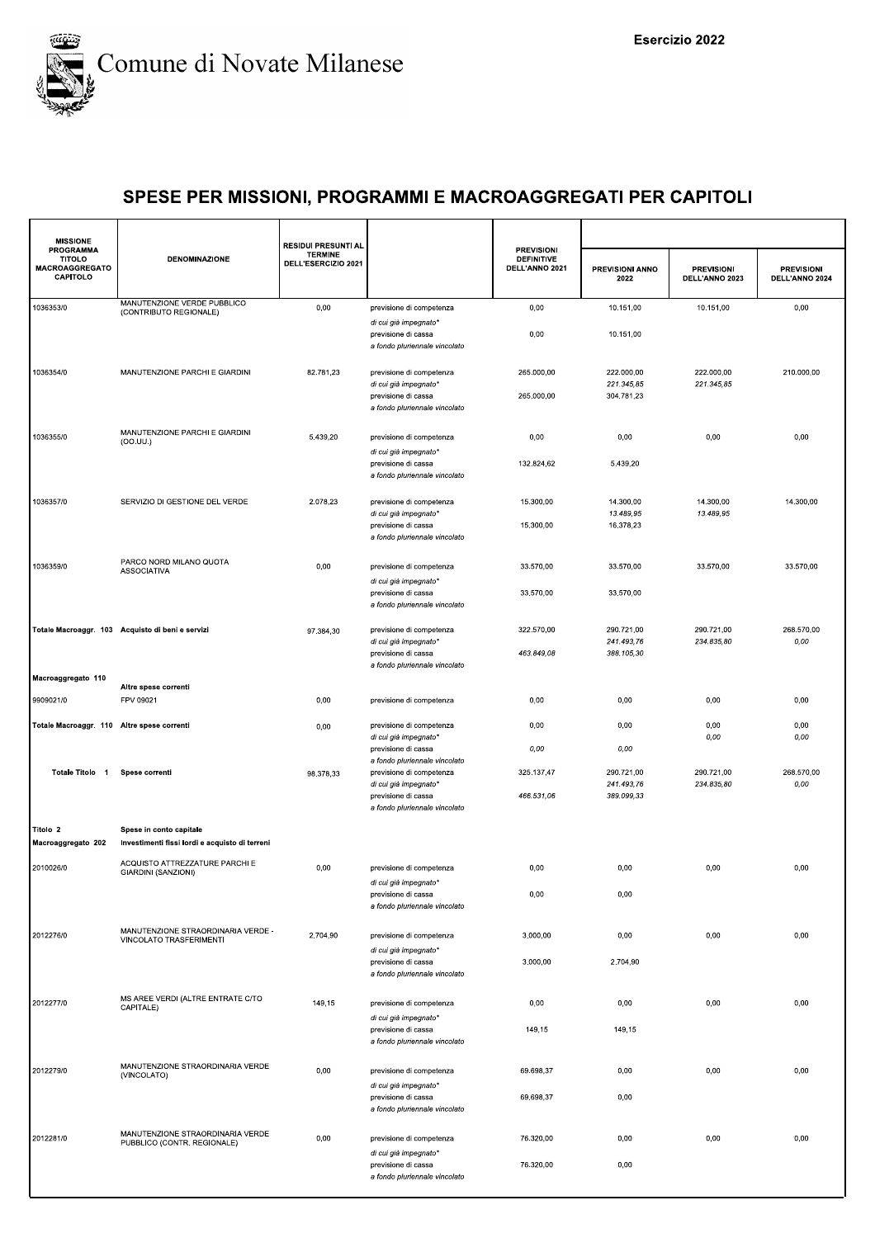

| <b>MISSIONE</b><br><b>PROGRAMMA</b>         |                                                                 | <b>RESIDUI PRESUNTI AL</b>            |                                                                                                           | <b>PREVISIONI</b>                   |                                        |                                     |                                     |
|---------------------------------------------|-----------------------------------------------------------------|---------------------------------------|-----------------------------------------------------------------------------------------------------------|-------------------------------------|----------------------------------------|-------------------------------------|-------------------------------------|
| <b>TITOLO</b><br>MACROAGGREGATO<br>CAPITOLO | <b>DENOMINAZIONE</b>                                            | <b>TERMINE</b><br>DELL'ESERCIZIO 2021 |                                                                                                           | <b>DEFINITIVE</b><br>DELL'ANNO 2021 | PREVISIONI ANNO<br>2022                | <b>PREVISIONI</b><br>DELL'ANNO 2023 | <b>PREVISIONI</b><br>DELL'ANNO 2024 |
| 1036353/0                                   | MANUTENZIONE VERDE PUBBLICO<br>(CONTRIBUTO REGIONALE)           | 0,00                                  | previsione di competenza                                                                                  | 0,00                                | 10.151,00                              | 10.151,00                           | 0,00                                |
|                                             |                                                                 |                                       | di cui già impegnato*<br>previsione di cassa<br>a fondo pluriennale vincolato                             | 0,00                                | 10.151,00                              |                                     |                                     |
| 1036354/0                                   | MANUTENZIONE PARCHI E GIARDINI                                  | 82.781,23                             | previsione di competenza<br>di cui già impegnato*<br>previsione di cassa                                  | 265.000,00<br>265.000,00            | 222.000,00<br>221.345,85<br>304.781,23 | 222.000,00<br>221.345,85            | 210.000,00                          |
|                                             |                                                                 |                                       | a fondo pluriennale vincolato                                                                             |                                     |                                        |                                     |                                     |
| 1036355/0                                   | MANUTENZIONE PARCHI E GIARDINI<br>(OO.UU.)                      | 5.439,20                              | previsione di competenza<br>di cui già impegnato*                                                         | 0,00<br>132.824,62                  | 0,00<br>5.439,20                       | 0,00                                | 0,00                                |
|                                             |                                                                 |                                       | previsione di cassa<br>a fondo pluriennale vincolato                                                      |                                     |                                        |                                     |                                     |
| 1036357/0                                   | SERVIZIO DI GESTIONE DEL VERDE                                  | 2.078,23                              | previsione di competenza<br>di cui già impegnato*                                                         | 15.300,00                           | 14.300,00<br>13.489,95                 | 14.300,00<br>13.489,95              | 14.300,00                           |
|                                             |                                                                 |                                       | previsione di cassa<br>a fondo pluriennale vincolato                                                      | 15.300,00                           | 16.378,23                              |                                     |                                     |
| 1036359/0                                   | PARCO NORD MILANO QUOTA<br><b>ASSOCIATIVA</b>                   | 0,00                                  | previsione di competenza<br>di cui già impegnato*                                                         | 33.570,00                           | 33.570,00                              | 33.570,00                           | 33.570,00                           |
|                                             |                                                                 |                                       | previsione di cassa<br>a fondo pluriennale vincolato                                                      | 33.570,00                           | 33.570,00                              |                                     |                                     |
|                                             | Totale Macroaggr. 103 Acquisto di beni e servizi                | 97.384,30                             | previsione di competenza<br>di cui già impegnato*                                                         | 322.570,00                          | 290.721,00<br>241.493.76               | 290.721,00<br>234.835,80            | 268.570,00<br>0,00                  |
|                                             |                                                                 |                                       | previsione di cassa<br>a fondo pluriennale vincolato                                                      | 463.849,08                          | 388.105,30                             |                                     |                                     |
| Macroaggregato 110                          | Altre spese correnti                                            |                                       |                                                                                                           |                                     |                                        |                                     |                                     |
| 9909021/0                                   | FPV 09021                                                       | 0,00                                  | previsione di competenza                                                                                  | 0,00                                | 0,00                                   | 0,00                                | 0,00                                |
| Totale Macroaggr. 110 Altre spese correnti  |                                                                 | 0,00                                  | previsione di competenza<br>di cui già impegnato*                                                         | 0,00                                | 0,00                                   | 0,00<br>0,00                        | 0,00<br>0,00                        |
|                                             |                                                                 |                                       | previsione di cassa<br>a fondo pluriennale vincolato                                                      | 0,00                                | 0,00                                   |                                     |                                     |
| Totale Titolo 1                             | Spese correnti                                                  | 98.378,33                             | previsione di competenza<br>di cui già impegnato*<br>previsione di cassa<br>a fondo pluriennale vincolato | 325.137,47<br>466.531,06            | 290.721,00<br>241.493,76<br>389.099,33 | 290.721,00<br>234.835,80            | 268.570,00<br>0,00                  |
| Titolo 2                                    | Spese in conto capitale                                         |                                       |                                                                                                           |                                     |                                        |                                     |                                     |
| Macroaggregato 202                          | Investimenti fissi lordi e acquisto di terreni                  |                                       |                                                                                                           |                                     |                                        |                                     |                                     |
| 2010026/0                                   | ACQUISTO ATTREZZATURE PARCHI E<br>GIARDINI (SANZIONI)           | 0,00                                  | previsione di competenza                                                                                  | 0,00                                | 0,00                                   | 0,00                                | 0,00                                |
|                                             |                                                                 |                                       | di cui già impegnato*<br>previsione di cassa<br>a fondo pluriennale vincolato                             | 0,00                                | 0,00                                   |                                     |                                     |
| 2012276/0                                   | MANUTENZIONE STRAORDINARIA VERDE -<br>VINCOLATO TRASFERIMENTI   | 2.704,90                              | previsione di competenza<br>di cui già impegnato*                                                         | 3.000,00                            | 0,00                                   | 0,00                                | 0,00                                |
|                                             |                                                                 |                                       | previsione di cassa<br>a fondo pluriennale vincolato                                                      | 3.000,00                            | 2.704,90                               |                                     |                                     |
| 2012277/0                                   | MS AREE VERDI (ALTRE ENTRATE C/TO<br>CAPITALE)                  | 149,15                                | previsione di competenza<br>di cui già impegnato*                                                         | 0,00                                | 0,00                                   | 0,00                                | 0,00                                |
|                                             |                                                                 |                                       | previsione di cassa<br>a fondo pluriennale vincolato                                                      | 149,15                              | 149,15                                 |                                     |                                     |
| 2012279/0                                   | MANUTENZIONE STRAORDINARIA VERDE<br>(VINCOLATO)                 | 0,00                                  | previsione di competenza<br>di cui già impegnato*                                                         | 69.698,37                           | 0,00                                   | 0,00                                | 0,00                                |
|                                             |                                                                 |                                       | previsione di cassa<br>a fondo pluriennale vincolato                                                      | 69.698,37                           | 0,00                                   |                                     |                                     |
| 2012281/0                                   | MANUTENZIONE STRAORDINARIA VERDE<br>PUBBLICO (CONTR. REGIONALE) | 0,00                                  | previsione di competenza<br>di cui già impegnato*                                                         | 76.320,00                           | 0,00                                   | 0,00                                | 0,00                                |
|                                             |                                                                 |                                       | previsione di cassa<br>a fondo pluriennale vincolato                                                      | 76.320,00                           | 0,00                                   |                                     |                                     |
|                                             |                                                                 |                                       |                                                                                                           |                                     |                                        |                                     |                                     |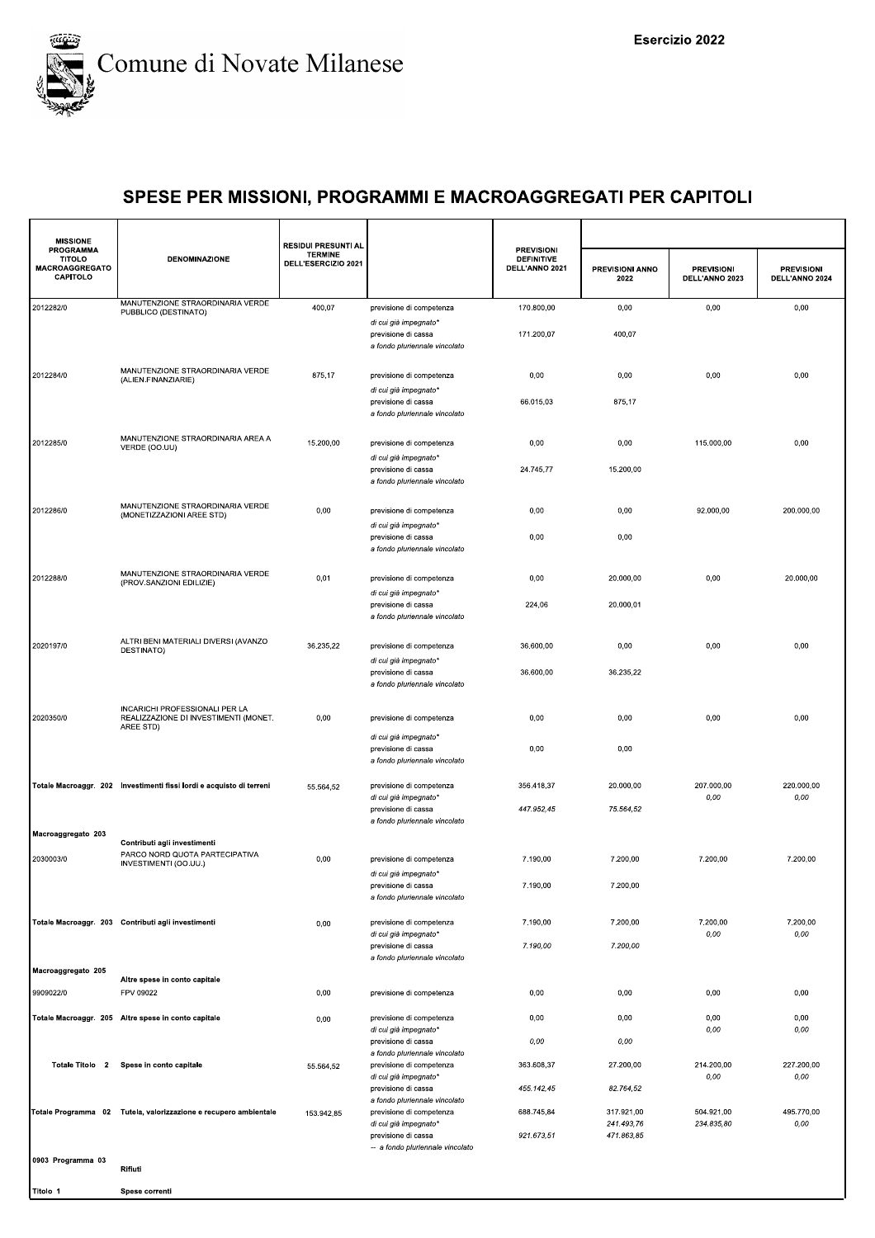

| <b>MISSIONE</b>                                                 |                                                                                         | <b>RESIDUI PRESUNTI AL</b>            |                                                                                    |                                                          |                                        |                                     |                                     |
|-----------------------------------------------------------------|-----------------------------------------------------------------------------------------|---------------------------------------|------------------------------------------------------------------------------------|----------------------------------------------------------|----------------------------------------|-------------------------------------|-------------------------------------|
| <b>PROGRAMMA</b><br><b>TITOLO</b><br>MACROAGGREGATO<br>CAPITOLO | <b>DENOMINAZIONE</b>                                                                    | <b>TERMINE</b><br>DELL'ESERCIZIO 2021 |                                                                                    | <b>PREVISIONI</b><br><b>DEFINITIVE</b><br>DELL'ANNO 2021 | PREVISIONI ANNO<br>2022                | <b>PREVISIONI</b><br>DELL'ANNO 2023 | <b>PREVISIONI</b><br>DELL'ANNO 2024 |
| 2012282/0                                                       | MANUTENZIONE STRAORDINARIA VERDE<br>PUBBLICO (DESTINATO)                                | 400,07                                | previsione di competenza                                                           | 170.800,00                                               | 0,00                                   | 0,00                                | 0,00                                |
|                                                                 |                                                                                         |                                       | di cui già impegnato*<br>previsione di cassa<br>a fondo pluriennale vincolato      | 171.200,07                                               | 400,07                                 |                                     |                                     |
| 2012284/0                                                       | MANUTENZIONE STRAORDINARIA VERDE<br>(ALIEN.FINANZIARIE)                                 | 875,17                                | previsione di competenza                                                           | 0,00                                                     | 0,00                                   | 0,00                                | 0,00                                |
|                                                                 |                                                                                         |                                       | di cui già impegnato*<br>previsione di cassa<br>a fondo pluriennale vincolato      | 66.015,03                                                | 875,17                                 |                                     |                                     |
| 2012285/0                                                       | MANUTENZIONE STRAORDINARIA AREA A<br>VERDE (OO.UU)                                      | 15.200,00                             | previsione di competenza                                                           | 0,00                                                     | 0,00                                   | 115.000,00                          | 0,00                                |
|                                                                 |                                                                                         |                                       | di cui già impegnato'<br>previsione di cassa<br>a fondo pluriennale vincolato      | 24.745,77                                                | 15.200,00                              |                                     |                                     |
| 2012286/0                                                       | MANUTENZIONE STRAORDINARIA VERDE<br>(MONETIZZAZIONI AREE STD)                           | 0,00                                  | previsione di competenza<br>di cui già impegnato*                                  | 0,00                                                     | 0,00                                   | 92.000,00                           | 200.000,00                          |
|                                                                 |                                                                                         |                                       | previsione di cassa<br>a fondo pluriennale vincolato                               | 0,00                                                     | 0,00                                   |                                     |                                     |
| 2012288/0                                                       | MANUTENZIONE STRAORDINARIA VERDE<br>(PROV.SANZIONI EDILIZIE)                            | 0,01                                  | previsione di competenza                                                           | 0,00                                                     | 20.000,00                              | 0,00                                | 20.000,00                           |
|                                                                 |                                                                                         |                                       | di cui già impegnato*<br>previsione di cassa<br>a fondo pluriennale vincolato      | 224,06                                                   | 20.000,01                              |                                     |                                     |
| 2020197/0                                                       | ALTRI BENI MATERIALI DIVERSI (AVANZO<br>DESTINATO)                                      | 36.235,22                             | previsione di competenza<br>di cui già impegnato*                                  | 36.600,00                                                | 0,00                                   | 0,00                                | 0,00                                |
|                                                                 |                                                                                         |                                       | previsione di cassa<br>a fondo pluriennale vincolato                               | 36.600,00                                                | 36.235,22                              |                                     |                                     |
| 2020350/0                                                       | INCARICHI PROFESSIONALI PER LA<br>REALIZZAZIONE DI INVESTIMENTI (MONET.<br>AREE STD)    | 0,00                                  | previsione di competenza                                                           | 0,00                                                     | 0,00                                   | 0,00                                | 0,00                                |
|                                                                 |                                                                                         |                                       | di cui già impegnato*<br>previsione di cassa<br>a fondo pluriennale vincolato      | 0,00                                                     | 0,00                                   |                                     |                                     |
|                                                                 | Totale Macroaggr. 202 Investimenti fissi lordi e acquisto di terreni                    | 55.564,52                             | previsione di competenza<br>di cui già impegnato*                                  | 356.418,37<br>447.952,45                                 | 20.000,00<br>75.564,52                 | 207.000,00<br>0,00                  | 220.000,00<br>0,00                  |
| Macroaggregato 203                                              |                                                                                         |                                       | previsione di cassa<br>a fondo pluriennale vincolato                               |                                                          |                                        |                                     |                                     |
| 2030003/0                                                       | Contributi agli investimenti<br>PARCO NORD QUOTA PARTECIPATIVA<br>INVESTIMENTI (OO.UU.) | 0,00                                  | previsione di competenza<br>di cui già impegnato'                                  | 7.190,00                                                 | 7.200,00                               | 7.200,00                            | 7.200,00                            |
|                                                                 |                                                                                         |                                       | previsione di cassa<br>a fondo pluriennale vincolato                               | 7.190,00                                                 | 7.200,00                               |                                     |                                     |
|                                                                 | Totale Macroaggr. 203 Contributi agli investimenti                                      | 0,00                                  | previsione di competenza<br>di cui già impegnato*                                  | 7.190,00                                                 | 7.200,00                               | 7.200,00<br>0,00                    | 7.200,00<br>0,00                    |
|                                                                 |                                                                                         |                                       | previsione di cassa<br>a fondo pluriennale vincolato                               | 7.190,00                                                 | 7.200,00                               |                                     |                                     |
| Macroaggregato 205<br>9909022/0                                 | Altre spese in conto capitale<br>FPV 09022                                              | 0,00                                  | previsione di competenza                                                           | 0,00                                                     | 0,00                                   | 0,00                                | 0,00                                |
|                                                                 | Totale Macroaggr. 205 Altre spese in conto capitale                                     | 0,00                                  | previsione di competenza                                                           | 0,00                                                     | 0,00                                   | 0,00                                | 0,00                                |
|                                                                 |                                                                                         |                                       | di cui già impegnato*<br>previsione di cassa                                       | 0,00                                                     | 0,00                                   | 0,00                                | 0,00                                |
| Totale Titolo 2                                                 | Spese in conto capitale                                                                 | 55.564,52                             | a fondo pluriennale vincolato<br>previsione di competenza<br>di cui già impegnato* | 363.608,37                                               | 27.200,00                              | 214.200,00<br>0,00                  | 227.200,00<br>0,00                  |
|                                                                 |                                                                                         |                                       | previsione di cassa<br>a fondo pluriennale vincolato                               | 455.142,45                                               | 82.764,52                              |                                     |                                     |
|                                                                 | Totale Programma 02 Tutela, valorizzazione e recupero ambientale                        | 153.942,85                            | previsione di competenza<br>di cui già impegnato*<br>previsione di cassa           | 688.745,84<br>921.673,51                                 | 317.921,00<br>241.493,76<br>471.863,85 | 504.921,00<br>234.835,80            | 495.770,00<br>0,00                  |
| 0903 Programma 03                                               | Rifiuti                                                                                 |                                       | -- a fondo pluriennale vincolato                                                   |                                                          |                                        |                                     |                                     |

Titolo 1 Spese correnti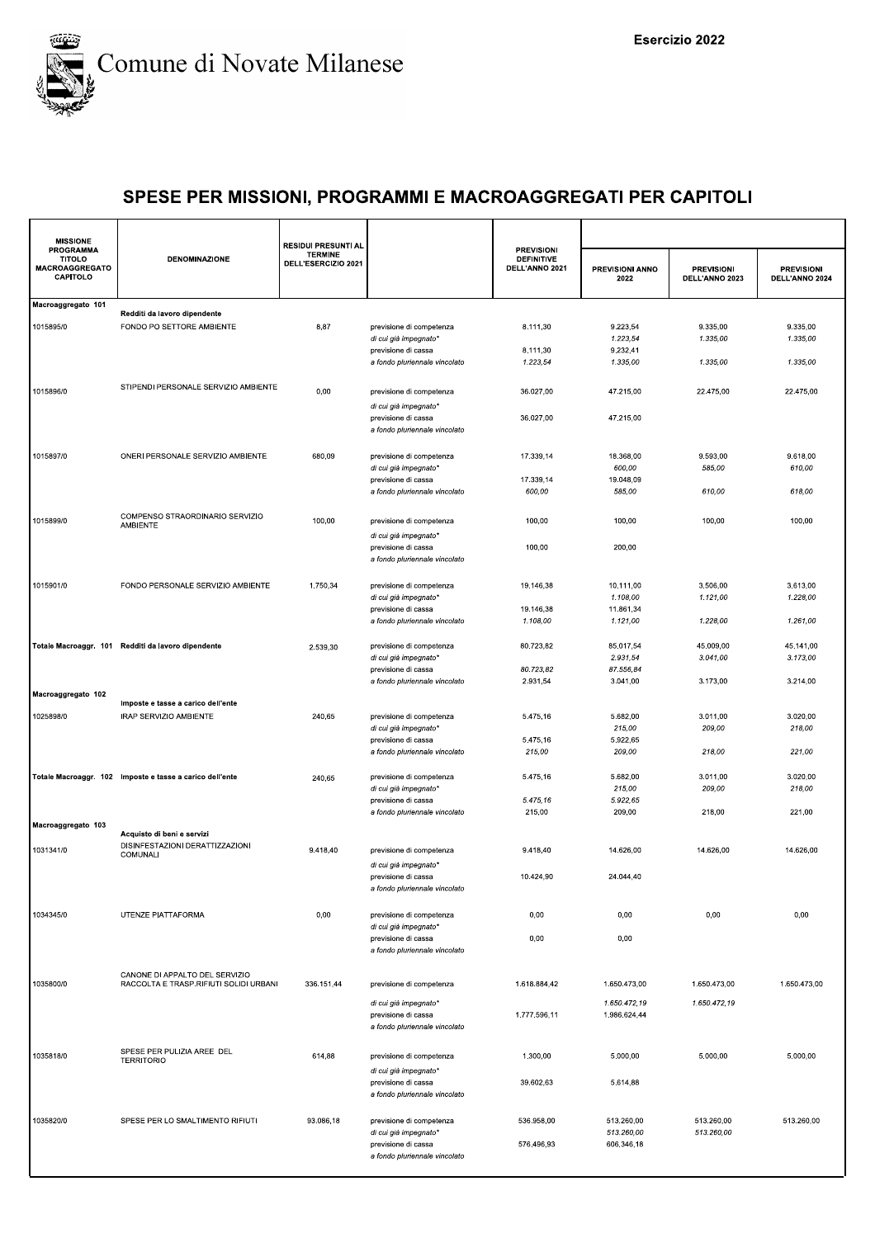

| <b>MISSIONE</b><br><b>PROGRAMMA</b>                |                                                                          | <b>RESIDUI PRESUNTI AL</b>            |                                                                               | <b>PREVISIONI</b>                   |                              |                                     |                                     |
|----------------------------------------------------|--------------------------------------------------------------------------|---------------------------------------|-------------------------------------------------------------------------------|-------------------------------------|------------------------------|-------------------------------------|-------------------------------------|
| <b>TITOLO</b><br><b>MACROAGGREGATO</b><br>CAPITOLO | <b>DENOMINAZIONE</b>                                                     | <b>TERMINE</b><br>DELL'ESERCIZIO 2021 |                                                                               | <b>DEFINITIVE</b><br>DELL'ANNO 2021 | PREVISIONI ANNO<br>2022      | <b>PREVISIONI</b><br>DELL'ANNO 2023 | <b>PREVISIONI</b><br>DELL'ANNO 2024 |
| Macroaggregato 101                                 |                                                                          |                                       |                                                                               |                                     |                              |                                     |                                     |
| 1015895/0                                          | Redditi da lavoro dipendente<br>FONDO PO SETTORE AMBIENTE                | 8,87                                  | previsione di competenza<br>di cui già impegnato*                             | 8.111,30                            | 9.223,54<br>1.223,54         | 9.335,00<br>1.335,00                | 9.335,00<br>1.335,00                |
|                                                    |                                                                          |                                       | previsione di cassa<br>a fondo pluriennale vincolato                          | 8.111,30<br>1.223,54                | 9.232,41<br>1.335,00         | 1.335,00                            | 1.335,00                            |
| 1015896/0                                          | STIPENDI PERSONALE SERVIZIO AMBIENTE                                     | 0,00                                  | previsione di competenza<br>di cui già impegnato*                             | 36.027,00                           | 47.215,00                    | 22.475,00                           | 22.475,00                           |
|                                                    |                                                                          |                                       | previsione di cassa<br>a fondo pluriennale vincolato                          | 36.027,00                           | 47.215.00                    |                                     |                                     |
| 1015897/0                                          | ONERI PERSONALE SERVIZIO AMBIENTE                                        | 680,09                                | previsione di competenza<br>di cui già impegnato*                             | 17.339,14                           | 18.368,00<br>600,00          | 9.593,00<br>585,00                  | 9.618,00<br>610,00                  |
|                                                    |                                                                          |                                       | previsione di cassa                                                           | 17.339,14                           | 19.048,09                    |                                     |                                     |
|                                                    |                                                                          |                                       | a fondo pluriennale vincolato                                                 | 600,00                              | 585,00                       | 610,00                              | 618,00                              |
| 1015899/0                                          | COMPENSO STRAORDINARIO SERVIZIO<br><b>AMBIENTE</b>                       | 100,00                                | previsione di competenza<br>di cui già impegnato*                             | 100,00                              | 100,00                       | 100,00                              | 100,00                              |
|                                                    |                                                                          |                                       | previsione di cassa<br>a fondo pluriennale vincolato                          | 100,00                              | 200,00                       |                                     |                                     |
| 1015901/0                                          | FONDO PERSONALE SERVIZIO AMBIENTE                                        | 1.750,34                              | previsione di competenza<br>di cui già impegnato*                             | 19.146,38                           | 10.111,00<br>1.108,00        | 3.506.00<br>1.121,00                | 3.613,00<br>1.228,00                |
|                                                    |                                                                          |                                       | previsione di cassa                                                           | 19.146,38                           | 11.861,34                    |                                     |                                     |
|                                                    |                                                                          |                                       | a fondo pluriennale vincolato                                                 | 1.108,00                            | 1.121,00                     | 1.228,00                            | 1.261,00                            |
|                                                    | Totale Macroaggr. 101 Redditi da lavoro dipendente                       | 2.539,30                              | previsione di competenza<br>di cui già impegnato*                             | 80.723,82                           | 85.017,54<br>2.931,54        | 45.009,00<br>3.041,00               | 45.141,00<br>3.173,00               |
|                                                    |                                                                          |                                       | previsione di cassa                                                           | 80.723,82<br>2.931,54               | 87.556,84<br>3.041,00        | 3.173,00                            | 3.214,00                            |
| Macroaggregato 102                                 | Imposte e tasse a carico dell'ente                                       |                                       | a fondo pluriennale vincolato                                                 |                                     |                              |                                     |                                     |
| 1025898/0                                          | IRAP SERVIZIO AMBIENTE                                                   | 240,65                                | previsione di competenza<br>di cui già impegnato*                             | 5.475,16                            | 5.682,00<br>215,00           | 3.011,00<br>209,00                  | 3.020,00<br>218,00                  |
|                                                    |                                                                          |                                       | previsione di cassa                                                           | 5.475,16                            | 5.922,65                     |                                     |                                     |
|                                                    |                                                                          |                                       | a fondo pluriennale vincolato                                                 | 215,00                              | 209,00                       | 218,00                              | 221,00                              |
|                                                    | Totale Macroaggr. 102 Imposte e tasse a carico dell'ente                 | 240,65                                | previsione di competenza<br>di cui già impegnato*                             | 5.475,16                            | 5.682,00<br>215,00           | 3.011,00<br>209,00                  | 3.020,00<br>218,00                  |
|                                                    |                                                                          |                                       | previsione di cassa                                                           | 5.475,16<br>215,00                  | 5.922,65<br>209,00           | 218,00                              | 221,00                              |
| Macroaggregato 103                                 | Acquisto di beni e servizi                                               |                                       | a fondo pluriennale vincolato                                                 |                                     |                              |                                     |                                     |
| 1031341/0                                          | DISINFESTAZIONI DERATTIZZAZIONI<br>COMUNALI                              | 9.418,40                              | previsione di competenza                                                      | 9.418,40                            | 14.626,00                    | 14.626,00                           | 14.626,00                           |
|                                                    |                                                                          |                                       | di cui già impegnato*<br>previsione di cassa<br>a fondo pluriennale vincolato | 10.424,90                           | 24.044,40                    |                                     |                                     |
| 1034345/0                                          | UTENZE PIATTAFORMA                                                       | 0,00                                  | previsione di competenza<br>di cui già impegnato*                             | 0,00                                | 0,00                         | 0,00                                | 0,00                                |
|                                                    |                                                                          |                                       | previsione di cassa<br>a fondo pluriennale vincolato                          | 0,00                                | 0,00                         |                                     |                                     |
| 1035800/0                                          | CANONE DI APPALTO DEL SERVIZIO<br>RACCOLTA E TRASP.RIFIUTI SOLIDI URBANI | 336.151,44                            | previsione di competenza                                                      | 1.618.884,42                        | 1.650.473,00                 | 1.650.473,00                        | 1.650.473,00                        |
|                                                    |                                                                          |                                       | di cui già impegnato*<br>previsione di cassa<br>a fondo pluriennale vincolato | 1.777.596,11                        | 1.650.472,19<br>1.986.624,44 | 1.650.472,19                        |                                     |
| 1035818/0                                          | SPESE PER PULIZIA AREE DEL<br><b>TERRITORIO</b>                          | 614,88                                | previsione di competenza<br>di cui già impegnato*                             | 1.300,00                            | 5.000,00                     | 5.000,00                            | 5.000,00                            |
|                                                    |                                                                          |                                       | previsione di cassa<br>a fondo pluriennale vincolato                          | 39.602,63                           | 5.614,88                     |                                     |                                     |
| 1035820/0                                          | SPESE PER LO SMALTIMENTO RIFIUTI                                         | 93.086,18                             | previsione di competenza<br>di cui già impegnato*                             | 536.958,00                          | 513.260,00<br>513.260,00     | 513.260,00<br>513.260,00            | 513.260,00                          |
|                                                    |                                                                          |                                       | previsione di cassa<br>a fondo pluriennale vincolato                          | 576.496,93                          | 606.346,18                   |                                     |                                     |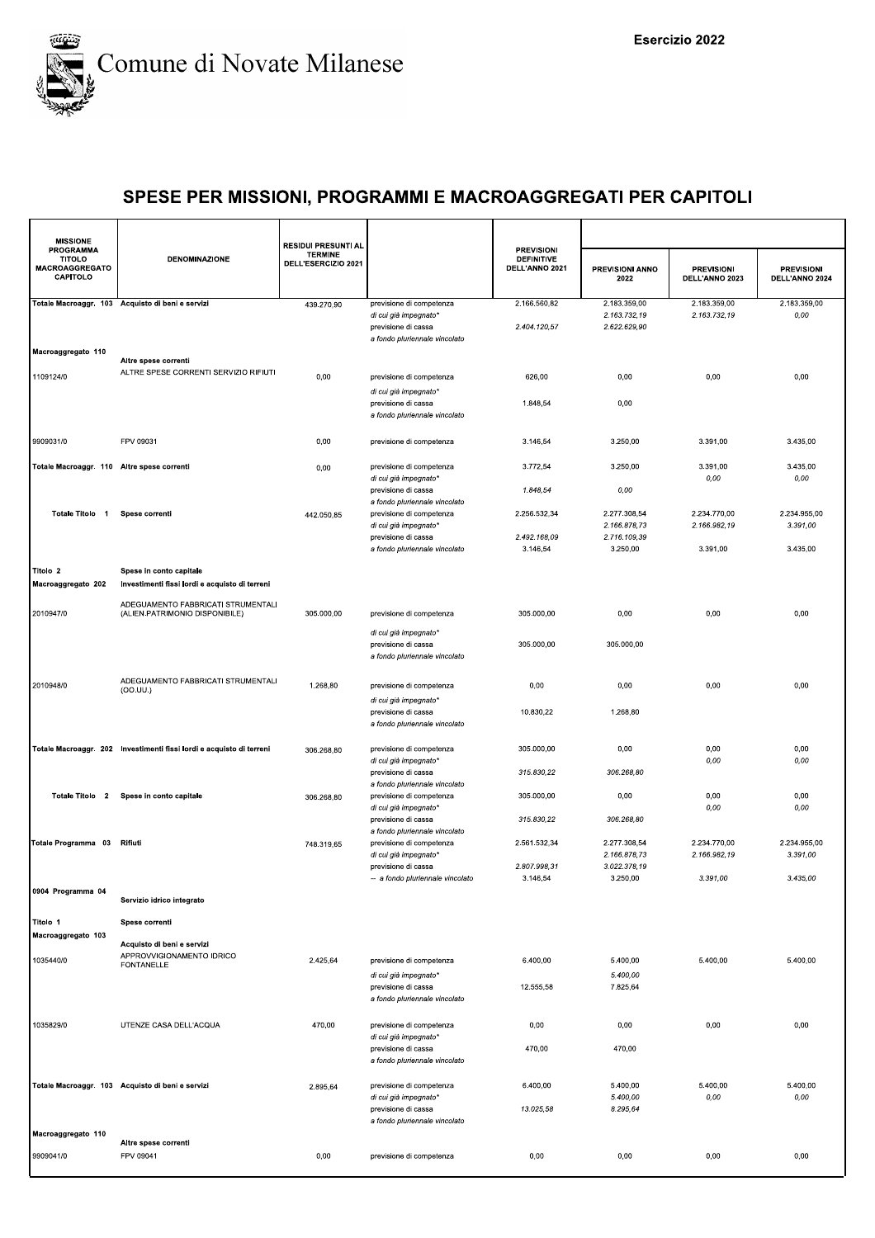

| <b>MISSIONE</b>                                                        |                                                                              | <b>RESIDUI PRESUNTI AL</b>            |                                                                                  |                                                          |                                |                                     |                                     |
|------------------------------------------------------------------------|------------------------------------------------------------------------------|---------------------------------------|----------------------------------------------------------------------------------|----------------------------------------------------------|--------------------------------|-------------------------------------|-------------------------------------|
| <b>PROGRAMMA</b><br><b>TITOLO</b><br><b>MACROAGGREGATO</b><br>CAPITOLO | <b>DENOMINAZIONE</b>                                                         | <b>TERMINE</b><br>DELL'ESERCIZIO 2021 |                                                                                  | <b>PREVISIONI</b><br><b>DEFINITIVE</b><br>DELL'ANNO 2021 | <b>PREVISIONI ANNO</b><br>2022 | <b>PREVISIONI</b><br>DELL'ANNO 2023 | <b>PREVISIONI</b><br>DELL'ANNO 2024 |
|                                                                        | Totale Macroaggr. 103 Acquisto di beni e servizi                             | 439.270,90                            | previsione di competenza<br>di cui già impegnato*                                | 2.166.560,82                                             | 2.183.359,00<br>2.163.732,19   | 2.183.359,00<br>2.163.732,19        | 2.183.359,00<br>0,00                |
|                                                                        |                                                                              |                                       | previsione di cassa<br>a fondo pluriennale vincolato                             | 2.404.120,57                                             | 2.622.629.90                   |                                     |                                     |
| Macroaggregato 110                                                     | Altre spese correnti                                                         |                                       |                                                                                  |                                                          |                                |                                     |                                     |
| 1109124/0                                                              | ALTRE SPESE CORRENTI SERVIZIO RIFIUTI                                        | 0,00                                  | previsione di competenza<br>di cui già impegnato*                                | 626,00                                                   | 0,00                           | 0,00                                | 0,00                                |
|                                                                        |                                                                              |                                       | previsione di cassa<br>a fondo pluriennale vincolato                             | 1.848,54                                                 | 0,00                           |                                     |                                     |
| 9909031/0                                                              | FPV 09031                                                                    | 0,00                                  | previsione di competenza                                                         | 3.146,54                                                 | 3.250,00                       | 3.391,00                            | 3.435,00                            |
| Totale Macroaggr. 110 Altre spese correnti                             |                                                                              | 0,00                                  | previsione di competenza<br>di cui già impegnato*                                | 3.772,54                                                 | 3.250,00                       | 3.391,00<br>0,00                    | 3.435,00<br>0,00                    |
|                                                                        |                                                                              |                                       | previsione di cassa<br>a fondo pluriennale vincolato                             | 1.848,54                                                 | 0,00                           |                                     |                                     |
| Totale Titolo 1                                                        | Spese correnti                                                               | 442.050,85                            | previsione di competenza                                                         | 2.256.532,34                                             | 2.277.308,54<br>2.166.878.73   | 2.234.770,00                        | 2.234.955,00                        |
|                                                                        |                                                                              |                                       | di cui già impegnato*<br>previsione di cassa                                     | 2.492.168,09                                             | 2.716.109,39                   | 2.166.982,19                        | 3.391,00                            |
|                                                                        |                                                                              |                                       | a fondo pluriennale vincolato                                                    | 3.146,54                                                 | 3.250,00                       | 3.391,00                            | 3.435,00                            |
| Titolo 2<br>Macroaggregato 202                                         | Spese in conto capitale<br>Investimenti fissi lordi e acquisto di terreni    |                                       |                                                                                  |                                                          |                                |                                     |                                     |
| 2010947/0                                                              | ADEGUAMENTO FABBRICATI STRUMENTALI<br>(ALIEN.PATRIMONIO DISPONIBILE)         | 305.000,00                            | previsione di competenza                                                         | 305.000,00                                               | 0,00                           | 0,00                                | 0,00                                |
|                                                                        |                                                                              |                                       | di cui già impegnato*<br>previsione di cassa<br>a fondo pluriennale vincolato    | 305.000,00                                               | 305.000,00                     |                                     |                                     |
| 2010948/0                                                              | ADEGUAMENTO FABBRICATI STRUMENTALI<br>(OO.UU.)                               | 1.268,80                              | previsione di competenza                                                         | 0,00                                                     | 0,00                           | 0,00                                | 0,00                                |
|                                                                        |                                                                              |                                       | di cui già impegnato*<br>previsione di cassa<br>a fondo pluriennale vincolato    | 10.830,22                                                | 1.268,80                       |                                     |                                     |
|                                                                        | Totale Macroaggr. 202 Investimenti fissi lordi e acquisto di terreni         | 306.268,80                            | previsione di competenza<br>di cui già impegnato*                                | 305.000,00                                               | 0,00                           | 0,00<br>0,00                        | 0,00<br>$0,00$                      |
|                                                                        |                                                                              |                                       | previsione di cassa<br>a fondo pluriennale vincolato                             | 315.830,22                                               | 306.268,80                     |                                     |                                     |
| Totale Titolo 2                                                        | Spese in conto capitale                                                      | 306.268,80                            | previsione di competenza<br>di cui già impegnato*                                | 305.000,00                                               | 0,00                           | 0,00<br>0,00                        | 0,00<br>0,00                        |
| Totale Programma 03                                                    | Rifiuti                                                                      | 748.319,65                            | previsione di cassa<br>a fondo pluriennale vincolato<br>previsione di competenza | 315.830,22<br>2.561.532.34                               | 306.268,80<br>2.277.308,54     | 2.234.770,00                        | 2.234.955,00                        |
|                                                                        |                                                                              |                                       | di cui già impegnato*<br>previsione di cassa                                     | 2.807.998,31                                             | 2.166.878,73<br>3.022.378,19   | 2.166.982,19                        | 3.391,00                            |
| 0904 Programma 04                                                      |                                                                              |                                       | -- a fondo pluriennale vincolato                                                 | 3.146.54                                                 | 3.250,00                       | 3.391,00                            | 3.435,00                            |
|                                                                        | Servizio idrico integrato                                                    |                                       |                                                                                  |                                                          |                                |                                     |                                     |
| Titolo 1<br>Macroaggregato 103                                         | Spese correnti                                                               |                                       |                                                                                  |                                                          |                                |                                     |                                     |
| 1035440/0                                                              | Acquisto di beni e servizi<br>APPROVVIGIONAMENTO IDRICO<br><b>FONTANELLE</b> | 2.425,64                              | previsione di competenza                                                         | 6.400,00                                                 | 5.400,00                       | 5.400,00                            | 5.400,00                            |
|                                                                        |                                                                              |                                       | di cui già impegnato*<br>previsione di cassa<br>a fondo pluriennale vincolato    | 12.555,58                                                | 5.400.00<br>7.825,64           |                                     |                                     |
| 1035829/0                                                              | UTENZE CASA DELL'ACQUA                                                       | 470,00                                | previsione di competenza                                                         | 0,00                                                     | 0,00                           | 0,00                                | 0,00                                |
|                                                                        |                                                                              |                                       | di cui già impegnato*<br>previsione di cassa<br>a fondo pluriennale vincolato    | 470,00                                                   | 470,00                         |                                     |                                     |
|                                                                        | Totale Macroaggr. 103 Acquisto di beni e servizi                             | 2.895,64                              | previsione di competenza<br>di cui già impegnato*                                | 6.400,00                                                 | 5.400,00<br>5.400,00           | 5.400,00<br>0,00                    | 5.400,00<br>0,00                    |
|                                                                        |                                                                              |                                       | previsione di cassa<br>a fondo pluriennale vincolato                             | 13.025,58                                                | 8.295,64                       |                                     |                                     |
| Macroaggregato 110<br>9909041/0                                        | Altre spese correnti<br>FPV 09041                                            | 0,00                                  | previsione di competenza                                                         | 0,00                                                     | 0,00                           | 0,00                                | 0,00                                |
|                                                                        |                                                                              |                                       |                                                                                  |                                                          |                                |                                     |                                     |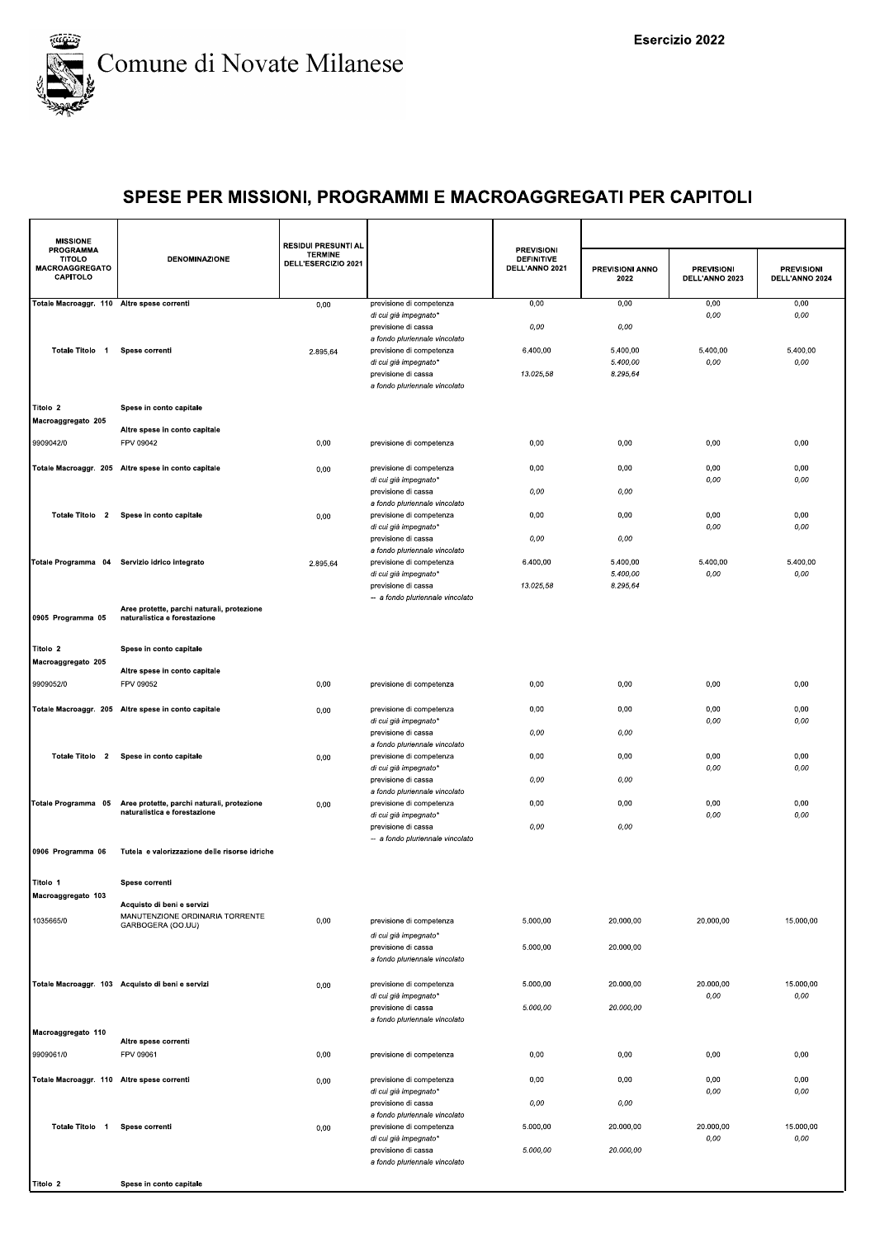

| <b>MISSIONE</b>                                                 |                                                                            | <b>RESIDUI PRESUNTI AL</b>            |                                                           |                                                          |                         |                                     |                                     |
|-----------------------------------------------------------------|----------------------------------------------------------------------------|---------------------------------------|-----------------------------------------------------------|----------------------------------------------------------|-------------------------|-------------------------------------|-------------------------------------|
| <b>PROGRAMMA</b><br>TITOLO<br><b>MACROAGGREGATO</b><br>CAPITOLO | <b>DENOMINAZIONE</b>                                                       | <b>TERMINE</b><br>DELL'ESERCIZIO 2021 |                                                           | <b>PREVISIONI</b><br><b>DEFINITIVE</b><br>DELL'ANNO 2021 | PREVISIONI ANNO<br>2022 | <b>PREVISIONI</b><br>DELL'ANNO 2023 | <b>PREVISIONI</b><br>DELL'ANNO 2024 |
| Totale Macroaggr. 110 Altre spese correnti                      |                                                                            | 0,00                                  | previsione di competenza<br>di cui già impegnato*         | 0,00                                                     | 0,00                    | 0,00<br>0,00                        | 0,00<br>0,00                        |
|                                                                 |                                                                            |                                       | previsione di cassa<br>a fondo pluriennale vincolato      | 0,00                                                     | 0,00                    |                                     |                                     |
| Totale Titolo 1                                                 | Spese correnti                                                             | 2.895,64                              | previsione di competenza                                  | 6.400,00                                                 | 5.400,00                | 5.400,00                            | 5.400,00                            |
|                                                                 |                                                                            |                                       | di cui già impegnato*<br>previsione di cassa              | 13.025,58                                                | 5.400,00<br>8.295,64    | 0,00                                | 0,00                                |
|                                                                 |                                                                            |                                       | a fondo pluriennale vincolato                             |                                                          |                         |                                     |                                     |
| Titolo 2<br>Macroaggregato 205                                  | Spese in conto capitale                                                    |                                       |                                                           |                                                          |                         |                                     |                                     |
| 9909042/0                                                       | Altre spese in conto capitale<br>FPV 09042                                 | 0,00                                  | previsione di competenza                                  | 0,00                                                     | 0,00                    | 0,00                                | 0,00                                |
|                                                                 | Totale Macroaggr. 205 Altre spese in conto capitale                        |                                       | previsione di competenza                                  | 0,00                                                     | 0,00                    | 0,00                                | 0,00                                |
|                                                                 |                                                                            | 0,00                                  | di cui già impegnato*                                     |                                                          |                         | 0,00                                | 0,00                                |
|                                                                 |                                                                            |                                       | previsione di cassa<br>a fondo pluriennale vincolato      | 0,00                                                     | 0,00                    |                                     |                                     |
|                                                                 | Totale Titolo 2 Spese in conto capitale                                    | 0,00                                  | previsione di competenza<br>di cui già impegnato*         | 0,00                                                     | 0,00                    | 0,00<br>0,00                        | 0,00<br>0,00                        |
|                                                                 |                                                                            |                                       | previsione di cassa<br>a fondo pluriennale vincolato      | 0,00                                                     | 0,00                    |                                     |                                     |
|                                                                 | Totale Programma 04 Servizio idrico integrato                              | 2.895,64                              | previsione di competenza<br>di cui già impegnato*         | 6.400,00                                                 | 5.400,00<br>5.400,00    | 5.400,00<br>0,00                    | 5.400,00<br>0,00                    |
|                                                                 |                                                                            |                                       | previsione di cassa                                       | 13.025,58                                                | 8.295,64                |                                     |                                     |
| 0905 Programma 05                                               | Aree protette, parchi naturali, protezione<br>naturalistica e forestazione |                                       | -- a fondo pluriennale vincolato                          |                                                          |                         |                                     |                                     |
|                                                                 |                                                                            |                                       |                                                           |                                                          |                         |                                     |                                     |
| Titolo 2                                                        | Spese in conto capitale                                                    |                                       |                                                           |                                                          |                         |                                     |                                     |
| Macroaggregato 205                                              | Altre spese in conto capitale                                              |                                       |                                                           |                                                          |                         |                                     |                                     |
| 9909052/0                                                       | FPV 09052                                                                  | 0,00                                  | previsione di competenza                                  | 0,00                                                     | 0,00                    | 0,00                                | 0,00                                |
|                                                                 | Totale Macroaggr. 205 Altre spese in conto capitale                        | 0,00                                  | previsione di competenza<br>di cui già impegnato*         | 0,00                                                     | 0,00                    | 0,00<br>0,00                        | 0,00<br>0,00                        |
|                                                                 |                                                                            |                                       | previsione di cassa<br>a fondo pluriennale vincolato      | 0,00                                                     | 0,00                    |                                     |                                     |
| Totale Titolo 2                                                 | Spese in conto capitale                                                    | 0,00                                  | previsione di competenza                                  | 0,00                                                     | 0,00                    | 0,00<br>0,00                        | 0,00<br>0,00                        |
|                                                                 |                                                                            |                                       | di cui già impegnato*<br>previsione di cassa              | 0,00                                                     | 0,00                    |                                     |                                     |
| Totale Programma 05                                             | Aree protette, parchi naturali, protezione                                 | 0,00                                  | a fondo pluriennale vincolato<br>previsione di competenza | 0,00                                                     | 0,00                    | 0,00                                | 0,00                                |
|                                                                 | naturalistica e forestazione                                               |                                       | di cui già impegnato*<br>previsione di cassa              | 0,00                                                     | 0,00                    | 0,00                                | 0,00                                |
| 0906 Programma 06                                               | Tutela e valorizzazione delle risorse idriche                              |                                       | -- a fondo pluriennale vincolato                          |                                                          |                         |                                     |                                     |
|                                                                 |                                                                            |                                       |                                                           |                                                          |                         |                                     |                                     |
| Titolo 1<br>Macroaggregato 103                                  | Spese correnti                                                             |                                       |                                                           |                                                          |                         |                                     |                                     |
| 1035665/0                                                       | Acquisto di beni e servizi<br>MANUTENZIONE ORDINARIA TORRENTE              |                                       |                                                           |                                                          |                         |                                     | 15.000,00                           |
|                                                                 | GARBOGERA (OO.UU)                                                          | 0,00                                  | previsione di competenza<br>di cui già impegnato*         | 5.000,00                                                 | 20.000,00               | 20.000,00                           |                                     |
|                                                                 |                                                                            |                                       | previsione di cassa<br>a fondo pluriennale vincolato      | 5.000,00                                                 | 20.000,00               |                                     |                                     |
|                                                                 | Totale Macroaggr. 103 Acquisto di beni e servizi                           | 0,00                                  | previsione di competenza                                  | 5.000,00                                                 | 20.000,00               | 20.000,00                           | 15.000,00                           |
|                                                                 |                                                                            |                                       | di cui già impegnato*<br>previsione di cassa              | 5.000,00                                                 | 20.000,00               | $0,00$                              | 0,00                                |
|                                                                 |                                                                            |                                       | a fondo pluriennale vincolato                             |                                                          |                         |                                     |                                     |
| Macroaggregato 110                                              | Altre spese correnti                                                       |                                       |                                                           |                                                          |                         |                                     |                                     |
| 9909061/0                                                       | FPV 09061                                                                  | 0,00                                  | previsione di competenza                                  | 0,00                                                     | 0,00                    | 0,00                                | 0,00                                |
| Totale Macroaggr. 110 Altre spese correnti                      |                                                                            | 0,00                                  | previsione di competenza<br>di cui già impegnato*         | 0,00                                                     | 0,00                    | 0,00<br>0,00                        | 0,00<br>0,00                        |
|                                                                 |                                                                            |                                       | previsione di cassa<br>a fondo pluriennale vincolato      | 0,00                                                     | 0,00                    |                                     |                                     |
| Totale Titolo 1                                                 | Spese correnti                                                             | 0,00                                  | previsione di competenza                                  | 5.000,00                                                 | 20.000,00               | 20.000,00                           | 15.000,00                           |
|                                                                 |                                                                            |                                       | di cui già impegnato*<br>previsione di cassa              | 5.000,00                                                 | 20.000,00               | $0,00$                              | 0,00                                |
|                                                                 |                                                                            |                                       | a fondo pluriennale vincolato                             |                                                          |                         |                                     |                                     |
| Titolo 2                                                        | Spese in conto capitale                                                    |                                       |                                                           |                                                          |                         |                                     |                                     |
|                                                                 |                                                                            |                                       |                                                           |                                                          |                         |                                     |                                     |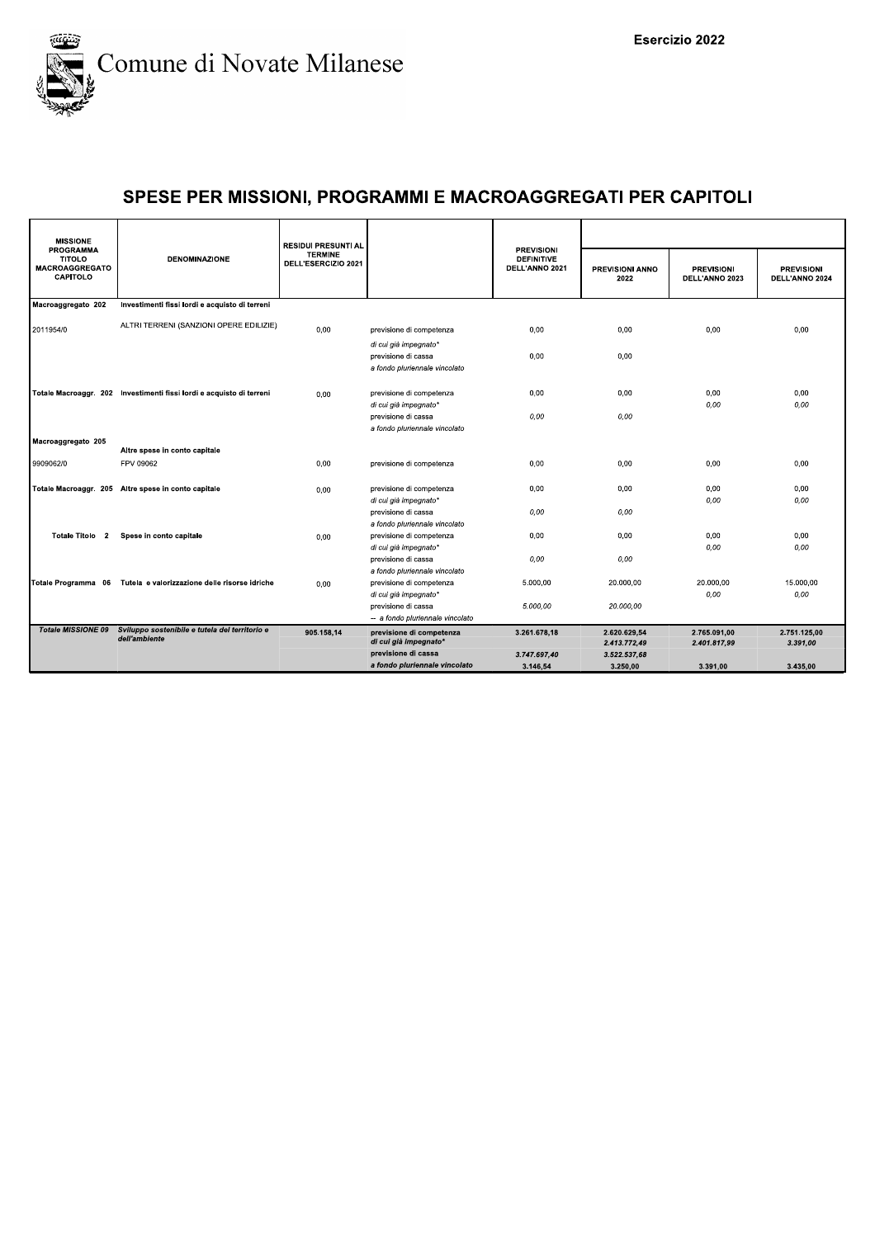

| <b>MISSIONE</b>                                                        |                                                                                    | <b>RESIDUI PRESUNTI AL</b>            |                                                         |                                                          |                                |                                     |                                     |
|------------------------------------------------------------------------|------------------------------------------------------------------------------------|---------------------------------------|---------------------------------------------------------|----------------------------------------------------------|--------------------------------|-------------------------------------|-------------------------------------|
| <b>PROGRAMMA</b><br><b>TITOLO</b><br><b>MACROAGGREGATO</b><br>CAPITOLO | <b>DENOMINAZIONE</b>                                                               | <b>TERMINE</b><br>DELL'ESERCIZIO 2021 |                                                         | <b>PREVISIONI</b><br><b>DEFINITIVE</b><br>DELL'ANNO 2021 | <b>PREVISIONI ANNO</b><br>2022 | <b>PREVISIONI</b><br>DELL'ANNO 2023 | <b>PREVISIONI</b><br>DELL'ANNO 2024 |
| Macroaggregato 202                                                     | Investimenti fissi lordi e acquisto di terreni                                     |                                       |                                                         |                                                          |                                |                                     |                                     |
| 2011954/0                                                              | ALTRI TERRENI (SANZIONI OPERE EDILIZIE)                                            | 0,00                                  | previsione di competenza<br>di cui già impegnato*       | 0,00                                                     | 0,00                           | 0,00                                | 0,00                                |
|                                                                        |                                                                                    |                                       | previsione di cassa<br>a fondo pluriennale vincolato    | 0,00                                                     | 0,00                           |                                     |                                     |
|                                                                        | Totale Macroaggr. 202 Investimenti fissi lordi e acquisto di terreni               | 0.00                                  | previsione di competenza<br>di cui già impegnato*       | 0,00                                                     | 0,00                           | 0,00<br>0,00                        | 0,00<br>0,00                        |
|                                                                        |                                                                                    |                                       | previsione di cassa<br>a fondo pluriennale vincolato    | 0,00                                                     | 0,00                           |                                     |                                     |
| Macroaggregato 205                                                     | Altre spese in conto capitale                                                      |                                       |                                                         |                                                          |                                |                                     |                                     |
| 9909062/0                                                              | FPV 09062                                                                          | 0,00                                  | previsione di competenza                                | 0,00                                                     | 0,00                           | 0,00                                | 0,00                                |
|                                                                        | Totale Macroaggr. 205 Altre spese in conto capitale                                | 0.00                                  | previsione di competenza<br>di cui già impegnato*       | 0,00                                                     | 0,00                           | 0,00<br>0,00                        | 0,00<br>0,00                        |
|                                                                        |                                                                                    |                                       | previsione di cassa<br>a fondo pluriennale vincolato    | 0,00                                                     | 0,00                           |                                     |                                     |
| Totale Titolo 2                                                        | Spese in conto capitale                                                            | 0.00                                  | previsione di competenza<br>di cui già impegnato*       | 0,00                                                     | 0,00                           | 0,00<br>0,00                        | 0,00<br>0,00                        |
|                                                                        |                                                                                    |                                       | previsione di cassa<br>a fondo pluriennale vincolato    | 0,00                                                     | 0,00                           |                                     |                                     |
|                                                                        | Totale Programma 06 Tutela e valorizzazione delle risorse idriche                  | 0,00                                  | previsione di competenza<br>di cui già impegnato*       | 5.000,00                                                 | 20.000,00                      | 20.000.00<br>0,00                   | 15.000.00<br>0,00                   |
|                                                                        |                                                                                    |                                       | previsione di cassa<br>-- a fondo pluriennale vincolato | 5.000,00                                                 | 20.000,00                      |                                     |                                     |
|                                                                        | Totale MISSIONE 09 Sviluppo sostenibile e tutela del territorio e<br>dell'ambiente | 905.158,14                            | previsione di competenza<br>di cui già impegnato*       | 3.261.678,18                                             | 2.620.629,54<br>2.413.772,49   | 2.765.091.00<br>2.401.817,99        | 2.751.125.00<br>3.391,00            |
|                                                                        |                                                                                    |                                       | previsione di cassa<br>a fondo pluriennale vincolato    | 3.747.697,40<br>3.146,54                                 | 3.522.537,68<br>3.250,00       | 3.391,00                            | 3.435,00                            |
|                                                                        |                                                                                    |                                       |                                                         |                                                          |                                |                                     |                                     |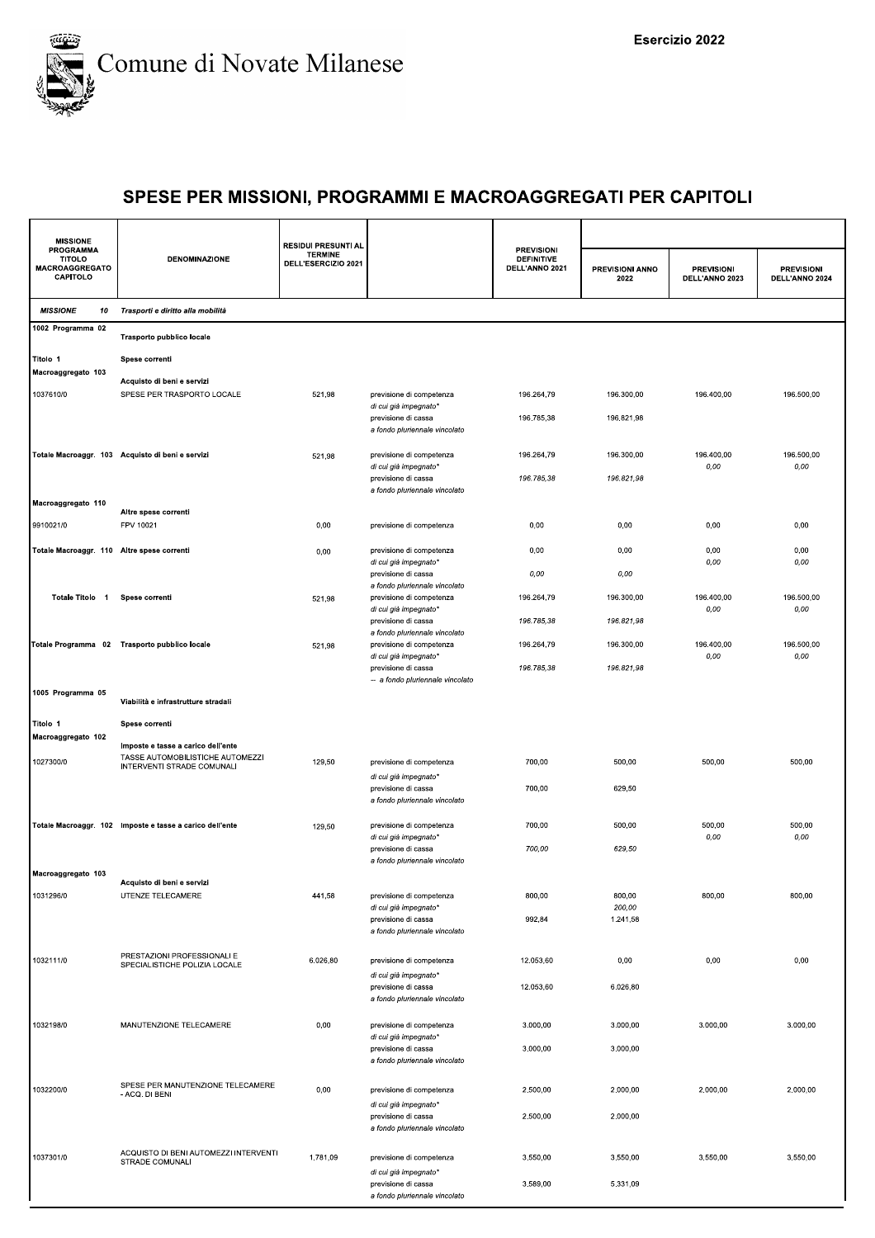

| <b>MISSIONE</b>                                                        |                                                                                                      | <b>RESIDUI PRESUNTI AL</b>            |                                                                               |                                                          |                          |                                     |                                     |
|------------------------------------------------------------------------|------------------------------------------------------------------------------------------------------|---------------------------------------|-------------------------------------------------------------------------------|----------------------------------------------------------|--------------------------|-------------------------------------|-------------------------------------|
| <b>PROGRAMMA</b><br><b>TITOLO</b><br><b>MACROAGGREGATO</b><br>CAPITOLO | <b>DENOMINAZIONE</b>                                                                                 | <b>TERMINE</b><br>DELL'ESERCIZIO 2021 |                                                                               | <b>PREVISIONI</b><br><b>DEFINITIVE</b><br>DELL'ANNO 2021 | PREVISIONI ANNO<br>2022  | <b>PREVISIONI</b><br>DELL'ANNO 2023 | <b>PREVISIONI</b><br>DELL'ANNO 2024 |
| <b>MISSIONE</b><br>10                                                  | Trasporti e diritto alla mobilità                                                                    |                                       |                                                                               |                                                          |                          |                                     |                                     |
| 1002 Programma 02                                                      | Trasporto pubblico locale                                                                            |                                       |                                                                               |                                                          |                          |                                     |                                     |
| Titolo 1<br>Macroaggregato 103                                         | Spese correnti                                                                                       |                                       |                                                                               |                                                          |                          |                                     |                                     |
| 1037610/0                                                              | Acquisto di beni e servizi<br>SPESE PER TRASPORTO LOCALE                                             | 521,98                                | previsione di competenza<br>di cui già impegnato*<br>previsione di cassa      | 196.264,79<br>196.785,38                                 | 196.300,00<br>196.821,98 | 196.400,00                          | 196.500,00                          |
|                                                                        | Totale Macroaggr. 103 Acquisto di beni e servizi                                                     | 521,98                                | a fondo pluriennale vincolato<br>previsione di competenza                     | 196.264,79                                               | 196.300,00               | 196.400,00                          | 196.500,00                          |
|                                                                        |                                                                                                      |                                       | di cui già impegnato*<br>previsione di cassa<br>a fondo pluriennale vincolato | 196.785,38                                               | 196.821,98               | 0,00                                | 0,00                                |
| Macroaggregato 110<br>9910021/0                                        | Altre spese correnti<br>FPV 10021                                                                    | 0,00                                  | previsione di competenza                                                      | 0,00                                                     | 0,00                     | 0,00                                | 0,00                                |
| Totale Macroaggr. 110 Altre spese correnti                             |                                                                                                      | 0,00                                  | previsione di competenza<br>di cui già impegnato*                             | 0,00                                                     | 0,00                     | 0,00<br>0,00                        | 0,00<br>0,00                        |
|                                                                        |                                                                                                      |                                       | previsione di cassa<br>a fondo pluriennale vincolato                          | 0,00                                                     | 0,00                     |                                     |                                     |
| Totale Titolo 1                                                        | Spese correnti                                                                                       | 521,98                                | previsione di competenza<br>di cui già impegnato*                             | 196.264,79                                               | 196.300,00               | 196.400,00<br>0,00                  | 196.500,00<br>0,00                  |
|                                                                        |                                                                                                      |                                       | previsione di cassa<br>a fondo pluriennale vincolato                          | 196.785,38                                               | 196.821,98               |                                     |                                     |
|                                                                        | Totale Programma 02 Trasporto pubblico locale                                                        | 521,98                                | previsione di competenza<br>di cui già impegnato*<br>previsione di cassa      | 196.264,79<br>196.785,38                                 | 196.300,00<br>196.821,98 | 196.400,00<br>0,00                  | 196.500,00<br>0,00                  |
| 1005 Programma 05                                                      | Viabilità e infrastrutture stradali                                                                  |                                       | -- a fondo pluriennale vincolato                                              |                                                          |                          |                                     |                                     |
| Titolo 1                                                               | Spese correnti                                                                                       |                                       |                                                                               |                                                          |                          |                                     |                                     |
| Macroaggregato 102<br>1027300/0                                        | Imposte e tasse a carico dell'ente<br>TASSE AUTOMOBILISTICHE AUTOMEZZI<br>INTERVENTI STRADE COMUNALI | 129,50                                | previsione di competenza                                                      | 700,00                                                   | 500,00                   | 500,00                              | 500,00                              |
|                                                                        |                                                                                                      |                                       | di cui già impegnato*<br>previsione di cassa<br>a fondo pluriennale vincolato | 700,00                                                   | 629,50                   |                                     |                                     |
|                                                                        | Totale Macroaggr. 102 Imposte e tasse a carico dell'ente                                             | 129,50                                | previsione di competenza<br>di cui già impegnato*                             | 700,00                                                   | 500,00                   | 500,00<br>0,00                      | 500,00<br>0,00                      |
| Macroaggregato 103                                                     |                                                                                                      |                                       | previsione di cassa<br>a fondo pluriennale vincolato                          | 700,00                                                   | 629,50                   |                                     |                                     |
| 1031296/0                                                              | Acquisto di beni e servizi<br>UTENZE TELECAMERE                                                      | 441,58                                | previsione di competenza<br>di cui già impegnato*                             | 800,00                                                   | 800,00<br>200,00         | 800,00                              | 800,00                              |
|                                                                        |                                                                                                      |                                       | previsione di cassa<br>a fondo pluriennale vincolato                          | 992,84                                                   | 1.241,58                 |                                     |                                     |
| 1032111/0                                                              | PRESTAZIONI PROFESSIONALI E<br>SPECIALISTICHE POLIZIA LOCALE                                         | 6.026,80                              | previsione di competenza<br>di cui già impegnato*                             | 12.053,60                                                | 0,00                     | 0,00                                | 0,00                                |
|                                                                        |                                                                                                      |                                       | previsione di cassa<br>a fondo pluriennale vincolato                          | 12.053,60                                                | 6.026,80                 |                                     |                                     |
| 1032198/0                                                              | MANUTENZIONE TELECAMERE                                                                              | 0,00                                  | previsione di competenza<br>di cui già impegnato*<br>previsione di cassa      | 3.000,00<br>3.000,00                                     | 3.000,00<br>3.000,00     | 3.000,00                            | 3.000,00                            |
|                                                                        |                                                                                                      |                                       | a fondo pluriennale vincolato                                                 |                                                          |                          |                                     |                                     |
| 1032200/0                                                              | SPESE PER MANUTENZIONE TELECAMERE<br>- ACQ. DI BENI                                                  | 0,00                                  | previsione di competenza<br>di cui già impegnato*                             | 2.500,00                                                 | 2.000,00                 | 2.000,00                            | 2.000,00                            |
|                                                                        |                                                                                                      |                                       | previsione di cassa<br>a fondo pluriennale vincolato                          | 2.500,00                                                 | 2.000,00                 |                                     |                                     |
| 1037301/0                                                              | ACQUISTO DI BENI AUTOMEZZI INTERVENTI<br>STRADE COMUNALI                                             | 1.781,09                              | previsione di competenza<br>di cui già impegnato*                             | 3.550,00                                                 | 3.550,00                 | 3.550,00                            | 3.550,00                            |
|                                                                        |                                                                                                      |                                       | previsione di cassa<br>a fondo pluriennale vincolato                          | 3.589,00                                                 | 5.331,09                 |                                     |                                     |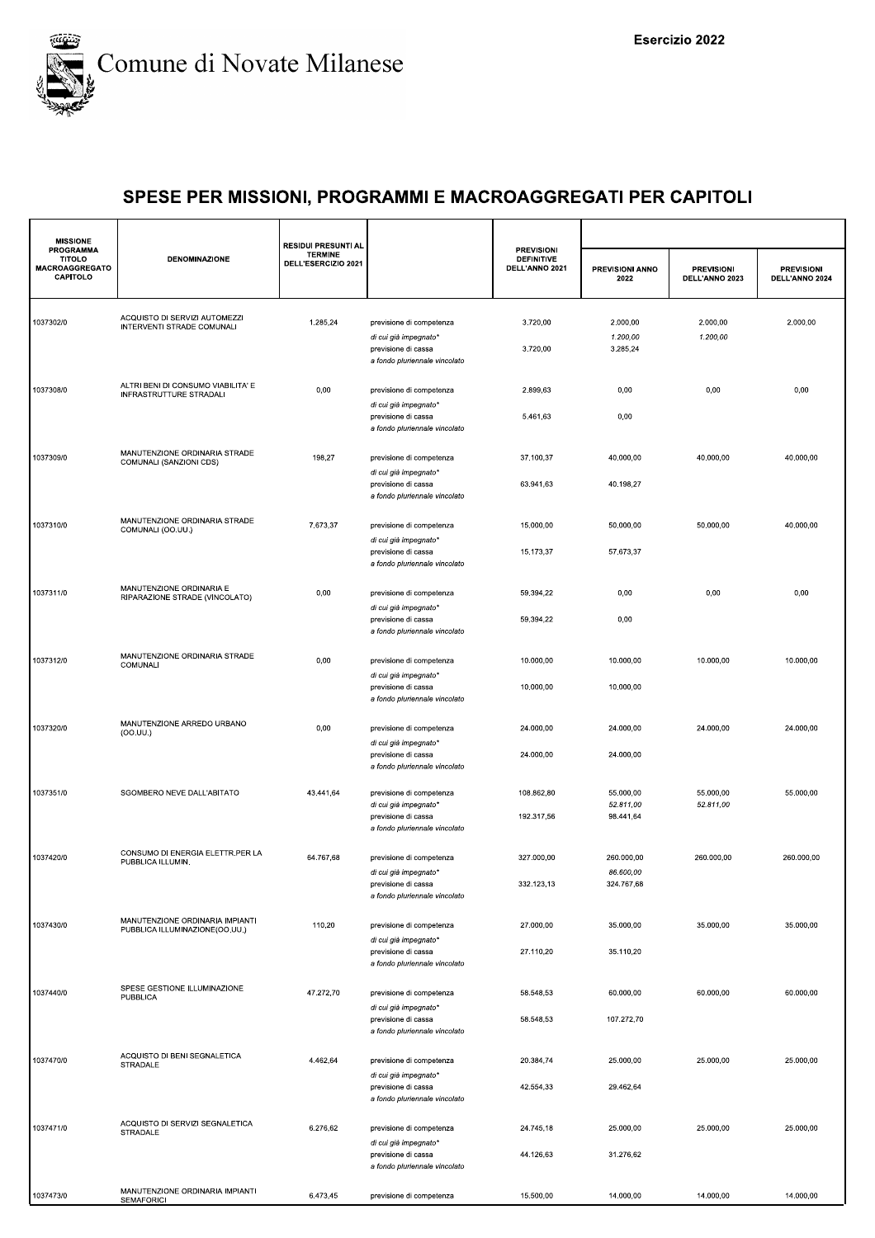

| <b>MISSIONE</b>                                          |                                                                   | <b>RESIDUI PRESUNTI AL</b>            |                                                                                                                                            |                                                          |                                       |                                     |                                     |
|----------------------------------------------------------|-------------------------------------------------------------------|---------------------------------------|--------------------------------------------------------------------------------------------------------------------------------------------|----------------------------------------------------------|---------------------------------------|-------------------------------------|-------------------------------------|
| PROGRAMMA<br><b>TITOLO</b><br>MACROAGGREGATO<br>CAPITOLO | <b>DENOMINAZIONE</b>                                              | <b>TERMINE</b><br>DELL'ESERCIZIO 2021 |                                                                                                                                            | <b>PREVISIONI</b><br><b>DEFINITIVE</b><br>DELL'ANNO 2021 | PREVISIONI ANNO<br>2022               | <b>PREVISIONI</b><br>DELL'ANNO 2023 | <b>PREVISIONI</b><br>DELL'ANNO 2024 |
| 1037302/0                                                | ACQUISTO DI SERVIZI AUTOMEZZI<br>INTERVENTI STRADE COMUNALI       | 1.285,24                              | previsione di competenza<br>di cui già impegnato*<br>previsione di cassa<br>a fondo pluriennale vincolato                                  | 3.720,00<br>3.720,00                                     | 2.000,00<br>1.200,00<br>3.285,24      | 2.000,00<br>1.200,00                | 2.000,00                            |
| 1037308/0                                                | ALTRI BENI DI CONSUMO VIABILITA' E<br>INFRASTRUTTURE STRADALI     | 0,00                                  | previsione di competenza<br>di cui già impegnato*<br>previsione di cassa<br>a fondo pluriennale vincolato                                  | 2.899,63<br>5.461,63                                     | 0,00<br>0,00                          | 0,00                                | 0,00                                |
| 1037309/0                                                | MANUTENZIONE ORDINARIA STRADE<br>COMUNALI (SANZIONI CDS)          | 198,27                                | previsione di competenza<br>di cui già impegnato*<br>previsione di cassa<br>a fondo pluriennale vincolato                                  | 37.100,37<br>63.941,63                                   | 40.000,00<br>40.198,27                | 40.000,00                           | 40.000,00                           |
| 1037310/0                                                | MANUTENZIONE ORDINARIA STRADE<br>COMUNALI (OO.UU.)                | 7.673,37                              | previsione di competenza<br>di cui già impegnato*<br>previsione di cassa<br>a fondo pluriennale vincolato                                  | 15.000,00<br>15.173,37                                   | 50.000.00<br>57.673,37                | 50.000.00                           | 40.000.00                           |
| 1037311/0                                                | MANUTENZIONE ORDINARIA E<br>RIPARAZIONE STRADE (VINCOLATO)        | 0,00                                  | previsione di competenza<br>di cui già impegnato'<br>previsione di cassa<br>a fondo pluriennale vincolato                                  | 59.394,22<br>59.394,22                                   | 0,00<br>0,00                          | 0,00                                | 0,00                                |
| 1037312/0                                                | MANUTENZIONE ORDINARIA STRADE<br>COMUNALI                         | 0,00                                  | previsione di competenza<br>di cui già impegnato*<br>previsione di cassa                                                                   | 10.000,00<br>10.000,00                                   | 10.000,00<br>10.000,00                | 10.000,00                           | 10.000,00                           |
| 1037320/0                                                | MANUTENZIONE ARREDO URBANO<br>(OO.UU.)                            | 0,00                                  | a fondo pluriennale vincolato<br>previsione di competenza<br>di cui già impegnato*<br>previsione di cassa                                  | 24.000,00<br>24.000,00                                   | 24.000,00<br>24.000,00                | 24.000,00                           | 24.000,00                           |
| 1037351/0                                                | SGOMBERO NEVE DALL'ABITATO                                        | 43.441,64                             | a fondo pluriennale vincolato<br>previsione di competenza<br>di cui già impegnato*<br>previsione di cassa<br>a fondo pluriennale vincolato | 108.862,80<br>192.317,56                                 | 55.000,00<br>52.811,00<br>98.441,64   | 55.000,00<br>52.811,00              | 55.000,00                           |
| 1037420/0                                                | CONSUMO DI ENERGIA ELETTR.PER LA<br>PUBBLICA ILLUMIN.             | 64.767,68                             | previsione di competenza<br>di cui già impegnato*<br>previsione di cassa<br>a fondo pluriennale vincolato                                  | 327.000,00<br>332.123,13                                 | 260.000,00<br>86.600,00<br>324.767,68 | 260.000,00                          | 260.000,00                          |
| 1037430/0                                                | MANUTENZIONE ORDINARIA IMPIANTI<br>PUBBLICA ILLUMINAZIONE(OO.UU.) | 110,20                                | previsione di competenza<br>di cui già impegnato'<br>previsione di cassa                                                                   | 27.000,00<br>27.110,20                                   | 35.000,00<br>35.110,20                | 35.000,00                           | 35.000,00                           |
| 1037440/0                                                | SPESE GESTIONE ILLUMINAZIONE<br>PUBBLICA                          | 47.272,70                             | a fondo pluriennale vincolato<br>previsione di competenza<br>di cui già impegnato*<br>previsione di cassa                                  | 58.548,53<br>58.548,53                                   | 60.000,00<br>107.272,70               | 60.000,00                           | 60.000.00                           |
| 1037470/0                                                | ACQUISTO DI BENI SEGNALETICA<br><b>STRADALE</b>                   | 4.462,64                              | a fondo pluriennale vincolato<br>previsione di competenza<br>di cui già impegnato*<br>previsione di cassa                                  | 20.384,74<br>42.554,33                                   | 25.000,00<br>29.462,64                | 25.000,00                           | 25.000,00                           |
| 1037471/0                                                | ACQUISTO DI SERVIZI SEGNALETICA<br>STRADALE                       | 6.276,62                              | a fondo pluriennale vincolato<br>previsione di competenza<br>di cui già impegnato*<br>previsione di cassa                                  | 24.745,18<br>44.126,63                                   | 25.000,00<br>31.276,62                | 25.000,00                           | 25.000,00                           |
| 1037473/0                                                | MANUTENZIONE ORDINARIA IMPIANTI<br><b>SEMAFORICI</b>              | 6.473,45                              | a fondo pluriennale vincolato<br>previsione di competenza                                                                                  | 15.500,00                                                | 14.000,00                             | 14.000,00                           | 14.000,00                           |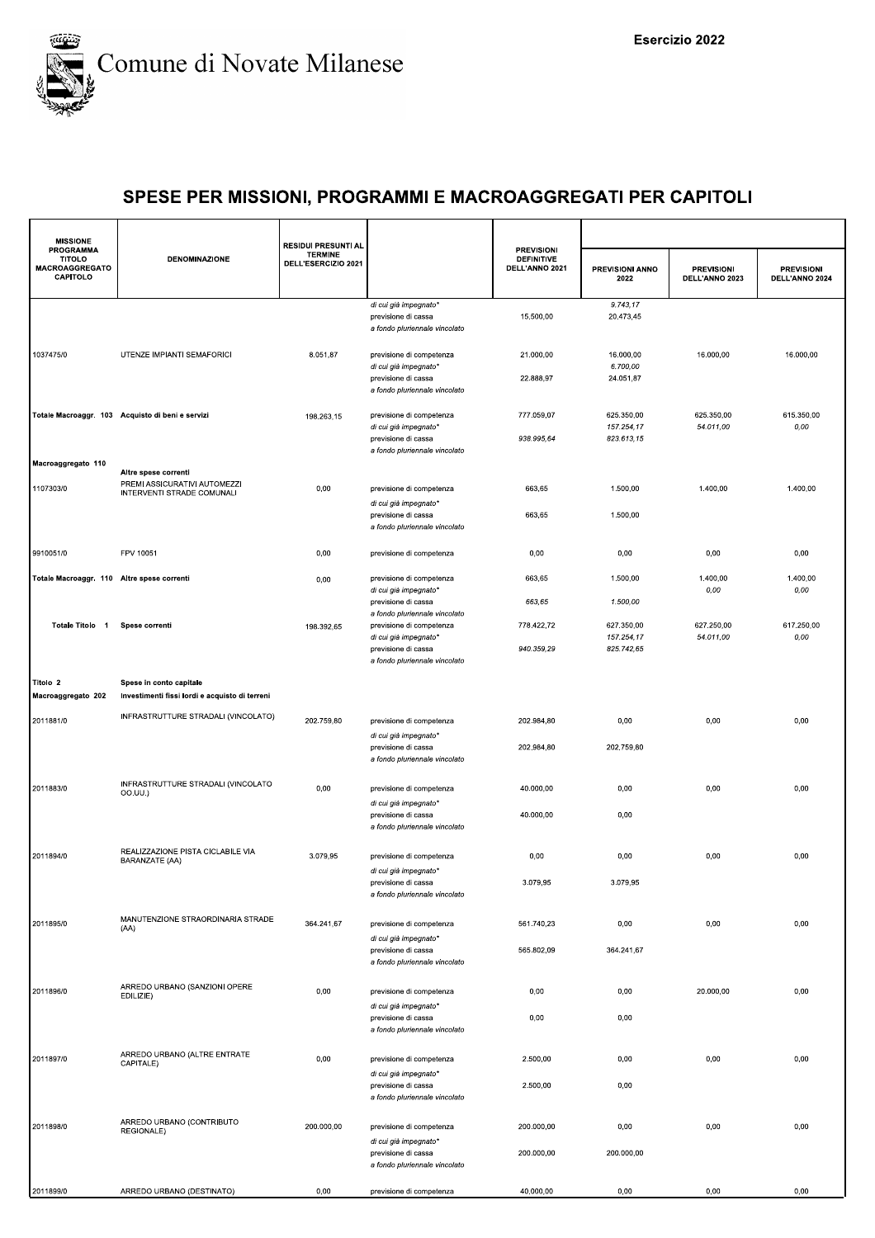

| <b>MISSIONE</b>                                                        |                                                            | <b>RESIDUI PRESUNTI AL</b>            |                                                                                                                                            |                                                          |                                        |                                     |                                     |
|------------------------------------------------------------------------|------------------------------------------------------------|---------------------------------------|--------------------------------------------------------------------------------------------------------------------------------------------|----------------------------------------------------------|----------------------------------------|-------------------------------------|-------------------------------------|
| <b>PROGRAMMA</b><br><b>TITOLO</b><br><b>MACROAGGREGATO</b><br>CAPITOLO | <b>DENOMINAZIONE</b>                                       | <b>TERMINE</b><br>DELL'ESERCIZIO 2021 |                                                                                                                                            | <b>PREVISIONI</b><br><b>DEFINITIVE</b><br>DELL'ANNO 2021 | PREVISIONI ANNO<br>2022                | <b>PREVISIONI</b><br>DELL'ANNO 2023 | <b>PREVISIONI</b><br>DELL'ANNO 2024 |
|                                                                        |                                                            |                                       | di cui già impegnato*<br>previsione di cassa<br>a fondo pluriennale vincolato                                                              | 15.500,00                                                | 9.743,17<br>20.473,45                  |                                     |                                     |
| 1037475/0                                                              | UTENZE IMPIANTI SEMAFORICI                                 | 8.051,87                              | previsione di competenza<br>di cui già impegnato*<br>previsione di cassa<br>a fondo pluriennale vincolato                                  | 21.000,00<br>22.888,97                                   | 16.000,00<br>6.700,00<br>24.051,87     | 16.000,00                           | 16.000,00                           |
|                                                                        | Totale Macroaggr. 103 Acquisto di beni e servizi           | 198.263,15                            | previsione di competenza<br>di cui già impegnato*<br>previsione di cassa<br>a fondo pluriennale vincolato                                  | 777.059,07<br>938.995,64                                 | 625.350,00<br>157.254,17<br>823.613,15 | 625.350,00<br>54.011,00             | 615.350,00<br>0,00                  |
| Macroaggregato 110                                                     | Altre spese correnti                                       |                                       |                                                                                                                                            |                                                          |                                        |                                     |                                     |
| 1107303/0                                                              | PREMI ASSICURATIVI AUTOMEZZI<br>INTERVENTI STRADE COMUNALI | 0,00                                  | previsione di competenza<br>di cui già impegnato*<br>previsione di cassa                                                                   | 663,65<br>663,65                                         | 1.500,00<br>1.500,00                   | 1.400,00                            | 1.400,00                            |
|                                                                        |                                                            |                                       | a fondo pluriennale vincolato                                                                                                              |                                                          |                                        |                                     |                                     |
| 9910051/0                                                              | FPV 10051                                                  | 0,00                                  | previsione di competenza                                                                                                                   | 0,00                                                     | 0,00                                   | 0,00                                | 0,00                                |
| Totale Macroaggr. 110 Altre spese correnti                             |                                                            | 0,00                                  | previsione di competenza                                                                                                                   | 663,65                                                   | 1.500,00                               | 1.400,00                            | 1.400,00                            |
|                                                                        |                                                            |                                       | di cui già impegnato*<br>previsione di cassa                                                                                               | 663,65                                                   | 1.500,00                               | 0,00                                | 0,00                                |
| Totale Titolo 1                                                        | Spese correnti                                             | 198.392,65                            | a fondo pluriennale vincolato<br>previsione di competenza<br>di cui già impegnato*<br>previsione di cassa<br>a fondo pluriennale vincolato | 778.422,72<br>940.359,29                                 | 627.350,00<br>157.254,17<br>825.742,65 | 627.250,00<br>54.011,00             | 617.250,00<br>0,00                  |
| Titolo 2                                                               | Spese in conto capitale                                    |                                       |                                                                                                                                            |                                                          |                                        |                                     |                                     |
| Macroaggregato 202                                                     | Investimenti fissi lordi e acquisto di terreni             |                                       |                                                                                                                                            |                                                          |                                        |                                     |                                     |
| 2011881/0                                                              | INFRASTRUTTURE STRADALI (VINCOLATO)                        | 202.759,80                            | previsione di competenza<br>di cui già impegnato*<br>previsione di cassa                                                                   | 202.984,80<br>202.984,80                                 | 0,00<br>202.759,80                     | 0,00                                | 0,00                                |
|                                                                        |                                                            |                                       | a fondo pluriennale vincolato                                                                                                              |                                                          |                                        |                                     |                                     |
| 2011883/0                                                              | INFRASTRUTTURE STRADALI (VINCOLATO<br>00.UU.)              | 0,00                                  | previsione di competenza<br>di cui già impegnato*                                                                                          | 40.000,00                                                | 0,00                                   | 0,00                                | 0,00                                |
|                                                                        |                                                            |                                       | previsione di cassa<br>a fondo pluriennale vincolato                                                                                       | 40.000,00                                                | 0,00                                   |                                     |                                     |
| 2011894/0                                                              | REALIZZAZIONE PISTA CICLABILE VIA<br>BARANZATE (AA)        | 3.079,95                              | previsione di competenza                                                                                                                   | 0,00                                                     | 0,00                                   | 0,00                                | 0,00                                |
|                                                                        |                                                            |                                       | di cui già impegnato*<br>previsione di cassa<br>a fondo pluriennale vincolato                                                              | 3.079,95                                                 | 3.079,95                               |                                     |                                     |
| 2011895/0                                                              | MANUTENZIONE STRAORDINARIA STRADE<br>(AA)                  | 364.241,67                            | previsione di competenza<br>di cui già impegnato*                                                                                          | 561.740,23                                               | 0,00                                   | 0,00                                | 0,00                                |
|                                                                        |                                                            |                                       | previsione di cassa<br>a fondo pluriennale vincolato                                                                                       | 565.802,09                                               | 364.241,67                             |                                     |                                     |
| 2011896/0                                                              | ARREDO URBANO (SANZIONI OPERE<br>EDILIZIE)                 | 0,00                                  | previsione di competenza<br>di cui già impegnato*                                                                                          | 0,00                                                     | 0,00                                   | 20.000,00                           | 0,00                                |
|                                                                        |                                                            |                                       | previsione di cassa<br>a fondo pluriennale vincolato                                                                                       | 0,00                                                     | 0,00                                   |                                     |                                     |
| 2011897/0                                                              | ARREDO URBANO (ALTRE ENTRATE<br>CAPITALE)                  | 0,00                                  | previsione di competenza<br>di cui già impegnato*                                                                                          | 2.500,00                                                 | 0,00                                   | 0,00                                | 0,00                                |
|                                                                        |                                                            |                                       | previsione di cassa<br>a fondo pluriennale vincolato                                                                                       | 2.500,00                                                 | 0,00                                   |                                     |                                     |
| 2011898/0                                                              | ARREDO URBANO (CONTRIBUTO<br>REGIONALE)                    | 200.000,00                            | previsione di competenza                                                                                                                   | 200.000,00                                               | 0,00                                   | 0,00                                | 0,00                                |
|                                                                        |                                                            |                                       | di cui già impegnato*<br>previsione di cassa<br>a fondo pluriennale vincolato                                                              | 200.000,00                                               | 200.000,00                             |                                     |                                     |
| 2011899/0                                                              | ARREDO URBANO (DESTINATO)                                  | 0,00                                  | previsione di competenza                                                                                                                   | 40.000,00                                                | 0,00                                   | 0,00                                | 0,00                                |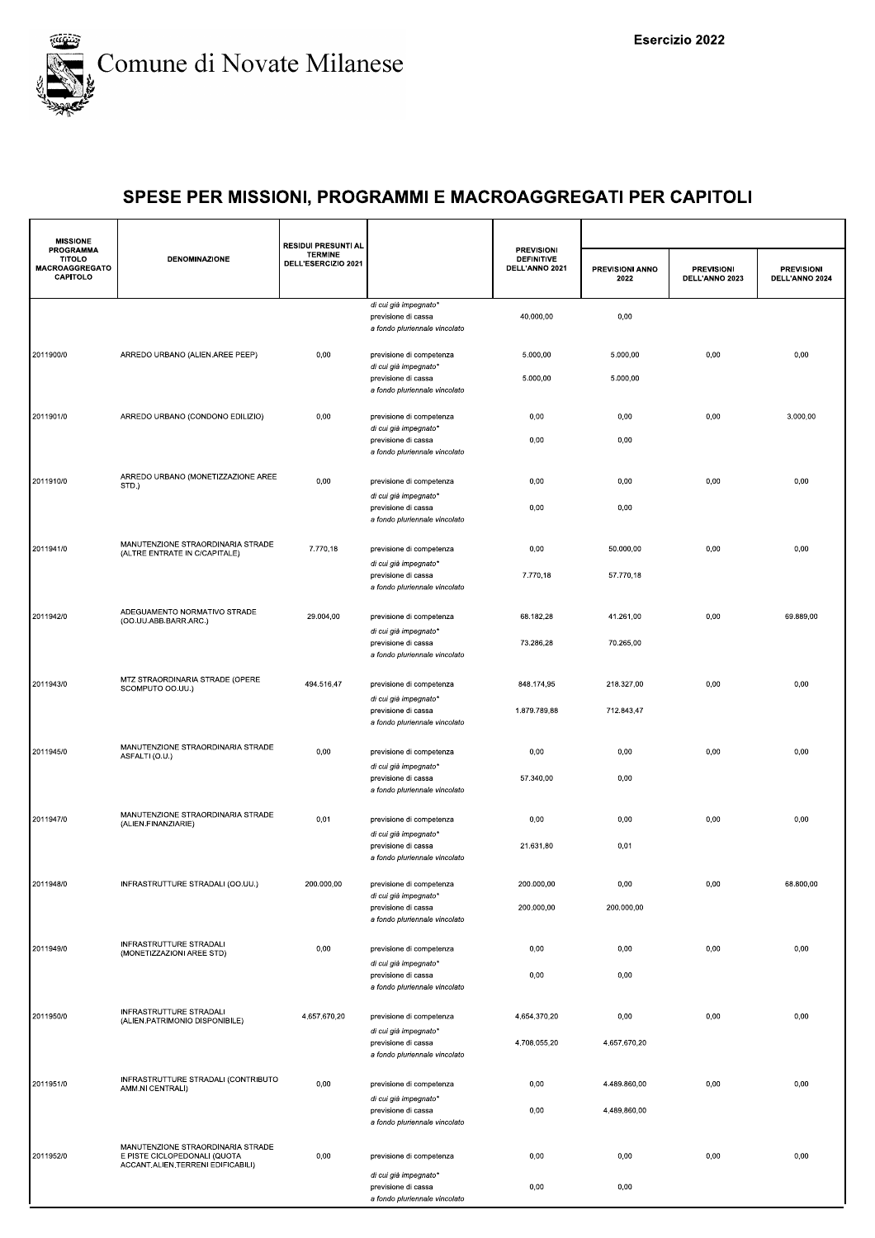

| <b>MISSIONE</b>                                                 |                                                                                                        | <b>RESIDUI PRESUNTI AL</b>            |                                                                               |                                                          |                         |                                     |                                     |
|-----------------------------------------------------------------|--------------------------------------------------------------------------------------------------------|---------------------------------------|-------------------------------------------------------------------------------|----------------------------------------------------------|-------------------------|-------------------------------------|-------------------------------------|
| <b>PROGRAMMA</b><br><b>TITOLO</b><br>MACROAGGREGATO<br>CAPITOLO | <b>DENOMINAZIONE</b>                                                                                   | <b>TERMINE</b><br>DELL'ESERCIZIO 2021 |                                                                               | <b>PREVISIONI</b><br><b>DEFINITIVE</b><br>DELL'ANNO 2021 | PREVISIONI ANNO<br>2022 | <b>PREVISIONI</b><br>DELL'ANNO 2023 | <b>PREVISIONI</b><br>DELL'ANNO 2024 |
|                                                                 |                                                                                                        |                                       | di cui già impegnato*<br>previsione di cassa<br>a fondo pluriennale vincolato | 40.000.00                                                | 0,00                    |                                     |                                     |
| 2011900/0                                                       | ARREDO URBANO (ALIEN.AREE PEEP)                                                                        | 0,00                                  | previsione di competenza<br>di cui già impegnato*                             | 5.000,00                                                 | 5.000,00                | 0,00                                | 0,00                                |
|                                                                 |                                                                                                        |                                       | previsione di cassa<br>a fondo pluriennale vincolato                          | 5.000,00                                                 | 5.000,00                |                                     |                                     |
| 2011901/0                                                       | ARREDO URBANO (CONDONO EDILIZIO)                                                                       | 0,00                                  | previsione di competenza<br>di cui già impegnato*                             | 0,00                                                     | 0,00                    | 0,00                                | 3.000,00                            |
|                                                                 |                                                                                                        |                                       | previsione di cassa<br>a fondo pluriennale vincolato                          | 0,00                                                     | 0,00                    |                                     |                                     |
| 2011910/0                                                       | ARREDO URBANO (MONETIZZAZIONE AREE<br>STD.)                                                            | 0,00                                  | previsione di competenza<br>di cui già impegnato*                             | 0,00                                                     | 0,00                    | 0,00                                | 0,00                                |
|                                                                 |                                                                                                        |                                       | previsione di cassa<br>a fondo pluriennale vincolato                          | 0,00                                                     | 0,00                    |                                     |                                     |
| 2011941/0                                                       | MANUTENZIONE STRAORDINARIA STRADE<br>(ALTRE ENTRATE IN C/CAPITALE)                                     | 7.770,18                              | previsione di competenza                                                      | 0,00                                                     | 50.000,00               | 0,00                                | 0,00                                |
|                                                                 |                                                                                                        |                                       | di cui già impegnato*<br>previsione di cassa<br>a fondo pluriennale vincolato | 7.770,18                                                 | 57.770,18               |                                     |                                     |
| 2011942/0                                                       | ADEGUAMENTO NORMATIVO STRADE<br>(OO.UU.ABB.BARR.ARC.)                                                  | 29.004,00                             | previsione di competenza                                                      | 68.182,28                                                | 41.261,00               | 0,00                                | 69.889,00                           |
|                                                                 |                                                                                                        |                                       | di cui già impegnato*<br>previsione di cassa<br>a fondo pluriennale vincolato | 73.286,28                                                | 70.265,00               |                                     |                                     |
| 2011943/0                                                       | MTZ STRAORDINARIA STRADE (OPERE<br>SCOMPUTO OO.UU.)                                                    | 494.516,47                            | previsione di competenza                                                      | 848.174,95                                               | 218.327,00              | 0,00                                | 0,00                                |
|                                                                 |                                                                                                        |                                       | di cui già impegnato*<br>previsione di cassa<br>a fondo pluriennale vincolato | 1.879.789,88                                             | 712.843,47              |                                     |                                     |
| 2011945/0                                                       | MANUTENZIONE STRAORDINARIA STRADE<br>ASFALTI (O.U.)                                                    | 0,00                                  | previsione di competenza<br>di cui già impegnato*                             | 0,00                                                     | 0,00                    | 0,00                                | 0,00                                |
|                                                                 |                                                                                                        |                                       | previsione di cassa<br>a fondo pluriennale vincolato                          | 57.340,00                                                | 0,00                    |                                     |                                     |
| 2011947/0                                                       | MANUTENZIONE STRAORDINARIA STRADE<br>(ALIEN.FINANZIARIE)                                               | 0,01                                  | previsione di competenza<br>di cui già impegnato*                             | 0,00                                                     | 0,00                    | 0,00                                | 0,00                                |
|                                                                 |                                                                                                        |                                       | previsione di cassa<br>a fondo pluriennale vincolato                          | 21.631,80                                                | 0,01                    |                                     |                                     |
| 2011948/0                                                       | INFRASTRUTTURE STRADALI (OO.UU.)                                                                       | 200.000,00                            | previsione di competenza<br>di cui già impegnato*                             | 200.000,00                                               | 0,00                    | 0,00                                | 68.800,00                           |
|                                                                 |                                                                                                        |                                       | previsione di cassa<br>a fondo pluriennale vincolato                          | 200.000,00                                               | 200.000,00              |                                     |                                     |
| 2011949/0                                                       | INFRASTRUTTURE STRADALI<br>(MONETIZZAZIONI AREE STD)                                                   | 0,00                                  | previsione di competenza<br>di cui già impegnato*                             | 0,00                                                     | 0,00                    | 0,00                                | 0,00                                |
|                                                                 |                                                                                                        |                                       | previsione di cassa<br>a fondo pluriennale vincolato                          | 0,00                                                     | 0,00                    |                                     |                                     |
| 2011950/0                                                       | INFRASTRUTTURE STRADALI<br>(ALIEN.PATRIMONIO DISPONIBILE)                                              | 4.657.670,20                          | previsione di competenza<br>di cui già impegnato*                             | 4.654.370,20                                             | 0,00                    | 0,00                                | 0,00                                |
|                                                                 |                                                                                                        |                                       | previsione di cassa<br>a fondo pluriennale vincolato                          | 4.708.055,20                                             | 4.657.670,20            |                                     |                                     |
| 2011951/0                                                       | INFRASTRUTTURE STRADALI (CONTRIBUTO<br>AMM.NI CENTRALI)                                                | 0,00                                  | previsione di competenza                                                      | 0,00                                                     | 4.489.860,00            | 0,00                                | 0,00                                |
|                                                                 |                                                                                                        |                                       | di cui già impegnato*<br>previsione di cassa<br>a fondo pluriennale vincolato | 0,00                                                     | 4.489.860,00            |                                     |                                     |
| 2011952/0                                                       | MANUTENZIONE STRAORDINARIA STRADE<br>E PISTE CICLOPEDONALI (QUOTA<br>ACCANT.ALIEN.TERRENI EDIFICABILI) | 0,00                                  | previsione di competenza                                                      | 0,00                                                     | 0,00                    | 0,00                                | 0,00                                |
|                                                                 |                                                                                                        |                                       | di cui già impegnato*<br>previsione di cassa<br>a fondo pluriennale vincolato | 0,00                                                     | 0,00                    |                                     |                                     |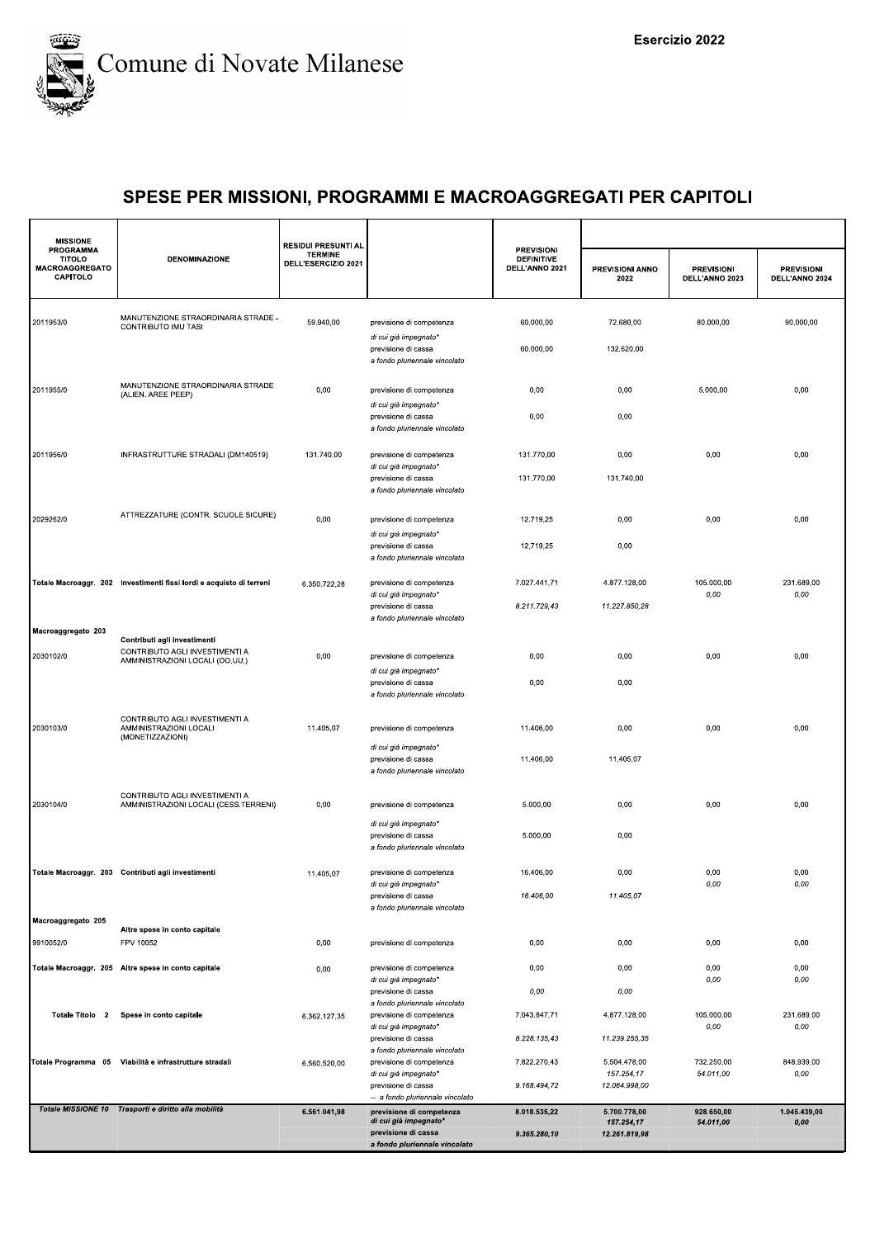

| <b>MISSIONE</b><br><b>PROGRAMMA</b>                |                                                                         | <b>RESIDUI PRESUNTI AL</b>            |                                                                                    | <b>PREVISIONI</b>                   |                                             |                                     |                                     |
|----------------------------------------------------|-------------------------------------------------------------------------|---------------------------------------|------------------------------------------------------------------------------------|-------------------------------------|---------------------------------------------|-------------------------------------|-------------------------------------|
| <b>TITOLO</b><br><b>MACROAGGREGATO</b><br>CAPITOLO | <b>DENOMINAZIONE</b>                                                    | <b>TERMINE</b><br>DELL'ESERCIZIO 2021 |                                                                                    | <b>DEFINITIVE</b><br>DELL'ANNO 2021 | <b>PREVISIONI ANNO</b><br>2022              | <b>PREVISIONI</b><br>DELL'ANNO 2023 | <b>PREVISIONI</b><br>DELL'ANNO 2024 |
| 2011953/0                                          | MANUTENZIONE STRAORDINARIA STRADE -<br>CONTRIBUTO IMU TASI              | 59.940,00                             | previsione di competenza                                                           | 60.000,00                           | 72.680,00                                   | 80.000,00                           | 90.000,00                           |
|                                                    |                                                                         |                                       | di cui già impegnato*<br>previsione di cassa<br>a fondo pluriennale vincolato      | 60.000,00                           | 132.620,00                                  |                                     |                                     |
| 2011955/0                                          | MANUTENZIONE STRAORDINARIA STRADE<br>(ALIEN. AREE PEEP)                 | 0,00                                  | previsione di competenza<br>di cui già impegnato*                                  | 0,00                                | 0,00                                        | 5.000,00                            | 0,00                                |
|                                                    |                                                                         |                                       | previsione di cassa<br>a fondo pluriennale vincolato                               | 0,00                                | 0,00                                        |                                     |                                     |
| 2011956/0                                          | INFRASTRUTTURE STRADALI (DM140519)                                      | 131.740,00                            | previsione di competenza<br>di cui già impegnato*<br>previsione di cassa           | 131.770,00<br>131.770,00            | 0,00<br>131.740,00                          | 0,00                                | 0,00                                |
|                                                    | ATTREZZATURE (CONTR. SCUOLE SICURE)                                     |                                       | a fondo pluriennale vincolato                                                      |                                     |                                             |                                     |                                     |
| 2029262/0                                          |                                                                         | 0,00                                  | previsione di competenza<br>di cui già impegnato*<br>previsione di cassa           | 12.719,25<br>12.719,25              | 0,00<br>0,00                                | 0,00                                | 0,00                                |
|                                                    | Totale Macroaggr. 202 Investimenti fissi lordi e acquisto di terreni    | 6.350.722,28                          | a fondo pluriennale vincolato<br>previsione di competenza                          | 7.027.441,71                        | 4.877.128,00                                | 105.000,00                          | 231.689,00                          |
|                                                    |                                                                         |                                       | di cui già impegnato*<br>previsione di cassa<br>a fondo pluriennale vincolato      | 8.211.729,43                        | 11.227.850,28                               | 0,00                                | 0,00                                |
| Macroaggregato 203                                 | Contributi agli investimenti<br>CONTRIBUTO AGLI INVESTIMENTI A          |                                       |                                                                                    |                                     |                                             |                                     |                                     |
| 2030102/0                                          | AMMINISTRAZIONI LOCALI (OO.UU.)                                         | 0,00                                  | previsione di competenza<br>di cui già impegnato*<br>previsione di cassa           | 0,00<br>0,00                        | 0,00<br>0,00                                | 0,00                                | 0,00                                |
|                                                    | CONTRIBUTO AGLI INVESTIMENTI A                                          |                                       | a fondo pluriennale vincolato                                                      |                                     |                                             |                                     |                                     |
| 2030103/0                                          | AMMINISTRAZIONI LOCALI<br>(MONETIZZAZIONI)                              | 11.405,07                             | previsione di competenza<br>di cui già impegnato*                                  | 11.406,00                           | 0,00                                        | 0,00                                | 0,00                                |
|                                                    |                                                                         |                                       | previsione di cassa<br>a fondo pluriennale vincolato                               | 11.406,00                           | 11.405,07                                   |                                     |                                     |
| 2030104/0                                          | CONTRIBUTO AGLI INVESTIMENTI A<br>AMMINISTRAZIONI LOCALI (CESS.TERRENI) | 0,00                                  | previsione di competenza                                                           | 5.000,00                            | 0,00                                        | 0,00                                | 0,00                                |
|                                                    |                                                                         |                                       | di cui già impegnato*<br>previsione di cassa<br>a fondo pluriennale vincolato      | 5.000,00                            | 0,00                                        |                                     |                                     |
|                                                    | Totale Macroaggr. 203 Contributi agli investimenti                      | 11.405,07                             | previsione di competenza<br>di cui già impegnato                                   | 16.406,00                           | 0,00                                        | 0,00<br>0,00                        | 0,00<br>0,00                        |
| Macroaggregato 205                                 |                                                                         |                                       | previsione di cassa<br>a fondo pluriennale vincolato                               | 16.406,00                           | 11.405,07                                   |                                     |                                     |
| 9910052/0                                          | Altre spese in conto capitale<br>FPV 10052                              | 0,00                                  | previsione di competenza                                                           | 0,00                                | 0,00                                        | 0,00                                | 0,00                                |
|                                                    | Totale Macroaggr. 205 Altre spese in conto capitale                     | 0,00                                  | previsione di competenza                                                           | 0,00                                | 0,00                                        | 0,00                                | 0,00                                |
|                                                    |                                                                         |                                       | di cui già impegnato*<br>previsione di cassa                                       | 0,00                                | 0,00                                        | 0,00                                | 0,00                                |
| Totale Titolo 2                                    | Spese in conto capitale                                                 | 6.362.127,35                          | a fondo pluriennale vincolato<br>previsione di competenza<br>di cui già impegnato* | 7.043.847,71                        | 4.877.128,00                                | 105.000,00<br>0,00                  | 231.689,00<br>0,00                  |
|                                                    |                                                                         |                                       | previsione di cassa<br>a fondo pluriennale vincolato                               | 8.228.135,43                        | 11.239.255,35                               |                                     |                                     |
|                                                    | Totale Programma 05 Viabilità e infrastrutture stradali                 | 6.560.520,00                          | previsione di competenza<br>di cui già impegnato*<br>previsione di cassa           | 7.822.270,43<br>9.168.494,72        | 5.504.478,00<br>157.254,17<br>12.064.998,00 | 732.250,00<br>54.011,00             | 848.939.00<br>0,00                  |
|                                                    | Totale MISSIONE 10 Trasporti e diritto alla mobilità                    |                                       | -- a fondo pluriennale vincolato                                                   |                                     |                                             |                                     |                                     |
|                                                    |                                                                         | 6.561.041,98                          | previsione di competenza<br>di cui già impegnato*<br>previsione di cassa           | 8.018.535,22<br>9.365.280,10        | 5.700.778,00<br>157.254,17<br>12.261.819,98 | 928.650,00<br>54.011,00             | 1.045.439,00<br>0,00                |
|                                                    |                                                                         |                                       | a fondo pluriennale vincolato                                                      |                                     |                                             |                                     |                                     |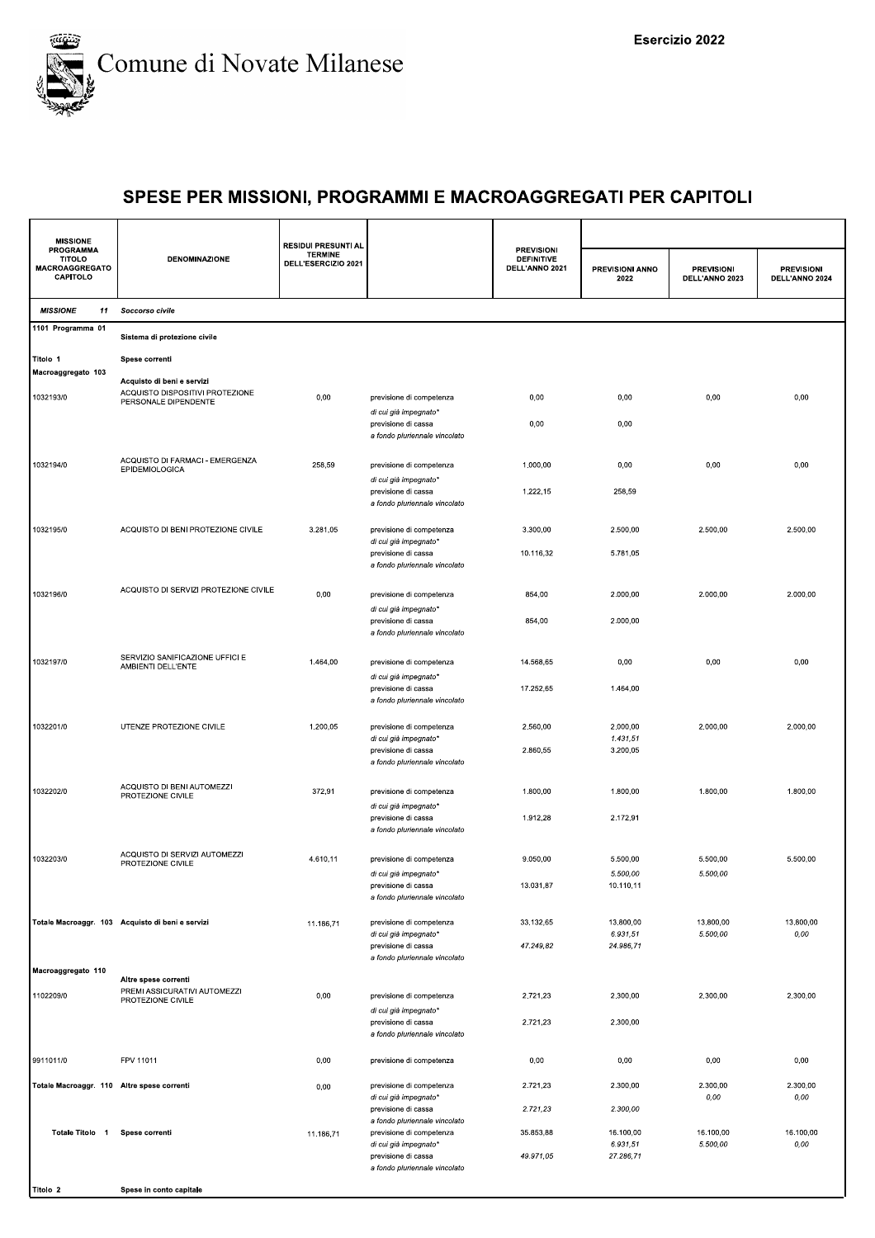

| <b>MISSIONE</b>                                                 |                                                         | <b>RESIDUI PRESUNTI AL</b>            |                                                                               |                                                          |                         |                                     |                                     |  |
|-----------------------------------------------------------------|---------------------------------------------------------|---------------------------------------|-------------------------------------------------------------------------------|----------------------------------------------------------|-------------------------|-------------------------------------|-------------------------------------|--|
| <b>PROGRAMMA</b><br><b>TITOLO</b><br>MACROAGGREGATO<br>CAPITOLO | <b>DENOMINAZIONE</b>                                    | <b>TERMINE</b><br>DELL'ESERCIZIO 2021 |                                                                               | <b>PREVISIONI</b><br><b>DEFINITIVE</b><br>DELL'ANNO 2021 | PREVISIONI ANNO<br>2022 | <b>PREVISIONI</b><br>DELL'ANNO 2023 | <b>PREVISIONI</b><br>DELL'ANNO 2024 |  |
| <b>MISSIONE</b><br>11                                           | Soccorso civile                                         |                                       |                                                                               |                                                          |                         |                                     |                                     |  |
| 1101 Programma 01                                               | Sistema di protezione civile                            |                                       |                                                                               |                                                          |                         |                                     |                                     |  |
| Titolo 1                                                        | Spese correnti                                          |                                       |                                                                               |                                                          |                         |                                     |                                     |  |
| Macroaggregato 103                                              | Acquisto di beni e servizi                              |                                       |                                                                               |                                                          |                         |                                     |                                     |  |
| 1032193/0                                                       | ACQUISTO DISPOSITIVI PROTEZIONE<br>PERSONALE DIPENDENTE | 0,00                                  | previsione di competenza                                                      | 0,00                                                     | 0,00                    | 0,00                                | 0,00                                |  |
|                                                                 |                                                         |                                       | di cui già impegnato*<br>previsione di cassa<br>a fondo pluriennale vincolato | 0,00                                                     | 0,00                    |                                     |                                     |  |
| 1032194/0                                                       | ACQUISTO DI FARMACI - EMERGENZA<br>EPIDEMIOLOGICA       | 258,59                                | previsione di competenza                                                      | 1.000,00                                                 | 0,00                    | 0,00                                | 0,00                                |  |
|                                                                 |                                                         |                                       | di cui già impegnato*<br>previsione di cassa                                  | 1.222,15                                                 | 258,59                  |                                     |                                     |  |
|                                                                 |                                                         |                                       | a fondo pluriennale vincolato                                                 |                                                          |                         |                                     |                                     |  |
| 1032195/0                                                       | ACQUISTO DI BENI PROTEZIONE CIVILE                      | 3.281,05                              | previsione di competenza<br>di cui già impegnato*                             | 3.300,00                                                 | 2.500.00                | 2.500,00                            | 2.500,00                            |  |
|                                                                 |                                                         |                                       | previsione di cassa<br>a fondo pluriennale vincolato                          | 10.116,32                                                | 5.781,05                |                                     |                                     |  |
| 1032196/0                                                       | ACQUISTO DI SERVIZI PROTEZIONE CIVILE                   | 0,00                                  | previsione di competenza                                                      | 854,00                                                   | 2.000,00                | 2.000,00                            | 2.000,00                            |  |
|                                                                 |                                                         |                                       | di cui già impegnato*                                                         |                                                          |                         |                                     |                                     |  |
|                                                                 |                                                         |                                       | previsione di cassa<br>a fondo pluriennale vincolato                          | 854,00                                                   | 2.000,00                |                                     |                                     |  |
| 1032197/0                                                       | SERVIZIO SANIFICAZIONE UFFICI E<br>AMBIENTI DELL'ENTE   | 1.464,00                              | previsione di competenza                                                      | 14.568,65                                                | 0,00                    | 0,00                                | 0,00                                |  |
|                                                                 |                                                         |                                       | di cui già impegnato*<br>previsione di cassa<br>a fondo pluriennale vincolato | 17.252,65                                                | 1.464,00                |                                     |                                     |  |
| 1032201/0                                                       | UTENZE PROTEZIONE CIVILE                                | 1.200,05                              | previsione di competenza                                                      | 2.560,00                                                 | 2.000,00                | 2.000,00                            | 2.000,00                            |  |
|                                                                 |                                                         |                                       | di cui già impegnato*<br>previsione di cassa                                  | 2.860,55                                                 | 1.431,51<br>3.200,05    |                                     |                                     |  |
|                                                                 |                                                         |                                       | a fondo pluriennale vincolato                                                 |                                                          |                         |                                     |                                     |  |
| 1032202/0                                                       | ACQUISTO DI BENI AUTOMEZZI<br>PROTEZIONE CIVILE         | 372,91                                | previsione di competenza                                                      | 1.800,00                                                 | 1.800,00                | 1.800,00                            | 1.800,00                            |  |
|                                                                 |                                                         |                                       | di cui già impegnato*<br>previsione di cassa                                  | 1.912,28                                                 | 2.172,91                |                                     |                                     |  |
|                                                                 |                                                         |                                       | a fondo pluriennale vincolato                                                 |                                                          |                         |                                     |                                     |  |
| 1032203/0                                                       | ACQUISTO DI SERVIZI AUTOMEZZI<br>PROTEZIONE CIVILE      | 4.610,11                              | previsione di competenza                                                      | 9.050,00                                                 | 5.500,00                | 5.500,00                            | 5.500,00                            |  |
|                                                                 |                                                         |                                       | di cui già impegnato*<br>previsione di cassa                                  | 13.031,87                                                | 5.500,00<br>10.110,11   | 5.500,00                            |                                     |  |
|                                                                 |                                                         |                                       | a fondo pluriennale vincolato                                                 |                                                          |                         |                                     |                                     |  |
|                                                                 | Totale Macroaggr. 103 Acquisto di beni e servizi        | 11.186,71                             | previsione di competenza                                                      | 33.132,65                                                | 13.800,00               | 13.800.00                           | 13.800,00                           |  |
|                                                                 |                                                         |                                       | di cui già impegnato*<br>previsione di cassa                                  | 47.249,82                                                | 6.931,51<br>24.986,71   | 5.500,00                            | $0,\!00$                            |  |
| Macroaggregato 110                                              |                                                         |                                       | a fondo pluriennale vincolato                                                 |                                                          |                         |                                     |                                     |  |
| 1102209/0                                                       | Altre spese correnti<br>PREMI ASSICURATIVI AUTOMEZZI    | 0,00                                  | previsione di competenza                                                      | 2.721,23                                                 | 2.300,00                | 2.300,00                            | 2.300,00                            |  |
|                                                                 | PROTEZIONE CIVILE                                       |                                       | di cui già impegnato*                                                         |                                                          |                         |                                     |                                     |  |
|                                                                 |                                                         |                                       | previsione di cassa<br>a fondo pluriennale vincolato                          | 2.721,23                                                 | 2.300,00                |                                     |                                     |  |
| 9911011/0                                                       | FPV 11011                                               | 0,00                                  | previsione di competenza                                                      | 0,00                                                     | 0,00                    | 0,00                                | 0,00                                |  |
| Totale Macroaggr. 110 Altre spese correnti                      |                                                         | 0,00                                  | previsione di competenza                                                      | 2.721,23                                                 | 2.300,00                | 2.300,00                            | 2.300,00                            |  |
|                                                                 |                                                         |                                       | di cui già impegnato*<br>previsione di cassa                                  | 2.721,23                                                 | 2.300,00                | 0,00                                | 0,00                                |  |
| Totale Titolo 1                                                 | Spese correnti                                          | 11.186,71                             | a fondo pluriennale vincolato<br>previsione di competenza                     | 35.853,88                                                | 16.100,00               | 16.100,00                           | 16.100,00                           |  |
|                                                                 |                                                         |                                       | di cui già impegnato*<br>previsione di cassa                                  | 49.971,05                                                | 6.931,51<br>27.286,71   | 5.500,00                            | 0,00                                |  |
|                                                                 |                                                         |                                       | a fondo pluriennale vincolato                                                 |                                                          |                         |                                     |                                     |  |
| Titolo 2                                                        | Spese in conto capitale                                 |                                       |                                                                               |                                                          |                         |                                     |                                     |  |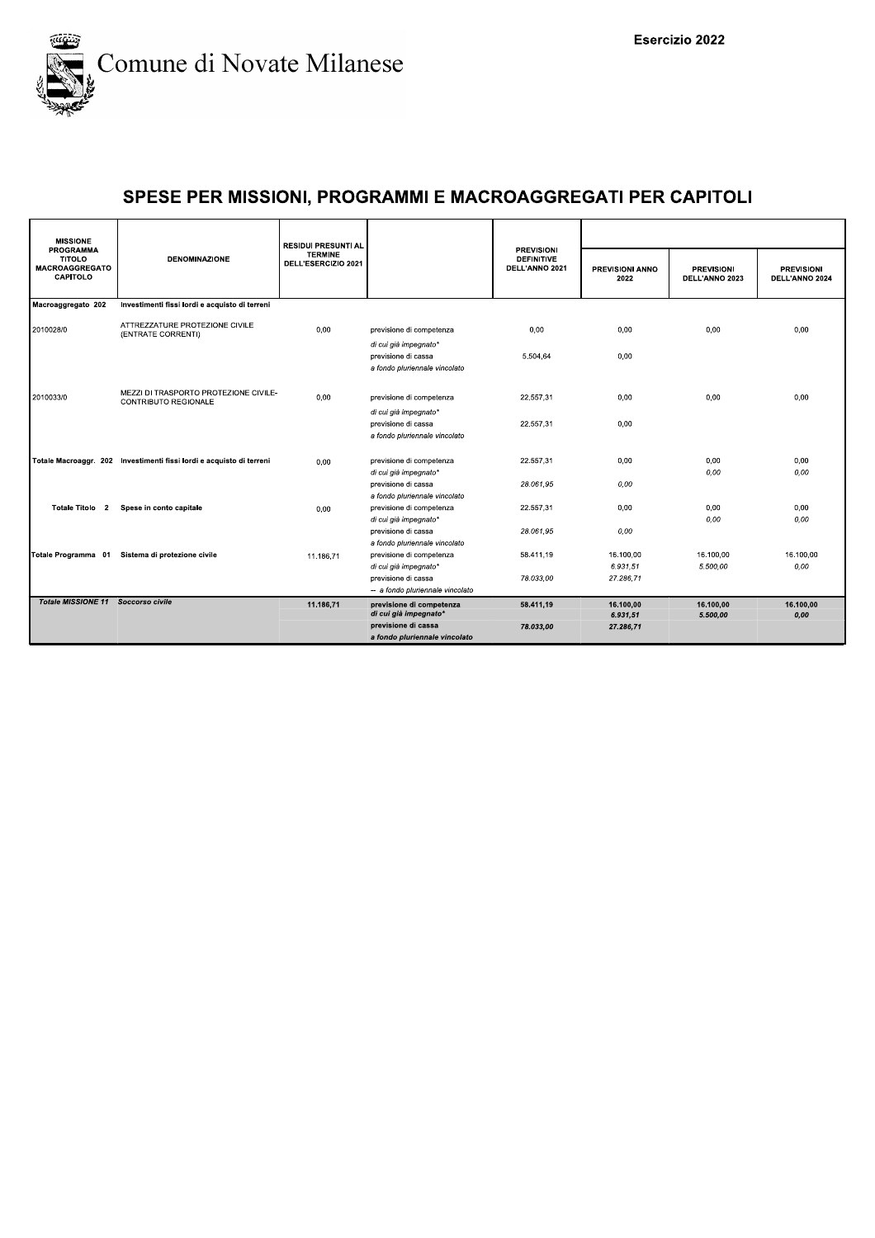

| <b>MISSIONE</b><br><b>PROGRAMMA</b>                       | <b>DENOMINAZIONE</b>                                                 | <b>RESIDUI PRESUNTI AL</b><br><b>TERMINE</b><br>DELL'ESERCIZIO 2021 |                                                         | <b>PREVISIONI</b><br><b>DEFINITIVE</b><br>DELL'ANNO 2021 |                         |                                     |                                     |  |
|-----------------------------------------------------------|----------------------------------------------------------------------|---------------------------------------------------------------------|---------------------------------------------------------|----------------------------------------------------------|-------------------------|-------------------------------------|-------------------------------------|--|
| <b>TITOLO</b><br><b>MACROAGGREGATO</b><br><b>CAPITOLO</b> |                                                                      |                                                                     |                                                         |                                                          | PREVISIONI ANNO<br>2022 | <b>PREVISIONI</b><br>DELL'ANNO 2023 | <b>PREVISIONI</b><br>DELL'ANNO 2024 |  |
| Macroaggregato 202                                        | Investimenti fissi lordi e acquisto di terreni                       |                                                                     |                                                         |                                                          |                         |                                     |                                     |  |
| 2010028/0                                                 | ATTREZZATURE PROTEZIONE CIVILE<br>(ENTRATE CORRENTI)                 | 0,00                                                                | previsione di competenza<br>di cui già impegnato*       | 0,00                                                     | 0,00                    | 0,00                                | 0,00                                |  |
|                                                           |                                                                      |                                                                     | previsione di cassa<br>a fondo pluriennale vincolato    | 5.504,64                                                 | 0,00                    |                                     |                                     |  |
| 2010033/0                                                 | MEZZI DI TRASPORTO PROTEZIONE CIVILE-<br>CONTRIBUTO REGIONALE        | 0.00                                                                | previsione di competenza<br>di cui già impegnato*       | 22.557.31                                                | 0.00                    | 0.00                                | 0.00                                |  |
|                                                           |                                                                      |                                                                     | previsione di cassa<br>a fondo pluriennale vincolato    | 22.557,31                                                | 0,00                    |                                     |                                     |  |
|                                                           | Totale Macroaggr. 202 Investimenti fissi lordi e acquisto di terreni | 0,00                                                                | previsione di competenza<br>di cui già impegnato*       | 22.557,31                                                | 0.00                    | 0,00<br>0.00                        | 0,00<br>0.00                        |  |
|                                                           |                                                                      |                                                                     | previsione di cassa<br>a fondo pluriennale vincolato    | 28.061,95                                                | 0,00                    |                                     |                                     |  |
| Totale Titolo 2                                           | Spese in conto capitale                                              | 0,00                                                                | previsione di competenza<br>di cui già impegnato*       | 22.557.31                                                | 0.00                    | 0.00<br>0.00                        | 0.00<br>0.00                        |  |
|                                                           |                                                                      |                                                                     | previsione di cassa<br>a fondo pluriennale vincolato    | 28.061.95                                                | 0.00                    |                                     |                                     |  |
|                                                           | Totale Programma 01 Sistema di protezione civile                     | 11.186.71                                                           | previsione di competenza<br>di cui già impegnato*       | 58.411,19                                                | 16.100,00<br>6.931.51   | 16.100.00<br>5.500,00               | 16.100.00<br>0.00                   |  |
|                                                           |                                                                      |                                                                     | previsione di cassa<br>-- a fondo pluriennale vincolato | 78.033.00                                                | 27.286.71               |                                     |                                     |  |
| Totale MISSIONE 11 Soccorso civile                        |                                                                      | 11.186,71                                                           | previsione di competenza<br>di cui già impegnato*       | 58.411,19                                                | 16.100,00<br>6.931,51   | 16.100,00<br>5.500,00               | 16.100,00<br>0,00                   |  |
|                                                           |                                                                      |                                                                     | previsione di cassa<br>a fondo pluriennale vincolato    | 78.033,00                                                | 27.286,71               |                                     |                                     |  |
|                                                           |                                                                      |                                                                     |                                                         |                                                          |                         |                                     |                                     |  |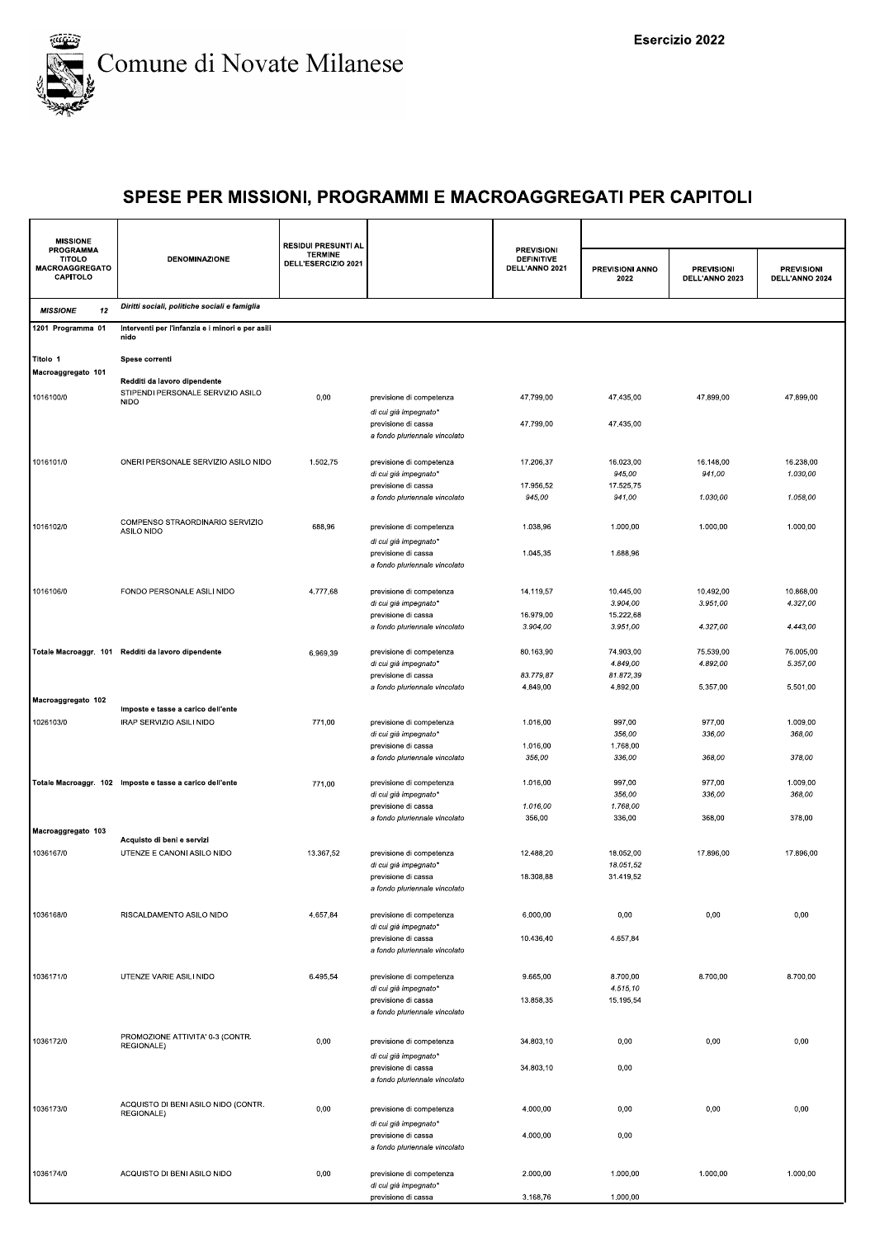

| <b>MISSIONE</b>                                                 |                                                                   | <b>RESIDUI PRESUNTI AL</b>            |                                                      |                                                          |                         |                                     |                                     |  |
|-----------------------------------------------------------------|-------------------------------------------------------------------|---------------------------------------|------------------------------------------------------|----------------------------------------------------------|-------------------------|-------------------------------------|-------------------------------------|--|
| <b>PROGRAMMA</b><br><b>TITOLO</b><br>MACROAGGREGATO<br>CAPITOLO | <b>DENOMINAZIONE</b>                                              | <b>TERMINE</b><br>DELL'ESERCIZIO 2021 |                                                      | <b>PREVISIONI</b><br><b>DEFINITIVE</b><br>DELL'ANNO 2021 | PREVISIONI ANNO<br>2022 | <b>PREVISIONI</b><br>DELL'ANNO 2023 | <b>PREVISIONI</b><br>DELL'ANNO 2024 |  |
| 12<br><b>MISSIONE</b>                                           | Diritti sociali, politiche sociali e famiglia                     |                                       |                                                      |                                                          |                         |                                     |                                     |  |
| 1201 Programma 01                                               | Interventi per l'infanzia e i minori e per asili<br>nido          |                                       |                                                      |                                                          |                         |                                     |                                     |  |
| Titolo 1<br>Macroaggregato 101                                  | Spese correnti                                                    |                                       |                                                      |                                                          |                         |                                     |                                     |  |
|                                                                 | Redditi da lavoro dipendente<br>STIPENDI PERSONALE SERVIZIO ASILO |                                       |                                                      |                                                          |                         |                                     |                                     |  |
| 1016100/0                                                       | <b>NIDO</b>                                                       | 0,00                                  | previsione di competenza<br>di cui già impegnato*    | 47.799,00                                                | 47.435,00               | 47.899,00                           | 47.899,00                           |  |
|                                                                 |                                                                   |                                       | previsione di cassa<br>a fondo pluriennale vincolato | 47.799,00                                                | 47.435,00               |                                     |                                     |  |
| 1016101/0                                                       | ONERI PERSONALE SERVIZIO ASILO NIDO                               | 1.502,75                              | previsione di competenza                             | 17.206,37                                                | 16.023,00               | 16.148,00                           | 16.238,00                           |  |
|                                                                 |                                                                   |                                       | di cui già impegnato*                                |                                                          | 945,00                  | 941,00                              | 1.030,00                            |  |
|                                                                 |                                                                   |                                       | previsione di cassa                                  | 17.956,52                                                | 17.525,75               |                                     |                                     |  |
|                                                                 |                                                                   |                                       | a fondo pluriennale vincolato                        | 945,00                                                   | 941,00                  | 1.030,00                            | 1.058,00                            |  |
| 1016102/0                                                       | COMPENSO STRAORDINARIO SERVIZIO                                   | 688,96                                | previsione di competenza                             | 1.038,96                                                 | 1.000,00                | 1.000,00                            | 1.000,00                            |  |
|                                                                 | ASILO NIDO                                                        |                                       | di cui già impegnato*                                |                                                          |                         |                                     |                                     |  |
|                                                                 |                                                                   |                                       | previsione di cassa<br>a fondo pluriennale vincolato | 1.045,35                                                 | 1.688,96                |                                     |                                     |  |
| 1016106/0                                                       | FONDO PERSONALE ASILI NIDO                                        | 4.777,68                              | previsione di competenza                             | 14.119,57                                                | 10.445,00               | 10.492,00                           | 10.868.00                           |  |
|                                                                 |                                                                   |                                       | di cui già impegnato*                                |                                                          | 3.904,00                | 3.951,00                            | 4.327,00                            |  |
|                                                                 |                                                                   |                                       | previsione di cassa                                  | 16.979,00                                                | 15.222,68               |                                     |                                     |  |
|                                                                 |                                                                   |                                       | a fondo pluriennale vincolato                        | 3.904,00                                                 | 3.951,00                | 4.327,00                            | 4.443,00                            |  |
|                                                                 | Totale Macroaggr. 101 Redditi da lavoro dipendente                | 6.969,39                              | previsione di competenza                             | 80.163,90                                                | 74.903,00               | 75.539,00                           | 76.005,00                           |  |
|                                                                 |                                                                   |                                       | di cui già impegnato*                                |                                                          | 4.849,00                | 4.892,00                            | 5.357,00                            |  |
|                                                                 |                                                                   |                                       | previsione di cassa                                  | 83.779,87                                                | 81.872,39               |                                     |                                     |  |
| Macroaggregato 102                                              |                                                                   |                                       | a fondo pluriennale vincolato                        | 4.849,00                                                 | 4.892,00                | 5.357,00                            | 5.501,00                            |  |
|                                                                 | Imposte e tasse a carico dell'ente                                |                                       |                                                      |                                                          |                         |                                     |                                     |  |
| 1026103/0                                                       | IRAP SERVIZIO ASILI NIDO                                          | 771,00                                | previsione di competenza                             | 1.016,00                                                 | 997,00                  | 977,00                              | 1.009,00                            |  |
|                                                                 |                                                                   |                                       | di cui già impegnato*<br>previsione di cassa         | 1.016,00                                                 | 356,00<br>1.768,00      | 336,00                              | 368,00                              |  |
|                                                                 |                                                                   |                                       | a fondo pluriennale vincolato                        | 356,00                                                   | 336,00                  | 368,00                              | 378,00                              |  |
|                                                                 |                                                                   |                                       |                                                      |                                                          |                         |                                     |                                     |  |
|                                                                 | Totale Macroaggr. 102 Imposte e tasse a carico dell'ente          | 771,00                                | previsione di competenza                             | 1.016,00                                                 | 997,00                  | 977,00                              | 1.009,00                            |  |
|                                                                 |                                                                   |                                       | di cui già impegnato*<br>previsione di cassa         | 1.016,00                                                 | 356,00<br>1.768,00      | 336,00                              | 368,00                              |  |
|                                                                 |                                                                   |                                       | a fondo pluriennale vincolato                        | 356,00                                                   | 336,00                  | 368,00                              | 378,00                              |  |
| Macroaggregato 103                                              |                                                                   |                                       |                                                      |                                                          |                         |                                     |                                     |  |
| 1036167/0                                                       | Acquisto di beni e servizi<br>UTENZE E CANONI ASILO NIDO          | 13.367,52                             | previsione di competenza                             | 12.488,20                                                | 18.052.00               | 17.896,00                           | 17.896,00                           |  |
|                                                                 |                                                                   |                                       | di cui già impegnato*                                |                                                          | 18.051,52               |                                     |                                     |  |
|                                                                 |                                                                   |                                       | previsione di cassa                                  | 18.308,88                                                | 31.419,52               |                                     |                                     |  |
|                                                                 |                                                                   |                                       | a fondo pluriennale vincolato                        |                                                          |                         |                                     |                                     |  |
| 1036168/0                                                       | RISCALDAMENTO ASILO NIDO                                          | 4.657,84                              | previsione di competenza                             | 6.000,00                                                 | 0,00                    | 0,00                                | 0,00                                |  |
|                                                                 |                                                                   |                                       | di cui già impegnato*                                |                                                          |                         |                                     |                                     |  |
|                                                                 |                                                                   |                                       | previsione di cassa                                  | 10.436,40                                                | 4.657,84                |                                     |                                     |  |
|                                                                 |                                                                   |                                       | a fondo pluriennale vincolato                        |                                                          |                         |                                     |                                     |  |
| 1036171/0                                                       | UTENZE VARIE ASILI NIDO                                           | 6.495,54                              | previsione di competenza                             | 9.665.00                                                 | 8.700.00                | 8.700,00                            | 8.700,00                            |  |
|                                                                 |                                                                   |                                       | di cui già impegnato*                                |                                                          | 4.515,10                |                                     |                                     |  |
|                                                                 |                                                                   |                                       | previsione di cassa                                  | 13.858,35                                                | 15.195,54               |                                     |                                     |  |
|                                                                 |                                                                   |                                       | a fondo pluriennale vincolato                        |                                                          |                         |                                     |                                     |  |
|                                                                 | PROMOZIONE ATTIVITA' 0-3 (CONTR.                                  |                                       |                                                      |                                                          |                         |                                     |                                     |  |
| 1036172/0                                                       | REGIONALE)                                                        | 0,00                                  | previsione di competenza                             | 34.803,10                                                | 0,00                    | 0,00                                | 0,00                                |  |
|                                                                 |                                                                   |                                       | di cui già impegnato*<br>previsione di cassa         | 34.803,10                                                | 0,00                    |                                     |                                     |  |
|                                                                 |                                                                   |                                       | a fondo pluriennale vincolato                        |                                                          |                         |                                     |                                     |  |
|                                                                 |                                                                   |                                       |                                                      |                                                          |                         |                                     |                                     |  |
| 1036173/0                                                       | ACQUISTO DI BENI ASILO NIDO (CONTR.<br>REGIONALE)                 | 0,00                                  | previsione di competenza                             | 4.000,00                                                 | 0,00                    | 0,00                                | 0,00                                |  |
|                                                                 |                                                                   |                                       | di cui già impegnato*                                |                                                          |                         |                                     |                                     |  |
|                                                                 |                                                                   |                                       | previsione di cassa                                  | 4.000,00                                                 | 0,00                    |                                     |                                     |  |
|                                                                 |                                                                   |                                       | a fondo pluriennale vincolato                        |                                                          |                         |                                     |                                     |  |
| 1036174/0                                                       | ACQUISTO DI BENI ASILO NIDO                                       | 0,00                                  | previsione di competenza                             | 2.000,00                                                 | 1.000,00                | 1.000,00                            | 1.000,00                            |  |
|                                                                 |                                                                   |                                       | di cui già impegnato*                                |                                                          |                         |                                     |                                     |  |
|                                                                 |                                                                   |                                       | previsione di cassa                                  | 3.168,76                                                 | 1.000,00                |                                     |                                     |  |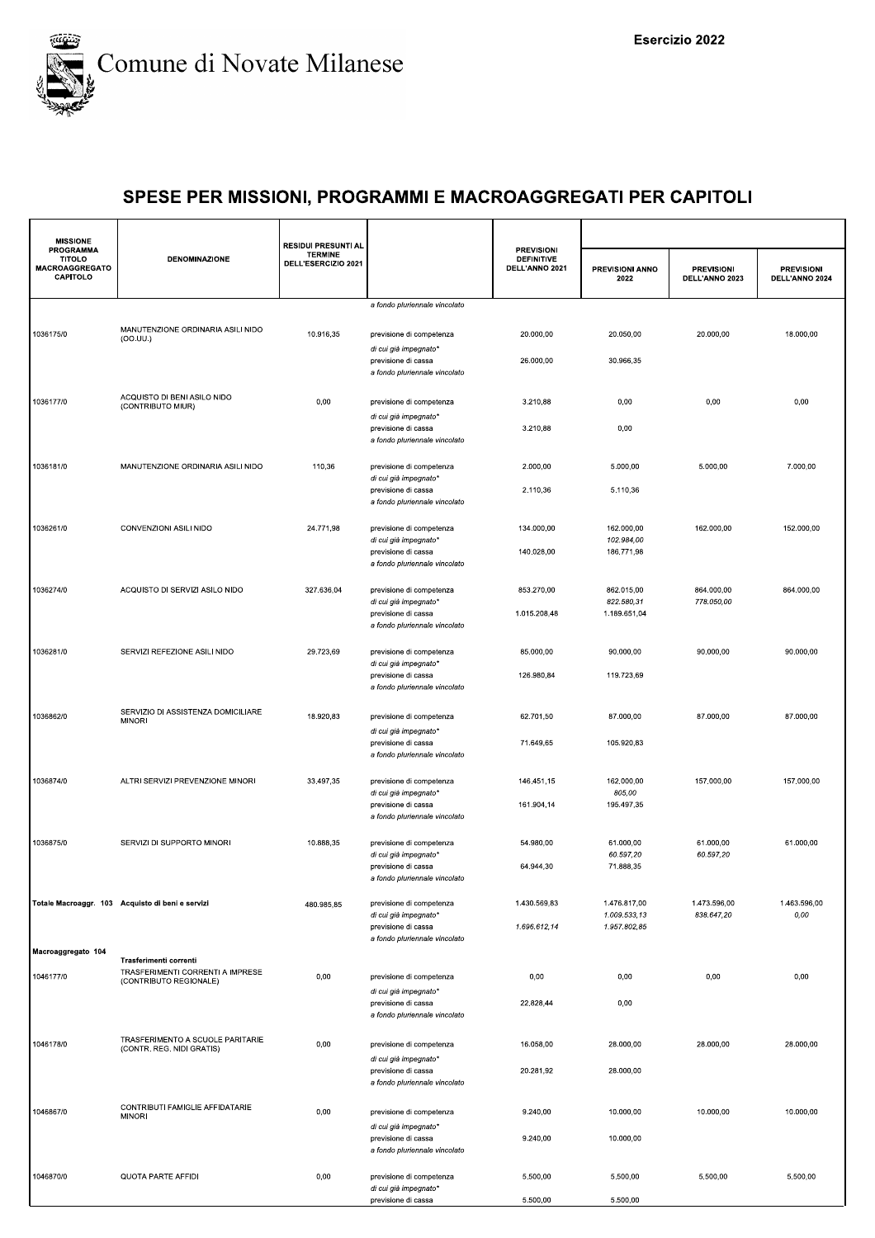

| <b>PROGRAMMA</b><br><b>PREVISIONI</b><br><b>TERMINE</b><br><b>TITOLO</b><br><b>DENOMINAZIONE</b><br><b>DEFINITIVE</b><br>DELL'ESERCIZIO 2021<br>MACROAGGREGATO<br>DELL'ANNO 2021<br>PREVISIONI ANNO<br><b>PREVISIONI</b><br>CAPITOLO<br>DELL'ANNO 2023<br>2022<br>a fondo pluriennale vincolato<br>MANUTENZIONE ORDINARIA ASILI NIDO<br>1036175/0<br>10.916,35<br>20.000,00<br>20.050,00<br>20.000,00<br>previsione di competenza<br>(OO.UU.)<br>di cui già impegnato*<br>30.966,35<br>26.000,00<br>previsione di cassa<br>a fondo pluriennale vincolato<br>ACQUISTO DI BENI ASILO NIDO<br>1036177/0<br>0,00<br>0,00<br>previsione di competenza<br>3.210,88<br>0,00<br>(CONTRIBUTO MIUR)<br>di cui già impegnato*<br>3.210,88<br>0,00<br>previsione di cassa<br>a fondo pluriennale vincolato | <b>PREVISIONI</b><br>DELL'ANNO 2024<br>18.000,00<br>0,00<br>7.000,00 |
|------------------------------------------------------------------------------------------------------------------------------------------------------------------------------------------------------------------------------------------------------------------------------------------------------------------------------------------------------------------------------------------------------------------------------------------------------------------------------------------------------------------------------------------------------------------------------------------------------------------------------------------------------------------------------------------------------------------------------------------------------------------------------------------------|----------------------------------------------------------------------|
|                                                                                                                                                                                                                                                                                                                                                                                                                                                                                                                                                                                                                                                                                                                                                                                                |                                                                      |
|                                                                                                                                                                                                                                                                                                                                                                                                                                                                                                                                                                                                                                                                                                                                                                                                |                                                                      |
|                                                                                                                                                                                                                                                                                                                                                                                                                                                                                                                                                                                                                                                                                                                                                                                                |                                                                      |
|                                                                                                                                                                                                                                                                                                                                                                                                                                                                                                                                                                                                                                                                                                                                                                                                |                                                                      |
|                                                                                                                                                                                                                                                                                                                                                                                                                                                                                                                                                                                                                                                                                                                                                                                                |                                                                      |
|                                                                                                                                                                                                                                                                                                                                                                                                                                                                                                                                                                                                                                                                                                                                                                                                |                                                                      |
| 1036181/0<br>MANUTENZIONE ORDINARIA ASILI NIDO<br>110,36<br>previsione di competenza<br>2.000,00<br>5.000,00<br>5.000,00<br>di cui già impegnato*<br>previsione di cassa<br>2.110,36<br>5.110,36                                                                                                                                                                                                                                                                                                                                                                                                                                                                                                                                                                                               |                                                                      |
| a fondo pluriennale vincolato<br>CONVENZIONI ASILI NIDO<br>1036261/0                                                                                                                                                                                                                                                                                                                                                                                                                                                                                                                                                                                                                                                                                                                           |                                                                      |
| 24.771,98<br>162.000,00<br>previsione di competenza<br>134.000,00<br>162.000,00<br>102.984,00<br>di cui già impegnato*                                                                                                                                                                                                                                                                                                                                                                                                                                                                                                                                                                                                                                                                         | 152.000,00                                                           |
| previsione di cassa<br>140.028,00<br>186.771,98<br>a fondo pluriennale vincolato                                                                                                                                                                                                                                                                                                                                                                                                                                                                                                                                                                                                                                                                                                               |                                                                      |
| 1036274/0<br>ACQUISTO DI SERVIZI ASILO NIDO<br>327.636,04<br>853.270,00<br>862.015,00<br>864.000,00<br>previsione di competenza<br>822.580,31<br>778.050,00<br>di cui già impegnato*<br>previsione di cassa<br>1.015.208,48<br>1.189.651,04                                                                                                                                                                                                                                                                                                                                                                                                                                                                                                                                                    | 864.000,00                                                           |
| a fondo pluriennale vincolato                                                                                                                                                                                                                                                                                                                                                                                                                                                                                                                                                                                                                                                                                                                                                                  |                                                                      |
| SERVIZI REFEZIONE ASILI NIDO<br>29.723,69<br>1036281/0<br>previsione di competenza<br>85.000,00<br>90.000,00<br>90.000,00<br>di cui già impegnato*                                                                                                                                                                                                                                                                                                                                                                                                                                                                                                                                                                                                                                             | 90.000,00                                                            |
| previsione di cassa<br>126.980,84<br>119.723,69<br>a fondo pluriennale vincolato                                                                                                                                                                                                                                                                                                                                                                                                                                                                                                                                                                                                                                                                                                               |                                                                      |
| SERVIZIO DI ASSISTENZA DOMICILIARE<br>1036862/0<br>18.920,83<br>previsione di competenza<br>62.701,50<br>87.000,00<br>87.000,00<br><b>MINORI</b><br>di cui già impegnato*                                                                                                                                                                                                                                                                                                                                                                                                                                                                                                                                                                                                                      | 87.000,00                                                            |
| 105.920,83<br>previsione di cassa<br>71.649,65<br>a fondo pluriennale vincolato                                                                                                                                                                                                                                                                                                                                                                                                                                                                                                                                                                                                                                                                                                                |                                                                      |
| 1036874/0<br>ALTRI SERVIZI PREVENZIONE MINORI<br>33.497,35<br>162.000,00<br>157.000,00<br>previsione di competenza<br>146.451,15<br>805,00<br>di cui già impegnato*<br>195.497,35<br>161.904,14<br>previsione di cassa                                                                                                                                                                                                                                                                                                                                                                                                                                                                                                                                                                         | 157.000,00                                                           |
| a fondo pluriennale vincolato                                                                                                                                                                                                                                                                                                                                                                                                                                                                                                                                                                                                                                                                                                                                                                  |                                                                      |
| 1036875/0<br>SERVIZI DI SUPPORTO MINORI<br>10.888,35<br>54.980,00<br>61.000,00<br>61.000,00<br>previsione di competenza<br>60.597,20<br>60.597,20<br>di cui già impegnato*                                                                                                                                                                                                                                                                                                                                                                                                                                                                                                                                                                                                                     | 61.000,00                                                            |
| 64.944,30<br>71.888,35<br>previsione di cassa<br>a fondo pluriennale vincolato                                                                                                                                                                                                                                                                                                                                                                                                                                                                                                                                                                                                                                                                                                                 |                                                                      |
| 1.430.569,83<br>1.476.817,00<br>1.473.596,00<br>Totale Macroaggr. 103 Acquisto di beni e servizi<br>previsione di competenza<br>480.985,85<br>1.009.533,13<br>838.647,20<br>di cui già impegnato*                                                                                                                                                                                                                                                                                                                                                                                                                                                                                                                                                                                              | 1.463.596,00<br>$0,00$                                               |
| 1.696.612,14<br>1.957.802,85<br>previsione di cassa<br>a fondo pluriennale vincolato                                                                                                                                                                                                                                                                                                                                                                                                                                                                                                                                                                                                                                                                                                           |                                                                      |
| Macroaggregato 104<br>Trasferimenti correnti                                                                                                                                                                                                                                                                                                                                                                                                                                                                                                                                                                                                                                                                                                                                                   |                                                                      |
| TRASFERIMENTI CORRENTI A IMPRESE<br>1046177/0<br>0,00<br>0,00<br>0,00<br>previsione di competenza<br>0,00<br>(CONTRIBUTO REGIONALE)<br>di cui già impegnato*                                                                                                                                                                                                                                                                                                                                                                                                                                                                                                                                                                                                                                   | 0,00                                                                 |
| 22.828,44<br>0,00<br>previsione di cassa<br>a fondo pluriennale vincolato                                                                                                                                                                                                                                                                                                                                                                                                                                                                                                                                                                                                                                                                                                                      |                                                                      |
| TRASFERIMENTO A SCUOLE PARITARIE<br>1046178/0<br>0,00<br>16.058,00<br>28.000,00<br>28.000,00<br>previsione di competenza<br>(CONTR. REG. NIDI GRATIS)<br>di cui già impegnato*                                                                                                                                                                                                                                                                                                                                                                                                                                                                                                                                                                                                                 | 28.000,00                                                            |
| 20.281,92<br>28.000,00<br>previsione di cassa<br>a fondo pluriennale vincolato                                                                                                                                                                                                                                                                                                                                                                                                                                                                                                                                                                                                                                                                                                                 |                                                                      |
| CONTRIBUTI FAMIGLIE AFFIDATARIE<br>1046867/0<br>0,00<br>previsione di competenza<br>9.240,00<br>10.000,00<br>10.000,00<br><b>MINORI</b><br>di cui già impegnato*                                                                                                                                                                                                                                                                                                                                                                                                                                                                                                                                                                                                                               | 10.000,00                                                            |
| 9.240,00<br>10.000,00<br>previsione di cassa<br>a fondo pluriennale vincolato                                                                                                                                                                                                                                                                                                                                                                                                                                                                                                                                                                                                                                                                                                                  |                                                                      |
| 1046870/0<br>QUOTA PARTE AFFIDI<br>0,00<br>5.500,00<br>5.500,00<br>5.500,00<br>previsione di competenza<br>di cui già impegnato*                                                                                                                                                                                                                                                                                                                                                                                                                                                                                                                                                                                                                                                               | 5.500,00                                                             |
| previsione di cassa<br>5.500,00<br>5.500,00                                                                                                                                                                                                                                                                                                                                                                                                                                                                                                                                                                                                                                                                                                                                                    |                                                                      |
|                                                                                                                                                                                                                                                                                                                                                                                                                                                                                                                                                                                                                                                                                                                                                                                                |                                                                      |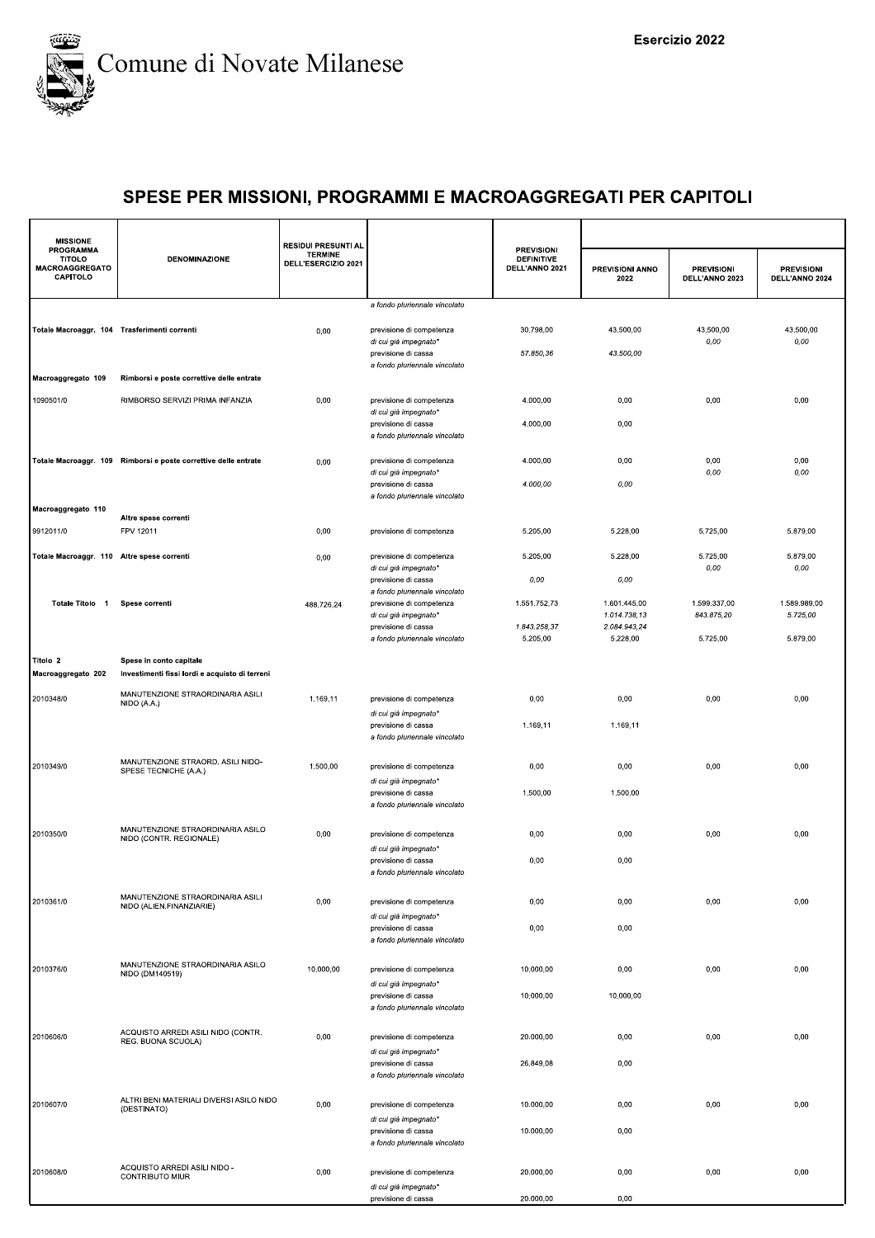

| <b>MISSIONE</b>                                                 |                                                                 | <b>RESIDUI PRESUNTI AL</b>            |                                                                               |                                                          |                              |                                     |                                     |
|-----------------------------------------------------------------|-----------------------------------------------------------------|---------------------------------------|-------------------------------------------------------------------------------|----------------------------------------------------------|------------------------------|-------------------------------------|-------------------------------------|
| <b>PROGRAMMA</b><br><b>TITOLO</b><br>MACROAGGREGATO<br>CAPITOLO | <b>DENOMINAZIONE</b>                                            | <b>TERMINE</b><br>DELL'ESERCIZIO 2021 |                                                                               | <b>PREVISIONI</b><br><b>DEFINITIVE</b><br>DELL'ANNO 2021 | PREVISIONI ANNO<br>2022      | <b>PREVISIONI</b><br>DELL'ANNO 2023 | <b>PREVISIONI</b><br>DELL'ANNO 2024 |
|                                                                 |                                                                 |                                       | a fondo pluriennale vincolato                                                 |                                                          |                              |                                     |                                     |
| Totale Macroaggr. 104 Trasferimenti correnti                    |                                                                 | 0,00                                  | previsione di competenza<br>di cui già impegnato*                             | 30.798,00                                                | 43.500,00                    | 43.500,00<br>0,00                   | 43.500,00<br>0,00                   |
|                                                                 |                                                                 |                                       | previsione di cassa<br>a fondo pluriennale vincolato                          | 57.850,36                                                | 43.500,00                    |                                     |                                     |
| Macroaggregato 109                                              | Rimborsi e poste correttive delle entrate                       |                                       |                                                                               |                                                          |                              |                                     |                                     |
| 1090501/0                                                       | RIMBORSO SERVIZI PRIMA INFANZIA                                 | 0,00                                  | previsione di competenza                                                      | 4.000,00                                                 | 0,00                         | 0,00                                | 0,00                                |
|                                                                 |                                                                 |                                       | di cui già impegnato*<br>previsione di cassa<br>a fondo pluriennale vincolato | 4.000,00                                                 | 0,00                         |                                     |                                     |
|                                                                 | Totale Macroaggr. 109 Rimborsi e poste correttive delle entrate | 0,00                                  | previsione di competenza                                                      | 4.000,00                                                 | 0,00                         | 0,00                                | 0,00                                |
|                                                                 |                                                                 |                                       | di cui già impegnato*<br>previsione di cassa                                  | 4.000,00                                                 | 0,00                         | 0,00                                | 0,00                                |
| Macroaggregato 110                                              |                                                                 |                                       | a fondo pluriennale vincolato                                                 |                                                          |                              |                                     |                                     |
| 9912011/0                                                       | Altre spese correnti<br>FPV 12011                               | 0,00                                  | previsione di competenza                                                      | 5.205,00                                                 | 5.228,00                     | 5.725,00                            | 5.879,00                            |
| Totale Macroaggr. 110 Altre spese correnti                      |                                                                 | 0,00                                  | previsione di competenza                                                      | 5.205,00                                                 | 5.228,00                     | 5.725,00                            | 5.879,00                            |
|                                                                 |                                                                 |                                       | di cui già impegnato*                                                         |                                                          |                              | 0,00                                | 0,00                                |
|                                                                 |                                                                 |                                       | previsione di cassa<br>a fondo pluriennale vincolato                          | 0,00                                                     | 0,00                         |                                     |                                     |
| Totale Titolo 1                                                 | Spese correnti                                                  | 488.726,24                            | previsione di competenza<br>di cui già impegnato*                             | 1.551.752,73                                             | 1.601.445,00<br>1.014.738,13 | 1.599.337,00<br>843.875,20          | 1.589.989,00<br>5.725,00            |
|                                                                 |                                                                 |                                       | previsione di cassa<br>a fondo pluriennale vincolato                          | 1.843.258,37<br>5.205,00                                 | 2.084.943,24<br>5.228,00     | 5.725,00                            | 5.879,00                            |
| Titolo 2                                                        | Spese in conto capitale                                         |                                       |                                                                               |                                                          |                              |                                     |                                     |
| Macroaggregato 202                                              | Investimenti fissi lordi e acquisto di terreni                  |                                       |                                                                               |                                                          |                              |                                     |                                     |
| 2010348/0                                                       | MANUTENZIONE STRAORDINARIA ASILI<br>NIDO (A.A.)                 | 1.169,11                              | previsione di competenza                                                      | 0,00                                                     | 0,00                         | 0,00                                | 0,00                                |
|                                                                 |                                                                 |                                       | di cui già impegnato*<br>previsione di cassa                                  | 1.169,11                                                 | 1.169,11                     |                                     |                                     |
|                                                                 |                                                                 |                                       | a fondo pluriennale vincolato                                                 |                                                          |                              |                                     |                                     |
| 2010349/0                                                       | MANUTENZIONE STRAORD. ASILI NIDO-<br>SPESE TECNICHE (A.A.)      | 1.500,00                              | previsione di competenza                                                      | 0,00                                                     | 0,00                         | 0,00                                | 0,00                                |
|                                                                 |                                                                 |                                       | di cui già impegnato*<br>previsione di cassa                                  | 1.500,00                                                 | 1.500,00                     |                                     |                                     |
|                                                                 |                                                                 |                                       | a fondo pluriennale vincolato                                                 |                                                          |                              |                                     |                                     |
| 2010350/0                                                       | MANUTENZIONE STRAORDINARIA ASILO<br>NIDO (CONTR. REGIONALE)     | 0,00                                  | previsione di competenza                                                      | 0,00                                                     | 0,00                         | 0,00                                | 0,00                                |
|                                                                 |                                                                 |                                       | di cui già impegnato*<br>previsione di cassa                                  | 0,00                                                     | 0,00                         |                                     |                                     |
|                                                                 |                                                                 |                                       | a fondo pluriennale vincolato                                                 |                                                          |                              |                                     |                                     |
| 2010361/0                                                       | MANUTENZIONE STRAORDINARIA ASILI<br>NIDO (ALIEN.FINANZIARIE)    | 0,00                                  | previsione di competenza                                                      | 0,00                                                     | 0,00                         | 0,00                                | 0,00                                |
|                                                                 |                                                                 |                                       | di cui già impegnato*<br>previsione di cassa                                  | 0,00                                                     | 0,00                         |                                     |                                     |
|                                                                 |                                                                 |                                       | a fondo pluriennale vincolato                                                 |                                                          |                              |                                     |                                     |
| 2010376/0                                                       | MANUTENZIONE STRAORDINARIA ASILO<br>NIDO (DM140519)             | 10.000,00                             | previsione di competenza                                                      | 10.000,00                                                | 0,00                         | 0,00                                | 0,00                                |
|                                                                 |                                                                 |                                       | di cui già impegnato*<br>previsione di cassa                                  | 10.000,00                                                | 10.000,00                    |                                     |                                     |
|                                                                 |                                                                 |                                       | a fondo pluriennale vincolato                                                 |                                                          |                              |                                     |                                     |
| 2010606/0                                                       | ACQUISTO ARREDI ASILI NIDO (CONTR.                              | 0,00                                  | previsione di competenza                                                      | 20.000,00                                                | 0,00                         | 0,00                                | 0,00                                |
|                                                                 | REG. BUONA SCUOLA)                                              |                                       | di cui già impegnato*                                                         |                                                          |                              |                                     |                                     |
|                                                                 |                                                                 |                                       | previsione di cassa<br>a fondo pluriennale vincolato                          | 26.849,08                                                | 0,00                         |                                     |                                     |
| 2010607/0                                                       | ALTRI BENI MATERIALI DIVERSI ASILO NIDO                         | 0,00                                  | previsione di competenza                                                      | 10.000,00                                                | 0,00                         | 0,00                                | 0,00                                |
|                                                                 | (DESTINATO)                                                     |                                       | di cui già impegnato*                                                         |                                                          |                              |                                     |                                     |
|                                                                 |                                                                 |                                       | previsione di cassa<br>a fondo pluriennale vincolato                          | 10.000,00                                                | 0,00                         |                                     |                                     |
|                                                                 | ACQUISTO ARREDI ASILI NIDO -                                    |                                       |                                                                               |                                                          |                              |                                     |                                     |
| 2010608/0                                                       | CONTRIBUTO MIUR                                                 | 0,00                                  | previsione di competenza<br>di cui già impegnato*                             | 20.000,00                                                | 0,00                         | 0,00                                | 0,00                                |
|                                                                 |                                                                 |                                       | previsione di cassa                                                           | 20.000,00                                                | 0,00                         |                                     |                                     |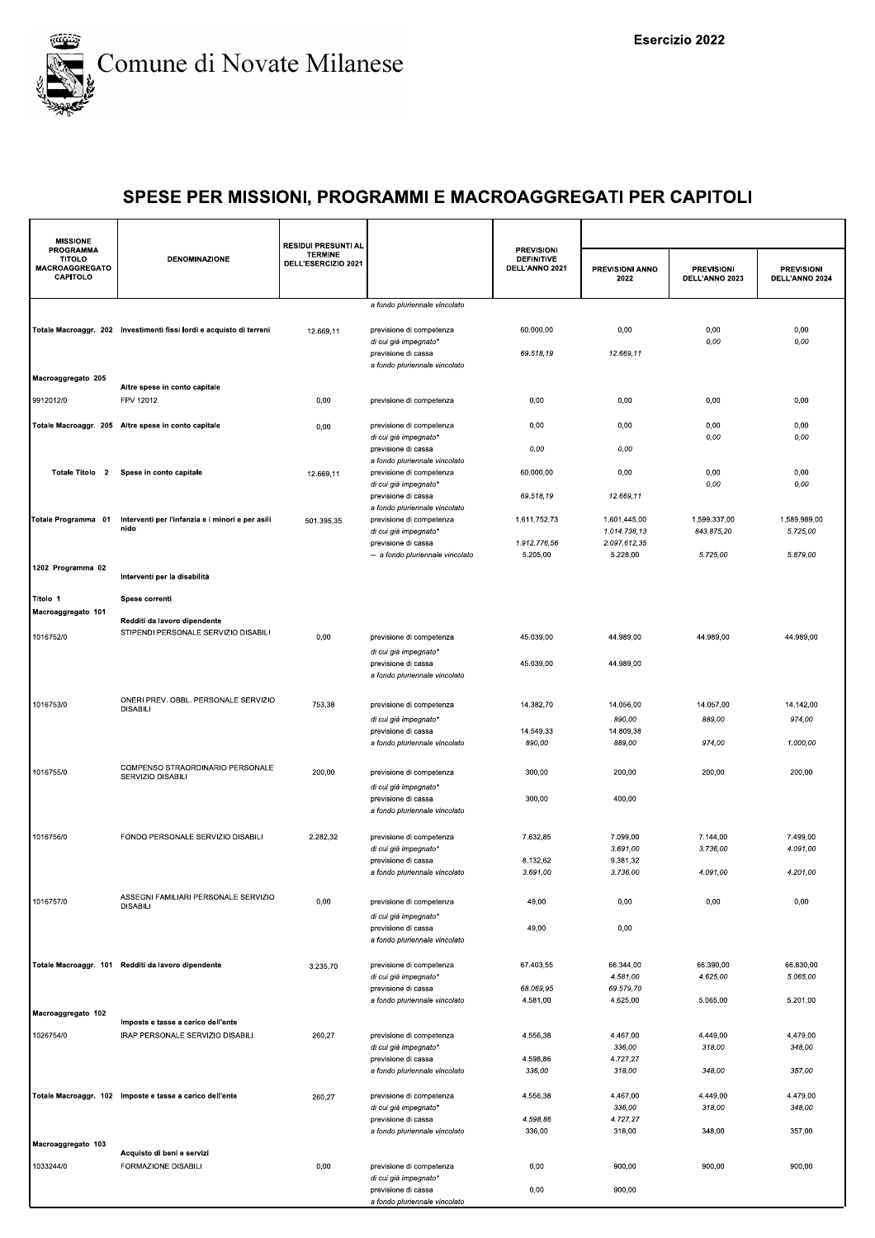

| <b>MISSIONE</b>                                          |                                                                        | <b>RESIDUI PRESUNTI AL</b>            |                                                           |                                                          |                              |                                     |                                     |
|----------------------------------------------------------|------------------------------------------------------------------------|---------------------------------------|-----------------------------------------------------------|----------------------------------------------------------|------------------------------|-------------------------------------|-------------------------------------|
| <b>PROGRAMMA</b><br>TITOLO<br>MACROAGGREGATO<br>CAPITOLO | <b>DENOMINAZIONE</b>                                                   | <b>TERMINE</b><br>DELL'ESERCIZIO 2021 |                                                           | <b>PREVISIONI</b><br><b>DEFINITIVE</b><br>DELL'ANNO 2021 | PREVISIONI ANNO<br>2022      | <b>PREVISIONI</b><br>DELL'ANNO 2023 | <b>PREVISIONI</b><br>DELL'ANNO 2024 |
|                                                          |                                                                        |                                       | a fondo pluriennale vincolato                             |                                                          |                              |                                     |                                     |
|                                                          | Totale Macroaggr. 202 Investimenti fissi lordi e acquisto di terreni   | 12.669,11                             | previsione di competenza<br>di cui già impegnato*         | 60.000,00                                                | 0,00                         | 0,00<br>0,00                        | 0,00<br>0,00                        |
|                                                          |                                                                        |                                       | previsione di cassa<br>a fondo pluriennale vincolato      | 69.518,19                                                | 12.669,11                    |                                     |                                     |
| Macroaggregato 205                                       | Altre spese in conto capitale                                          |                                       |                                                           |                                                          |                              |                                     |                                     |
| 9912012/0                                                | FPV 12012                                                              | 0,00                                  | previsione di competenza                                  | 0,00                                                     | 0,00                         | 0,00                                | 0,00                                |
|                                                          |                                                                        |                                       |                                                           |                                                          |                              |                                     |                                     |
|                                                          | Totale Macroaggr. 205 Altre spese in conto capitale                    | 0,00                                  | previsione di competenza<br>di cui già impegnato*         | 0,00                                                     | 0.00                         | 0,00<br>0,00                        | 0,00<br>0,00                        |
|                                                          |                                                                        |                                       | previsione di cassa                                       | 0,00                                                     | 0,00                         |                                     |                                     |
| Totale Titolo 2                                          | Spese in conto capitale                                                | 12.669,11                             | a fondo pluriennale vincolato<br>previsione di competenza | 60.000,00                                                | 0,00                         | 0,00                                | 0,00                                |
|                                                          |                                                                        |                                       | di cui già impegnato*                                     |                                                          |                              | 0,00                                | 0,00                                |
|                                                          |                                                                        |                                       | previsione di cassa<br>a fondo pluriennale vincolato      | 69.518,19                                                | 12.669,11                    |                                     |                                     |
| Totale Programma 01                                      | Interventi per l'infanzia e i minori e per asili<br>nido               | 501.395,35                            | previsione di competenza                                  | 1.611.752,73                                             | 1.601.445,00                 | 1.599.337,00                        | 1.589.989,00                        |
|                                                          |                                                                        |                                       | di cui già impegnato*<br>previsione di cassa              | 1.912.776,56                                             | 1.014.738.13<br>2.097.612,35 | 843.875,20                          | 5.725,00                            |
|                                                          |                                                                        |                                       | -- a fondo pluriennale vincolato                          | 5.205,00                                                 | 5.228,00                     | 5.725,00                            | 5.879,00                            |
| 1202 Programma 02                                        | Interventi per la disabilità                                           |                                       |                                                           |                                                          |                              |                                     |                                     |
| Titolo 1                                                 | Spese correnti                                                         |                                       |                                                           |                                                          |                              |                                     |                                     |
| Macroaggregato 101                                       |                                                                        |                                       |                                                           |                                                          |                              |                                     |                                     |
|                                                          | Redditi da lavoro dipendente<br>STIPENDI PERSONALE SERVIZIO DISABILI   |                                       |                                                           |                                                          |                              |                                     |                                     |
| 1016752/0                                                |                                                                        | 0,00                                  | previsione di competenza<br>di cui già impegnato*         | 45.039,00                                                | 44.989,00                    | 44.989,00                           | 44.989,00                           |
|                                                          |                                                                        |                                       | previsione di cassa                                       | 45.039,00                                                | 44.989,00                    |                                     |                                     |
|                                                          |                                                                        |                                       | a fondo pluriennale vincolato                             |                                                          |                              |                                     |                                     |
| 1016753/0                                                | ONERI PREV. OBBL. PERSONALE SERVIZIO                                   | 753,38                                | previsione di competenza                                  | 14.382,70                                                | 14.056,00                    | 14.057,00                           | 14.142,00                           |
|                                                          | <b>DISABILI</b>                                                        |                                       | di cui già impegnato*                                     |                                                          | 890,00                       | 889,00                              | 974,00                              |
|                                                          |                                                                        |                                       | previsione di cassa                                       | 14.549,33                                                | 14.809,38                    |                                     |                                     |
|                                                          |                                                                        |                                       | a fondo pluriennale vincolato                             | 890,00                                                   | 889,00                       | 974,00                              | 1.000,00                            |
| 1016755/0                                                | COMPENSO STRAORDINARIO PERSONALE                                       | 200,00                                | previsione di competenza                                  | 300,00                                                   | 200,00                       | 200,00                              | 200,00                              |
|                                                          | SERVIZIO DISABILI                                                      |                                       | di cui già impegnato*                                     |                                                          |                              |                                     |                                     |
|                                                          |                                                                        |                                       | previsione di cassa                                       | 300,00                                                   | 400,00                       |                                     |                                     |
|                                                          |                                                                        |                                       | a fondo pluriennale vincolato                             |                                                          |                              |                                     |                                     |
| 1016756/0                                                | FONDO PERSONALE SERVIZIO DISABILI                                      | 2.282,32                              | previsione di competenza                                  | 7.632,85                                                 | 7.099,00                     | 7.144,00                            | 7.499,00                            |
|                                                          |                                                                        |                                       | di cui già impegnato*<br>previsione di cassa              | 8.132,62                                                 | 3.691,00<br>9.381,32         | 3.736,00                            | 4.091,00                            |
|                                                          |                                                                        |                                       | a fondo pluriennale vincolato                             | 3.691,00                                                 | 3.736,00                     | 4.091,00                            | 4.201,00                            |
|                                                          | ASSEGNI FAMILIARI PERSONALE SERVIZIO                                   |                                       |                                                           |                                                          |                              |                                     |                                     |
| 1016757/0                                                | <b>DISABILI</b>                                                        | 0,00                                  | previsione di competenza                                  | 49,00                                                    | 0,00                         | 0,00                                | 0,00                                |
|                                                          |                                                                        |                                       | di cui già impegnato*<br>previsione di cassa              | 49,00                                                    | 0,00                         |                                     |                                     |
|                                                          |                                                                        |                                       | a fondo pluriennale vincolato                             |                                                          |                              |                                     |                                     |
|                                                          | Totale Macroaggr. 101 Redditi da lavoro dipendente                     | 3.235,70                              | previsione di competenza                                  | 67.403,55                                                | 66.344,00                    | 66.390,00                           | 66.830,00                           |
|                                                          |                                                                        |                                       | di cui già impegnato*                                     |                                                          | 4.581,00                     | 4.625,00                            | 5.065,00                            |
|                                                          |                                                                        |                                       | previsione di cassa<br>a fondo pluriennale vincolato      | 68.069,95<br>4.581,00                                    | 69.579,70<br>4.625,00        | 5.065,00                            | 5.201,00                            |
| Macroaggregato 102                                       |                                                                        |                                       |                                                           |                                                          |                              |                                     |                                     |
| 1026754/0                                                | Imposte e tasse a carico dell'ente<br>IRAP PERSONALE SERVIZIO DISABILI | 260,27                                | previsione di competenza                                  | 4.556,38                                                 | 4.467,00                     | 4.449,00                            | 4.479,00                            |
|                                                          |                                                                        |                                       | di cui già impegnato*                                     |                                                          | 336,00                       | 318,00                              | 348,00                              |
|                                                          |                                                                        |                                       | previsione di cassa<br>a fondo pluriennale vincolato      | 4.598,86<br>336,00                                       | 4.727,27<br>318,00           | 348,00                              | 357,00                              |
|                                                          |                                                                        |                                       |                                                           |                                                          |                              |                                     |                                     |
|                                                          | Totale Macroaggr. 102 Imposte e tasse a carico dell'ente               | 260,27                                | previsione di competenza<br>di cui già impegnato*         | 4.556,38                                                 | 4.467,00<br>336,00           | 4.449,00<br>318,00                  | 4.479,00<br>348,00                  |
|                                                          |                                                                        |                                       | previsione di cassa                                       | 4.598,86                                                 | 4.727,27                     |                                     |                                     |
| Macroaggregato 103                                       |                                                                        |                                       | a fondo pluriennale vincolato                             | 336,00                                                   | 318,00                       | 348,00                              | 357,00                              |
|                                                          | Acquisto di beni e servizi                                             |                                       |                                                           |                                                          |                              |                                     |                                     |
| 1033244/0                                                | FORMAZIONE DISABILI                                                    | 0,00                                  | previsione di competenza<br>di cui già impegnato*         | 0,00                                                     | 900,00                       | 900,00                              | 900,00                              |
|                                                          |                                                                        |                                       | previsione di cassa                                       | 0,00                                                     | 900,00                       |                                     |                                     |
|                                                          |                                                                        |                                       | a fondo pluriennale vincolato                             |                                                          |                              |                                     |                                     |
|                                                          |                                                                        |                                       |                                                           |                                                          |                              |                                     |                                     |
|                                                          |                                                                        |                                       |                                                           |                                                          |                              |                                     |                                     |
|                                                          |                                                                        |                                       |                                                           |                                                          |                              |                                     |                                     |
|                                                          |                                                                        |                                       |                                                           |                                                          |                              |                                     |                                     |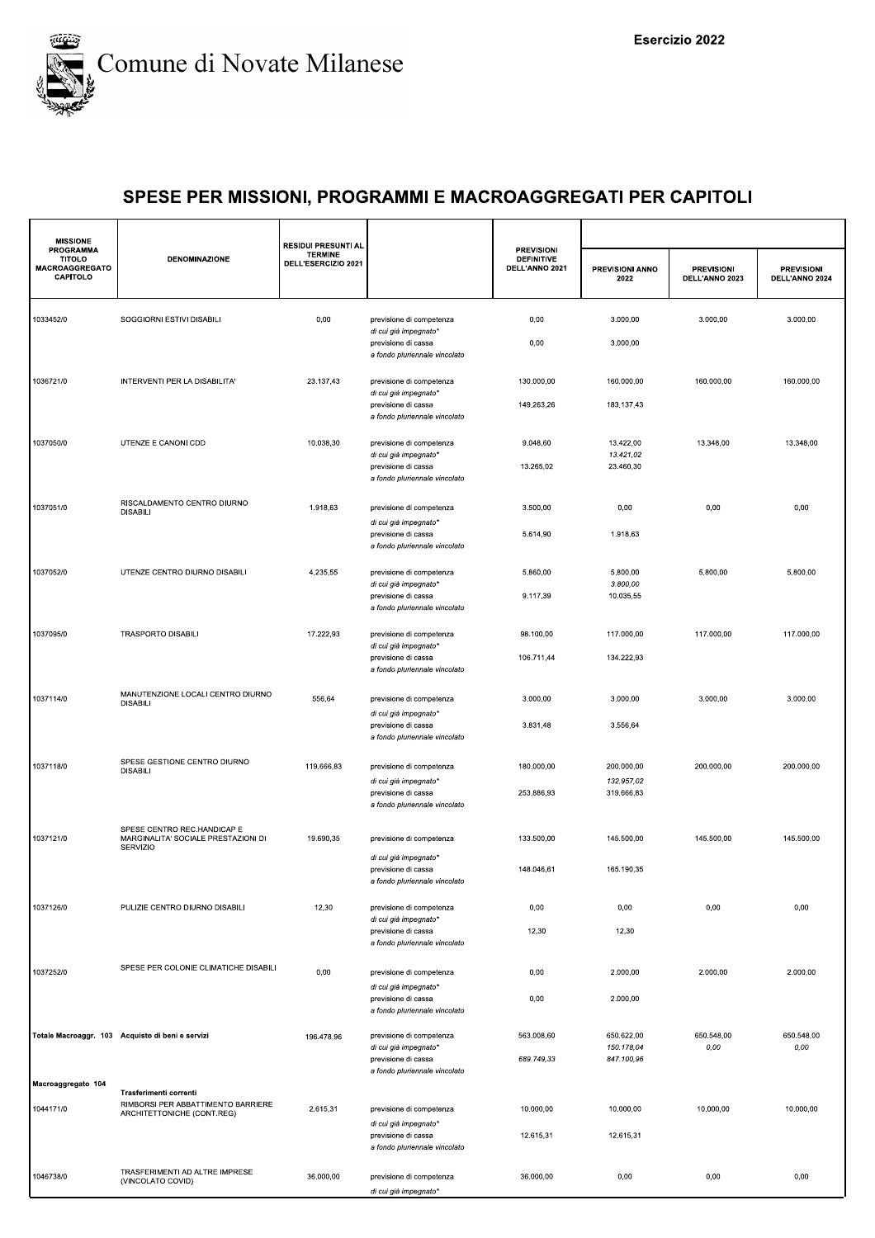

| <b>MISSIONE</b>                                                 |                                                                                            | <b>RESIDUI PRESUNTI AL</b>            |                                                                                                           |                                                          |                                     |                                     |                                     |
|-----------------------------------------------------------------|--------------------------------------------------------------------------------------------|---------------------------------------|-----------------------------------------------------------------------------------------------------------|----------------------------------------------------------|-------------------------------------|-------------------------------------|-------------------------------------|
| <b>PROGRAMMA</b><br><b>TITOLO</b><br>MACROAGGREGATO<br>CAPITOLO | <b>DENOMINAZIONE</b>                                                                       | <b>TERMINE</b><br>DELL'ESERCIZIO 2021 |                                                                                                           | <b>PREVISIONI</b><br><b>DEFINITIVE</b><br>DELL'ANNO 2021 | PREVISIONI ANNO<br>2022             | <b>PREVISIONI</b><br>DELL'ANNO 2023 | <b>PREVISIONI</b><br>DELL'ANNO 2024 |
| 1033452/0                                                       | SOGGIORNI ESTIVI DISABILI                                                                  | 0,00                                  | previsione di competenza<br>di cui già impegnato*                                                         | 0,00                                                     | 3.000,00                            | 3.000,00                            | 3.000,00                            |
|                                                                 |                                                                                            |                                       | previsione di cassa<br>a fondo pluriennale vincolato                                                      | 0,00                                                     | 3.000,00                            |                                     |                                     |
| 1036721/0                                                       | INTERVENTI PER LA DISABILITA'                                                              | 23.137.43                             | previsione di competenza<br>di cui già impegnato*                                                         | 130.000,00                                               | 160.000,00                          | 160.000,00                          | 160.000,00                          |
|                                                                 |                                                                                            |                                       | previsione di cassa<br>a fondo pluriennale vincolato                                                      | 149.263,26                                               | 183.137,43                          |                                     |                                     |
| 1037050/0                                                       | UTENZE E CANONI CDD                                                                        | 10.038,30                             | previsione di competenza<br>di cui già impegnato*<br>previsione di cassa<br>a fondo pluriennale vincolato | 9.048,60<br>13.265,02                                    | 13.422,00<br>13.421,02<br>23.460,30 | 13.348,00                           | 13.348,00                           |
| 1037051/0                                                       | RISCALDAMENTO CENTRO DIURNO<br><b>DISABILI</b>                                             | 1.918,63                              | previsione di competenza                                                                                  | 3.500,00                                                 | 0,00                                | 0,00                                | 0,00                                |
|                                                                 |                                                                                            |                                       | di cui già impegnato*<br>previsione di cassa<br>a fondo pluriennale vincolato                             | 5.614,90                                                 | 1.918,63                            |                                     |                                     |
| 1037052/0                                                       | UTENZE CENTRO DIURNO DISABILI                                                              | 4.235,55                              | previsione di competenza<br>di cui già impegnato*                                                         | 5.860,00                                                 | 5.800,00<br>3.800,00                | 5.800,00                            | 5.800,00                            |
|                                                                 |                                                                                            |                                       | previsione di cassa<br>a fondo pluriennale vincolato                                                      | 9.117,39                                                 | 10.035,55                           |                                     |                                     |
| 1037095/0                                                       | <b>TRASPORTO DISABILI</b>                                                                  | 17.222,93                             | previsione di competenza<br>di cui già impegnato*                                                         | 98.100,00                                                | 117.000,00                          | 117.000,00                          | 117.000,00                          |
|                                                                 |                                                                                            |                                       | previsione di cassa<br>a fondo pluriennale vincolato                                                      | 106.711,44                                               | 134.222,93                          |                                     |                                     |
| 1037114/0                                                       | MANUTENZIONE LOCALI CENTRO DIURNO<br><b>DISABILI</b>                                       | 556,64                                | previsione di competenza<br>di cui già impegnato*                                                         | 3.000,00                                                 | 3.000,00                            | 3.000,00                            | 3.000,00                            |
|                                                                 |                                                                                            |                                       | previsione di cassa<br>a fondo pluriennale vincolato                                                      | 3.831,48                                                 | 3.556,64                            |                                     |                                     |
| 1037118/0                                                       | SPESE GESTIONE CENTRO DIURNO<br><b>DISABILI</b>                                            | 119.666,83                            | previsione di competenza<br>di cui già impegnato*                                                         | 180.000,00                                               | 200.000,00<br>132.957,02            | 200.000,00                          | 200.000,00                          |
|                                                                 |                                                                                            |                                       | previsione di cassa<br>a fondo pluriennale vincolato                                                      | 253.886,93                                               | 319.666,83                          |                                     |                                     |
| 1037121/0                                                       | SPESE CENTRO REC.HANDICAP E<br>MARGINALITA' SOCIALE PRESTAZIONI DI<br>SERVIZIO             | 19.690,35                             | previsione di competenza                                                                                  | 133.500,00                                               | 145.500,00                          | 145.500,00                          | 145.500,00                          |
|                                                                 |                                                                                            |                                       | di cui già impegnato*<br>previsione di cassa<br>a fondo pluriennale vincolato                             | 148.046,61                                               | 165.190,35                          |                                     |                                     |
| 1037126/0                                                       | PULIZIE CENTRO DIURNO DISABILI                                                             | 12,30                                 | previsione di competenza<br>di cui già impegnato*                                                         | 0,00                                                     | 0,00                                | 0,00                                | 0,00                                |
|                                                                 |                                                                                            |                                       | previsione di cassa<br>a fondo pluriennale vincolato                                                      | 12,30                                                    | 12,30                               |                                     |                                     |
| 1037252/0                                                       | SPESE PER COLONIE CLIMATICHE DISABILI                                                      | 0,00                                  | previsione di competenza<br>di cui già impegnato*                                                         | 0,00                                                     | 2.000,00                            | 2.000,00                            | 2.000,00                            |
|                                                                 |                                                                                            |                                       | previsione di cassa<br>a fondo pluriennale vincolato                                                      | 0,00                                                     | 2.000,00                            |                                     |                                     |
|                                                                 | Totale Macroaggr. 103 Acquisto di beni e servizi                                           | 196.478,96                            | previsione di competenza<br>di cui già impegnato*                                                         | 563.008,60                                               | 650.622,00<br>150.178,04            | 650.548,00<br>0,00                  | 650.548,00<br>0,00                  |
| Macroaggregato 104                                              |                                                                                            |                                       | previsione di cassa<br>a fondo pluriennale vincolato                                                      | 689.749,33                                               | 847.100,96                          |                                     |                                     |
| 1044171/0                                                       | Trasferimenti correnti<br>RIMBORSI PER ABBATTIMENTO BARRIERE<br>ARCHITETTONICHE (CONT.REG) | 2.615,31                              | previsione di competenza<br>di cui già impegnato*                                                         | 10.000,00                                                | 10.000,00                           | 10.000,00                           | 10.000,00                           |
|                                                                 |                                                                                            |                                       | previsione di cassa<br>a fondo pluriennale vincolato                                                      | 12.615,31                                                | 12.615,31                           |                                     |                                     |
| 1046738/0                                                       | TRASFERIMENTI AD ALTRE IMPRESE<br>(VINCOLATO COVID)                                        | 36.000,00                             | previsione di competenza<br>di cui già impegnato*                                                         | 36.000,00                                                | 0,00                                | 0,00                                | 0,00                                |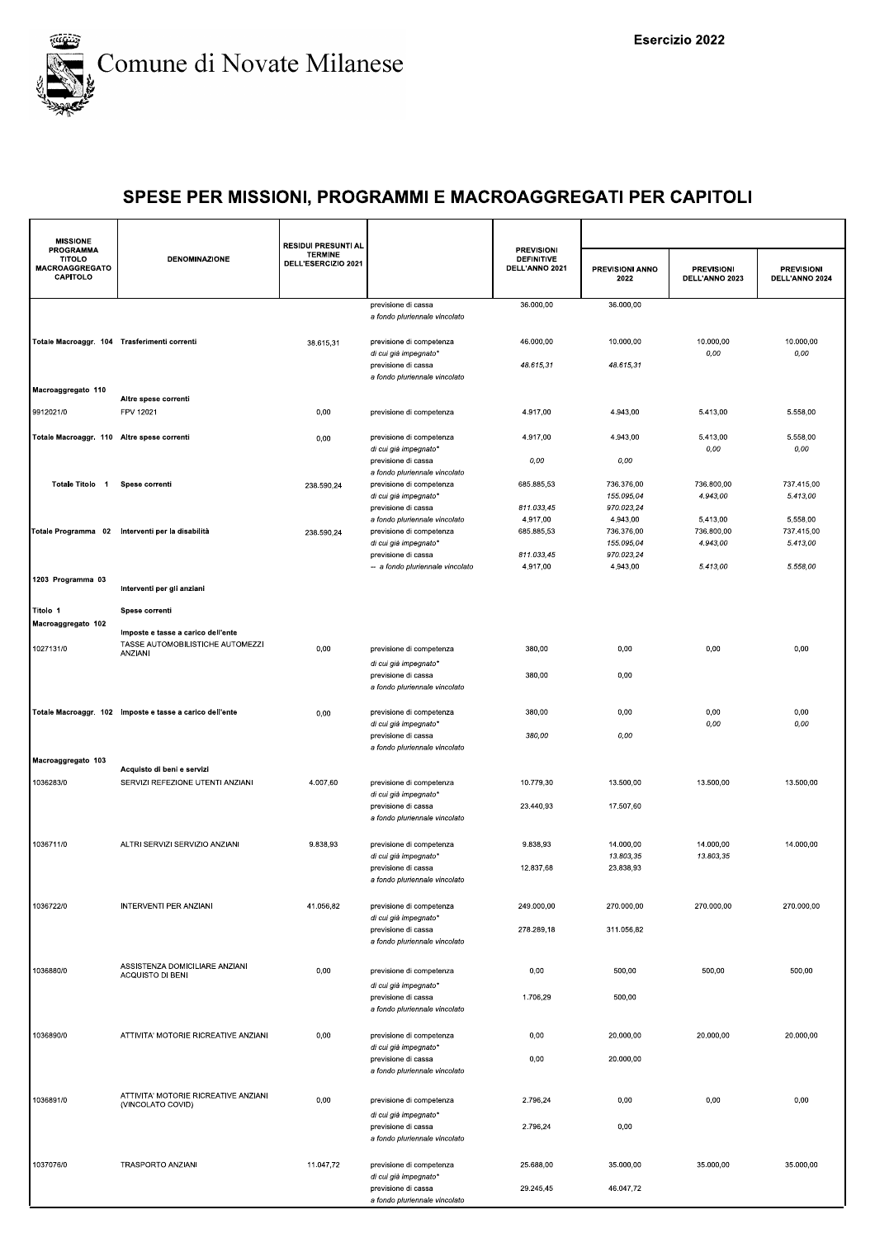

| <b>MISSIONE</b>                                          |                                                                        | <b>RESIDUI PRESUNTI AL</b>            |                                                                                  |                                                          |                                      |                                     |                                     |
|----------------------------------------------------------|------------------------------------------------------------------------|---------------------------------------|----------------------------------------------------------------------------------|----------------------------------------------------------|--------------------------------------|-------------------------------------|-------------------------------------|
| <b>PROGRAMMA</b><br>TITOLO<br>MACROAGGREGATO<br>CAPITOLO | <b>DENOMINAZIONE</b>                                                   | <b>TERMINE</b><br>DELL'ESERCIZIO 2021 |                                                                                  | <b>PREVISIONI</b><br><b>DEFINITIVE</b><br>DELL'ANNO 2021 | <b>PREVISIONI ANNO</b><br>2022       | <b>PREVISIONI</b><br>DELL'ANNO 2023 | <b>PREVISIONI</b><br>DELL'ANNO 2024 |
|                                                          |                                                                        |                                       | previsione di cassa<br>a fondo pluriennale vincolato                             | 36.000,00                                                | 36.000,00                            |                                     |                                     |
| Totale Macroaggr. 104 Trasferimenti correnti             |                                                                        | 38.615,31                             | previsione di competenza<br>di cui già impegnato*                                | 46.000,00                                                | 10.000,00                            | 10.000,00<br>0,00                   | 10.000,00<br>0,00                   |
|                                                          |                                                                        |                                       | previsione di cassa<br>a fondo pluriennale vincolato                             | 48.615,31                                                | 48.615,31                            |                                     |                                     |
| Macroaggregato 110<br>9912021/0                          | Altre spese correnti<br>FPV 12021                                      | 0,00                                  | previsione di competenza                                                         | 4.917,00                                                 | 4.943,00                             | 5.413,00                            | 5.558,00                            |
| Totale Macroaggr. 110 Altre spese correnti               |                                                                        | 0,00                                  | previsione di competenza                                                         | 4.917,00                                                 | 4.943,00                             | 5.413,00                            | 5.558,00                            |
|                                                          |                                                                        |                                       | di cui già impegnato*<br>previsione di cassa<br>a fondo pluriennale vincolato    | 0,00                                                     | 0,00                                 | 0,00                                | 0,00                                |
| Totale Titolo 1 Spese correnti                           |                                                                        | 238.590,24                            | previsione di competenza<br>di cui già impegnato*                                | 685.885,53                                               | 736.376,00<br>155.095,04             | 736.800,00<br>4.943,00              | 737.415,00<br>5.413,00              |
|                                                          |                                                                        |                                       | previsione di cassa<br>a fondo pluriennale vincolato<br>previsione di competenza | 811.033,45<br>4.917,00<br>685.885,53                     | 970.023,24<br>4.943,00<br>736.376,00 | 5.413,00<br>736.800,00              | 5.558,00<br>737.415,00              |
|                                                          | Totale Programma 02 Interventi per la disabilità                       | 238.590,24                            | di cui già impegnato*<br>previsione di cassa                                     | 811.033,45                                               | 155.095,04<br>970.023,24             | 4.943,00                            | 5.413,00                            |
| 1203 Programma 03                                        | Interventi per gli anziani                                             |                                       | -- a fondo pluriennale vincolato                                                 | 4.917,00                                                 | 4.943,00                             | 5.413,00                            | 5.558,00                            |
| Titolo 1                                                 | Spese correnti                                                         |                                       |                                                                                  |                                                          |                                      |                                     |                                     |
| Macroaggregato 102                                       | Imposte e tasse a carico dell'ente<br>TASSE AUTOMOBILISTICHE AUTOMEZZI |                                       |                                                                                  |                                                          |                                      |                                     |                                     |
| 1027131/0                                                | ANZIANI                                                                | 0,00                                  | previsione di competenza<br>di cui già impegnato*<br>previsione di cassa         | 380,00<br>380,00                                         | 0,00<br>0,00                         | 0,00                                | 0,00                                |
|                                                          |                                                                        |                                       | a fondo pluriennale vincolato                                                    |                                                          |                                      |                                     |                                     |
|                                                          | Totale Macroaggr. 102 Imposte e tasse a carico dell'ente               | 0,00                                  | previsione di competenza<br>di cui già impegnato*<br>previsione di cassa         | 380,00<br>380,00                                         | 0,00<br>0,00                         | 0,00<br>0,00                        | 0,00<br>0,00                        |
| Macroaggregato 103                                       |                                                                        |                                       | a fondo pluriennale vincolato                                                    |                                                          |                                      |                                     |                                     |
| 1036283/0                                                | Acquisto di beni e servizi<br>SERVIZI REFEZIONE UTENTI ANZIANI         | 4.007,60                              | previsione di competenza<br>di cui già impegnato*                                | 10.779,30                                                | 13.500,00                            | 13.500,00                           | 13.500,00                           |
|                                                          |                                                                        |                                       | previsione di cassa<br>a fondo pluriennale vincolato                             | 23.440,93                                                | 17.507,60                            |                                     |                                     |
| 1036711/0                                                | ALTRI SERVIZI SERVIZIO ANZIANI                                         | 9.838,93                              | previsione di competenza<br>di cui già impegnato*                                | 9.838,93                                                 | 14.000,00<br>13.803,35               | 14.000,00<br>13.803,35              | 14.000,00                           |
|                                                          |                                                                        |                                       | previsione di cassa<br>a fondo pluriennale vincolato                             | 12.837,68                                                | 23.838,93                            |                                     |                                     |
| 1036722/0                                                | INTERVENTI PER ANZIANI                                                 | 41.056,82                             | previsione di competenza<br>di cui già impegnato*                                | 249.000,00                                               | 270.000,00                           | 270.000,00                          | 270.000,00                          |
|                                                          |                                                                        |                                       | previsione di cassa<br>a fondo pluriennale vincolato                             | 278.289,18                                               | 311.056,82                           |                                     |                                     |
| 1036880/0                                                | ASSISTENZA DOMICILIARE ANZIANI<br>ACQUISTO DI BENI                     | 0,00                                  | previsione di competenza                                                         | 0,00                                                     | 500,00                               | 500,00                              | 500,00                              |
|                                                          |                                                                        |                                       | di cui già impegnato*<br>previsione di cassa<br>a fondo pluriennale vincolato    | 1.706,29                                                 | 500,00                               |                                     |                                     |
| 1036890/0                                                | ATTIVITA' MOTORIE RICREATIVE ANZIANI                                   | 0,00                                  | previsione di competenza                                                         | 0,00                                                     | 20.000,00                            | 20.000,00                           | 20.000,00                           |
|                                                          |                                                                        |                                       | di cui già impegnato*<br>previsione di cassa<br>a fondo pluriennale vincolato    | 0,00                                                     | 20.000,00                            |                                     |                                     |
| 1036891/0                                                | ATTIVITA' MOTORIE RICREATIVE ANZIANI<br>(VINCOLATO COVID)              | 0,00                                  | previsione di competenza                                                         | 2.796,24                                                 | 0,00                                 | 0,00                                | 0,00                                |
|                                                          |                                                                        |                                       | di cui già impegnato*<br>previsione di cassa<br>a fondo pluriennale vincolato    | 2.796,24                                                 | 0,00                                 |                                     |                                     |
| 1037076/0                                                | <b>TRASPORTO ANZIANI</b>                                               | 11.047,72                             | previsione di competenza<br>di cui già impegnato*                                | 25.688,00                                                | 35.000,00                            | 35.000,00                           | 35.000,00                           |
|                                                          |                                                                        |                                       | previsione di cassa<br>a fondo pluriennale vincolato                             | 29.245,45                                                | 46.047,72                            |                                     |                                     |
|                                                          |                                                                        |                                       |                                                                                  |                                                          |                                      |                                     |                                     |
|                                                          |                                                                        |                                       |                                                                                  |                                                          |                                      |                                     |                                     |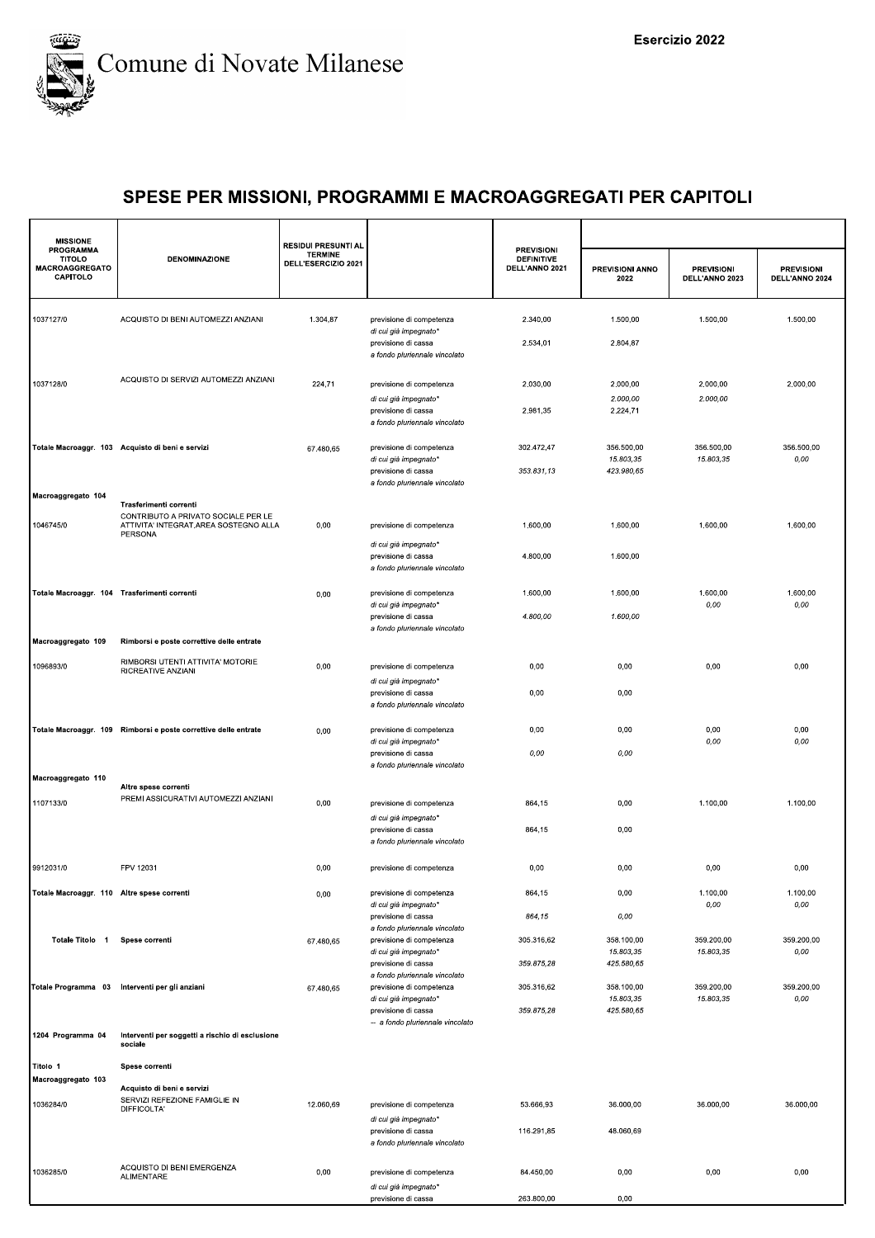

| <b>MISSIONE</b>                                                 |                                                                                         | <b>RESIDUI PRESUNTI AL</b>            |                                                                                                           |                                                          |                                       |                                     |                                     |
|-----------------------------------------------------------------|-----------------------------------------------------------------------------------------|---------------------------------------|-----------------------------------------------------------------------------------------------------------|----------------------------------------------------------|---------------------------------------|-------------------------------------|-------------------------------------|
| <b>PROGRAMMA</b><br><b>TITOLO</b><br>MACROAGGREGATO<br>CAPITOLO | <b>DENOMINAZIONE</b>                                                                    | <b>TERMINE</b><br>DELL'ESERCIZIO 2021 |                                                                                                           | <b>PREVISIONI</b><br><b>DEFINITIVE</b><br>DELL'ANNO 2021 | <b>PREVISIONI ANNO</b><br>2022        | <b>PREVISIONI</b><br>DELL'ANNO 2023 | <b>PREVISIONI</b><br>DELL'ANNO 2024 |
| 1037127/0                                                       | ACQUISTO DI BENI AUTOMEZZI ANZIANI                                                      | 1.304,87                              | previsione di competenza                                                                                  | 2.340,00                                                 | 1.500,00                              | 1.500,00                            | 1.500,00                            |
|                                                                 |                                                                                         |                                       | di cui già impegnato*<br>previsione di cassa<br>a fondo pluriennale vincolato                             | 2.534,01                                                 | 2.804,87                              |                                     |                                     |
| 1037128/0                                                       | ACQUISTO DI SERVIZI AUTOMEZZI ANZIANI                                                   | 224,71                                | previsione di competenza                                                                                  | 2.030,00                                                 | 2.000.00                              | 2.000,00                            | 2.000,00                            |
|                                                                 |                                                                                         |                                       | di cui già impegnato*<br>previsione di cassa<br>a fondo pluriennale vincolato                             | 2.981,35                                                 | 2.000,00<br>2.224,71                  | 2.000,00                            |                                     |
|                                                                 | Totale Macroaggr. 103 Acquisto di beni e servizi                                        | 67.480,65                             | previsione di competenza<br>di cui già impegnato*<br>previsione di cassa<br>a fondo pluriennale vincolato | 302.472,47<br>353.831,13                                 | 356.500,00<br>15.803,35<br>423.980,65 | 356.500,00<br>15.803,35             | 356.500,00<br>0,00                  |
| Macroaggregato 104                                              | Trasferimenti correnti                                                                  |                                       |                                                                                                           |                                                          |                                       |                                     |                                     |
| 1046745/0                                                       | CONTRIBUTO A PRIVATO SOCIALE PER LE<br>ATTIVITA' INTEGRAT.AREA SOSTEGNO ALLA<br>PERSONA | 0,00                                  | previsione di competenza                                                                                  | 1.600.00                                                 | 1.600,00                              | 1.600,00                            | 1.600,00                            |
|                                                                 |                                                                                         |                                       | di cui già impegnato*<br>previsione di cassa<br>a fondo pluriennale vincolato                             | 4.800,00                                                 | 1.600,00                              |                                     |                                     |
| Totale Macroaggr. 104 Trasferimenti correnti                    |                                                                                         | 0,00                                  | previsione di competenza<br>di cui già impegnato*                                                         | 1.600,00                                                 | 1.600,00                              | 1.600,00<br>0,00                    | 1.600,00<br>0,00                    |
|                                                                 |                                                                                         |                                       | previsione di cassa<br>a fondo pluriennale vincolato                                                      | 4.800,00                                                 | 1.600,00                              |                                     |                                     |
| Macroaggregato 109                                              | Rimborsi e poste correttive delle entrate                                               |                                       |                                                                                                           |                                                          |                                       |                                     |                                     |
| 1096893/0                                                       | RIMBORSI UTENTI ATTIVITA' MOTORIE<br>RICREATIVE ANZIANI                                 | 0,00                                  | previsione di competenza<br>di cui già impegnato*                                                         | 0,00                                                     | 0,00                                  | 0,00                                | 0,00                                |
|                                                                 |                                                                                         |                                       | previsione di cassa<br>a fondo pluriennale vincolato                                                      | 0,00                                                     | 0,00                                  |                                     |                                     |
|                                                                 | Totale Macroaggr. 109 Rimborsi e poste correttive delle entrate                         | 0,00                                  | previsione di competenza<br>di cui già impegnato*                                                         | 0,00                                                     | 0,00                                  | 0,00<br>0,00                        | 0,00<br>0,00                        |
|                                                                 |                                                                                         |                                       | previsione di cassa<br>a fondo pluriennale vincolato                                                      | 0,00                                                     | 0,00                                  |                                     |                                     |
| Macroaggregato 110                                              | Altre spese correnti                                                                    |                                       |                                                                                                           |                                                          |                                       |                                     |                                     |
| 1107133/0                                                       | PREMI ASSICURATIVI AUTOMEZZI ANZIANI                                                    | 0,00                                  | previsione di competenza<br>di cui già impegnato*                                                         | 864,15                                                   | 0,00                                  | 1.100,00                            | 1.100,00                            |
|                                                                 |                                                                                         |                                       | previsione di cassa<br>a fondo pluriennale vincolato                                                      | 864,15                                                   | 0,00                                  |                                     |                                     |
| 9912031/0                                                       | FPV 12031                                                                               | 0,00                                  | previsione di competenza                                                                                  | 0,00                                                     | 0,00                                  | 0,00                                | 0,00                                |
| Totale Macroaggr. 110 Altre spese correnti                      |                                                                                         | 0,00                                  | previsione di competenza<br>di cui già impegnato*                                                         | 864,15                                                   | 0,00                                  | 1.100,00<br>0,00                    | 1.100,00<br>0,00                    |
| Totale Titolo 1                                                 | Spese correnti                                                                          |                                       | previsione di cassa<br>a fondo pluriennale vincolato<br>previsione di competenza                          | 864,15<br>305.316,62                                     | 0,00<br>358.100,00                    | 359.200,00                          | 359.200,00                          |
|                                                                 |                                                                                         | 67.480,65                             | di cui già impegnato*<br>previsione di cassa                                                              | 359.875,28                                               | 15.803,35<br>425.580,65               | 15.803,35                           | 0,00                                |
|                                                                 | Totale Programma 03 Interventi per gli anziani                                          | 67.480,65                             | a fondo pluriennale vincolato<br>previsione di competenza                                                 | 305.316,62                                               | 358.100,00                            | 359.200,00                          | 359.200,00                          |
|                                                                 |                                                                                         |                                       | di cui già impegnato*<br>previsione di cassa<br>-- a fondo pluriennale vincolato                          | 359.875,28                                               | 15.803,35<br>425.580,65               | 15.803,35                           | 0,00                                |
| 1204 Programma 04                                               | Interventi per soggetti a rischio di esclusione<br>sociale                              |                                       |                                                                                                           |                                                          |                                       |                                     |                                     |
| Titolo 1<br>Macroaggregato 103                                  | Spese correnti                                                                          |                                       |                                                                                                           |                                                          |                                       |                                     |                                     |
| 1036284/0                                                       | Acquisto di beni e servizi<br>SERVIZI REFEZIONE FAMIGLIE IN<br>DIFFICOLTA'              | 12.060,69                             | previsione di competenza                                                                                  | 53.666,93                                                | 36.000,00                             | 36.000,00                           | 36.000,00                           |
|                                                                 |                                                                                         |                                       | di cui già impegnato*<br>previsione di cassa                                                              | 116.291,85                                               | 48.060,69                             |                                     |                                     |
|                                                                 |                                                                                         |                                       | a fondo pluriennale vincolato                                                                             |                                                          |                                       |                                     |                                     |
| 1036285/0                                                       | ACQUISTO DI BENI EMERGENZA<br>ALIMENTARE                                                | 0,00                                  | previsione di competenza<br>di cui già impegnato*                                                         | 84.450,00                                                | 0,00                                  | 0,00                                | 0,00                                |
|                                                                 |                                                                                         |                                       | previsione di cassa                                                                                       | 263.800.00                                               | 0.00                                  |                                     |                                     |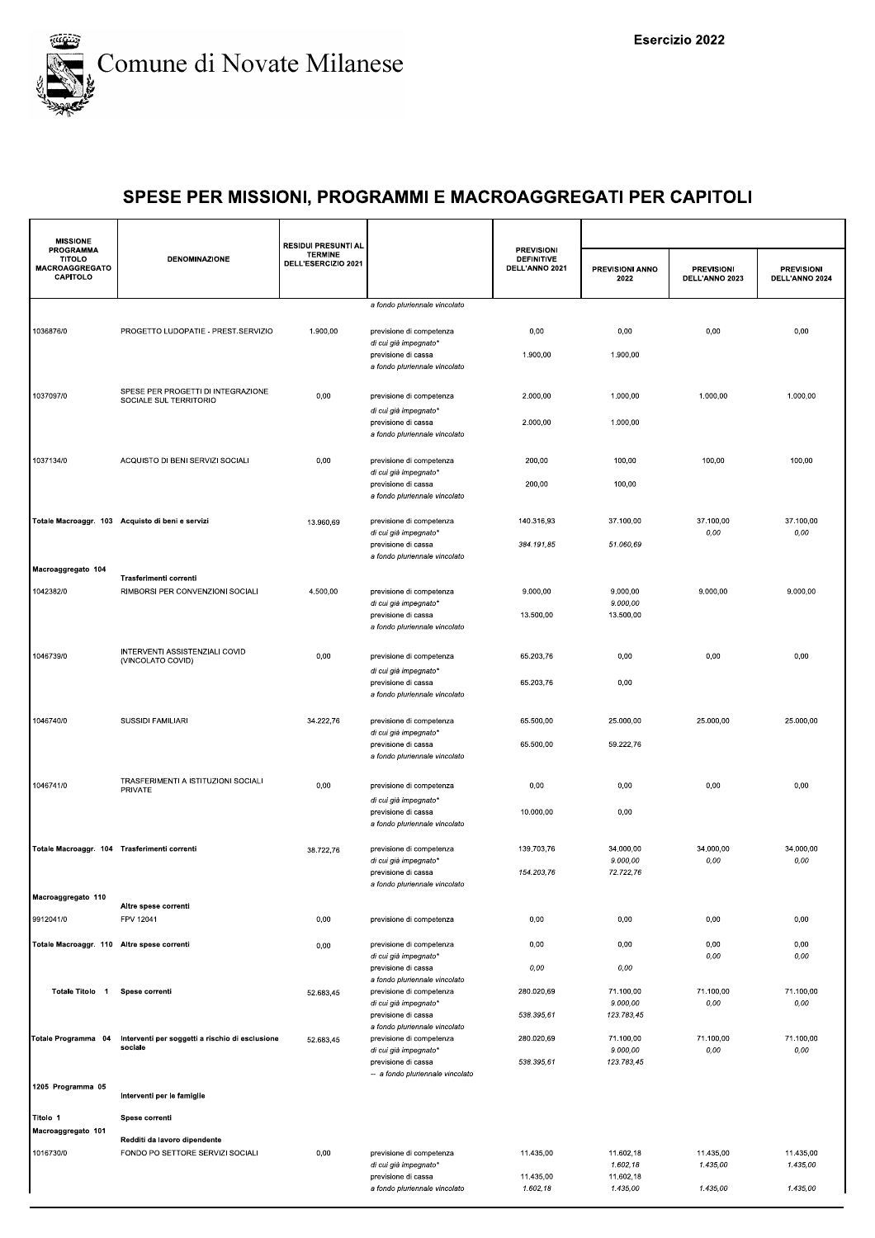

| <b>MISSIONE</b><br><b>PROGRAMMA</b>          |                                                              | <b>RESIDUI PRESUNTI AL</b>            |                                                           |                                                          |                         |                                     |                                     |
|----------------------------------------------|--------------------------------------------------------------|---------------------------------------|-----------------------------------------------------------|----------------------------------------------------------|-------------------------|-------------------------------------|-------------------------------------|
| TITOLO<br>MACROAGGREGATO<br>CAPITOLO         | <b>DENOMINAZIONE</b>                                         | <b>TERMINE</b><br>DELL'ESERCIZIO 2021 |                                                           | <b>PREVISIONI</b><br><b>DEFINITIVE</b><br>DELL'ANNO 2021 | PREVISIONI ANNO<br>2022 | <b>PREVISIONI</b><br>DELL'ANNO 2023 | <b>PREVISIONI</b><br>DELL'ANNO 2024 |
|                                              |                                                              |                                       | a fondo pluriennale vincolato                             |                                                          |                         |                                     |                                     |
| 1036876/0                                    | PROGETTO LUDOPATIE - PREST.SERVIZIO                          | 1.900,00                              | previsione di competenza                                  | 0,00                                                     | 0,00                    | 0,00                                | 0,00                                |
|                                              |                                                              |                                       | di cui già impegnato*<br>previsione di cassa              | 1.900,00                                                 | 1.900,00                |                                     |                                     |
|                                              |                                                              |                                       | a fondo pluriennale vincolato                             |                                                          |                         |                                     |                                     |
| 1037097/0                                    | SPESE PER PROGETTI DI INTEGRAZIONE<br>SOCIALE SUL TERRITORIO | 0,00                                  | previsione di competenza                                  | 2.000,00                                                 | 1.000,00                | 1.000,00                            | 1.000,00                            |
|                                              |                                                              |                                       | di cui già impegnato*<br>previsione di cassa              | 2.000,00                                                 | 1.000,00                |                                     |                                     |
|                                              |                                                              |                                       | a fondo pluriennale vincolato                             |                                                          |                         |                                     |                                     |
| 1037134/0                                    | ACQUISTO DI BENI SERVIZI SOCIALI                             | 0,00                                  | previsione di competenza                                  | 200,00                                                   | 100,00                  | 100,00                              | 100,00                              |
|                                              |                                                              |                                       | di cui già impegnato*<br>previsione di cassa              | 200,00                                                   | 100,00                  |                                     |                                     |
|                                              |                                                              |                                       | a fondo pluriennale vincolato                             |                                                          |                         |                                     |                                     |
|                                              | Totale Macroaggr. 103 Acquisto di beni e servizi             | 13.960,69                             | previsione di competenza                                  | 140.316,93                                               | 37.100,00               | 37.100,00                           | 37.100,00                           |
|                                              |                                                              |                                       | di cui già impegnato*<br>previsione di cassa              | 384.191,85                                               | 51.060.69               | 0,00                                | 0,00                                |
| Macroaggregato 104                           |                                                              |                                       | a fondo pluriennale vincolato                             |                                                          |                         |                                     |                                     |
| 1042382/0                                    | Trasferimenti correnti<br>RIMBORSI PER CONVENZIONI SOCIALI   | 4.500,00                              | previsione di competenza                                  | 9.000,00                                                 | 9.000,00                | 9.000,00                            | 9.000,00                            |
|                                              |                                                              |                                       | di cui già impegnato*<br>previsione di cassa              | 13.500,00                                                | 9.000,00<br>13.500,00   |                                     |                                     |
|                                              |                                                              |                                       | a fondo pluriennale vincolato                             |                                                          |                         |                                     |                                     |
| 1046739/0                                    | INTERVENTI ASSISTENZIALI COVID                               | 0,00                                  | previsione di competenza                                  | 65.203,76                                                | 0,00                    | 0,00                                | 0,00                                |
|                                              | (VINCOLATO COVID)                                            |                                       | di cui già impegnato*                                     |                                                          |                         |                                     |                                     |
|                                              |                                                              |                                       | previsione di cassa<br>a fondo pluriennale vincolato      | 65.203,76                                                | 0,00                    |                                     |                                     |
| 1046740/0                                    | SUSSIDI FAMILIARI                                            | 34.222,76                             | previsione di competenza                                  | 65.500,00                                                | 25.000,00               | 25.000,00                           | 25.000,00                           |
|                                              |                                                              |                                       | di cui già impegnato*                                     |                                                          |                         |                                     |                                     |
|                                              |                                                              |                                       | previsione di cassa<br>a fondo pluriennale vincolato      | 65.500,00                                                | 59.222,76               |                                     |                                     |
| 1046741/0                                    | TRASFERIMENTI A ISTITUZIONI SOCIALI                          | 0,00                                  | previsione di competenza                                  | 0,00                                                     | 0,00                    | 0,00                                | 0,00                                |
|                                              | PRIVATE                                                      |                                       | di cui già impegnato*                                     |                                                          |                         |                                     |                                     |
|                                              |                                                              |                                       | previsione di cassa<br>a fondo pluriennale vincolato      | 10.000,00                                                | 0,00                    |                                     |                                     |
| Totale Macroaggr. 104 Trasferimenti correnti |                                                              | 38.722,76                             | previsione di competenza                                  | 139.703,76                                               | 34.000,00               | 34.000,00                           | 34.000,00                           |
|                                              |                                                              |                                       | di cui già impegnato'<br>previsione di cassa              | 154.203,76                                               | 9.000,00<br>72.722,76   | 0,00                                | 0,00                                |
|                                              |                                                              |                                       | a fondo pluriennale vincolato                             |                                                          |                         |                                     |                                     |
| Macroaggregato 110                           | Altre spese correnti                                         |                                       |                                                           |                                                          |                         |                                     |                                     |
| 9912041/0                                    | FPV 12041                                                    | 0,00                                  | previsione di competenza                                  | 0,00                                                     | 0,00                    | 0,00                                | 0,00                                |
| Totale Macroaggr. 110 Altre spese correnti   |                                                              | 0,00                                  | previsione di competenza<br>di cui già impegnato*         | 0,00                                                     | 0,00                    | 0,00<br>0,00                        | 0,00<br>0,00                        |
|                                              |                                                              |                                       | previsione di cassa<br>a fondo pluriennale vincolato      | 0,00                                                     | 0,00                    |                                     |                                     |
| Totale Titolo 1                              | Spese correnti                                               | 52.683,45                             | previsione di competenza                                  | 280.020,69                                               | 71.100,00               | 71.100,00                           | 71.100,00                           |
|                                              |                                                              |                                       | di cui già impegnato*<br>previsione di cassa              | 538.395,61                                               | 9.000,00<br>123.783,45  | 0,00                                | 0,00                                |
| Totale Programma 04                          | Interventi per soggetti a rischio di esclusione              | 52.683,45                             | a fondo pluriennale vincolato<br>previsione di competenza | 280.020,69                                               | 71.100,00               | 71.100,00                           | 71.100,00                           |
|                                              | sociale                                                      |                                       | di cui già impegnato*<br>previsione di cassa              | 538.395,61                                               | 9.000,00<br>123.783,45  | 0,00                                | 0,00                                |
|                                              |                                                              |                                       | -- a fondo pluriennale vincolato                          |                                                          |                         |                                     |                                     |
| 1205 Programma 05                            | Interventi per le famiglie                                   |                                       |                                                           |                                                          |                         |                                     |                                     |
| Titolo 1                                     | Spese correnti                                               |                                       |                                                           |                                                          |                         |                                     |                                     |
| Macroaggregato 101                           | Redditi da lavoro dipendente                                 |                                       |                                                           |                                                          |                         |                                     |                                     |
| 1016730/0                                    | FONDO PO SETTORE SERVIZI SOCIALI                             | 0,00                                  | previsione di competenza<br>di cui già impegnato*         | 11.435,00                                                | 11.602,18<br>1.602,18   | 11.435,00<br>1.435,00               | 11.435,00<br>1.435,00               |
|                                              |                                                              |                                       | previsione di cassa<br>a fondo pluriennale vincolato      | 11.435,00<br>1.602,18                                    | 11.602,18<br>1.435,00   | 1.435,00                            | 1.435,00                            |
|                                              |                                                              |                                       |                                                           |                                                          |                         |                                     |                                     |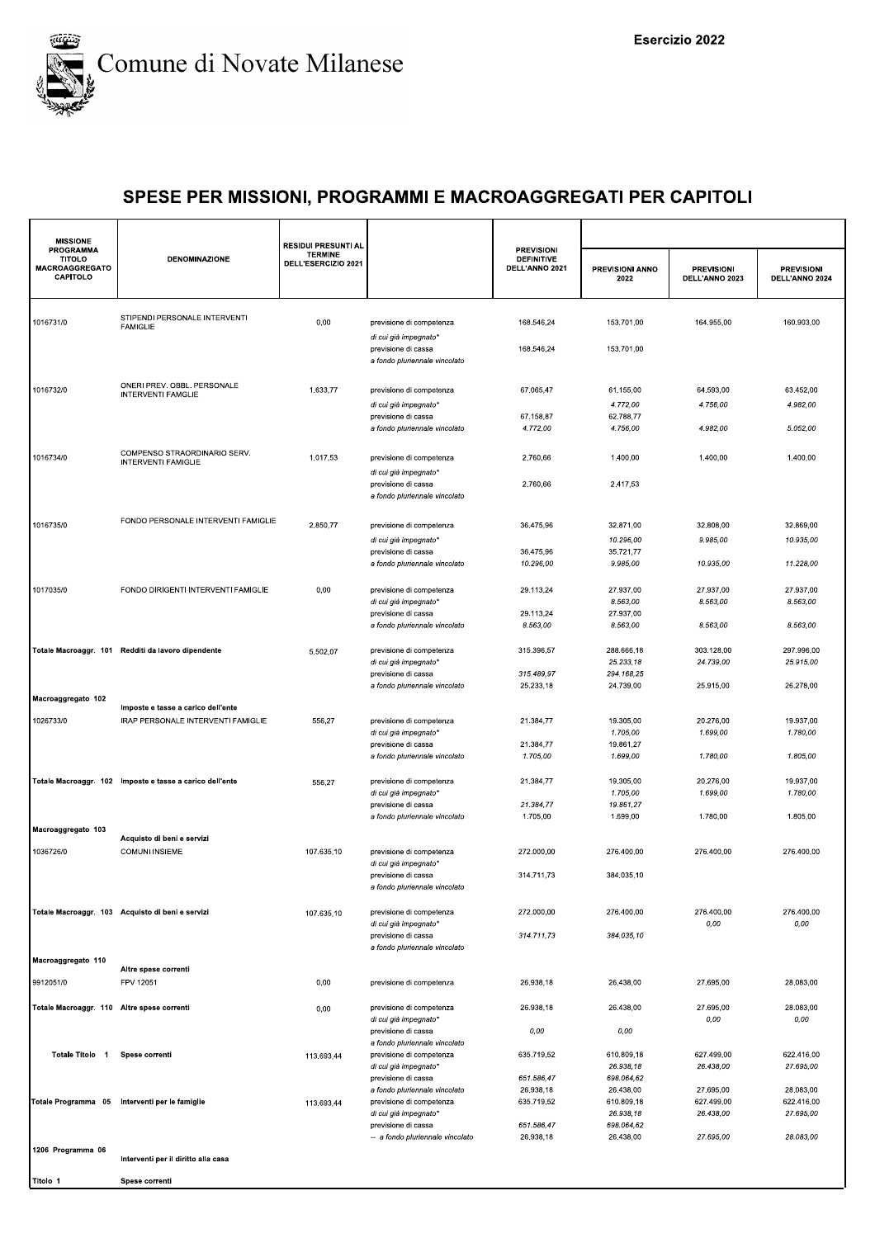

| <b>MISSIONE</b>                                                        |                                                          | <b>RESIDUI PRESUNTI AL</b>            |                                                                                                                                  |                                                          |                                                                  |                                      |                                      |
|------------------------------------------------------------------------|----------------------------------------------------------|---------------------------------------|----------------------------------------------------------------------------------------------------------------------------------|----------------------------------------------------------|------------------------------------------------------------------|--------------------------------------|--------------------------------------|
| <b>PROGRAMMA</b><br><b>TITOLO</b><br><b>MACROAGGREGATO</b><br>CAPITOLO | <b>DENOMINAZIONE</b>                                     | <b>TERMINE</b><br>DELL'ESERCIZIO 2021 |                                                                                                                                  | <b>PREVISIONI</b><br><b>DEFINITIVE</b><br>DELL'ANNO 2021 | PREVISIONI ANNO<br>2022                                          | <b>PREVISIONI</b><br>DELL'ANNO 2023  | <b>PREVISIONI</b><br>DELL'ANNO 2024  |
| 1016731/0                                                              | STIPENDI PERSONALE INTERVENTI<br><b>FAMIGLIE</b>         | 0,00                                  | previsione di competenza                                                                                                         | 168.546,24                                               | 153.701,00                                                       | 164.955,00                           | 160.903,00                           |
|                                                                        |                                                          |                                       | di cui già impegnato*<br>previsione di cassa<br>a fondo pluriennale vincolato                                                    | 168.546,24                                               | 153.701,00                                                       |                                      |                                      |
| 1016732/0                                                              | ONERI PREV. OBBL. PERSONALE<br><b>INTERVENTI FAMGLIE</b> | 1.633,77                              | previsione di competenza<br>di cui già impegnato*                                                                                | 67.065,47                                                | 61.155,00<br>4.772,00                                            | 64.593,00<br>4.756,00                | 63.452,00<br>4.982,00                |
|                                                                        |                                                          |                                       | previsione di cassa<br>a fondo pluriennale vincolato                                                                             | 67.158,87<br>4.772,00                                    | 62.788,77<br>4.756,00                                            | 4.982,00                             | 5.052,00                             |
| 1016734/0                                                              | COMPENSO STRAORDINARIO SERV.<br>INTERVENTI FAMIGLIE      | 1.017,53                              | previsione di competenza<br>di cui già impegnato*<br>previsione di cassa                                                         | 2.760,66<br>2.760,66                                     | 1.400,00<br>2.417,53                                             | 1.400,00                             | 1.400,00                             |
|                                                                        |                                                          |                                       | a fondo pluriennale vincolato                                                                                                    |                                                          |                                                                  |                                      |                                      |
| 1016735/0                                                              | FONDO PERSONALE INTERVENTI FAMIGLIE                      | 2.850,77                              | previsione di competenza<br>di cui già impegnato*                                                                                | 36.475,96                                                | 32.871,00<br>10.296,00                                           | 32.808,00<br>9.985,00                | 32.869,00<br>10.935,00               |
|                                                                        |                                                          |                                       | previsione di cassa<br>a fondo pluriennale vincolato                                                                             | 36.475,96<br>10.296,00                                   | 35.721,77<br>9.985,00                                            | 10.935,00                            | 11.228,00                            |
| 1017035/0                                                              | FONDO DIRIGENTI INTERVENTI FAMIGLIE                      | 0,00                                  | previsione di competenza<br>di cui già impegnato*<br>previsione di cassa                                                         | 29.113,24<br>29.113,24                                   | 27.937,00<br>8.563,00<br>27.937,00                               | 27.937,00<br>8.563,00                | 27.937,00<br>8.563,00                |
|                                                                        |                                                          |                                       | a fondo pluriennale vincolato                                                                                                    | 8.563,00                                                 | 8.563,00                                                         | 8.563,00                             | 8.563,00                             |
|                                                                        | Totale Macroaggr. 101 Redditi da lavoro dipendente       | 5.502,07                              | previsione di competenza<br>di cui già impegnato'<br>previsione di cassa                                                         | 315.396,57<br>315.489,97                                 | 288.666,18<br>25.233,18<br>294.168,25                            | 303.128,00<br>24.739,00              | 297.996,00<br>25.915,00              |
| Macroaggregato 102                                                     | Imposte e tasse a carico dell'ente                       |                                       | a fondo pluriennale vincolato                                                                                                    | 25.233,18                                                | 24.739,00                                                        | 25.915,00                            | 26.278,00                            |
| 1026733/0                                                              | IRAP PERSONALE INTERVENTI FAMIGLIE                       | 556,27                                | previsione di competenza<br>di cui già impegnato'<br>previsione di cassa                                                         | 21.384,77<br>21.384,77                                   | 19.305,00<br>1.705,00<br>19.861,27                               | 20.276,00<br>1.699,00                | 19.937,00<br>1.780,00                |
|                                                                        |                                                          |                                       | a fondo pluriennale vincolato                                                                                                    | 1.705,00                                                 | 1.699,00                                                         | 1.780,00                             | 1.805,00                             |
|                                                                        | Totale Macroaggr. 102 Imposte e tasse a carico dell'ente | 556,27                                | previsione di competenza<br>di cui già impegnato*<br>previsione di cassa<br>a fondo pluriennale vincolato                        | 21.384,77<br>21.384,77<br>1.705,00                       | 19.305,00<br>1.705,00<br>19.861,27<br>1.699,00                   | 20.276,00<br>1.699,00<br>1.780,00    | 19.937,00<br>1.780,00<br>1.805,00    |
| Macroaggregato 103                                                     | Acquisto di beni e servizi                               |                                       |                                                                                                                                  |                                                          |                                                                  |                                      |                                      |
| 1036726/0                                                              | <b>COMUNI INSIEME</b>                                    | 107.635,10                            | previsione di competenza<br>di cui già impegnato*<br>previsione di cassa                                                         | 272.000.00<br>314.711,73                                 | 276.400.00<br>384.035,10                                         | 276.400,00                           | 276.400,00                           |
|                                                                        | Totale Macroaggr. 103 Acquisto di beni e servizi         | 107.635,10                            | a fondo pluriennale vincolato<br>previsione di competenza                                                                        | 272.000,00                                               | 276.400,00                                                       | 276.400,00                           | 276.400,00                           |
|                                                                        |                                                          |                                       | di cui già impegnato*<br>previsione di cassa<br>a fondo pluriennale vincolato                                                    | 314.711,73                                               | 384.035.10                                                       | 0,00                                 | 0,00                                 |
| Macroaggregato 110                                                     | Altre spese correnti                                     |                                       |                                                                                                                                  |                                                          |                                                                  |                                      |                                      |
| 9912051/0                                                              | FPV 12051                                                | 0,00                                  | previsione di competenza                                                                                                         | 26.938,18                                                | 26.438,00                                                        | 27.695,00                            | 28.083,00                            |
| Totale Macroaggr. 110 Altre spese correnti                             |                                                          | 0,00                                  | previsione di competenza<br>di cui già impegnato*<br>previsione di cassa                                                         | 26.938,18<br>0,00                                        | 26.438,00<br>0,00                                                | 27.695,00<br>0,00                    | 28.083,00<br>0,00                    |
| Totale Titolo 1                                                        | Spese correnti                                           | 113.693,44                            | a fondo pluriennale vincolato<br>previsione di competenza<br>di cui già impegnato*                                               | 635.719,52                                               | 610.809,18<br>26.938,18                                          | 627.499,00<br>26.438,00              | 622.416.00<br>27.695,00              |
|                                                                        | Totale Programma 05 Interventi per le famiglie           | 113.693,44                            | previsione di cassa<br>a fondo pluriennale vincolato<br>previsione di competenza<br>di cui già impegnato*<br>previsione di cassa | 651.586,47<br>26.938,18<br>635.719,52<br>651.586,47      | 698.064,62<br>26.438,00<br>610.809,18<br>26.938,18<br>698.064,62 | 27.695,00<br>627.499,00<br>26.438,00 | 28.083,00<br>622.416,00<br>27.695,00 |
| 1206 Programma 06                                                      |                                                          |                                       | -- a fondo pluriennale vincolato                                                                                                 | 26.938,18                                                | 26.438,00                                                        | 27.695,00                            | 28.083,00                            |
|                                                                        | Interventi per il diritto alla casa                      |                                       |                                                                                                                                  |                                                          |                                                                  |                                      |                                      |
| Titolo 1                                                               | Spese correnti                                           |                                       |                                                                                                                                  |                                                          |                                                                  |                                      |                                      |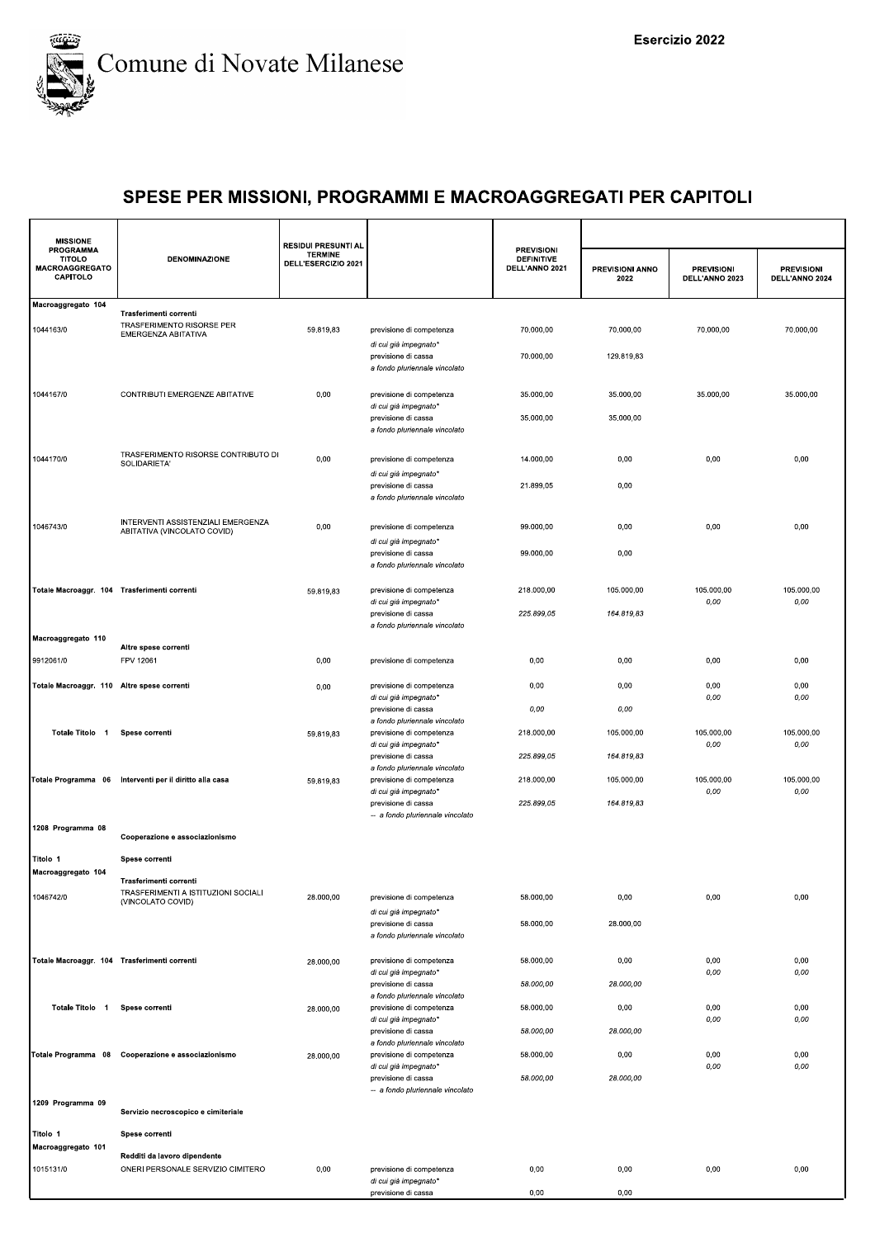

| <b>TITOLO</b><br>MACROAGGREGATO<br>CAPITOLO  | <b>DENOMINAZIONE</b>                                                               | <b>TERMINE</b><br>DELL'ESERCIZIO 2021 |                                                                                    | <b>PREVISIONI</b><br><b>DEFINITIVE</b><br>DELL'ANNO 2021 | PREVISIONI ANNO<br>2022  | <b>PREVISIONI</b><br>DELL'ANNO 2023 | <b>PREVISIONI</b><br>DELL'ANNO 2024 |
|----------------------------------------------|------------------------------------------------------------------------------------|---------------------------------------|------------------------------------------------------------------------------------|----------------------------------------------------------|--------------------------|-------------------------------------|-------------------------------------|
| Macroaggregato 104                           |                                                                                    |                                       |                                                                                    |                                                          |                          |                                     |                                     |
| 1044163/0                                    | Trasferimenti correnti<br>TRASFERIMENTO RISORSE PER<br>EMERGENZA ABITATIVA         | 59.819,83                             | previsione di competenza                                                           | 70.000,00                                                | 70.000,00                | 70.000.00                           | 70.000,00                           |
|                                              |                                                                                    |                                       | di cui già impegnato*<br>previsione di cassa<br>a fondo pluriennale vincolato      | 70.000,00                                                | 129.819,83               |                                     |                                     |
| 1044167/0                                    | CONTRIBUTI EMERGENZE ABITATIVE                                                     | 0,00                                  | previsione di competenza<br>di cui già impegnato*                                  | 35.000,00                                                | 35.000,00                | 35.000,00                           | 35.000,00                           |
|                                              |                                                                                    |                                       | previsione di cassa<br>a fondo pluriennale vincolato                               | 35.000,00                                                | 35.000,00                |                                     |                                     |
| 1044170/0                                    | TRASFERIMENTO RISORSE CONTRIBUTO DI<br>SOLIDARIETA'                                | 0,00                                  | previsione di competenza<br>di cui già impegnato*                                  | 14.000,00                                                | 0,00                     | 0,00                                | 0,00                                |
|                                              |                                                                                    |                                       | previsione di cassa<br>a fondo pluriennale vincolato                               | 21.899,05                                                | 0,00                     |                                     |                                     |
| 1046743/0                                    | INTERVENTI ASSISTENZIALI EMERGENZA<br>ABITATIVA (VINCOLATO COVID)                  | 0,00                                  | previsione di competenza                                                           | 99.000,00                                                | 0,00                     | 0,00                                | 0,00                                |
|                                              |                                                                                    |                                       | di cui già impegnato*<br>previsione di cassa<br>a fondo pluriennale vincolato      | 99.000,00                                                | 0,00                     |                                     |                                     |
| Totale Macroaggr. 104 Trasferimenti correnti |                                                                                    | 59.819,83                             | previsione di competenza<br>di cui già impegnato*                                  | 218.000,00                                               | 105.000,00               | 105.000,00<br>0,00                  | 105.000,00<br>$0,00$                |
|                                              |                                                                                    |                                       | previsione di cassa<br>a fondo pluriennale vincolato                               | 225.899,05                                               | 164.819,83               |                                     |                                     |
| Macroaggregato 110<br>9912061/0              | Altre spese correnti<br>FPV 12061                                                  | 0,00                                  | previsione di competenza                                                           | 0,00                                                     | 0,00                     | 0,00                                | 0,00                                |
| Totale Macroaggr. 110 Altre spese correnti   |                                                                                    | 0,00                                  | previsione di competenza<br>di cui già impegnato*                                  | 0,00                                                     | 0,00                     | 0,00<br>0,00                        | 0,00<br>0,00                        |
|                                              |                                                                                    |                                       | previsione di cassa<br>a fondo pluriennale vincolato                               | 0,00                                                     | 0,00                     |                                     |                                     |
| Totale Titolo 1                              | Spese correnti                                                                     | 59.819,83                             | previsione di competenza<br>di cui già impegnato*<br>previsione di cassa           | 218.000,00<br>225.899,05                                 | 105.000,00<br>164.819,83 | 105.000,00<br>0,00                  | 105.000,00<br>0,00                  |
|                                              | Totale Programma 06 Interventi per il diritto alla casa                            | 59.819,83                             | a fondo pluriennale vincolato<br>previsione di competenza                          | 218.000,00                                               | 105.000,00               | 105.000,00                          | 105.000,00<br>0,00                  |
|                                              |                                                                                    |                                       | di cui già impegnato*<br>previsione di cassa<br>-- a fondo pluriennale vincolato   | 225.899,05                                               | 164.819,83               | 0,00                                |                                     |
| 1208 Programma 08                            | Cooperazione e associazionismo                                                     |                                       |                                                                                    |                                                          |                          |                                     |                                     |
| Titolo 1<br>Macroaggregato 104               | Spese correnti                                                                     |                                       |                                                                                    |                                                          |                          |                                     |                                     |
| 1046742/0                                    | Trasferimenti correnti<br>TRASFERIMENTI A ISTITUZIONI SOCIALI<br>(VINCOLATO COVID) | 28.000,00                             | previsione di competenza                                                           | 58.000,00                                                | 0,00                     | 0,00                                | 0,00                                |
|                                              |                                                                                    |                                       | di cui già impegnato*<br>previsione di cassa<br>a fondo pluriennale vincolato      | 58.000,00                                                | 28.000,00                |                                     |                                     |
| Totale Macroaggr. 104 Trasferimenti correnti |                                                                                    | 28.000,00                             | previsione di competenza<br>di cui già impegnato*                                  | 58.000,00                                                | 0,00                     | 0,00<br>0,00                        | 0,00<br>0,00                        |
| Totale Titolo 1                              | Spese correnti                                                                     | 28.000,00                             | previsione di cassa<br>a fondo pluriennale vincolato<br>previsione di competenza   | 58.000,00<br>58.000,00                                   | 28.000,00<br>0,00        | 0,00                                | 0,00                                |
|                                              |                                                                                    |                                       | di cui già impegnato*<br>previsione di cassa                                       | 58.000,00                                                | 28.000,00                | 0,00                                | 0,00                                |
|                                              | Totale Programma 08 Cooperazione e associazionismo                                 | 28.000,00                             | a fondo pluriennale vincolato<br>previsione di competenza<br>di cui già impegnato* | 58.000,00                                                | 0,00                     | 0,00<br>0,00                        | 0,00<br>0,00                        |
| 1209 Programma 09                            | Servizio necroscopico e cimiteriale                                                |                                       | previsione di cassa<br>-- a fondo pluriennale vincolato                            | 58.000,00                                                | 28.000,00                |                                     |                                     |
| Titolo 1                                     | Spese correnti                                                                     |                                       |                                                                                    |                                                          |                          |                                     |                                     |
| Macroaggregato 101                           | Redditi da lavoro dipendente                                                       |                                       |                                                                                    |                                                          |                          |                                     |                                     |
| 1015131/0                                    | ONERI PERSONALE SERVIZIO CIMITERO                                                  | 0,00                                  | previsione di competenza<br>di cui già impegnato*                                  | 0,00                                                     | 0,00                     | 0,00                                | 0,00                                |
|                                              |                                                                                    |                                       | previsione di cassa                                                                | 0,00                                                     | 0,00                     |                                     |                                     |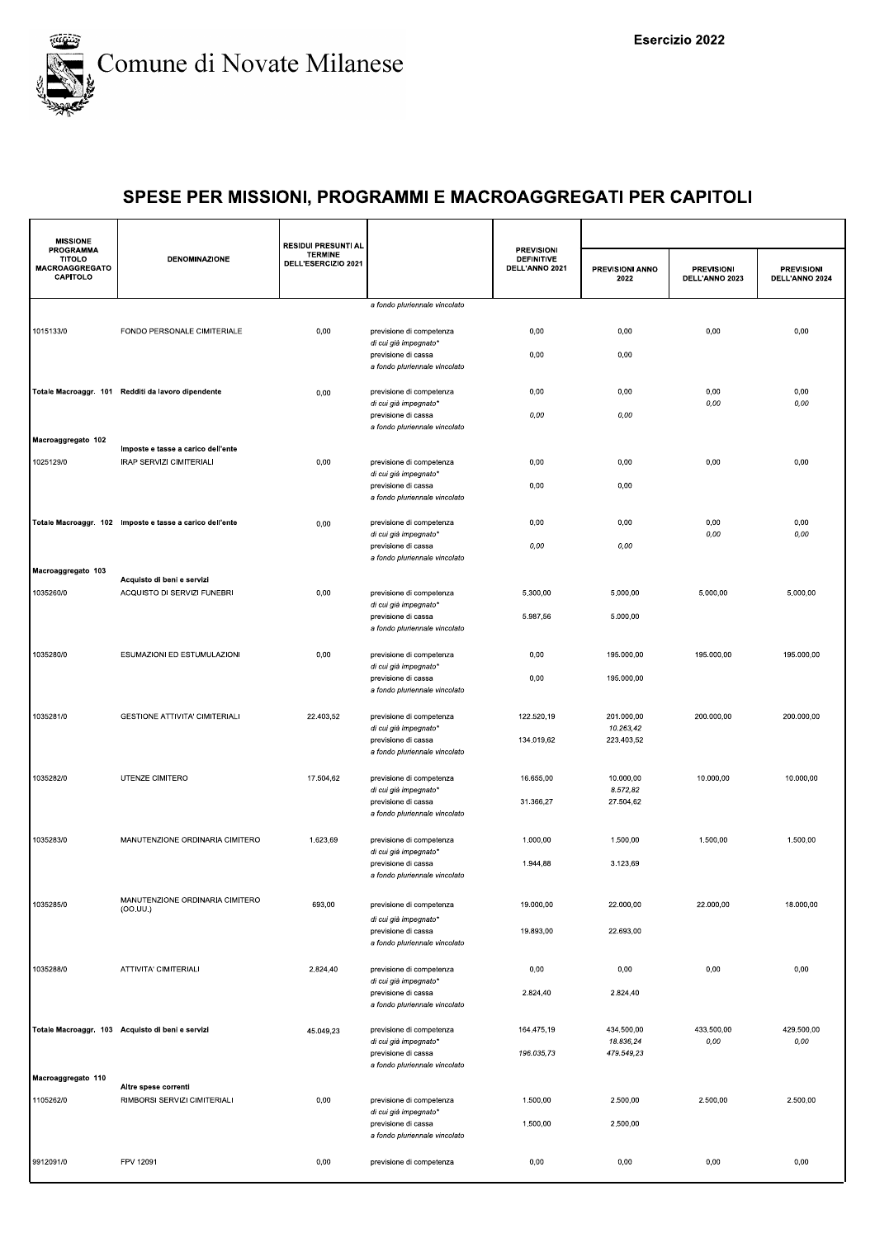

| <b>TERMINE</b><br><b>TITOLO</b><br><b>DENOMINAZIONE</b><br><b>DEFINITIVE</b><br>DELL'ESERCIZIO 2021<br>MACROAGGREGATO<br>DELL'ANNO 2021<br>PREVISIONI ANNO<br><b>PREVISIONI</b><br><b>PREVISIONI</b><br>CAPITOLO<br>2022<br>DELL'ANNO 2023<br>DELL'ANNO 2024<br>a fondo pluriennale vincolato<br>FONDO PERSONALE CIMITERIALE<br>0,00<br>0,00<br>0,00<br>0,00<br>0,00<br>previsione di competenza<br>di cui già impegnato*<br>0,00<br>previsione di cassa<br>0,00<br>a fondo pluriennale vincolato<br>0,00<br>0,00<br>0,00<br>0,00<br>Totale Macroaggr. 101 Redditi da lavoro dipendente<br>previsione di competenza<br>0,00<br>0,00<br>0,00<br>di cui già impegnato*<br>0,00<br>previsione di cassa<br>0,00<br>a fondo pluriennale vincolato<br>Imposte e tasse a carico dell'ente<br>IRAP SERVIZI CIMITERIALI<br>0,00<br>0,00<br>0,00<br>0,00<br>0,00<br>previsione di competenza<br>di cui già impegnato*<br>0,00<br>0,00<br>previsione di cassa<br>a fondo pluriennale vincolato<br>Totale Macroaggr. 102 Imposte e tasse a carico dell'ente<br>previsione di competenza<br>0,00<br>0,00<br>0,00<br>0,00<br>0,00<br>0,00<br>0,00<br>di cui già impegnato*<br>0,00<br>0,00<br>previsione di cassa<br>a fondo pluriennale vincolato<br>Macroaggregato 103<br>Acquisto di beni e servizi<br>1035260/0<br>ACQUISTO DI SERVIZI FUNEBRI<br>5.000,00<br>5.000,00<br>0,00<br>previsione di competenza<br>5.300,00<br>5.000,00<br>di cui già impegnato*<br>5.000,00<br>5.987,56<br>previsione di cassa<br>a fondo pluriennale vincolato<br>ESUMAZIONI ED ESTUMULAZIONI<br>0,00<br>195.000,00<br>195.000,00<br>previsione di competenza<br>0,00<br>195.000,00<br>di cui già impegnato*<br>0,00<br>195.000,00<br>previsione di cassa<br>a fondo pluriennale vincolato<br><b>GESTIONE ATTIVITA' CIMITERIALI</b><br>22.403,52<br>201.000,00<br>previsione di competenza<br>122.520,19<br>200.000,00<br>200.000,00<br>10.263,42<br>di cui già impegnato*<br>223.403,52<br>134.019,62<br>previsione di cassa<br>a fondo pluriennale vincolato<br>UTENZE CIMITERO<br>17.504,62<br>16.655,00<br>10.000,00<br>10.000,00<br>previsione di competenza<br>10.000,00<br>8.572,82<br>di cui già impegnato*<br>27.504,62<br>31.366,27<br>previsione di cassa<br>a fondo pluriennale vincolato<br>1035283/0<br>MANUTENZIONE ORDINARIA CIMITERO<br>1.623,69<br>previsione di competenza<br>1.000,00<br>1.500,00<br>1.500,00<br>1.500,00<br>di cui già impegnato*<br>3.123,69<br>1.944,88<br>previsione di cassa<br>a fondo pluriennale vincolato<br>MANUTENZIONE ORDINARIA CIMITERO<br>693,00<br>19.000,00<br>22.000,00<br>22.000,00<br>18.000,00<br>previsione di competenza<br>(OO.UU.)<br>di cui già impegnato*<br>19.893,00<br>22.693,00<br>previsione di cassa<br>a fondo pluriennale vincolato<br>ATTIVITA' CIMITERIALI<br>2.824,40<br>0,00<br>0,00<br>0,00<br>0,00<br>previsione di competenza<br>di cui già impegnato*<br>2.824,40<br>2.824,40<br>previsione di cassa<br>a fondo pluriennale vincolato<br>433.500,00<br>429.500,00<br>Totale Macroaggr. 103 Acquisto di beni e servizi<br>previsione di competenza<br>164.475,19<br>434.500,00<br>45.049,23<br>18.836,24<br>di cui già impegnato*<br>0,00<br>0,00<br>196.035,73<br>479.549,23<br>previsione di cassa<br>a fondo pluriennale vincolato<br>Altre spese correnti<br>1105262/0<br>RIMBORSI SERVIZI CIMITERIALI<br>0,00<br>previsione di competenza<br>1.500,00<br>2.500,00<br>2.500,00<br>2.500,00<br>di cui già impegnato*<br>1.500,00<br>2.500,00<br>previsione di cassa<br>a fondo pluriennale vincolato | <b>MISSIONE</b>    |           | <b>RESIDUI PRESUNTI AL</b> |                          |                   |      |      |      |
|----------------------------------------------------------------------------------------------------------------------------------------------------------------------------------------------------------------------------------------------------------------------------------------------------------------------------------------------------------------------------------------------------------------------------------------------------------------------------------------------------------------------------------------------------------------------------------------------------------------------------------------------------------------------------------------------------------------------------------------------------------------------------------------------------------------------------------------------------------------------------------------------------------------------------------------------------------------------------------------------------------------------------------------------------------------------------------------------------------------------------------------------------------------------------------------------------------------------------------------------------------------------------------------------------------------------------------------------------------------------------------------------------------------------------------------------------------------------------------------------------------------------------------------------------------------------------------------------------------------------------------------------------------------------------------------------------------------------------------------------------------------------------------------------------------------------------------------------------------------------------------------------------------------------------------------------------------------------------------------------------------------------------------------------------------------------------------------------------------------------------------------------------------------------------------------------------------------------------------------------------------------------------------------------------------------------------------------------------------------------------------------------------------------------------------------------------------------------------------------------------------------------------------------------------------------------------------------------------------------------------------------------------------------------------------------------------------------------------------------------------------------------------------------------------------------------------------------------------------------------------------------------------------------------------------------------------------------------------------------------------------------------------------------------------------------------------------------------------------------------------------------------------------------------------------------------------------------------------------------------------------------------------------------------------------------------------------------------------------------------------------------------------------------------------------------------------------------------------------------------------------------------------------------------------------|--------------------|-----------|----------------------------|--------------------------|-------------------|------|------|------|
|                                                                                                                                                                                                                                                                                                                                                                                                                                                                                                                                                                                                                                                                                                                                                                                                                                                                                                                                                                                                                                                                                                                                                                                                                                                                                                                                                                                                                                                                                                                                                                                                                                                                                                                                                                                                                                                                                                                                                                                                                                                                                                                                                                                                                                                                                                                                                                                                                                                                                                                                                                                                                                                                                                                                                                                                                                                                                                                                                                                                                                                                                                                                                                                                                                                                                                                                                                                                                                                                                                                                                          | PROGRAMMA          |           |                            |                          | <b>PREVISIONI</b> |      |      |      |
|                                                                                                                                                                                                                                                                                                                                                                                                                                                                                                                                                                                                                                                                                                                                                                                                                                                                                                                                                                                                                                                                                                                                                                                                                                                                                                                                                                                                                                                                                                                                                                                                                                                                                                                                                                                                                                                                                                                                                                                                                                                                                                                                                                                                                                                                                                                                                                                                                                                                                                                                                                                                                                                                                                                                                                                                                                                                                                                                                                                                                                                                                                                                                                                                                                                                                                                                                                                                                                                                                                                                                          |                    |           |                            |                          |                   |      |      |      |
|                                                                                                                                                                                                                                                                                                                                                                                                                                                                                                                                                                                                                                                                                                                                                                                                                                                                                                                                                                                                                                                                                                                                                                                                                                                                                                                                                                                                                                                                                                                                                                                                                                                                                                                                                                                                                                                                                                                                                                                                                                                                                                                                                                                                                                                                                                                                                                                                                                                                                                                                                                                                                                                                                                                                                                                                                                                                                                                                                                                                                                                                                                                                                                                                                                                                                                                                                                                                                                                                                                                                                          | 1015133/0          |           |                            |                          |                   |      |      |      |
|                                                                                                                                                                                                                                                                                                                                                                                                                                                                                                                                                                                                                                                                                                                                                                                                                                                                                                                                                                                                                                                                                                                                                                                                                                                                                                                                                                                                                                                                                                                                                                                                                                                                                                                                                                                                                                                                                                                                                                                                                                                                                                                                                                                                                                                                                                                                                                                                                                                                                                                                                                                                                                                                                                                                                                                                                                                                                                                                                                                                                                                                                                                                                                                                                                                                                                                                                                                                                                                                                                                                                          |                    |           |                            |                          |                   |      |      |      |
|                                                                                                                                                                                                                                                                                                                                                                                                                                                                                                                                                                                                                                                                                                                                                                                                                                                                                                                                                                                                                                                                                                                                                                                                                                                                                                                                                                                                                                                                                                                                                                                                                                                                                                                                                                                                                                                                                                                                                                                                                                                                                                                                                                                                                                                                                                                                                                                                                                                                                                                                                                                                                                                                                                                                                                                                                                                                                                                                                                                                                                                                                                                                                                                                                                                                                                                                                                                                                                                                                                                                                          |                    |           |                            |                          |                   |      |      |      |
|                                                                                                                                                                                                                                                                                                                                                                                                                                                                                                                                                                                                                                                                                                                                                                                                                                                                                                                                                                                                                                                                                                                                                                                                                                                                                                                                                                                                                                                                                                                                                                                                                                                                                                                                                                                                                                                                                                                                                                                                                                                                                                                                                                                                                                                                                                                                                                                                                                                                                                                                                                                                                                                                                                                                                                                                                                                                                                                                                                                                                                                                                                                                                                                                                                                                                                                                                                                                                                                                                                                                                          |                    |           |                            |                          |                   |      |      |      |
|                                                                                                                                                                                                                                                                                                                                                                                                                                                                                                                                                                                                                                                                                                                                                                                                                                                                                                                                                                                                                                                                                                                                                                                                                                                                                                                                                                                                                                                                                                                                                                                                                                                                                                                                                                                                                                                                                                                                                                                                                                                                                                                                                                                                                                                                                                                                                                                                                                                                                                                                                                                                                                                                                                                                                                                                                                                                                                                                                                                                                                                                                                                                                                                                                                                                                                                                                                                                                                                                                                                                                          |                    |           |                            |                          |                   |      |      |      |
|                                                                                                                                                                                                                                                                                                                                                                                                                                                                                                                                                                                                                                                                                                                                                                                                                                                                                                                                                                                                                                                                                                                                                                                                                                                                                                                                                                                                                                                                                                                                                                                                                                                                                                                                                                                                                                                                                                                                                                                                                                                                                                                                                                                                                                                                                                                                                                                                                                                                                                                                                                                                                                                                                                                                                                                                                                                                                                                                                                                                                                                                                                                                                                                                                                                                                                                                                                                                                                                                                                                                                          | Macroaggregato 102 |           |                            |                          |                   |      |      |      |
|                                                                                                                                                                                                                                                                                                                                                                                                                                                                                                                                                                                                                                                                                                                                                                                                                                                                                                                                                                                                                                                                                                                                                                                                                                                                                                                                                                                                                                                                                                                                                                                                                                                                                                                                                                                                                                                                                                                                                                                                                                                                                                                                                                                                                                                                                                                                                                                                                                                                                                                                                                                                                                                                                                                                                                                                                                                                                                                                                                                                                                                                                                                                                                                                                                                                                                                                                                                                                                                                                                                                                          | 1025129/0          |           |                            |                          |                   |      |      |      |
|                                                                                                                                                                                                                                                                                                                                                                                                                                                                                                                                                                                                                                                                                                                                                                                                                                                                                                                                                                                                                                                                                                                                                                                                                                                                                                                                                                                                                                                                                                                                                                                                                                                                                                                                                                                                                                                                                                                                                                                                                                                                                                                                                                                                                                                                                                                                                                                                                                                                                                                                                                                                                                                                                                                                                                                                                                                                                                                                                                                                                                                                                                                                                                                                                                                                                                                                                                                                                                                                                                                                                          |                    |           |                            |                          |                   |      |      |      |
|                                                                                                                                                                                                                                                                                                                                                                                                                                                                                                                                                                                                                                                                                                                                                                                                                                                                                                                                                                                                                                                                                                                                                                                                                                                                                                                                                                                                                                                                                                                                                                                                                                                                                                                                                                                                                                                                                                                                                                                                                                                                                                                                                                                                                                                                                                                                                                                                                                                                                                                                                                                                                                                                                                                                                                                                                                                                                                                                                                                                                                                                                                                                                                                                                                                                                                                                                                                                                                                                                                                                                          |                    |           |                            |                          |                   |      |      |      |
|                                                                                                                                                                                                                                                                                                                                                                                                                                                                                                                                                                                                                                                                                                                                                                                                                                                                                                                                                                                                                                                                                                                                                                                                                                                                                                                                                                                                                                                                                                                                                                                                                                                                                                                                                                                                                                                                                                                                                                                                                                                                                                                                                                                                                                                                                                                                                                                                                                                                                                                                                                                                                                                                                                                                                                                                                                                                                                                                                                                                                                                                                                                                                                                                                                                                                                                                                                                                                                                                                                                                                          |                    |           |                            |                          |                   |      |      |      |
|                                                                                                                                                                                                                                                                                                                                                                                                                                                                                                                                                                                                                                                                                                                                                                                                                                                                                                                                                                                                                                                                                                                                                                                                                                                                                                                                                                                                                                                                                                                                                                                                                                                                                                                                                                                                                                                                                                                                                                                                                                                                                                                                                                                                                                                                                                                                                                                                                                                                                                                                                                                                                                                                                                                                                                                                                                                                                                                                                                                                                                                                                                                                                                                                                                                                                                                                                                                                                                                                                                                                                          |                    |           |                            |                          |                   |      |      |      |
|                                                                                                                                                                                                                                                                                                                                                                                                                                                                                                                                                                                                                                                                                                                                                                                                                                                                                                                                                                                                                                                                                                                                                                                                                                                                                                                                                                                                                                                                                                                                                                                                                                                                                                                                                                                                                                                                                                                                                                                                                                                                                                                                                                                                                                                                                                                                                                                                                                                                                                                                                                                                                                                                                                                                                                                                                                                                                                                                                                                                                                                                                                                                                                                                                                                                                                                                                                                                                                                                                                                                                          |                    |           |                            |                          |                   |      |      |      |
|                                                                                                                                                                                                                                                                                                                                                                                                                                                                                                                                                                                                                                                                                                                                                                                                                                                                                                                                                                                                                                                                                                                                                                                                                                                                                                                                                                                                                                                                                                                                                                                                                                                                                                                                                                                                                                                                                                                                                                                                                                                                                                                                                                                                                                                                                                                                                                                                                                                                                                                                                                                                                                                                                                                                                                                                                                                                                                                                                                                                                                                                                                                                                                                                                                                                                                                                                                                                                                                                                                                                                          |                    |           |                            |                          |                   |      |      |      |
|                                                                                                                                                                                                                                                                                                                                                                                                                                                                                                                                                                                                                                                                                                                                                                                                                                                                                                                                                                                                                                                                                                                                                                                                                                                                                                                                                                                                                                                                                                                                                                                                                                                                                                                                                                                                                                                                                                                                                                                                                                                                                                                                                                                                                                                                                                                                                                                                                                                                                                                                                                                                                                                                                                                                                                                                                                                                                                                                                                                                                                                                                                                                                                                                                                                                                                                                                                                                                                                                                                                                                          |                    |           |                            |                          |                   |      |      |      |
|                                                                                                                                                                                                                                                                                                                                                                                                                                                                                                                                                                                                                                                                                                                                                                                                                                                                                                                                                                                                                                                                                                                                                                                                                                                                                                                                                                                                                                                                                                                                                                                                                                                                                                                                                                                                                                                                                                                                                                                                                                                                                                                                                                                                                                                                                                                                                                                                                                                                                                                                                                                                                                                                                                                                                                                                                                                                                                                                                                                                                                                                                                                                                                                                                                                                                                                                                                                                                                                                                                                                                          | 1035280/0          |           |                            |                          |                   |      |      |      |
|                                                                                                                                                                                                                                                                                                                                                                                                                                                                                                                                                                                                                                                                                                                                                                                                                                                                                                                                                                                                                                                                                                                                                                                                                                                                                                                                                                                                                                                                                                                                                                                                                                                                                                                                                                                                                                                                                                                                                                                                                                                                                                                                                                                                                                                                                                                                                                                                                                                                                                                                                                                                                                                                                                                                                                                                                                                                                                                                                                                                                                                                                                                                                                                                                                                                                                                                                                                                                                                                                                                                                          |                    |           |                            |                          |                   |      |      |      |
|                                                                                                                                                                                                                                                                                                                                                                                                                                                                                                                                                                                                                                                                                                                                                                                                                                                                                                                                                                                                                                                                                                                                                                                                                                                                                                                                                                                                                                                                                                                                                                                                                                                                                                                                                                                                                                                                                                                                                                                                                                                                                                                                                                                                                                                                                                                                                                                                                                                                                                                                                                                                                                                                                                                                                                                                                                                                                                                                                                                                                                                                                                                                                                                                                                                                                                                                                                                                                                                                                                                                                          | 1035281/0          |           |                            |                          |                   |      |      |      |
|                                                                                                                                                                                                                                                                                                                                                                                                                                                                                                                                                                                                                                                                                                                                                                                                                                                                                                                                                                                                                                                                                                                                                                                                                                                                                                                                                                                                                                                                                                                                                                                                                                                                                                                                                                                                                                                                                                                                                                                                                                                                                                                                                                                                                                                                                                                                                                                                                                                                                                                                                                                                                                                                                                                                                                                                                                                                                                                                                                                                                                                                                                                                                                                                                                                                                                                                                                                                                                                                                                                                                          |                    |           |                            |                          |                   |      |      |      |
|                                                                                                                                                                                                                                                                                                                                                                                                                                                                                                                                                                                                                                                                                                                                                                                                                                                                                                                                                                                                                                                                                                                                                                                                                                                                                                                                                                                                                                                                                                                                                                                                                                                                                                                                                                                                                                                                                                                                                                                                                                                                                                                                                                                                                                                                                                                                                                                                                                                                                                                                                                                                                                                                                                                                                                                                                                                                                                                                                                                                                                                                                                                                                                                                                                                                                                                                                                                                                                                                                                                                                          | 1035282/0          |           |                            |                          |                   |      |      |      |
|                                                                                                                                                                                                                                                                                                                                                                                                                                                                                                                                                                                                                                                                                                                                                                                                                                                                                                                                                                                                                                                                                                                                                                                                                                                                                                                                                                                                                                                                                                                                                                                                                                                                                                                                                                                                                                                                                                                                                                                                                                                                                                                                                                                                                                                                                                                                                                                                                                                                                                                                                                                                                                                                                                                                                                                                                                                                                                                                                                                                                                                                                                                                                                                                                                                                                                                                                                                                                                                                                                                                                          |                    |           |                            |                          |                   |      |      |      |
|                                                                                                                                                                                                                                                                                                                                                                                                                                                                                                                                                                                                                                                                                                                                                                                                                                                                                                                                                                                                                                                                                                                                                                                                                                                                                                                                                                                                                                                                                                                                                                                                                                                                                                                                                                                                                                                                                                                                                                                                                                                                                                                                                                                                                                                                                                                                                                                                                                                                                                                                                                                                                                                                                                                                                                                                                                                                                                                                                                                                                                                                                                                                                                                                                                                                                                                                                                                                                                                                                                                                                          |                    |           |                            |                          |                   |      |      |      |
|                                                                                                                                                                                                                                                                                                                                                                                                                                                                                                                                                                                                                                                                                                                                                                                                                                                                                                                                                                                                                                                                                                                                                                                                                                                                                                                                                                                                                                                                                                                                                                                                                                                                                                                                                                                                                                                                                                                                                                                                                                                                                                                                                                                                                                                                                                                                                                                                                                                                                                                                                                                                                                                                                                                                                                                                                                                                                                                                                                                                                                                                                                                                                                                                                                                                                                                                                                                                                                                                                                                                                          |                    |           |                            |                          |                   |      |      |      |
|                                                                                                                                                                                                                                                                                                                                                                                                                                                                                                                                                                                                                                                                                                                                                                                                                                                                                                                                                                                                                                                                                                                                                                                                                                                                                                                                                                                                                                                                                                                                                                                                                                                                                                                                                                                                                                                                                                                                                                                                                                                                                                                                                                                                                                                                                                                                                                                                                                                                                                                                                                                                                                                                                                                                                                                                                                                                                                                                                                                                                                                                                                                                                                                                                                                                                                                                                                                                                                                                                                                                                          |                    |           |                            |                          |                   |      |      |      |
|                                                                                                                                                                                                                                                                                                                                                                                                                                                                                                                                                                                                                                                                                                                                                                                                                                                                                                                                                                                                                                                                                                                                                                                                                                                                                                                                                                                                                                                                                                                                                                                                                                                                                                                                                                                                                                                                                                                                                                                                                                                                                                                                                                                                                                                                                                                                                                                                                                                                                                                                                                                                                                                                                                                                                                                                                                                                                                                                                                                                                                                                                                                                                                                                                                                                                                                                                                                                                                                                                                                                                          | 1035285/0          |           |                            |                          |                   |      |      |      |
|                                                                                                                                                                                                                                                                                                                                                                                                                                                                                                                                                                                                                                                                                                                                                                                                                                                                                                                                                                                                                                                                                                                                                                                                                                                                                                                                                                                                                                                                                                                                                                                                                                                                                                                                                                                                                                                                                                                                                                                                                                                                                                                                                                                                                                                                                                                                                                                                                                                                                                                                                                                                                                                                                                                                                                                                                                                                                                                                                                                                                                                                                                                                                                                                                                                                                                                                                                                                                                                                                                                                                          |                    |           |                            |                          |                   |      |      |      |
|                                                                                                                                                                                                                                                                                                                                                                                                                                                                                                                                                                                                                                                                                                                                                                                                                                                                                                                                                                                                                                                                                                                                                                                                                                                                                                                                                                                                                                                                                                                                                                                                                                                                                                                                                                                                                                                                                                                                                                                                                                                                                                                                                                                                                                                                                                                                                                                                                                                                                                                                                                                                                                                                                                                                                                                                                                                                                                                                                                                                                                                                                                                                                                                                                                                                                                                                                                                                                                                                                                                                                          |                    |           |                            |                          |                   |      |      |      |
|                                                                                                                                                                                                                                                                                                                                                                                                                                                                                                                                                                                                                                                                                                                                                                                                                                                                                                                                                                                                                                                                                                                                                                                                                                                                                                                                                                                                                                                                                                                                                                                                                                                                                                                                                                                                                                                                                                                                                                                                                                                                                                                                                                                                                                                                                                                                                                                                                                                                                                                                                                                                                                                                                                                                                                                                                                                                                                                                                                                                                                                                                                                                                                                                                                                                                                                                                                                                                                                                                                                                                          | 1035288/0          |           |                            |                          |                   |      |      |      |
|                                                                                                                                                                                                                                                                                                                                                                                                                                                                                                                                                                                                                                                                                                                                                                                                                                                                                                                                                                                                                                                                                                                                                                                                                                                                                                                                                                                                                                                                                                                                                                                                                                                                                                                                                                                                                                                                                                                                                                                                                                                                                                                                                                                                                                                                                                                                                                                                                                                                                                                                                                                                                                                                                                                                                                                                                                                                                                                                                                                                                                                                                                                                                                                                                                                                                                                                                                                                                                                                                                                                                          |                    |           |                            |                          |                   |      |      |      |
|                                                                                                                                                                                                                                                                                                                                                                                                                                                                                                                                                                                                                                                                                                                                                                                                                                                                                                                                                                                                                                                                                                                                                                                                                                                                                                                                                                                                                                                                                                                                                                                                                                                                                                                                                                                                                                                                                                                                                                                                                                                                                                                                                                                                                                                                                                                                                                                                                                                                                                                                                                                                                                                                                                                                                                                                                                                                                                                                                                                                                                                                                                                                                                                                                                                                                                                                                                                                                                                                                                                                                          |                    |           |                            |                          |                   |      |      |      |
|                                                                                                                                                                                                                                                                                                                                                                                                                                                                                                                                                                                                                                                                                                                                                                                                                                                                                                                                                                                                                                                                                                                                                                                                                                                                                                                                                                                                                                                                                                                                                                                                                                                                                                                                                                                                                                                                                                                                                                                                                                                                                                                                                                                                                                                                                                                                                                                                                                                                                                                                                                                                                                                                                                                                                                                                                                                                                                                                                                                                                                                                                                                                                                                                                                                                                                                                                                                                                                                                                                                                                          |                    |           |                            |                          |                   |      |      |      |
|                                                                                                                                                                                                                                                                                                                                                                                                                                                                                                                                                                                                                                                                                                                                                                                                                                                                                                                                                                                                                                                                                                                                                                                                                                                                                                                                                                                                                                                                                                                                                                                                                                                                                                                                                                                                                                                                                                                                                                                                                                                                                                                                                                                                                                                                                                                                                                                                                                                                                                                                                                                                                                                                                                                                                                                                                                                                                                                                                                                                                                                                                                                                                                                                                                                                                                                                                                                                                                                                                                                                                          | Macroaggregato 110 |           |                            |                          |                   |      |      |      |
|                                                                                                                                                                                                                                                                                                                                                                                                                                                                                                                                                                                                                                                                                                                                                                                                                                                                                                                                                                                                                                                                                                                                                                                                                                                                                                                                                                                                                                                                                                                                                                                                                                                                                                                                                                                                                                                                                                                                                                                                                                                                                                                                                                                                                                                                                                                                                                                                                                                                                                                                                                                                                                                                                                                                                                                                                                                                                                                                                                                                                                                                                                                                                                                                                                                                                                                                                                                                                                                                                                                                                          |                    |           |                            |                          |                   |      |      |      |
|                                                                                                                                                                                                                                                                                                                                                                                                                                                                                                                                                                                                                                                                                                                                                                                                                                                                                                                                                                                                                                                                                                                                                                                                                                                                                                                                                                                                                                                                                                                                                                                                                                                                                                                                                                                                                                                                                                                                                                                                                                                                                                                                                                                                                                                                                                                                                                                                                                                                                                                                                                                                                                                                                                                                                                                                                                                                                                                                                                                                                                                                                                                                                                                                                                                                                                                                                                                                                                                                                                                                                          |                    |           |                            |                          |                   |      |      |      |
|                                                                                                                                                                                                                                                                                                                                                                                                                                                                                                                                                                                                                                                                                                                                                                                                                                                                                                                                                                                                                                                                                                                                                                                                                                                                                                                                                                                                                                                                                                                                                                                                                                                                                                                                                                                                                                                                                                                                                                                                                                                                                                                                                                                                                                                                                                                                                                                                                                                                                                                                                                                                                                                                                                                                                                                                                                                                                                                                                                                                                                                                                                                                                                                                                                                                                                                                                                                                                                                                                                                                                          |                    |           |                            |                          |                   |      |      |      |
|                                                                                                                                                                                                                                                                                                                                                                                                                                                                                                                                                                                                                                                                                                                                                                                                                                                                                                                                                                                                                                                                                                                                                                                                                                                                                                                                                                                                                                                                                                                                                                                                                                                                                                                                                                                                                                                                                                                                                                                                                                                                                                                                                                                                                                                                                                                                                                                                                                                                                                                                                                                                                                                                                                                                                                                                                                                                                                                                                                                                                                                                                                                                                                                                                                                                                                                                                                                                                                                                                                                                                          | 9912091/0          | FPV 12091 | 0,00                       | previsione di competenza | 0,00              | 0,00 | 0,00 | 0,00 |
|                                                                                                                                                                                                                                                                                                                                                                                                                                                                                                                                                                                                                                                                                                                                                                                                                                                                                                                                                                                                                                                                                                                                                                                                                                                                                                                                                                                                                                                                                                                                                                                                                                                                                                                                                                                                                                                                                                                                                                                                                                                                                                                                                                                                                                                                                                                                                                                                                                                                                                                                                                                                                                                                                                                                                                                                                                                                                                                                                                                                                                                                                                                                                                                                                                                                                                                                                                                                                                                                                                                                                          |                    |           |                            |                          |                   |      |      |      |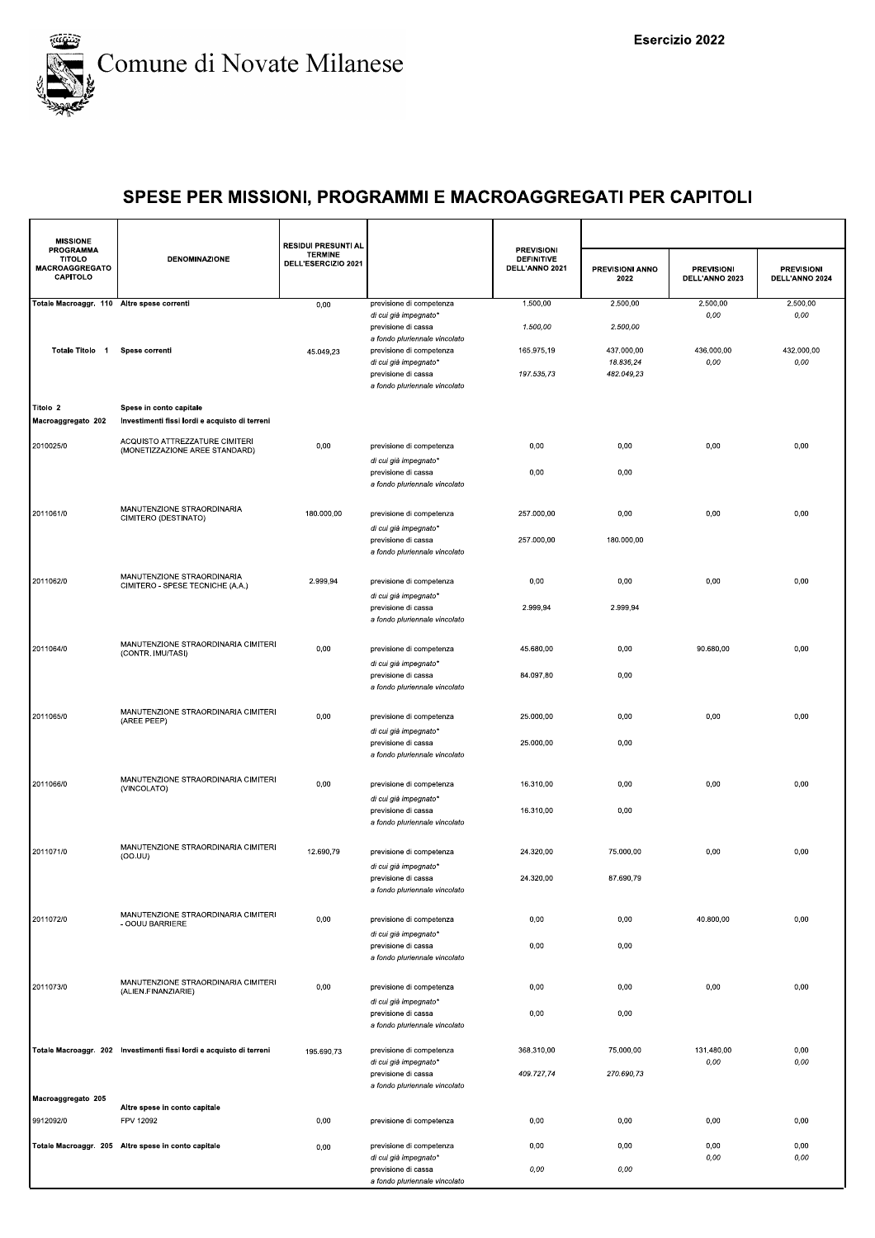

| <b>MISSIONE</b>                                          |                                                                      | <b>RESIDUI PRESUNTI AL</b>            |                                                           |                                                          |                                |                                     |                                     |
|----------------------------------------------------------|----------------------------------------------------------------------|---------------------------------------|-----------------------------------------------------------|----------------------------------------------------------|--------------------------------|-------------------------------------|-------------------------------------|
| PROGRAMMA<br><b>TITOLO</b><br>MACROAGGREGATO<br>CAPITOLO | <b>DENOMINAZIONE</b>                                                 | <b>TERMINE</b><br>DELL'ESERCIZIO 2021 |                                                           | <b>PREVISIONI</b><br><b>DEFINITIVE</b><br>DELL'ANNO 2021 | <b>PREVISIONI ANNO</b><br>2022 | <b>PREVISIONI</b><br>DELL'ANNO 2023 | <b>PREVISIONI</b><br>DELL'ANNO 2024 |
| Totale Macroaggr. 110 Altre spese correnti               |                                                                      | 0,00                                  | previsione di competenza<br>di cui già impegnato*         | 1.500,00                                                 | 2.500,00                       | 2.500,00<br>0,00                    | 2.500,00<br>0,00                    |
|                                                          |                                                                      |                                       | previsione di cassa                                       | 1.500,00                                                 | 2.500,00                       |                                     |                                     |
| Totale Titolo 1                                          | Spese correnti                                                       | 45.049,23                             | a fondo pluriennale vincolato<br>previsione di competenza | 165.975,19                                               | 437.000,00                     | 436.000,00                          | 432.000,00                          |
|                                                          |                                                                      |                                       | di cui già impegnato*                                     |                                                          | 18.836,24                      | 0,00                                | 0,00                                |
|                                                          |                                                                      |                                       | previsione di cassa<br>a fondo pluriennale vincolato      | 197.535,73                                               | 482.049,23                     |                                     |                                     |
| Titolo 2                                                 | Spese in conto capitale                                              |                                       |                                                           |                                                          |                                |                                     |                                     |
| Macroaggregato 202                                       | Investimenti fissi lordi e acquisto di terreni                       |                                       |                                                           |                                                          |                                |                                     |                                     |
| 2010025/0                                                | ACQUISTO ATTREZZATURE CIMITERI<br>(MONETIZZAZIONE AREE STANDARD)     | 0,00                                  | previsione di competenza                                  | 0,00                                                     | 0,00                           | 0,00                                | 0,00                                |
|                                                          |                                                                      |                                       | di cui già impegnato*                                     |                                                          |                                |                                     |                                     |
|                                                          |                                                                      |                                       | previsione di cassa<br>a fondo pluriennale vincolato      | 0,00                                                     | 0,00                           |                                     |                                     |
|                                                          |                                                                      |                                       |                                                           |                                                          |                                |                                     |                                     |
| 2011061/0                                                | MANUTENZIONE STRAORDINARIA<br>CIMITERO (DESTINATO)                   | 180.000,00                            | previsione di competenza                                  | 257.000,00                                               | 0,00                           | 0,00                                | 0,00                                |
|                                                          |                                                                      |                                       | di cui già impegnato*<br>previsione di cassa              | 257.000,00                                               | 180.000,00                     |                                     |                                     |
|                                                          |                                                                      |                                       | a fondo pluriennale vincolato                             |                                                          |                                |                                     |                                     |
| 2011062/0                                                | MANUTENZIONE STRAORDINARIA                                           | 2.999,94                              | previsione di competenza                                  | 0,00                                                     | 0,00                           | 0,00                                | 0,00                                |
|                                                          | CIMITERO - SPESE TECNICHE (A.A.)                                     |                                       | di cui già impegnato*                                     |                                                          |                                |                                     |                                     |
|                                                          |                                                                      |                                       | previsione di cassa<br>a fondo pluriennale vincolato      | 2.999,94                                                 | 2.999,94                       |                                     |                                     |
|                                                          |                                                                      |                                       |                                                           |                                                          |                                |                                     |                                     |
| 2011064/0                                                | MANUTENZIONE STRAORDINARIA CIMITERI<br>(CONTR. IMU/TASI)             | 0,00                                  | previsione di competenza                                  | 45.680,00                                                | 0,00                           | 90.680,00                           | 0,00                                |
|                                                          |                                                                      |                                       | di cui già impegnato*<br>previsione di cassa              | 84.097,80                                                | 0,00                           |                                     |                                     |
|                                                          |                                                                      |                                       | a fondo pluriennale vincolato                             |                                                          |                                |                                     |                                     |
| 2011065/0                                                | MANUTENZIONE STRAORDINARIA CIMITERI                                  | 0,00                                  | previsione di competenza                                  | 25.000,00                                                | 0,00                           | 0,00                                | 0,00                                |
|                                                          | (AREE PEEP)                                                          |                                       | di cui già impegnato*                                     |                                                          |                                |                                     |                                     |
|                                                          |                                                                      |                                       | previsione di cassa<br>a fondo pluriennale vincolato      | 25.000,00                                                | 0,00                           |                                     |                                     |
|                                                          |                                                                      |                                       |                                                           |                                                          |                                |                                     |                                     |
| 2011066/0                                                | MANUTENZIONE STRAORDINARIA CIMITERI<br>(VINCOLATO)                   | 0,00                                  | previsione di competenza                                  | 16.310,00                                                | 0,00                           | 0,00                                | 0,00                                |
|                                                          |                                                                      |                                       | di cui già impegnato*<br>previsione di cassa              | 16.310,00                                                | 0,00                           |                                     |                                     |
|                                                          |                                                                      |                                       | a fondo pluriennale vincolato                             |                                                          |                                |                                     |                                     |
| 2011071/0                                                | MANUTENZIONE STRAORDINARIA CIMITERI<br>(OO.UU)                       | 12.690,79                             | previsione di competenza                                  | 24.320,00                                                | 75.000,00                      | 0,00                                | 0,00                                |
|                                                          |                                                                      |                                       | di cui già impegnato*                                     | 24.320.00                                                |                                |                                     |                                     |
|                                                          |                                                                      |                                       | previsione di cassa<br>a fondo pluriennale vincolato      |                                                          | 87.690.79                      |                                     |                                     |
|                                                          | MANUTENZIONE STRAORDINARIA CIMITERI                                  |                                       |                                                           |                                                          |                                |                                     |                                     |
| 2011072/0                                                | - OOUU BARRIERE                                                      | 0,00                                  | previsione di competenza<br>di cui già impegnato*         | 0,00                                                     | 0,00                           | 40.800,00                           | 0,00                                |
|                                                          |                                                                      |                                       | previsione di cassa                                       | 0,00                                                     | 0,00                           |                                     |                                     |
|                                                          |                                                                      |                                       | a fondo pluriennale vincolato                             |                                                          |                                |                                     |                                     |
| 2011073/0                                                | MANUTENZIONE STRAORDINARIA CIMITERI<br>(ALIEN.FINANZIARIE)           | 0,00                                  | previsione di competenza                                  | 0,00                                                     | 0,00                           | 0,00                                | 0,00                                |
|                                                          |                                                                      |                                       | di cui già impegnato*<br>previsione di cassa              | 0,00                                                     | 0,00                           |                                     |                                     |
|                                                          |                                                                      |                                       | a fondo pluriennale vincolato                             |                                                          |                                |                                     |                                     |
|                                                          | Totale Macroaggr. 202 Investimenti fissi lordi e acquisto di terreni | 195.690,73                            | previsione di competenza                                  | 368.310,00                                               | 75.000,00                      | 131.480,00                          | 0,00                                |
|                                                          |                                                                      |                                       | di cui già impegnato*                                     |                                                          |                                | 0,00                                | 0,00                                |
|                                                          |                                                                      |                                       | previsione di cassa<br>a fondo pluriennale vincolato      | 409.727,74                                               | 270.690,73                     |                                     |                                     |
| Macroaggregato 205                                       | Altre spese in conto capitale                                        |                                       |                                                           |                                                          |                                |                                     |                                     |
| 9912092/0                                                | FPV 12092                                                            | 0,00                                  | previsione di competenza                                  | 0,00                                                     | 0,00                           | 0,00                                | 0,00                                |
|                                                          | Totale Macroaggr. 205 Altre spese in conto capitale                  | 0,00                                  | previsione di competenza                                  | 0,00                                                     | 0,00                           | 0,00                                | 0,00                                |
|                                                          |                                                                      |                                       | di cui già impegnato*<br>previsione di cassa              | 0,00                                                     | 0,00                           | 0,00                                | 0,00                                |
|                                                          |                                                                      |                                       | a fondo pluriennale vincolato                             |                                                          |                                |                                     |                                     |
|                                                          |                                                                      |                                       |                                                           |                                                          |                                |                                     |                                     |
|                                                          |                                                                      |                                       |                                                           |                                                          |                                |                                     |                                     |
|                                                          |                                                                      |                                       |                                                           |                                                          |                                |                                     |                                     |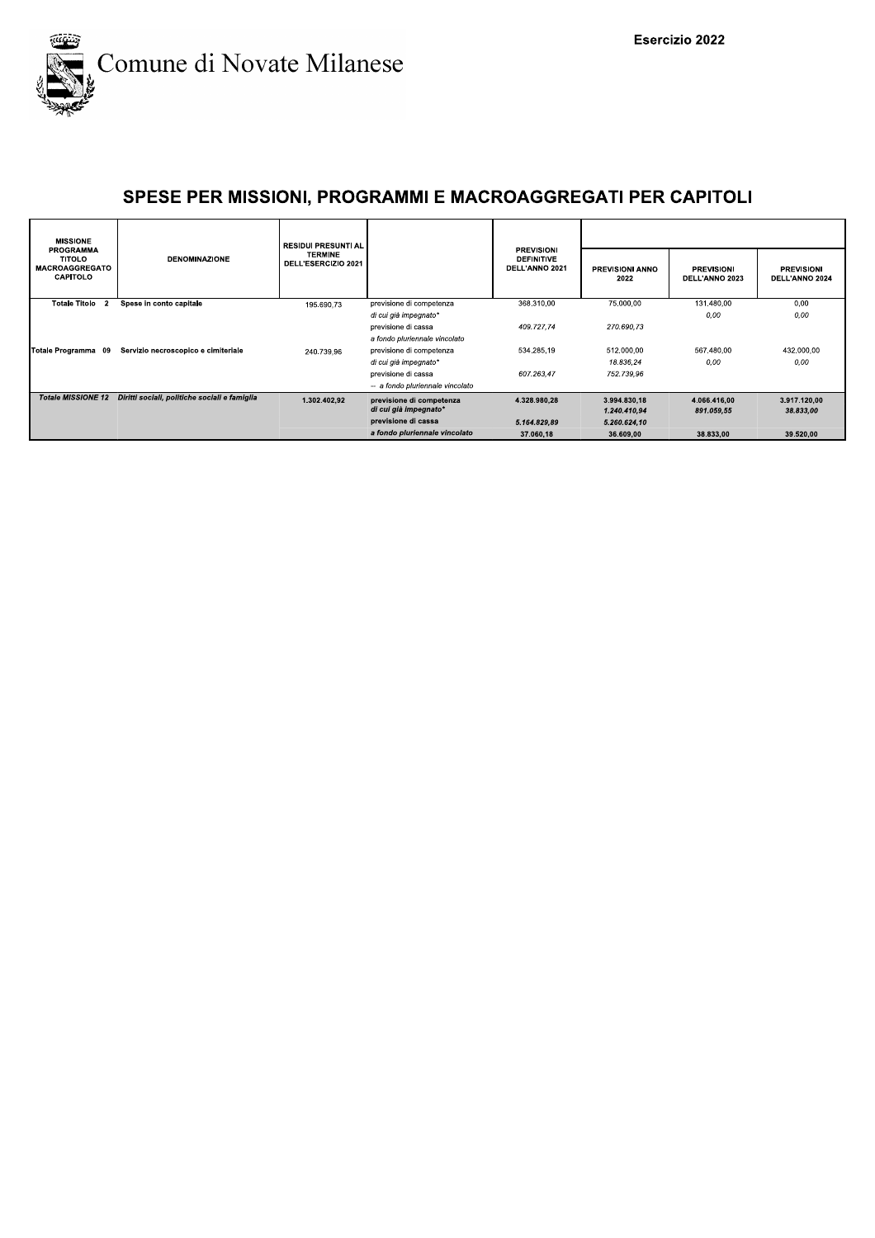

| <b>MISSIONE</b>                                                               |                                               | RESIDUI PRESUNTI AL                   |                                  |                                                          |                                |                                     |                                     |  |  |
|-------------------------------------------------------------------------------|-----------------------------------------------|---------------------------------------|----------------------------------|----------------------------------------------------------|--------------------------------|-------------------------------------|-------------------------------------|--|--|
| <b>PROGRAMMA</b><br><b>TITOLO</b><br><b>MACROAGGREGATO</b><br><b>CAPITOLO</b> | <b>DENOMINAZIONE</b>                          | <b>TERMINE</b><br>DELL'ESERCIZIO 2021 |                                  | <b>PREVISIONI</b><br><b>DEFINITIVE</b><br>DELL'ANNO 2021 | <b>PREVISIONI ANNO</b><br>2022 | <b>PREVISIONI</b><br>DELL'ANNO 2023 | <b>PREVISIONI</b><br>DELL'ANNO 2024 |  |  |
| <b>Totale Titolo</b><br>$\overline{2}$                                        | Spese in conto capitale                       | 195.690.73                            | previsione di competenza         | 368.310,00                                               | 75.000,00                      | 131.480,00                          | 0.00                                |  |  |
|                                                                               |                                               |                                       | di cui già impegnato*            |                                                          |                                | 0,00                                | 0,00                                |  |  |
|                                                                               |                                               |                                       | previsione di cassa              | 409.727.74                                               | 270.690.73                     |                                     |                                     |  |  |
|                                                                               |                                               |                                       | a fondo pluriennale vincolato    |                                                          |                                |                                     |                                     |  |  |
| Totale Programma 09                                                           | Servizio necroscopico e cimiteriale           | 240.739.96                            | previsione di competenza         | 534.285,19                                               | 512.000.00                     | 567.480,00                          | 432.000,00                          |  |  |
|                                                                               |                                               |                                       | di cui già impegnato*            |                                                          | 18.836.24                      | 0.00                                | 0.00                                |  |  |
|                                                                               |                                               |                                       | previsione di cassa              | 607.263.47                                               | 752.739.96                     |                                     |                                     |  |  |
|                                                                               |                                               |                                       | -- a fondo pluriennale vincolato |                                                          |                                |                                     |                                     |  |  |
| <b>Totale MISSIONE 12</b>                                                     | Diritti sociali, politiche sociali e famiglia | 1.302.402.92                          | previsione di competenza         | 4.328.980.28                                             | 3.994.830.18                   | 4.066.416.00                        | 3.917.120.00                        |  |  |
|                                                                               |                                               |                                       | di cui già impegnato*            |                                                          | 1.240.410.94                   | 891.059.55                          | 38.833.00                           |  |  |
|                                                                               |                                               |                                       | previsione di cassa              | 5.164.829.89                                             | 5.260.624,10                   |                                     |                                     |  |  |
|                                                                               |                                               |                                       | a fondo pluriennale vincolato    | 37.060,18                                                | 36.609,00                      | 38.833,00                           | 39.520,00                           |  |  |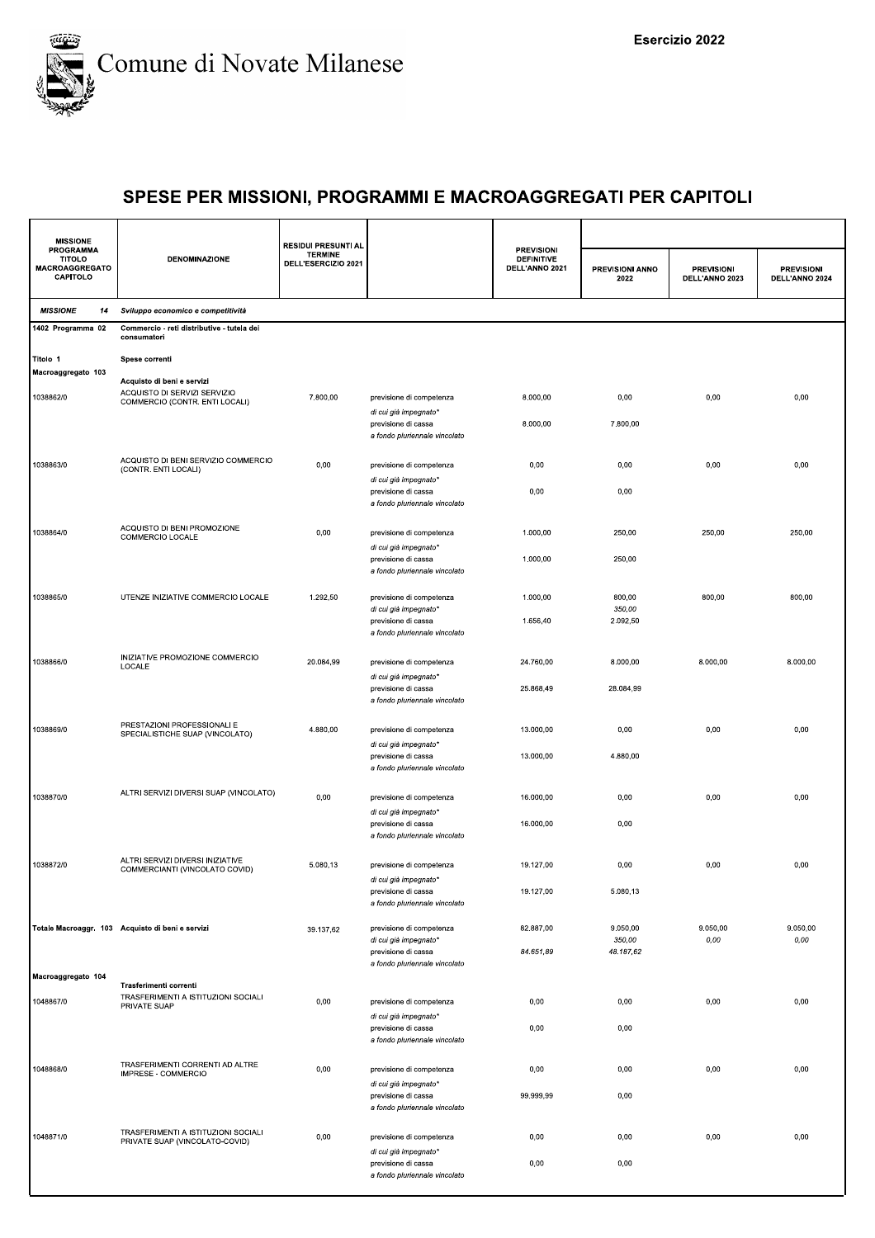

| <b>MISSIONE</b>                                          |                                                                                              | <b>RESIDUI PRESUNTI AL</b>            |                                                                                                           |                                                          |                                 |                                     |                                     |
|----------------------------------------------------------|----------------------------------------------------------------------------------------------|---------------------------------------|-----------------------------------------------------------------------------------------------------------|----------------------------------------------------------|---------------------------------|-------------------------------------|-------------------------------------|
| PROGRAMMA<br><b>TITOLO</b><br>MACROAGGREGATO<br>CAPITOLO | <b>DENOMINAZIONE</b>                                                                         | <b>TERMINE</b><br>DELL'ESERCIZIO 2021 |                                                                                                           | <b>PREVISIONI</b><br><b>DEFINITIVE</b><br>DELL'ANNO 2021 | PREVISIONI ANNO<br>2022         | <b>PREVISIONI</b><br>DELL'ANNO 2023 | <b>PREVISIONI</b><br>DELL'ANNO 2024 |
| <b>MISSIONE</b><br>14                                    | Sviluppo economico e competitività                                                           |                                       |                                                                                                           |                                                          |                                 |                                     |                                     |
| 1402 Programma 02                                        | Commercio - reti distributive - tutela dei<br>consumatori                                    |                                       |                                                                                                           |                                                          |                                 |                                     |                                     |
| Titolo 1<br>Macroaggregato 103                           | Spese correnti                                                                               |                                       |                                                                                                           |                                                          |                                 |                                     |                                     |
| 1038862/0                                                | Acquisto di beni e servizi<br>ACQUISTO DI SERVIZI SERVIZIO<br>COMMERCIO (CONTR. ENTI LOCALI) | 7.800,00                              | previsione di competenza<br>di cui già impegnato*                                                         | 8.000,00                                                 | 0,00                            | 0,00                                | 0,00                                |
|                                                          |                                                                                              |                                       | previsione di cassa<br>a fondo pluriennale vincolato                                                      | 8.000,00                                                 | 7.800,00                        |                                     |                                     |
| 1038863/0                                                | ACQUISTO DI BENI SERVIZIO COMMERCIO<br>(CONTR. ENTI LOCALI)                                  | 0,00                                  | previsione di competenza<br>di cui già impegnato*                                                         | 0,00                                                     | 0,00                            | 0,00                                | 0,00                                |
|                                                          |                                                                                              |                                       | previsione di cassa<br>a fondo pluriennale vincolato                                                      | 0,00                                                     | 0,00                            |                                     |                                     |
| 1038864/0                                                | ACQUISTO DI BENI PROMOZIONE<br>COMMERCIO LOCALE                                              | 0,00                                  | previsione di competenza<br>di cui già impegnato*                                                         | 1.000,00                                                 | 250,00                          | 250,00                              | 250,00                              |
|                                                          |                                                                                              |                                       | previsione di cassa<br>a fondo pluriennale vincolato                                                      | 1.000,00                                                 | 250,00                          |                                     |                                     |
| 1038865/0                                                | UTENZE INIZIATIVE COMMERCIO LOCALE                                                           | 1.292,50                              | previsione di competenza<br>di cui già impegnato*<br>previsione di cassa<br>a fondo pluriennale vincolato | 1.000,00<br>1.656,40                                     | 800,00<br>350,00<br>2.092,50    | 800,00                              | 800,00                              |
| 1038866/0                                                | INIZIATIVE PROMOZIONE COMMERCIO<br>LOCALE                                                    | 20.084,99                             | previsione di competenza                                                                                  | 24.760,00                                                | 8.000,00                        | 8.000,00                            | 8.000,00                            |
|                                                          |                                                                                              |                                       | di cui già impegnato*<br>previsione di cassa<br>a fondo pluriennale vincolato                             | 25.868,49                                                | 28.084,99                       |                                     |                                     |
| 1038869/0                                                | PRESTAZIONI PROFESSIONALI E<br>SPECIALISTICHE SUAP (VINCOLATO)                               | 4.880,00                              | previsione di competenza<br>di cui già impegnato*                                                         | 13.000,00                                                | 0,00                            | 0,00                                | 0,00                                |
|                                                          |                                                                                              |                                       | previsione di cassa<br>a fondo pluriennale vincolato                                                      | 13.000,00                                                | 4.880,00                        |                                     |                                     |
| 1038870/0                                                | ALTRI SERVIZI DIVERSI SUAP (VINCOLATO)                                                       | 0,00                                  | previsione di competenza<br>di cui già impegnato*                                                         | 16.000,00                                                | 0,00                            | 0,00                                | 0,00                                |
|                                                          |                                                                                              |                                       | previsione di cassa<br>a fondo pluriennale vincolato                                                      | 16.000,00                                                | 0,00                            |                                     |                                     |
| 1038872/0                                                | ALTRI SERVIZI DIVERSI INIZIATIVE<br>COMMERCIANTI (VINCOLATO COVID)                           | 5.080,13                              | previsione di competenza<br>di cui già impegnato*                                                         | 19.127,00                                                | 0,00                            | 0,00                                | 0,00                                |
|                                                          |                                                                                              |                                       | previsione di cassa<br>a fondo pluriennale vincolato                                                      | 19.127,00                                                | 5.080,13                        |                                     |                                     |
|                                                          | Totale Macroaggr. 103 Acquisto di beni e servizi                                             | 39.137,62                             | previsione di competenza<br>di cui già impegnato*<br>previsione di cassa                                  | 82.887.00<br>84.651,89                                   | 9.050,00<br>350,00<br>48.187,62 | 9.050,00<br>$0,00$                  | 9.050,00<br>0,00                    |
| Macroaggregato 104                                       | Trasferimenti correnti                                                                       |                                       | a fondo pluriennale vincolato                                                                             |                                                          |                                 |                                     |                                     |
| 1048867/0                                                | TRASFERIMENTI A ISTITUZIONI SOCIALI<br>PRIVATE SUAP                                          | 0,00                                  | previsione di competenza<br>di cui già impegnato*                                                         | 0,00                                                     | 0,00                            | 0,00                                | 0,00                                |
|                                                          |                                                                                              |                                       | previsione di cassa<br>a fondo pluriennale vincolato                                                      | 0,00                                                     | 0,00                            |                                     |                                     |
| 1048868/0                                                | TRASFERIMENTI CORRENTI AD ALTRE<br>IMPRESE - COMMERCIO                                       | 0,00                                  | previsione di competenza<br>di cui già impegnato*                                                         | 0,00                                                     | 0,00                            | 0,00                                | 0,00                                |
|                                                          |                                                                                              |                                       | previsione di cassa<br>a fondo pluriennale vincolato                                                      | 99.999,99                                                | 0,00                            |                                     |                                     |
| 1048871/0                                                | TRASFERIMENTI A ISTITUZIONI SOCIALI<br>PRIVATE SUAP (VINCOLATO-COVID)                        | 0,00                                  | previsione di competenza<br>di cui già impegnato*                                                         | 0,00                                                     | 0,00                            | 0,00                                | 0,00                                |
|                                                          |                                                                                              |                                       | previsione di cassa<br>a fondo pluriennale vincolato                                                      | 0,00                                                     | 0,00                            |                                     |                                     |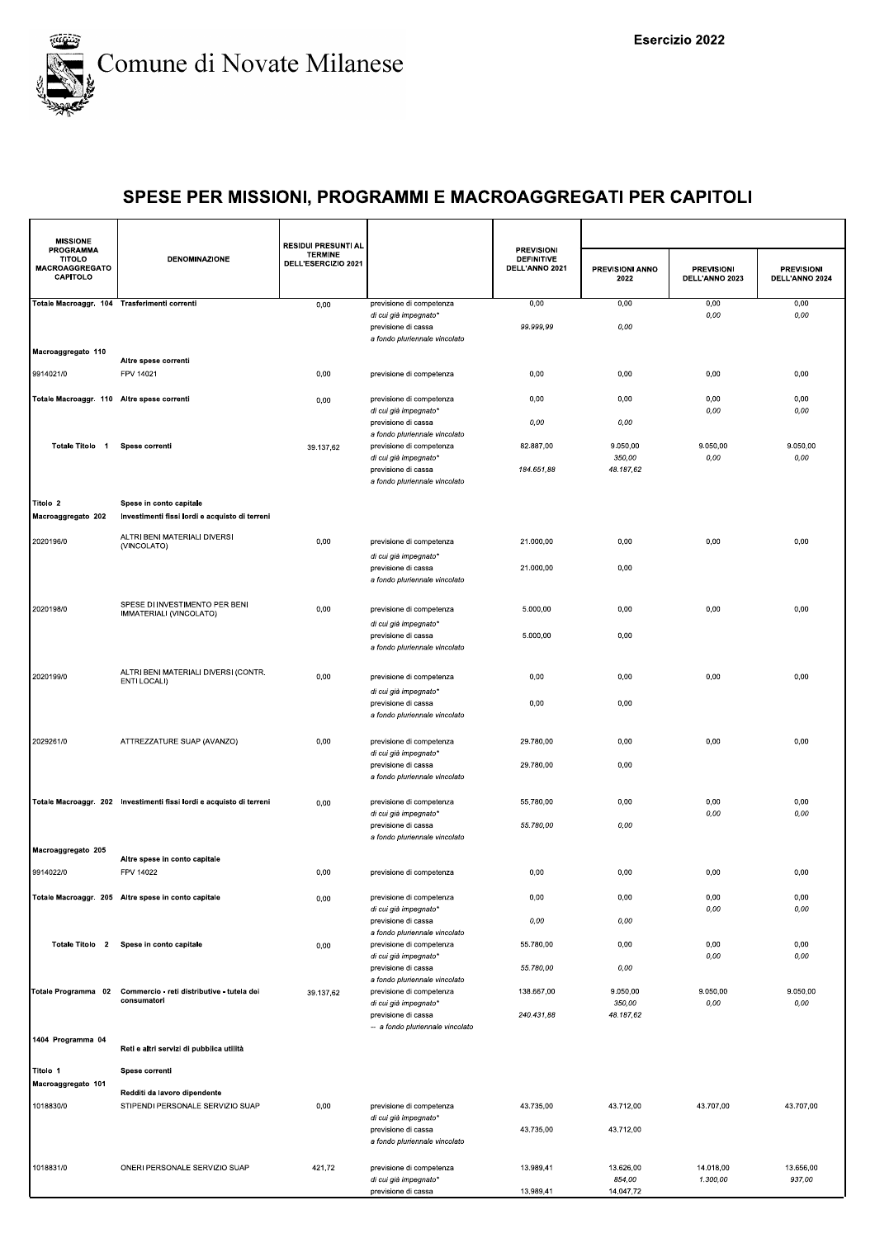

| <b>MISSIONE</b>                                                 |                                                                           | <b>RESIDUI PRESUNTI AL</b>            |                                                      |                                                          |                         |                                     |                                     |
|-----------------------------------------------------------------|---------------------------------------------------------------------------|---------------------------------------|------------------------------------------------------|----------------------------------------------------------|-------------------------|-------------------------------------|-------------------------------------|
| <b>PROGRAMMA</b><br><b>TITOLO</b><br>MACROAGGREGATO<br>CAPITOLO | <b>DENOMINAZIONE</b>                                                      | <b>TERMINE</b><br>DELL'ESERCIZIO 2021 |                                                      | <b>PREVISIONI</b><br><b>DEFINITIVE</b><br>DELL'ANNO 2021 | PREVISIONI ANNO<br>2022 | <b>PREVISIONI</b><br>DELL'ANNO 2023 | <b>PREVISIONI</b><br>DELL'ANNO 2024 |
| Totale Macroaggr. 104 Trasferimenti correnti                    |                                                                           | 0,00                                  | previsione di competenza<br>di cui già impegnato*    | 0,00                                                     | 0,00                    | 0,00<br>0,00                        | 0,00<br>0,00                        |
|                                                                 |                                                                           |                                       | previsione di cassa                                  | 99.999,99                                                | 0,00                    |                                     |                                     |
| Macroaggregato 110                                              |                                                                           |                                       | a fondo pluriennale vincolato                        |                                                          |                         |                                     |                                     |
| 9914021/0                                                       | Altre spese correnti<br>FPV 14021                                         | 0,00                                  | previsione di competenza                             | 0,00                                                     | 0,00                    | 0,00                                | 0,00                                |
|                                                                 |                                                                           |                                       |                                                      |                                                          |                         |                                     |                                     |
| Totale Macroaggr. 110 Altre spese correnti                      |                                                                           | 0,00                                  | previsione di competenza<br>di cui già impegnato*    | 0,00                                                     | 0,00                    | 0,00<br>0,00                        | 0,00<br>0,00                        |
|                                                                 |                                                                           |                                       | previsione di cassa<br>a fondo pluriennale vincolato | 0,00                                                     | 0,00                    |                                     |                                     |
| Totale Titolo 1                                                 | Spese correnti                                                            | 39.137,62                             | previsione di competenza<br>di cui già impegnato*    | 82.887,00                                                | 9.050,00<br>350,00      | 9.050,00<br>0,00                    | 9.050,00<br>0,00                    |
|                                                                 |                                                                           |                                       | previsione di cassa                                  | 184.651,88                                               | 48.187,62               |                                     |                                     |
|                                                                 |                                                                           |                                       | a fondo pluriennale vincolato                        |                                                          |                         |                                     |                                     |
| Titolo 2<br>Macroaggregato 202                                  | Spese in conto capitale<br>Investimenti fissi lordi e acquisto di terreni |                                       |                                                      |                                                          |                         |                                     |                                     |
| 2020196/0                                                       | ALTRI BENI MATERIALI DIVERSI                                              | 0,00                                  | previsione di competenza                             | 21.000.00                                                | 0,00                    | 0,00                                | 0,00                                |
|                                                                 | (VINCOLATO)                                                               |                                       | di cui già impegnato*                                |                                                          |                         |                                     |                                     |
|                                                                 |                                                                           |                                       | previsione di cassa<br>a fondo pluriennale vincolato | 21.000,00                                                | 0,00                    |                                     |                                     |
|                                                                 | SPESE DI INVESTIMENTO PER BENI                                            |                                       |                                                      |                                                          |                         |                                     |                                     |
| 2020198/0                                                       | IMMATERIALI (VINCOLATO)                                                   | 0,00                                  | previsione di competenza<br>di cui già impegnato*    | 5.000,00                                                 | 0,00                    | 0,00                                | 0,00                                |
|                                                                 |                                                                           |                                       | previsione di cassa                                  | 5.000.00                                                 | 0,00                    |                                     |                                     |
|                                                                 |                                                                           |                                       | a fondo pluriennale vincolato                        |                                                          |                         |                                     |                                     |
| 2020199/0                                                       | ALTRI BENI MATERIALI DIVERSI (CONTR.<br>ENTI LOCALI)                      | 0,00                                  | previsione di competenza                             | 0,00                                                     | 0,00                    | 0,00                                | 0,00                                |
|                                                                 |                                                                           |                                       | di cui già impegnato*<br>previsione di cassa         | 0,00                                                     | 0,00                    |                                     |                                     |
|                                                                 |                                                                           |                                       | a fondo pluriennale vincolato                        |                                                          |                         |                                     |                                     |
| 2029261/0                                                       | ATTREZZATURE SUAP (AVANZO)                                                | 0,00                                  | previsione di competenza                             | 29.780,00                                                | 0,00                    | 0,00                                | 0,00                                |
|                                                                 |                                                                           |                                       | di cui già impegnato*<br>previsione di cassa         | 29.780,00                                                | 0,00                    |                                     |                                     |
|                                                                 |                                                                           |                                       | a fondo pluriennale vincolato                        |                                                          |                         |                                     |                                     |
|                                                                 | Totale Macroaggr. 202 Investimenti fissi lordi e acquisto di terreni      | 0,00                                  | previsione di competenza                             | 55.780,00                                                | 0,00                    | 0,00                                | 0,00                                |
|                                                                 |                                                                           |                                       | di cui già impegnato*<br>previsione di cassa         | 55.780,00                                                | 0,00                    | 0,00                                | $0,00$                              |
| Macroaggregato 205                                              |                                                                           |                                       | a fondo pluriennale vincolato                        |                                                          |                         |                                     |                                     |
| 9914022/0                                                       | Altre spese in conto capitale<br>FPV 14022                                | 0,00                                  | previsione di competenza                             | 0,00                                                     | 0,00                    | 0,00                                | 0,00                                |
|                                                                 |                                                                           |                                       |                                                      |                                                          |                         |                                     |                                     |
|                                                                 | Totale Macroaggr. 205 Altre spese in conto capitale                       | 0,00                                  | previsione di competenza<br>di cui già impegnato*    | 0,00                                                     | 0,00                    | 0,00<br>0,00                        | 0,00<br>0,00                        |
|                                                                 |                                                                           |                                       | previsione di cassa<br>a fondo pluriennale vincolato | 0,00                                                     | 0,00                    |                                     |                                     |
| Totale Titolo 2                                                 | Spese in conto capitale                                                   | 0,00                                  | previsione di competenza<br>di cui già impegnato*    | 55.780,00                                                | 0,00                    | 0,00<br>0,00                        | 0,00<br>0,00                        |
|                                                                 |                                                                           |                                       | previsione di cassa<br>a fondo pluriennale vincolato | 55.780,00                                                | 0,00                    |                                     |                                     |
| Totale Programma 02                                             | Commercio - reti distributive - tutela dei<br>consumatori                 | 39.137,62                             | previsione di competenza                             | 138.667,00                                               | 9.050,00                | 9.050,00                            | 9.050,00                            |
|                                                                 |                                                                           |                                       | di cui già impegnato*<br>previsione di cassa         | 240.431,88                                               | 350,00<br>48.187,62     | 0,00                                | 0,00                                |
| 1404 Programma 04                                               |                                                                           |                                       | -- a fondo pluriennale vincolato                     |                                                          |                         |                                     |                                     |
|                                                                 | Reti e altri servizi di pubblica utilità                                  |                                       |                                                      |                                                          |                         |                                     |                                     |
| Titolo 1<br>Macroaggregato 101                                  | Spese correnti                                                            |                                       |                                                      |                                                          |                         |                                     |                                     |
|                                                                 | Redditi da lavoro dipendente                                              |                                       |                                                      |                                                          |                         |                                     |                                     |
| 1018830/0                                                       | STIPENDI PERSONALE SERVIZIO SUAP                                          | 0,00                                  | previsione di competenza<br>di cui già impegnato*    | 43.735,00                                                | 43.712,00               | 43.707,00                           | 43.707,00                           |
|                                                                 |                                                                           |                                       | previsione di cassa<br>a fondo pluriennale vincolato | 43.735,00                                                | 43.712,00               |                                     |                                     |
| 1018831/0                                                       | ONERI PERSONALE SERVIZIO SUAP                                             | 421,72                                | previsione di competenza                             | 13.989,41                                                | 13.626,00               | 14.018,00                           | 13.656,00                           |
|                                                                 |                                                                           |                                       | di cui già impegnato*                                |                                                          | 854,00                  | 1.300,00                            | 937,00                              |
|                                                                 |                                                                           |                                       | previsione di cassa                                  | 13.989,41                                                | 14.047,72               |                                     |                                     |
|                                                                 |                                                                           |                                       |                                                      |                                                          |                         |                                     |                                     |
|                                                                 |                                                                           |                                       |                                                      |                                                          |                         |                                     |                                     |
|                                                                 |                                                                           |                                       |                                                      |                                                          |                         |                                     |                                     |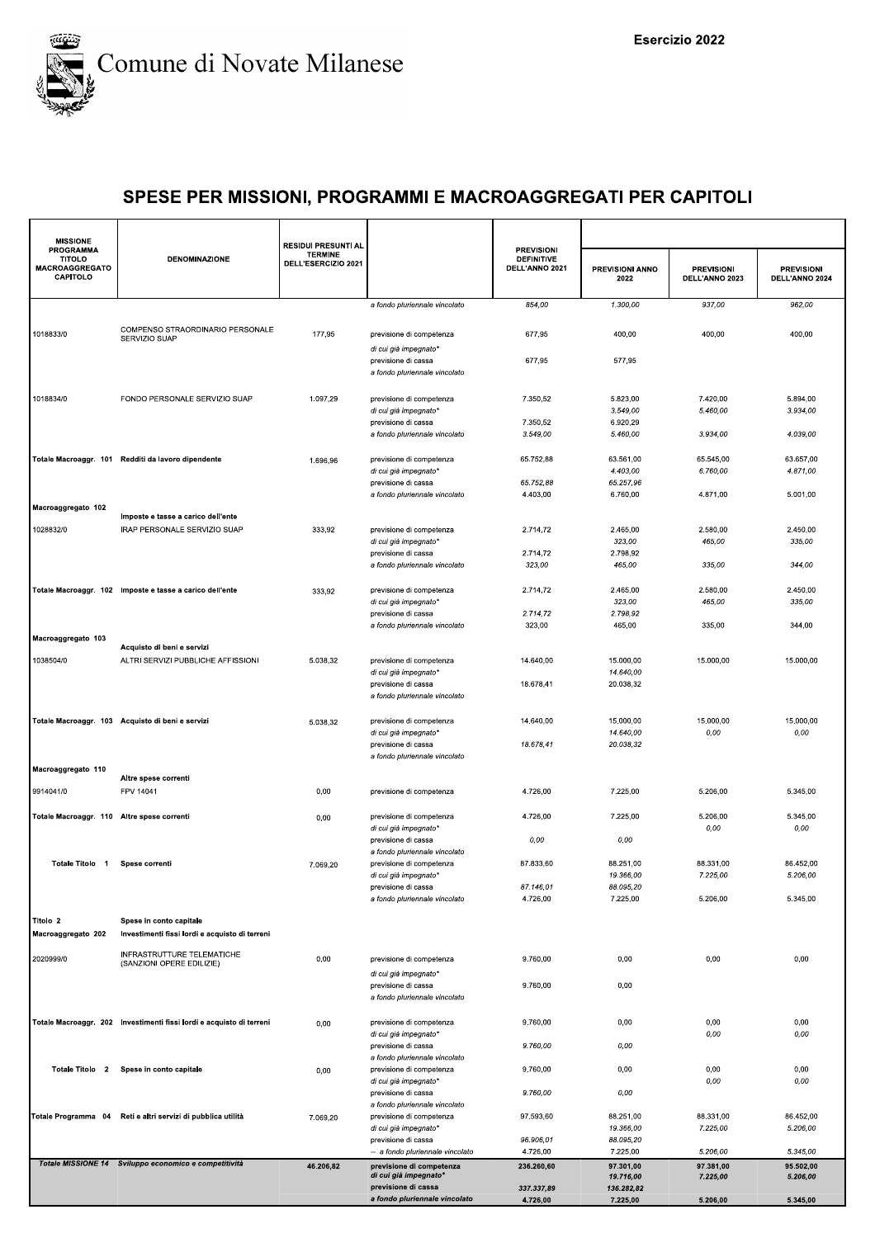

| <b>MISSIONE</b>                                                        |                                                                           | <b>RESIDUI PRESUNTI AL</b>            |                                                                               |                                                          |                         |                                     |                                     |
|------------------------------------------------------------------------|---------------------------------------------------------------------------|---------------------------------------|-------------------------------------------------------------------------------|----------------------------------------------------------|-------------------------|-------------------------------------|-------------------------------------|
| <b>PROGRAMMA</b><br><b>TITOLO</b><br><b>MACROAGGREGATO</b><br>CAPITOLO | <b>DENOMINAZIONE</b>                                                      | <b>TERMINE</b><br>DELL'ESERCIZIO 2021 |                                                                               | <b>PREVISIONI</b><br><b>DEFINITIVE</b><br>DELL'ANNO 2021 | PREVISIONI ANNO<br>2022 | <b>PREVISIONI</b><br>DELL'ANNO 2023 | <b>PREVISIONI</b><br>DELL'ANNO 2024 |
|                                                                        |                                                                           |                                       | a fondo pluriennale vincolato                                                 | 854,00                                                   | 1.300,00                | 937,00                              | 962,00                              |
| 1018833/0                                                              | COMPENSO STRAORDINARIO PERSONALE<br>SERVIZIO SUAP                         | 177,95                                | previsione di competenza                                                      | 677,95                                                   | 400,00                  | 400,00                              | 400,00                              |
|                                                                        |                                                                           |                                       | di cui già impegnato*<br>previsione di cassa<br>a fondo pluriennale vincolato | 677,95                                                   | 577,95                  |                                     |                                     |
| 1018834/0                                                              | FONDO PERSONALE SERVIZIO SUAP                                             | 1.097,29                              | previsione di competenza                                                      | 7.350,52                                                 | 5.823,00                | 7.420,00                            | 5.894,00                            |
|                                                                        |                                                                           |                                       | di cui già impegnato*<br>previsione di cassa                                  | 7.350,52                                                 | 3.549,00<br>6.920,29    | 5.460,00                            | 3.934,00                            |
|                                                                        |                                                                           |                                       | a fondo pluriennale vincolato                                                 | 3.549,00                                                 | 5.460,00                | 3.934,00                            | 4.039,00                            |
|                                                                        | Totale Macroaggr. 101 Redditi da lavoro dipendente                        | 1.696,96                              | previsione di competenza                                                      | 65.752,88                                                | 63.561,00               | 65.545,00                           | 63.657,00                           |
|                                                                        |                                                                           |                                       | di cui già impegnato*<br>previsione di cassa                                  | 65.752,88                                                | 4.403,00<br>65.257,96   | 6.760,00                            | 4.871,00                            |
|                                                                        |                                                                           |                                       | a fondo pluriennale vincolato                                                 | 4.403,00                                                 | 6.760,00                | 4.871,00                            | 5.001,00                            |
| Macroaggregato 102                                                     | Imposte e tasse a carico dell'ente                                        |                                       |                                                                               |                                                          |                         |                                     |                                     |
| 1028832/0                                                              | IRAP PERSONALE SERVIZIO SUAP                                              | 333,92                                | previsione di competenza                                                      | 2.714,72                                                 | 2.465,00                | 2.580,00                            | 2.450,00                            |
|                                                                        |                                                                           |                                       | di cui già impegnato*<br>previsione di cassa                                  | 2.714,72                                                 | 323,00<br>2.798,92      | 465,00                              | 335,00                              |
|                                                                        |                                                                           |                                       | a fondo pluriennale vincolato                                                 | 323,00                                                   | 465,00                  | 335,00                              | 344,00                              |
|                                                                        | Totale Macroaggr. 102 Imposte e tasse a carico dell'ente                  | 333,92                                | previsione di competenza                                                      | 2.714,72                                                 | 2.465,00                | 2.580,00                            | 2.450,00                            |
|                                                                        |                                                                           |                                       | di cui già impegnato*                                                         |                                                          | 323,00                  | 465,00                              | 335,00                              |
|                                                                        |                                                                           |                                       | previsione di cassa<br>a fondo pluriennale vincolato                          | 2.714,72<br>323,00                                       | 2.798,92<br>465,00      | 335,00                              | 344,00                              |
| Macroaggregato 103                                                     |                                                                           |                                       |                                                                               |                                                          |                         |                                     |                                     |
| 1038504/0                                                              | Acquisto di beni e servizi<br>ALTRI SERVIZI PUBBLICHE AFFISSIONI          | 5.038,32                              | previsione di competenza                                                      | 14.640,00                                                | 15.000,00               | 15.000,00                           | 15.000,00                           |
|                                                                        |                                                                           |                                       | di cui già impegnato*                                                         |                                                          | 14.640,00               |                                     |                                     |
|                                                                        |                                                                           |                                       | previsione di cassa<br>a fondo pluriennale vincolato                          | 18.678,41                                                | 20.038,32               |                                     |                                     |
|                                                                        | Totale Macroaggr. 103 Acquisto di beni e servizi                          |                                       | previsione di competenza                                                      | 14.640,00                                                | 15.000,00               | 15.000,00                           | 15.000,00                           |
|                                                                        |                                                                           | 5.038,32                              | di cui già impegnato*                                                         |                                                          | 14.640,00               | 0,00                                | 0,00                                |
|                                                                        |                                                                           |                                       | previsione di cassa<br>a fondo pluriennale vincolato                          | 18.678,41                                                | 20.038,32               |                                     |                                     |
| Macroaggregato 110                                                     |                                                                           |                                       |                                                                               |                                                          |                         |                                     |                                     |
| 9914041/0                                                              | Altre spese correnti<br>FPV 14041                                         | 0,00                                  | previsione di competenza                                                      | 4.726,00                                                 | 7.225,00                | 5.206,00                            | 5.345,00                            |
|                                                                        |                                                                           |                                       |                                                                               |                                                          |                         |                                     |                                     |
| Totale Macroaggr. 110 Altre spese correnti                             |                                                                           | 0,00                                  | previsione di competenza<br>di cui già impegnato*                             | 4.726,00                                                 | 7.225,00                | 5.206,00<br>0,00                    | 5.345,00<br>0,00                    |
|                                                                        |                                                                           |                                       | previsione di cassa<br>a fondo pluriennale vincolato                          | 0,00                                                     | 0,00                    |                                     |                                     |
| Totale Titolo 1                                                        | Spese correnti                                                            | 7.069,20                              | previsione di competenza                                                      | 87.833,60                                                | 88.251,00               | 88.331,00                           | 86.452,00                           |
|                                                                        |                                                                           |                                       | di cui già impegnato*<br>previsione di cassa                                  | 87.146,01                                                | 19.366,00<br>88.095,20  | 7.225,00                            | 5.206,00                            |
|                                                                        |                                                                           |                                       | a fondo pluriennale vincolato                                                 | 4.726,00                                                 | 7.225,00                | 5.206,00                            | 5.345,00                            |
| Titolo 2<br>Macroaggregato 202                                         | Spese in conto capitale<br>Investimenti fissi lordi e acquisto di terreni |                                       |                                                                               |                                                          |                         |                                     |                                     |
| 2020999/0                                                              | INFRASTRUTTURE TELEMATICHE                                                | 0,00                                  | previsione di competenza                                                      | 9.760,00                                                 | 0,00                    | 0,00                                | 0,00                                |
|                                                                        | (SANZIONI OPERE EDILIZIE)                                                 |                                       | di cui già impegnato*                                                         |                                                          |                         |                                     |                                     |
|                                                                        |                                                                           |                                       | previsione di cassa<br>a fondo pluriennale vincolato                          | 9.760.00                                                 | 0,00                    |                                     |                                     |
|                                                                        | Totale Macroaggr. 202 Investimenti fissi lordi e acquisto di terreni      | 0,00                                  | previsione di competenza<br>di cui già impegnato*                             | 9.760,00                                                 | 0,00                    | 0,00<br>0,00                        | 0,00<br>0,00                        |
|                                                                        |                                                                           |                                       | previsione di cassa<br>a fondo pluriennale vincolato                          | 9.760,00                                                 | 0,00                    |                                     |                                     |
| Totale Titolo 2                                                        | Spese in conto capitale                                                   | 0,00                                  | previsione di competenza                                                      | 9.760,00                                                 | 0,00                    | 0,00                                | 0,00                                |
|                                                                        |                                                                           |                                       | di cui già impegnato*<br>previsione di cassa                                  | 9.760,00                                                 | 0,00                    | 0,00                                | 0,00                                |
|                                                                        |                                                                           |                                       | a fondo pluriennale vincolato                                                 |                                                          |                         |                                     |                                     |
|                                                                        | Totale Programma 04 Reti e altri servizi di pubblica utilità              | 7.069,20                              | previsione di competenza<br>di cui già impegnato*                             | 97.593,60                                                | 88.251,00<br>19.366,00  | 88.331,00<br>7.225,00               | 86.452,00<br>5.206,00               |
|                                                                        |                                                                           |                                       | previsione di cassa<br>-- a fondo pluriennale vincolato                       | 96.906,01<br>4.726,00                                    | 88.095,20<br>7.225,00   | 5.206,00                            | 5.345,00                            |
|                                                                        | Totale MISSIONE 14 Sviluppo economico e competitività                     | 46.206,82                             | previsione di competenza                                                      | 236.260,60                                               | 97.301,00               | 97.381,00                           | 95.502,00                           |
|                                                                        |                                                                           |                                       | di cui già impegnato*<br>previsione di cassa                                  | 337.337,89                                               | 19.716,00<br>136.282,82 | 7.225,00                            | 5.206,00                            |
|                                                                        |                                                                           |                                       | a fondo pluriennale vincolato                                                 | 4.726,00                                                 | 7.225,00                | 5.206,00                            | 5.345,00                            |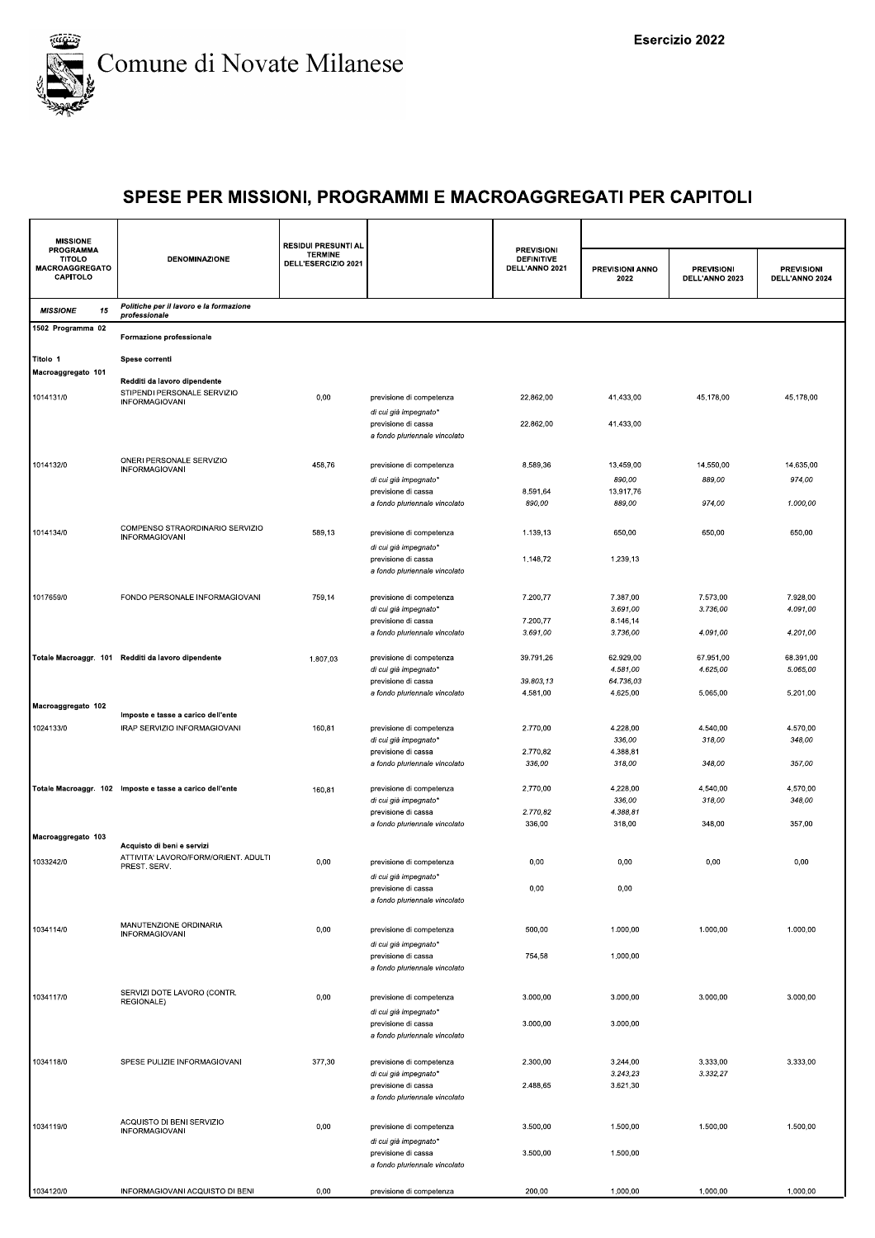

| <b>MISSIONE</b>                                                        |                                                                    | <b>RESIDUI PRESUNTI AL</b>            |                                                      |                                                          |                         |                                     |                                     |
|------------------------------------------------------------------------|--------------------------------------------------------------------|---------------------------------------|------------------------------------------------------|----------------------------------------------------------|-------------------------|-------------------------------------|-------------------------------------|
| <b>PROGRAMMA</b><br><b>TITOLO</b><br><b>MACROAGGREGATO</b><br>CAPITOLO | <b>DENOMINAZIONE</b>                                               | <b>TERMINE</b><br>DELL'ESERCIZIO 2021 |                                                      | <b>PREVISIONI</b><br><b>DEFINITIVE</b><br>DELL'ANNO 2021 | PREVISIONI ANNO<br>2022 | <b>PREVISIONI</b><br>DELL'ANNO 2023 | <b>PREVISIONI</b><br>DELL'ANNO 2024 |
| <b>MISSIONE</b><br>15                                                  | Politiche per il lavoro e la formazione<br>professionale           |                                       |                                                      |                                                          |                         |                                     |                                     |
| 1502 Programma 02                                                      | Formazione professionale                                           |                                       |                                                      |                                                          |                         |                                     |                                     |
| Titolo 1                                                               | Spese correnti                                                     |                                       |                                                      |                                                          |                         |                                     |                                     |
| Macroaggregato 101                                                     | Redditi da lavoro dipendente                                       |                                       |                                                      |                                                          |                         |                                     |                                     |
| 1014131/0                                                              | STIPENDI PERSONALE SERVIZIO<br><b>INFORMAGIOVANI</b>               | 0,00                                  | previsione di competenza<br>di cui già impegnato*    | 22.862,00                                                | 41.433,00               | 45.178,00                           | 45.178,00                           |
|                                                                        |                                                                    |                                       | previsione di cassa<br>a fondo pluriennale vincolato | 22.862,00                                                | 41.433,00               |                                     |                                     |
| 1014132/0                                                              | ONERI PERSONALE SERVIZIO<br><b>INFORMAGIOVANI</b>                  | 458,76                                | previsione di competenza                             | 8.589,36                                                 | 13.459,00               | 14.550,00                           | 14.635,00                           |
|                                                                        |                                                                    |                                       | di cui già impegnato*                                |                                                          | 890,00                  | 889,00                              | 974,00                              |
|                                                                        |                                                                    |                                       | previsione di cassa                                  | 8.591,64                                                 | 13.917,76               |                                     |                                     |
|                                                                        |                                                                    |                                       | a fondo pluriennale vincolato                        | 890,00                                                   | 889,00                  | 974,00                              | 1.000,00                            |
| 1014134/0                                                              | COMPENSO STRAORDINARIO SERVIZIO<br>INFORMAGIOVANI                  | 589,13                                | previsione di competenza<br>di cui già impegnato*    | 1.139,13                                                 | 650,00                  | 650,00                              | 650,00                              |
|                                                                        |                                                                    |                                       | previsione di cassa<br>a fondo pluriennale vincolato | 1.148,72                                                 | 1.239,13                |                                     |                                     |
| 1017659/0                                                              | FONDO PERSONALE INFORMAGIOVANI                                     | 759,14                                | previsione di competenza                             | 7.200,77                                                 | 7.387,00                | 7.573,00                            | 7.928,00                            |
|                                                                        |                                                                    |                                       | di cui già impegnato*                                |                                                          | 3.691,00                | 3.736,00                            | 4.091,00                            |
|                                                                        |                                                                    |                                       | previsione di cassa                                  | 7.200,77                                                 | 8.146,14                |                                     |                                     |
|                                                                        |                                                                    |                                       | a fondo pluriennale vincolato                        | 3.691,00                                                 | 3.736,00                | 4.091,00                            | 4.201,00                            |
|                                                                        | Totale Macroaggr. 101 Redditi da lavoro dipendente                 | 1.807,03                              | previsione di competenza                             | 39.791,26                                                | 62.929,00               | 67.951,00                           | 68.391,00                           |
|                                                                        |                                                                    |                                       | di cui già impegnato*                                |                                                          | 4.581,00                | 4.625,00                            | 5.065,00                            |
|                                                                        |                                                                    |                                       | previsione di cassa                                  | 39.803,13                                                | 64.736,03               |                                     |                                     |
| Macroaggregato 102                                                     |                                                                    |                                       | a fondo pluriennale vincolato                        | 4.581,00                                                 | 4.625,00                | 5.065,00                            | 5.201,00                            |
|                                                                        | Imposte e tasse a carico dell'ente                                 |                                       |                                                      |                                                          |                         |                                     |                                     |
| 1024133/0                                                              | IRAP SERVIZIO INFORMAGIOVANI                                       | 160,81                                | previsione di competenza                             | 2.770,00                                                 | 4.228,00                | 4.540,00                            | 4.570,00                            |
|                                                                        |                                                                    |                                       | di cui già impegnato*                                | 2.770,82                                                 | 336,00                  | 318,00                              | 348,00                              |
|                                                                        |                                                                    |                                       | previsione di cassa<br>a fondo pluriennale vincolato | 336,00                                                   | 4.388,81<br>318,00      | 348,00                              | 357,00                              |
|                                                                        |                                                                    |                                       |                                                      |                                                          |                         |                                     |                                     |
|                                                                        | Totale Macroaggr. 102 Imposte e tasse a carico dell'ente           | 160,81                                | previsione di competenza                             | 2.770,00                                                 | 4.228,00                | 4.540,00                            | 4.570,00                            |
|                                                                        |                                                                    |                                       | di cui già impegnato*<br>previsione di cassa         | 2.770,82                                                 | 336,00<br>4.388,81      | 318,00                              | 348,00                              |
|                                                                        |                                                                    |                                       | a fondo pluriennale vincolato                        | 336,00                                                   | 318,00                  | 348,00                              | 357,00                              |
| Macroaggregato 103                                                     |                                                                    |                                       |                                                      |                                                          |                         |                                     |                                     |
|                                                                        | Acquisto di beni e servizi<br>ATTIVITA' LAVORO/FORM/ORIENT. ADULTI |                                       |                                                      |                                                          |                         |                                     |                                     |
| 1033242/0                                                              | PREST. SERV.                                                       | 0,00                                  | previsione di competenza                             | 0,00                                                     | 0,00                    | 0,00                                | 0.00                                |
|                                                                        |                                                                    |                                       | di cui già impegnato*<br>previsione di cassa         | 0,00                                                     | 0,00                    |                                     |                                     |
|                                                                        |                                                                    |                                       | a fondo pluriennale vincolato                        |                                                          |                         |                                     |                                     |
|                                                                        |                                                                    |                                       |                                                      |                                                          |                         |                                     |                                     |
| 1034114/0                                                              | MANUTENZIONE ORDINARIA<br>INFORMAGIOVANI                           | 0,00                                  | previsione di competenza                             | 500,00                                                   | 1.000,00                | 1.000,00                            | 1.000,00                            |
|                                                                        |                                                                    |                                       | di cui già impegnato*                                |                                                          |                         |                                     |                                     |
|                                                                        |                                                                    |                                       | previsione di cassa                                  | 754,58                                                   | 1.000,00                |                                     |                                     |
|                                                                        |                                                                    |                                       | a fondo pluriennale vincolato                        |                                                          |                         |                                     |                                     |
| 1034117/0                                                              | SERVIZI DOTE LAVORO (CONTR.                                        | 0,00                                  | previsione di competenza                             | 3.000,00                                                 | 3.000,00                | 3.000,00                            | 3.000,00                            |
|                                                                        | REGIONALE)                                                         |                                       | di cui già impegnato*                                |                                                          |                         |                                     |                                     |
|                                                                        |                                                                    |                                       | previsione di cassa                                  | 3.000,00                                                 | 3.000,00                |                                     |                                     |
|                                                                        |                                                                    |                                       | a fondo pluriennale vincolato                        |                                                          |                         |                                     |                                     |
|                                                                        | SPESE PULIZIE INFORMAGIOVANI                                       |                                       |                                                      |                                                          |                         |                                     |                                     |
| 1034118/0                                                              |                                                                    | 377,30                                | previsione di competenza<br>di cui già impegnato*    | 2.300,00                                                 | 3.244,00<br>3.243,23    | 3.333,00<br>3.332,27                | 3.333,00                            |
|                                                                        |                                                                    |                                       | previsione di cassa                                  | 2.488,65                                                 | 3.621,30                |                                     |                                     |
|                                                                        |                                                                    |                                       | a fondo pluriennale vincolato                        |                                                          |                         |                                     |                                     |
|                                                                        | ACQUISTO DI BENI SERVIZIO                                          |                                       |                                                      |                                                          |                         |                                     |                                     |
| 1034119/0                                                              | <b>INFORMAGIOVANI</b>                                              | 0,00                                  | previsione di competenza                             | 3.500,00                                                 | 1.500,00                | 1.500,00                            | 1.500,00                            |
|                                                                        |                                                                    |                                       | di cui già impegnato*                                | 3.500,00                                                 | 1.500,00                |                                     |                                     |
|                                                                        |                                                                    |                                       | previsione di cassa<br>a fondo pluriennale vincolato |                                                          |                         |                                     |                                     |
|                                                                        |                                                                    |                                       |                                                      |                                                          |                         |                                     |                                     |
| 1034120/0                                                              | INFORMAGIOVANI ACQUISTO DI BENI                                    | 0,00                                  | previsione di competenza                             | 200,00                                                   | 1.000,00                | 1.000,00                            | 1.000,00                            |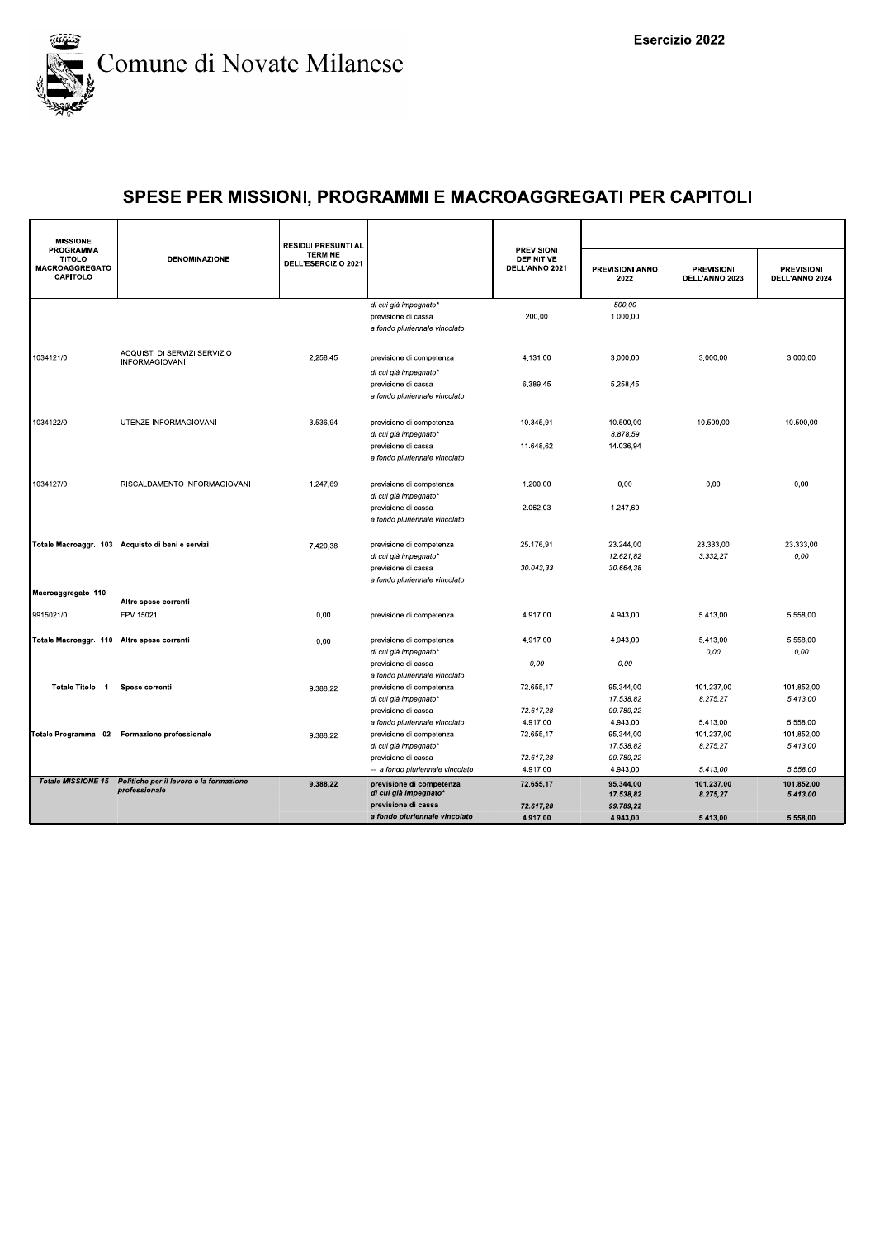

| <b>MISSIONE</b>                                                        |                                                            | <b>RESIDUI PRESUNTI AL</b>            |                                                                                  |                                                          |                                    |                                     |                                     |
|------------------------------------------------------------------------|------------------------------------------------------------|---------------------------------------|----------------------------------------------------------------------------------|----------------------------------------------------------|------------------------------------|-------------------------------------|-------------------------------------|
| <b>PROGRAMMA</b><br><b>TITOLO</b><br><b>MACROAGGREGATO</b><br>CAPITOLO | <b>DENOMINAZIONE</b>                                       | <b>TERMINE</b><br>DELL'ESERCIZIO 2021 |                                                                                  | <b>PREVISIONI</b><br><b>DEFINITIVE</b><br>DELL'ANNO 2021 | PREVISIONI ANNO<br>2022            | <b>PREVISIONI</b><br>DELL'ANNO 2023 | <b>PREVISIONI</b><br>DELL'ANNO 2024 |
|                                                                        |                                                            |                                       | di cui già impegnato*<br>previsione di cassa<br>a fondo pluriennale vincolato    | 200,00                                                   | 500,00<br>1.000,00                 |                                     |                                     |
| 1034121/0                                                              | ACQUISTI DI SERVIZI SERVIZIO<br><b>INFORMAGIOVANI</b>      | 2.258,45                              | previsione di competenza<br>di cui già impegnato*                                | 4.131,00                                                 | 3.000,00                           | 3.000,00                            | 3.000,00                            |
|                                                                        |                                                            |                                       | previsione di cassa<br>a fondo pluriennale vincolato                             | 6.389,45                                                 | 5.258.45                           |                                     |                                     |
| 1034122/0                                                              | UTENZE INFORMAGIOVANI                                      | 3.536.94                              | previsione di competenza<br>di cui già impegnato*<br>previsione di cassa         | 10.345.91<br>11.648,62                                   | 10.500.00<br>8.878,59<br>14.036,94 | 10.500.00                           | 10.500.00                           |
|                                                                        |                                                            |                                       | a fondo pluriennale vincolato                                                    |                                                          |                                    |                                     |                                     |
| 1034127/0                                                              | RISCALDAMENTO INFORMAGIOVANI                               | 1.247,69                              | previsione di competenza<br>di cui già impegnato*                                | 1.200,00                                                 | 0,00                               | 0,00                                | 0,00                                |
|                                                                        |                                                            |                                       | previsione di cassa<br>a fondo pluriennale vincolato                             | 2.062,03                                                 | 1.247,69                           |                                     |                                     |
|                                                                        | Totale Macroaggr. 103 Acquisto di beni e servizi           | 7.420,38                              | previsione di competenza<br>di cui già impegnato*                                | 25.176,91                                                | 23.244,00<br>12.621.82             | 23.333,00<br>3.332.27               | 23.333,00<br>0.00                   |
| Macroaggregato 110                                                     |                                                            |                                       | previsione di cassa<br>a fondo pluriennale vincolato                             | 30.043,33                                                | 30.664,38                          |                                     |                                     |
|                                                                        | Altre spese correnti                                       |                                       |                                                                                  |                                                          |                                    |                                     |                                     |
| 9915021/0                                                              | FPV 15021                                                  | 0,00                                  | previsione di competenza                                                         | 4.917,00                                                 | 4.943,00                           | 5.413,00                            | 5.558,00                            |
| Totale Macroaggr. 110 Altre spese correnti                             |                                                            | 0,00                                  | previsione di competenza<br>di cui già impegnato*                                | 4.917,00                                                 | 4.943,00                           | 5.413,00<br>0,00                    | 5.558,00<br>0,00                    |
| Totale Titolo 1                                                        | Spese correnti                                             | 9.388,22                              | previsione di cassa<br>a fondo pluriennale vincolato<br>previsione di competenza | 0.00<br>72.655,17                                        | 0.00<br>95.344,00                  | 101.237,00                          | 101.852,00                          |
|                                                                        |                                                            |                                       | di cui già impegnato*<br>previsione di cassa                                     | 72.617,28                                                | 17.538.82<br>99.789,22             | 8.275,27                            | 5.413,00                            |
|                                                                        |                                                            |                                       | a fondo pluriennale vincolato                                                    | 4.917,00                                                 | 4.943,00                           | 5.413,00                            | 5.558,00                            |
|                                                                        | Totale Programma 02 Formazione professionale               | 9.388,22                              | previsione di competenza                                                         | 72.655,17                                                | 95.344,00                          | 101.237,00                          | 101.852,00                          |
|                                                                        |                                                            |                                       | di cui già impegnato*                                                            |                                                          | 17.538,82                          | 8.275,27                            | 5.413,00                            |
|                                                                        |                                                            |                                       | previsione di cassa                                                              | 72.617,28                                                | 99.789,22                          |                                     |                                     |
|                                                                        | Totale MISSIONE 15 Politiche per il lavoro e la formazione |                                       | -- a fondo pluriennale vincolato                                                 | 4.917,00                                                 | 4.943,00                           | 5.413,00                            | 5.558,00                            |
|                                                                        | professionale                                              | 9.388.22                              | previsione di competenza<br>di cui già impegnato*                                | 72.655,17                                                | 95.344,00<br>17.538,82             | 101.237,00<br>8.275,27              | 101.852.00<br>5.413,00              |
|                                                                        |                                                            |                                       | previsione di cassa                                                              | 72.617.28                                                | 99.789,22                          |                                     |                                     |
|                                                                        |                                                            |                                       | a fondo pluriennale vincolato                                                    | 4.917,00                                                 | 4.943,00                           | 5.413,00                            | 5.558,00                            |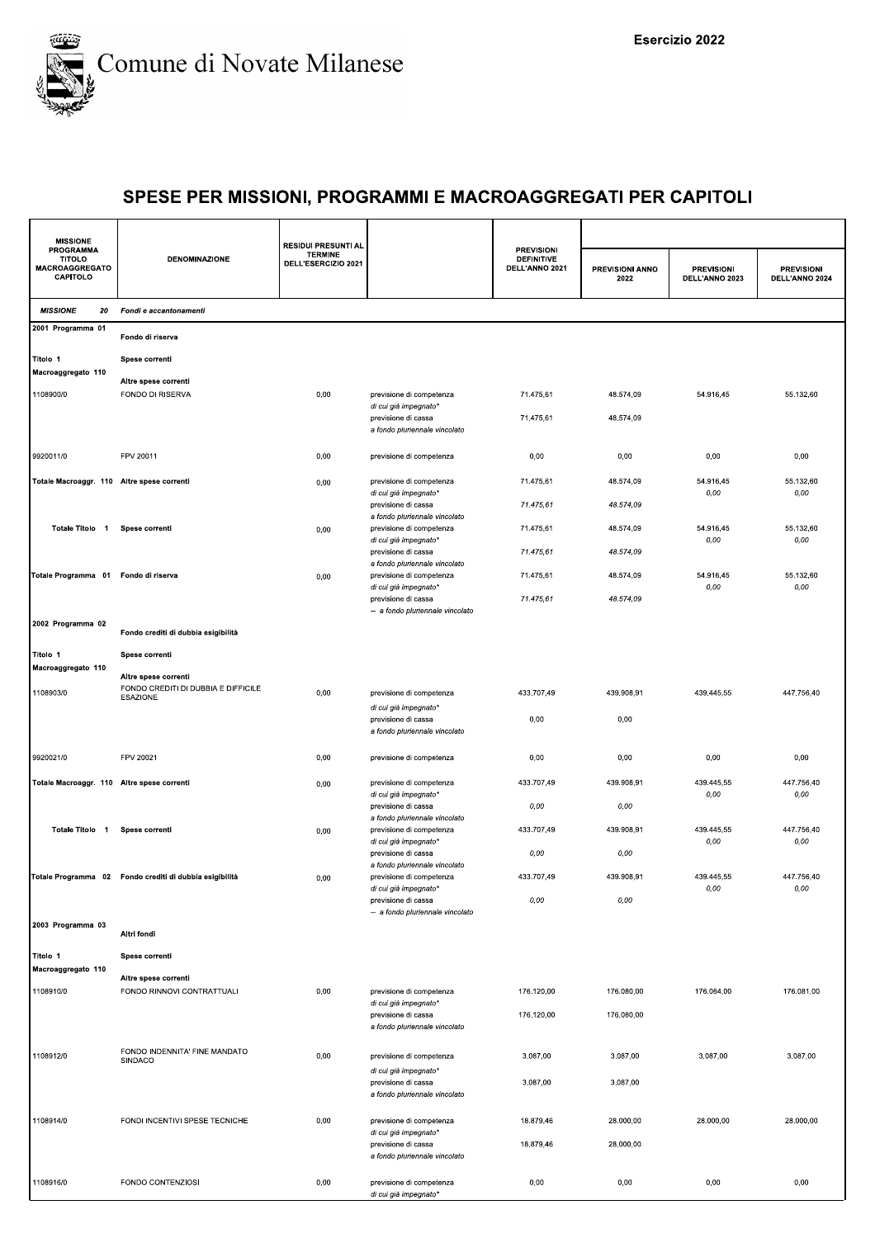

| <b>MISSIONE</b>                                                        |                                                                                | <b>RESIDUI PRESUNTI AL</b>            |                                                                                    |                                                          |                         |                                     |                                     |
|------------------------------------------------------------------------|--------------------------------------------------------------------------------|---------------------------------------|------------------------------------------------------------------------------------|----------------------------------------------------------|-------------------------|-------------------------------------|-------------------------------------|
| <b>PROGRAMMA</b><br><b>TITOLO</b><br><b>MACROAGGREGATO</b><br>CAPITOLO | <b>DENOMINAZIONE</b>                                                           | <b>TERMINE</b><br>DELL'ESERCIZIO 2021 |                                                                                    | <b>PREVISIONI</b><br><b>DEFINITIVE</b><br>DELL'ANNO 2021 | PREVISIONI ANNO<br>2022 | <b>PREVISIONI</b><br>DELL'ANNO 2023 | <b>PREVISIONI</b><br>DELL'ANNO 2024 |
| <b>MISSIONE</b><br>20                                                  | Fondi e accantonamenti                                                         |                                       |                                                                                    |                                                          |                         |                                     |                                     |
| 2001 Programma 01                                                      | Fondo di riserva                                                               |                                       |                                                                                    |                                                          |                         |                                     |                                     |
| Titolo 1<br>Macroaggregato 110                                         | Spese correnti                                                                 |                                       |                                                                                    |                                                          |                         |                                     |                                     |
| 1108900/0                                                              | Altre spese correnti<br><b>FONDO DI RISERVA</b>                                | 0,00                                  | previsione di competenza<br>di cui già impegnato*                                  | 71.475,61                                                | 48.574,09               | 54.916,45                           | 55.132,60                           |
|                                                                        |                                                                                |                                       | previsione di cassa<br>a fondo pluriennale vincolato                               | 71.475,61                                                | 48.574,09               |                                     |                                     |
| 9920011/0                                                              | FPV 20011                                                                      | 0,00                                  | previsione di competenza                                                           | 0,00                                                     | 0,00                    | 0,00                                | 0,00                                |
| Totale Macroaggr. 110 Altre spese correnti                             |                                                                                | 0,00                                  | previsione di competenza<br>di cui già impegnato*                                  | 71.475,61                                                | 48.574,09               | 54.916,45<br>0,00                   | 55.132,60<br>0,00                   |
| Totale Titolo 1                                                        | Spese correnti                                                                 | 0,00                                  | previsione di cassa<br>a fondo pluriennale vincolato<br>previsione di competenza   | 71.475,61<br>71.475,61                                   | 48.574,09<br>48.574.09  | 54.916,45                           | 55.132,60                           |
|                                                                        |                                                                                |                                       | di cui già impegnato*<br>previsione di cassa                                       | 71.475,61                                                | 48.574,09               | 0,00                                | 0,00                                |
| Totale Programma 01 Fondo di riserva                                   |                                                                                | 0,00                                  | a fondo pluriennale vincolato<br>previsione di competenza<br>di cui già impegnato* | 71.475,61                                                | 48.574,09               | 54.916,45<br>0,00                   | 55.132,60<br>0,00                   |
|                                                                        |                                                                                |                                       | previsione di cassa<br>-- a fondo pluriennale vincolato                            | 71.475,61                                                | 48.574,09               |                                     |                                     |
| 2002 Programma 02                                                      | Fondo crediti di dubbia esigibilità                                            |                                       |                                                                                    |                                                          |                         |                                     |                                     |
| Titolo 1<br>Macroaggregato 110                                         | Spese correnti                                                                 |                                       |                                                                                    |                                                          |                         |                                     |                                     |
| 1108903/0                                                              | Altre spese correnti<br>FONDO CREDITI DI DUBBIA E DIFFICILE<br><b>ESAZIONE</b> | 0,00                                  | previsione di competenza<br>di cui già impegnato*                                  | 433.707,49                                               | 439.908,91              | 439.445,55                          | 447.756,40                          |
|                                                                        |                                                                                |                                       | previsione di cassa<br>a fondo pluriennale vincolato                               | 0,00                                                     | 0,00                    |                                     |                                     |
| 9920021/0                                                              | FPV 20021                                                                      | 0,00                                  | previsione di competenza                                                           | 0,00                                                     | 0,00                    | 0,00                                | 0,00                                |
| Totale Macroaggr. 110 Altre spese correnti                             |                                                                                | 0,00                                  | previsione di competenza<br>di cui già impegnato*                                  | 433.707,49                                               | 439.908,91              | 439.445,55<br>0,00                  | 447.756,40<br>0,00                  |
| Totale Titolo 1                                                        | Spese correnti                                                                 | 0,00                                  | previsione di cassa<br>a fondo pluriennale vincolato<br>previsione di competenza   | 0,00<br>433.707,49                                       | 0,00<br>439.908,91      | 439.445,55                          | 447.756,40                          |
|                                                                        |                                                                                |                                       | di cui già impegnato*<br>previsione di cassa<br>a fondo pluriennale vincolato      | 0,00                                                     | 0,00                    | 0,00                                | 0,00                                |
|                                                                        | Totale Programma 02 Fondo crediti di dubbia esigibilità                        | 0,00                                  | previsione di competenza<br>di cui già impegnato*                                  | 433.707.49                                               | 439.908,91              | 439.445,55<br>0,00                  | 447.756,40<br>$0,00$                |
| 2003 Programma 03                                                      |                                                                                |                                       | previsione di cassa<br>-- a fondo pluriennale vincolato                            | 0,00                                                     | 0,00                    |                                     |                                     |
|                                                                        | Altri fondi                                                                    |                                       |                                                                                    |                                                          |                         |                                     |                                     |
| Titolo 1<br>Macroaggregato 110                                         | Spese correnti                                                                 |                                       |                                                                                    |                                                          |                         |                                     |                                     |
| 1108910/0                                                              | Altre spese correnti<br>FONDO RINNOVI CONTRATTUALI                             | 0,00                                  | previsione di competenza<br>di cui già impegnato*                                  | 176.120,00                                               | 176.080,00              | 176.064,00                          | 176.081,00                          |
|                                                                        |                                                                                |                                       | previsione di cassa<br>a fondo pluriennale vincolato                               | 176.120,00                                               | 176.080,00              |                                     |                                     |
| 1108912/0                                                              | FONDO INDENNITA' FINE MANDATO<br>SINDACO                                       | 0,00                                  | previsione di competenza                                                           | 3.087,00                                                 | 3.087,00                | 3.087,00                            | 3.087,00                            |
|                                                                        |                                                                                |                                       | di cui già impegnato*<br>previsione di cassa<br>a fondo pluriennale vincolato      | 3.087,00                                                 | 3.087,00                |                                     |                                     |
| 1108914/0                                                              | FONDI INCENTIVI SPESE TECNICHE                                                 | 0,00                                  | previsione di competenza<br>di cui già impegnato*                                  | 18.879,46                                                | 28.000,00               | 28.000,00                           | 28.000,00                           |
|                                                                        |                                                                                |                                       | previsione di cassa<br>a fondo pluriennale vincolato                               | 18.879,46                                                | 28.000,00               |                                     |                                     |
| 1108916/0                                                              | FONDO CONTENZIOSI                                                              | 0,00                                  | previsione di competenza<br>di cui già impegnato*                                  | 0,00                                                     | 0,00                    | 0,00                                | 0,00                                |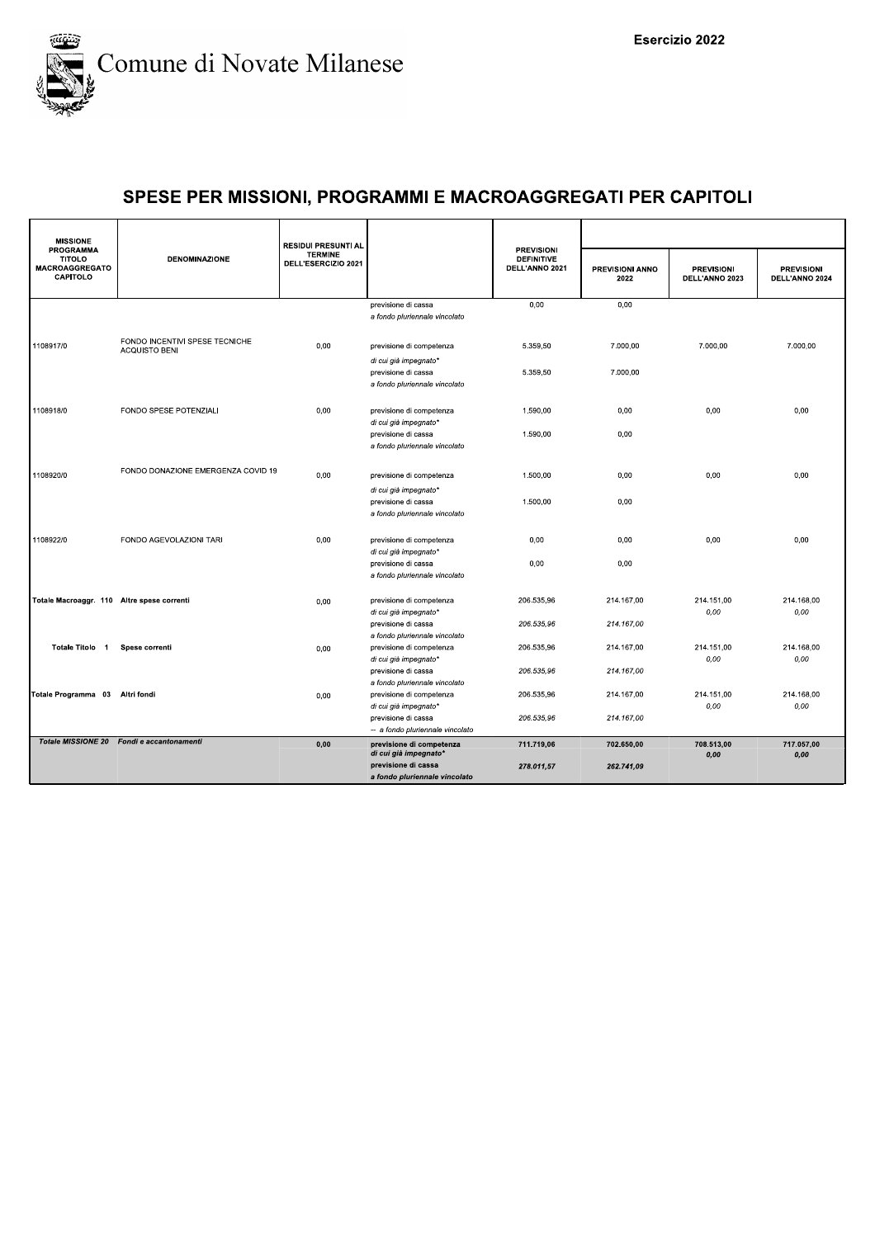

| <b>MISSIONE</b>                                                        |                                           | <b>RESIDUI PRESUNTI AL</b>            |                                                      |                                                          |                                |                                     |                                     |
|------------------------------------------------------------------------|-------------------------------------------|---------------------------------------|------------------------------------------------------|----------------------------------------------------------|--------------------------------|-------------------------------------|-------------------------------------|
| <b>PROGRAMMA</b><br><b>TITOLO</b><br><b>MACROAGGREGATO</b><br>CAPITOLO | <b>DENOMINAZIONE</b>                      | <b>TERMINE</b><br>DELL'ESERCIZIO 2021 |                                                      | <b>PREVISIONI</b><br><b>DEFINITIVE</b><br>DELL'ANNO 2021 | <b>PREVISIONI ANNO</b><br>2022 | <b>PREVISIONI</b><br>DELL'ANNO 2023 | <b>PREVISIONI</b><br>DELL'ANNO 2024 |
|                                                                        |                                           |                                       | previsione di cassa                                  | 0,00                                                     | 0.00                           |                                     |                                     |
|                                                                        |                                           |                                       | a fondo pluriennale vincolato                        |                                                          |                                |                                     |                                     |
| 1108917/0                                                              | FONDO INCENTIVI SPESE TECNICHE            | 0,00                                  | previsione di competenza                             | 5.359,50                                                 | 7.000,00                       | 7.000,00                            | 7.000,00                            |
|                                                                        | <b>ACQUISTO BENI</b>                      |                                       | di cui già impegnato*                                |                                                          |                                |                                     |                                     |
|                                                                        |                                           |                                       | previsione di cassa                                  | 5.359,50                                                 | 7.000,00                       |                                     |                                     |
|                                                                        |                                           |                                       | a fondo pluriennale vincolato                        |                                                          |                                |                                     |                                     |
| 1108918/0                                                              | FONDO SPESE POTENZIALI                    | 0,00                                  | previsione di competenza                             | 1.590,00                                                 | 0,00                           | 0,00                                | 0,00                                |
|                                                                        |                                           |                                       | di cui già impegnato*                                |                                                          |                                |                                     |                                     |
|                                                                        |                                           |                                       | previsione di cassa<br>a fondo pluriennale vincolato | 1.590,00                                                 | 0,00                           |                                     |                                     |
|                                                                        |                                           |                                       |                                                      |                                                          |                                |                                     |                                     |
| 1108920/0                                                              | FONDO DONAZIONE EMERGENZA COVID 19        | 0,00                                  | previsione di competenza                             | 1.500,00                                                 | 0,00                           | 0,00                                | 0,00                                |
|                                                                        |                                           |                                       | di cui già impegnato*                                |                                                          |                                |                                     |                                     |
|                                                                        |                                           |                                       | previsione di cassa                                  | 1.500,00                                                 | 0,00                           |                                     |                                     |
|                                                                        |                                           |                                       | a fondo pluriennale vincolato                        |                                                          |                                |                                     |                                     |
| 1108922/0                                                              | FONDO AGEVOLAZIONI TARI                   | 0,00                                  | previsione di competenza                             | 0,00                                                     | 0,00                           | 0,00                                | 0,00                                |
|                                                                        |                                           |                                       | di cui già impegnato*                                |                                                          |                                |                                     |                                     |
|                                                                        |                                           |                                       | previsione di cassa<br>a fondo pluriennale vincolato | 0,00                                                     | 0,00                           |                                     |                                     |
|                                                                        |                                           |                                       |                                                      |                                                          |                                |                                     |                                     |
| Totale Macroaggr. 110 Altre spese correnti                             |                                           | 0,00                                  | previsione di competenza                             | 206.535,96                                               | 214.167,00                     | 214.151,00                          | 214.168,00                          |
|                                                                        |                                           |                                       | di cui già impegnato*<br>previsione di cassa         | 206.535.96                                               | 214.167.00                     | 0,00                                | 0,00                                |
|                                                                        |                                           |                                       | a fondo pluriennale vincolato                        |                                                          |                                |                                     |                                     |
| Totale Titolo 1                                                        | Spese correnti                            | 0,00                                  | previsione di competenza                             | 206.535,96                                               | 214.167,00                     | 214.151,00                          | 214.168,00                          |
|                                                                        |                                           |                                       | di cui già impegnato*<br>previsione di cassa         | 206.535,96                                               | 214.167,00                     | 0,00                                | 0,00                                |
|                                                                        |                                           |                                       | a fondo pluriennale vincolato                        |                                                          |                                |                                     |                                     |
| Totale Programma 03 Altri fondi                                        |                                           | 0,00                                  | previsione di competenza                             | 206.535,96                                               | 214.167,00                     | 214.151,00                          | 214.168.00                          |
|                                                                        |                                           |                                       | di cui già impegnato*<br>previsione di cassa         | 206.535.96                                               | 214.167.00                     | 0,00                                | 0,00                                |
|                                                                        |                                           |                                       | -- a fondo pluriennale vincolato                     |                                                          |                                |                                     |                                     |
|                                                                        | Totale MISSIONE 20 Fondi e accantonamenti | 0,00                                  | previsione di competenza<br>di cui già impegnato*    | 711.719,06                                               | 702.650,00                     | 708.513,00<br>0,00                  | 717.057,00<br>0,00                  |
|                                                                        |                                           |                                       | previsione di cassa                                  | 278.011,57                                               | 262.741,09                     |                                     |                                     |
|                                                                        |                                           |                                       | a fondo pluriennale vincolato                        |                                                          |                                |                                     |                                     |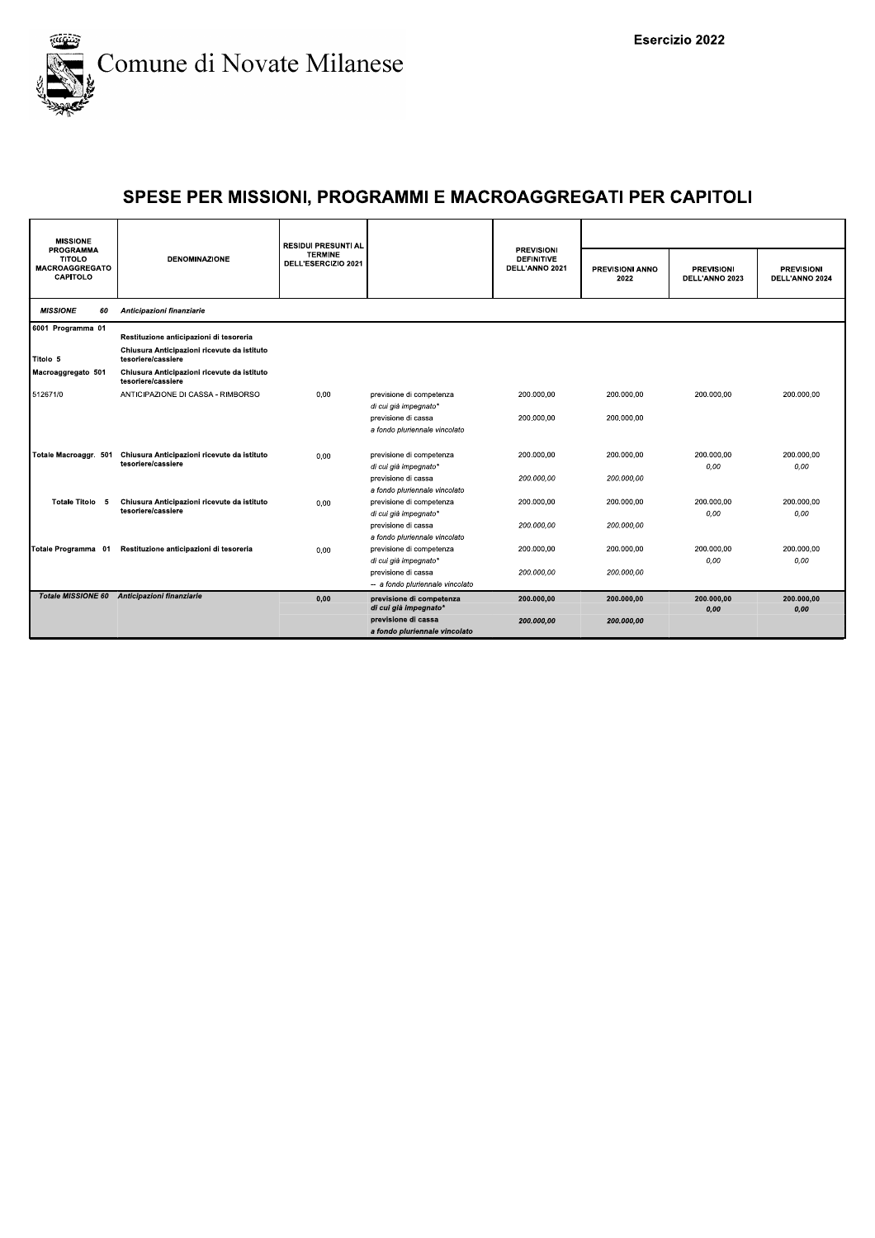

| <b>MISSIONE</b>                                                               |                                                                   | <b>RESIDUI PRESUNTI AL</b>            |                                                         |                                                          |                                |                                     |                                     |
|-------------------------------------------------------------------------------|-------------------------------------------------------------------|---------------------------------------|---------------------------------------------------------|----------------------------------------------------------|--------------------------------|-------------------------------------|-------------------------------------|
| <b>PROGRAMMA</b><br><b>TITOLO</b><br><b>MACROAGGREGATO</b><br><b>CAPITOLO</b> | <b>DENOMINAZIONE</b>                                              | <b>TERMINE</b><br>DELL'ESERCIZIO 2021 |                                                         | <b>PREVISIONI</b><br><b>DEFINITIVE</b><br>DELL'ANNO 2021 | <b>PREVISIONI ANNO</b><br>2022 | <b>PREVISIONI</b><br>DELL'ANNO 2023 | <b>PREVISIONI</b><br>DELL'ANNO 2024 |
| <b>MISSIONE</b><br>60                                                         | Anticipazioni finanziarie                                         |                                       |                                                         |                                                          |                                |                                     |                                     |
| 6001 Programma 01                                                             | Restituzione anticipazioni di tesoreria                           |                                       |                                                         |                                                          |                                |                                     |                                     |
| Titolo 5                                                                      | Chiusura Anticipazioni ricevute da istituto<br>tesoriere/cassiere |                                       |                                                         |                                                          |                                |                                     |                                     |
| Macroaggregato 501                                                            | Chiusura Anticipazioni ricevute da istituto<br>tesoriere/cassiere |                                       |                                                         |                                                          |                                |                                     |                                     |
| 512671/0                                                                      | ANTICIPAZIONE DI CASSA - RIMBORSO                                 | 0,00                                  | previsione di competenza<br>di cui già impegnato*       | 200.000.00                                               | 200.000.00                     | 200.000.00                          | 200.000.00                          |
|                                                                               |                                                                   |                                       | previsione di cassa<br>a fondo pluriennale vincolato    | 200.000.00                                               | 200.000.00                     |                                     |                                     |
| Totale Macroaggr. 501                                                         | Chiusura Anticipazioni ricevute da istituto<br>tesoriere/cassiere | 0.00                                  | previsione di competenza<br>di cui già impegnato*       | 200.000.00                                               | 200.000.00                     | 200.000.00<br>0,00                  | 200.000.00<br>0,00                  |
|                                                                               |                                                                   |                                       | previsione di cassa<br>a fondo pluriennale vincolato    | 200.000.00                                               | 200.000.00                     |                                     |                                     |
| Totale Titolo 5                                                               | Chiusura Anticipazioni ricevute da istituto<br>tesoriere/cassiere | 0,00                                  | previsione di competenza<br>di cui già impegnato*       | 200.000,00                                               | 200.000,00                     | 200.000,00<br>0.00                  | 200.000,00<br>0.00                  |
|                                                                               |                                                                   |                                       | previsione di cassa<br>a fondo pluriennale vincolato    | 200.000.00                                               | 200.000.00                     |                                     |                                     |
| Totale Programma 01                                                           | Restituzione anticipazioni di tesoreria                           | 0.00                                  | previsione di competenza<br>di cui già impegnato*       | 200.000,00                                               | 200.000,00                     | 200.000,00<br>0,00                  | 200.000,00<br>0.00                  |
|                                                                               |                                                                   |                                       | previsione di cassa<br>-- a fondo pluriennale vincolato | 200.000,00                                               | 200.000,00                     |                                     |                                     |
|                                                                               | Totale MISSIONE 60 Anticipazioni finanziarie                      | 0.00                                  | previsione di competenza<br>di cui già impegnato*       | 200.000.00                                               | 200.000.00                     | 200.000.00<br>0,00                  | 200.000.00<br>0,00                  |
|                                                                               |                                                                   |                                       | previsione di cassa<br>a fondo pluriennale vincolato    | 200.000,00                                               | 200.000,00                     |                                     |                                     |
|                                                                               |                                                                   |                                       |                                                         |                                                          |                                |                                     |                                     |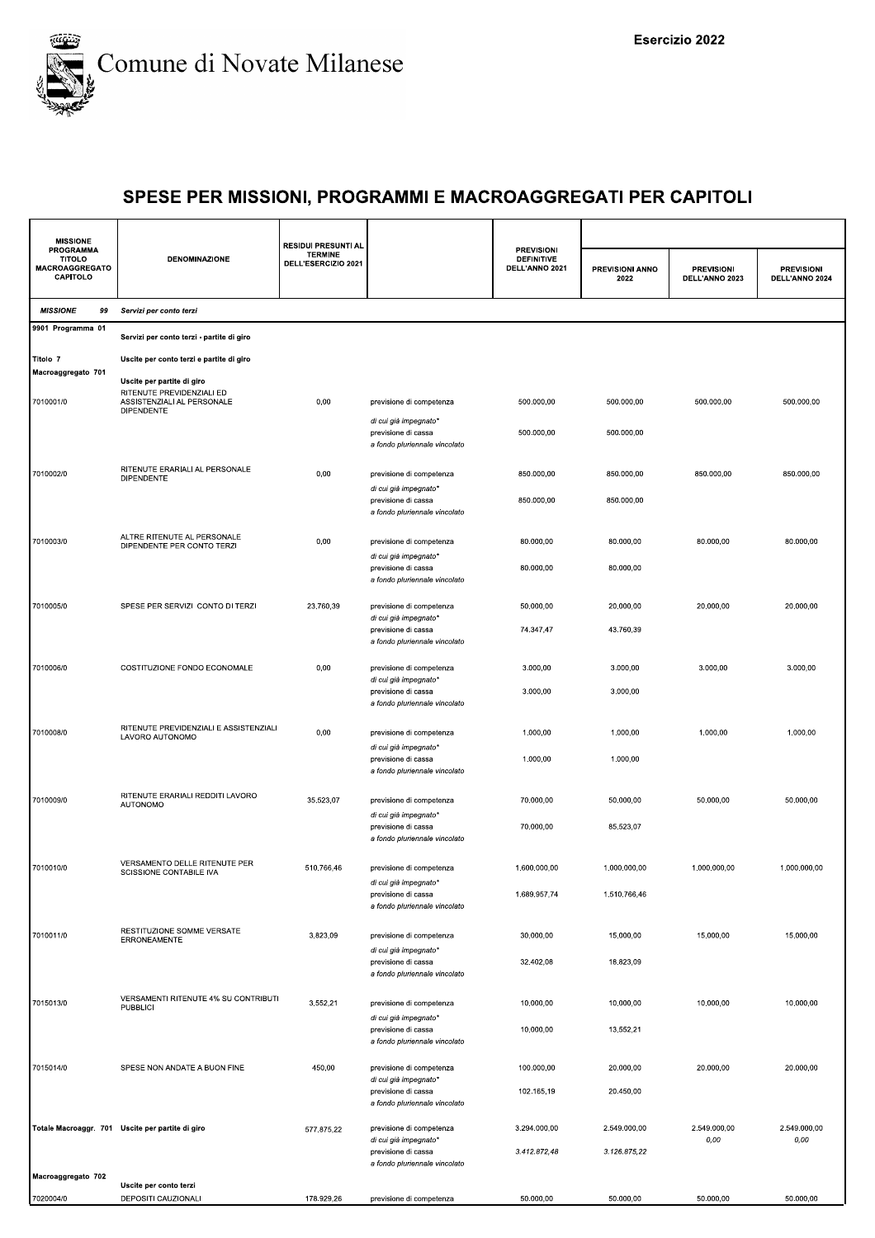

| <b>MISSIONE</b><br><b>PROGRAMMA</b><br><b>TITOLO</b><br><b>MACROAGGREGATO</b><br>CAPITOLO | <b>DENOMINAZIONE</b>                                                         | <b>RESIDUI PRESUNTI AL</b><br><b>TERMINE</b><br>DELL'ESERCIZIO 2021 |                                                                               | <b>PREVISIONI</b><br><b>DEFINITIVE</b><br>DELL'ANNO 2021 |                         |                                     |                                     |
|-------------------------------------------------------------------------------------------|------------------------------------------------------------------------------|---------------------------------------------------------------------|-------------------------------------------------------------------------------|----------------------------------------------------------|-------------------------|-------------------------------------|-------------------------------------|
|                                                                                           |                                                                              |                                                                     |                                                                               |                                                          | PREVISIONI ANNO<br>2022 | <b>PREVISIONI</b><br>DELL'ANNO 2023 | <b>PREVISIONI</b><br>DELL'ANNO 2024 |
| <b>MISSIONE</b><br>99                                                                     | Servizi per conto terzi                                                      |                                                                     |                                                                               |                                                          |                         |                                     |                                     |
| 9901 Programma 01                                                                         | Servizi per conto terzi - partite di giro                                    |                                                                     |                                                                               |                                                          |                         |                                     |                                     |
| Titolo 7                                                                                  | Uscite per conto terzi e partite di giro                                     |                                                                     |                                                                               |                                                          |                         |                                     |                                     |
| Macroaggregato 701                                                                        | Uscite per partite di giro                                                   |                                                                     |                                                                               |                                                          |                         |                                     |                                     |
| 7010001/0                                                                                 | RITENUTE PREVIDENZIALI ED<br>ASSISTENZIALI AL PERSONALE<br><b>DIPENDENTE</b> | 0,00                                                                | previsione di competenza                                                      | 500.000,00                                               | 500.000,00              | 500.000,00                          | 500.000,00                          |
|                                                                                           |                                                                              |                                                                     | di cui già impegnato*<br>previsione di cassa<br>a fondo pluriennale vincolato | 500.000,00                                               | 500.000,00              |                                     |                                     |
| 7010002/0                                                                                 | RITENUTE ERARIALI AL PERSONALE<br><b>DIPENDENTE</b>                          | 0,00                                                                | previsione di competenza                                                      | 850.000,00                                               | 850.000,00              | 850.000,00                          | 850.000,00                          |
|                                                                                           |                                                                              |                                                                     | di cui già impegnato*<br>previsione di cassa                                  | 850.000,00                                               | 850.000,00              |                                     |                                     |
|                                                                                           |                                                                              |                                                                     | a fondo pluriennale vincolato                                                 |                                                          |                         |                                     |                                     |
| 7010003/0                                                                                 | ALTRE RITENUTE AL PERSONALE<br>DIPENDENTE PER CONTO TERZI                    | 0,00                                                                | previsione di competenza                                                      | 80.000,00                                                | 80.000,00               | 80.000,00                           | 80.000,00                           |
|                                                                                           |                                                                              |                                                                     | di cui già impegnato*<br>previsione di cassa                                  | 80.000,00                                                | 80.000,00               |                                     |                                     |
|                                                                                           |                                                                              |                                                                     | a fondo pluriennale vincolato                                                 |                                                          |                         |                                     |                                     |
| 7010005/0                                                                                 | SPESE PER SERVIZI CONTO DI TERZI                                             | 23.760,39                                                           | previsione di competenza<br>di cui già impegnato*                             | 50.000,00                                                | 20.000,00               | 20.000,00                           | 20.000,00                           |
|                                                                                           |                                                                              |                                                                     | previsione di cassa<br>a fondo pluriennale vincolato                          | 74.347,47                                                | 43.760,39               |                                     |                                     |
| 7010006/0                                                                                 | COSTITUZIONE FONDO ECONOMALE                                                 | 0,00                                                                | previsione di competenza                                                      | 3.000,00                                                 | 3.000,00                | 3.000,00                            | 3.000,00                            |
|                                                                                           |                                                                              |                                                                     | di cui già impegnato*<br>previsione di cassa                                  | 3.000,00                                                 | 3.000,00                |                                     |                                     |
|                                                                                           |                                                                              |                                                                     | a fondo pluriennale vincolato                                                 |                                                          |                         |                                     |                                     |
| 7010008/0                                                                                 | RITENUTE PREVIDENZIALI E ASSISTENZIALI<br>LAVORO AUTONOMO                    | 0,00                                                                | previsione di competenza                                                      | 1.000,00                                                 | 1.000,00                | 1.000,00                            | 1.000,00                            |
|                                                                                           |                                                                              |                                                                     | di cui già impegnato*<br>previsione di cassa                                  | 1.000,00                                                 | 1.000,00                |                                     |                                     |
|                                                                                           |                                                                              |                                                                     | a fondo pluriennale vincolato                                                 |                                                          |                         |                                     |                                     |
| 7010009/0                                                                                 | RITENUTE ERARIALI REDDITI LAVORO<br>AUTONOMO                                 | 35.523,07                                                           | previsione di competenza                                                      | 70.000,00                                                | 50.000,00               | 50.000,00                           | 50.000,00                           |
|                                                                                           |                                                                              |                                                                     | di cui già impegnato*<br>previsione di cassa                                  | 70.000,00                                                | 85.523,07               |                                     |                                     |
|                                                                                           |                                                                              |                                                                     | a fondo pluriennale vincolato                                                 |                                                          |                         |                                     |                                     |
| 7010010/0                                                                                 | VERSAMENTO DELLE RITENUTE PER<br>SCISSIONE CONTABILE IVA                     | 510.766,46                                                          | previsione di competenza<br>di cui già impegnato'                             | 1.600.000,00                                             | 1.000.000,00            | 1.000.000,00                        | 1.000.000,00                        |
|                                                                                           |                                                                              |                                                                     | previsione di cassa<br>a fondo pluriennale vincolato                          | 1.689.957,74                                             | 1.510.766,46            |                                     |                                     |
|                                                                                           | RESTITUZIONE SOMME VERSATE                                                   |                                                                     |                                                                               |                                                          |                         |                                     |                                     |
| 7010011/0                                                                                 | ERRONEAMENTE                                                                 | 3.823,09                                                            | previsione di competenza<br>di cui già impegnato*                             | 30.000,00                                                | 15.000,00               | 15.000,00                           | 15.000,00                           |
|                                                                                           |                                                                              |                                                                     | previsione di cassa<br>a fondo pluriennale vincolato                          | 32.402,08                                                | 18.823,09               |                                     |                                     |
| 7015013/0                                                                                 | VERSAMENTI RITENUTE 4% SU CONTRIBUTI                                         | 3.552,21                                                            | previsione di competenza                                                      | 10.000,00                                                | 10.000,00               | 10.000,00                           | 10.000,00                           |
|                                                                                           | <b>PUBBLICI</b>                                                              |                                                                     | di cui già impegnato*                                                         |                                                          |                         |                                     |                                     |
|                                                                                           |                                                                              |                                                                     | previsione di cassa<br>a fondo pluriennale vincolato                          | 10.000,00                                                | 13.552,21               |                                     |                                     |
| 7015014/0                                                                                 | SPESE NON ANDATE A BUON FINE                                                 | 450,00                                                              | previsione di competenza                                                      | 100.000,00                                               | 20.000,00               | 20.000,00                           | 20.000,00                           |
|                                                                                           |                                                                              |                                                                     | di cui già impegnato*<br>previsione di cassa                                  | 102.165,19                                               | 20.450,00               |                                     |                                     |
|                                                                                           |                                                                              |                                                                     | a fondo pluriennale vincolato                                                 |                                                          |                         |                                     |                                     |
|                                                                                           | Totale Macroaggr. 701 Uscite per partite di giro                             | 577.875,22                                                          | previsione di competenza<br>di cui già impegnato*                             | 3.294.000,00                                             | 2.549.000,00            | 2.549.000,00<br>0,00                | 2.549.000,00<br>0,00                |
|                                                                                           |                                                                              |                                                                     | previsione di cassa<br>a fondo pluriennale vincolato                          | 3.412.872,48                                             | 3.126.875,22            |                                     |                                     |
| Macroaggregato 702                                                                        | Uscite per conto terzi                                                       |                                                                     |                                                                               |                                                          |                         |                                     |                                     |
| 7020004/0                                                                                 | DEPOSITI CAUZIONALI                                                          | 178.929,26                                                          | previsione di competenza                                                      | 50.000,00                                                | 50.000,00               | 50.000,00                           | 50.000,00                           |